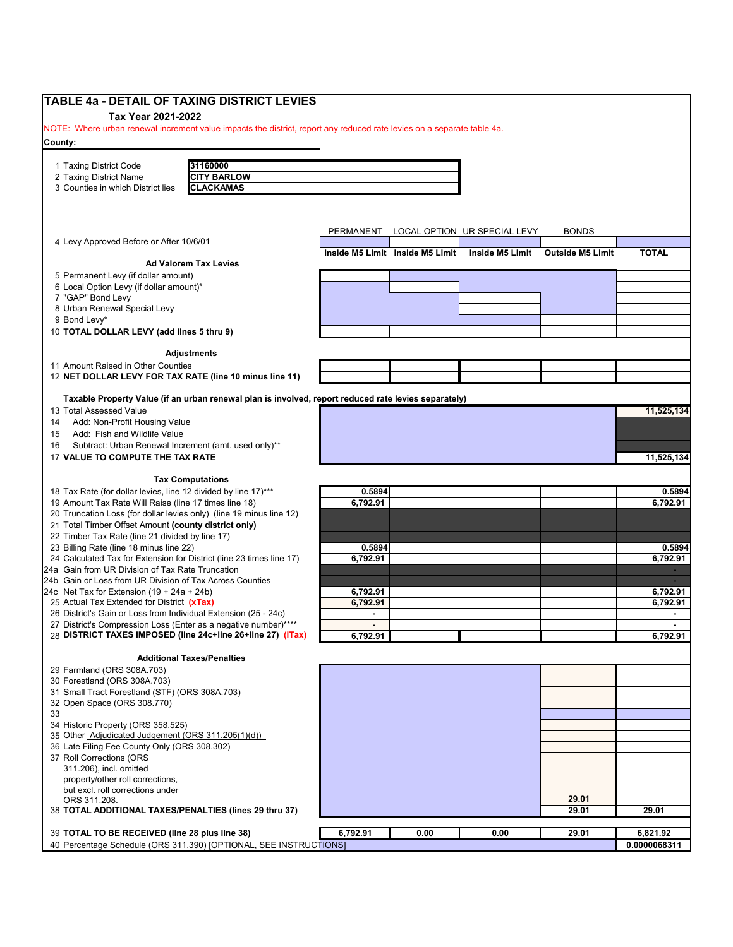| <b>TABLE 4a - DETAIL OF TAXING DISTRICT LEVIES</b>                                                                       |                |                                 |                              |                         |              |
|--------------------------------------------------------------------------------------------------------------------------|----------------|---------------------------------|------------------------------|-------------------------|--------------|
| Tax Year 2021-2022                                                                                                       |                |                                 |                              |                         |              |
| NOTE: Where urban renewal increment value impacts the district, report any reduced rate levies on a separate table 4a.   |                |                                 |                              |                         |              |
| County:                                                                                                                  |                |                                 |                              |                         |              |
|                                                                                                                          |                |                                 |                              |                         |              |
| 31160000<br>1 Taxing District Code<br><b>CITY BARLOW</b><br>2 Taxing District Name                                       |                |                                 |                              |                         |              |
| 3 Counties in which District lies<br><b>CLACKAMAS</b>                                                                    |                |                                 |                              |                         |              |
|                                                                                                                          |                |                                 |                              |                         |              |
|                                                                                                                          |                |                                 |                              |                         |              |
|                                                                                                                          |                |                                 |                              | <b>BONDS</b>            |              |
| 4 Levy Approved Before or After 10/6/01                                                                                  | PERMANENT      |                                 | LOCAL OPTION UR SPECIAL LEVY |                         |              |
|                                                                                                                          |                | Inside M5 Limit Inside M5 Limit | <b>Inside M5 Limit</b>       | <b>Outside M5 Limit</b> | <b>TOTAL</b> |
| <b>Ad Valorem Tax Levies</b>                                                                                             |                |                                 |                              |                         |              |
| 5 Permanent Levy (if dollar amount)<br>6 Local Option Levy (if dollar amount)*                                           |                |                                 |                              |                         |              |
| 7 "GAP" Bond Levy                                                                                                        |                |                                 |                              |                         |              |
| 8 Urban Renewal Special Levy                                                                                             |                |                                 |                              |                         |              |
| 9 Bond Levy*                                                                                                             |                |                                 |                              |                         |              |
| 10 TOTAL DOLLAR LEVY (add lines 5 thru 9)                                                                                |                |                                 |                              |                         |              |
|                                                                                                                          |                |                                 |                              |                         |              |
| <b>Adjustments</b><br>11 Amount Raised in Other Counties                                                                 |                |                                 |                              |                         |              |
| 12 NET DOLLAR LEVY FOR TAX RATE (line 10 minus line 11)                                                                  |                |                                 |                              |                         |              |
|                                                                                                                          |                |                                 |                              |                         |              |
| Taxable Property Value (if an urban renewal plan is involved, report reduced rate levies separately)                     |                |                                 |                              |                         |              |
| 13 Total Assessed Value                                                                                                  |                |                                 |                              |                         | 11,525,134   |
| Add: Non-Profit Housing Value<br>14                                                                                      |                |                                 |                              |                         |              |
| Add: Fish and Wildlife Value<br>15                                                                                       |                |                                 |                              |                         |              |
| Subtract: Urban Renewal Increment (amt. used only)**<br>16                                                               |                |                                 |                              |                         |              |
| 17 VALUE TO COMPUTE THE TAX RATE                                                                                         |                |                                 |                              |                         | 11,525,134   |
| <b>Tax Computations</b>                                                                                                  |                |                                 |                              |                         |              |
| 18 Tax Rate (for dollar levies, line 12 divided by line 17)***                                                           | 0.5894         |                                 |                              |                         | 0.5894       |
| 19 Amount Tax Rate Will Raise (line 17 times line 18)                                                                    | 6,792.91       |                                 |                              |                         | 6,792.91     |
| 20 Truncation Loss (for dollar levies only) (line 19 minus line 12)                                                      |                |                                 |                              |                         |              |
| 21 Total Timber Offset Amount (county district only)                                                                     |                |                                 |                              |                         |              |
| 22 Timber Tax Rate (line 21 divided by line 17)                                                                          |                |                                 |                              |                         |              |
| 23 Billing Rate (line 18 minus line 22)                                                                                  | 0.5894         |                                 |                              |                         | 0.5894       |
| 24 Calculated Tax for Extension for District (line 23 times line 17)<br>24a Gain from UR Division of Tax Rate Truncation | 6,792.91       |                                 |                              |                         | 6,792.91     |
| 24b Gain or Loss from UR Division of Tax Across Counties                                                                 |                |                                 |                              |                         |              |
| 24c Net Tax for Extension $(19 + 24a + 24b)$                                                                             | 6,792.91       |                                 |                              |                         | 6,792.91     |
| 25 Actual Tax Extended for District (xTax)                                                                               | 6,792.91       |                                 |                              |                         | 6,792.91     |
| 26 District's Gain or Loss from Individual Extension (25 - 24c)                                                          | $\blacksquare$ |                                 |                              |                         | ٠            |
| 27 District's Compression Loss (Enter as a negative number)****                                                          | $\sim$         |                                 |                              |                         |              |
| 28 DISTRICT TAXES IMPOSED (line 24c+line 26+line 27) (iTax)                                                              | 6,792.91       |                                 |                              |                         | 6,792.91     |
| <b>Additional Taxes/Penalties</b>                                                                                        |                |                                 |                              |                         |              |
| 29 Farmland (ORS 308A.703)                                                                                               |                |                                 |                              |                         |              |
| 30 Forestland (ORS 308A.703)                                                                                             |                |                                 |                              |                         |              |
| 31 Small Tract Forestland (STF) (ORS 308A.703)                                                                           |                |                                 |                              |                         |              |
| 32 Open Space (ORS 308.770)                                                                                              |                |                                 |                              |                         |              |
| 33                                                                                                                       |                |                                 |                              |                         |              |
| 34 Historic Property (ORS 358.525)                                                                                       |                |                                 |                              |                         |              |
| 35 Other Adjudicated Judgement (ORS 311.205(1)(d))                                                                       |                |                                 |                              |                         |              |
| 36 Late Filing Fee County Only (ORS 308.302)                                                                             |                |                                 |                              |                         |              |
| 37 Roll Corrections (ORS                                                                                                 |                |                                 |                              |                         |              |
| 311.206), incl. omitted<br>property/other roll corrections,                                                              |                |                                 |                              |                         |              |
| but excl. roll corrections under                                                                                         |                |                                 |                              |                         |              |
| ORS 311.208.                                                                                                             |                |                                 |                              | 29.01                   |              |
| 38 TOTAL ADDITIONAL TAXES/PENALTIES (lines 29 thru 37)                                                                   |                |                                 |                              | 29.01                   | 29.01        |
|                                                                                                                          |                |                                 |                              |                         |              |
| 39 TOTAL TO BE RECEIVED (line 28 plus line 38)                                                                           | 6,792.91       | 0.00                            | 0.00                         | 29.01                   | 6,821.92     |
| 40 Percentage Schedule (ORS 311.390) [OPTIONAL, SEE INSTRUCTIONS]                                                        |                |                                 |                              |                         | 0.0000068311 |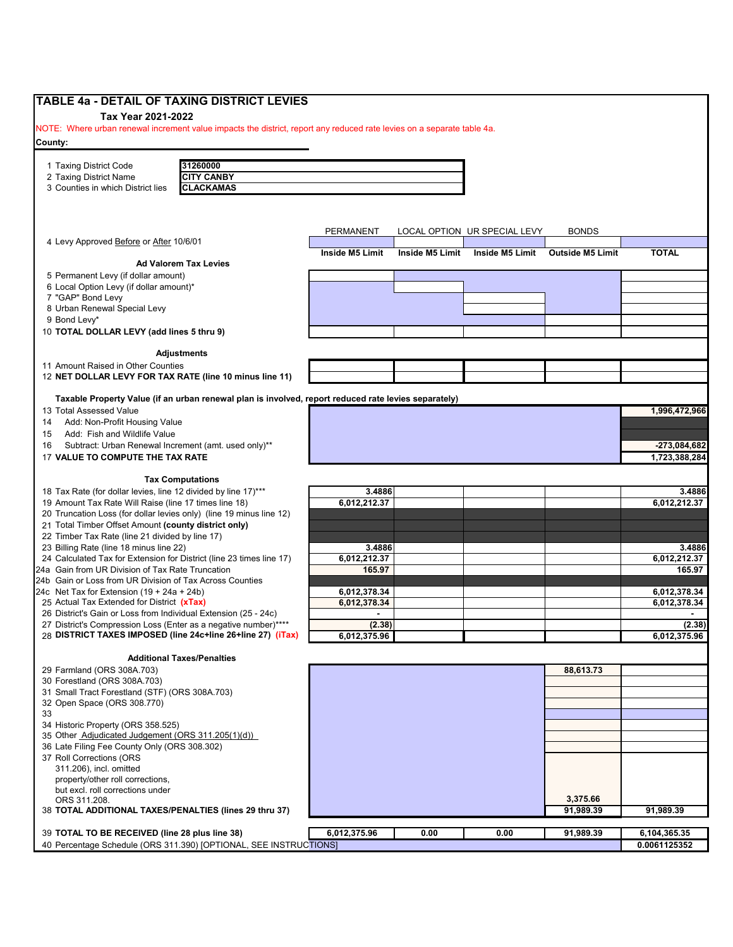| <b>TABLE 4a - DETAIL OF TAXING DISTRICT LEVIES</b>                                                                     |                 |                 |                              |                         |               |
|------------------------------------------------------------------------------------------------------------------------|-----------------|-----------------|------------------------------|-------------------------|---------------|
| Tax Year 2021-2022                                                                                                     |                 |                 |                              |                         |               |
| NOTE: Where urban renewal increment value impacts the district, report any reduced rate levies on a separate table 4a. |                 |                 |                              |                         |               |
| County:                                                                                                                |                 |                 |                              |                         |               |
| 31260000                                                                                                               |                 |                 |                              |                         |               |
| 1 Taxing District Code<br><b>CITY CANBY</b><br>2 Taxing District Name                                                  |                 |                 |                              |                         |               |
| <b>CLACKAMAS</b><br>3 Counties in which District lies                                                                  |                 |                 |                              |                         |               |
|                                                                                                                        |                 |                 |                              |                         |               |
|                                                                                                                        |                 |                 |                              |                         |               |
|                                                                                                                        |                 |                 |                              |                         |               |
|                                                                                                                        | PERMANENT       |                 | LOCAL OPTION UR SPECIAL LEVY | <b>BONDS</b>            |               |
| 4 Levy Approved Before or After 10/6/01                                                                                |                 |                 |                              |                         |               |
|                                                                                                                        | Inside M5 Limit | Inside M5 Limit | <b>Inside M5 Limit</b>       | <b>Outside M5 Limit</b> | <b>TOTAL</b>  |
| <b>Ad Valorem Tax Levies</b>                                                                                           |                 |                 |                              |                         |               |
| 5 Permanent Levy (if dollar amount)                                                                                    |                 |                 |                              |                         |               |
| 6 Local Option Levy (if dollar amount)*                                                                                |                 |                 |                              |                         |               |
| 7 "GAP" Bond Levy                                                                                                      |                 |                 |                              |                         |               |
| 8 Urban Renewal Special Levy                                                                                           |                 |                 |                              |                         |               |
| 9 Bond Levy*                                                                                                           |                 |                 |                              |                         |               |
| 10 TOTAL DOLLAR LEVY (add lines 5 thru 9)                                                                              |                 |                 |                              |                         |               |
|                                                                                                                        |                 |                 |                              |                         |               |
| <b>Adjustments</b>                                                                                                     |                 |                 |                              |                         |               |
| 11 Amount Raised in Other Counties                                                                                     |                 |                 |                              |                         |               |
| 12 NET DOLLAR LEVY FOR TAX RATE (line 10 minus line 11)                                                                |                 |                 |                              |                         |               |
|                                                                                                                        |                 |                 |                              |                         |               |
| Taxable Property Value (if an urban renewal plan is involved, report reduced rate levies separately)                   |                 |                 |                              |                         |               |
| 13 Total Assessed Value                                                                                                |                 |                 |                              |                         | 1,996,472,966 |
| Add: Non-Profit Housing Value<br>14                                                                                    |                 |                 |                              |                         |               |
| Add: Fish and Wildlife Value<br>15                                                                                     |                 |                 |                              |                         |               |
| Subtract: Urban Renewal Increment (amt. used only)**<br>16<br>17 VALUE TO COMPUTE THE TAX RATE                         |                 |                 |                              |                         | -273,084,682  |
|                                                                                                                        |                 |                 |                              |                         | 1,723,388,284 |
| <b>Tax Computations</b>                                                                                                |                 |                 |                              |                         |               |
| 18 Tax Rate (for dollar levies, line 12 divided by line 17)***                                                         | 3.4886          |                 |                              |                         | 3.4886        |
| 19 Amount Tax Rate Will Raise (line 17 times line 18)                                                                  | 6,012,212.37    |                 |                              |                         | 6,012,212.37  |
| 20 Truncation Loss (for dollar levies only) (line 19 minus line 12)                                                    |                 |                 |                              |                         |               |
| 21 Total Timber Offset Amount (county district only)                                                                   |                 |                 |                              |                         |               |
| 22 Timber Tax Rate (line 21 divided by line 17)                                                                        |                 |                 |                              |                         |               |
| 23 Billing Rate (line 18 minus line 22)                                                                                | 3.4886          |                 |                              |                         | 3.4886        |
| 24 Calculated Tax for Extension for District (line 23 times line 17)                                                   | 6,012,212.37    |                 |                              |                         | 6.012.212.37  |
| 24a Gain from UR Division of Tax Rate Truncation                                                                       | 165.97          |                 |                              |                         | 165.97        |
| 24b Gain or Loss from UR Division of Tax Across Counties                                                               |                 |                 |                              |                         |               |
| 24c Net Tax for Extension $(19 + 24a + 24b)$                                                                           | 6,012,378.34    |                 |                              |                         | 6,012,378.34  |
| 25 Actual Tax Extended for District (xTax)                                                                             | 6,012,378.34    |                 |                              |                         | 6,012,378.34  |
| 26 District's Gain or Loss from Individual Extension (25 - 24c)                                                        |                 |                 |                              |                         |               |
| 27 District's Compression Loss (Enter as a negative number)****                                                        | (2.38)          |                 |                              |                         | (2.38)        |
| 28 DISTRICT TAXES IMPOSED (line 24c+line 26+line 27) (iTax)                                                            | 6,012,375.96    |                 |                              |                         | 6,012,375.96  |
|                                                                                                                        |                 |                 |                              |                         |               |
| <b>Additional Taxes/Penalties</b>                                                                                      |                 |                 |                              |                         |               |
| 29 Farmland (ORS 308A.703)                                                                                             |                 |                 |                              | 88,613.73               |               |
| 30 Forestland (ORS 308A.703)                                                                                           |                 |                 |                              |                         |               |
| 31 Small Tract Forestland (STF) (ORS 308A.703)                                                                         |                 |                 |                              |                         |               |
| 32 Open Space (ORS 308.770)                                                                                            |                 |                 |                              |                         |               |
| 33                                                                                                                     |                 |                 |                              |                         |               |
| 34 Historic Property (ORS 358.525)                                                                                     |                 |                 |                              |                         |               |
| 35 Other Adjudicated Judgement (ORS 311.205(1)(d))                                                                     |                 |                 |                              |                         |               |
| 36 Late Filing Fee County Only (ORS 308.302)                                                                           |                 |                 |                              |                         |               |
| 37 Roll Corrections (ORS                                                                                               |                 |                 |                              |                         |               |
| 311.206), incl. omitted                                                                                                |                 |                 |                              |                         |               |
| property/other roll corrections,                                                                                       |                 |                 |                              |                         |               |
| but excl. roll corrections under                                                                                       |                 |                 |                              | 3,375.66                |               |
| ORS 311.208.<br>38 TOTAL ADDITIONAL TAXES/PENALTIES (lines 29 thru 37)                                                 |                 |                 |                              | 91,989.39               | 91,989.39     |
|                                                                                                                        |                 |                 |                              |                         |               |
| 39 TOTAL TO BE RECEIVED (line 28 plus line 38)                                                                         | 6,012,375.96    | 0.00            | 0.00                         | 91,989.39               | 6,104,365.35  |
| 40 Percentage Schedule (ORS 311.390) [OPTIONAL, SEE INSTRUCTIONS]                                                      |                 |                 |                              |                         | 0.0061125352  |
|                                                                                                                        |                 |                 |                              |                         |               |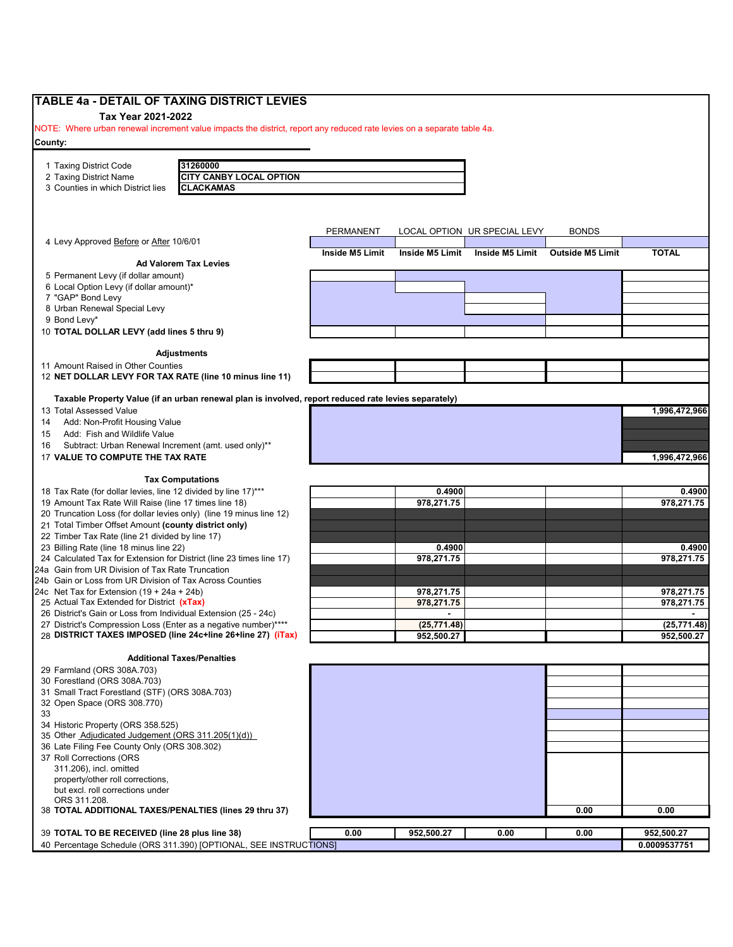| <b>TABLE 4a - DETAIL OF TAXING DISTRICT LEVIES</b>                                                                              |                  |                 |                              |                         |               |
|---------------------------------------------------------------------------------------------------------------------------------|------------------|-----------------|------------------------------|-------------------------|---------------|
| Tax Year 2021-2022                                                                                                              |                  |                 |                              |                         |               |
| NOTE: Where urban renewal increment value impacts the district, report any reduced rate levies on a separate table 4a.          |                  |                 |                              |                         |               |
| County:                                                                                                                         |                  |                 |                              |                         |               |
|                                                                                                                                 |                  |                 |                              |                         |               |
| 31260000<br>1 Taxing District Code                                                                                              |                  |                 |                              |                         |               |
| 2 Taxing District Name<br>CITY CANBY LOCAL OPTION                                                                               |                  |                 |                              |                         |               |
| <b>CLACKAMAS</b><br>3 Counties in which District lies                                                                           |                  |                 |                              |                         |               |
|                                                                                                                                 |                  |                 |                              |                         |               |
|                                                                                                                                 |                  |                 |                              |                         |               |
|                                                                                                                                 | <b>PERMANENT</b> |                 | LOCAL OPTION UR SPECIAL LEVY | <b>BONDS</b>            |               |
| 4 Levy Approved Before or After 10/6/01                                                                                         |                  |                 |                              |                         |               |
|                                                                                                                                 | Inside M5 Limit  | Inside M5 Limit | Inside M5 Limit              | <b>Outside M5 Limit</b> | <b>TOTAL</b>  |
| <b>Ad Valorem Tax Levies</b>                                                                                                    |                  |                 |                              |                         |               |
| 5 Permanent Levy (if dollar amount)<br>6 Local Option Levy (if dollar amount)*                                                  |                  |                 |                              |                         |               |
| 7 "GAP" Bond Levy                                                                                                               |                  |                 |                              |                         |               |
| 8 Urban Renewal Special Levy                                                                                                    |                  |                 |                              |                         |               |
| 9 Bond Levy*                                                                                                                    |                  |                 |                              |                         |               |
| 10 TOTAL DOLLAR LEVY (add lines 5 thru 9)                                                                                       |                  |                 |                              |                         |               |
|                                                                                                                                 |                  |                 |                              |                         |               |
| Adjustments                                                                                                                     |                  |                 |                              |                         |               |
| 11 Amount Raised in Other Counties                                                                                              |                  |                 |                              |                         |               |
| 12 NET DOLLAR LEVY FOR TAX RATE (line 10 minus line 11)                                                                         |                  |                 |                              |                         |               |
|                                                                                                                                 |                  |                 |                              |                         |               |
| Taxable Property Value (if an urban renewal plan is involved, report reduced rate levies separately)<br>13 Total Assessed Value |                  |                 |                              |                         | 1,996,472,966 |
| Add: Non-Profit Housing Value<br>14                                                                                             |                  |                 |                              |                         |               |
| Add: Fish and Wildlife Value<br>15                                                                                              |                  |                 |                              |                         |               |
| Subtract: Urban Renewal Increment (amt. used only)**<br>16                                                                      |                  |                 |                              |                         |               |
| 17 VALUE TO COMPUTE THE TAX RATE                                                                                                |                  |                 |                              |                         | 1,996,472,966 |
|                                                                                                                                 |                  |                 |                              |                         |               |
| <b>Tax Computations</b>                                                                                                         |                  |                 |                              |                         |               |
| 18 Tax Rate (for dollar levies, line 12 divided by line 17)***                                                                  |                  | 0.4900          |                              |                         | 0.4900        |
| 19 Amount Tax Rate Will Raise (line 17 times line 18)                                                                           |                  | 978,271.75      |                              |                         | 978,271.75    |
| 20 Truncation Loss (for dollar levies only) (line 19 minus line 12)                                                             |                  |                 |                              |                         |               |
| 21 Total Timber Offset Amount (county district only)                                                                            |                  |                 |                              |                         |               |
| 22 Timber Tax Rate (line 21 divided by line 17)                                                                                 |                  | 0.4900          |                              |                         | 0.4900        |
| 23 Billing Rate (line 18 minus line 22)<br>24 Calculated Tax for Extension for District (line 23 times line 17)                 |                  | 978,271.75      |                              |                         | 978,271.75    |
| 24a Gain from UR Division of Tax Rate Truncation                                                                                |                  |                 |                              |                         |               |
| 24b Gain or Loss from UR Division of Tax Across Counties                                                                        |                  |                 |                              |                         |               |
| 24c Net Tax for Extension $(19 + 24a + 24b)$                                                                                    |                  | 978,271.75      |                              |                         | 978,271.75    |
| 25 Actual Tax Extended for District (xTax)                                                                                      |                  | 978,271.75      |                              |                         | 978,271.75    |
| 26 District's Gain or Loss from Individual Extension (25 - 24c)                                                                 |                  |                 |                              |                         |               |
| 27 District's Compression Loss (Enter as a negative number)****                                                                 |                  | (25, 771.48)    |                              |                         | (25, 771.48)  |
| 28 DISTRICT TAXES IMPOSED (line 24c+line 26+line 27) (iTax)                                                                     |                  | 952,500.27      |                              |                         | 952,500.27    |
| <b>Additional Taxes/Penalties</b>                                                                                               |                  |                 |                              |                         |               |
| 29 Farmland (ORS 308A.703)                                                                                                      |                  |                 |                              |                         |               |
| 30 Forestland (ORS 308A.703)                                                                                                    |                  |                 |                              |                         |               |
| 31 Small Tract Forestland (STF) (ORS 308A.703)                                                                                  |                  |                 |                              |                         |               |
| 32 Open Space (ORS 308.770)                                                                                                     |                  |                 |                              |                         |               |
| 33                                                                                                                              |                  |                 |                              |                         |               |
| 34 Historic Property (ORS 358.525)                                                                                              |                  |                 |                              |                         |               |
| 35 Other Adjudicated Judgement (ORS 311.205(1)(d))                                                                              |                  |                 |                              |                         |               |
| 36 Late Filing Fee County Only (ORS 308.302)<br>37 Roll Corrections (ORS                                                        |                  |                 |                              |                         |               |
| 311.206), incl. omitted                                                                                                         |                  |                 |                              |                         |               |
| property/other roll corrections,                                                                                                |                  |                 |                              |                         |               |
| but excl. roll corrections under                                                                                                |                  |                 |                              |                         |               |
| ORS 311.208.                                                                                                                    |                  |                 |                              |                         |               |
| 38 TOTAL ADDITIONAL TAXES/PENALTIES (lines 29 thru 37)                                                                          |                  |                 |                              | 0.00                    | 0.00          |
|                                                                                                                                 |                  |                 |                              |                         |               |
| 39 TOTAL TO BE RECEIVED (line 28 plus line 38)<br>40 Percentage Schedule (ORS 311.390) [OPTIONAL, SEE INSTRUCTIONS]             | 0.00             | 952,500.27      | 0.00                         | 0.00                    | 952,500.27    |
|                                                                                                                                 |                  |                 |                              |                         | 0.0009537751  |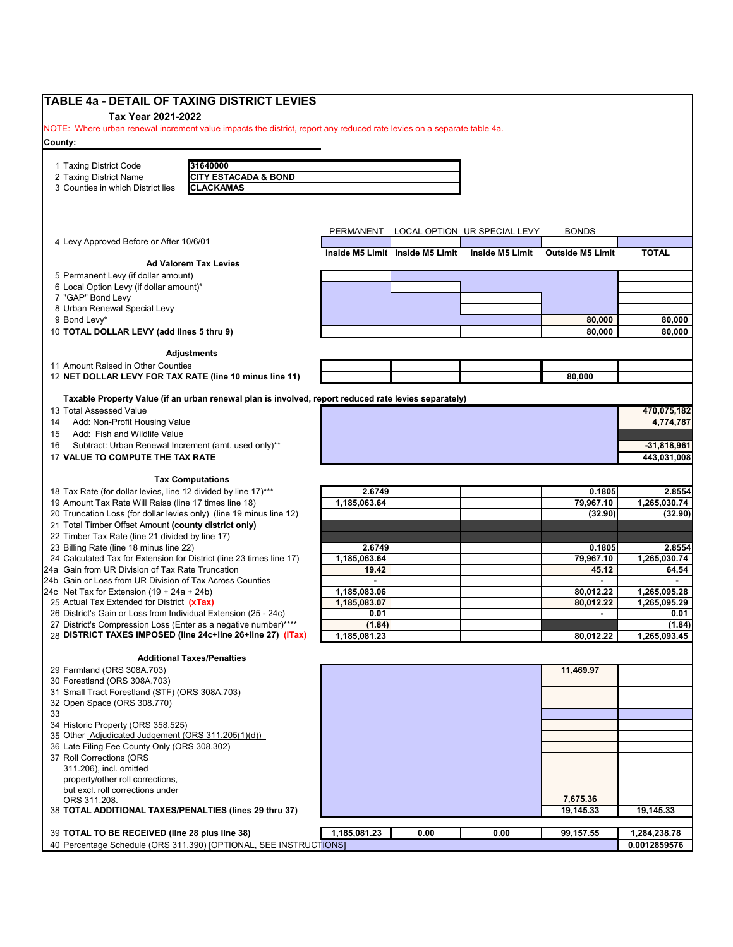| TABLE 4a - DETAIL OF TAXING DISTRICT LEVIES                                                                             |              |                                 |                              |                         |               |
|-------------------------------------------------------------------------------------------------------------------------|--------------|---------------------------------|------------------------------|-------------------------|---------------|
| Tax Year 2021-2022                                                                                                      |              |                                 |                              |                         |               |
| NOTE: Where urban renewal increment value impacts the district, report any reduced rate levies on a separate table 4a.  |              |                                 |                              |                         |               |
| County:                                                                                                                 |              |                                 |                              |                         |               |
|                                                                                                                         |              |                                 |                              |                         |               |
| 31640000<br>1 Taxing District Code                                                                                      |              |                                 |                              |                         |               |
| <b>CITY ESTACADA &amp; BOND</b><br>2 Taxing District Name                                                               |              |                                 |                              |                         |               |
| 3 Counties in which District lies<br><b>CLACKAMAS</b>                                                                   |              |                                 |                              |                         |               |
|                                                                                                                         |              |                                 |                              |                         |               |
|                                                                                                                         |              |                                 |                              |                         |               |
|                                                                                                                         | PERMANENT    |                                 | LOCAL OPTION UR SPECIAL LEVY | <b>BONDS</b>            |               |
| 4 Levy Approved Before or After 10/6/01                                                                                 |              |                                 |                              |                         |               |
|                                                                                                                         |              | Inside M5 Limit Inside M5 Limit | Inside M5 Limit              | <b>Outside M5 Limit</b> | <b>TOTAL</b>  |
| <b>Ad Valorem Tax Levies</b>                                                                                            |              |                                 |                              |                         |               |
| 5 Permanent Levy (if dollar amount)                                                                                     |              |                                 |                              |                         |               |
| 6 Local Option Levy (if dollar amount)*<br>7 "GAP" Bond Levy                                                            |              |                                 |                              |                         |               |
| 8 Urban Renewal Special Levy                                                                                            |              |                                 |                              |                         |               |
| 9 Bond Levy*                                                                                                            |              |                                 |                              | 80,000                  | 80,000        |
| 10 TOTAL DOLLAR LEVY (add lines 5 thru 9)                                                                               |              |                                 |                              | 80,000                  | 80,000        |
|                                                                                                                         |              |                                 |                              |                         |               |
| Adjustments                                                                                                             |              |                                 |                              |                         |               |
| 11 Amount Raised in Other Counties                                                                                      |              |                                 |                              |                         |               |
| 12 NET DOLLAR LEVY FOR TAX RATE (line 10 minus line 11)                                                                 |              |                                 |                              | 80,000                  |               |
|                                                                                                                         |              |                                 |                              |                         |               |
| Taxable Property Value (if an urban renewal plan is involved, report reduced rate levies separately)                    |              |                                 |                              |                         |               |
| 13 Total Assessed Value                                                                                                 |              |                                 |                              |                         | 470,075,182   |
| Add: Non-Profit Housing Value<br>14                                                                                     |              |                                 |                              |                         | 4,774,787     |
| Add: Fish and Wildlife Value<br>15                                                                                      |              |                                 |                              |                         |               |
| Subtract: Urban Renewal Increment (amt. used only)**<br>16                                                              |              |                                 |                              |                         | $-31,818,961$ |
| 17 VALUE TO COMPUTE THE TAX RATE                                                                                        |              |                                 |                              |                         | 443,031,008   |
|                                                                                                                         |              |                                 |                              |                         |               |
| <b>Tax Computations</b>                                                                                                 | 2.6749       |                                 |                              | 0.1805                  | 2.8554        |
| 18 Tax Rate (for dollar levies, line 12 divided by line 17)***<br>19 Amount Tax Rate Will Raise (line 17 times line 18) | 1,185,063.64 |                                 |                              | 79,967.10               | 1,265,030.74  |
| 20 Truncation Loss (for dollar levies only) (line 19 minus line 12)                                                     |              |                                 |                              | (32.90)                 | (32.90)       |
| 21 Total Timber Offset Amount (county district only)                                                                    |              |                                 |                              |                         |               |
| 22 Timber Tax Rate (line 21 divided by line 17)                                                                         |              |                                 |                              |                         |               |
| 23 Billing Rate (line 18 minus line 22)                                                                                 | 2.6749       |                                 |                              | 0.1805                  | 2.8554        |
| 24 Calculated Tax for Extension for District (line 23 times line 17)                                                    | 1,185,063.64 |                                 |                              | 79,967.10               | 1,265,030.74  |
| 24a Gain from UR Division of Tax Rate Truncation                                                                        | 19.42        |                                 |                              | 45.12                   | 64.54         |
| 24b Gain or Loss from UR Division of Tax Across Counties                                                                |              |                                 |                              |                         |               |
| 24c Net Tax for Extension $(19 + 24a + 24b)$                                                                            | 1,185,083.06 |                                 |                              | 80,012.22               | 1,265,095.28  |
| 25 Actual Tax Extended for District (xTax)                                                                              | 1,185,083.07 |                                 |                              | 80,012.22               | 1,265,095.29  |
| 26 District's Gain or Loss from Individual Extension (25 - 24c)                                                         | 0.01         |                                 |                              |                         | 0.01          |
| 27 District's Compression Loss (Enter as a negative number)****                                                         | (1.84)       |                                 |                              |                         | (1.84)        |
| 28 DISTRICT TAXES IMPOSED (line 24c+line 26+line 27) (iTax)                                                             | 1,185,081.23 |                                 |                              | 80,012.22               | 1,265,093.45  |
| <b>Additional Taxes/Penalties</b>                                                                                       |              |                                 |                              |                         |               |
| 29 Farmland (ORS 308A.703)                                                                                              |              |                                 |                              | 11.469.97               |               |
| 30 Forestland (ORS 308A.703)                                                                                            |              |                                 |                              |                         |               |
| 31 Small Tract Forestland (STF) (ORS 308A.703)                                                                          |              |                                 |                              |                         |               |
| 32 Open Space (ORS 308.770)                                                                                             |              |                                 |                              |                         |               |
| 33                                                                                                                      |              |                                 |                              |                         |               |
| 34 Historic Property (ORS 358.525)                                                                                      |              |                                 |                              |                         |               |
| 35 Other Adjudicated Judgement (ORS 311.205(1)(d))                                                                      |              |                                 |                              |                         |               |
|                                                                                                                         |              |                                 |                              |                         |               |
|                                                                                                                         |              |                                 |                              |                         |               |
|                                                                                                                         |              |                                 |                              |                         |               |
| 311.206), incl. omitted                                                                                                 |              |                                 |                              |                         |               |
| property/other roll corrections,                                                                                        |              |                                 |                              |                         |               |
| but excl. roll corrections under                                                                                        |              |                                 |                              |                         |               |
| 36 Late Filing Fee County Only (ORS 308.302)<br>37 Roll Corrections (ORS<br>ORS 311.208.                                |              |                                 |                              | 7,675.36                |               |
| 38 TOTAL ADDITIONAL TAXES/PENALTIES (lines 29 thru 37)                                                                  |              |                                 |                              | 19,145.33               | 19,145.33     |
| 39 TOTAL TO BE RECEIVED (line 28 plus line 38)                                                                          | 1,185,081.23 | 0.00                            | 0.00                         | 99,157.55               | 1,284,238.78  |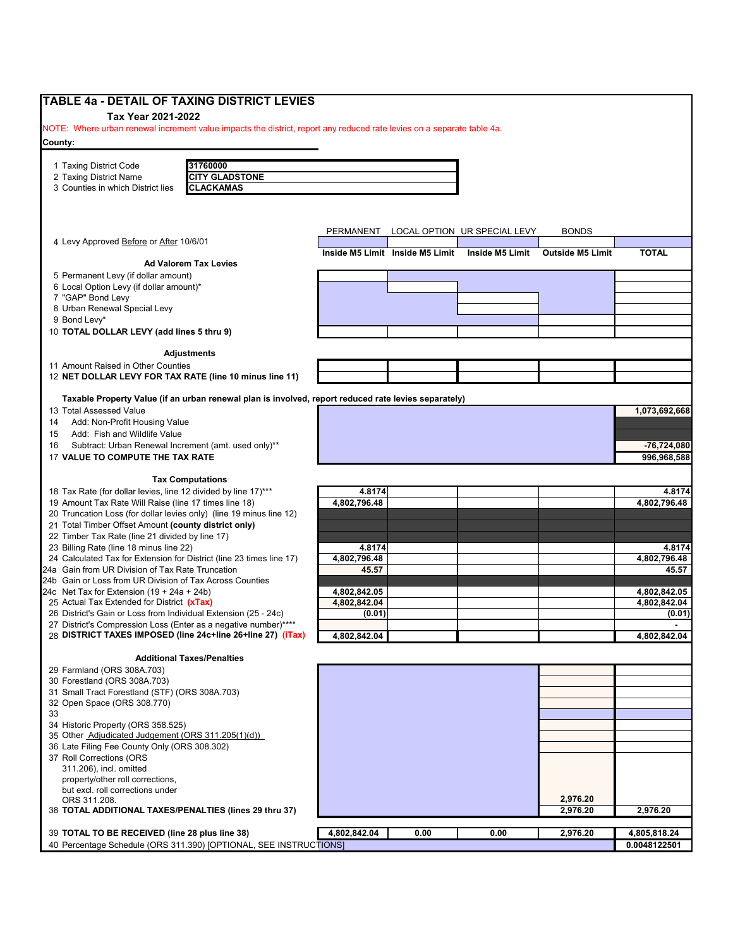| <b>TABLE 4a - DETAIL OF TAXING DISTRICT LEVIES</b>                                                                     |              |                                 |                              |                         |               |
|------------------------------------------------------------------------------------------------------------------------|--------------|---------------------------------|------------------------------|-------------------------|---------------|
| Tax Year 2021-2022                                                                                                     |              |                                 |                              |                         |               |
| NOTE: Where urban renewal increment value impacts the district, report any reduced rate levies on a separate table 4a. |              |                                 |                              |                         |               |
| County:                                                                                                                |              |                                 |                              |                         |               |
|                                                                                                                        |              |                                 |                              |                         |               |
| 31760000<br>1 Taxing District Code                                                                                     |              |                                 |                              |                         |               |
| 2 Taxing District Name<br><b>CITY GLADSTONE</b>                                                                        |              |                                 |                              |                         |               |
| 3 Counties in which District lies<br><b>CLACKAMAS</b>                                                                  |              |                                 |                              |                         |               |
|                                                                                                                        |              |                                 |                              |                         |               |
|                                                                                                                        |              |                                 |                              |                         |               |
|                                                                                                                        | PERMANENT    |                                 | LOCAL OPTION UR SPECIAL LEVY | <b>BONDS</b>            |               |
| 4 Levy Approved Before or After 10/6/01                                                                                |              |                                 |                              |                         |               |
| <b>Ad Valorem Tax Levies</b>                                                                                           |              | Inside M5 Limit Inside M5 Limit | Inside M5 Limit              | <b>Outside M5 Limit</b> | <b>TOTAL</b>  |
| 5 Permanent Levy (if dollar amount)                                                                                    |              |                                 |                              |                         |               |
| 6 Local Option Levy (if dollar amount)*                                                                                |              |                                 |                              |                         |               |
| 7 "GAP" Bond Levy                                                                                                      |              |                                 |                              |                         |               |
| 8 Urban Renewal Special Levy                                                                                           |              |                                 |                              |                         |               |
| 9 Bond Levy*                                                                                                           |              |                                 |                              |                         |               |
| 10 TOTAL DOLLAR LEVY (add lines 5 thru 9)                                                                              |              |                                 |                              |                         |               |
|                                                                                                                        |              |                                 |                              |                         |               |
| <b>Adjustments</b>                                                                                                     |              |                                 |                              |                         |               |
| 11 Amount Raised in Other Counties                                                                                     |              |                                 |                              |                         |               |
| 12 NET DOLLAR LEVY FOR TAX RATE (line 10 minus line 11)                                                                |              |                                 |                              |                         |               |
| Taxable Property Value (if an urban renewal plan is involved, report reduced rate levies separately)                   |              |                                 |                              |                         |               |
| 13 Total Assessed Value                                                                                                |              |                                 |                              |                         | 1,073,692,668 |
| Add: Non-Profit Housing Value<br>14                                                                                    |              |                                 |                              |                         |               |
| Add: Fish and Wildlife Value<br>15                                                                                     |              |                                 |                              |                         |               |
| Subtract: Urban Renewal Increment (amt. used only)**<br>16                                                             |              |                                 |                              |                         | -76,724,080   |
| 17 VALUE TO COMPUTE THE TAX RATE                                                                                       |              |                                 |                              |                         | 996,968,588   |
|                                                                                                                        |              |                                 |                              |                         |               |
| <b>Tax Computations</b>                                                                                                |              |                                 |                              |                         |               |
| 18 Tax Rate (for dollar levies, line 12 divided by line 17)***                                                         | 4.8174       |                                 |                              |                         | 4.8174        |
| 19 Amount Tax Rate Will Raise (line 17 times line 18)                                                                  | 4,802,796.48 |                                 |                              |                         | 4,802,796.48  |
| 20 Truncation Loss (for dollar levies only) (line 19 minus line 12)                                                    |              |                                 |                              |                         |               |
| 21 Total Timber Offset Amount (county district only)<br>22 Timber Tax Rate (line 21 divided by line 17)                |              |                                 |                              |                         |               |
| 23 Billing Rate (line 18 minus line 22)                                                                                | 4.8174       |                                 |                              |                         | 4.8174        |
| 24 Calculated Tax for Extension for District (line 23 times line 17)                                                   | 4,802,796.48 |                                 |                              |                         | 4,802,796.48  |
| 24a Gain from UR Division of Tax Rate Truncation                                                                       | 45.57        |                                 |                              |                         | 45.57         |
| 24b Gain or Loss from UR Division of Tax Across Counties                                                               |              |                                 |                              |                         |               |
| 24c Net Tax for Extension $(19 + 24a + 24b)$                                                                           | 4,802,842.05 |                                 |                              |                         | 4,802,842.05  |
| 25 Actual Tax Extended for District (xTax)                                                                             | 4,802,842.04 |                                 |                              |                         | 4,802,842.04  |
| 26 District's Gain or Loss from Individual Extension (25 - 24c)                                                        | (0.01)       |                                 |                              |                         | (0.01)        |
| 27 District's Compression Loss (Enter as a negative number)****                                                        |              |                                 |                              |                         |               |
| 28 DISTRICT TAXES IMPOSED (line 24c+line 26+line 27) (iTax)                                                            | 4,802,842.04 |                                 |                              |                         | 4,802,842.04  |
|                                                                                                                        |              |                                 |                              |                         |               |
| <b>Additional Taxes/Penalties</b><br>29 Farmland (ORS 308A.703)                                                        |              |                                 |                              |                         |               |
| 30 Forestland (ORS 308A.703)                                                                                           |              |                                 |                              |                         |               |
| 31 Small Tract Forestland (STF) (ORS 308A.703)                                                                         |              |                                 |                              |                         |               |
| 32 Open Space (ORS 308.770)                                                                                            |              |                                 |                              |                         |               |
| 33                                                                                                                     |              |                                 |                              |                         |               |
| 34 Historic Property (ORS 358.525)                                                                                     |              |                                 |                              |                         |               |
| 35 Other Adjudicated Judgement (ORS 311.205(1)(d))                                                                     |              |                                 |                              |                         |               |
| 36 Late Filing Fee County Only (ORS 308.302)                                                                           |              |                                 |                              |                         |               |
| 37 Roll Corrections (ORS                                                                                               |              |                                 |                              |                         |               |
|                                                                                                                        |              |                                 |                              |                         |               |
| 311.206), incl. omitted                                                                                                |              |                                 |                              |                         |               |
| property/other roll corrections,                                                                                       |              |                                 |                              |                         |               |
| but excl. roll corrections under                                                                                       |              |                                 |                              |                         |               |
| ORS 311.208.                                                                                                           |              |                                 |                              | 2,976.20                |               |
| 38 TOTAL ADDITIONAL TAXES/PENALTIES (lines 29 thru 37)                                                                 |              |                                 |                              | 2,976.20                | 2,976.20      |
| 39 TOTAL TO BE RECEIVED (line 28 plus line 38)                                                                         | 4,802,842.04 | 0.00                            | 0.00                         | 2,976.20                | 4,805,818.24  |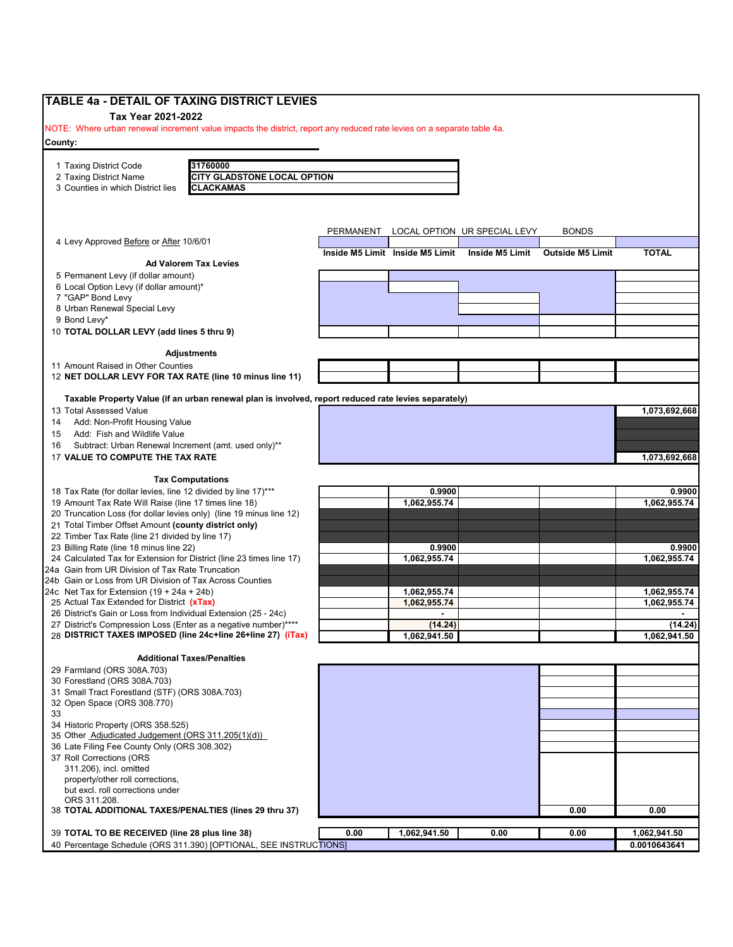| <b>TABLE 4a - DETAIL OF TAXING DISTRICT LEVIES</b>                                                                          |           |                                 |                              |                         |               |
|-----------------------------------------------------------------------------------------------------------------------------|-----------|---------------------------------|------------------------------|-------------------------|---------------|
| Tax Year 2021-2022                                                                                                          |           |                                 |                              |                         |               |
| NOTE: Where urban renewal increment value impacts the district, report any reduced rate levies on a separate table 4a.      |           |                                 |                              |                         |               |
| County:                                                                                                                     |           |                                 |                              |                         |               |
| 31760000                                                                                                                    |           |                                 |                              |                         |               |
| 1 Taxing District Code<br>2 Taxing District Name<br><b>CITY GLADSTONE LOCAL OPTION</b>                                      |           |                                 |                              |                         |               |
| 3 Counties in which District lies<br><b>CLACKAMAS</b>                                                                       |           |                                 |                              |                         |               |
|                                                                                                                             |           |                                 |                              |                         |               |
|                                                                                                                             |           |                                 |                              |                         |               |
|                                                                                                                             | PERMANENT |                                 | LOCAL OPTION UR SPECIAL LEVY | <b>BONDS</b>            |               |
| 4 Levy Approved Before or After 10/6/01                                                                                     |           |                                 |                              |                         |               |
| <b>Ad Valorem Tax Levies</b>                                                                                                |           | Inside M5 Limit Inside M5 Limit | Inside M5 Limit              | <b>Outside M5 Limit</b> | <b>TOTAL</b>  |
| 5 Permanent Levy (if dollar amount)                                                                                         |           |                                 |                              |                         |               |
| 6 Local Option Levy (if dollar amount)*                                                                                     |           |                                 |                              |                         |               |
| 7 "GAP" Bond Levy                                                                                                           |           |                                 |                              |                         |               |
| 8 Urban Renewal Special Levy                                                                                                |           |                                 |                              |                         |               |
| 9 Bond Levy*<br>10 TOTAL DOLLAR LEVY (add lines 5 thru 9)                                                                   |           |                                 |                              |                         |               |
|                                                                                                                             |           |                                 |                              |                         |               |
| <b>Adjustments</b>                                                                                                          |           |                                 |                              |                         |               |
| 11 Amount Raised in Other Counties                                                                                          |           |                                 |                              |                         |               |
| 12 NET DOLLAR LEVY FOR TAX RATE (line 10 minus line 11)                                                                     |           |                                 |                              |                         |               |
| Taxable Property Value (if an urban renewal plan is involved, report reduced rate levies separately)                        |           |                                 |                              |                         |               |
| 13 Total Assessed Value                                                                                                     |           |                                 |                              |                         | 1,073,692,668 |
| Add: Non-Profit Housing Value<br>14                                                                                         |           |                                 |                              |                         |               |
| Add: Fish and Wildlife Value<br>15                                                                                          |           |                                 |                              |                         |               |
| Subtract: Urban Renewal Increment (amt. used only)**<br>16<br>17 VALUE TO COMPUTE THE TAX RATE                              |           |                                 |                              |                         |               |
|                                                                                                                             |           |                                 |                              |                         | 1,073,692,668 |
| <b>Tax Computations</b>                                                                                                     |           |                                 |                              |                         |               |
| 18 Tax Rate (for dollar levies, line 12 divided by line 17)***                                                              |           | 0.9900                          |                              |                         | 0.9900        |
| 19 Amount Tax Rate Will Raise (line 17 times line 18)                                                                       |           | 1,062,955.74                    |                              |                         | 1,062,955.74  |
| 20 Truncation Loss (for dollar levies only) (line 19 minus line 12)<br>21 Total Timber Offset Amount (county district only) |           |                                 |                              |                         |               |
| 22 Timber Tax Rate (line 21 divided by line 17)                                                                             |           |                                 |                              |                         |               |
| 23 Billing Rate (line 18 minus line 22)                                                                                     |           | 0.9900                          |                              |                         | 0.9900        |
| 24 Calculated Tax for Extension for District (line 23 times line 17)                                                        |           | 1,062,955.74                    |                              |                         | 1,062,955.74  |
| 24a Gain from UR Division of Tax Rate Truncation                                                                            |           |                                 |                              |                         |               |
| 24b Gain or Loss from UR Division of Tax Across Counties<br>24c Net Tax for Extension $(19 + 24a + 24b)$                    |           | 1,062,955.74                    |                              |                         | 1,062,955.74  |
| 25 Actual Tax Extended for District (xTax)                                                                                  |           | 1,062,955.74                    |                              |                         | 1,062,955.74  |
| 26 District's Gain or Loss from Individual Extension (25 - 24c)                                                             |           |                                 |                              |                         |               |
| 27 District's Compression Loss (Enter as a negative number)****                                                             |           | (14.24)                         |                              |                         | (14.24)       |
| 28 DISTRICT TAXES IMPOSED (line 24c+line 26+line 27) (iTax)                                                                 |           | 1,062,941.50                    |                              |                         | 1,062,941.50  |
| <b>Additional Taxes/Penalties</b>                                                                                           |           |                                 |                              |                         |               |
| 29 Farmland (ORS 308A.703)                                                                                                  |           |                                 |                              |                         |               |
| 30 Forestland (ORS 308A.703)                                                                                                |           |                                 |                              |                         |               |
| 31 Small Tract Forestland (STF) (ORS 308A.703)<br>32 Open Space (ORS 308.770)                                               |           |                                 |                              |                         |               |
| 33                                                                                                                          |           |                                 |                              |                         |               |
| 34 Historic Property (ORS 358.525)                                                                                          |           |                                 |                              |                         |               |
| 35 Other Adjudicated Judgement (ORS 311.205(1)(d))                                                                          |           |                                 |                              |                         |               |
| 36 Late Filing Fee County Only (ORS 308.302)                                                                                |           |                                 |                              |                         |               |
| 37 Roll Corrections (ORS<br>311.206), incl. omitted                                                                         |           |                                 |                              |                         |               |
| property/other roll corrections,                                                                                            |           |                                 |                              |                         |               |
| but excl. roll corrections under                                                                                            |           |                                 |                              |                         |               |
| ORS 311.208.                                                                                                                |           |                                 |                              |                         |               |
| 38 TOTAL ADDITIONAL TAXES/PENALTIES (lines 29 thru 37)                                                                      |           |                                 |                              | 0.00                    | 0.00          |
| 39 TOTAL TO BE RECEIVED (line 28 plus line 38)                                                                              | 0.00      | 1,062,941.50                    | 0.00                         | 0.00                    | 1,062,941.50  |
| 40 Percentage Schedule (ORS 311.390) [OPTIONAL, SEE INSTRUCTIONS]                                                           |           |                                 |                              |                         | 0.0010643641  |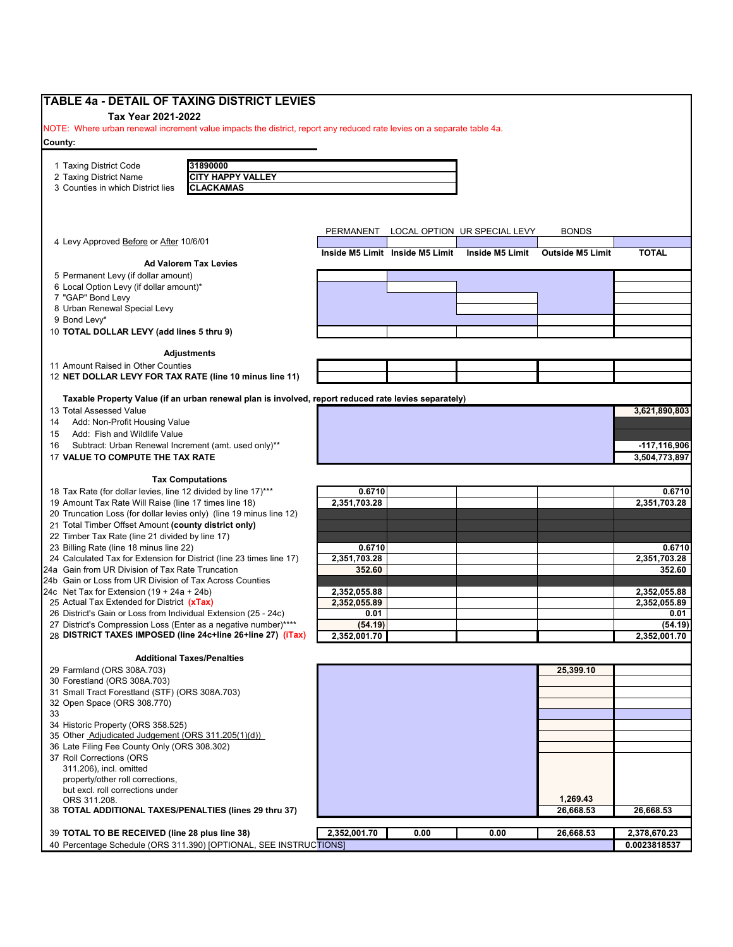| Tax Year 2021-2022                                                                                                                                                                                                                                                                                          |                        |                                 |                              |                         |                        |
|-------------------------------------------------------------------------------------------------------------------------------------------------------------------------------------------------------------------------------------------------------------------------------------------------------------|------------------------|---------------------------------|------------------------------|-------------------------|------------------------|
|                                                                                                                                                                                                                                                                                                             |                        |                                 |                              |                         |                        |
| NOTE: Where urban renewal increment value impacts the district, report any reduced rate levies on a separate table 4a.                                                                                                                                                                                      |                        |                                 |                              |                         |                        |
| County:                                                                                                                                                                                                                                                                                                     |                        |                                 |                              |                         |                        |
|                                                                                                                                                                                                                                                                                                             |                        |                                 |                              |                         |                        |
| 31890000<br>1 Taxing District Code<br><b>CITY HAPPY VALLEY</b><br>2 Taxing District Name                                                                                                                                                                                                                    |                        |                                 |                              |                         |                        |
| 3 Counties in which District lies<br><b>CLACKAMAS</b>                                                                                                                                                                                                                                                       |                        |                                 |                              |                         |                        |
|                                                                                                                                                                                                                                                                                                             |                        |                                 |                              |                         |                        |
|                                                                                                                                                                                                                                                                                                             |                        |                                 |                              |                         |                        |
|                                                                                                                                                                                                                                                                                                             |                        |                                 |                              | <b>BONDS</b>            |                        |
| 4 Levy Approved Before or After 10/6/01                                                                                                                                                                                                                                                                     | PERMANENT              |                                 | LOCAL OPTION UR SPECIAL LEVY |                         |                        |
|                                                                                                                                                                                                                                                                                                             |                        | Inside M5 Limit Inside M5 Limit | <b>Inside M5 Limit</b>       | <b>Outside M5 Limit</b> | <b>TOTAL</b>           |
| <b>Ad Valorem Tax Levies</b>                                                                                                                                                                                                                                                                                |                        |                                 |                              |                         |                        |
| 5 Permanent Levy (if dollar amount)<br>6 Local Option Levy (if dollar amount)*                                                                                                                                                                                                                              |                        |                                 |                              |                         |                        |
| 7 "GAP" Bond Levy                                                                                                                                                                                                                                                                                           |                        |                                 |                              |                         |                        |
| 8 Urban Renewal Special Levy                                                                                                                                                                                                                                                                                |                        |                                 |                              |                         |                        |
| 9 Bond Levy*                                                                                                                                                                                                                                                                                                |                        |                                 |                              |                         |                        |
| 10 TOTAL DOLLAR LEVY (add lines 5 thru 9)                                                                                                                                                                                                                                                                   |                        |                                 |                              |                         |                        |
|                                                                                                                                                                                                                                                                                                             |                        |                                 |                              |                         |                        |
| <b>Adjustments</b>                                                                                                                                                                                                                                                                                          |                        |                                 |                              |                         |                        |
| 11 Amount Raised in Other Counties                                                                                                                                                                                                                                                                          |                        |                                 |                              |                         |                        |
| 12 NET DOLLAR LEVY FOR TAX RATE (line 10 minus line 11)                                                                                                                                                                                                                                                     |                        |                                 |                              |                         |                        |
| Taxable Property Value (if an urban renewal plan is involved, report reduced rate levies separately)                                                                                                                                                                                                        |                        |                                 |                              |                         |                        |
| 13 Total Assessed Value                                                                                                                                                                                                                                                                                     |                        |                                 |                              |                         | 3,621,890,803          |
| Add: Non-Profit Housing Value<br>14                                                                                                                                                                                                                                                                         |                        |                                 |                              |                         |                        |
| Add: Fish and Wildlife Value<br>15                                                                                                                                                                                                                                                                          |                        |                                 |                              |                         |                        |
| Subtract: Urban Renewal Increment (amt. used only)**<br>16                                                                                                                                                                                                                                                  |                        |                                 |                              |                         | -117,116,906           |
| 17 VALUE TO COMPUTE THE TAX RATE                                                                                                                                                                                                                                                                            |                        |                                 |                              |                         | 3,504,773,897          |
|                                                                                                                                                                                                                                                                                                             |                        |                                 |                              |                         |                        |
| <b>Tax Computations</b>                                                                                                                                                                                                                                                                                     |                        |                                 |                              |                         |                        |
| 18 Tax Rate (for dollar levies, line 12 divided by line 17)***<br>19 Amount Tax Rate Will Raise (line 17 times line 18)                                                                                                                                                                                     | 0.6710<br>2,351,703.28 |                                 |                              |                         | 0.6710<br>2,351,703.28 |
| 20 Truncation Loss (for dollar levies only) (line 19 minus line 12)                                                                                                                                                                                                                                         |                        |                                 |                              |                         |                        |
| 21 Total Timber Offset Amount (county district only)                                                                                                                                                                                                                                                        |                        |                                 |                              |                         |                        |
| 22 Timber Tax Rate (line 21 divided by line 17)                                                                                                                                                                                                                                                             |                        |                                 |                              |                         |                        |
| 23 Billing Rate (line 18 minus line 22)                                                                                                                                                                                                                                                                     | 0.6710                 |                                 |                              |                         | 0.6710                 |
| 24 Calculated Tax for Extension for District (line 23 times line 17)                                                                                                                                                                                                                                        | 2,351,703.28           |                                 |                              |                         | 2,351,703.28           |
| 24a Gain from UR Division of Tax Rate Truncation                                                                                                                                                                                                                                                            | 352.60                 |                                 |                              |                         | 352.60                 |
| 24b Gain or Loss from UR Division of Tax Across Counties                                                                                                                                                                                                                                                    |                        |                                 |                              |                         |                        |
| 24c Net Tax for Extension $(19 + 24a + 24b)$                                                                                                                                                                                                                                                                | 2,352,055.88           |                                 |                              |                         | 2,352,055.88           |
| 25 Actual Tax Extended for District (xTax)                                                                                                                                                                                                                                                                  | 2,352,055.89           |                                 |                              |                         | 2,352,055.89           |
| 26 District's Gain or Loss from Individual Extension (25 - 24c)                                                                                                                                                                                                                                             | 0.01                   |                                 |                              |                         | 0.01                   |
| 27 District's Compression Loss (Enter as a negative number)****<br>28 DISTRICT TAXES IMPOSED (line 24c+line 26+line 27) (iTax)                                                                                                                                                                              | (54.19)                |                                 |                              |                         | (54.19)                |
|                                                                                                                                                                                                                                                                                                             | 2,352,001.70           |                                 |                              |                         | 2,352,001.70           |
| <b>Additional Taxes/Penalties</b>                                                                                                                                                                                                                                                                           |                        |                                 |                              |                         |                        |
| 29 Farmland (ORS 308A.703)                                                                                                                                                                                                                                                                                  |                        |                                 |                              | 25,399.10               |                        |
|                                                                                                                                                                                                                                                                                                             |                        |                                 |                              |                         |                        |
|                                                                                                                                                                                                                                                                                                             |                        |                                 |                              |                         |                        |
|                                                                                                                                                                                                                                                                                                             |                        |                                 |                              |                         |                        |
|                                                                                                                                                                                                                                                                                                             |                        |                                 |                              |                         |                        |
|                                                                                                                                                                                                                                                                                                             |                        |                                 |                              |                         |                        |
|                                                                                                                                                                                                                                                                                                             |                        |                                 |                              |                         |                        |
|                                                                                                                                                                                                                                                                                                             |                        |                                 |                              |                         |                        |
|                                                                                                                                                                                                                                                                                                             |                        |                                 |                              |                         |                        |
| 311.206), incl. omitted                                                                                                                                                                                                                                                                                     |                        |                                 |                              |                         |                        |
| property/other roll corrections,                                                                                                                                                                                                                                                                            |                        |                                 |                              |                         |                        |
| but excl. roll corrections under                                                                                                                                                                                                                                                                            |                        |                                 |                              |                         |                        |
| 30 Forestland (ORS 308A.703)<br>31 Small Tract Forestland (STF) (ORS 308A.703)<br>32 Open Space (ORS 308.770)<br>33<br>34 Historic Property (ORS 358.525)<br>35 Other Adjudicated Judgement (ORS 311.205(1)(d))<br>36 Late Filing Fee County Only (ORS 308.302)<br>37 Roll Corrections (ORS<br>ORS 311.208. |                        |                                 |                              | 1,269.43                |                        |
| 38 TOTAL ADDITIONAL TAXES/PENALTIES (lines 29 thru 37)                                                                                                                                                                                                                                                      |                        |                                 |                              | 26,668.53               | 26,668.53              |
| 39 TOTAL TO BE RECEIVED (line 28 plus line 38)                                                                                                                                                                                                                                                              | 2,352,001.70           | 0.00                            | 0.00                         | 26,668.53               | 2,378,670.23           |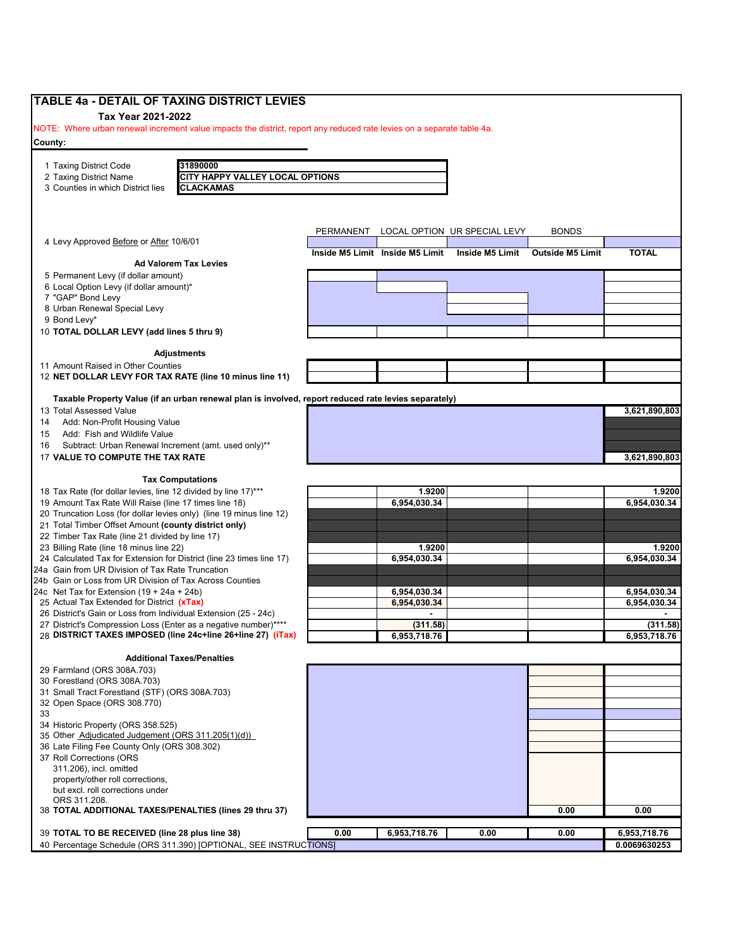| <b>TABLE 4a - DETAIL OF TAXING DISTRICT LEVIES</b>                                                                       |           |                                 |                              |                         |                              |
|--------------------------------------------------------------------------------------------------------------------------|-----------|---------------------------------|------------------------------|-------------------------|------------------------------|
| Tax Year 2021-2022                                                                                                       |           |                                 |                              |                         |                              |
| NOTE: Where urban renewal increment value impacts the district, report any reduced rate levies on a separate table 4a.   |           |                                 |                              |                         |                              |
| County:                                                                                                                  |           |                                 |                              |                         |                              |
| 31890000<br>1 Taxing District Code                                                                                       |           |                                 |                              |                         |                              |
| <b>CITY HAPPY VALLEY LOCAL OPTIONS</b><br>2 Taxing District Name                                                         |           |                                 |                              |                         |                              |
| 3 Counties in which District lies<br><b>CLACKAMAS</b>                                                                    |           |                                 |                              |                         |                              |
|                                                                                                                          |           |                                 |                              |                         |                              |
|                                                                                                                          |           |                                 |                              |                         |                              |
|                                                                                                                          | PERMANENT |                                 | LOCAL OPTION UR SPECIAL LEVY | <b>BONDS</b>            |                              |
| 4 Levy Approved Before or After 10/6/01                                                                                  |           |                                 |                              |                         |                              |
|                                                                                                                          |           | Inside M5 Limit Inside M5 Limit | Inside M5 Limit              | <b>Outside M5 Limit</b> | <b>TOTAL</b>                 |
| <b>Ad Valorem Tax Levies</b>                                                                                             |           |                                 |                              |                         |                              |
| 5 Permanent Levy (if dollar amount)<br>6 Local Option Levy (if dollar amount)*                                           |           |                                 |                              |                         |                              |
| 7 "GAP" Bond Levy                                                                                                        |           |                                 |                              |                         |                              |
| 8 Urban Renewal Special Levy                                                                                             |           |                                 |                              |                         |                              |
| 9 Bond Levy*                                                                                                             |           |                                 |                              |                         |                              |
| 10 TOTAL DOLLAR LEVY (add lines 5 thru 9)                                                                                |           |                                 |                              |                         |                              |
|                                                                                                                          |           |                                 |                              |                         |                              |
| <b>Adjustments</b>                                                                                                       |           |                                 |                              |                         |                              |
| 11 Amount Raised in Other Counties                                                                                       |           |                                 |                              |                         |                              |
| 12 NET DOLLAR LEVY FOR TAX RATE (line 10 minus line 11)                                                                  |           |                                 |                              |                         |                              |
| Taxable Property Value (if an urban renewal plan is involved, report reduced rate levies separately)                     |           |                                 |                              |                         |                              |
| 13 Total Assessed Value                                                                                                  |           |                                 |                              |                         | 3,621,890,803                |
| Add: Non-Profit Housing Value<br>14                                                                                      |           |                                 |                              |                         |                              |
| Add: Fish and Wildlife Value<br>15                                                                                       |           |                                 |                              |                         |                              |
| Subtract: Urban Renewal Increment (amt. used only)**<br>16                                                               |           |                                 |                              |                         |                              |
| 17 VALUE TO COMPUTE THE TAX RATE                                                                                         |           |                                 |                              |                         | 3,621,890,803                |
|                                                                                                                          |           |                                 |                              |                         |                              |
| <b>Tax Computations</b>                                                                                                  |           |                                 |                              |                         |                              |
| 18 Tax Rate (for dollar levies, line 12 divided by line 17)***                                                           |           | 1.9200                          |                              |                         | 1.9200                       |
| 19 Amount Tax Rate Will Raise (line 17 times line 18)                                                                    |           | 6,954,030.34                    |                              |                         | 6,954,030.34                 |
| 20 Truncation Loss (for dollar levies only) (line 19 minus line 12)                                                      |           |                                 |                              |                         |                              |
| 21 Total Timber Offset Amount (county district only)                                                                     |           |                                 |                              |                         |                              |
| 22 Timber Tax Rate (line 21 divided by line 17)                                                                          |           |                                 |                              |                         |                              |
| 23 Billing Rate (line 18 minus line 22)                                                                                  |           | 1.9200                          |                              |                         | 1.9200                       |
| 24 Calculated Tax for Extension for District (line 23 times line 17)<br>24a Gain from UR Division of Tax Rate Truncation |           | 6,954,030.34                    |                              |                         | 6,954,030.34                 |
| 24b Gain or Loss from UR Division of Tax Across Counties                                                                 |           |                                 |                              |                         |                              |
| 24c Net Tax for Extension $(19 + 24a + 24b)$                                                                             |           | 6,954,030.34                    |                              |                         | 6,954,030.34                 |
| 25 Actual Tax Extended for District (xTax)                                                                               |           | 6,954,030.34                    |                              |                         | 6,954,030.34                 |
| 26 District's Gain or Loss from Individual Extension (25 - 24c)                                                          |           |                                 |                              |                         |                              |
| 27 District's Compression Loss (Enter as a negative number)****                                                          |           | (311.58)                        |                              |                         | (311.58)                     |
| 28 DISTRICT TAXES IMPOSED (line 24c+line 26+line 27) (iTax)                                                              |           | 6,953,718.76                    |                              |                         | 6,953,718.76                 |
|                                                                                                                          |           |                                 |                              |                         |                              |
| <b>Additional Taxes/Penalties</b>                                                                                        |           |                                 |                              |                         |                              |
| 29 Farmland (ORS 308A.703)                                                                                               |           |                                 |                              |                         |                              |
| 30 Forestland (ORS 308A.703)                                                                                             |           |                                 |                              |                         |                              |
| 31 Small Tract Forestland (STF) (ORS 308A.703)<br>32 Open Space (ORS 308.770)                                            |           |                                 |                              |                         |                              |
| 33                                                                                                                       |           |                                 |                              |                         |                              |
| 34 Historic Property (ORS 358.525)                                                                                       |           |                                 |                              |                         |                              |
| 35 Other Adjudicated Judgement (ORS 311.205(1)(d))                                                                       |           |                                 |                              |                         |                              |
| 36 Late Filing Fee County Only (ORS 308.302)                                                                             |           |                                 |                              |                         |                              |
| 37 Roll Corrections (ORS                                                                                                 |           |                                 |                              |                         |                              |
| 311.206), incl. omitted                                                                                                  |           |                                 |                              |                         |                              |
| property/other roll corrections,                                                                                         |           |                                 |                              |                         |                              |
| but excl. roll corrections under                                                                                         |           |                                 |                              |                         |                              |
| ORS 311.208.                                                                                                             |           |                                 |                              |                         |                              |
| 38 TOTAL ADDITIONAL TAXES/PENALTIES (lines 29 thru 37)                                                                   |           |                                 |                              | 0.00                    | 0.00                         |
|                                                                                                                          |           |                                 |                              |                         |                              |
| 39 TOTAL TO BE RECEIVED (line 28 plus line 38)<br>40 Percentage Schedule (ORS 311.390) [OPTIONAL, SEE INSTRUCTIONS]      | 0.00      | 6,953,718.76                    | 0.00                         | 0.00                    | 6,953,718.76<br>0.0069630253 |
|                                                                                                                          |           |                                 |                              |                         |                              |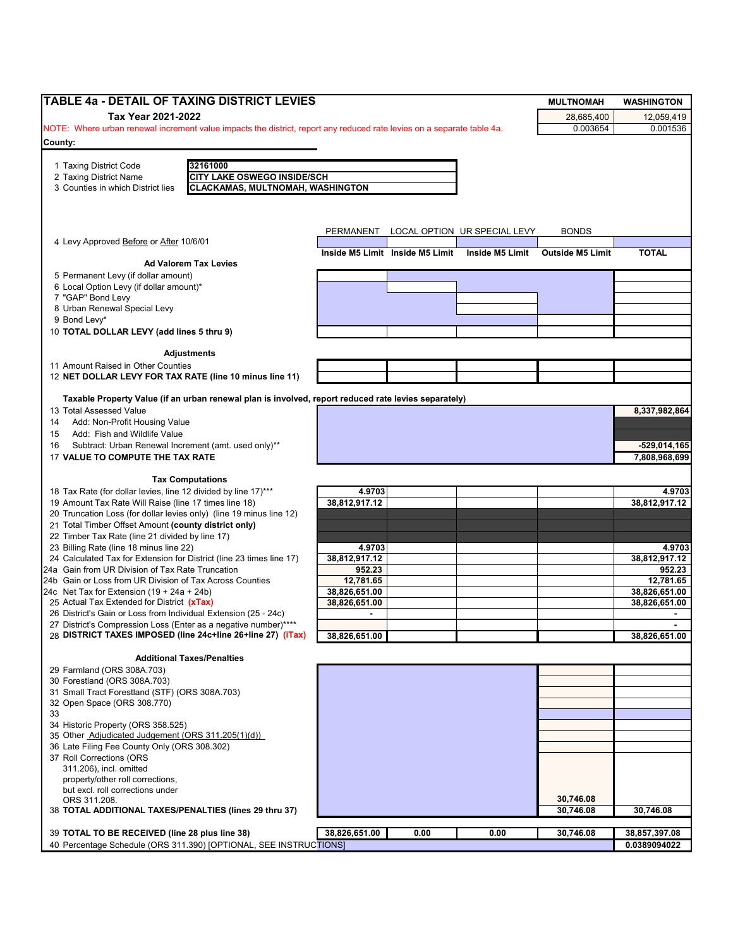| TABLE 4a - DETAIL OF TAXING DISTRICT LEVIES                                                                                                  |               |                                 |                              | <b>MULTNOMAH</b>        | <b>WASHINGTON</b> |
|----------------------------------------------------------------------------------------------------------------------------------------------|---------------|---------------------------------|------------------------------|-------------------------|-------------------|
| Tax Year 2021-2022                                                                                                                           |               |                                 |                              | 28,685,400              | 12,059,419        |
| NOTE: Where urban renewal increment value impacts the district, report any reduced rate levies on a separate table 4a.                       |               |                                 |                              | 0.003654                | 0.001536          |
| County:                                                                                                                                      |               |                                 |                              |                         |                   |
|                                                                                                                                              |               |                                 |                              |                         |                   |
| 32161000<br>1 Taxing District Code                                                                                                           |               |                                 |                              |                         |                   |
| 2 Taxing District Name<br><b>CITY LAKE OSWEGO INSIDE/SCH</b><br>3 Counties in which District lies<br><b>CLACKAMAS, MULTNOMAH, WASHINGTON</b> |               |                                 |                              |                         |                   |
|                                                                                                                                              |               |                                 |                              |                         |                   |
|                                                                                                                                              |               |                                 |                              |                         |                   |
|                                                                                                                                              |               |                                 |                              |                         |                   |
| 4 Levy Approved Before or After 10/6/01                                                                                                      | PERMANENT     |                                 | LOCAL OPTION UR SPECIAL LEVY | <b>BONDS</b>            |                   |
|                                                                                                                                              |               | Inside M5 Limit Inside M5 Limit | <b>Inside M5 Limit</b>       | <b>Outside M5 Limit</b> | <b>TOTAL</b>      |
| <b>Ad Valorem Tax Levies</b>                                                                                                                 |               |                                 |                              |                         |                   |
| 5 Permanent Levy (if dollar amount)                                                                                                          |               |                                 |                              |                         |                   |
| 6 Local Option Levy (if dollar amount)*                                                                                                      |               |                                 |                              |                         |                   |
| 7 "GAP" Bond Levy<br>8 Urban Renewal Special Levy                                                                                            |               |                                 |                              |                         |                   |
| 9 Bond Levy*                                                                                                                                 |               |                                 |                              |                         |                   |
| 10 TOTAL DOLLAR LEVY (add lines 5 thru 9)                                                                                                    |               |                                 |                              |                         |                   |
|                                                                                                                                              |               |                                 |                              |                         |                   |
| <b>Adjustments</b>                                                                                                                           |               |                                 |                              |                         |                   |
| 11 Amount Raised in Other Counties                                                                                                           |               |                                 |                              |                         |                   |
| 12 NET DOLLAR LEVY FOR TAX RATE (line 10 minus line 11)                                                                                      |               |                                 |                              |                         |                   |
| Taxable Property Value (if an urban renewal plan is involved, report reduced rate levies separately)                                         |               |                                 |                              |                         |                   |
| 13 Total Assessed Value                                                                                                                      |               |                                 |                              |                         | 8,337,982,864     |
| Add: Non-Profit Housing Value<br>14                                                                                                          |               |                                 |                              |                         |                   |
| Add: Fish and Wildlife Value<br>15                                                                                                           |               |                                 |                              |                         |                   |
| Subtract: Urban Renewal Increment (amt. used only)**<br>16                                                                                   |               |                                 |                              |                         | -529,014,165      |
| 17 VALUE TO COMPUTE THE TAX RATE                                                                                                             |               |                                 |                              |                         | 7,808,968,699     |
|                                                                                                                                              |               |                                 |                              |                         |                   |
| <b>Tax Computations</b>                                                                                                                      |               |                                 |                              |                         |                   |
| 18 Tax Rate (for dollar levies, line 12 divided by line 17)***                                                                               | 4.9703        |                                 |                              |                         | 4.9703            |
| 19 Amount Tax Rate Will Raise (line 17 times line 18)                                                                                        | 38,812,917.12 |                                 |                              |                         | 38,812,917.12     |
| 20 Truncation Loss (for dollar levies only) (line 19 minus line 12)<br>21 Total Timber Offset Amount (county district only)                  |               |                                 |                              |                         |                   |
| 22 Timber Tax Rate (line 21 divided by line 17)                                                                                              |               |                                 |                              |                         |                   |
| 23 Billing Rate (line 18 minus line 22)                                                                                                      | 4.9703        |                                 |                              |                         | 4.9703            |
| 24 Calculated Tax for Extension for District (line 23 times line 17)                                                                         | 38,812,917.12 |                                 |                              |                         | 38,812,917.12     |
| 24a Gain from UR Division of Tax Rate Truncation                                                                                             | 952.23        |                                 |                              |                         | 952.23            |
| 24b Gain or Loss from UR Division of Tax Across Counties                                                                                     | 12.781.65     |                                 |                              |                         | 12,781.65         |
| 24c Net Tax for Extension $(19 + 24a + 24b)$                                                                                                 | 38,826,651.00 |                                 |                              |                         | 38,826,651.00     |
| 25 Actual Tax Extended for District (xTax)                                                                                                   | 38,826,651.00 |                                 |                              |                         | 38.826.651.00     |
| 26 District's Gain or Loss from Individual Extension (25 - 24c)<br>27 District's Compression Loss (Enter as a negative number)****           |               |                                 |                              |                         |                   |
| 28 DISTRICT TAXES IMPOSED (line 24c+line 26+line 27) (iTax)                                                                                  | 38,826,651.00 |                                 |                              |                         | 38,826,651.00     |
|                                                                                                                                              |               |                                 |                              |                         |                   |
| <b>Additional Taxes/Penalties</b>                                                                                                            |               |                                 |                              |                         |                   |
| 29 Farmland (ORS 308A.703)                                                                                                                   |               |                                 |                              |                         |                   |
| 30 Forestland (ORS 308A.703)                                                                                                                 |               |                                 |                              |                         |                   |
| 31 Small Tract Forestland (STF) (ORS 308A.703)                                                                                               |               |                                 |                              |                         |                   |
| 32 Open Space (ORS 308.770)                                                                                                                  |               |                                 |                              |                         |                   |
| 33<br>34 Historic Property (ORS 358.525)                                                                                                     |               |                                 |                              |                         |                   |
| 35 Other Adjudicated Judgement (ORS 311.205(1)(d))                                                                                           |               |                                 |                              |                         |                   |
| 36 Late Filing Fee County Only (ORS 308.302)                                                                                                 |               |                                 |                              |                         |                   |
| 37 Roll Corrections (ORS                                                                                                                     |               |                                 |                              |                         |                   |
| 311.206), incl. omitted                                                                                                                      |               |                                 |                              |                         |                   |
| property/other roll corrections,                                                                                                             |               |                                 |                              |                         |                   |
| but excl. roll corrections under                                                                                                             |               |                                 |                              |                         |                   |
| ORS 311.208.                                                                                                                                 |               |                                 |                              | 30,746.08               |                   |
| 38 TOTAL ADDITIONAL TAXES/PENALTIES (lines 29 thru 37)                                                                                       |               |                                 |                              | 30,746.08               | 30,746.08         |
| 39 TOTAL TO BE RECEIVED (line 28 plus line 38)                                                                                               | 38,826,651.00 | 0.00                            | 0.00                         | 30,746.08               | 38,857,397.08     |
| 40 Percentage Schedule (ORS 311.390) [OPTIONAL, SEE INSTRUCTIONS]                                                                            |               |                                 |                              |                         | 0.0389094022      |
|                                                                                                                                              |               |                                 |                              |                         |                   |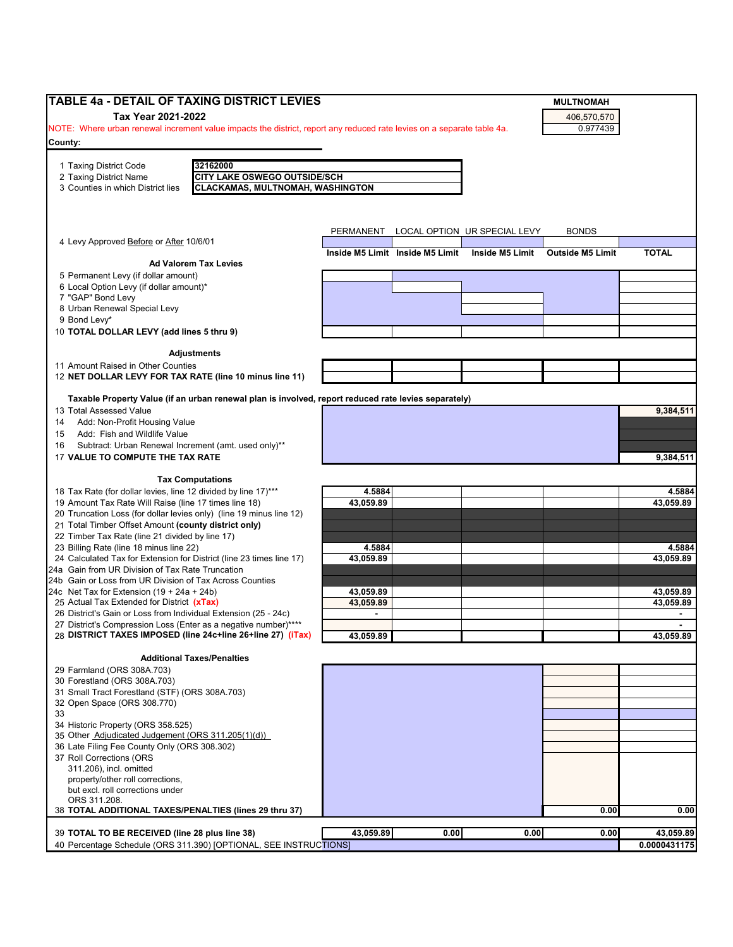| TABLE 4a - DETAIL OF TAXING DISTRICT LEVIES                                                                              |                |                                 |                                        | <b>MULTNOMAH</b>        |                |
|--------------------------------------------------------------------------------------------------------------------------|----------------|---------------------------------|----------------------------------------|-------------------------|----------------|
| Tax Year 2021-2022                                                                                                       |                |                                 |                                        | 406,570,570             |                |
| NOTE: Where urban renewal increment value impacts the district, report any reduced rate levies on a separate table 4a.   |                |                                 |                                        | 0.977439                |                |
| County:                                                                                                                  |                |                                 |                                        |                         |                |
|                                                                                                                          |                |                                 |                                        |                         |                |
| 32162000<br>1 Taxing District Code                                                                                       |                |                                 |                                        |                         |                |
| CITY LAKE OSWEGO OUTSIDE/SCH<br>2 Taxing District Name                                                                   |                |                                 |                                        |                         |                |
| <b>CLACKAMAS, MULTNOMAH, WASHINGTON</b><br>3 Counties in which District lies                                             |                |                                 |                                        |                         |                |
|                                                                                                                          |                |                                 |                                        |                         |                |
|                                                                                                                          |                |                                 |                                        |                         |                |
|                                                                                                                          |                |                                 | PERMANENT LOCAL OPTION UR SPECIAL LEVY | <b>BONDS</b>            |                |
| 4 Levy Approved Before or After 10/6/01                                                                                  |                |                                 |                                        |                         |                |
|                                                                                                                          |                | Inside M5 Limit Inside M5 Limit | Inside M5 Limit                        | <b>Outside M5 Limit</b> | <b>TOTAL</b>   |
| <b>Ad Valorem Tax Levies</b>                                                                                             |                |                                 |                                        |                         |                |
| 5 Permanent Levy (if dollar amount)                                                                                      |                |                                 |                                        |                         |                |
| 6 Local Option Levy (if dollar amount)*                                                                                  |                |                                 |                                        |                         |                |
| 7 "GAP" Bond Levy                                                                                                        |                |                                 |                                        |                         |                |
| 8 Urban Renewal Special Levy                                                                                             |                |                                 |                                        |                         |                |
| 9 Bond Levy*                                                                                                             |                |                                 |                                        |                         |                |
| 10 TOTAL DOLLAR LEVY (add lines 5 thru 9)                                                                                |                |                                 |                                        |                         |                |
| <b>Adjustments</b>                                                                                                       |                |                                 |                                        |                         |                |
| 11 Amount Raised in Other Counties                                                                                       |                |                                 |                                        |                         |                |
| 12 NET DOLLAR LEVY FOR TAX RATE (line 10 minus line 11)                                                                  |                |                                 |                                        |                         |                |
|                                                                                                                          |                |                                 |                                        |                         |                |
| Taxable Property Value (if an urban renewal plan is involved, report reduced rate levies separately)                     |                |                                 |                                        |                         |                |
| 13 Total Assessed Value                                                                                                  |                |                                 |                                        |                         | 9,384,511      |
| Add: Non-Profit Housing Value<br>14                                                                                      |                |                                 |                                        |                         |                |
| Add: Fish and Wildlife Value<br>15                                                                                       |                |                                 |                                        |                         |                |
| Subtract: Urban Renewal Increment (amt. used only)**<br>16                                                               |                |                                 |                                        |                         |                |
| 17 VALUE TO COMPUTE THE TAX RATE                                                                                         |                |                                 |                                        |                         | 9,384,511      |
|                                                                                                                          |                |                                 |                                        |                         |                |
| <b>Tax Computations</b>                                                                                                  |                |                                 |                                        |                         |                |
| 18 Tax Rate (for dollar levies, line 12 divided by line 17)***                                                           | 4.5884         |                                 |                                        |                         | 4.5884         |
| 19 Amount Tax Rate Will Raise (line 17 times line 18)                                                                    | 43,059.89      |                                 |                                        |                         | 43,059.89      |
| 20 Truncation Loss (for dollar levies only) (line 19 minus line 12)                                                      |                |                                 |                                        |                         |                |
| 21 Total Timber Offset Amount (county district only)                                                                     |                |                                 |                                        |                         |                |
| 22 Timber Tax Rate (line 21 divided by line 17)                                                                          |                |                                 |                                        |                         |                |
| 23 Billing Rate (line 18 minus line 22)                                                                                  | 4.5884         |                                 |                                        |                         | 4.5884         |
| 24 Calculated Tax for Extension for District (line 23 times line 17)<br>24a Gain from UR Division of Tax Rate Truncation | 43,059.89      |                                 |                                        |                         | 43,059.89      |
| 24b Gain or Loss from UR Division of Tax Across Counties                                                                 |                |                                 |                                        |                         |                |
| 24c Net Tax for Extension $(19 + 24a + 24b)$                                                                             | 43,059.89      |                                 |                                        |                         | 43,059.89      |
| 25 Actual Tax Extended for District (xTax)                                                                               | 43,059.89      |                                 |                                        |                         | 43,059.89      |
| 26 District's Gain or Loss from Individual Extension (25 - 24c)                                                          | $\blacksquare$ |                                 |                                        |                         | $\blacksquare$ |
| 27 District's Compression Loss (Enter as a negative number)****                                                          |                |                                 |                                        |                         |                |
| 28 DISTRICT TAXES IMPOSED (line 24c+line 26+line 27) (iTax)                                                              | 43,059.89      |                                 |                                        |                         | 43,059.89      |
|                                                                                                                          |                |                                 |                                        |                         |                |
| <b>Additional Taxes/Penalties</b>                                                                                        |                |                                 |                                        |                         |                |
| 29 Farmland (ORS 308A.703)                                                                                               |                |                                 |                                        |                         |                |
| 30 Forestland (ORS 308A.703)                                                                                             |                |                                 |                                        |                         |                |
| 31 Small Tract Forestland (STF) (ORS 308A.703)                                                                           |                |                                 |                                        |                         |                |
| 32 Open Space (ORS 308.770)<br>33                                                                                        |                |                                 |                                        |                         |                |
| 34 Historic Property (ORS 358.525)                                                                                       |                |                                 |                                        |                         |                |
| 35 Other Adjudicated Judgement (ORS 311.205(1)(d))                                                                       |                |                                 |                                        |                         |                |
| 36 Late Filing Fee County Only (ORS 308.302)                                                                             |                |                                 |                                        |                         |                |
| 37 Roll Corrections (ORS                                                                                                 |                |                                 |                                        |                         |                |
| 311.206), incl. omitted                                                                                                  |                |                                 |                                        |                         |                |
| property/other roll corrections,                                                                                         |                |                                 |                                        |                         |                |
| but excl. roll corrections under                                                                                         |                |                                 |                                        |                         |                |
| ORS 311.208.                                                                                                             |                |                                 |                                        |                         |                |
| 38 TOTAL ADDITIONAL TAXES/PENALTIES (lines 29 thru 37)                                                                   |                |                                 |                                        | 0.00                    | 0.00           |
|                                                                                                                          |                |                                 |                                        |                         |                |
| 39 TOTAL TO BE RECEIVED (line 28 plus line 38)                                                                           | 43,059.89      | 0.00                            | 0.00                                   | 0.00                    | 43,059.89      |
| 40 Percentage Schedule (ORS 311.390) [OPTIONAL, SEE INSTRUCTIONS]                                                        |                |                                 |                                        |                         | 0.0000431175   |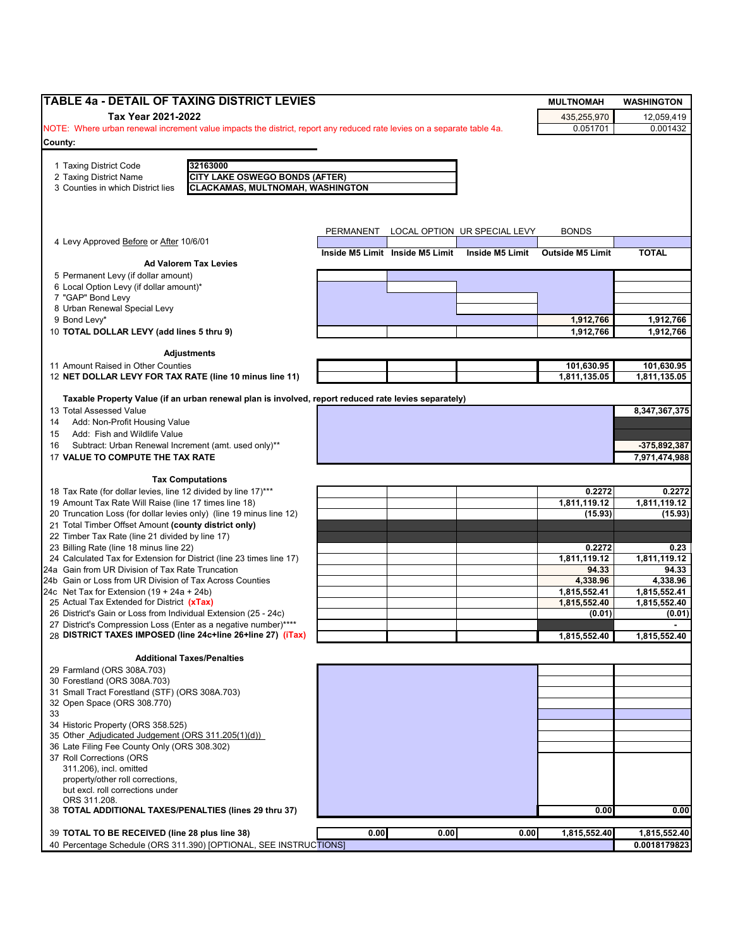| TABLE 4a - DETAIL OF TAXING DISTRICT LEVIES                                                                            |           |                                 |                              | <b>MULTNOMAH</b>        | <b>WASHINGTON</b>            |
|------------------------------------------------------------------------------------------------------------------------|-----------|---------------------------------|------------------------------|-------------------------|------------------------------|
| Tax Year 2021-2022                                                                                                     |           |                                 |                              | 435,255,970             | 12,059,419                   |
| NOTE: Where urban renewal increment value impacts the district, report any reduced rate levies on a separate table 4a. |           |                                 |                              | 0.051701                | 0.001432                     |
| County:                                                                                                                |           |                                 |                              |                         |                              |
| 1 Taxing District Code<br>32163000                                                                                     |           |                                 |                              |                         |                              |
| <b>CITY LAKE OSWEGO BONDS (AFTER)</b><br>2 Taxing District Name                                                        |           |                                 |                              |                         |                              |
| 3 Counties in which District lies<br><b>CLACKAMAS, MULTNOMAH, WASHINGTON</b>                                           |           |                                 |                              |                         |                              |
|                                                                                                                        |           |                                 |                              |                         |                              |
|                                                                                                                        |           |                                 |                              |                         |                              |
|                                                                                                                        | PERMANENT |                                 | LOCAL OPTION UR SPECIAL LEVY | <b>BONDS</b>            |                              |
| 4 Levy Approved Before or After 10/6/01                                                                                |           |                                 |                              |                         |                              |
| <b>Ad Valorem Tax Levies</b>                                                                                           |           | Inside M5 Limit Inside M5 Limit | <b>Inside M5 Limit</b>       | <b>Outside M5 Limit</b> | <b>TOTAL</b>                 |
| 5 Permanent Levy (if dollar amount)                                                                                    |           |                                 |                              |                         |                              |
| 6 Local Option Levy (if dollar amount)*                                                                                |           |                                 |                              |                         |                              |
| 7 "GAP" Bond Levy                                                                                                      |           |                                 |                              |                         |                              |
| 8 Urban Renewal Special Levy<br>9 Bond Levy*                                                                           |           |                                 |                              | 1,912,766               | 1,912,766                    |
| 10 TOTAL DOLLAR LEVY (add lines 5 thru 9)                                                                              |           |                                 |                              | 1,912,766               | 1,912,766                    |
|                                                                                                                        |           |                                 |                              |                         |                              |
| <b>Adjustments</b>                                                                                                     |           |                                 |                              |                         |                              |
| 11 Amount Raised in Other Counties                                                                                     |           |                                 |                              | 101,630.95              | 101,630.95                   |
| 12 NET DOLLAR LEVY FOR TAX RATE (line 10 minus line 11)                                                                |           |                                 |                              | 1,811,135.05            | 1,811,135.05                 |
| Taxable Property Value (if an urban renewal plan is involved, report reduced rate levies separately)                   |           |                                 |                              |                         |                              |
| 13 Total Assessed Value                                                                                                |           |                                 |                              |                         | 8,347,367,375                |
| Add: Non-Profit Housing Value<br>14                                                                                    |           |                                 |                              |                         |                              |
| Add: Fish and Wildlife Value<br>15                                                                                     |           |                                 |                              |                         |                              |
| Subtract: Urban Renewal Increment (amt. used only)**<br>16                                                             |           |                                 |                              |                         | -375,892,387                 |
| 17 VALUE TO COMPUTE THE TAX RATE                                                                                       |           |                                 |                              |                         | 7,971,474,988                |
| <b>Tax Computations</b>                                                                                                |           |                                 |                              |                         |                              |
| 18 Tax Rate (for dollar levies, line 12 divided by line 17)***                                                         |           |                                 |                              | 0.2272                  | 0.2272                       |
| 19 Amount Tax Rate Will Raise (line 17 times line 18)                                                                  |           |                                 |                              | 1,811,119.12            | 1,811,119.12                 |
| 20 Truncation Loss (for dollar levies only) (line 19 minus line 12)                                                    |           |                                 |                              | (15.93)                 | (15.93)                      |
| 21 Total Timber Offset Amount (county district only)<br>22 Timber Tax Rate (line 21 divided by line 17)                |           |                                 |                              |                         |                              |
| 23 Billing Rate (line 18 minus line 22)                                                                                |           |                                 |                              | 0.2272                  | 0.23                         |
| 24 Calculated Tax for Extension for District (line 23 times line 17)                                                   |           |                                 |                              | 1,811,119.12            | 1,811,119.12                 |
| 24a Gain from UR Division of Tax Rate Truncation                                                                       |           |                                 |                              | 94.33                   | 94.33                        |
| 24b Gain or Loss from UR Division of Tax Across Counties                                                               |           |                                 |                              | 4,338.96                | 4,338.96                     |
| 24c Net Tax for Extension $(19 + 24a + 24b)$<br>25 Actual Tax Extended for District (xTax)                             |           |                                 |                              | 1,815,552.41            | 1,815,552.41<br>1,815,552.40 |
| 26 District's Gain or Loss from Individual Extension (25 - 24c)                                                        |           |                                 |                              | 1,815,552.40<br>(0.01)  | (0.01)                       |
| 27 District's Compression Loss (Enter as a negative number)****                                                        |           |                                 |                              |                         |                              |
| 28 DISTRICT TAXES IMPOSED (line 24c+line 26+line 27) (iTax)                                                            |           |                                 |                              | 1,815,552.40            | 1,815,552.40                 |
|                                                                                                                        |           |                                 |                              |                         |                              |
| <b>Additional Taxes/Penalties</b><br>29 Farmland (ORS 308A.703)                                                        |           |                                 |                              |                         |                              |
| 30 Forestland (ORS 308A.703)                                                                                           |           |                                 |                              |                         |                              |
| 31 Small Tract Forestland (STF) (ORS 308A.703)                                                                         |           |                                 |                              |                         |                              |
| 32 Open Space (ORS 308.770)                                                                                            |           |                                 |                              |                         |                              |
| 33                                                                                                                     |           |                                 |                              |                         |                              |
| 34 Historic Property (ORS 358.525)<br>35 Other Adjudicated Judgement (ORS 311.205(1)(d))                               |           |                                 |                              |                         |                              |
| 36 Late Filing Fee County Only (ORS 308.302)                                                                           |           |                                 |                              |                         |                              |
| 37 Roll Corrections (ORS                                                                                               |           |                                 |                              |                         |                              |
| 311.206), incl. omitted                                                                                                |           |                                 |                              |                         |                              |
| property/other roll corrections,                                                                                       |           |                                 |                              |                         |                              |
| but excl. roll corrections under<br>ORS 311.208.                                                                       |           |                                 |                              |                         |                              |
| 38 TOTAL ADDITIONAL TAXES/PENALTIES (lines 29 thru 37)                                                                 |           |                                 |                              | 0.00                    | 0.00                         |
|                                                                                                                        |           |                                 |                              |                         |                              |
| 39 TOTAL TO BE RECEIVED (line 28 plus line 38)                                                                         | 0.00      | 0.00                            | 0.00                         | 1,815,552.40            | 1,815,552.40                 |
| 40 Percentage Schedule (ORS 311.390) [OPTIONAL, SEE INSTRUCTIONS]                                                      |           |                                 |                              |                         | 0.0018179823                 |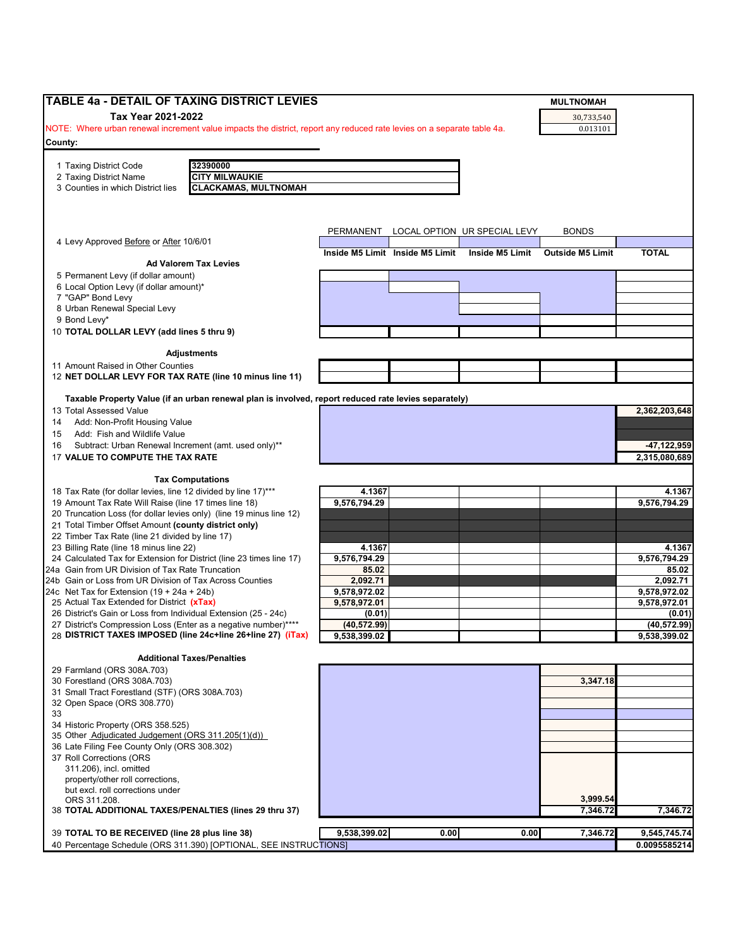| TABLE 4a - DETAIL OF TAXING DISTRICT LEVIES                                                                            |              |                                 |                              | <b>MULTNOMAH</b>        |                 |
|------------------------------------------------------------------------------------------------------------------------|--------------|---------------------------------|------------------------------|-------------------------|-----------------|
| Tax Year 2021-2022                                                                                                     |              |                                 |                              |                         |                 |
| NOTE: Where urban renewal increment value impacts the district, report any reduced rate levies on a separate table 4a. |              |                                 |                              | 30,733,540<br>0.013101  |                 |
|                                                                                                                        |              |                                 |                              |                         |                 |
| County:                                                                                                                |              |                                 |                              |                         |                 |
| 32390000<br>1 Taxing District Code                                                                                     |              |                                 |                              |                         |                 |
| <b>CITY MILWAUKIE</b><br>2 Taxing District Name                                                                        |              |                                 |                              |                         |                 |
| <b>CLACKAMAS, MULTNOMAH</b><br>3 Counties in which District lies                                                       |              |                                 |                              |                         |                 |
|                                                                                                                        |              |                                 |                              |                         |                 |
|                                                                                                                        |              |                                 |                              |                         |                 |
|                                                                                                                        |              |                                 |                              |                         |                 |
|                                                                                                                        | PERMANENT    |                                 | LOCAL OPTION UR SPECIAL LEVY | <b>BONDS</b>            |                 |
| 4 Levy Approved Before or After 10/6/01                                                                                |              |                                 |                              |                         |                 |
| <b>Ad Valorem Tax Levies</b>                                                                                           |              | Inside M5 Limit Inside M5 Limit | Inside M5 Limit              | <b>Outside M5 Limit</b> | <b>TOTAL</b>    |
| 5 Permanent Levy (if dollar amount)                                                                                    |              |                                 |                              |                         |                 |
| 6 Local Option Levy (if dollar amount)*                                                                                |              |                                 |                              |                         |                 |
| 7 "GAP" Bond Levy                                                                                                      |              |                                 |                              |                         |                 |
| 8 Urban Renewal Special Levy                                                                                           |              |                                 |                              |                         |                 |
| 9 Bond Levy*                                                                                                           |              |                                 |                              |                         |                 |
| 10 TOTAL DOLLAR LEVY (add lines 5 thru 9)                                                                              |              |                                 |                              |                         |                 |
|                                                                                                                        |              |                                 |                              |                         |                 |
| <b>Adjustments</b>                                                                                                     |              |                                 |                              |                         |                 |
| 11 Amount Raised in Other Counties                                                                                     |              |                                 |                              |                         |                 |
| 12 NET DOLLAR LEVY FOR TAX RATE (line 10 minus line 11)                                                                |              |                                 |                              |                         |                 |
|                                                                                                                        |              |                                 |                              |                         |                 |
| Taxable Property Value (if an urban renewal plan is involved, report reduced rate levies separately)                   |              |                                 |                              |                         |                 |
| 13 Total Assessed Value                                                                                                |              |                                 |                              |                         | 2,362,203,648   |
| Add: Non-Profit Housing Value<br>14                                                                                    |              |                                 |                              |                         |                 |
| Add: Fish and Wildlife Value<br>15                                                                                     |              |                                 |                              |                         |                 |
| Subtract: Urban Renewal Increment (amt. used only)**<br>16                                                             |              |                                 |                              |                         | $-47, 122, 959$ |
| 17 VALUE TO COMPUTE THE TAX RATE                                                                                       |              |                                 |                              |                         | 2,315,080,689   |
|                                                                                                                        |              |                                 |                              |                         |                 |
| <b>Tax Computations</b>                                                                                                |              |                                 |                              |                         |                 |
| 18 Tax Rate (for dollar levies, line 12 divided by line 17)***                                                         | 4.1367       |                                 |                              |                         | 4.1367          |
| 19 Amount Tax Rate Will Raise (line 17 times line 18)                                                                  | 9,576,794.29 |                                 |                              |                         | 9,576,794.29    |
| 20 Truncation Loss (for dollar levies only) (line 19 minus line 12)                                                    |              |                                 |                              |                         |                 |
| 21 Total Timber Offset Amount (county district only)                                                                   |              |                                 |                              |                         |                 |
| 22 Timber Tax Rate (line 21 divided by line 17)                                                                        |              |                                 |                              |                         |                 |
| 23 Billing Rate (line 18 minus line 22)                                                                                | 4.1367       |                                 |                              |                         | 4.1367          |
| 24 Calculated Tax for Extension for District (line 23 times line 17)                                                   | 9,576,794.29 |                                 |                              |                         | 9,576,794.29    |
| 24a Gain from UR Division of Tax Rate Truncation                                                                       | 85.02        |                                 |                              |                         | 85.02           |
| 24b Gain or Loss from UR Division of Tax Across Counties                                                               | 2,092.71     |                                 |                              |                         | 2,092.71        |
| 24c Net Tax for Extension $(19 + 24a + 24b)$                                                                           | 9,578,972.02 |                                 |                              |                         | 9,578,972.02    |
| 25 Actual Tax Extended for District (xTax)                                                                             | 9,578,972.01 |                                 |                              |                         | 9,578,972.01    |
| 26 District's Gain or Loss from Individual Extension (25 - 24c)                                                        | (0.01)       |                                 |                              |                         | (0.01)          |
| 27 District's Compression Loss (Enter as a negative number)****                                                        | (40, 572.99) |                                 |                              |                         | (40, 572.99)    |
| 28 DISTRICT TAXES IMPOSED (line 24c+line 26+line 27) (iTax)                                                            | 9,538,399.02 |                                 |                              |                         | 9,538,399.02    |
|                                                                                                                        |              |                                 |                              |                         |                 |
| <b>Additional Taxes/Penalties</b>                                                                                      |              |                                 |                              |                         |                 |
| 29 Farmland (ORS 308A.703)                                                                                             |              |                                 |                              |                         |                 |
| 30 Forestland (ORS 308A.703)                                                                                           |              |                                 |                              | 3,347.18                |                 |
| 31 Small Tract Forestland (STF) (ORS 308A.703)                                                                         |              |                                 |                              |                         |                 |
| 32 Open Space (ORS 308.770)                                                                                            |              |                                 |                              |                         |                 |
| 33                                                                                                                     |              |                                 |                              |                         |                 |
| 34 Historic Property (ORS 358.525)                                                                                     |              |                                 |                              |                         |                 |
| 35 Other Adjudicated Judgement (ORS 311.205(1)(d))                                                                     |              |                                 |                              |                         |                 |
| 36 Late Filing Fee County Only (ORS 308.302)                                                                           |              |                                 |                              |                         |                 |
| 37 Roll Corrections (ORS                                                                                               |              |                                 |                              |                         |                 |
| 311.206), incl. omitted                                                                                                |              |                                 |                              |                         |                 |
| property/other roll corrections,                                                                                       |              |                                 |                              |                         |                 |
| but excl. roll corrections under                                                                                       |              |                                 |                              | 3,999.54                |                 |
| ORS 311.208.<br>38 TOTAL ADDITIONAL TAXES/PENALTIES (lines 29 thru 37)                                                 |              |                                 |                              | 7,346.72                | 7,346.72        |
|                                                                                                                        |              |                                 |                              |                         |                 |
| 39 TOTAL TO BE RECEIVED (line 28 plus line 38)                                                                         | 9,538,399.02 | 0.00                            | 0.00                         | 7,346.72                | 9,545,745.74    |
| 40 Percentage Schedule (ORS 311.390) [OPTIONAL, SEE INSTRUCTIONS]                                                      |              |                                 |                              |                         | 0.0095585214    |
|                                                                                                                        |              |                                 |                              |                         |                 |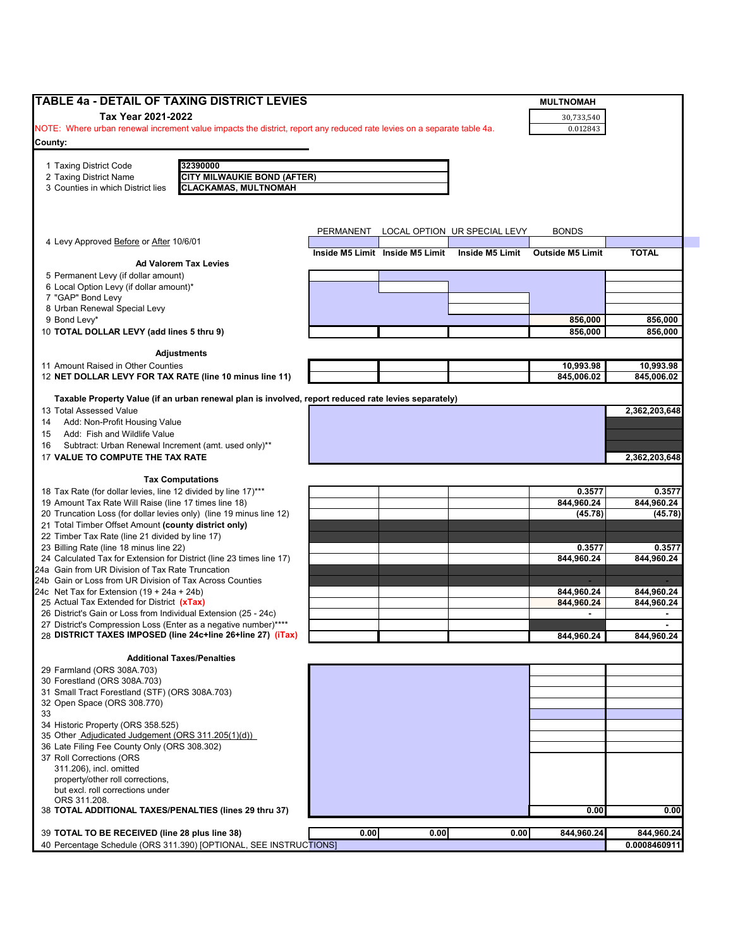| <b>TABLE 4a - DETAIL OF TAXING DISTRICT LEVIES</b>                                                                             |      |                                 |                                        | <b>MULTNOMAH</b>        |               |
|--------------------------------------------------------------------------------------------------------------------------------|------|---------------------------------|----------------------------------------|-------------------------|---------------|
| Tax Year 2021-2022                                                                                                             |      |                                 |                                        | 30,733,540              |               |
| NOTE: Where urban renewal increment value impacts the district, report any reduced rate levies on a separate table 4a.         |      |                                 |                                        | 0.012843                |               |
| County:                                                                                                                        |      |                                 |                                        |                         |               |
|                                                                                                                                |      |                                 |                                        |                         |               |
| 32390000<br>1 Taxing District Code                                                                                             |      |                                 |                                        |                         |               |
| 2 Taxing District Name<br><b>CITY MILWAUKIE BOND (AFTER)</b>                                                                   |      |                                 |                                        |                         |               |
| 3 Counties in which District lies<br><b>CLACKAMAS, MULTNOMAH</b>                                                               |      |                                 |                                        |                         |               |
|                                                                                                                                |      |                                 |                                        |                         |               |
|                                                                                                                                |      |                                 |                                        |                         |               |
| 4 Levy Approved Before or After 10/6/01                                                                                        |      |                                 | PERMANENT LOCAL OPTION UR SPECIAL LEVY | <b>BONDS</b>            |               |
|                                                                                                                                |      | Inside M5 Limit Inside M5 Limit | Inside M5 Limit                        | <b>Outside M5 Limit</b> | <b>TOTAL</b>  |
| <b>Ad Valorem Tax Levies</b>                                                                                                   |      |                                 |                                        |                         |               |
| 5 Permanent Levy (if dollar amount)                                                                                            |      |                                 |                                        |                         |               |
| 6 Local Option Levy (if dollar amount)*                                                                                        |      |                                 |                                        |                         |               |
| 7 "GAP" Bond Levy<br>8 Urban Renewal Special Levy                                                                              |      |                                 |                                        |                         |               |
| 9 Bond Levy*                                                                                                                   |      |                                 |                                        | 856,000                 | 856,000       |
| 10 TOTAL DOLLAR LEVY (add lines 5 thru 9)                                                                                      |      |                                 |                                        | 856,000                 | 856,000       |
|                                                                                                                                |      |                                 |                                        |                         |               |
| <b>Adjustments</b>                                                                                                             |      |                                 |                                        |                         |               |
| 11 Amount Raised in Other Counties                                                                                             |      |                                 |                                        | 10,993.98               | 10,993.98     |
| 12 NET DOLLAR LEVY FOR TAX RATE (line 10 minus line 11)                                                                        |      |                                 |                                        | 845,006.02              | 845,006.02    |
| Taxable Property Value (if an urban renewal plan is involved, report reduced rate levies separately)                           |      |                                 |                                        |                         |               |
| 13 Total Assessed Value                                                                                                        |      |                                 |                                        |                         | 2,362,203,648 |
| Add: Non-Profit Housing Value<br>14                                                                                            |      |                                 |                                        |                         |               |
| Add: Fish and Wildlife Value<br>15                                                                                             |      |                                 |                                        |                         |               |
| Subtract: Urban Renewal Increment (amt. used only)**<br>16                                                                     |      |                                 |                                        |                         |               |
| 17 VALUE TO COMPUTE THE TAX RATE                                                                                               |      |                                 |                                        |                         | 2,362,203,648 |
| <b>Tax Computations</b>                                                                                                        |      |                                 |                                        |                         |               |
| 18 Tax Rate (for dollar levies, line 12 divided by line 17)***                                                                 |      |                                 |                                        | 0.3577                  | 0.3577        |
| 19 Amount Tax Rate Will Raise (line 17 times line 18)                                                                          |      |                                 |                                        | 844,960.24              | 844,960.24    |
| 20 Truncation Loss (for dollar levies only) (line 19 minus line 12)                                                            |      |                                 |                                        | (45.78)                 | (45.78)       |
| 21 Total Timber Offset Amount (county district only)                                                                           |      |                                 |                                        |                         |               |
| 22 Timber Tax Rate (line 21 divided by line 17)                                                                                |      |                                 |                                        |                         |               |
| 23 Billing Rate (line 18 minus line 22)                                                                                        |      |                                 |                                        | 0.3577                  | 0.3577        |
| 24 Calculated Tax for Extension for District (line 23 times line 17)<br>24a Gain from UR Division of Tax Rate Truncation       |      |                                 |                                        | 844,960.24              | 844,960.24    |
| 24b Gain or Loss from UR Division of Tax Across Counties                                                                       |      |                                 |                                        |                         |               |
| 24c Net Tax for Extension $(19 + 24a + 24b)$                                                                                   |      |                                 |                                        | 844,960.24              | 844,960.24    |
| 25 Actual Tax Extended for District (xTax)                                                                                     |      |                                 |                                        | 844,960.24              | 844,960.24    |
| 26 District's Gain or Loss from Individual Extension (25 - 24c)                                                                |      |                                 |                                        | $\blacksquare$          |               |
| 27 District's Compression Loss (Enter as a negative number)****<br>28 DISTRICT TAXES IMPOSED (line 24c+line 26+line 27) (iTax) |      |                                 |                                        |                         |               |
|                                                                                                                                |      |                                 |                                        | 844,960.24              | 844,960.24    |
| <b>Additional Taxes/Penalties</b>                                                                                              |      |                                 |                                        |                         |               |
| 29 Farmland (ORS 308A.703)                                                                                                     |      |                                 |                                        |                         |               |
| 30 Forestland (ORS 308A.703)                                                                                                   |      |                                 |                                        |                         |               |
| 31 Small Tract Forestland (STF) (ORS 308A.703)                                                                                 |      |                                 |                                        |                         |               |
| 32 Open Space (ORS 308.770)<br>33                                                                                              |      |                                 |                                        |                         |               |
| 34 Historic Property (ORS 358.525)                                                                                             |      |                                 |                                        |                         |               |
| 35 Other Adjudicated Judgement (ORS 311.205(1)(d))                                                                             |      |                                 |                                        |                         |               |
| 36 Late Filing Fee County Only (ORS 308.302)                                                                                   |      |                                 |                                        |                         |               |
| 37 Roll Corrections (ORS                                                                                                       |      |                                 |                                        |                         |               |
| 311.206), incl. omitted                                                                                                        |      |                                 |                                        |                         |               |
| property/other roll corrections,<br>but excl. roll corrections under                                                           |      |                                 |                                        |                         |               |
| ORS 311.208.                                                                                                                   |      |                                 |                                        |                         |               |
| 38 TOTAL ADDITIONAL TAXES/PENALTIES (lines 29 thru 37)                                                                         |      |                                 |                                        | 0.00                    | 0.00          |
|                                                                                                                                |      |                                 |                                        |                         |               |
| 39 TOTAL TO BE RECEIVED (line 28 plus line 38)                                                                                 | 0.00 | 0.00                            | 0.00                                   | 844,960.24              | 844,960.24    |
| 40 Percentage Schedule (ORS 311.390) [OPTIONAL, SEE INSTRUCTIONS]                                                              |      |                                 |                                        |                         | 0.0008460911  |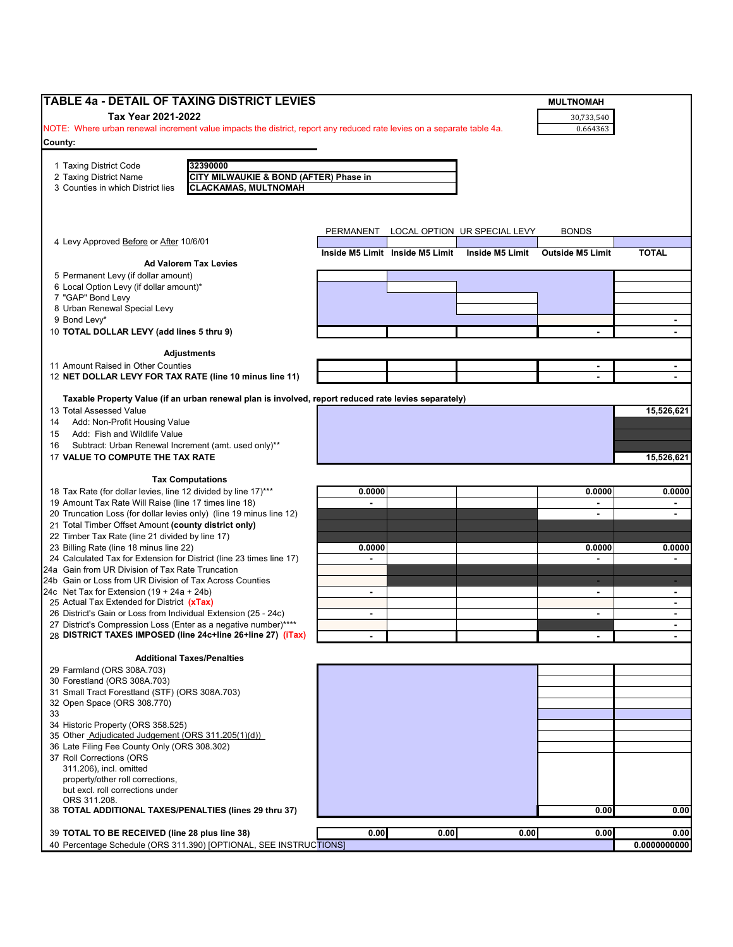| <b>TABLE 4a - DETAIL OF TAXING DISTRICT LEVIES</b>                                                                                                                            |                |                                 |                              | <b>MULTNOMAH</b>        |                      |
|-------------------------------------------------------------------------------------------------------------------------------------------------------------------------------|----------------|---------------------------------|------------------------------|-------------------------|----------------------|
| Tax Year 2021-2022                                                                                                                                                            |                |                                 |                              | 30,733,540              |                      |
| NOTE: Where urban renewal increment value impacts the district, report any reduced rate levies on a separate table 4a.                                                        |                |                                 |                              | 0.664363                |                      |
| County:                                                                                                                                                                       |                |                                 |                              |                         |                      |
| 32390000<br>1 Taxing District Code                                                                                                                                            |                |                                 |                              |                         |                      |
| 2 Taxing District Name<br>CITY MILWAUKIE & BOND (AFTER) Phase in                                                                                                              |                |                                 |                              |                         |                      |
| <b>CLACKAMAS, MULTNOMAH</b><br>3 Counties in which District lies                                                                                                              |                |                                 |                              |                         |                      |
|                                                                                                                                                                               |                |                                 |                              |                         |                      |
|                                                                                                                                                                               |                |                                 |                              |                         |                      |
|                                                                                                                                                                               | PERMANENT      |                                 | LOCAL OPTION UR SPECIAL LEVY | <b>BONDS</b>            |                      |
| 4 Levy Approved Before or After 10/6/01                                                                                                                                       |                | Inside M5 Limit Inside M5 Limit | Inside M5 Limit              | <b>Outside M5 Limit</b> | <b>TOTAL</b>         |
| <b>Ad Valorem Tax Levies</b>                                                                                                                                                  |                |                                 |                              |                         |                      |
| 5 Permanent Levy (if dollar amount)                                                                                                                                           |                |                                 |                              |                         |                      |
| 6 Local Option Levy (if dollar amount)*<br>7 "GAP" Bond Levy                                                                                                                  |                |                                 |                              |                         |                      |
| 8 Urban Renewal Special Levy                                                                                                                                                  |                |                                 |                              |                         |                      |
| 9 Bond Levy*                                                                                                                                                                  |                |                                 |                              |                         | $\sim$               |
| 10 TOTAL DOLLAR LEVY (add lines 5 thru 9)                                                                                                                                     |                |                                 |                              |                         |                      |
|                                                                                                                                                                               |                |                                 |                              |                         |                      |
| <b>Adjustments</b><br>11 Amount Raised in Other Counties                                                                                                                      |                |                                 |                              |                         |                      |
| 12 NET DOLLAR LEVY FOR TAX RATE (line 10 minus line 11)                                                                                                                       |                |                                 |                              |                         |                      |
|                                                                                                                                                                               |                |                                 |                              |                         |                      |
| Taxable Property Value (if an urban renewal plan is involved, report reduced rate levies separately)                                                                          |                |                                 |                              |                         |                      |
| 13 Total Assessed Value<br>Add: Non-Profit Housing Value<br>14                                                                                                                |                |                                 |                              |                         | 15,526,621           |
| Add: Fish and Wildlife Value<br>15                                                                                                                                            |                |                                 |                              |                         |                      |
| Subtract: Urban Renewal Increment (amt. used only)**<br>16                                                                                                                    |                |                                 |                              |                         |                      |
| 17 VALUE TO COMPUTE THE TAX RATE                                                                                                                                              |                |                                 |                              |                         | 15,526,621           |
| <b>Tax Computations</b>                                                                                                                                                       |                |                                 |                              |                         |                      |
| 18 Tax Rate (for dollar levies, line 12 divided by line 17)***                                                                                                                | 0.0000         |                                 |                              | 0.0000                  | 0.0000               |
| 19 Amount Tax Rate Will Raise (line 17 times line 18)                                                                                                                         | $\blacksquare$ |                                 |                              | $\sim$                  | $\sim$               |
| 20 Truncation Loss (for dollar levies only) (line 19 minus line 12)                                                                                                           |                |                                 |                              | $\blacksquare$          | $\sim$               |
| 21 Total Timber Offset Amount (county district only)                                                                                                                          |                |                                 |                              |                         |                      |
| 22 Timber Tax Rate (line 21 divided by line 17)<br>23 Billing Rate (line 18 minus line 22)                                                                                    | 0.0000         |                                 |                              | 0.0000                  | 0.0000               |
| 24 Calculated Tax for Extension for District (line 23 times line 17)                                                                                                          |                |                                 |                              |                         |                      |
| 24a Gain from UR Division of Tax Rate Truncation                                                                                                                              |                |                                 |                              |                         |                      |
| 24b Gain or Loss from UR Division of Tax Across Counties                                                                                                                      |                |                                 |                              |                         | $\sim$               |
| 24c Net Tax for Extension $(19 + 24a + 24b)$<br>25 Actual Tax Extended for District (xTax)                                                                                    | $\blacksquare$ |                                 |                              | $\blacksquare$          | $\sim$<br>$\sim$     |
| 26 District's Gain or Loss from Individual Extension (25 - 24c)                                                                                                               | $\blacksquare$ |                                 |                              | $\blacksquare$          | $\sim$               |
| 27 District's Compression Loss (Enter as a negative number)****                                                                                                               |                |                                 |                              |                         | $\blacksquare$       |
| 28 DISTRICT TAXES IMPOSED (line 24c+line 26+line 27) (iTax)                                                                                                                   |                |                                 |                              |                         |                      |
| <b>Additional Taxes/Penalties</b>                                                                                                                                             |                |                                 |                              |                         |                      |
| 29 Farmland (ORS 308A.703)                                                                                                                                                    |                |                                 |                              |                         |                      |
| 30 Forestland (ORS 308A.703)                                                                                                                                                  |                |                                 |                              |                         |                      |
| 31 Small Tract Forestland (STF) (ORS 308A.703)                                                                                                                                |                |                                 |                              |                         |                      |
| 32 Open Space (ORS 308.770)<br>33                                                                                                                                             |                |                                 |                              |                         |                      |
| 34 Historic Property (ORS 358.525)                                                                                                                                            |                |                                 |                              |                         |                      |
| 35 Other Adjudicated Judgement (ORS 311.205(1)(d))                                                                                                                            |                |                                 |                              |                         |                      |
| 36 Late Filing Fee County Only (ORS 308.302)                                                                                                                                  |                |                                 |                              |                         |                      |
| 37 Roll Corrections (ORS<br>311.206), incl. omitted                                                                                                                           |                |                                 |                              |                         |                      |
| property/other roll corrections,                                                                                                                                              |                |                                 |                              |                         |                      |
| but excl. roll corrections under                                                                                                                                              |                |                                 |                              |                         |                      |
| ORS 311.208.                                                                                                                                                                  |                |                                 |                              | 0.00                    | 0.00                 |
|                                                                                                                                                                               |                |                                 |                              |                         |                      |
|                                                                                                                                                                               |                |                                 |                              |                         |                      |
| 38 TOTAL ADDITIONAL TAXES/PENALTIES (lines 29 thru 37)<br>39 TOTAL TO BE RECEIVED (line 28 plus line 38)<br>40 Percentage Schedule (ORS 311.390) [OPTIONAL, SEE INSTRUCTIONS] | 0.00           | 0.00                            | 0.00                         | 0.00                    | 0.00<br>0.0000000000 |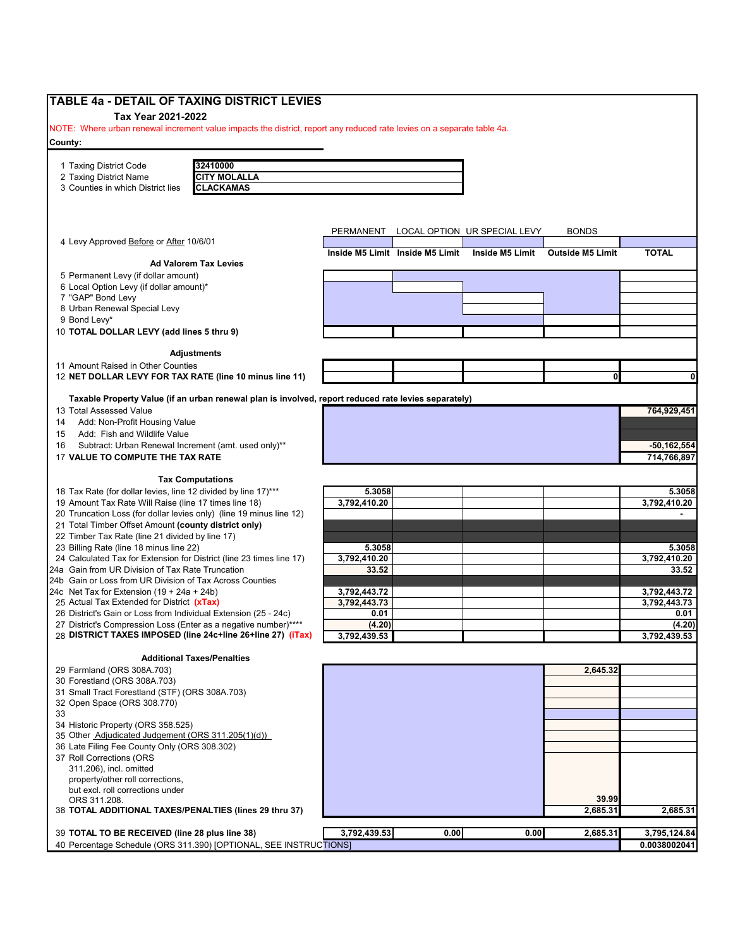| <b>TABLE 4a - DETAIL OF TAXING DISTRICT LEVIES</b>                                                                     |                              |                                 |                              |                         |                      |
|------------------------------------------------------------------------------------------------------------------------|------------------------------|---------------------------------|------------------------------|-------------------------|----------------------|
| Tax Year 2021-2022                                                                                                     |                              |                                 |                              |                         |                      |
| NOTE: Where urban renewal increment value impacts the district, report any reduced rate levies on a separate table 4a. |                              |                                 |                              |                         |                      |
| County:                                                                                                                |                              |                                 |                              |                         |                      |
| 1 Taxing District Code<br>32410000                                                                                     |                              |                                 |                              |                         |                      |
| <b>CITY MOLALLA</b><br>2 Taxing District Name                                                                          |                              |                                 |                              |                         |                      |
| 3 Counties in which District lies<br><b>CLACKAMAS</b>                                                                  |                              |                                 |                              |                         |                      |
|                                                                                                                        |                              |                                 |                              |                         |                      |
|                                                                                                                        |                              |                                 |                              |                         |                      |
|                                                                                                                        |                              |                                 |                              | <b>BONDS</b>            |                      |
| 4 Levy Approved Before or After 10/6/01                                                                                | PERMANENT                    |                                 | LOCAL OPTION UR SPECIAL LEVY |                         |                      |
|                                                                                                                        |                              | Inside M5 Limit Inside M5 Limit | Inside M5 Limit              | <b>Outside M5 Limit</b> | <b>TOTAL</b>         |
| <b>Ad Valorem Tax Levies</b>                                                                                           |                              |                                 |                              |                         |                      |
| 5 Permanent Levy (if dollar amount)                                                                                    |                              |                                 |                              |                         |                      |
| 6 Local Option Levy (if dollar amount)*<br>7 "GAP" Bond Levy                                                           |                              |                                 |                              |                         |                      |
| 8 Urban Renewal Special Levy                                                                                           |                              |                                 |                              |                         |                      |
| 9 Bond Levy*                                                                                                           |                              |                                 |                              |                         |                      |
| 10 TOTAL DOLLAR LEVY (add lines 5 thru 9)                                                                              |                              |                                 |                              |                         |                      |
|                                                                                                                        |                              |                                 |                              |                         |                      |
| Adjustments                                                                                                            |                              |                                 |                              |                         |                      |
| 11 Amount Raised in Other Counties                                                                                     |                              |                                 |                              |                         |                      |
| 12 NET DOLLAR LEVY FOR TAX RATE (line 10 minus line 11)                                                                |                              |                                 |                              |                         |                      |
| Taxable Property Value (if an urban renewal plan is involved, report reduced rate levies separately)                   |                              |                                 |                              |                         |                      |
| 13 Total Assessed Value                                                                                                |                              |                                 |                              |                         | 764,929,451          |
| Add: Non-Profit Housing Value<br>14                                                                                    |                              |                                 |                              |                         |                      |
| Add: Fish and Wildlife Value<br>15                                                                                     |                              |                                 |                              |                         |                      |
| Subtract: Urban Renewal Increment (amt. used only)**<br>16                                                             |                              |                                 |                              |                         | $-50, 162, 554$      |
| 17 VALUE TO COMPUTE THE TAX RATE                                                                                       |                              |                                 |                              |                         | 714,766,897          |
|                                                                                                                        |                              |                                 |                              |                         |                      |
| <b>Tax Computations</b>                                                                                                |                              |                                 |                              |                         |                      |
| 18 Tax Rate (for dollar levies, line 12 divided by line 17)***                                                         | 5.3058                       |                                 |                              |                         | 5.3058               |
| 19 Amount Tax Rate Will Raise (line 17 times line 18)                                                                  | 3,792,410.20                 |                                 |                              |                         | 3,792,410.20         |
| 20 Truncation Loss (for dollar levies only) (line 19 minus line 12)                                                    |                              |                                 |                              |                         |                      |
| 21 Total Timber Offset Amount (county district only)                                                                   |                              |                                 |                              |                         |                      |
| 22 Timber Tax Rate (line 21 divided by line 17)                                                                        |                              |                                 |                              |                         |                      |
| 23 Billing Rate (line 18 minus line 22)                                                                                | 5.3058                       |                                 |                              |                         | 5.3058               |
| 24 Calculated Tax for Extension for District (line 23 times line 17)                                                   | 3,792,410.20                 |                                 |                              |                         | 3,792,410.20         |
| 24a Gain from UR Division of Tax Rate Truncation                                                                       | 33.52                        |                                 |                              |                         | 33.52                |
| 24b Gain or Loss from UR Division of Tax Across Counties                                                               |                              |                                 |                              |                         |                      |
| 24c Net Tax for Extension $(19 + 24a + 24b)$<br>25 Actual Tax Extended for District (xTax)                             | 3,792,443.72<br>3,792,443.73 |                                 |                              |                         | 3,792,443.72         |
| 26 District's Gain or Loss from Individual Extension (25 - 24c)                                                        | 0.01                         |                                 |                              |                         | 3,792,443.73<br>0.01 |
| 27 District's Compression Loss (Enter as a negative number)****                                                        | (4.20)                       |                                 |                              |                         | (4.20)               |
| 28 DISTRICT TAXES IMPOSED (line 24c+line 26+line 27) (iTax)                                                            | 3,792,439.53                 |                                 |                              |                         | 3,792,439.53         |
|                                                                                                                        |                              |                                 |                              |                         |                      |
| <b>Additional Taxes/Penalties</b>                                                                                      |                              |                                 |                              |                         |                      |
| 29 Farmland (ORS 308A.703)                                                                                             |                              |                                 |                              | 2.645.32                |                      |
| 30 Forestland (ORS 308A.703)                                                                                           |                              |                                 |                              |                         |                      |
| 31 Small Tract Forestland (STF) (ORS 308A.703)                                                                         |                              |                                 |                              |                         |                      |
| 32 Open Space (ORS 308.770)                                                                                            |                              |                                 |                              |                         |                      |
| 33                                                                                                                     |                              |                                 |                              |                         |                      |
| 34 Historic Property (ORS 358.525)<br>35 Other Adjudicated Judgement (ORS 311.205(1)(d))                               |                              |                                 |                              |                         |                      |
| 36 Late Filing Fee County Only (ORS 308.302)                                                                           |                              |                                 |                              |                         |                      |
| 37 Roll Corrections (ORS                                                                                               |                              |                                 |                              |                         |                      |
| 311.206), incl. omitted                                                                                                |                              |                                 |                              |                         |                      |
| property/other roll corrections,                                                                                       |                              |                                 |                              |                         |                      |
| but excl. roll corrections under                                                                                       |                              |                                 |                              |                         |                      |
| ORS 311.208.                                                                                                           |                              |                                 |                              | 39.99                   |                      |
| 38 TOTAL ADDITIONAL TAXES/PENALTIES (lines 29 thru 37)                                                                 |                              |                                 |                              | 2,685.31                | 2,685.31             |
|                                                                                                                        |                              |                                 |                              |                         |                      |
| 39 TOTAL TO BE RECEIVED (line 28 plus line 38)                                                                         | 3,792,439.53                 | 0.00                            | 0.00                         | 2,685.31                | 3,795,124.84         |
| 40 Percentage Schedule (ORS 311.390) [OPTIONAL, SEE INSTRUCTIONS]                                                      |                              |                                 |                              |                         | 0.0038002041         |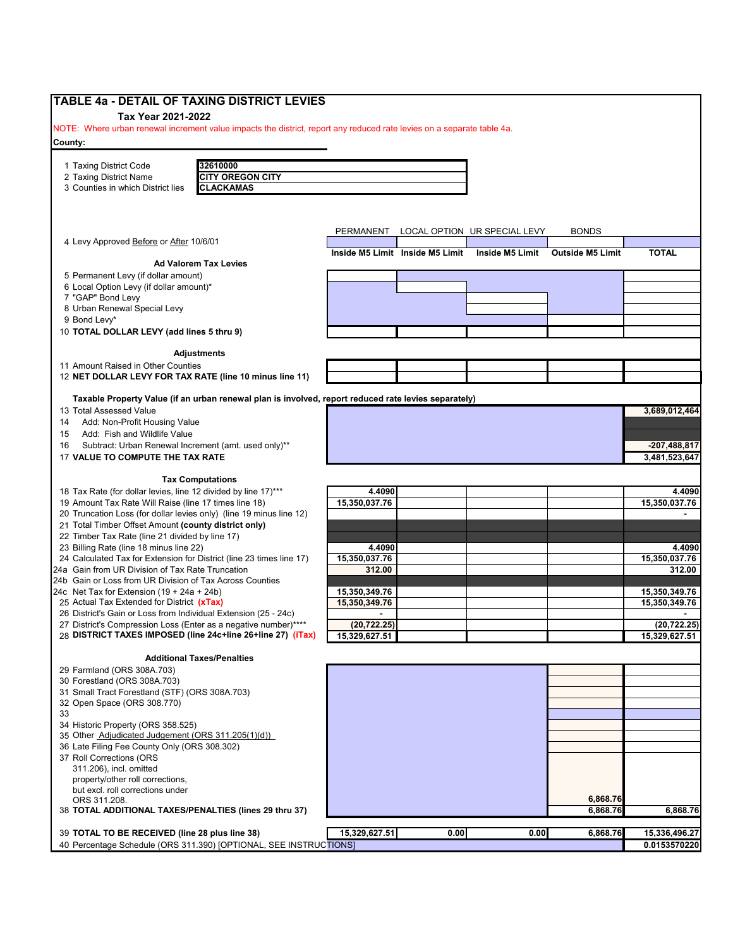| Tax Year 2021-2022<br>NOTE: Where urban renewal increment value impacts the district, report any reduced rate levies on a separate table 4a.<br>32610000<br>1 Taxing District Code<br><b>CITY OREGON CITY</b><br>2 Taxing District Name<br><b>CLACKAMAS</b><br>3 Counties in which District lies<br>PERMANENT LOCAL OPTION UR SPECIAL LEVY<br><b>BONDS</b><br>4 Levy Approved Before or After 10/6/01<br>Inside M5 Limit Inside M5 Limit<br><b>Inside M5 Limit</b><br><b>Outside M5 Limit</b><br><b>TOTAL</b><br><b>Ad Valorem Tax Levies</b><br>5 Permanent Levy (if dollar amount)<br>6 Local Option Levy (if dollar amount)*<br>7 "GAP" Bond Levy<br>8 Urban Renewal Special Levy<br>9 Bond Levy*<br>10 TOTAL DOLLAR LEVY (add lines 5 thru 9)<br><b>Adjustments</b><br>Taxable Property Value (if an urban renewal plan is involved, report reduced rate levies separately)<br>13 Total Assessed Value<br>3,689,012,464<br>Add: Non-Profit Housing Value<br>14<br>Add: Fish and Wildlife Value<br>15<br>Subtract: Urban Renewal Increment (amt. used only)**<br>-207,488,817<br>17 VALUE TO COMPUTE THE TAX RATE<br>3,481,523,647<br><b>Tax Computations</b><br>4.4090<br>19 Amount Tax Rate Will Raise (line 17 times line 18)<br>15,350,037.76<br>15,350,037.76<br>20 Truncation Loss (for dollar levies only) (line 19 minus line 12)<br>21 Total Timber Offset Amount (county district only)<br>22 Timber Tax Rate (line 21 divided by line 17)<br>23 Billing Rate (line 18 minus line 22)<br>4.4090<br>4.4090<br>24 Calculated Tax for Extension for District (line 23 times line 17)<br>15,350,037.76<br>15,350,037.76<br>312.00<br>15,350,349.76<br>15,350,349.76<br>27 District's Compression Loss (Enter as a negative number)****<br>(20, 722.25)<br>(20, 722.25)<br>28 DISTRICT TAXES IMPOSED (line 24c+line 26+line 27) (iTax)<br>15,329,627.51<br>15,329,627.51<br><b>Additional Taxes/Penalties</b><br>32 Open Space (ORS 308.770)<br>34 Historic Property (ORS 358.525)<br>35 Other Adjudicated Judgement (ORS 311.205(1)(d))<br>36 Late Filing Fee County Only (ORS 308.302)<br>311.206), incl. omitted<br>property/other roll corrections,<br>but excl. roll corrections under<br>6,868.76<br>ORS 311.208.<br>38 TOTAL ADDITIONAL TAXES/PENALTIES (lines 29 thru 37)<br>6,868.76<br>6,868.76<br>15,329,627.51<br>0.00<br>0.00<br>39 TOTAL TO BE RECEIVED (line 28 plus line 38)<br>6,868.76<br>15,336,496.27<br>40 Percentage Schedule (ORS 311.390) [OPTIONAL, SEE INSTRUCTIONS] | TABLE 4a - DETAIL OF TAXING DISTRICT LEVIES                     |  |  |               |
|--------------------------------------------------------------------------------------------------------------------------------------------------------------------------------------------------------------------------------------------------------------------------------------------------------------------------------------------------------------------------------------------------------------------------------------------------------------------------------------------------------------------------------------------------------------------------------------------------------------------------------------------------------------------------------------------------------------------------------------------------------------------------------------------------------------------------------------------------------------------------------------------------------------------------------------------------------------------------------------------------------------------------------------------------------------------------------------------------------------------------------------------------------------------------------------------------------------------------------------------------------------------------------------------------------------------------------------------------------------------------------------------------------------------------------------------------------------------------------------------------------------------------------------------------------------------------------------------------------------------------------------------------------------------------------------------------------------------------------------------------------------------------------------------------------------------------------------------------------------------------------------------------------------------------------------------------------------------------------------------------------------------------------------------------------------------------------------------------------------------------------------------------------------------------------------------------------------------------------------------------------------------------------------------------------------------------------------------------------------------------------------------------------------------------------------------------------------------------------------------------------|-----------------------------------------------------------------|--|--|---------------|
|                                                                                                                                                                                                                                                                                                                                                                                                                                                                                                                                                                                                                                                                                                                                                                                                                                                                                                                                                                                                                                                                                                                                                                                                                                                                                                                                                                                                                                                                                                                                                                                                                                                                                                                                                                                                                                                                                                                                                                                                                                                                                                                                                                                                                                                                                                                                                                                                                                                                                                        |                                                                 |  |  |               |
|                                                                                                                                                                                                                                                                                                                                                                                                                                                                                                                                                                                                                                                                                                                                                                                                                                                                                                                                                                                                                                                                                                                                                                                                                                                                                                                                                                                                                                                                                                                                                                                                                                                                                                                                                                                                                                                                                                                                                                                                                                                                                                                                                                                                                                                                                                                                                                                                                                                                                                        |                                                                 |  |  |               |
|                                                                                                                                                                                                                                                                                                                                                                                                                                                                                                                                                                                                                                                                                                                                                                                                                                                                                                                                                                                                                                                                                                                                                                                                                                                                                                                                                                                                                                                                                                                                                                                                                                                                                                                                                                                                                                                                                                                                                                                                                                                                                                                                                                                                                                                                                                                                                                                                                                                                                                        | County:                                                         |  |  |               |
|                                                                                                                                                                                                                                                                                                                                                                                                                                                                                                                                                                                                                                                                                                                                                                                                                                                                                                                                                                                                                                                                                                                                                                                                                                                                                                                                                                                                                                                                                                                                                                                                                                                                                                                                                                                                                                                                                                                                                                                                                                                                                                                                                                                                                                                                                                                                                                                                                                                                                                        |                                                                 |  |  |               |
|                                                                                                                                                                                                                                                                                                                                                                                                                                                                                                                                                                                                                                                                                                                                                                                                                                                                                                                                                                                                                                                                                                                                                                                                                                                                                                                                                                                                                                                                                                                                                                                                                                                                                                                                                                                                                                                                                                                                                                                                                                                                                                                                                                                                                                                                                                                                                                                                                                                                                                        |                                                                 |  |  |               |
|                                                                                                                                                                                                                                                                                                                                                                                                                                                                                                                                                                                                                                                                                                                                                                                                                                                                                                                                                                                                                                                                                                                                                                                                                                                                                                                                                                                                                                                                                                                                                                                                                                                                                                                                                                                                                                                                                                                                                                                                                                                                                                                                                                                                                                                                                                                                                                                                                                                                                                        |                                                                 |  |  |               |
|                                                                                                                                                                                                                                                                                                                                                                                                                                                                                                                                                                                                                                                                                                                                                                                                                                                                                                                                                                                                                                                                                                                                                                                                                                                                                                                                                                                                                                                                                                                                                                                                                                                                                                                                                                                                                                                                                                                                                                                                                                                                                                                                                                                                                                                                                                                                                                                                                                                                                                        |                                                                 |  |  |               |
|                                                                                                                                                                                                                                                                                                                                                                                                                                                                                                                                                                                                                                                                                                                                                                                                                                                                                                                                                                                                                                                                                                                                                                                                                                                                                                                                                                                                                                                                                                                                                                                                                                                                                                                                                                                                                                                                                                                                                                                                                                                                                                                                                                                                                                                                                                                                                                                                                                                                                                        |                                                                 |  |  |               |
|                                                                                                                                                                                                                                                                                                                                                                                                                                                                                                                                                                                                                                                                                                                                                                                                                                                                                                                                                                                                                                                                                                                                                                                                                                                                                                                                                                                                                                                                                                                                                                                                                                                                                                                                                                                                                                                                                                                                                                                                                                                                                                                                                                                                                                                                                                                                                                                                                                                                                                        |                                                                 |  |  |               |
|                                                                                                                                                                                                                                                                                                                                                                                                                                                                                                                                                                                                                                                                                                                                                                                                                                                                                                                                                                                                                                                                                                                                                                                                                                                                                                                                                                                                                                                                                                                                                                                                                                                                                                                                                                                                                                                                                                                                                                                                                                                                                                                                                                                                                                                                                                                                                                                                                                                                                                        |                                                                 |  |  |               |
|                                                                                                                                                                                                                                                                                                                                                                                                                                                                                                                                                                                                                                                                                                                                                                                                                                                                                                                                                                                                                                                                                                                                                                                                                                                                                                                                                                                                                                                                                                                                                                                                                                                                                                                                                                                                                                                                                                                                                                                                                                                                                                                                                                                                                                                                                                                                                                                                                                                                                                        |                                                                 |  |  |               |
|                                                                                                                                                                                                                                                                                                                                                                                                                                                                                                                                                                                                                                                                                                                                                                                                                                                                                                                                                                                                                                                                                                                                                                                                                                                                                                                                                                                                                                                                                                                                                                                                                                                                                                                                                                                                                                                                                                                                                                                                                                                                                                                                                                                                                                                                                                                                                                                                                                                                                                        |                                                                 |  |  |               |
|                                                                                                                                                                                                                                                                                                                                                                                                                                                                                                                                                                                                                                                                                                                                                                                                                                                                                                                                                                                                                                                                                                                                                                                                                                                                                                                                                                                                                                                                                                                                                                                                                                                                                                                                                                                                                                                                                                                                                                                                                                                                                                                                                                                                                                                                                                                                                                                                                                                                                                        |                                                                 |  |  |               |
|                                                                                                                                                                                                                                                                                                                                                                                                                                                                                                                                                                                                                                                                                                                                                                                                                                                                                                                                                                                                                                                                                                                                                                                                                                                                                                                                                                                                                                                                                                                                                                                                                                                                                                                                                                                                                                                                                                                                                                                                                                                                                                                                                                                                                                                                                                                                                                                                                                                                                                        |                                                                 |  |  |               |
|                                                                                                                                                                                                                                                                                                                                                                                                                                                                                                                                                                                                                                                                                                                                                                                                                                                                                                                                                                                                                                                                                                                                                                                                                                                                                                                                                                                                                                                                                                                                                                                                                                                                                                                                                                                                                                                                                                                                                                                                                                                                                                                                                                                                                                                                                                                                                                                                                                                                                                        |                                                                 |  |  |               |
|                                                                                                                                                                                                                                                                                                                                                                                                                                                                                                                                                                                                                                                                                                                                                                                                                                                                                                                                                                                                                                                                                                                                                                                                                                                                                                                                                                                                                                                                                                                                                                                                                                                                                                                                                                                                                                                                                                                                                                                                                                                                                                                                                                                                                                                                                                                                                                                                                                                                                                        |                                                                 |  |  |               |
|                                                                                                                                                                                                                                                                                                                                                                                                                                                                                                                                                                                                                                                                                                                                                                                                                                                                                                                                                                                                                                                                                                                                                                                                                                                                                                                                                                                                                                                                                                                                                                                                                                                                                                                                                                                                                                                                                                                                                                                                                                                                                                                                                                                                                                                                                                                                                                                                                                                                                                        |                                                                 |  |  |               |
|                                                                                                                                                                                                                                                                                                                                                                                                                                                                                                                                                                                                                                                                                                                                                                                                                                                                                                                                                                                                                                                                                                                                                                                                                                                                                                                                                                                                                                                                                                                                                                                                                                                                                                                                                                                                                                                                                                                                                                                                                                                                                                                                                                                                                                                                                                                                                                                                                                                                                                        |                                                                 |  |  |               |
|                                                                                                                                                                                                                                                                                                                                                                                                                                                                                                                                                                                                                                                                                                                                                                                                                                                                                                                                                                                                                                                                                                                                                                                                                                                                                                                                                                                                                                                                                                                                                                                                                                                                                                                                                                                                                                                                                                                                                                                                                                                                                                                                                                                                                                                                                                                                                                                                                                                                                                        |                                                                 |  |  |               |
|                                                                                                                                                                                                                                                                                                                                                                                                                                                                                                                                                                                                                                                                                                                                                                                                                                                                                                                                                                                                                                                                                                                                                                                                                                                                                                                                                                                                                                                                                                                                                                                                                                                                                                                                                                                                                                                                                                                                                                                                                                                                                                                                                                                                                                                                                                                                                                                                                                                                                                        | 11 Amount Raised in Other Counties                              |  |  |               |
|                                                                                                                                                                                                                                                                                                                                                                                                                                                                                                                                                                                                                                                                                                                                                                                                                                                                                                                                                                                                                                                                                                                                                                                                                                                                                                                                                                                                                                                                                                                                                                                                                                                                                                                                                                                                                                                                                                                                                                                                                                                                                                                                                                                                                                                                                                                                                                                                                                                                                                        | 12 NET DOLLAR LEVY FOR TAX RATE (line 10 minus line 11)         |  |  |               |
|                                                                                                                                                                                                                                                                                                                                                                                                                                                                                                                                                                                                                                                                                                                                                                                                                                                                                                                                                                                                                                                                                                                                                                                                                                                                                                                                                                                                                                                                                                                                                                                                                                                                                                                                                                                                                                                                                                                                                                                                                                                                                                                                                                                                                                                                                                                                                                                                                                                                                                        |                                                                 |  |  |               |
|                                                                                                                                                                                                                                                                                                                                                                                                                                                                                                                                                                                                                                                                                                                                                                                                                                                                                                                                                                                                                                                                                                                                                                                                                                                                                                                                                                                                                                                                                                                                                                                                                                                                                                                                                                                                                                                                                                                                                                                                                                                                                                                                                                                                                                                                                                                                                                                                                                                                                                        |                                                                 |  |  |               |
|                                                                                                                                                                                                                                                                                                                                                                                                                                                                                                                                                                                                                                                                                                                                                                                                                                                                                                                                                                                                                                                                                                                                                                                                                                                                                                                                                                                                                                                                                                                                                                                                                                                                                                                                                                                                                                                                                                                                                                                                                                                                                                                                                                                                                                                                                                                                                                                                                                                                                                        |                                                                 |  |  |               |
|                                                                                                                                                                                                                                                                                                                                                                                                                                                                                                                                                                                                                                                                                                                                                                                                                                                                                                                                                                                                                                                                                                                                                                                                                                                                                                                                                                                                                                                                                                                                                                                                                                                                                                                                                                                                                                                                                                                                                                                                                                                                                                                                                                                                                                                                                                                                                                                                                                                                                                        |                                                                 |  |  |               |
|                                                                                                                                                                                                                                                                                                                                                                                                                                                                                                                                                                                                                                                                                                                                                                                                                                                                                                                                                                                                                                                                                                                                                                                                                                                                                                                                                                                                                                                                                                                                                                                                                                                                                                                                                                                                                                                                                                                                                                                                                                                                                                                                                                                                                                                                                                                                                                                                                                                                                                        | 16                                                              |  |  |               |
|                                                                                                                                                                                                                                                                                                                                                                                                                                                                                                                                                                                                                                                                                                                                                                                                                                                                                                                                                                                                                                                                                                                                                                                                                                                                                                                                                                                                                                                                                                                                                                                                                                                                                                                                                                                                                                                                                                                                                                                                                                                                                                                                                                                                                                                                                                                                                                                                                                                                                                        |                                                                 |  |  |               |
|                                                                                                                                                                                                                                                                                                                                                                                                                                                                                                                                                                                                                                                                                                                                                                                                                                                                                                                                                                                                                                                                                                                                                                                                                                                                                                                                                                                                                                                                                                                                                                                                                                                                                                                                                                                                                                                                                                                                                                                                                                                                                                                                                                                                                                                                                                                                                                                                                                                                                                        |                                                                 |  |  |               |
|                                                                                                                                                                                                                                                                                                                                                                                                                                                                                                                                                                                                                                                                                                                                                                                                                                                                                                                                                                                                                                                                                                                                                                                                                                                                                                                                                                                                                                                                                                                                                                                                                                                                                                                                                                                                                                                                                                                                                                                                                                                                                                                                                                                                                                                                                                                                                                                                                                                                                                        |                                                                 |  |  |               |
|                                                                                                                                                                                                                                                                                                                                                                                                                                                                                                                                                                                                                                                                                                                                                                                                                                                                                                                                                                                                                                                                                                                                                                                                                                                                                                                                                                                                                                                                                                                                                                                                                                                                                                                                                                                                                                                                                                                                                                                                                                                                                                                                                                                                                                                                                                                                                                                                                                                                                                        | 18 Tax Rate (for dollar levies, line 12 divided by line 17)***  |  |  | 4.4090        |
|                                                                                                                                                                                                                                                                                                                                                                                                                                                                                                                                                                                                                                                                                                                                                                                                                                                                                                                                                                                                                                                                                                                                                                                                                                                                                                                                                                                                                                                                                                                                                                                                                                                                                                                                                                                                                                                                                                                                                                                                                                                                                                                                                                                                                                                                                                                                                                                                                                                                                                        |                                                                 |  |  |               |
|                                                                                                                                                                                                                                                                                                                                                                                                                                                                                                                                                                                                                                                                                                                                                                                                                                                                                                                                                                                                                                                                                                                                                                                                                                                                                                                                                                                                                                                                                                                                                                                                                                                                                                                                                                                                                                                                                                                                                                                                                                                                                                                                                                                                                                                                                                                                                                                                                                                                                                        |                                                                 |  |  |               |
|                                                                                                                                                                                                                                                                                                                                                                                                                                                                                                                                                                                                                                                                                                                                                                                                                                                                                                                                                                                                                                                                                                                                                                                                                                                                                                                                                                                                                                                                                                                                                                                                                                                                                                                                                                                                                                                                                                                                                                                                                                                                                                                                                                                                                                                                                                                                                                                                                                                                                                        |                                                                 |  |  |               |
|                                                                                                                                                                                                                                                                                                                                                                                                                                                                                                                                                                                                                                                                                                                                                                                                                                                                                                                                                                                                                                                                                                                                                                                                                                                                                                                                                                                                                                                                                                                                                                                                                                                                                                                                                                                                                                                                                                                                                                                                                                                                                                                                                                                                                                                                                                                                                                                                                                                                                                        |                                                                 |  |  |               |
|                                                                                                                                                                                                                                                                                                                                                                                                                                                                                                                                                                                                                                                                                                                                                                                                                                                                                                                                                                                                                                                                                                                                                                                                                                                                                                                                                                                                                                                                                                                                                                                                                                                                                                                                                                                                                                                                                                                                                                                                                                                                                                                                                                                                                                                                                                                                                                                                                                                                                                        |                                                                 |  |  |               |
|                                                                                                                                                                                                                                                                                                                                                                                                                                                                                                                                                                                                                                                                                                                                                                                                                                                                                                                                                                                                                                                                                                                                                                                                                                                                                                                                                                                                                                                                                                                                                                                                                                                                                                                                                                                                                                                                                                                                                                                                                                                                                                                                                                                                                                                                                                                                                                                                                                                                                                        | 24a Gain from UR Division of Tax Rate Truncation                |  |  | 312.00        |
|                                                                                                                                                                                                                                                                                                                                                                                                                                                                                                                                                                                                                                                                                                                                                                                                                                                                                                                                                                                                                                                                                                                                                                                                                                                                                                                                                                                                                                                                                                                                                                                                                                                                                                                                                                                                                                                                                                                                                                                                                                                                                                                                                                                                                                                                                                                                                                                                                                                                                                        | 24b Gain or Loss from UR Division of Tax Across Counties        |  |  |               |
|                                                                                                                                                                                                                                                                                                                                                                                                                                                                                                                                                                                                                                                                                                                                                                                                                                                                                                                                                                                                                                                                                                                                                                                                                                                                                                                                                                                                                                                                                                                                                                                                                                                                                                                                                                                                                                                                                                                                                                                                                                                                                                                                                                                                                                                                                                                                                                                                                                                                                                        | 24c Net Tax for Extension $(19 + 24a + 24b)$                    |  |  | 15,350,349.76 |
|                                                                                                                                                                                                                                                                                                                                                                                                                                                                                                                                                                                                                                                                                                                                                                                                                                                                                                                                                                                                                                                                                                                                                                                                                                                                                                                                                                                                                                                                                                                                                                                                                                                                                                                                                                                                                                                                                                                                                                                                                                                                                                                                                                                                                                                                                                                                                                                                                                                                                                        | 25 Actual Tax Extended for District (xTax)                      |  |  | 15,350,349.76 |
|                                                                                                                                                                                                                                                                                                                                                                                                                                                                                                                                                                                                                                                                                                                                                                                                                                                                                                                                                                                                                                                                                                                                                                                                                                                                                                                                                                                                                                                                                                                                                                                                                                                                                                                                                                                                                                                                                                                                                                                                                                                                                                                                                                                                                                                                                                                                                                                                                                                                                                        | 26 District's Gain or Loss from Individual Extension (25 - 24c) |  |  |               |
|                                                                                                                                                                                                                                                                                                                                                                                                                                                                                                                                                                                                                                                                                                                                                                                                                                                                                                                                                                                                                                                                                                                                                                                                                                                                                                                                                                                                                                                                                                                                                                                                                                                                                                                                                                                                                                                                                                                                                                                                                                                                                                                                                                                                                                                                                                                                                                                                                                                                                                        |                                                                 |  |  |               |
|                                                                                                                                                                                                                                                                                                                                                                                                                                                                                                                                                                                                                                                                                                                                                                                                                                                                                                                                                                                                                                                                                                                                                                                                                                                                                                                                                                                                                                                                                                                                                                                                                                                                                                                                                                                                                                                                                                                                                                                                                                                                                                                                                                                                                                                                                                                                                                                                                                                                                                        |                                                                 |  |  |               |
|                                                                                                                                                                                                                                                                                                                                                                                                                                                                                                                                                                                                                                                                                                                                                                                                                                                                                                                                                                                                                                                                                                                                                                                                                                                                                                                                                                                                                                                                                                                                                                                                                                                                                                                                                                                                                                                                                                                                                                                                                                                                                                                                                                                                                                                                                                                                                                                                                                                                                                        |                                                                 |  |  |               |
|                                                                                                                                                                                                                                                                                                                                                                                                                                                                                                                                                                                                                                                                                                                                                                                                                                                                                                                                                                                                                                                                                                                                                                                                                                                                                                                                                                                                                                                                                                                                                                                                                                                                                                                                                                                                                                                                                                                                                                                                                                                                                                                                                                                                                                                                                                                                                                                                                                                                                                        | 29 Farmland (ORS 308A.703)                                      |  |  |               |
|                                                                                                                                                                                                                                                                                                                                                                                                                                                                                                                                                                                                                                                                                                                                                                                                                                                                                                                                                                                                                                                                                                                                                                                                                                                                                                                                                                                                                                                                                                                                                                                                                                                                                                                                                                                                                                                                                                                                                                                                                                                                                                                                                                                                                                                                                                                                                                                                                                                                                                        | 30 Forestland (ORS 308A.703)                                    |  |  |               |
|                                                                                                                                                                                                                                                                                                                                                                                                                                                                                                                                                                                                                                                                                                                                                                                                                                                                                                                                                                                                                                                                                                                                                                                                                                                                                                                                                                                                                                                                                                                                                                                                                                                                                                                                                                                                                                                                                                                                                                                                                                                                                                                                                                                                                                                                                                                                                                                                                                                                                                        | 31 Small Tract Forestland (STF) (ORS 308A.703)                  |  |  |               |
|                                                                                                                                                                                                                                                                                                                                                                                                                                                                                                                                                                                                                                                                                                                                                                                                                                                                                                                                                                                                                                                                                                                                                                                                                                                                                                                                                                                                                                                                                                                                                                                                                                                                                                                                                                                                                                                                                                                                                                                                                                                                                                                                                                                                                                                                                                                                                                                                                                                                                                        |                                                                 |  |  |               |
|                                                                                                                                                                                                                                                                                                                                                                                                                                                                                                                                                                                                                                                                                                                                                                                                                                                                                                                                                                                                                                                                                                                                                                                                                                                                                                                                                                                                                                                                                                                                                                                                                                                                                                                                                                                                                                                                                                                                                                                                                                                                                                                                                                                                                                                                                                                                                                                                                                                                                                        | 33                                                              |  |  |               |
|                                                                                                                                                                                                                                                                                                                                                                                                                                                                                                                                                                                                                                                                                                                                                                                                                                                                                                                                                                                                                                                                                                                                                                                                                                                                                                                                                                                                                                                                                                                                                                                                                                                                                                                                                                                                                                                                                                                                                                                                                                                                                                                                                                                                                                                                                                                                                                                                                                                                                                        |                                                                 |  |  |               |
|                                                                                                                                                                                                                                                                                                                                                                                                                                                                                                                                                                                                                                                                                                                                                                                                                                                                                                                                                                                                                                                                                                                                                                                                                                                                                                                                                                                                                                                                                                                                                                                                                                                                                                                                                                                                                                                                                                                                                                                                                                                                                                                                                                                                                                                                                                                                                                                                                                                                                                        |                                                                 |  |  |               |
|                                                                                                                                                                                                                                                                                                                                                                                                                                                                                                                                                                                                                                                                                                                                                                                                                                                                                                                                                                                                                                                                                                                                                                                                                                                                                                                                                                                                                                                                                                                                                                                                                                                                                                                                                                                                                                                                                                                                                                                                                                                                                                                                                                                                                                                                                                                                                                                                                                                                                                        | 37 Roll Corrections (ORS                                        |  |  |               |
|                                                                                                                                                                                                                                                                                                                                                                                                                                                                                                                                                                                                                                                                                                                                                                                                                                                                                                                                                                                                                                                                                                                                                                                                                                                                                                                                                                                                                                                                                                                                                                                                                                                                                                                                                                                                                                                                                                                                                                                                                                                                                                                                                                                                                                                                                                                                                                                                                                                                                                        |                                                                 |  |  |               |
|                                                                                                                                                                                                                                                                                                                                                                                                                                                                                                                                                                                                                                                                                                                                                                                                                                                                                                                                                                                                                                                                                                                                                                                                                                                                                                                                                                                                                                                                                                                                                                                                                                                                                                                                                                                                                                                                                                                                                                                                                                                                                                                                                                                                                                                                                                                                                                                                                                                                                                        |                                                                 |  |  |               |
|                                                                                                                                                                                                                                                                                                                                                                                                                                                                                                                                                                                                                                                                                                                                                                                                                                                                                                                                                                                                                                                                                                                                                                                                                                                                                                                                                                                                                                                                                                                                                                                                                                                                                                                                                                                                                                                                                                                                                                                                                                                                                                                                                                                                                                                                                                                                                                                                                                                                                                        |                                                                 |  |  |               |
|                                                                                                                                                                                                                                                                                                                                                                                                                                                                                                                                                                                                                                                                                                                                                                                                                                                                                                                                                                                                                                                                                                                                                                                                                                                                                                                                                                                                                                                                                                                                                                                                                                                                                                                                                                                                                                                                                                                                                                                                                                                                                                                                                                                                                                                                                                                                                                                                                                                                                                        |                                                                 |  |  |               |
|                                                                                                                                                                                                                                                                                                                                                                                                                                                                                                                                                                                                                                                                                                                                                                                                                                                                                                                                                                                                                                                                                                                                                                                                                                                                                                                                                                                                                                                                                                                                                                                                                                                                                                                                                                                                                                                                                                                                                                                                                                                                                                                                                                                                                                                                                                                                                                                                                                                                                                        |                                                                 |  |  |               |
|                                                                                                                                                                                                                                                                                                                                                                                                                                                                                                                                                                                                                                                                                                                                                                                                                                                                                                                                                                                                                                                                                                                                                                                                                                                                                                                                                                                                                                                                                                                                                                                                                                                                                                                                                                                                                                                                                                                                                                                                                                                                                                                                                                                                                                                                                                                                                                                                                                                                                                        |                                                                 |  |  |               |
|                                                                                                                                                                                                                                                                                                                                                                                                                                                                                                                                                                                                                                                                                                                                                                                                                                                                                                                                                                                                                                                                                                                                                                                                                                                                                                                                                                                                                                                                                                                                                                                                                                                                                                                                                                                                                                                                                                                                                                                                                                                                                                                                                                                                                                                                                                                                                                                                                                                                                                        |                                                                 |  |  | 0.0153570220  |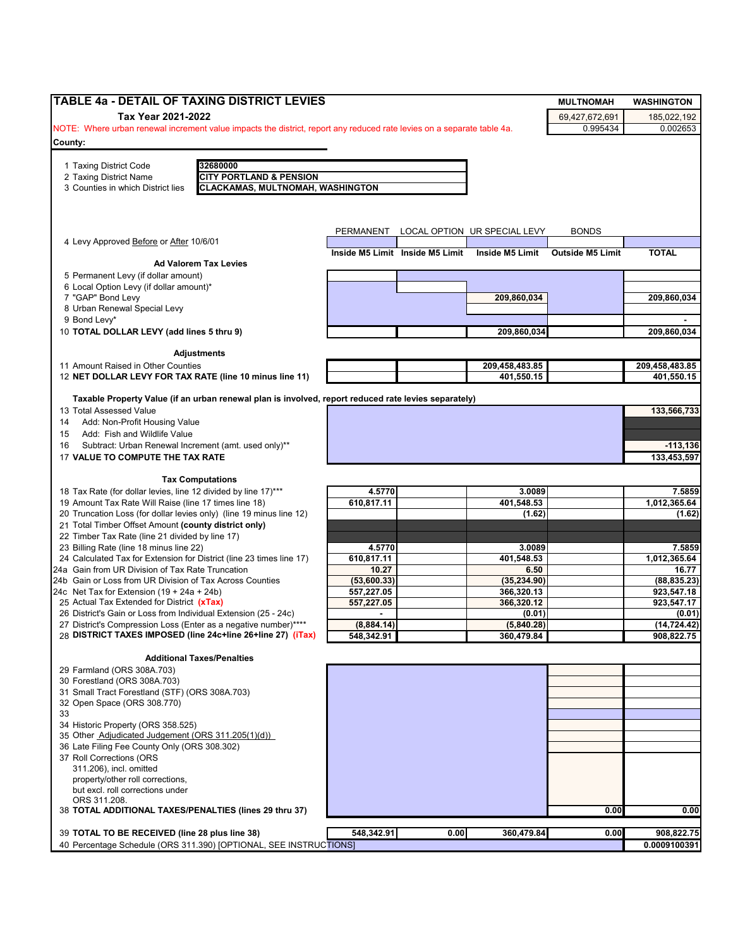| Tax Year 2021-2022<br>69,427,672,691<br>NOTE: Where urban renewal increment value impacts the district, report any reduced rate levies on a separate table 4a.<br>0.995434<br>32680000<br>1 Taxing District Code<br><b>CITY PORTLAND &amp; PENSION</b><br>2 Taxing District Name<br><b>CLACKAMAS, MULTNOMAH, WASHINGTON</b><br>3 Counties in which District lies<br><b>BONDS</b><br>PERMANENT<br>LOCAL OPTION UR SPECIAL LEVY<br>4 Levy Approved Before or After 10/6/01<br><b>TOTAL</b><br>Inside M5 Limit<br>Inside M5 Limit Inside M5 Limit<br><b>Outside M5 Limit</b><br><b>Ad Valorem Tax Levies</b><br>5 Permanent Levy (if dollar amount)<br>6 Local Option Levy (if dollar amount)*<br>7 "GAP" Bond Levy<br>209,860,034<br>8 Urban Renewal Special Levy<br>9 Bond Levy*<br>10 TOTAL DOLLAR LEVY (add lines 5 thru 9)<br>209,860,034<br><b>Adjustments</b><br>11 Amount Raised in Other Counties<br>209,458,483.85<br>209,458,483.85<br>12 NET DOLLAR LEVY FOR TAX RATE (line 10 minus line 11)<br>401,550.15<br>401,550.15<br>Taxable Property Value (if an urban renewal plan is involved, report reduced rate levies separately)<br>Add: Non-Profit Housing Value<br>Add: Fish and Wildlife Value<br>Subtract: Urban Renewal Increment (amt. used only)**<br>17 VALUE TO COMPUTE THE TAX RATE<br><b>Tax Computations</b><br>7.5859<br>18 Tax Rate (for dollar levies, line 12 divided by line 17)***<br>4.5770<br>3.0089<br>610,817.11<br>401,548.53<br>1,012,365.64<br>19 Amount Tax Rate Will Raise (line 17 times line 18)<br>20 Truncation Loss (for dollar levies only) (line 19 minus line 12)<br>(1.62)<br>(1.62)<br>21 Total Timber Offset Amount (county district only)<br>22 Timber Tax Rate (line 21 divided by line 17)<br>23 Billing Rate (line 18 minus line 22)<br>4.5770<br>3.0089<br>24 Calculated Tax for Extension for District (line 23 times line 17)<br>610,817.11<br>401,548.53<br>24a Gain from UR Division of Tax Rate Truncation<br>10.27<br>6.50<br>24b Gain or Loss from UR Division of Tax Across Counties<br>(53,600.33)<br>(35, 234.90)<br>557,227.05<br>366,320.13<br>24c Net Tax for Extension $(19 + 24a + 24b)$<br>25 Actual Tax Extended for District (xTax)<br>557,227.05<br>366,320.12<br>923,547.17<br>26 District's Gain or Loss from Individual Extension (25 - 24c)<br>(0.01)<br>(0.01)<br>27 District's Compression Loss (Enter as a negative number)****<br>(14, 724.42)<br>(8,884.14)<br>(5,840.28)<br>28 DISTRICT TAXES IMPOSED (line 24c+line 26+line 27) (iTax)<br>548,342.91<br>360,479.84<br>908,822.75<br><b>Additional Taxes/Penalties</b><br>31 Small Tract Forestland (STF) (ORS 308A.703)<br>32 Open Space (ORS 308.770)<br>33<br>34 Historic Property (ORS 358.525)<br>35 Other Adjudicated Judgement (ORS 311.205(1)(d))<br>36 Late Filing Fee County Only (ORS 308.302)<br>311.206), incl. omitted<br>property/other roll corrections,<br>but excl. roll corrections under<br>ORS 311.208.<br>0.00<br>38 TOTAL ADDITIONAL TAXES/PENALTIES (lines 29 thru 37)<br>548,342.91<br>0.00<br>360,479.84<br>39 TOTAL TO BE RECEIVED (line 28 plus line 38)<br>0.00<br>908,822.75<br>40 Percentage Schedule (ORS 311.390) [OPTIONAL, SEE INSTRUCTIONS] | TABLE 4a - DETAIL OF TAXING DISTRICT LEVIES |  |  | <b>MULTNOMAH</b> | <b>WASHINGTON</b> |
|-------------------------------------------------------------------------------------------------------------------------------------------------------------------------------------------------------------------------------------------------------------------------------------------------------------------------------------------------------------------------------------------------------------------------------------------------------------------------------------------------------------------------------------------------------------------------------------------------------------------------------------------------------------------------------------------------------------------------------------------------------------------------------------------------------------------------------------------------------------------------------------------------------------------------------------------------------------------------------------------------------------------------------------------------------------------------------------------------------------------------------------------------------------------------------------------------------------------------------------------------------------------------------------------------------------------------------------------------------------------------------------------------------------------------------------------------------------------------------------------------------------------------------------------------------------------------------------------------------------------------------------------------------------------------------------------------------------------------------------------------------------------------------------------------------------------------------------------------------------------------------------------------------------------------------------------------------------------------------------------------------------------------------------------------------------------------------------------------------------------------------------------------------------------------------------------------------------------------------------------------------------------------------------------------------------------------------------------------------------------------------------------------------------------------------------------------------------------------------------------------------------------------------------------------------------------------------------------------------------------------------------------------------------------------------------------------------------------------------------------------------------------------------------------------------------------------------------------------------------------------------------------------------------------------------------------------------------------------------------------------------------------------------------------------------------------------------------------------------------------------------------------------------------------------------------------------------------------|---------------------------------------------|--|--|------------------|-------------------|
|                                                                                                                                                                                                                                                                                                                                                                                                                                                                                                                                                                                                                                                                                                                                                                                                                                                                                                                                                                                                                                                                                                                                                                                                                                                                                                                                                                                                                                                                                                                                                                                                                                                                                                                                                                                                                                                                                                                                                                                                                                                                                                                                                                                                                                                                                                                                                                                                                                                                                                                                                                                                                                                                                                                                                                                                                                                                                                                                                                                                                                                                                                                                                                                                                   |                                             |  |  |                  | 185,022,192       |
|                                                                                                                                                                                                                                                                                                                                                                                                                                                                                                                                                                                                                                                                                                                                                                                                                                                                                                                                                                                                                                                                                                                                                                                                                                                                                                                                                                                                                                                                                                                                                                                                                                                                                                                                                                                                                                                                                                                                                                                                                                                                                                                                                                                                                                                                                                                                                                                                                                                                                                                                                                                                                                                                                                                                                                                                                                                                                                                                                                                                                                                                                                                                                                                                                   |                                             |  |  |                  | 0.002653          |
|                                                                                                                                                                                                                                                                                                                                                                                                                                                                                                                                                                                                                                                                                                                                                                                                                                                                                                                                                                                                                                                                                                                                                                                                                                                                                                                                                                                                                                                                                                                                                                                                                                                                                                                                                                                                                                                                                                                                                                                                                                                                                                                                                                                                                                                                                                                                                                                                                                                                                                                                                                                                                                                                                                                                                                                                                                                                                                                                                                                                                                                                                                                                                                                                                   | County:                                     |  |  |                  |                   |
|                                                                                                                                                                                                                                                                                                                                                                                                                                                                                                                                                                                                                                                                                                                                                                                                                                                                                                                                                                                                                                                                                                                                                                                                                                                                                                                                                                                                                                                                                                                                                                                                                                                                                                                                                                                                                                                                                                                                                                                                                                                                                                                                                                                                                                                                                                                                                                                                                                                                                                                                                                                                                                                                                                                                                                                                                                                                                                                                                                                                                                                                                                                                                                                                                   |                                             |  |  |                  |                   |
|                                                                                                                                                                                                                                                                                                                                                                                                                                                                                                                                                                                                                                                                                                                                                                                                                                                                                                                                                                                                                                                                                                                                                                                                                                                                                                                                                                                                                                                                                                                                                                                                                                                                                                                                                                                                                                                                                                                                                                                                                                                                                                                                                                                                                                                                                                                                                                                                                                                                                                                                                                                                                                                                                                                                                                                                                                                                                                                                                                                                                                                                                                                                                                                                                   |                                             |  |  |                  |                   |
|                                                                                                                                                                                                                                                                                                                                                                                                                                                                                                                                                                                                                                                                                                                                                                                                                                                                                                                                                                                                                                                                                                                                                                                                                                                                                                                                                                                                                                                                                                                                                                                                                                                                                                                                                                                                                                                                                                                                                                                                                                                                                                                                                                                                                                                                                                                                                                                                                                                                                                                                                                                                                                                                                                                                                                                                                                                                                                                                                                                                                                                                                                                                                                                                                   |                                             |  |  |                  |                   |
|                                                                                                                                                                                                                                                                                                                                                                                                                                                                                                                                                                                                                                                                                                                                                                                                                                                                                                                                                                                                                                                                                                                                                                                                                                                                                                                                                                                                                                                                                                                                                                                                                                                                                                                                                                                                                                                                                                                                                                                                                                                                                                                                                                                                                                                                                                                                                                                                                                                                                                                                                                                                                                                                                                                                                                                                                                                                                                                                                                                                                                                                                                                                                                                                                   |                                             |  |  |                  |                   |
|                                                                                                                                                                                                                                                                                                                                                                                                                                                                                                                                                                                                                                                                                                                                                                                                                                                                                                                                                                                                                                                                                                                                                                                                                                                                                                                                                                                                                                                                                                                                                                                                                                                                                                                                                                                                                                                                                                                                                                                                                                                                                                                                                                                                                                                                                                                                                                                                                                                                                                                                                                                                                                                                                                                                                                                                                                                                                                                                                                                                                                                                                                                                                                                                                   |                                             |  |  |                  |                   |
|                                                                                                                                                                                                                                                                                                                                                                                                                                                                                                                                                                                                                                                                                                                                                                                                                                                                                                                                                                                                                                                                                                                                                                                                                                                                                                                                                                                                                                                                                                                                                                                                                                                                                                                                                                                                                                                                                                                                                                                                                                                                                                                                                                                                                                                                                                                                                                                                                                                                                                                                                                                                                                                                                                                                                                                                                                                                                                                                                                                                                                                                                                                                                                                                                   |                                             |  |  |                  |                   |
|                                                                                                                                                                                                                                                                                                                                                                                                                                                                                                                                                                                                                                                                                                                                                                                                                                                                                                                                                                                                                                                                                                                                                                                                                                                                                                                                                                                                                                                                                                                                                                                                                                                                                                                                                                                                                                                                                                                                                                                                                                                                                                                                                                                                                                                                                                                                                                                                                                                                                                                                                                                                                                                                                                                                                                                                                                                                                                                                                                                                                                                                                                                                                                                                                   |                                             |  |  |                  |                   |
|                                                                                                                                                                                                                                                                                                                                                                                                                                                                                                                                                                                                                                                                                                                                                                                                                                                                                                                                                                                                                                                                                                                                                                                                                                                                                                                                                                                                                                                                                                                                                                                                                                                                                                                                                                                                                                                                                                                                                                                                                                                                                                                                                                                                                                                                                                                                                                                                                                                                                                                                                                                                                                                                                                                                                                                                                                                                                                                                                                                                                                                                                                                                                                                                                   |                                             |  |  |                  |                   |
|                                                                                                                                                                                                                                                                                                                                                                                                                                                                                                                                                                                                                                                                                                                                                                                                                                                                                                                                                                                                                                                                                                                                                                                                                                                                                                                                                                                                                                                                                                                                                                                                                                                                                                                                                                                                                                                                                                                                                                                                                                                                                                                                                                                                                                                                                                                                                                                                                                                                                                                                                                                                                                                                                                                                                                                                                                                                                                                                                                                                                                                                                                                                                                                                                   |                                             |  |  |                  |                   |
|                                                                                                                                                                                                                                                                                                                                                                                                                                                                                                                                                                                                                                                                                                                                                                                                                                                                                                                                                                                                                                                                                                                                                                                                                                                                                                                                                                                                                                                                                                                                                                                                                                                                                                                                                                                                                                                                                                                                                                                                                                                                                                                                                                                                                                                                                                                                                                                                                                                                                                                                                                                                                                                                                                                                                                                                                                                                                                                                                                                                                                                                                                                                                                                                                   |                                             |  |  |                  |                   |
|                                                                                                                                                                                                                                                                                                                                                                                                                                                                                                                                                                                                                                                                                                                                                                                                                                                                                                                                                                                                                                                                                                                                                                                                                                                                                                                                                                                                                                                                                                                                                                                                                                                                                                                                                                                                                                                                                                                                                                                                                                                                                                                                                                                                                                                                                                                                                                                                                                                                                                                                                                                                                                                                                                                                                                                                                                                                                                                                                                                                                                                                                                                                                                                                                   |                                             |  |  |                  |                   |
|                                                                                                                                                                                                                                                                                                                                                                                                                                                                                                                                                                                                                                                                                                                                                                                                                                                                                                                                                                                                                                                                                                                                                                                                                                                                                                                                                                                                                                                                                                                                                                                                                                                                                                                                                                                                                                                                                                                                                                                                                                                                                                                                                                                                                                                                                                                                                                                                                                                                                                                                                                                                                                                                                                                                                                                                                                                                                                                                                                                                                                                                                                                                                                                                                   |                                             |  |  |                  | 209,860,034       |
|                                                                                                                                                                                                                                                                                                                                                                                                                                                                                                                                                                                                                                                                                                                                                                                                                                                                                                                                                                                                                                                                                                                                                                                                                                                                                                                                                                                                                                                                                                                                                                                                                                                                                                                                                                                                                                                                                                                                                                                                                                                                                                                                                                                                                                                                                                                                                                                                                                                                                                                                                                                                                                                                                                                                                                                                                                                                                                                                                                                                                                                                                                                                                                                                                   |                                             |  |  |                  |                   |
|                                                                                                                                                                                                                                                                                                                                                                                                                                                                                                                                                                                                                                                                                                                                                                                                                                                                                                                                                                                                                                                                                                                                                                                                                                                                                                                                                                                                                                                                                                                                                                                                                                                                                                                                                                                                                                                                                                                                                                                                                                                                                                                                                                                                                                                                                                                                                                                                                                                                                                                                                                                                                                                                                                                                                                                                                                                                                                                                                                                                                                                                                                                                                                                                                   |                                             |  |  |                  |                   |
|                                                                                                                                                                                                                                                                                                                                                                                                                                                                                                                                                                                                                                                                                                                                                                                                                                                                                                                                                                                                                                                                                                                                                                                                                                                                                                                                                                                                                                                                                                                                                                                                                                                                                                                                                                                                                                                                                                                                                                                                                                                                                                                                                                                                                                                                                                                                                                                                                                                                                                                                                                                                                                                                                                                                                                                                                                                                                                                                                                                                                                                                                                                                                                                                                   |                                             |  |  |                  | 209,860,034       |
|                                                                                                                                                                                                                                                                                                                                                                                                                                                                                                                                                                                                                                                                                                                                                                                                                                                                                                                                                                                                                                                                                                                                                                                                                                                                                                                                                                                                                                                                                                                                                                                                                                                                                                                                                                                                                                                                                                                                                                                                                                                                                                                                                                                                                                                                                                                                                                                                                                                                                                                                                                                                                                                                                                                                                                                                                                                                                                                                                                                                                                                                                                                                                                                                                   |                                             |  |  |                  |                   |
|                                                                                                                                                                                                                                                                                                                                                                                                                                                                                                                                                                                                                                                                                                                                                                                                                                                                                                                                                                                                                                                                                                                                                                                                                                                                                                                                                                                                                                                                                                                                                                                                                                                                                                                                                                                                                                                                                                                                                                                                                                                                                                                                                                                                                                                                                                                                                                                                                                                                                                                                                                                                                                                                                                                                                                                                                                                                                                                                                                                                                                                                                                                                                                                                                   |                                             |  |  |                  |                   |
|                                                                                                                                                                                                                                                                                                                                                                                                                                                                                                                                                                                                                                                                                                                                                                                                                                                                                                                                                                                                                                                                                                                                                                                                                                                                                                                                                                                                                                                                                                                                                                                                                                                                                                                                                                                                                                                                                                                                                                                                                                                                                                                                                                                                                                                                                                                                                                                                                                                                                                                                                                                                                                                                                                                                                                                                                                                                                                                                                                                                                                                                                                                                                                                                                   |                                             |  |  |                  |                   |
|                                                                                                                                                                                                                                                                                                                                                                                                                                                                                                                                                                                                                                                                                                                                                                                                                                                                                                                                                                                                                                                                                                                                                                                                                                                                                                                                                                                                                                                                                                                                                                                                                                                                                                                                                                                                                                                                                                                                                                                                                                                                                                                                                                                                                                                                                                                                                                                                                                                                                                                                                                                                                                                                                                                                                                                                                                                                                                                                                                                                                                                                                                                                                                                                                   |                                             |  |  |                  |                   |
|                                                                                                                                                                                                                                                                                                                                                                                                                                                                                                                                                                                                                                                                                                                                                                                                                                                                                                                                                                                                                                                                                                                                                                                                                                                                                                                                                                                                                                                                                                                                                                                                                                                                                                                                                                                                                                                                                                                                                                                                                                                                                                                                                                                                                                                                                                                                                                                                                                                                                                                                                                                                                                                                                                                                                                                                                                                                                                                                                                                                                                                                                                                                                                                                                   |                                             |  |  |                  |                   |
|                                                                                                                                                                                                                                                                                                                                                                                                                                                                                                                                                                                                                                                                                                                                                                                                                                                                                                                                                                                                                                                                                                                                                                                                                                                                                                                                                                                                                                                                                                                                                                                                                                                                                                                                                                                                                                                                                                                                                                                                                                                                                                                                                                                                                                                                                                                                                                                                                                                                                                                                                                                                                                                                                                                                                                                                                                                                                                                                                                                                                                                                                                                                                                                                                   | 13 Total Assessed Value                     |  |  |                  | 133,566,733       |
|                                                                                                                                                                                                                                                                                                                                                                                                                                                                                                                                                                                                                                                                                                                                                                                                                                                                                                                                                                                                                                                                                                                                                                                                                                                                                                                                                                                                                                                                                                                                                                                                                                                                                                                                                                                                                                                                                                                                                                                                                                                                                                                                                                                                                                                                                                                                                                                                                                                                                                                                                                                                                                                                                                                                                                                                                                                                                                                                                                                                                                                                                                                                                                                                                   | 14                                          |  |  |                  |                   |
|                                                                                                                                                                                                                                                                                                                                                                                                                                                                                                                                                                                                                                                                                                                                                                                                                                                                                                                                                                                                                                                                                                                                                                                                                                                                                                                                                                                                                                                                                                                                                                                                                                                                                                                                                                                                                                                                                                                                                                                                                                                                                                                                                                                                                                                                                                                                                                                                                                                                                                                                                                                                                                                                                                                                                                                                                                                                                                                                                                                                                                                                                                                                                                                                                   | 15                                          |  |  |                  |                   |
|                                                                                                                                                                                                                                                                                                                                                                                                                                                                                                                                                                                                                                                                                                                                                                                                                                                                                                                                                                                                                                                                                                                                                                                                                                                                                                                                                                                                                                                                                                                                                                                                                                                                                                                                                                                                                                                                                                                                                                                                                                                                                                                                                                                                                                                                                                                                                                                                                                                                                                                                                                                                                                                                                                                                                                                                                                                                                                                                                                                                                                                                                                                                                                                                                   | 16                                          |  |  |                  | $-113,136$        |
|                                                                                                                                                                                                                                                                                                                                                                                                                                                                                                                                                                                                                                                                                                                                                                                                                                                                                                                                                                                                                                                                                                                                                                                                                                                                                                                                                                                                                                                                                                                                                                                                                                                                                                                                                                                                                                                                                                                                                                                                                                                                                                                                                                                                                                                                                                                                                                                                                                                                                                                                                                                                                                                                                                                                                                                                                                                                                                                                                                                                                                                                                                                                                                                                                   |                                             |  |  |                  | 133,453,597       |
|                                                                                                                                                                                                                                                                                                                                                                                                                                                                                                                                                                                                                                                                                                                                                                                                                                                                                                                                                                                                                                                                                                                                                                                                                                                                                                                                                                                                                                                                                                                                                                                                                                                                                                                                                                                                                                                                                                                                                                                                                                                                                                                                                                                                                                                                                                                                                                                                                                                                                                                                                                                                                                                                                                                                                                                                                                                                                                                                                                                                                                                                                                                                                                                                                   |                                             |  |  |                  |                   |
|                                                                                                                                                                                                                                                                                                                                                                                                                                                                                                                                                                                                                                                                                                                                                                                                                                                                                                                                                                                                                                                                                                                                                                                                                                                                                                                                                                                                                                                                                                                                                                                                                                                                                                                                                                                                                                                                                                                                                                                                                                                                                                                                                                                                                                                                                                                                                                                                                                                                                                                                                                                                                                                                                                                                                                                                                                                                                                                                                                                                                                                                                                                                                                                                                   |                                             |  |  |                  |                   |
|                                                                                                                                                                                                                                                                                                                                                                                                                                                                                                                                                                                                                                                                                                                                                                                                                                                                                                                                                                                                                                                                                                                                                                                                                                                                                                                                                                                                                                                                                                                                                                                                                                                                                                                                                                                                                                                                                                                                                                                                                                                                                                                                                                                                                                                                                                                                                                                                                                                                                                                                                                                                                                                                                                                                                                                                                                                                                                                                                                                                                                                                                                                                                                                                                   |                                             |  |  |                  |                   |
|                                                                                                                                                                                                                                                                                                                                                                                                                                                                                                                                                                                                                                                                                                                                                                                                                                                                                                                                                                                                                                                                                                                                                                                                                                                                                                                                                                                                                                                                                                                                                                                                                                                                                                                                                                                                                                                                                                                                                                                                                                                                                                                                                                                                                                                                                                                                                                                                                                                                                                                                                                                                                                                                                                                                                                                                                                                                                                                                                                                                                                                                                                                                                                                                                   |                                             |  |  |                  |                   |
|                                                                                                                                                                                                                                                                                                                                                                                                                                                                                                                                                                                                                                                                                                                                                                                                                                                                                                                                                                                                                                                                                                                                                                                                                                                                                                                                                                                                                                                                                                                                                                                                                                                                                                                                                                                                                                                                                                                                                                                                                                                                                                                                                                                                                                                                                                                                                                                                                                                                                                                                                                                                                                                                                                                                                                                                                                                                                                                                                                                                                                                                                                                                                                                                                   |                                             |  |  |                  |                   |
|                                                                                                                                                                                                                                                                                                                                                                                                                                                                                                                                                                                                                                                                                                                                                                                                                                                                                                                                                                                                                                                                                                                                                                                                                                                                                                                                                                                                                                                                                                                                                                                                                                                                                                                                                                                                                                                                                                                                                                                                                                                                                                                                                                                                                                                                                                                                                                                                                                                                                                                                                                                                                                                                                                                                                                                                                                                                                                                                                                                                                                                                                                                                                                                                                   |                                             |  |  |                  |                   |
|                                                                                                                                                                                                                                                                                                                                                                                                                                                                                                                                                                                                                                                                                                                                                                                                                                                                                                                                                                                                                                                                                                                                                                                                                                                                                                                                                                                                                                                                                                                                                                                                                                                                                                                                                                                                                                                                                                                                                                                                                                                                                                                                                                                                                                                                                                                                                                                                                                                                                                                                                                                                                                                                                                                                                                                                                                                                                                                                                                                                                                                                                                                                                                                                                   |                                             |  |  |                  | 7.5859            |
|                                                                                                                                                                                                                                                                                                                                                                                                                                                                                                                                                                                                                                                                                                                                                                                                                                                                                                                                                                                                                                                                                                                                                                                                                                                                                                                                                                                                                                                                                                                                                                                                                                                                                                                                                                                                                                                                                                                                                                                                                                                                                                                                                                                                                                                                                                                                                                                                                                                                                                                                                                                                                                                                                                                                                                                                                                                                                                                                                                                                                                                                                                                                                                                                                   |                                             |  |  |                  | 1,012,365.64      |
|                                                                                                                                                                                                                                                                                                                                                                                                                                                                                                                                                                                                                                                                                                                                                                                                                                                                                                                                                                                                                                                                                                                                                                                                                                                                                                                                                                                                                                                                                                                                                                                                                                                                                                                                                                                                                                                                                                                                                                                                                                                                                                                                                                                                                                                                                                                                                                                                                                                                                                                                                                                                                                                                                                                                                                                                                                                                                                                                                                                                                                                                                                                                                                                                                   |                                             |  |  |                  | 16.77             |
|                                                                                                                                                                                                                                                                                                                                                                                                                                                                                                                                                                                                                                                                                                                                                                                                                                                                                                                                                                                                                                                                                                                                                                                                                                                                                                                                                                                                                                                                                                                                                                                                                                                                                                                                                                                                                                                                                                                                                                                                                                                                                                                                                                                                                                                                                                                                                                                                                                                                                                                                                                                                                                                                                                                                                                                                                                                                                                                                                                                                                                                                                                                                                                                                                   |                                             |  |  |                  | (88, 835.23)      |
|                                                                                                                                                                                                                                                                                                                                                                                                                                                                                                                                                                                                                                                                                                                                                                                                                                                                                                                                                                                                                                                                                                                                                                                                                                                                                                                                                                                                                                                                                                                                                                                                                                                                                                                                                                                                                                                                                                                                                                                                                                                                                                                                                                                                                                                                                                                                                                                                                                                                                                                                                                                                                                                                                                                                                                                                                                                                                                                                                                                                                                                                                                                                                                                                                   |                                             |  |  |                  | 923,547.18        |
|                                                                                                                                                                                                                                                                                                                                                                                                                                                                                                                                                                                                                                                                                                                                                                                                                                                                                                                                                                                                                                                                                                                                                                                                                                                                                                                                                                                                                                                                                                                                                                                                                                                                                                                                                                                                                                                                                                                                                                                                                                                                                                                                                                                                                                                                                                                                                                                                                                                                                                                                                                                                                                                                                                                                                                                                                                                                                                                                                                                                                                                                                                                                                                                                                   |                                             |  |  |                  |                   |
|                                                                                                                                                                                                                                                                                                                                                                                                                                                                                                                                                                                                                                                                                                                                                                                                                                                                                                                                                                                                                                                                                                                                                                                                                                                                                                                                                                                                                                                                                                                                                                                                                                                                                                                                                                                                                                                                                                                                                                                                                                                                                                                                                                                                                                                                                                                                                                                                                                                                                                                                                                                                                                                                                                                                                                                                                                                                                                                                                                                                                                                                                                                                                                                                                   |                                             |  |  |                  |                   |
|                                                                                                                                                                                                                                                                                                                                                                                                                                                                                                                                                                                                                                                                                                                                                                                                                                                                                                                                                                                                                                                                                                                                                                                                                                                                                                                                                                                                                                                                                                                                                                                                                                                                                                                                                                                                                                                                                                                                                                                                                                                                                                                                                                                                                                                                                                                                                                                                                                                                                                                                                                                                                                                                                                                                                                                                                                                                                                                                                                                                                                                                                                                                                                                                                   |                                             |  |  |                  |                   |
|                                                                                                                                                                                                                                                                                                                                                                                                                                                                                                                                                                                                                                                                                                                                                                                                                                                                                                                                                                                                                                                                                                                                                                                                                                                                                                                                                                                                                                                                                                                                                                                                                                                                                                                                                                                                                                                                                                                                                                                                                                                                                                                                                                                                                                                                                                                                                                                                                                                                                                                                                                                                                                                                                                                                                                                                                                                                                                                                                                                                                                                                                                                                                                                                                   |                                             |  |  |                  |                   |
|                                                                                                                                                                                                                                                                                                                                                                                                                                                                                                                                                                                                                                                                                                                                                                                                                                                                                                                                                                                                                                                                                                                                                                                                                                                                                                                                                                                                                                                                                                                                                                                                                                                                                                                                                                                                                                                                                                                                                                                                                                                                                                                                                                                                                                                                                                                                                                                                                                                                                                                                                                                                                                                                                                                                                                                                                                                                                                                                                                                                                                                                                                                                                                                                                   |                                             |  |  |                  |                   |
|                                                                                                                                                                                                                                                                                                                                                                                                                                                                                                                                                                                                                                                                                                                                                                                                                                                                                                                                                                                                                                                                                                                                                                                                                                                                                                                                                                                                                                                                                                                                                                                                                                                                                                                                                                                                                                                                                                                                                                                                                                                                                                                                                                                                                                                                                                                                                                                                                                                                                                                                                                                                                                                                                                                                                                                                                                                                                                                                                                                                                                                                                                                                                                                                                   | 29 Farmland (ORS 308A.703)                  |  |  |                  |                   |
|                                                                                                                                                                                                                                                                                                                                                                                                                                                                                                                                                                                                                                                                                                                                                                                                                                                                                                                                                                                                                                                                                                                                                                                                                                                                                                                                                                                                                                                                                                                                                                                                                                                                                                                                                                                                                                                                                                                                                                                                                                                                                                                                                                                                                                                                                                                                                                                                                                                                                                                                                                                                                                                                                                                                                                                                                                                                                                                                                                                                                                                                                                                                                                                                                   | 30 Forestland (ORS 308A.703)                |  |  |                  |                   |
|                                                                                                                                                                                                                                                                                                                                                                                                                                                                                                                                                                                                                                                                                                                                                                                                                                                                                                                                                                                                                                                                                                                                                                                                                                                                                                                                                                                                                                                                                                                                                                                                                                                                                                                                                                                                                                                                                                                                                                                                                                                                                                                                                                                                                                                                                                                                                                                                                                                                                                                                                                                                                                                                                                                                                                                                                                                                                                                                                                                                                                                                                                                                                                                                                   |                                             |  |  |                  |                   |
|                                                                                                                                                                                                                                                                                                                                                                                                                                                                                                                                                                                                                                                                                                                                                                                                                                                                                                                                                                                                                                                                                                                                                                                                                                                                                                                                                                                                                                                                                                                                                                                                                                                                                                                                                                                                                                                                                                                                                                                                                                                                                                                                                                                                                                                                                                                                                                                                                                                                                                                                                                                                                                                                                                                                                                                                                                                                                                                                                                                                                                                                                                                                                                                                                   |                                             |  |  |                  |                   |
|                                                                                                                                                                                                                                                                                                                                                                                                                                                                                                                                                                                                                                                                                                                                                                                                                                                                                                                                                                                                                                                                                                                                                                                                                                                                                                                                                                                                                                                                                                                                                                                                                                                                                                                                                                                                                                                                                                                                                                                                                                                                                                                                                                                                                                                                                                                                                                                                                                                                                                                                                                                                                                                                                                                                                                                                                                                                                                                                                                                                                                                                                                                                                                                                                   |                                             |  |  |                  |                   |
|                                                                                                                                                                                                                                                                                                                                                                                                                                                                                                                                                                                                                                                                                                                                                                                                                                                                                                                                                                                                                                                                                                                                                                                                                                                                                                                                                                                                                                                                                                                                                                                                                                                                                                                                                                                                                                                                                                                                                                                                                                                                                                                                                                                                                                                                                                                                                                                                                                                                                                                                                                                                                                                                                                                                                                                                                                                                                                                                                                                                                                                                                                                                                                                                                   |                                             |  |  |                  |                   |
|                                                                                                                                                                                                                                                                                                                                                                                                                                                                                                                                                                                                                                                                                                                                                                                                                                                                                                                                                                                                                                                                                                                                                                                                                                                                                                                                                                                                                                                                                                                                                                                                                                                                                                                                                                                                                                                                                                                                                                                                                                                                                                                                                                                                                                                                                                                                                                                                                                                                                                                                                                                                                                                                                                                                                                                                                                                                                                                                                                                                                                                                                                                                                                                                                   |                                             |  |  |                  |                   |
|                                                                                                                                                                                                                                                                                                                                                                                                                                                                                                                                                                                                                                                                                                                                                                                                                                                                                                                                                                                                                                                                                                                                                                                                                                                                                                                                                                                                                                                                                                                                                                                                                                                                                                                                                                                                                                                                                                                                                                                                                                                                                                                                                                                                                                                                                                                                                                                                                                                                                                                                                                                                                                                                                                                                                                                                                                                                                                                                                                                                                                                                                                                                                                                                                   | 37 Roll Corrections (ORS                    |  |  |                  |                   |
|                                                                                                                                                                                                                                                                                                                                                                                                                                                                                                                                                                                                                                                                                                                                                                                                                                                                                                                                                                                                                                                                                                                                                                                                                                                                                                                                                                                                                                                                                                                                                                                                                                                                                                                                                                                                                                                                                                                                                                                                                                                                                                                                                                                                                                                                                                                                                                                                                                                                                                                                                                                                                                                                                                                                                                                                                                                                                                                                                                                                                                                                                                                                                                                                                   |                                             |  |  |                  |                   |
|                                                                                                                                                                                                                                                                                                                                                                                                                                                                                                                                                                                                                                                                                                                                                                                                                                                                                                                                                                                                                                                                                                                                                                                                                                                                                                                                                                                                                                                                                                                                                                                                                                                                                                                                                                                                                                                                                                                                                                                                                                                                                                                                                                                                                                                                                                                                                                                                                                                                                                                                                                                                                                                                                                                                                                                                                                                                                                                                                                                                                                                                                                                                                                                                                   |                                             |  |  |                  |                   |
|                                                                                                                                                                                                                                                                                                                                                                                                                                                                                                                                                                                                                                                                                                                                                                                                                                                                                                                                                                                                                                                                                                                                                                                                                                                                                                                                                                                                                                                                                                                                                                                                                                                                                                                                                                                                                                                                                                                                                                                                                                                                                                                                                                                                                                                                                                                                                                                                                                                                                                                                                                                                                                                                                                                                                                                                                                                                                                                                                                                                                                                                                                                                                                                                                   |                                             |  |  |                  |                   |
|                                                                                                                                                                                                                                                                                                                                                                                                                                                                                                                                                                                                                                                                                                                                                                                                                                                                                                                                                                                                                                                                                                                                                                                                                                                                                                                                                                                                                                                                                                                                                                                                                                                                                                                                                                                                                                                                                                                                                                                                                                                                                                                                                                                                                                                                                                                                                                                                                                                                                                                                                                                                                                                                                                                                                                                                                                                                                                                                                                                                                                                                                                                                                                                                                   |                                             |  |  |                  |                   |
|                                                                                                                                                                                                                                                                                                                                                                                                                                                                                                                                                                                                                                                                                                                                                                                                                                                                                                                                                                                                                                                                                                                                                                                                                                                                                                                                                                                                                                                                                                                                                                                                                                                                                                                                                                                                                                                                                                                                                                                                                                                                                                                                                                                                                                                                                                                                                                                                                                                                                                                                                                                                                                                                                                                                                                                                                                                                                                                                                                                                                                                                                                                                                                                                                   |                                             |  |  |                  | 0.00              |
|                                                                                                                                                                                                                                                                                                                                                                                                                                                                                                                                                                                                                                                                                                                                                                                                                                                                                                                                                                                                                                                                                                                                                                                                                                                                                                                                                                                                                                                                                                                                                                                                                                                                                                                                                                                                                                                                                                                                                                                                                                                                                                                                                                                                                                                                                                                                                                                                                                                                                                                                                                                                                                                                                                                                                                                                                                                                                                                                                                                                                                                                                                                                                                                                                   |                                             |  |  |                  |                   |
|                                                                                                                                                                                                                                                                                                                                                                                                                                                                                                                                                                                                                                                                                                                                                                                                                                                                                                                                                                                                                                                                                                                                                                                                                                                                                                                                                                                                                                                                                                                                                                                                                                                                                                                                                                                                                                                                                                                                                                                                                                                                                                                                                                                                                                                                                                                                                                                                                                                                                                                                                                                                                                                                                                                                                                                                                                                                                                                                                                                                                                                                                                                                                                                                                   |                                             |  |  |                  | 0.0009100391      |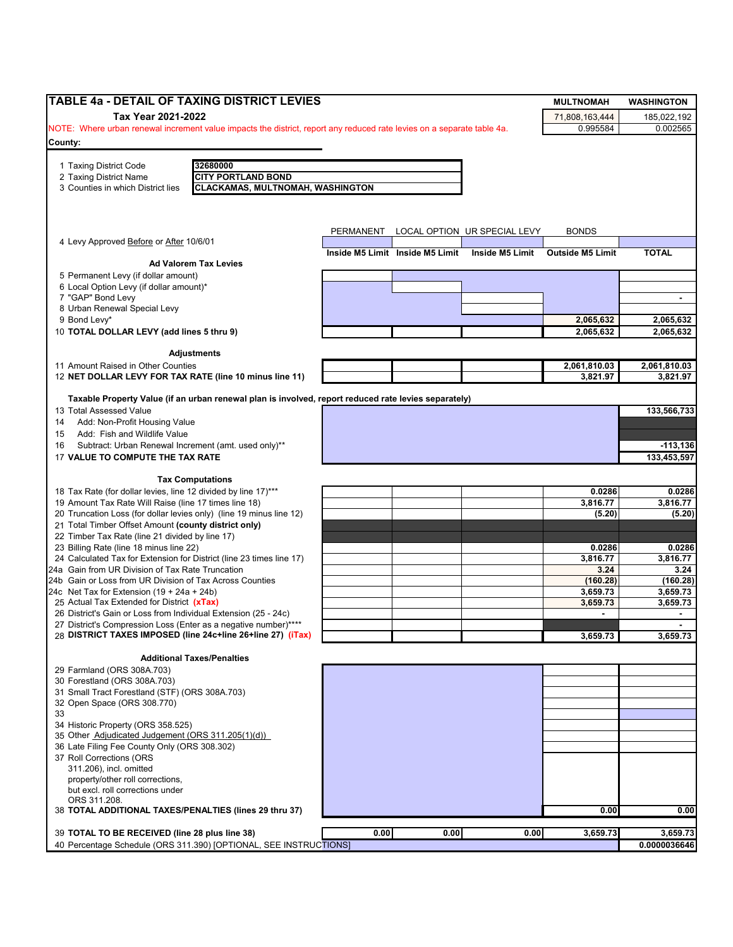| TABLE 4a - DETAIL OF TAXING DISTRICT LEVIES                                                                            |           |                                 |                              | <b>MULTNOMAH</b>        | <b>WASHINGTON</b> |
|------------------------------------------------------------------------------------------------------------------------|-----------|---------------------------------|------------------------------|-------------------------|-------------------|
| Tax Year 2021-2022                                                                                                     |           |                                 |                              | 71,808,163,444          | 185,022,192       |
| NOTE: Where urban renewal increment value impacts the district, report any reduced rate levies on a separate table 4a. |           |                                 |                              | 0.995584                | 0.002565          |
| County:                                                                                                                |           |                                 |                              |                         |                   |
|                                                                                                                        |           |                                 |                              |                         |                   |
| 1 Taxing District Code<br>32680000<br><b>CITY PORTLAND BOND</b><br>2 Taxing District Name                              |           |                                 |                              |                         |                   |
| <b>CLACKAMAS, MULTNOMAH, WASHINGTON</b><br>3 Counties in which District lies                                           |           |                                 |                              |                         |                   |
|                                                                                                                        |           |                                 |                              |                         |                   |
|                                                                                                                        |           |                                 |                              |                         |                   |
|                                                                                                                        |           |                                 |                              |                         |                   |
| 4 Levy Approved Before or After 10/6/01                                                                                | PERMANENT |                                 | LOCAL OPTION UR SPECIAL LEVY | <b>BONDS</b>            |                   |
|                                                                                                                        |           | Inside M5 Limit Inside M5 Limit | Inside M5 Limit              | <b>Outside M5 Limit</b> | <b>TOTAL</b>      |
| <b>Ad Valorem Tax Levies</b>                                                                                           |           |                                 |                              |                         |                   |
| 5 Permanent Levy (if dollar amount)                                                                                    |           |                                 |                              |                         |                   |
| 6 Local Option Levy (if dollar amount)*                                                                                |           |                                 |                              |                         |                   |
| 7 "GAP" Bond Levy                                                                                                      |           |                                 |                              |                         |                   |
| 8 Urban Renewal Special Levy<br>9 Bond Levy*                                                                           |           |                                 |                              | 2,065,632               | 2,065,632         |
| 10 TOTAL DOLLAR LEVY (add lines 5 thru 9)                                                                              |           |                                 |                              | 2,065,632               | 2,065,632         |
|                                                                                                                        |           |                                 |                              |                         |                   |
| <b>Adjustments</b>                                                                                                     |           |                                 |                              |                         |                   |
| 11 Amount Raised in Other Counties                                                                                     |           |                                 |                              | 2,061,810.03            | 2,061,810.03      |
| 12 NET DOLLAR LEVY FOR TAX RATE (line 10 minus line 11)                                                                |           |                                 |                              | 3,821.97                | 3.821.97          |
| Taxable Property Value (if an urban renewal plan is involved, report reduced rate levies separately)                   |           |                                 |                              |                         |                   |
| 13 Total Assessed Value                                                                                                |           |                                 |                              |                         | 133,566,733       |
| Add: Non-Profit Housing Value<br>14                                                                                    |           |                                 |                              |                         |                   |
| Add: Fish and Wildlife Value<br>15                                                                                     |           |                                 |                              |                         |                   |
| Subtract: Urban Renewal Increment (amt. used only)**<br>16                                                             |           |                                 |                              |                         | $-113,136$        |
| 17 VALUE TO COMPUTE THE TAX RATE                                                                                       |           |                                 |                              |                         | 133,453,597       |
|                                                                                                                        |           |                                 |                              |                         |                   |
| <b>Tax Computations</b>                                                                                                |           |                                 |                              |                         |                   |
| 18 Tax Rate (for dollar levies, line 12 divided by line 17)***                                                         |           |                                 |                              | 0.0286                  | 0.0286            |
| 19 Amount Tax Rate Will Raise (line 17 times line 18)                                                                  |           |                                 |                              | 3,816.77                | 3,816.77          |
| 20 Truncation Loss (for dollar levies only) (line 19 minus line 12)                                                    |           |                                 |                              | (5.20)                  | (5.20)            |
| 21 Total Timber Offset Amount (county district only)<br>22 Timber Tax Rate (line 21 divided by line 17)                |           |                                 |                              |                         |                   |
| 23 Billing Rate (line 18 minus line 22)                                                                                |           |                                 |                              | 0.0286                  | 0.0286            |
| 24 Calculated Tax for Extension for District (line 23 times line 17)                                                   |           |                                 |                              | 3,816.77                | 3,816.77          |
| 24a Gain from UR Division of Tax Rate Truncation                                                                       |           |                                 |                              | 3.24                    | 3.24              |
| 24b Gain or Loss from UR Division of Tax Across Counties                                                               |           |                                 |                              | (160.28)                | (160.28)          |
| 24c Net Tax for Extension $(19 + 24a + 24b)$                                                                           |           |                                 |                              | 3,659.73                | 3,659.73          |
| 25 Actual Tax Extended for District (xTax)                                                                             |           |                                 |                              | 3,659.73                | 3,659.73          |
| 26 District's Gain or Loss from Individual Extension (25 - 24c)                                                        |           |                                 |                              |                         | $\blacksquare$    |
| 27 District's Compression Loss (Enter as a negative number)****                                                        |           |                                 |                              |                         |                   |
| 28 DISTRICT TAXES IMPOSED (line 24c+line 26+line 27) (iTax)                                                            |           |                                 |                              | 3,659.73                | 3,659.73          |
| <b>Additional Taxes/Penalties</b>                                                                                      |           |                                 |                              |                         |                   |
| 29 Farmland (ORS 308A.703)                                                                                             |           |                                 |                              |                         |                   |
| 30 Forestland (ORS 308A.703)                                                                                           |           |                                 |                              |                         |                   |
| 31 Small Tract Forestland (STF) (ORS 308A.703)                                                                         |           |                                 |                              |                         |                   |
| 32 Open Space (ORS 308.770)                                                                                            |           |                                 |                              |                         |                   |
| 33                                                                                                                     |           |                                 |                              |                         |                   |
| 34 Historic Property (ORS 358.525)                                                                                     |           |                                 |                              |                         |                   |
| 35 Other Adjudicated Judgement (ORS 311.205(1)(d))                                                                     |           |                                 |                              |                         |                   |
| 36 Late Filing Fee County Only (ORS 308.302)<br>37 Roll Corrections (ORS                                               |           |                                 |                              |                         |                   |
| 311.206), incl. omitted                                                                                                |           |                                 |                              |                         |                   |
| property/other roll corrections,                                                                                       |           |                                 |                              |                         |                   |
| but excl. roll corrections under                                                                                       |           |                                 |                              |                         |                   |
| ORS 311.208.                                                                                                           |           |                                 |                              |                         |                   |
| 38 TOTAL ADDITIONAL TAXES/PENALTIES (lines 29 thru 37)                                                                 |           |                                 |                              | 0.00                    | 0.00              |
|                                                                                                                        |           |                                 |                              |                         |                   |
| 39 TOTAL TO BE RECEIVED (line 28 plus line 38)                                                                         | 0.00      | 0.00                            | 0.00                         | 3,659.73                | 3,659.73          |
| 40 Percentage Schedule (ORS 311.390) [OPTIONAL, SEE INSTRUCTIONS]                                                      |           |                                 |                              |                         | 0.0000036646      |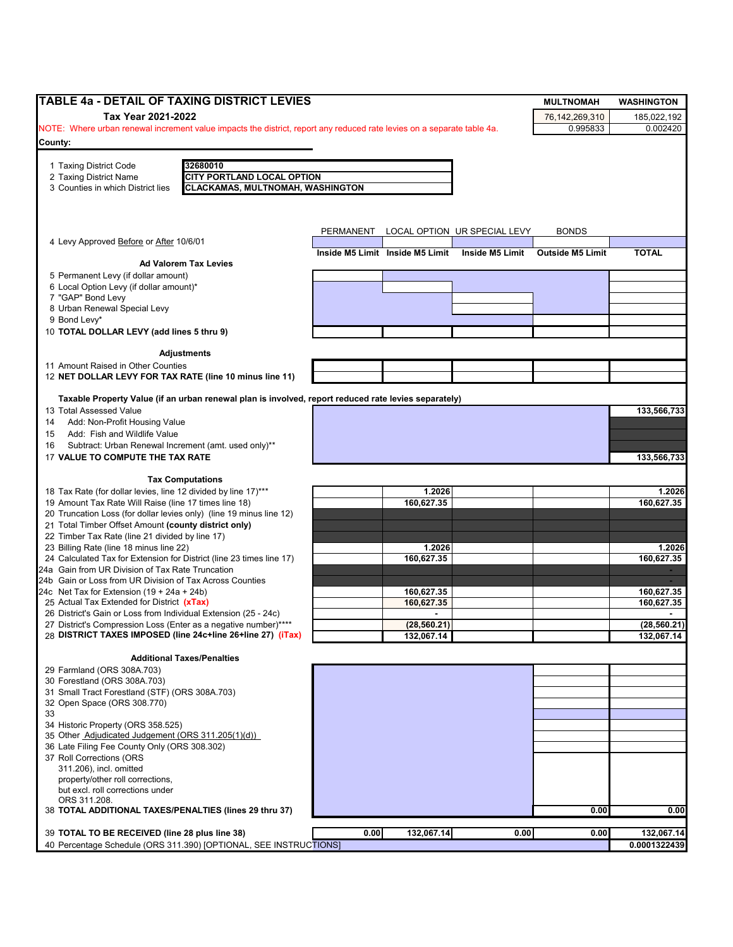| <b>TABLE 4a - DETAIL OF TAXING DISTRICT LEVIES</b>                                                                             |                                                                                                      |           |                                 |                              | <b>MULTNOMAH</b>        | <b>WASHINGTON</b>          |
|--------------------------------------------------------------------------------------------------------------------------------|------------------------------------------------------------------------------------------------------|-----------|---------------------------------|------------------------------|-------------------------|----------------------------|
| Tax Year 2021-2022                                                                                                             |                                                                                                      |           |                                 |                              | 76,142,269,310          | 185,022,192                |
| NOTE: Where urban renewal increment value impacts the district, report any reduced rate levies on a separate table 4a.         |                                                                                                      |           |                                 |                              | 0.995833                | 0.002420                   |
| County:                                                                                                                        |                                                                                                      |           |                                 |                              |                         |                            |
|                                                                                                                                | 32680010                                                                                             |           |                                 |                              |                         |                            |
| 1 Taxing District Code<br>2 Taxing District Name                                                                               | <b>CITY PORTLAND LOCAL OPTION</b>                                                                    |           |                                 |                              |                         |                            |
| 3 Counties in which District lies                                                                                              | <b>CLACKAMAS, MULTNOMAH, WASHINGTON</b>                                                              |           |                                 |                              |                         |                            |
|                                                                                                                                |                                                                                                      |           |                                 |                              |                         |                            |
|                                                                                                                                |                                                                                                      |           |                                 |                              |                         |                            |
|                                                                                                                                |                                                                                                      | PERMANENT |                                 | LOCAL OPTION UR SPECIAL LEVY | <b>BONDS</b>            |                            |
| 4 Levy Approved Before or After 10/6/01                                                                                        |                                                                                                      |           |                                 |                              |                         |                            |
|                                                                                                                                | <b>Ad Valorem Tax Levies</b>                                                                         |           | Inside M5 Limit Inside M5 Limit | Inside M5 Limit              | <b>Outside M5 Limit</b> | <b>TOTAL</b>               |
| 5 Permanent Levy (if dollar amount)                                                                                            |                                                                                                      |           |                                 |                              |                         |                            |
| 6 Local Option Levy (if dollar amount)*                                                                                        |                                                                                                      |           |                                 |                              |                         |                            |
| 7 "GAP" Bond Levy                                                                                                              |                                                                                                      |           |                                 |                              |                         |                            |
| 8 Urban Renewal Special Levy<br>9 Bond Levy*                                                                                   |                                                                                                      |           |                                 |                              |                         |                            |
| 10 TOTAL DOLLAR LEVY (add lines 5 thru 9)                                                                                      |                                                                                                      |           |                                 |                              |                         |                            |
|                                                                                                                                |                                                                                                      |           |                                 |                              |                         |                            |
|                                                                                                                                | <b>Adjustments</b>                                                                                   |           |                                 |                              |                         |                            |
| 11 Amount Raised in Other Counties                                                                                             |                                                                                                      |           |                                 |                              |                         |                            |
| 12 NET DOLLAR LEVY FOR TAX RATE (line 10 minus line 11)                                                                        |                                                                                                      |           |                                 |                              |                         |                            |
|                                                                                                                                | Taxable Property Value (if an urban renewal plan is involved, report reduced rate levies separately) |           |                                 |                              |                         |                            |
| 13 Total Assessed Value                                                                                                        |                                                                                                      |           |                                 |                              |                         | 133,566,733                |
| Add: Non-Profit Housing Value<br>14                                                                                            |                                                                                                      |           |                                 |                              |                         |                            |
| Add: Fish and Wildlife Value<br>15                                                                                             |                                                                                                      |           |                                 |                              |                         |                            |
| Subtract: Urban Renewal Increment (amt. used only)**<br>16<br>17 VALUE TO COMPUTE THE TAX RATE                                 |                                                                                                      |           |                                 |                              |                         | 133,566,733                |
|                                                                                                                                |                                                                                                      |           |                                 |                              |                         |                            |
|                                                                                                                                | <b>Tax Computations</b>                                                                              |           |                                 |                              |                         |                            |
| 18 Tax Rate (for dollar levies, line 12 divided by line 17)***                                                                 |                                                                                                      |           | 1.2026                          |                              |                         | 1.2026                     |
| 19 Amount Tax Rate Will Raise (line 17 times line 18)<br>20 Truncation Loss (for dollar levies only) (line 19 minus line 12)   |                                                                                                      |           | 160,627.35                      |                              |                         | 160,627.35                 |
| 21 Total Timber Offset Amount (county district only)                                                                           |                                                                                                      |           |                                 |                              |                         |                            |
| 22 Timber Tax Rate (line 21 divided by line 17)                                                                                |                                                                                                      |           |                                 |                              |                         |                            |
| 23 Billing Rate (line 18 minus line 22)                                                                                        |                                                                                                      |           | 1.2026                          |                              |                         | 1.2026                     |
| 24 Calculated Tax for Extension for District (line 23 times line 17)                                                           |                                                                                                      |           | 160,627.35                      |                              |                         | 160,627.35                 |
| 24a Gain from UR Division of Tax Rate Truncation<br>24b Gain or Loss from UR Division of Tax Across Counties                   |                                                                                                      |           |                                 |                              |                         |                            |
| 24c Net Tax for Extension $(19 + 24a + 24b)$                                                                                   |                                                                                                      |           | 160,627.35                      |                              |                         | 160,627.35                 |
| 25 Actual Tax Extended for District (xTax)                                                                                     |                                                                                                      |           | 160,627.35                      |                              |                         | 160,627.35                 |
| 26 District's Gain or Loss from Individual Extension (25 - 24c)                                                                |                                                                                                      |           |                                 |                              |                         |                            |
| 27 District's Compression Loss (Enter as a negative number)****<br>28 DISTRICT TAXES IMPOSED (line 24c+line 26+line 27) (iTax) |                                                                                                      |           | (28, 560.21)<br>132,067.14      |                              |                         | (28, 560.21)<br>132,067.14 |
|                                                                                                                                |                                                                                                      |           |                                 |                              |                         |                            |
|                                                                                                                                | <b>Additional Taxes/Penalties</b>                                                                    |           |                                 |                              |                         |                            |
| 29 Farmland (ORS 308A.703)                                                                                                     |                                                                                                      |           |                                 |                              |                         |                            |
| 30 Forestland (ORS 308A.703)<br>31 Small Tract Forestland (STF) (ORS 308A.703)                                                 |                                                                                                      |           |                                 |                              |                         |                            |
| 32 Open Space (ORS 308.770)                                                                                                    |                                                                                                      |           |                                 |                              |                         |                            |
| 33                                                                                                                             |                                                                                                      |           |                                 |                              |                         |                            |
| 34 Historic Property (ORS 358.525)                                                                                             |                                                                                                      |           |                                 |                              |                         |                            |
| 35 Other Adjudicated Judgement (ORS 311.205(1)(d))<br>36 Late Filing Fee County Only (ORS 308.302)                             |                                                                                                      |           |                                 |                              |                         |                            |
| 37 Roll Corrections (ORS                                                                                                       |                                                                                                      |           |                                 |                              |                         |                            |
| 311.206), incl. omitted                                                                                                        |                                                                                                      |           |                                 |                              |                         |                            |
| property/other roll corrections,                                                                                               |                                                                                                      |           |                                 |                              |                         |                            |
| but excl. roll corrections under<br>ORS 311.208.                                                                               |                                                                                                      |           |                                 |                              |                         |                            |
| 38 TOTAL ADDITIONAL TAXES/PENALTIES (lines 29 thru 37)                                                                         |                                                                                                      |           |                                 |                              | 0.00                    | 0.00                       |
|                                                                                                                                |                                                                                                      |           |                                 |                              |                         |                            |
| 39 TOTAL TO BE RECEIVED (line 28 plus line 38)                                                                                 |                                                                                                      | 0.00      | 132,067.14                      | 0.00                         | 0.00                    | 132,067.14                 |
|                                                                                                                                | 40 Percentage Schedule (ORS 311.390) [OPTIONAL, SEE INSTRUCTIONS]                                    |           |                                 |                              |                         | 0.0001322439               |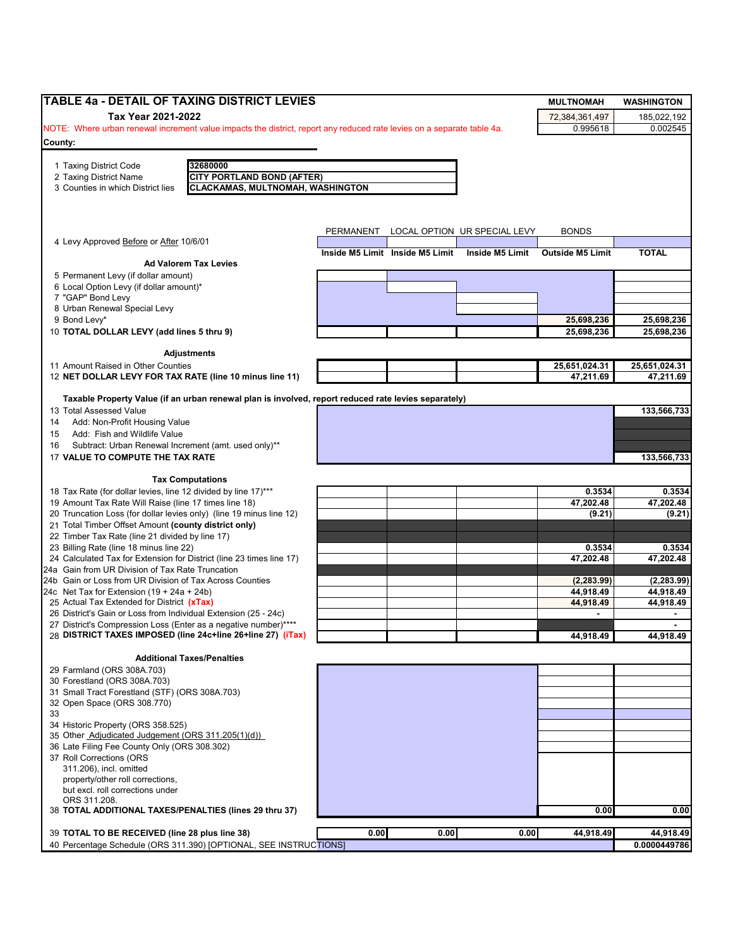| TABLE 4a - DETAIL OF TAXING DISTRICT LEVIES                                                                                    |           |                                 |                              | <b>MULTNOMAH</b>           | <b>WASHINGTON</b>   |
|--------------------------------------------------------------------------------------------------------------------------------|-----------|---------------------------------|------------------------------|----------------------------|---------------------|
| Tax Year 2021-2022                                                                                                             |           |                                 |                              | 72,384,361,497             | 185,022,192         |
| NOTE: Where urban renewal increment value impacts the district, report any reduced rate levies on a separate table 4a.         |           |                                 |                              | 0.995618                   | 0.002545            |
| County:                                                                                                                        |           |                                 |                              |                            |                     |
|                                                                                                                                |           |                                 |                              |                            |                     |
| 1 Taxing District Code<br>32680000<br><b>CITY PORTLAND BOND (AFTER)</b><br>2 Taxing District Name                              |           |                                 |                              |                            |                     |
| <b>CLACKAMAS, MULTNOMAH, WASHINGTON</b><br>3 Counties in which District lies                                                   |           |                                 |                              |                            |                     |
|                                                                                                                                |           |                                 |                              |                            |                     |
|                                                                                                                                |           |                                 |                              |                            |                     |
|                                                                                                                                |           |                                 |                              |                            |                     |
| 4 Levy Approved Before or After 10/6/01                                                                                        | PERMANENT |                                 | LOCAL OPTION UR SPECIAL LEVY | <b>BONDS</b>               |                     |
|                                                                                                                                |           | Inside M5 Limit Inside M5 Limit | Inside M5 Limit              | <b>Outside M5 Limit</b>    | <b>TOTAL</b>        |
| <b>Ad Valorem Tax Levies</b>                                                                                                   |           |                                 |                              |                            |                     |
| 5 Permanent Levy (if dollar amount)                                                                                            |           |                                 |                              |                            |                     |
| 6 Local Option Levy (if dollar amount)*                                                                                        |           |                                 |                              |                            |                     |
| 7 "GAP" Bond Levy<br>8 Urban Renewal Special Levy                                                                              |           |                                 |                              |                            |                     |
| 9 Bond Levy*                                                                                                                   |           |                                 |                              | 25,698,236                 | 25,698,236          |
| 10 TOTAL DOLLAR LEVY (add lines 5 thru 9)                                                                                      |           |                                 |                              | 25,698,236                 | 25,698,236          |
|                                                                                                                                |           |                                 |                              |                            |                     |
| <b>Adjustments</b>                                                                                                             |           |                                 |                              |                            |                     |
| 11 Amount Raised in Other Counties                                                                                             |           |                                 |                              | 25,651,024.31<br>47,211.69 | 25,651,024.31       |
| 12 NET DOLLAR LEVY FOR TAX RATE (line 10 minus line 11)                                                                        |           |                                 |                              |                            | 47,211.69           |
| Taxable Property Value (if an urban renewal plan is involved, report reduced rate levies separately)                           |           |                                 |                              |                            |                     |
| 13 Total Assessed Value                                                                                                        |           |                                 |                              |                            | 133,566,733         |
| Add: Non-Profit Housing Value<br>14                                                                                            |           |                                 |                              |                            |                     |
| Add: Fish and Wildlife Value<br>15                                                                                             |           |                                 |                              |                            |                     |
| Subtract: Urban Renewal Increment (amt. used only)**<br>16                                                                     |           |                                 |                              |                            |                     |
| 17 VALUE TO COMPUTE THE TAX RATE                                                                                               |           |                                 |                              |                            | 133,566,733         |
| <b>Tax Computations</b>                                                                                                        |           |                                 |                              |                            |                     |
| 18 Tax Rate (for dollar levies, line 12 divided by line 17)***                                                                 |           |                                 |                              | 0.3534                     | 0.3534              |
| 19 Amount Tax Rate Will Raise (line 17 times line 18)                                                                          |           |                                 |                              | 47,202.48                  | 47,202.48           |
| 20 Truncation Loss (for dollar levies only) (line 19 minus line 12)                                                            |           |                                 |                              | (9.21)                     | (9.21)              |
| 21 Total Timber Offset Amount (county district only)                                                                           |           |                                 |                              |                            |                     |
| 22 Timber Tax Rate (line 21 divided by line 17)                                                                                |           |                                 |                              |                            |                     |
| 23 Billing Rate (line 18 minus line 22)<br>24 Calculated Tax for Extension for District (line 23 times line 17)                |           |                                 |                              | 0.3534<br>47,202.48        | 0.3534<br>47,202.48 |
| 24a Gain from UR Division of Tax Rate Truncation                                                                               |           |                                 |                              |                            |                     |
| 24b Gain or Loss from UR Division of Tax Across Counties                                                                       |           |                                 |                              | (2, 283.99)                | (2, 283.99)         |
| 24c Net Tax for Extension $(19 + 24a + 24b)$                                                                                   |           |                                 |                              | 44,918.49                  | 44,918.49           |
| 25 Actual Tax Extended for District (xTax)                                                                                     |           |                                 |                              | 44,918.49                  | 44,918.49           |
| 26 District's Gain or Loss from Individual Extension (25 - 24c)                                                                |           |                                 |                              |                            |                     |
| 27 District's Compression Loss (Enter as a negative number)****<br>28 DISTRICT TAXES IMPOSED (line 24c+line 26+line 27) (iTax) |           |                                 |                              | 44,918.49                  | 44,918.49           |
|                                                                                                                                |           |                                 |                              |                            |                     |
| <b>Additional Taxes/Penalties</b>                                                                                              |           |                                 |                              |                            |                     |
| 29 Farmland (ORS 308A.703)                                                                                                     |           |                                 |                              |                            |                     |
| 30 Forestland (ORS 308A.703)                                                                                                   |           |                                 |                              |                            |                     |
| 31 Small Tract Forestland (STF) (ORS 308A.703)<br>32 Open Space (ORS 308.770)                                                  |           |                                 |                              |                            |                     |
| 33                                                                                                                             |           |                                 |                              |                            |                     |
| 34 Historic Property (ORS 358.525)                                                                                             |           |                                 |                              |                            |                     |
| 35 Other Adjudicated Judgement (ORS 311.205(1)(d))                                                                             |           |                                 |                              |                            |                     |
| 36 Late Filing Fee County Only (ORS 308.302)                                                                                   |           |                                 |                              |                            |                     |
| 37 Roll Corrections (ORS                                                                                                       |           |                                 |                              |                            |                     |
| 311.206), incl. omitted                                                                                                        |           |                                 |                              |                            |                     |
| property/other roll corrections,                                                                                               |           |                                 |                              |                            |                     |
| but excl. roll corrections under<br>ORS 311.208.                                                                               |           |                                 |                              |                            |                     |
| 38 TOTAL ADDITIONAL TAXES/PENALTIES (lines 29 thru 37)                                                                         |           |                                 |                              | 0.00                       | 0.00                |
|                                                                                                                                |           |                                 |                              |                            |                     |
| 39 TOTAL TO BE RECEIVED (line 28 plus line 38)                                                                                 | 0.00      | 0.00                            | 0.00                         | 44,918.49                  | 44,918.49           |
| 40 Percentage Schedule (ORS 311.390) [OPTIONAL, SEE INSTRUCTIONS]                                                              |           |                                 |                              |                            | 0.0000449786        |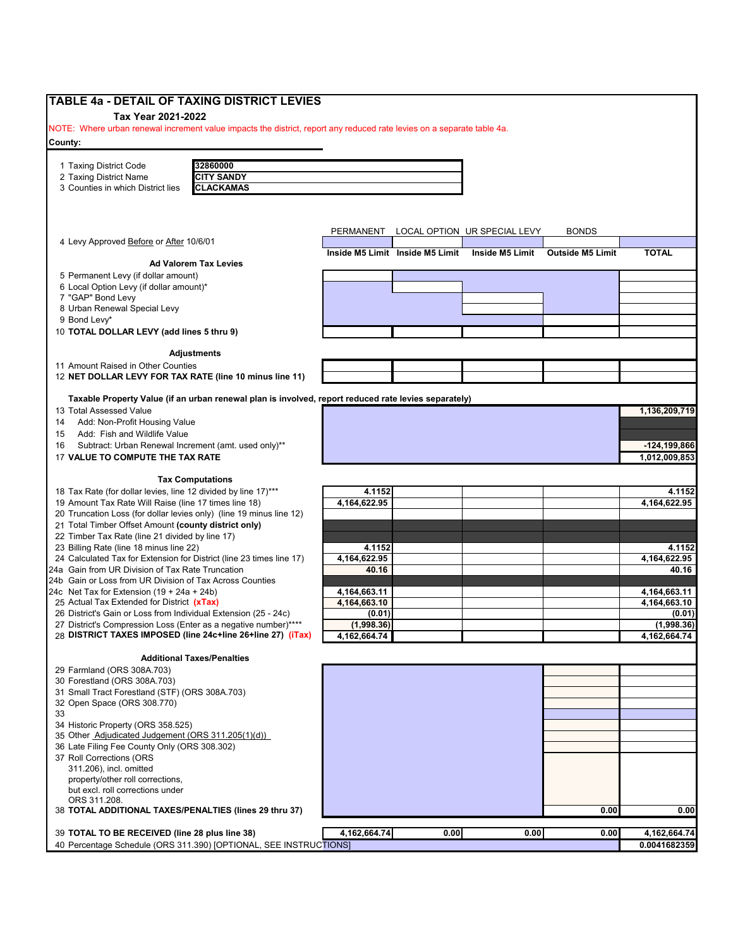| TABLE 4a - DETAIL OF TAXING DISTRICT LEVIES                                                                                        |                      |                                 |                              |                         |                      |
|------------------------------------------------------------------------------------------------------------------------------------|----------------------|---------------------------------|------------------------------|-------------------------|----------------------|
| Tax Year 2021-2022                                                                                                                 |                      |                                 |                              |                         |                      |
| NOTE: Where urban renewal increment value impacts the district, report any reduced rate levies on a separate table 4a.             |                      |                                 |                              |                         |                      |
| County:                                                                                                                            |                      |                                 |                              |                         |                      |
|                                                                                                                                    |                      |                                 |                              |                         |                      |
| 32860000<br>1 Taxing District Code                                                                                                 |                      |                                 |                              |                         |                      |
| <b>CITY SANDY</b><br>2 Taxing District Name                                                                                        |                      |                                 |                              |                         |                      |
| 3 Counties in which District lies<br><b>CLACKAMAS</b>                                                                              |                      |                                 |                              |                         |                      |
|                                                                                                                                    |                      |                                 |                              |                         |                      |
|                                                                                                                                    |                      |                                 |                              |                         |                      |
|                                                                                                                                    | PERMANENT            |                                 | LOCAL OPTION UR SPECIAL LEVY | <b>BONDS</b>            |                      |
| 4 Levy Approved Before or After 10/6/01                                                                                            |                      |                                 |                              |                         |                      |
|                                                                                                                                    |                      | Inside M5 Limit Inside M5 Limit | Inside M5 Limit              | <b>Outside M5 Limit</b> | <b>TOTAL</b>         |
| <b>Ad Valorem Tax Levies</b>                                                                                                       |                      |                                 |                              |                         |                      |
| 5 Permanent Levy (if dollar amount)                                                                                                |                      |                                 |                              |                         |                      |
| 6 Local Option Levy (if dollar amount)*                                                                                            |                      |                                 |                              |                         |                      |
| 7 "GAP" Bond Levy                                                                                                                  |                      |                                 |                              |                         |                      |
| 8 Urban Renewal Special Levy                                                                                                       |                      |                                 |                              |                         |                      |
| 9 Bond Levy*                                                                                                                       |                      |                                 |                              |                         |                      |
| 10 TOTAL DOLLAR LEVY (add lines 5 thru 9)                                                                                          |                      |                                 |                              |                         |                      |
|                                                                                                                                    |                      |                                 |                              |                         |                      |
| <b>Adjustments</b>                                                                                                                 |                      |                                 |                              |                         |                      |
| 11 Amount Raised in Other Counties<br>12 NET DOLLAR LEVY FOR TAX RATE (line 10 minus line 11)                                      |                      |                                 |                              |                         |                      |
|                                                                                                                                    |                      |                                 |                              |                         |                      |
| Taxable Property Value (if an urban renewal plan is involved, report reduced rate levies separately)                               |                      |                                 |                              |                         |                      |
| 13 Total Assessed Value                                                                                                            |                      |                                 |                              |                         | 1,136,209,719        |
| Add: Non-Profit Housing Value<br>14                                                                                                |                      |                                 |                              |                         |                      |
| Add: Fish and Wildlife Value<br>15                                                                                                 |                      |                                 |                              |                         |                      |
| Subtract: Urban Renewal Increment (amt. used only)**<br>16                                                                         |                      |                                 |                              |                         | -124,199,866         |
| 17 VALUE TO COMPUTE THE TAX RATE                                                                                                   |                      |                                 |                              |                         | 1,012,009,853        |
|                                                                                                                                    |                      |                                 |                              |                         |                      |
| <b>Tax Computations</b>                                                                                                            |                      |                                 |                              |                         |                      |
| 18 Tax Rate (for dollar levies, line 12 divided by line 17)***                                                                     | 4.1152               |                                 |                              |                         | 4.1152               |
| 19 Amount Tax Rate Will Raise (line 17 times line 18)                                                                              | 4,164,622.95         |                                 |                              |                         | 4,164,622.95         |
| 20 Truncation Loss (for dollar levies only) (line 19 minus line 12)                                                                |                      |                                 |                              |                         |                      |
| 21 Total Timber Offset Amount (county district only)                                                                               |                      |                                 |                              |                         |                      |
| 22 Timber Tax Rate (line 21 divided by line 17)                                                                                    |                      |                                 |                              |                         |                      |
| 23 Billing Rate (line 18 minus line 22)                                                                                            | 4.1152               |                                 |                              |                         | 4.1152               |
| 24 Calculated Tax for Extension for District (line 23 times line 17)                                                               | 4,164,622.95         |                                 |                              |                         | 4,164,622.95         |
| 24a Gain from UR Division of Tax Rate Truncation                                                                                   | 40.16                |                                 |                              |                         | 40.16                |
| 24b Gain or Loss from UR Division of Tax Across Counties                                                                           |                      |                                 |                              |                         |                      |
| 24c Net Tax for Extension $(19 + 24a + 24b)$                                                                                       | 4,164,663.11         |                                 |                              |                         | 4,164,663.11         |
| 25 Actual Tax Extended for District (xTax)                                                                                         | 4,164,663.10         |                                 |                              |                         | 4, 164, 663. 10      |
| 26 District's Gain or Loss from Individual Extension (25 - 24c)<br>27 District's Compression Loss (Enter as a negative number)**** | (0.01)<br>(1.998.36) |                                 |                              |                         | (0.01)<br>(1,998.36) |
| 28 DISTRICT TAXES IMPOSED (line 24c+line 26+line 27) (iTax)                                                                        | 4, 162, 664. 74      |                                 |                              |                         | 4,162,664.74         |
|                                                                                                                                    |                      |                                 |                              |                         |                      |
| <b>Additional Taxes/Penalties</b>                                                                                                  |                      |                                 |                              |                         |                      |
| 29 Farmland (ORS 308A.703)                                                                                                         |                      |                                 |                              |                         |                      |
| 30 Forestland (ORS 308A.703)                                                                                                       |                      |                                 |                              |                         |                      |
| 31 Small Tract Forestland (STF) (ORS 308A.703)                                                                                     |                      |                                 |                              |                         |                      |
| 32 Open Space (ORS 308.770)                                                                                                        |                      |                                 |                              |                         |                      |
| 33                                                                                                                                 |                      |                                 |                              |                         |                      |
| 34 Historic Property (ORS 358.525)                                                                                                 |                      |                                 |                              |                         |                      |
| 35 Other Adjudicated Judgement (ORS 311.205(1)(d))                                                                                 |                      |                                 |                              |                         |                      |
| 36 Late Filing Fee County Only (ORS 308.302)                                                                                       |                      |                                 |                              |                         |                      |
| 37 Roll Corrections (ORS                                                                                                           |                      |                                 |                              |                         |                      |
| 311.206), incl. omitted                                                                                                            |                      |                                 |                              |                         |                      |
| property/other roll corrections,                                                                                                   |                      |                                 |                              |                         |                      |
| but excl. roll corrections under<br>ORS 311.208.                                                                                   |                      |                                 |                              |                         |                      |
| 38 TOTAL ADDITIONAL TAXES/PENALTIES (lines 29 thru 37)                                                                             |                      |                                 |                              | 0.00                    | 0.00                 |
|                                                                                                                                    |                      |                                 |                              |                         |                      |
|                                                                                                                                    |                      |                                 |                              |                         |                      |
| 39 TOTAL TO BE RECEIVED (line 28 plus line 38)                                                                                     | 4,162,664.74         | 0.00                            | 0.00                         | 0.00                    | 4,162,664.74         |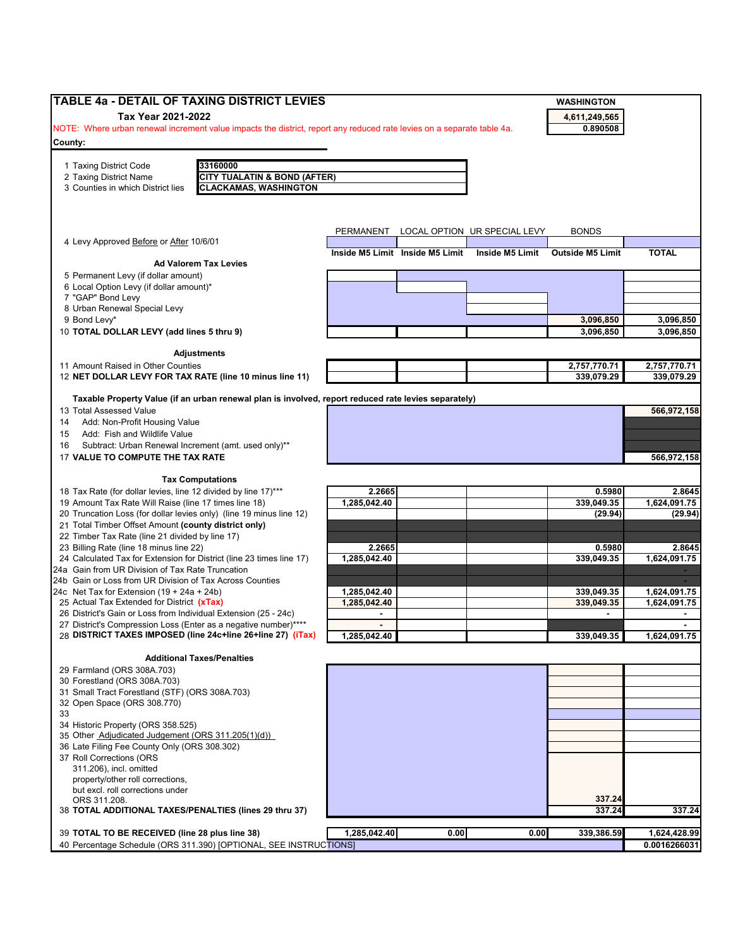| Tax Year 2021-2022<br>4,611,249,565<br>NOTE: Where urban renewal increment value impacts the district, report any reduced rate levies on a separate table 4a.<br>0.890508<br>33160000<br>1 Taxing District Code<br>2 Taxing District Name<br><b>CITY TUALATIN &amp; BOND (AFTER)</b><br><b>CLACKAMAS, WASHINGTON</b><br><b>BONDS</b><br>PERMANENT<br>LOCAL OPTION UR SPECIAL LEVY<br>4 Levy Approved Before or After 10/6/01<br><b>TOTAL</b><br>Inside M5 Limit Inside M5 Limit<br><b>Inside M5 Limit</b><br><b>Outside M5 Limit</b><br><b>Ad Valorem Tax Levies</b><br>5 Permanent Levy (if dollar amount)<br>6 Local Option Levy (if dollar amount)*<br>3,096,850<br>3,096,850<br><b>Adjustments</b><br>2,757,770.71<br>2,757,770.71<br>339,079.29<br>12 NET DOLLAR LEVY FOR TAX RATE (line 10 minus line 11)<br>339,079.29<br>Taxable Property Value (if an urban renewal plan is involved, report reduced rate levies separately)<br>13 Total Assessed Value<br>566.972.158<br>Add: Non-Profit Housing Value<br>Add: Fish and Wildlife Value<br>Subtract: Urban Renewal Increment (amt. used only)**<br>17 VALUE TO COMPUTE THE TAX RATE<br>566,972,158<br><b>Tax Computations</b><br>2.2665<br>0.5980<br>1,285,042.40<br>339,049.35<br>(29.94)<br>2.2665<br>0.5980<br>24 Calculated Tax for Extension for District (line 23 times line 17)<br>1.285.042.40<br>1,624,091.75<br>339,049.35<br>24a Gain from UR Division of Tax Rate Truncation<br>24b Gain or Loss from UR Division of Tax Across Counties<br>24c Net Tax for Extension $(19 + 24a + 24b)$<br>1,285,042.40<br>339,049.35<br>1,624,091.75<br>25 Actual Tax Extended for District (xTax)<br>1,285,042.40<br>339,049.35<br>1,624,091.75<br>26 District's Gain or Loss from Individual Extension (25 - 24c)<br>$\blacksquare$<br>27 District's Compression Loss (Enter as a negative number)****<br>1,285,042.40<br>339,049.35<br>1,624,091.75<br><b>Additional Taxes/Penalties</b><br>34 Historic Property (ORS 358.525)<br>35 Other Adjudicated Judgement (ORS 311.205(1)(d))<br>36 Late Filing Fee County Only (ORS 308.302)<br>37 Roll Corrections (ORS<br>311.206), incl. omitted<br>property/other roll corrections,<br>but excl. roll corrections under<br>337.24<br>ORS 311.208.<br>337.24<br>1,285,042.40<br>0.00<br>0.00<br>339,386.59<br>40 Percentage Schedule (ORS 311.390) [OPTIONAL, SEE INSTRUCTIONS] | TABLE 4a - DETAIL OF TAXING DISTRICT LEVIES                         |  | <b>WASHINGTON</b> |              |
|--------------------------------------------------------------------------------------------------------------------------------------------------------------------------------------------------------------------------------------------------------------------------------------------------------------------------------------------------------------------------------------------------------------------------------------------------------------------------------------------------------------------------------------------------------------------------------------------------------------------------------------------------------------------------------------------------------------------------------------------------------------------------------------------------------------------------------------------------------------------------------------------------------------------------------------------------------------------------------------------------------------------------------------------------------------------------------------------------------------------------------------------------------------------------------------------------------------------------------------------------------------------------------------------------------------------------------------------------------------------------------------------------------------------------------------------------------------------------------------------------------------------------------------------------------------------------------------------------------------------------------------------------------------------------------------------------------------------------------------------------------------------------------------------------------------------------------------------------------------------------------------------------------------------------------------------------------------------------------------------------------------------------------------------------------------------------------------------------------------------------------------------------------------------------------------------------------------------------------------------------------------------------------------------------------------------------------------------------------------------------------------|---------------------------------------------------------------------|--|-------------------|--------------|
|                                                                                                                                                                                                                                                                                                                                                                                                                                                                                                                                                                                                                                                                                                                                                                                                                                                                                                                                                                                                                                                                                                                                                                                                                                                                                                                                                                                                                                                                                                                                                                                                                                                                                                                                                                                                                                                                                                                                                                                                                                                                                                                                                                                                                                                                                                                                                                                      |                                                                     |  |                   |              |
|                                                                                                                                                                                                                                                                                                                                                                                                                                                                                                                                                                                                                                                                                                                                                                                                                                                                                                                                                                                                                                                                                                                                                                                                                                                                                                                                                                                                                                                                                                                                                                                                                                                                                                                                                                                                                                                                                                                                                                                                                                                                                                                                                                                                                                                                                                                                                                                      |                                                                     |  |                   |              |
|                                                                                                                                                                                                                                                                                                                                                                                                                                                                                                                                                                                                                                                                                                                                                                                                                                                                                                                                                                                                                                                                                                                                                                                                                                                                                                                                                                                                                                                                                                                                                                                                                                                                                                                                                                                                                                                                                                                                                                                                                                                                                                                                                                                                                                                                                                                                                                                      |                                                                     |  |                   |              |
|                                                                                                                                                                                                                                                                                                                                                                                                                                                                                                                                                                                                                                                                                                                                                                                                                                                                                                                                                                                                                                                                                                                                                                                                                                                                                                                                                                                                                                                                                                                                                                                                                                                                                                                                                                                                                                                                                                                                                                                                                                                                                                                                                                                                                                                                                                                                                                                      | County:                                                             |  |                   |              |
|                                                                                                                                                                                                                                                                                                                                                                                                                                                                                                                                                                                                                                                                                                                                                                                                                                                                                                                                                                                                                                                                                                                                                                                                                                                                                                                                                                                                                                                                                                                                                                                                                                                                                                                                                                                                                                                                                                                                                                                                                                                                                                                                                                                                                                                                                                                                                                                      |                                                                     |  |                   |              |
|                                                                                                                                                                                                                                                                                                                                                                                                                                                                                                                                                                                                                                                                                                                                                                                                                                                                                                                                                                                                                                                                                                                                                                                                                                                                                                                                                                                                                                                                                                                                                                                                                                                                                                                                                                                                                                                                                                                                                                                                                                                                                                                                                                                                                                                                                                                                                                                      |                                                                     |  |                   |              |
|                                                                                                                                                                                                                                                                                                                                                                                                                                                                                                                                                                                                                                                                                                                                                                                                                                                                                                                                                                                                                                                                                                                                                                                                                                                                                                                                                                                                                                                                                                                                                                                                                                                                                                                                                                                                                                                                                                                                                                                                                                                                                                                                                                                                                                                                                                                                                                                      | 3 Counties in which District lies                                   |  |                   |              |
|                                                                                                                                                                                                                                                                                                                                                                                                                                                                                                                                                                                                                                                                                                                                                                                                                                                                                                                                                                                                                                                                                                                                                                                                                                                                                                                                                                                                                                                                                                                                                                                                                                                                                                                                                                                                                                                                                                                                                                                                                                                                                                                                                                                                                                                                                                                                                                                      |                                                                     |  |                   |              |
|                                                                                                                                                                                                                                                                                                                                                                                                                                                                                                                                                                                                                                                                                                                                                                                                                                                                                                                                                                                                                                                                                                                                                                                                                                                                                                                                                                                                                                                                                                                                                                                                                                                                                                                                                                                                                                                                                                                                                                                                                                                                                                                                                                                                                                                                                                                                                                                      |                                                                     |  |                   |              |
|                                                                                                                                                                                                                                                                                                                                                                                                                                                                                                                                                                                                                                                                                                                                                                                                                                                                                                                                                                                                                                                                                                                                                                                                                                                                                                                                                                                                                                                                                                                                                                                                                                                                                                                                                                                                                                                                                                                                                                                                                                                                                                                                                                                                                                                                                                                                                                                      |                                                                     |  |                   |              |
|                                                                                                                                                                                                                                                                                                                                                                                                                                                                                                                                                                                                                                                                                                                                                                                                                                                                                                                                                                                                                                                                                                                                                                                                                                                                                                                                                                                                                                                                                                                                                                                                                                                                                                                                                                                                                                                                                                                                                                                                                                                                                                                                                                                                                                                                                                                                                                                      |                                                                     |  |                   |              |
|                                                                                                                                                                                                                                                                                                                                                                                                                                                                                                                                                                                                                                                                                                                                                                                                                                                                                                                                                                                                                                                                                                                                                                                                                                                                                                                                                                                                                                                                                                                                                                                                                                                                                                                                                                                                                                                                                                                                                                                                                                                                                                                                                                                                                                                                                                                                                                                      |                                                                     |  |                   |              |
|                                                                                                                                                                                                                                                                                                                                                                                                                                                                                                                                                                                                                                                                                                                                                                                                                                                                                                                                                                                                                                                                                                                                                                                                                                                                                                                                                                                                                                                                                                                                                                                                                                                                                                                                                                                                                                                                                                                                                                                                                                                                                                                                                                                                                                                                                                                                                                                      |                                                                     |  |                   |              |
|                                                                                                                                                                                                                                                                                                                                                                                                                                                                                                                                                                                                                                                                                                                                                                                                                                                                                                                                                                                                                                                                                                                                                                                                                                                                                                                                                                                                                                                                                                                                                                                                                                                                                                                                                                                                                                                                                                                                                                                                                                                                                                                                                                                                                                                                                                                                                                                      |                                                                     |  |                   |              |
|                                                                                                                                                                                                                                                                                                                                                                                                                                                                                                                                                                                                                                                                                                                                                                                                                                                                                                                                                                                                                                                                                                                                                                                                                                                                                                                                                                                                                                                                                                                                                                                                                                                                                                                                                                                                                                                                                                                                                                                                                                                                                                                                                                                                                                                                                                                                                                                      |                                                                     |  |                   |              |
|                                                                                                                                                                                                                                                                                                                                                                                                                                                                                                                                                                                                                                                                                                                                                                                                                                                                                                                                                                                                                                                                                                                                                                                                                                                                                                                                                                                                                                                                                                                                                                                                                                                                                                                                                                                                                                                                                                                                                                                                                                                                                                                                                                                                                                                                                                                                                                                      | 7 "GAP" Bond Levy                                                   |  |                   |              |
|                                                                                                                                                                                                                                                                                                                                                                                                                                                                                                                                                                                                                                                                                                                                                                                                                                                                                                                                                                                                                                                                                                                                                                                                                                                                                                                                                                                                                                                                                                                                                                                                                                                                                                                                                                                                                                                                                                                                                                                                                                                                                                                                                                                                                                                                                                                                                                                      | 8 Urban Renewal Special Levy                                        |  |                   |              |
|                                                                                                                                                                                                                                                                                                                                                                                                                                                                                                                                                                                                                                                                                                                                                                                                                                                                                                                                                                                                                                                                                                                                                                                                                                                                                                                                                                                                                                                                                                                                                                                                                                                                                                                                                                                                                                                                                                                                                                                                                                                                                                                                                                                                                                                                                                                                                                                      | 9 Bond Levy*                                                        |  |                   | 3,096,850    |
|                                                                                                                                                                                                                                                                                                                                                                                                                                                                                                                                                                                                                                                                                                                                                                                                                                                                                                                                                                                                                                                                                                                                                                                                                                                                                                                                                                                                                                                                                                                                                                                                                                                                                                                                                                                                                                                                                                                                                                                                                                                                                                                                                                                                                                                                                                                                                                                      | 10 TOTAL DOLLAR LEVY (add lines 5 thru 9)                           |  |                   | 3,096,850    |
|                                                                                                                                                                                                                                                                                                                                                                                                                                                                                                                                                                                                                                                                                                                                                                                                                                                                                                                                                                                                                                                                                                                                                                                                                                                                                                                                                                                                                                                                                                                                                                                                                                                                                                                                                                                                                                                                                                                                                                                                                                                                                                                                                                                                                                                                                                                                                                                      |                                                                     |  |                   |              |
|                                                                                                                                                                                                                                                                                                                                                                                                                                                                                                                                                                                                                                                                                                                                                                                                                                                                                                                                                                                                                                                                                                                                                                                                                                                                                                                                                                                                                                                                                                                                                                                                                                                                                                                                                                                                                                                                                                                                                                                                                                                                                                                                                                                                                                                                                                                                                                                      |                                                                     |  |                   |              |
|                                                                                                                                                                                                                                                                                                                                                                                                                                                                                                                                                                                                                                                                                                                                                                                                                                                                                                                                                                                                                                                                                                                                                                                                                                                                                                                                                                                                                                                                                                                                                                                                                                                                                                                                                                                                                                                                                                                                                                                                                                                                                                                                                                                                                                                                                                                                                                                      | 11 Amount Raised in Other Counties                                  |  |                   |              |
|                                                                                                                                                                                                                                                                                                                                                                                                                                                                                                                                                                                                                                                                                                                                                                                                                                                                                                                                                                                                                                                                                                                                                                                                                                                                                                                                                                                                                                                                                                                                                                                                                                                                                                                                                                                                                                                                                                                                                                                                                                                                                                                                                                                                                                                                                                                                                                                      |                                                                     |  |                   |              |
|                                                                                                                                                                                                                                                                                                                                                                                                                                                                                                                                                                                                                                                                                                                                                                                                                                                                                                                                                                                                                                                                                                                                                                                                                                                                                                                                                                                                                                                                                                                                                                                                                                                                                                                                                                                                                                                                                                                                                                                                                                                                                                                                                                                                                                                                                                                                                                                      |                                                                     |  |                   |              |
|                                                                                                                                                                                                                                                                                                                                                                                                                                                                                                                                                                                                                                                                                                                                                                                                                                                                                                                                                                                                                                                                                                                                                                                                                                                                                                                                                                                                                                                                                                                                                                                                                                                                                                                                                                                                                                                                                                                                                                                                                                                                                                                                                                                                                                                                                                                                                                                      |                                                                     |  |                   |              |
|                                                                                                                                                                                                                                                                                                                                                                                                                                                                                                                                                                                                                                                                                                                                                                                                                                                                                                                                                                                                                                                                                                                                                                                                                                                                                                                                                                                                                                                                                                                                                                                                                                                                                                                                                                                                                                                                                                                                                                                                                                                                                                                                                                                                                                                                                                                                                                                      |                                                                     |  |                   |              |
|                                                                                                                                                                                                                                                                                                                                                                                                                                                                                                                                                                                                                                                                                                                                                                                                                                                                                                                                                                                                                                                                                                                                                                                                                                                                                                                                                                                                                                                                                                                                                                                                                                                                                                                                                                                                                                                                                                                                                                                                                                                                                                                                                                                                                                                                                                                                                                                      | 14<br>15                                                            |  |                   |              |
|                                                                                                                                                                                                                                                                                                                                                                                                                                                                                                                                                                                                                                                                                                                                                                                                                                                                                                                                                                                                                                                                                                                                                                                                                                                                                                                                                                                                                                                                                                                                                                                                                                                                                                                                                                                                                                                                                                                                                                                                                                                                                                                                                                                                                                                                                                                                                                                      | 16                                                                  |  |                   |              |
|                                                                                                                                                                                                                                                                                                                                                                                                                                                                                                                                                                                                                                                                                                                                                                                                                                                                                                                                                                                                                                                                                                                                                                                                                                                                                                                                                                                                                                                                                                                                                                                                                                                                                                                                                                                                                                                                                                                                                                                                                                                                                                                                                                                                                                                                                                                                                                                      |                                                                     |  |                   |              |
|                                                                                                                                                                                                                                                                                                                                                                                                                                                                                                                                                                                                                                                                                                                                                                                                                                                                                                                                                                                                                                                                                                                                                                                                                                                                                                                                                                                                                                                                                                                                                                                                                                                                                                                                                                                                                                                                                                                                                                                                                                                                                                                                                                                                                                                                                                                                                                                      |                                                                     |  |                   |              |
|                                                                                                                                                                                                                                                                                                                                                                                                                                                                                                                                                                                                                                                                                                                                                                                                                                                                                                                                                                                                                                                                                                                                                                                                                                                                                                                                                                                                                                                                                                                                                                                                                                                                                                                                                                                                                                                                                                                                                                                                                                                                                                                                                                                                                                                                                                                                                                                      |                                                                     |  |                   |              |
|                                                                                                                                                                                                                                                                                                                                                                                                                                                                                                                                                                                                                                                                                                                                                                                                                                                                                                                                                                                                                                                                                                                                                                                                                                                                                                                                                                                                                                                                                                                                                                                                                                                                                                                                                                                                                                                                                                                                                                                                                                                                                                                                                                                                                                                                                                                                                                                      | 18 Tax Rate (for dollar levies, line 12 divided by line 17)***      |  |                   | 2.8645       |
|                                                                                                                                                                                                                                                                                                                                                                                                                                                                                                                                                                                                                                                                                                                                                                                                                                                                                                                                                                                                                                                                                                                                                                                                                                                                                                                                                                                                                                                                                                                                                                                                                                                                                                                                                                                                                                                                                                                                                                                                                                                                                                                                                                                                                                                                                                                                                                                      | 19 Amount Tax Rate Will Raise (line 17 times line 18)               |  |                   | 1,624,091.75 |
|                                                                                                                                                                                                                                                                                                                                                                                                                                                                                                                                                                                                                                                                                                                                                                                                                                                                                                                                                                                                                                                                                                                                                                                                                                                                                                                                                                                                                                                                                                                                                                                                                                                                                                                                                                                                                                                                                                                                                                                                                                                                                                                                                                                                                                                                                                                                                                                      | 20 Truncation Loss (for dollar levies only) (line 19 minus line 12) |  |                   | (29.94)      |
|                                                                                                                                                                                                                                                                                                                                                                                                                                                                                                                                                                                                                                                                                                                                                                                                                                                                                                                                                                                                                                                                                                                                                                                                                                                                                                                                                                                                                                                                                                                                                                                                                                                                                                                                                                                                                                                                                                                                                                                                                                                                                                                                                                                                                                                                                                                                                                                      | 21 Total Timber Offset Amount (county district only)                |  |                   |              |
|                                                                                                                                                                                                                                                                                                                                                                                                                                                                                                                                                                                                                                                                                                                                                                                                                                                                                                                                                                                                                                                                                                                                                                                                                                                                                                                                                                                                                                                                                                                                                                                                                                                                                                                                                                                                                                                                                                                                                                                                                                                                                                                                                                                                                                                                                                                                                                                      | 22 Timber Tax Rate (line 21 divided by line 17)                     |  |                   |              |
|                                                                                                                                                                                                                                                                                                                                                                                                                                                                                                                                                                                                                                                                                                                                                                                                                                                                                                                                                                                                                                                                                                                                                                                                                                                                                                                                                                                                                                                                                                                                                                                                                                                                                                                                                                                                                                                                                                                                                                                                                                                                                                                                                                                                                                                                                                                                                                                      | 23 Billing Rate (line 18 minus line 22)                             |  |                   | 2.8645       |
|                                                                                                                                                                                                                                                                                                                                                                                                                                                                                                                                                                                                                                                                                                                                                                                                                                                                                                                                                                                                                                                                                                                                                                                                                                                                                                                                                                                                                                                                                                                                                                                                                                                                                                                                                                                                                                                                                                                                                                                                                                                                                                                                                                                                                                                                                                                                                                                      |                                                                     |  |                   |              |
|                                                                                                                                                                                                                                                                                                                                                                                                                                                                                                                                                                                                                                                                                                                                                                                                                                                                                                                                                                                                                                                                                                                                                                                                                                                                                                                                                                                                                                                                                                                                                                                                                                                                                                                                                                                                                                                                                                                                                                                                                                                                                                                                                                                                                                                                                                                                                                                      |                                                                     |  |                   |              |
|                                                                                                                                                                                                                                                                                                                                                                                                                                                                                                                                                                                                                                                                                                                                                                                                                                                                                                                                                                                                                                                                                                                                                                                                                                                                                                                                                                                                                                                                                                                                                                                                                                                                                                                                                                                                                                                                                                                                                                                                                                                                                                                                                                                                                                                                                                                                                                                      |                                                                     |  |                   |              |
|                                                                                                                                                                                                                                                                                                                                                                                                                                                                                                                                                                                                                                                                                                                                                                                                                                                                                                                                                                                                                                                                                                                                                                                                                                                                                                                                                                                                                                                                                                                                                                                                                                                                                                                                                                                                                                                                                                                                                                                                                                                                                                                                                                                                                                                                                                                                                                                      |                                                                     |  |                   |              |
|                                                                                                                                                                                                                                                                                                                                                                                                                                                                                                                                                                                                                                                                                                                                                                                                                                                                                                                                                                                                                                                                                                                                                                                                                                                                                                                                                                                                                                                                                                                                                                                                                                                                                                                                                                                                                                                                                                                                                                                                                                                                                                                                                                                                                                                                                                                                                                                      |                                                                     |  |                   |              |
|                                                                                                                                                                                                                                                                                                                                                                                                                                                                                                                                                                                                                                                                                                                                                                                                                                                                                                                                                                                                                                                                                                                                                                                                                                                                                                                                                                                                                                                                                                                                                                                                                                                                                                                                                                                                                                                                                                                                                                                                                                                                                                                                                                                                                                                                                                                                                                                      |                                                                     |  |                   |              |
|                                                                                                                                                                                                                                                                                                                                                                                                                                                                                                                                                                                                                                                                                                                                                                                                                                                                                                                                                                                                                                                                                                                                                                                                                                                                                                                                                                                                                                                                                                                                                                                                                                                                                                                                                                                                                                                                                                                                                                                                                                                                                                                                                                                                                                                                                                                                                                                      | 28 DISTRICT TAXES IMPOSED (line 24c+line 26+line 27) (iTax)         |  |                   |              |
|                                                                                                                                                                                                                                                                                                                                                                                                                                                                                                                                                                                                                                                                                                                                                                                                                                                                                                                                                                                                                                                                                                                                                                                                                                                                                                                                                                                                                                                                                                                                                                                                                                                                                                                                                                                                                                                                                                                                                                                                                                                                                                                                                                                                                                                                                                                                                                                      |                                                                     |  |                   |              |
|                                                                                                                                                                                                                                                                                                                                                                                                                                                                                                                                                                                                                                                                                                                                                                                                                                                                                                                                                                                                                                                                                                                                                                                                                                                                                                                                                                                                                                                                                                                                                                                                                                                                                                                                                                                                                                                                                                                                                                                                                                                                                                                                                                                                                                                                                                                                                                                      |                                                                     |  |                   |              |
|                                                                                                                                                                                                                                                                                                                                                                                                                                                                                                                                                                                                                                                                                                                                                                                                                                                                                                                                                                                                                                                                                                                                                                                                                                                                                                                                                                                                                                                                                                                                                                                                                                                                                                                                                                                                                                                                                                                                                                                                                                                                                                                                                                                                                                                                                                                                                                                      | 29 Farmland (ORS 308A.703)                                          |  |                   |              |
|                                                                                                                                                                                                                                                                                                                                                                                                                                                                                                                                                                                                                                                                                                                                                                                                                                                                                                                                                                                                                                                                                                                                                                                                                                                                                                                                                                                                                                                                                                                                                                                                                                                                                                                                                                                                                                                                                                                                                                                                                                                                                                                                                                                                                                                                                                                                                                                      | 30 Forestland (ORS 308A.703)                                        |  |                   |              |
|                                                                                                                                                                                                                                                                                                                                                                                                                                                                                                                                                                                                                                                                                                                                                                                                                                                                                                                                                                                                                                                                                                                                                                                                                                                                                                                                                                                                                                                                                                                                                                                                                                                                                                                                                                                                                                                                                                                                                                                                                                                                                                                                                                                                                                                                                                                                                                                      | 31 Small Tract Forestland (STF) (ORS 308A.703)                      |  |                   |              |
|                                                                                                                                                                                                                                                                                                                                                                                                                                                                                                                                                                                                                                                                                                                                                                                                                                                                                                                                                                                                                                                                                                                                                                                                                                                                                                                                                                                                                                                                                                                                                                                                                                                                                                                                                                                                                                                                                                                                                                                                                                                                                                                                                                                                                                                                                                                                                                                      | 32 Open Space (ORS 308.770)                                         |  |                   |              |
|                                                                                                                                                                                                                                                                                                                                                                                                                                                                                                                                                                                                                                                                                                                                                                                                                                                                                                                                                                                                                                                                                                                                                                                                                                                                                                                                                                                                                                                                                                                                                                                                                                                                                                                                                                                                                                                                                                                                                                                                                                                                                                                                                                                                                                                                                                                                                                                      | 33                                                                  |  |                   |              |
|                                                                                                                                                                                                                                                                                                                                                                                                                                                                                                                                                                                                                                                                                                                                                                                                                                                                                                                                                                                                                                                                                                                                                                                                                                                                                                                                                                                                                                                                                                                                                                                                                                                                                                                                                                                                                                                                                                                                                                                                                                                                                                                                                                                                                                                                                                                                                                                      |                                                                     |  |                   |              |
|                                                                                                                                                                                                                                                                                                                                                                                                                                                                                                                                                                                                                                                                                                                                                                                                                                                                                                                                                                                                                                                                                                                                                                                                                                                                                                                                                                                                                                                                                                                                                                                                                                                                                                                                                                                                                                                                                                                                                                                                                                                                                                                                                                                                                                                                                                                                                                                      |                                                                     |  |                   |              |
|                                                                                                                                                                                                                                                                                                                                                                                                                                                                                                                                                                                                                                                                                                                                                                                                                                                                                                                                                                                                                                                                                                                                                                                                                                                                                                                                                                                                                                                                                                                                                                                                                                                                                                                                                                                                                                                                                                                                                                                                                                                                                                                                                                                                                                                                                                                                                                                      |                                                                     |  |                   |              |
|                                                                                                                                                                                                                                                                                                                                                                                                                                                                                                                                                                                                                                                                                                                                                                                                                                                                                                                                                                                                                                                                                                                                                                                                                                                                                                                                                                                                                                                                                                                                                                                                                                                                                                                                                                                                                                                                                                                                                                                                                                                                                                                                                                                                                                                                                                                                                                                      |                                                                     |  |                   |              |
|                                                                                                                                                                                                                                                                                                                                                                                                                                                                                                                                                                                                                                                                                                                                                                                                                                                                                                                                                                                                                                                                                                                                                                                                                                                                                                                                                                                                                                                                                                                                                                                                                                                                                                                                                                                                                                                                                                                                                                                                                                                                                                                                                                                                                                                                                                                                                                                      |                                                                     |  |                   |              |
|                                                                                                                                                                                                                                                                                                                                                                                                                                                                                                                                                                                                                                                                                                                                                                                                                                                                                                                                                                                                                                                                                                                                                                                                                                                                                                                                                                                                                                                                                                                                                                                                                                                                                                                                                                                                                                                                                                                                                                                                                                                                                                                                                                                                                                                                                                                                                                                      |                                                                     |  |                   |              |
|                                                                                                                                                                                                                                                                                                                                                                                                                                                                                                                                                                                                                                                                                                                                                                                                                                                                                                                                                                                                                                                                                                                                                                                                                                                                                                                                                                                                                                                                                                                                                                                                                                                                                                                                                                                                                                                                                                                                                                                                                                                                                                                                                                                                                                                                                                                                                                                      |                                                                     |  |                   |              |
|                                                                                                                                                                                                                                                                                                                                                                                                                                                                                                                                                                                                                                                                                                                                                                                                                                                                                                                                                                                                                                                                                                                                                                                                                                                                                                                                                                                                                                                                                                                                                                                                                                                                                                                                                                                                                                                                                                                                                                                                                                                                                                                                                                                                                                                                                                                                                                                      | 38 TOTAL ADDITIONAL TAXES/PENALTIES (lines 29 thru 37)              |  |                   | 337.24       |
|                                                                                                                                                                                                                                                                                                                                                                                                                                                                                                                                                                                                                                                                                                                                                                                                                                                                                                                                                                                                                                                                                                                                                                                                                                                                                                                                                                                                                                                                                                                                                                                                                                                                                                                                                                                                                                                                                                                                                                                                                                                                                                                                                                                                                                                                                                                                                                                      |                                                                     |  |                   |              |
|                                                                                                                                                                                                                                                                                                                                                                                                                                                                                                                                                                                                                                                                                                                                                                                                                                                                                                                                                                                                                                                                                                                                                                                                                                                                                                                                                                                                                                                                                                                                                                                                                                                                                                                                                                                                                                                                                                                                                                                                                                                                                                                                                                                                                                                                                                                                                                                      | 39 TOTAL TO BE RECEIVED (line 28 plus line 38)                      |  |                   | 1,624,428.99 |
|                                                                                                                                                                                                                                                                                                                                                                                                                                                                                                                                                                                                                                                                                                                                                                                                                                                                                                                                                                                                                                                                                                                                                                                                                                                                                                                                                                                                                                                                                                                                                                                                                                                                                                                                                                                                                                                                                                                                                                                                                                                                                                                                                                                                                                                                                                                                                                                      |                                                                     |  |                   | 0.0016266031 |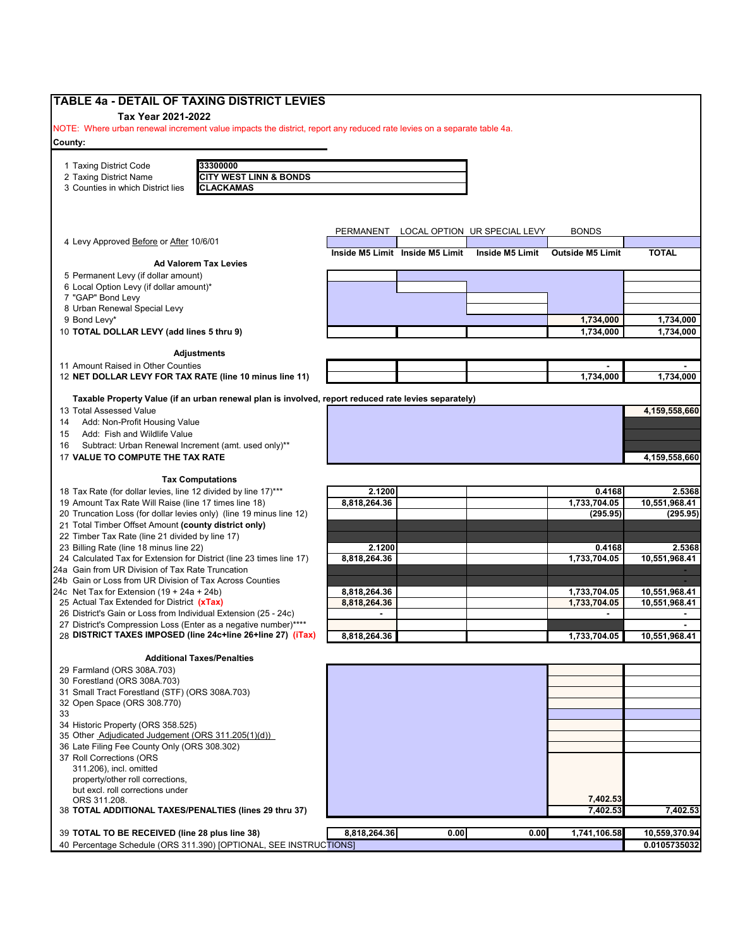| Tax Year 2021-2022<br>NOTE: Where urban renewal increment value impacts the district, report any reduced rate levies on a separate table 4a.<br>33300000<br>1 Taxing District Code<br><b>CITY WEST LINN &amp; BONDS</b><br>2 Taxing District Name<br>3 Counties in which District lies<br><b>CLACKAMAS</b><br>LOCAL OPTION UR SPECIAL LEVY<br><b>BONDS</b><br>PERMANENT<br>4 Levy Approved Before or After 10/6/01<br>Inside M5 Limit Inside M5 Limit<br>Inside M5 Limit<br><b>TOTAL</b><br><b>Outside M5 Limit</b><br><b>Ad Valorem Tax Levies</b><br>6 Local Option Levy (if dollar amount)*<br>7 "GAP" Bond Levy<br>8 Urban Renewal Special Levy<br>9 Bond Levy*<br>1,734,000<br>1,734,000<br>10 TOTAL DOLLAR LEVY (add lines 5 thru 9)<br>1,734,000<br>1,734,000<br><b>Adjustments</b><br>1,734,000<br>Taxable Property Value (if an urban renewal plan is involved, report reduced rate levies separately)<br>13 Total Assessed Value<br>4,159,558,660<br>Add: Non-Profit Housing Value<br>Add: Fish and Wildlife Value<br>Subtract: Urban Renewal Increment (amt. used only)**<br>17 VALUE TO COMPUTE THE TAX RATE<br>4,159,558,660<br><b>Tax Computations</b><br>2.1200<br>0.4168<br>8,818,264.36<br>1,733,704.05<br>(295.95)<br>21 Total Timber Offset Amount (county district only)<br>22 Timber Tax Rate (line 21 divided by line 17)<br>23 Billing Rate (line 18 minus line 22)<br>2.1200<br>0.4168<br>2.5368<br>10.551.968.41<br>24 Calculated Tax for Extension for District (line 23 times line 17)<br>8.818.264.36<br>1,733,704.05<br>24a Gain from UR Division of Tax Rate Truncation<br>24b Gain or Loss from UR Division of Tax Across Counties<br>8,818,264.36<br>1,733,704.05<br>24c Net Tax for Extension $(19 + 24a + 24b)$<br>10,551,968.41<br>8,818,264.36<br>1,733,704.05<br>10,551,968.41<br>8,818,264.36<br>1,733,704.05<br><b>Additional Taxes/Penalties</b><br>29 Farmland (ORS 308A.703)<br>30 Forestland (ORS 308A.703)<br>31 Small Tract Forestland (STF) (ORS 308A.703)<br>311.206), incl. omitted<br>property/other roll corrections,<br>but excl. roll corrections under<br>7,402.53<br>ORS 311.208.<br>7,402.53<br>7,402.53<br>38 TOTAL ADDITIONAL TAXES/PENALTIES (lines 29 thru 37)<br>8,818,264.36<br>0.00<br>1,741,106.58<br>0.00<br>40 Percentage Schedule (ORS 311.390) [OPTIONAL, SEE INSTRUCTIONS] | TABLE 4a - DETAIL OF TAXING DISTRICT LEVIES                         |  |  |               |
|------------------------------------------------------------------------------------------------------------------------------------------------------------------------------------------------------------------------------------------------------------------------------------------------------------------------------------------------------------------------------------------------------------------------------------------------------------------------------------------------------------------------------------------------------------------------------------------------------------------------------------------------------------------------------------------------------------------------------------------------------------------------------------------------------------------------------------------------------------------------------------------------------------------------------------------------------------------------------------------------------------------------------------------------------------------------------------------------------------------------------------------------------------------------------------------------------------------------------------------------------------------------------------------------------------------------------------------------------------------------------------------------------------------------------------------------------------------------------------------------------------------------------------------------------------------------------------------------------------------------------------------------------------------------------------------------------------------------------------------------------------------------------------------------------------------------------------------------------------------------------------------------------------------------------------------------------------------------------------------------------------------------------------------------------------------------------------------------------------------------------------------------------------------------------------------------------------------------------------------------------------------------------------------------------------------------------------------------|---------------------------------------------------------------------|--|--|---------------|
|                                                                                                                                                                                                                                                                                                                                                                                                                                                                                                                                                                                                                                                                                                                                                                                                                                                                                                                                                                                                                                                                                                                                                                                                                                                                                                                                                                                                                                                                                                                                                                                                                                                                                                                                                                                                                                                                                                                                                                                                                                                                                                                                                                                                                                                                                                                                                |                                                                     |  |  |               |
|                                                                                                                                                                                                                                                                                                                                                                                                                                                                                                                                                                                                                                                                                                                                                                                                                                                                                                                                                                                                                                                                                                                                                                                                                                                                                                                                                                                                                                                                                                                                                                                                                                                                                                                                                                                                                                                                                                                                                                                                                                                                                                                                                                                                                                                                                                                                                |                                                                     |  |  |               |
|                                                                                                                                                                                                                                                                                                                                                                                                                                                                                                                                                                                                                                                                                                                                                                                                                                                                                                                                                                                                                                                                                                                                                                                                                                                                                                                                                                                                                                                                                                                                                                                                                                                                                                                                                                                                                                                                                                                                                                                                                                                                                                                                                                                                                                                                                                                                                | County:                                                             |  |  |               |
|                                                                                                                                                                                                                                                                                                                                                                                                                                                                                                                                                                                                                                                                                                                                                                                                                                                                                                                                                                                                                                                                                                                                                                                                                                                                                                                                                                                                                                                                                                                                                                                                                                                                                                                                                                                                                                                                                                                                                                                                                                                                                                                                                                                                                                                                                                                                                |                                                                     |  |  |               |
|                                                                                                                                                                                                                                                                                                                                                                                                                                                                                                                                                                                                                                                                                                                                                                                                                                                                                                                                                                                                                                                                                                                                                                                                                                                                                                                                                                                                                                                                                                                                                                                                                                                                                                                                                                                                                                                                                                                                                                                                                                                                                                                                                                                                                                                                                                                                                |                                                                     |  |  |               |
|                                                                                                                                                                                                                                                                                                                                                                                                                                                                                                                                                                                                                                                                                                                                                                                                                                                                                                                                                                                                                                                                                                                                                                                                                                                                                                                                                                                                                                                                                                                                                                                                                                                                                                                                                                                                                                                                                                                                                                                                                                                                                                                                                                                                                                                                                                                                                |                                                                     |  |  |               |
|                                                                                                                                                                                                                                                                                                                                                                                                                                                                                                                                                                                                                                                                                                                                                                                                                                                                                                                                                                                                                                                                                                                                                                                                                                                                                                                                                                                                                                                                                                                                                                                                                                                                                                                                                                                                                                                                                                                                                                                                                                                                                                                                                                                                                                                                                                                                                |                                                                     |  |  |               |
|                                                                                                                                                                                                                                                                                                                                                                                                                                                                                                                                                                                                                                                                                                                                                                                                                                                                                                                                                                                                                                                                                                                                                                                                                                                                                                                                                                                                                                                                                                                                                                                                                                                                                                                                                                                                                                                                                                                                                                                                                                                                                                                                                                                                                                                                                                                                                |                                                                     |  |  |               |
|                                                                                                                                                                                                                                                                                                                                                                                                                                                                                                                                                                                                                                                                                                                                                                                                                                                                                                                                                                                                                                                                                                                                                                                                                                                                                                                                                                                                                                                                                                                                                                                                                                                                                                                                                                                                                                                                                                                                                                                                                                                                                                                                                                                                                                                                                                                                                |                                                                     |  |  |               |
|                                                                                                                                                                                                                                                                                                                                                                                                                                                                                                                                                                                                                                                                                                                                                                                                                                                                                                                                                                                                                                                                                                                                                                                                                                                                                                                                                                                                                                                                                                                                                                                                                                                                                                                                                                                                                                                                                                                                                                                                                                                                                                                                                                                                                                                                                                                                                |                                                                     |  |  |               |
|                                                                                                                                                                                                                                                                                                                                                                                                                                                                                                                                                                                                                                                                                                                                                                                                                                                                                                                                                                                                                                                                                                                                                                                                                                                                                                                                                                                                                                                                                                                                                                                                                                                                                                                                                                                                                                                                                                                                                                                                                                                                                                                                                                                                                                                                                                                                                |                                                                     |  |  |               |
|                                                                                                                                                                                                                                                                                                                                                                                                                                                                                                                                                                                                                                                                                                                                                                                                                                                                                                                                                                                                                                                                                                                                                                                                                                                                                                                                                                                                                                                                                                                                                                                                                                                                                                                                                                                                                                                                                                                                                                                                                                                                                                                                                                                                                                                                                                                                                |                                                                     |  |  |               |
|                                                                                                                                                                                                                                                                                                                                                                                                                                                                                                                                                                                                                                                                                                                                                                                                                                                                                                                                                                                                                                                                                                                                                                                                                                                                                                                                                                                                                                                                                                                                                                                                                                                                                                                                                                                                                                                                                                                                                                                                                                                                                                                                                                                                                                                                                                                                                | 5 Permanent Levy (if dollar amount)                                 |  |  |               |
|                                                                                                                                                                                                                                                                                                                                                                                                                                                                                                                                                                                                                                                                                                                                                                                                                                                                                                                                                                                                                                                                                                                                                                                                                                                                                                                                                                                                                                                                                                                                                                                                                                                                                                                                                                                                                                                                                                                                                                                                                                                                                                                                                                                                                                                                                                                                                |                                                                     |  |  |               |
|                                                                                                                                                                                                                                                                                                                                                                                                                                                                                                                                                                                                                                                                                                                                                                                                                                                                                                                                                                                                                                                                                                                                                                                                                                                                                                                                                                                                                                                                                                                                                                                                                                                                                                                                                                                                                                                                                                                                                                                                                                                                                                                                                                                                                                                                                                                                                |                                                                     |  |  |               |
|                                                                                                                                                                                                                                                                                                                                                                                                                                                                                                                                                                                                                                                                                                                                                                                                                                                                                                                                                                                                                                                                                                                                                                                                                                                                                                                                                                                                                                                                                                                                                                                                                                                                                                                                                                                                                                                                                                                                                                                                                                                                                                                                                                                                                                                                                                                                                |                                                                     |  |  |               |
|                                                                                                                                                                                                                                                                                                                                                                                                                                                                                                                                                                                                                                                                                                                                                                                                                                                                                                                                                                                                                                                                                                                                                                                                                                                                                                                                                                                                                                                                                                                                                                                                                                                                                                                                                                                                                                                                                                                                                                                                                                                                                                                                                                                                                                                                                                                                                |                                                                     |  |  |               |
|                                                                                                                                                                                                                                                                                                                                                                                                                                                                                                                                                                                                                                                                                                                                                                                                                                                                                                                                                                                                                                                                                                                                                                                                                                                                                                                                                                                                                                                                                                                                                                                                                                                                                                                                                                                                                                                                                                                                                                                                                                                                                                                                                                                                                                                                                                                                                |                                                                     |  |  |               |
|                                                                                                                                                                                                                                                                                                                                                                                                                                                                                                                                                                                                                                                                                                                                                                                                                                                                                                                                                                                                                                                                                                                                                                                                                                                                                                                                                                                                                                                                                                                                                                                                                                                                                                                                                                                                                                                                                                                                                                                                                                                                                                                                                                                                                                                                                                                                                |                                                                     |  |  |               |
|                                                                                                                                                                                                                                                                                                                                                                                                                                                                                                                                                                                                                                                                                                                                                                                                                                                                                                                                                                                                                                                                                                                                                                                                                                                                                                                                                                                                                                                                                                                                                                                                                                                                                                                                                                                                                                                                                                                                                                                                                                                                                                                                                                                                                                                                                                                                                | 11 Amount Raised in Other Counties                                  |  |  |               |
|                                                                                                                                                                                                                                                                                                                                                                                                                                                                                                                                                                                                                                                                                                                                                                                                                                                                                                                                                                                                                                                                                                                                                                                                                                                                                                                                                                                                                                                                                                                                                                                                                                                                                                                                                                                                                                                                                                                                                                                                                                                                                                                                                                                                                                                                                                                                                | 12 NET DOLLAR LEVY FOR TAX RATE (line 10 minus line 11)             |  |  | 1,734,000     |
|                                                                                                                                                                                                                                                                                                                                                                                                                                                                                                                                                                                                                                                                                                                                                                                                                                                                                                                                                                                                                                                                                                                                                                                                                                                                                                                                                                                                                                                                                                                                                                                                                                                                                                                                                                                                                                                                                                                                                                                                                                                                                                                                                                                                                                                                                                                                                |                                                                     |  |  |               |
|                                                                                                                                                                                                                                                                                                                                                                                                                                                                                                                                                                                                                                                                                                                                                                                                                                                                                                                                                                                                                                                                                                                                                                                                                                                                                                                                                                                                                                                                                                                                                                                                                                                                                                                                                                                                                                                                                                                                                                                                                                                                                                                                                                                                                                                                                                                                                |                                                                     |  |  |               |
|                                                                                                                                                                                                                                                                                                                                                                                                                                                                                                                                                                                                                                                                                                                                                                                                                                                                                                                                                                                                                                                                                                                                                                                                                                                                                                                                                                                                                                                                                                                                                                                                                                                                                                                                                                                                                                                                                                                                                                                                                                                                                                                                                                                                                                                                                                                                                |                                                                     |  |  |               |
|                                                                                                                                                                                                                                                                                                                                                                                                                                                                                                                                                                                                                                                                                                                                                                                                                                                                                                                                                                                                                                                                                                                                                                                                                                                                                                                                                                                                                                                                                                                                                                                                                                                                                                                                                                                                                                                                                                                                                                                                                                                                                                                                                                                                                                                                                                                                                | 14                                                                  |  |  |               |
|                                                                                                                                                                                                                                                                                                                                                                                                                                                                                                                                                                                                                                                                                                                                                                                                                                                                                                                                                                                                                                                                                                                                                                                                                                                                                                                                                                                                                                                                                                                                                                                                                                                                                                                                                                                                                                                                                                                                                                                                                                                                                                                                                                                                                                                                                                                                                | 15<br>16                                                            |  |  |               |
|                                                                                                                                                                                                                                                                                                                                                                                                                                                                                                                                                                                                                                                                                                                                                                                                                                                                                                                                                                                                                                                                                                                                                                                                                                                                                                                                                                                                                                                                                                                                                                                                                                                                                                                                                                                                                                                                                                                                                                                                                                                                                                                                                                                                                                                                                                                                                |                                                                     |  |  |               |
|                                                                                                                                                                                                                                                                                                                                                                                                                                                                                                                                                                                                                                                                                                                                                                                                                                                                                                                                                                                                                                                                                                                                                                                                                                                                                                                                                                                                                                                                                                                                                                                                                                                                                                                                                                                                                                                                                                                                                                                                                                                                                                                                                                                                                                                                                                                                                |                                                                     |  |  |               |
|                                                                                                                                                                                                                                                                                                                                                                                                                                                                                                                                                                                                                                                                                                                                                                                                                                                                                                                                                                                                                                                                                                                                                                                                                                                                                                                                                                                                                                                                                                                                                                                                                                                                                                                                                                                                                                                                                                                                                                                                                                                                                                                                                                                                                                                                                                                                                |                                                                     |  |  |               |
|                                                                                                                                                                                                                                                                                                                                                                                                                                                                                                                                                                                                                                                                                                                                                                                                                                                                                                                                                                                                                                                                                                                                                                                                                                                                                                                                                                                                                                                                                                                                                                                                                                                                                                                                                                                                                                                                                                                                                                                                                                                                                                                                                                                                                                                                                                                                                | 18 Tax Rate (for dollar levies, line 12 divided by line 17)***      |  |  | 2.5368        |
|                                                                                                                                                                                                                                                                                                                                                                                                                                                                                                                                                                                                                                                                                                                                                                                                                                                                                                                                                                                                                                                                                                                                                                                                                                                                                                                                                                                                                                                                                                                                                                                                                                                                                                                                                                                                                                                                                                                                                                                                                                                                                                                                                                                                                                                                                                                                                | 19 Amount Tax Rate Will Raise (line 17 times line 18)               |  |  | 10,551,968.41 |
|                                                                                                                                                                                                                                                                                                                                                                                                                                                                                                                                                                                                                                                                                                                                                                                                                                                                                                                                                                                                                                                                                                                                                                                                                                                                                                                                                                                                                                                                                                                                                                                                                                                                                                                                                                                                                                                                                                                                                                                                                                                                                                                                                                                                                                                                                                                                                | 20 Truncation Loss (for dollar levies only) (line 19 minus line 12) |  |  | (295.95)      |
|                                                                                                                                                                                                                                                                                                                                                                                                                                                                                                                                                                                                                                                                                                                                                                                                                                                                                                                                                                                                                                                                                                                                                                                                                                                                                                                                                                                                                                                                                                                                                                                                                                                                                                                                                                                                                                                                                                                                                                                                                                                                                                                                                                                                                                                                                                                                                |                                                                     |  |  |               |
|                                                                                                                                                                                                                                                                                                                                                                                                                                                                                                                                                                                                                                                                                                                                                                                                                                                                                                                                                                                                                                                                                                                                                                                                                                                                                                                                                                                                                                                                                                                                                                                                                                                                                                                                                                                                                                                                                                                                                                                                                                                                                                                                                                                                                                                                                                                                                |                                                                     |  |  |               |
|                                                                                                                                                                                                                                                                                                                                                                                                                                                                                                                                                                                                                                                                                                                                                                                                                                                                                                                                                                                                                                                                                                                                                                                                                                                                                                                                                                                                                                                                                                                                                                                                                                                                                                                                                                                                                                                                                                                                                                                                                                                                                                                                                                                                                                                                                                                                                |                                                                     |  |  |               |
|                                                                                                                                                                                                                                                                                                                                                                                                                                                                                                                                                                                                                                                                                                                                                                                                                                                                                                                                                                                                                                                                                                                                                                                                                                                                                                                                                                                                                                                                                                                                                                                                                                                                                                                                                                                                                                                                                                                                                                                                                                                                                                                                                                                                                                                                                                                                                |                                                                     |  |  |               |
|                                                                                                                                                                                                                                                                                                                                                                                                                                                                                                                                                                                                                                                                                                                                                                                                                                                                                                                                                                                                                                                                                                                                                                                                                                                                                                                                                                                                                                                                                                                                                                                                                                                                                                                                                                                                                                                                                                                                                                                                                                                                                                                                                                                                                                                                                                                                                |                                                                     |  |  |               |
|                                                                                                                                                                                                                                                                                                                                                                                                                                                                                                                                                                                                                                                                                                                                                                                                                                                                                                                                                                                                                                                                                                                                                                                                                                                                                                                                                                                                                                                                                                                                                                                                                                                                                                                                                                                                                                                                                                                                                                                                                                                                                                                                                                                                                                                                                                                                                |                                                                     |  |  |               |
|                                                                                                                                                                                                                                                                                                                                                                                                                                                                                                                                                                                                                                                                                                                                                                                                                                                                                                                                                                                                                                                                                                                                                                                                                                                                                                                                                                                                                                                                                                                                                                                                                                                                                                                                                                                                                                                                                                                                                                                                                                                                                                                                                                                                                                                                                                                                                | 25 Actual Tax Extended for District (xTax)                          |  |  |               |
|                                                                                                                                                                                                                                                                                                                                                                                                                                                                                                                                                                                                                                                                                                                                                                                                                                                                                                                                                                                                                                                                                                                                                                                                                                                                                                                                                                                                                                                                                                                                                                                                                                                                                                                                                                                                                                                                                                                                                                                                                                                                                                                                                                                                                                                                                                                                                | 26 District's Gain or Loss from Individual Extension (25 - 24c)     |  |  |               |
|                                                                                                                                                                                                                                                                                                                                                                                                                                                                                                                                                                                                                                                                                                                                                                                                                                                                                                                                                                                                                                                                                                                                                                                                                                                                                                                                                                                                                                                                                                                                                                                                                                                                                                                                                                                                                                                                                                                                                                                                                                                                                                                                                                                                                                                                                                                                                | 27 District's Compression Loss (Enter as a negative number)****     |  |  |               |
|                                                                                                                                                                                                                                                                                                                                                                                                                                                                                                                                                                                                                                                                                                                                                                                                                                                                                                                                                                                                                                                                                                                                                                                                                                                                                                                                                                                                                                                                                                                                                                                                                                                                                                                                                                                                                                                                                                                                                                                                                                                                                                                                                                                                                                                                                                                                                | 28 DISTRICT TAXES IMPOSED (line 24c+line 26+line 27) (iTax)         |  |  | 10,551,968.41 |
|                                                                                                                                                                                                                                                                                                                                                                                                                                                                                                                                                                                                                                                                                                                                                                                                                                                                                                                                                                                                                                                                                                                                                                                                                                                                                                                                                                                                                                                                                                                                                                                                                                                                                                                                                                                                                                                                                                                                                                                                                                                                                                                                                                                                                                                                                                                                                |                                                                     |  |  |               |
|                                                                                                                                                                                                                                                                                                                                                                                                                                                                                                                                                                                                                                                                                                                                                                                                                                                                                                                                                                                                                                                                                                                                                                                                                                                                                                                                                                                                                                                                                                                                                                                                                                                                                                                                                                                                                                                                                                                                                                                                                                                                                                                                                                                                                                                                                                                                                |                                                                     |  |  |               |
|                                                                                                                                                                                                                                                                                                                                                                                                                                                                                                                                                                                                                                                                                                                                                                                                                                                                                                                                                                                                                                                                                                                                                                                                                                                                                                                                                                                                                                                                                                                                                                                                                                                                                                                                                                                                                                                                                                                                                                                                                                                                                                                                                                                                                                                                                                                                                |                                                                     |  |  |               |
|                                                                                                                                                                                                                                                                                                                                                                                                                                                                                                                                                                                                                                                                                                                                                                                                                                                                                                                                                                                                                                                                                                                                                                                                                                                                                                                                                                                                                                                                                                                                                                                                                                                                                                                                                                                                                                                                                                                                                                                                                                                                                                                                                                                                                                                                                                                                                |                                                                     |  |  |               |
|                                                                                                                                                                                                                                                                                                                                                                                                                                                                                                                                                                                                                                                                                                                                                                                                                                                                                                                                                                                                                                                                                                                                                                                                                                                                                                                                                                                                                                                                                                                                                                                                                                                                                                                                                                                                                                                                                                                                                                                                                                                                                                                                                                                                                                                                                                                                                | 32 Open Space (ORS 308.770)                                         |  |  |               |
|                                                                                                                                                                                                                                                                                                                                                                                                                                                                                                                                                                                                                                                                                                                                                                                                                                                                                                                                                                                                                                                                                                                                                                                                                                                                                                                                                                                                                                                                                                                                                                                                                                                                                                                                                                                                                                                                                                                                                                                                                                                                                                                                                                                                                                                                                                                                                | 33                                                                  |  |  |               |
|                                                                                                                                                                                                                                                                                                                                                                                                                                                                                                                                                                                                                                                                                                                                                                                                                                                                                                                                                                                                                                                                                                                                                                                                                                                                                                                                                                                                                                                                                                                                                                                                                                                                                                                                                                                                                                                                                                                                                                                                                                                                                                                                                                                                                                                                                                                                                | 34 Historic Property (ORS 358.525)                                  |  |  |               |
|                                                                                                                                                                                                                                                                                                                                                                                                                                                                                                                                                                                                                                                                                                                                                                                                                                                                                                                                                                                                                                                                                                                                                                                                                                                                                                                                                                                                                                                                                                                                                                                                                                                                                                                                                                                                                                                                                                                                                                                                                                                                                                                                                                                                                                                                                                                                                | 35 Other Adjudicated Judgement (ORS 311.205(1)(d))                  |  |  |               |
|                                                                                                                                                                                                                                                                                                                                                                                                                                                                                                                                                                                                                                                                                                                                                                                                                                                                                                                                                                                                                                                                                                                                                                                                                                                                                                                                                                                                                                                                                                                                                                                                                                                                                                                                                                                                                                                                                                                                                                                                                                                                                                                                                                                                                                                                                                                                                | 36 Late Filing Fee County Only (ORS 308.302)                        |  |  |               |
|                                                                                                                                                                                                                                                                                                                                                                                                                                                                                                                                                                                                                                                                                                                                                                                                                                                                                                                                                                                                                                                                                                                                                                                                                                                                                                                                                                                                                                                                                                                                                                                                                                                                                                                                                                                                                                                                                                                                                                                                                                                                                                                                                                                                                                                                                                                                                | 37 Roll Corrections (ORS                                            |  |  |               |
|                                                                                                                                                                                                                                                                                                                                                                                                                                                                                                                                                                                                                                                                                                                                                                                                                                                                                                                                                                                                                                                                                                                                                                                                                                                                                                                                                                                                                                                                                                                                                                                                                                                                                                                                                                                                                                                                                                                                                                                                                                                                                                                                                                                                                                                                                                                                                |                                                                     |  |  |               |
|                                                                                                                                                                                                                                                                                                                                                                                                                                                                                                                                                                                                                                                                                                                                                                                                                                                                                                                                                                                                                                                                                                                                                                                                                                                                                                                                                                                                                                                                                                                                                                                                                                                                                                                                                                                                                                                                                                                                                                                                                                                                                                                                                                                                                                                                                                                                                |                                                                     |  |  |               |
|                                                                                                                                                                                                                                                                                                                                                                                                                                                                                                                                                                                                                                                                                                                                                                                                                                                                                                                                                                                                                                                                                                                                                                                                                                                                                                                                                                                                                                                                                                                                                                                                                                                                                                                                                                                                                                                                                                                                                                                                                                                                                                                                                                                                                                                                                                                                                |                                                                     |  |  |               |
|                                                                                                                                                                                                                                                                                                                                                                                                                                                                                                                                                                                                                                                                                                                                                                                                                                                                                                                                                                                                                                                                                                                                                                                                                                                                                                                                                                                                                                                                                                                                                                                                                                                                                                                                                                                                                                                                                                                                                                                                                                                                                                                                                                                                                                                                                                                                                |                                                                     |  |  |               |
|                                                                                                                                                                                                                                                                                                                                                                                                                                                                                                                                                                                                                                                                                                                                                                                                                                                                                                                                                                                                                                                                                                                                                                                                                                                                                                                                                                                                                                                                                                                                                                                                                                                                                                                                                                                                                                                                                                                                                                                                                                                                                                                                                                                                                                                                                                                                                |                                                                     |  |  |               |
|                                                                                                                                                                                                                                                                                                                                                                                                                                                                                                                                                                                                                                                                                                                                                                                                                                                                                                                                                                                                                                                                                                                                                                                                                                                                                                                                                                                                                                                                                                                                                                                                                                                                                                                                                                                                                                                                                                                                                                                                                                                                                                                                                                                                                                                                                                                                                | 39 TOTAL TO BE RECEIVED (line 28 plus line 38)                      |  |  | 10,559,370.94 |
|                                                                                                                                                                                                                                                                                                                                                                                                                                                                                                                                                                                                                                                                                                                                                                                                                                                                                                                                                                                                                                                                                                                                                                                                                                                                                                                                                                                                                                                                                                                                                                                                                                                                                                                                                                                                                                                                                                                                                                                                                                                                                                                                                                                                                                                                                                                                                |                                                                     |  |  | 0.0105735032  |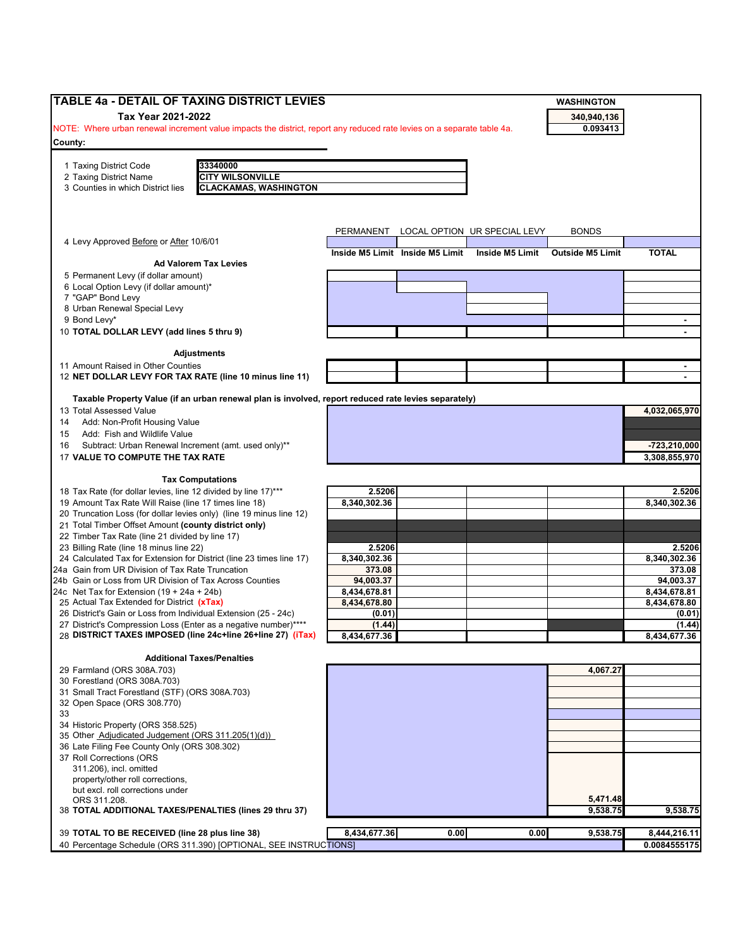| <b>TABLE 4a - DETAIL OF TAXING DISTRICT LEVIES</b>                                                                     |                        |                                 |                              | <b>WASHINGTON</b>       |                        |
|------------------------------------------------------------------------------------------------------------------------|------------------------|---------------------------------|------------------------------|-------------------------|------------------------|
| Tax Year 2021-2022                                                                                                     |                        |                                 |                              | 340,940,136             |                        |
| NOTE: Where urban renewal increment value impacts the district, report any reduced rate levies on a separate table 4a. |                        |                                 |                              | 0.093413                |                        |
| County:                                                                                                                |                        |                                 |                              |                         |                        |
| 33340000<br>1 Taxing District Code                                                                                     |                        |                                 |                              |                         |                        |
| <b>CITY WILSONVILLE</b><br>2 Taxing District Name                                                                      |                        |                                 |                              |                         |                        |
| <b>CLACKAMAS, WASHINGTON</b><br>3 Counties in which District lies                                                      |                        |                                 |                              |                         |                        |
|                                                                                                                        |                        |                                 |                              |                         |                        |
|                                                                                                                        |                        |                                 |                              |                         |                        |
|                                                                                                                        | <b>PERMANENT</b>       |                                 | LOCAL OPTION UR SPECIAL LEVY | <b>BONDS</b>            |                        |
| 4 Levy Approved Before or After 10/6/01                                                                                |                        |                                 |                              |                         |                        |
| <b>Ad Valorem Tax Levies</b>                                                                                           |                        | Inside M5 Limit Inside M5 Limit | Inside M5 Limit              | <b>Outside M5 Limit</b> | <b>TOTAL</b>           |
| 5 Permanent Levy (if dollar amount)                                                                                    |                        |                                 |                              |                         |                        |
| 6 Local Option Levy (if dollar amount)*                                                                                |                        |                                 |                              |                         |                        |
| 7 "GAP" Bond Levy                                                                                                      |                        |                                 |                              |                         |                        |
| 8 Urban Renewal Special Levy                                                                                           |                        |                                 |                              |                         |                        |
| 9 Bond Levy*                                                                                                           |                        |                                 |                              |                         |                        |
| 10 TOTAL DOLLAR LEVY (add lines 5 thru 9)                                                                              |                        |                                 |                              |                         |                        |
| <b>Adjustments</b>                                                                                                     |                        |                                 |                              |                         |                        |
| 11 Amount Raised in Other Counties                                                                                     |                        |                                 |                              |                         |                        |
| 12 NET DOLLAR LEVY FOR TAX RATE (line 10 minus line 11)                                                                |                        |                                 |                              |                         |                        |
|                                                                                                                        |                        |                                 |                              |                         |                        |
| Taxable Property Value (if an urban renewal plan is involved, report reduced rate levies separately)                   |                        |                                 |                              |                         |                        |
| 13 Total Assessed Value                                                                                                |                        |                                 |                              |                         | 4,032,065,970          |
| Add: Non-Profit Housing Value<br>14                                                                                    |                        |                                 |                              |                         |                        |
| Add: Fish and Wildlife Value<br>15<br>Subtract: Urban Renewal Increment (amt. used only)**<br>16                       |                        |                                 |                              |                         | $-723,210,000$         |
| 17 VALUE TO COMPUTE THE TAX RATE                                                                                       |                        |                                 |                              |                         | 3,308,855,970          |
|                                                                                                                        |                        |                                 |                              |                         |                        |
| <b>Tax Computations</b>                                                                                                |                        |                                 |                              |                         |                        |
| 18 Tax Rate (for dollar levies, line 12 divided by line 17)***                                                         | 2.5206                 |                                 |                              |                         | 2.5206                 |
| 19 Amount Tax Rate Will Raise (line 17 times line 18)                                                                  | 8,340,302.36           |                                 |                              |                         | 8,340,302.36           |
| 20 Truncation Loss (for dollar levies only) (line 19 minus line 12)                                                    |                        |                                 |                              |                         |                        |
| 21 Total Timber Offset Amount (county district only)<br>22 Timber Tax Rate (line 21 divided by line 17)                |                        |                                 |                              |                         |                        |
| 23 Billing Rate (line 18 minus line 22)                                                                                | 2.5206                 |                                 |                              |                         | 2.5206                 |
| 24 Calculated Tax for Extension for District (line 23 times line 17)                                                   | 8,340,302.36           |                                 |                              |                         | 8,340,302.36           |
| 24a Gain from UR Division of Tax Rate Truncation                                                                       | 373.08                 |                                 |                              |                         | 373.08                 |
| 24b Gain or Loss from UR Division of Tax Across Counties                                                               | 94,003.37              |                                 |                              |                         | 94,003.37              |
| 24c Net Tax for Extension $(19 + 24a + 24b)$                                                                           | 8,434,678.81           |                                 |                              |                         | 8,434,678.81           |
| 25 Actual Tax Extended for District (xTax)<br>26 District's Gain or Loss from Individual Extension (25 - 24c)          | 8,434,678.80<br>(0.01) |                                 |                              |                         | 8,434,678.80<br>(0.01) |
| 27 District's Compression Loss (Enter as a negative number)****                                                        | (1.44)                 |                                 |                              |                         | (1.44)                 |
| 28 DISTRICT TAXES IMPOSED (line 24c+line 26+line 27) (iTax)                                                            | 8,434,677.36           |                                 |                              |                         | 8,434,677.36           |
|                                                                                                                        |                        |                                 |                              |                         |                        |
| <b>Additional Taxes/Penalties</b>                                                                                      |                        |                                 |                              |                         |                        |
| 29 Farmland (ORS 308A.703)                                                                                             |                        |                                 |                              | 4,067.27                |                        |
| 30 Forestland (ORS 308A.703)<br>31 Small Tract Forestland (STF) (ORS 308A.703)                                         |                        |                                 |                              |                         |                        |
| 32 Open Space (ORS 308.770)                                                                                            |                        |                                 |                              |                         |                        |
| 33                                                                                                                     |                        |                                 |                              |                         |                        |
| 34 Historic Property (ORS 358.525)                                                                                     |                        |                                 |                              |                         |                        |
| 35 Other Adjudicated Judgement (ORS 311.205(1)(d))                                                                     |                        |                                 |                              |                         |                        |
| 36 Late Filing Fee County Only (ORS 308.302)                                                                           |                        |                                 |                              |                         |                        |
| 37 Roll Corrections (ORS                                                                                               |                        |                                 |                              |                         |                        |
| 311.206), incl. omitted<br>property/other roll corrections,                                                            |                        |                                 |                              |                         |                        |
| but excl. roll corrections under                                                                                       |                        |                                 |                              |                         |                        |
| ORS 311.208.                                                                                                           |                        |                                 |                              | 5,471.48                |                        |
| 38 TOTAL ADDITIONAL TAXES/PENALTIES (lines 29 thru 37)                                                                 |                        |                                 |                              | 9,538.75                | 9,538.75               |
|                                                                                                                        |                        |                                 |                              |                         |                        |
| 39 TOTAL TO BE RECEIVED (line 28 plus line 38)                                                                         | 8,434,677.36           | 0.00                            | 0.00                         | 9,538.75                | 8,444,216.11           |
| 40 Percentage Schedule (ORS 311.390) [OPTIONAL, SEE INSTRUCTIONS]                                                      |                        |                                 |                              |                         | 0.0084555175           |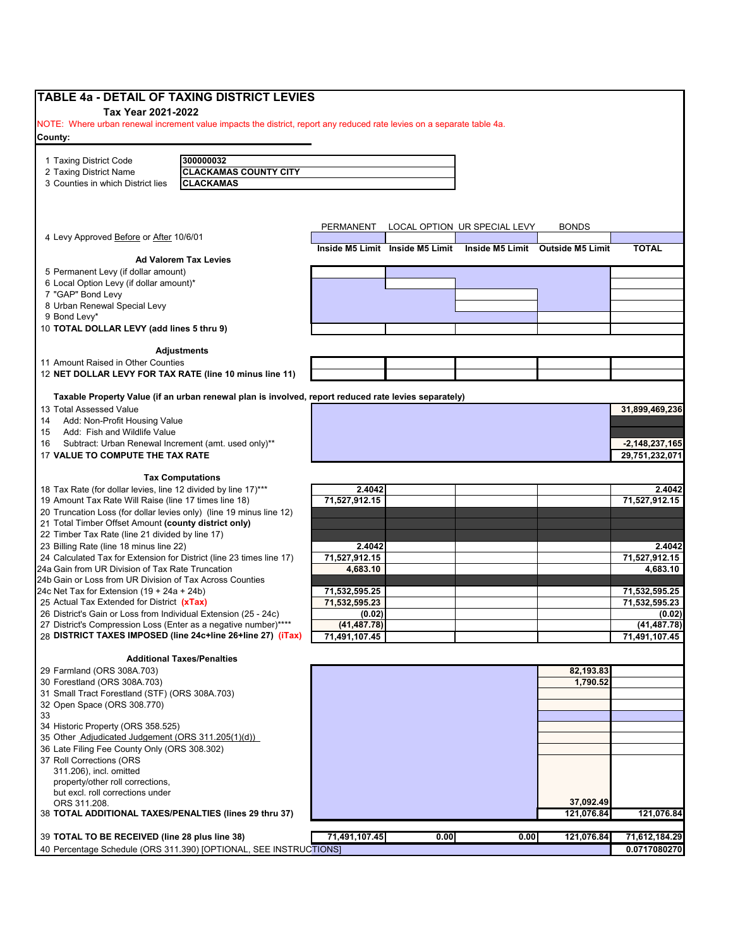| NOTE: Where urban renewal increment value impacts the district, report any reduced rate levies on a separate table 4a.<br>300000032<br><b>CLACKAMAS COUNTY CITY</b><br><b>CLACKAMAS</b><br>LOCAL OPTION UR SPECIAL LEVY<br><b>BONDS</b><br>PERMANENT<br>4 Levy Approved Before or After 10/6/01<br><b>TOTAL</b><br>Inside M5 Limit Inside M5 Limit Inside M5 Limit Outside M5 Limit<br><b>Ad Valorem Tax Levies</b><br>10 TOTAL DOLLAR LEVY (add lines 5 thru 9)<br><b>Adjustments</b><br>12 NET DOLLAR LEVY FOR TAX RATE (line 10 minus line 11)<br>Taxable Property Value (if an urban renewal plan is involved, report reduced rate levies separately)<br>Subtract: Urban Renewal Increment (amt. used only)**<br>$-2,148,237,165$<br>29,751,232,071<br>17 VALUE TO COMPUTE THE TAX RATE<br><b>Tax Computations</b><br>18 Tax Rate (for dollar levies, line 12 divided by line 17)***<br>2.4042<br>2.4042<br>71,527,912.15<br>71,527,912.15<br>19 Amount Tax Rate Will Raise (line 17 times line 18)<br>20 Truncation Loss (for dollar levies only) (line 19 minus line 12)<br>21 Total Timber Offset Amount (county district only)<br>22 Timber Tax Rate (line 21 divided by line 17)<br>2.4042<br>2.4042<br>71,527,912.15<br>71,527,912.15<br>24 Calculated Tax for Extension for District (line 23 times line 17)<br>24a Gain from UR Division of Tax Rate Truncation<br>4,683.10<br>4,683.10<br>24b Gain or Loss from UR Division of Tax Across Counties<br>24c Net Tax for Extension $(19 + 24a + 24b)$<br>71,532,595.25<br>25 Actual Tax Extended for District (xTax)<br>71,532,595.23<br>71,532,595.23<br>26 District's Gain or Loss from Individual Extension (25 - 24c)<br>(0.02)<br>(0.02)<br>27 District's Compression Loss (Enter as a negative number)****<br>(41, 487.78)<br>(41, 487.78)<br>28 DISTRICT TAXES IMPOSED (line 24c+line 26+line 27) (iTax)<br>71,491,107.45<br>71,491,107.45<br><b>Additional Taxes/Penalties</b><br>82,193.83<br>1,790.52<br>31 Small Tract Forestland (STF) (ORS 308A.703)<br>34 Historic Property (ORS 358.525)<br>35 Other Adjudicated Judgement (ORS 311.205(1)(d))<br>36 Late Filing Fee County Only (ORS 308.302)<br>37 Roll Corrections (ORS<br>37,092.49<br>121,076.84<br>38 TOTAL ADDITIONAL TAXES/PENALTIES (lines 29 thru 37)<br>71,491,107.45<br>39 TOTAL TO BE RECEIVED (line 28 plus line 38)<br>0.00<br>71,612,184.29<br>0.00<br>121,076.84<br>40 Percentage Schedule (ORS 311.390) [OPTIONAL, SEE INSTRUCTIONS] | Tax Year 2021-2022                      |  |  |                |
|---------------------------------------------------------------------------------------------------------------------------------------------------------------------------------------------------------------------------------------------------------------------------------------------------------------------------------------------------------------------------------------------------------------------------------------------------------------------------------------------------------------------------------------------------------------------------------------------------------------------------------------------------------------------------------------------------------------------------------------------------------------------------------------------------------------------------------------------------------------------------------------------------------------------------------------------------------------------------------------------------------------------------------------------------------------------------------------------------------------------------------------------------------------------------------------------------------------------------------------------------------------------------------------------------------------------------------------------------------------------------------------------------------------------------------------------------------------------------------------------------------------------------------------------------------------------------------------------------------------------------------------------------------------------------------------------------------------------------------------------------------------------------------------------------------------------------------------------------------------------------------------------------------------------------------------------------------------------------------------------------------------------------------------------------------------------------------------------------------------------------------------------------------------------------------------------------------------------------------------------------------------------------------------------------------------------------------------------------------------------------------------------------------------------------------------------------------------------------------|-----------------------------------------|--|--|----------------|
|                                                                                                                                                                                                                                                                                                                                                                                                                                                                                                                                                                                                                                                                                                                                                                                                                                                                                                                                                                                                                                                                                                                                                                                                                                                                                                                                                                                                                                                                                                                                                                                                                                                                                                                                                                                                                                                                                                                                                                                                                                                                                                                                                                                                                                                                                                                                                                                                                                                                                 |                                         |  |  |                |
|                                                                                                                                                                                                                                                                                                                                                                                                                                                                                                                                                                                                                                                                                                                                                                                                                                                                                                                                                                                                                                                                                                                                                                                                                                                                                                                                                                                                                                                                                                                                                                                                                                                                                                                                                                                                                                                                                                                                                                                                                                                                                                                                                                                                                                                                                                                                                                                                                                                                                 | County:                                 |  |  |                |
|                                                                                                                                                                                                                                                                                                                                                                                                                                                                                                                                                                                                                                                                                                                                                                                                                                                                                                                                                                                                                                                                                                                                                                                                                                                                                                                                                                                                                                                                                                                                                                                                                                                                                                                                                                                                                                                                                                                                                                                                                                                                                                                                                                                                                                                                                                                                                                                                                                                                                 | 1 Taxing District Code                  |  |  |                |
|                                                                                                                                                                                                                                                                                                                                                                                                                                                                                                                                                                                                                                                                                                                                                                                                                                                                                                                                                                                                                                                                                                                                                                                                                                                                                                                                                                                                                                                                                                                                                                                                                                                                                                                                                                                                                                                                                                                                                                                                                                                                                                                                                                                                                                                                                                                                                                                                                                                                                 | 2 Taxing District Name                  |  |  |                |
|                                                                                                                                                                                                                                                                                                                                                                                                                                                                                                                                                                                                                                                                                                                                                                                                                                                                                                                                                                                                                                                                                                                                                                                                                                                                                                                                                                                                                                                                                                                                                                                                                                                                                                                                                                                                                                                                                                                                                                                                                                                                                                                                                                                                                                                                                                                                                                                                                                                                                 | 3 Counties in which District lies       |  |  |                |
|                                                                                                                                                                                                                                                                                                                                                                                                                                                                                                                                                                                                                                                                                                                                                                                                                                                                                                                                                                                                                                                                                                                                                                                                                                                                                                                                                                                                                                                                                                                                                                                                                                                                                                                                                                                                                                                                                                                                                                                                                                                                                                                                                                                                                                                                                                                                                                                                                                                                                 |                                         |  |  |                |
|                                                                                                                                                                                                                                                                                                                                                                                                                                                                                                                                                                                                                                                                                                                                                                                                                                                                                                                                                                                                                                                                                                                                                                                                                                                                                                                                                                                                                                                                                                                                                                                                                                                                                                                                                                                                                                                                                                                                                                                                                                                                                                                                                                                                                                                                                                                                                                                                                                                                                 |                                         |  |  |                |
|                                                                                                                                                                                                                                                                                                                                                                                                                                                                                                                                                                                                                                                                                                                                                                                                                                                                                                                                                                                                                                                                                                                                                                                                                                                                                                                                                                                                                                                                                                                                                                                                                                                                                                                                                                                                                                                                                                                                                                                                                                                                                                                                                                                                                                                                                                                                                                                                                                                                                 |                                         |  |  |                |
|                                                                                                                                                                                                                                                                                                                                                                                                                                                                                                                                                                                                                                                                                                                                                                                                                                                                                                                                                                                                                                                                                                                                                                                                                                                                                                                                                                                                                                                                                                                                                                                                                                                                                                                                                                                                                                                                                                                                                                                                                                                                                                                                                                                                                                                                                                                                                                                                                                                                                 |                                         |  |  |                |
|                                                                                                                                                                                                                                                                                                                                                                                                                                                                                                                                                                                                                                                                                                                                                                                                                                                                                                                                                                                                                                                                                                                                                                                                                                                                                                                                                                                                                                                                                                                                                                                                                                                                                                                                                                                                                                                                                                                                                                                                                                                                                                                                                                                                                                                                                                                                                                                                                                                                                 |                                         |  |  |                |
|                                                                                                                                                                                                                                                                                                                                                                                                                                                                                                                                                                                                                                                                                                                                                                                                                                                                                                                                                                                                                                                                                                                                                                                                                                                                                                                                                                                                                                                                                                                                                                                                                                                                                                                                                                                                                                                                                                                                                                                                                                                                                                                                                                                                                                                                                                                                                                                                                                                                                 | 5 Permanent Levy (if dollar amount)     |  |  |                |
|                                                                                                                                                                                                                                                                                                                                                                                                                                                                                                                                                                                                                                                                                                                                                                                                                                                                                                                                                                                                                                                                                                                                                                                                                                                                                                                                                                                                                                                                                                                                                                                                                                                                                                                                                                                                                                                                                                                                                                                                                                                                                                                                                                                                                                                                                                                                                                                                                                                                                 | 6 Local Option Levy (if dollar amount)* |  |  |                |
|                                                                                                                                                                                                                                                                                                                                                                                                                                                                                                                                                                                                                                                                                                                                                                                                                                                                                                                                                                                                                                                                                                                                                                                                                                                                                                                                                                                                                                                                                                                                                                                                                                                                                                                                                                                                                                                                                                                                                                                                                                                                                                                                                                                                                                                                                                                                                                                                                                                                                 | 7 "GAP" Bond Levy                       |  |  |                |
|                                                                                                                                                                                                                                                                                                                                                                                                                                                                                                                                                                                                                                                                                                                                                                                                                                                                                                                                                                                                                                                                                                                                                                                                                                                                                                                                                                                                                                                                                                                                                                                                                                                                                                                                                                                                                                                                                                                                                                                                                                                                                                                                                                                                                                                                                                                                                                                                                                                                                 | 8 Urban Renewal Special Levy            |  |  |                |
|                                                                                                                                                                                                                                                                                                                                                                                                                                                                                                                                                                                                                                                                                                                                                                                                                                                                                                                                                                                                                                                                                                                                                                                                                                                                                                                                                                                                                                                                                                                                                                                                                                                                                                                                                                                                                                                                                                                                                                                                                                                                                                                                                                                                                                                                                                                                                                                                                                                                                 | 9 Bond Levy*                            |  |  |                |
|                                                                                                                                                                                                                                                                                                                                                                                                                                                                                                                                                                                                                                                                                                                                                                                                                                                                                                                                                                                                                                                                                                                                                                                                                                                                                                                                                                                                                                                                                                                                                                                                                                                                                                                                                                                                                                                                                                                                                                                                                                                                                                                                                                                                                                                                                                                                                                                                                                                                                 |                                         |  |  |                |
|                                                                                                                                                                                                                                                                                                                                                                                                                                                                                                                                                                                                                                                                                                                                                                                                                                                                                                                                                                                                                                                                                                                                                                                                                                                                                                                                                                                                                                                                                                                                                                                                                                                                                                                                                                                                                                                                                                                                                                                                                                                                                                                                                                                                                                                                                                                                                                                                                                                                                 |                                         |  |  |                |
|                                                                                                                                                                                                                                                                                                                                                                                                                                                                                                                                                                                                                                                                                                                                                                                                                                                                                                                                                                                                                                                                                                                                                                                                                                                                                                                                                                                                                                                                                                                                                                                                                                                                                                                                                                                                                                                                                                                                                                                                                                                                                                                                                                                                                                                                                                                                                                                                                                                                                 | 11 Amount Raised in Other Counties      |  |  |                |
|                                                                                                                                                                                                                                                                                                                                                                                                                                                                                                                                                                                                                                                                                                                                                                                                                                                                                                                                                                                                                                                                                                                                                                                                                                                                                                                                                                                                                                                                                                                                                                                                                                                                                                                                                                                                                                                                                                                                                                                                                                                                                                                                                                                                                                                                                                                                                                                                                                                                                 |                                         |  |  |                |
|                                                                                                                                                                                                                                                                                                                                                                                                                                                                                                                                                                                                                                                                                                                                                                                                                                                                                                                                                                                                                                                                                                                                                                                                                                                                                                                                                                                                                                                                                                                                                                                                                                                                                                                                                                                                                                                                                                                                                                                                                                                                                                                                                                                                                                                                                                                                                                                                                                                                                 |                                         |  |  |                |
|                                                                                                                                                                                                                                                                                                                                                                                                                                                                                                                                                                                                                                                                                                                                                                                                                                                                                                                                                                                                                                                                                                                                                                                                                                                                                                                                                                                                                                                                                                                                                                                                                                                                                                                                                                                                                                                                                                                                                                                                                                                                                                                                                                                                                                                                                                                                                                                                                                                                                 | 13 Total Assessed Value                 |  |  | 31,899,469,236 |
|                                                                                                                                                                                                                                                                                                                                                                                                                                                                                                                                                                                                                                                                                                                                                                                                                                                                                                                                                                                                                                                                                                                                                                                                                                                                                                                                                                                                                                                                                                                                                                                                                                                                                                                                                                                                                                                                                                                                                                                                                                                                                                                                                                                                                                                                                                                                                                                                                                                                                 | Add: Non-Profit Housing Value           |  |  |                |
|                                                                                                                                                                                                                                                                                                                                                                                                                                                                                                                                                                                                                                                                                                                                                                                                                                                                                                                                                                                                                                                                                                                                                                                                                                                                                                                                                                                                                                                                                                                                                                                                                                                                                                                                                                                                                                                                                                                                                                                                                                                                                                                                                                                                                                                                                                                                                                                                                                                                                 | Add: Fish and Wildlife Value            |  |  |                |
|                                                                                                                                                                                                                                                                                                                                                                                                                                                                                                                                                                                                                                                                                                                                                                                                                                                                                                                                                                                                                                                                                                                                                                                                                                                                                                                                                                                                                                                                                                                                                                                                                                                                                                                                                                                                                                                                                                                                                                                                                                                                                                                                                                                                                                                                                                                                                                                                                                                                                 |                                         |  |  |                |
|                                                                                                                                                                                                                                                                                                                                                                                                                                                                                                                                                                                                                                                                                                                                                                                                                                                                                                                                                                                                                                                                                                                                                                                                                                                                                                                                                                                                                                                                                                                                                                                                                                                                                                                                                                                                                                                                                                                                                                                                                                                                                                                                                                                                                                                                                                                                                                                                                                                                                 |                                         |  |  |                |
|                                                                                                                                                                                                                                                                                                                                                                                                                                                                                                                                                                                                                                                                                                                                                                                                                                                                                                                                                                                                                                                                                                                                                                                                                                                                                                                                                                                                                                                                                                                                                                                                                                                                                                                                                                                                                                                                                                                                                                                                                                                                                                                                                                                                                                                                                                                                                                                                                                                                                 |                                         |  |  |                |
|                                                                                                                                                                                                                                                                                                                                                                                                                                                                                                                                                                                                                                                                                                                                                                                                                                                                                                                                                                                                                                                                                                                                                                                                                                                                                                                                                                                                                                                                                                                                                                                                                                                                                                                                                                                                                                                                                                                                                                                                                                                                                                                                                                                                                                                                                                                                                                                                                                                                                 |                                         |  |  |                |
|                                                                                                                                                                                                                                                                                                                                                                                                                                                                                                                                                                                                                                                                                                                                                                                                                                                                                                                                                                                                                                                                                                                                                                                                                                                                                                                                                                                                                                                                                                                                                                                                                                                                                                                                                                                                                                                                                                                                                                                                                                                                                                                                                                                                                                                                                                                                                                                                                                                                                 |                                         |  |  |                |
|                                                                                                                                                                                                                                                                                                                                                                                                                                                                                                                                                                                                                                                                                                                                                                                                                                                                                                                                                                                                                                                                                                                                                                                                                                                                                                                                                                                                                                                                                                                                                                                                                                                                                                                                                                                                                                                                                                                                                                                                                                                                                                                                                                                                                                                                                                                                                                                                                                                                                 |                                         |  |  |                |
|                                                                                                                                                                                                                                                                                                                                                                                                                                                                                                                                                                                                                                                                                                                                                                                                                                                                                                                                                                                                                                                                                                                                                                                                                                                                                                                                                                                                                                                                                                                                                                                                                                                                                                                                                                                                                                                                                                                                                                                                                                                                                                                                                                                                                                                                                                                                                                                                                                                                                 |                                         |  |  |                |
|                                                                                                                                                                                                                                                                                                                                                                                                                                                                                                                                                                                                                                                                                                                                                                                                                                                                                                                                                                                                                                                                                                                                                                                                                                                                                                                                                                                                                                                                                                                                                                                                                                                                                                                                                                                                                                                                                                                                                                                                                                                                                                                                                                                                                                                                                                                                                                                                                                                                                 |                                         |  |  |                |
|                                                                                                                                                                                                                                                                                                                                                                                                                                                                                                                                                                                                                                                                                                                                                                                                                                                                                                                                                                                                                                                                                                                                                                                                                                                                                                                                                                                                                                                                                                                                                                                                                                                                                                                                                                                                                                                                                                                                                                                                                                                                                                                                                                                                                                                                                                                                                                                                                                                                                 | 23 Billing Rate (line 18 minus line 22) |  |  |                |
|                                                                                                                                                                                                                                                                                                                                                                                                                                                                                                                                                                                                                                                                                                                                                                                                                                                                                                                                                                                                                                                                                                                                                                                                                                                                                                                                                                                                                                                                                                                                                                                                                                                                                                                                                                                                                                                                                                                                                                                                                                                                                                                                                                                                                                                                                                                                                                                                                                                                                 |                                         |  |  |                |
|                                                                                                                                                                                                                                                                                                                                                                                                                                                                                                                                                                                                                                                                                                                                                                                                                                                                                                                                                                                                                                                                                                                                                                                                                                                                                                                                                                                                                                                                                                                                                                                                                                                                                                                                                                                                                                                                                                                                                                                                                                                                                                                                                                                                                                                                                                                                                                                                                                                                                 |                                         |  |  |                |
|                                                                                                                                                                                                                                                                                                                                                                                                                                                                                                                                                                                                                                                                                                                                                                                                                                                                                                                                                                                                                                                                                                                                                                                                                                                                                                                                                                                                                                                                                                                                                                                                                                                                                                                                                                                                                                                                                                                                                                                                                                                                                                                                                                                                                                                                                                                                                                                                                                                                                 |                                         |  |  |                |
|                                                                                                                                                                                                                                                                                                                                                                                                                                                                                                                                                                                                                                                                                                                                                                                                                                                                                                                                                                                                                                                                                                                                                                                                                                                                                                                                                                                                                                                                                                                                                                                                                                                                                                                                                                                                                                                                                                                                                                                                                                                                                                                                                                                                                                                                                                                                                                                                                                                                                 |                                         |  |  | 71,532,595.25  |
|                                                                                                                                                                                                                                                                                                                                                                                                                                                                                                                                                                                                                                                                                                                                                                                                                                                                                                                                                                                                                                                                                                                                                                                                                                                                                                                                                                                                                                                                                                                                                                                                                                                                                                                                                                                                                                                                                                                                                                                                                                                                                                                                                                                                                                                                                                                                                                                                                                                                                 |                                         |  |  |                |
|                                                                                                                                                                                                                                                                                                                                                                                                                                                                                                                                                                                                                                                                                                                                                                                                                                                                                                                                                                                                                                                                                                                                                                                                                                                                                                                                                                                                                                                                                                                                                                                                                                                                                                                                                                                                                                                                                                                                                                                                                                                                                                                                                                                                                                                                                                                                                                                                                                                                                 |                                         |  |  |                |
|                                                                                                                                                                                                                                                                                                                                                                                                                                                                                                                                                                                                                                                                                                                                                                                                                                                                                                                                                                                                                                                                                                                                                                                                                                                                                                                                                                                                                                                                                                                                                                                                                                                                                                                                                                                                                                                                                                                                                                                                                                                                                                                                                                                                                                                                                                                                                                                                                                                                                 |                                         |  |  |                |
|                                                                                                                                                                                                                                                                                                                                                                                                                                                                                                                                                                                                                                                                                                                                                                                                                                                                                                                                                                                                                                                                                                                                                                                                                                                                                                                                                                                                                                                                                                                                                                                                                                                                                                                                                                                                                                                                                                                                                                                                                                                                                                                                                                                                                                                                                                                                                                                                                                                                                 |                                         |  |  |                |
|                                                                                                                                                                                                                                                                                                                                                                                                                                                                                                                                                                                                                                                                                                                                                                                                                                                                                                                                                                                                                                                                                                                                                                                                                                                                                                                                                                                                                                                                                                                                                                                                                                                                                                                                                                                                                                                                                                                                                                                                                                                                                                                                                                                                                                                                                                                                                                                                                                                                                 |                                         |  |  |                |
|                                                                                                                                                                                                                                                                                                                                                                                                                                                                                                                                                                                                                                                                                                                                                                                                                                                                                                                                                                                                                                                                                                                                                                                                                                                                                                                                                                                                                                                                                                                                                                                                                                                                                                                                                                                                                                                                                                                                                                                                                                                                                                                                                                                                                                                                                                                                                                                                                                                                                 | 29 Farmland (ORS 308A.703)              |  |  |                |
|                                                                                                                                                                                                                                                                                                                                                                                                                                                                                                                                                                                                                                                                                                                                                                                                                                                                                                                                                                                                                                                                                                                                                                                                                                                                                                                                                                                                                                                                                                                                                                                                                                                                                                                                                                                                                                                                                                                                                                                                                                                                                                                                                                                                                                                                                                                                                                                                                                                                                 | 30 Forestland (ORS 308A.703)            |  |  |                |
|                                                                                                                                                                                                                                                                                                                                                                                                                                                                                                                                                                                                                                                                                                                                                                                                                                                                                                                                                                                                                                                                                                                                                                                                                                                                                                                                                                                                                                                                                                                                                                                                                                                                                                                                                                                                                                                                                                                                                                                                                                                                                                                                                                                                                                                                                                                                                                                                                                                                                 |                                         |  |  |                |
|                                                                                                                                                                                                                                                                                                                                                                                                                                                                                                                                                                                                                                                                                                                                                                                                                                                                                                                                                                                                                                                                                                                                                                                                                                                                                                                                                                                                                                                                                                                                                                                                                                                                                                                                                                                                                                                                                                                                                                                                                                                                                                                                                                                                                                                                                                                                                                                                                                                                                 | 32 Open Space (ORS 308.770)             |  |  |                |
|                                                                                                                                                                                                                                                                                                                                                                                                                                                                                                                                                                                                                                                                                                                                                                                                                                                                                                                                                                                                                                                                                                                                                                                                                                                                                                                                                                                                                                                                                                                                                                                                                                                                                                                                                                                                                                                                                                                                                                                                                                                                                                                                                                                                                                                                                                                                                                                                                                                                                 |                                         |  |  |                |
|                                                                                                                                                                                                                                                                                                                                                                                                                                                                                                                                                                                                                                                                                                                                                                                                                                                                                                                                                                                                                                                                                                                                                                                                                                                                                                                                                                                                                                                                                                                                                                                                                                                                                                                                                                                                                                                                                                                                                                                                                                                                                                                                                                                                                                                                                                                                                                                                                                                                                 |                                         |  |  |                |
|                                                                                                                                                                                                                                                                                                                                                                                                                                                                                                                                                                                                                                                                                                                                                                                                                                                                                                                                                                                                                                                                                                                                                                                                                                                                                                                                                                                                                                                                                                                                                                                                                                                                                                                                                                                                                                                                                                                                                                                                                                                                                                                                                                                                                                                                                                                                                                                                                                                                                 |                                         |  |  |                |
|                                                                                                                                                                                                                                                                                                                                                                                                                                                                                                                                                                                                                                                                                                                                                                                                                                                                                                                                                                                                                                                                                                                                                                                                                                                                                                                                                                                                                                                                                                                                                                                                                                                                                                                                                                                                                                                                                                                                                                                                                                                                                                                                                                                                                                                                                                                                                                                                                                                                                 |                                         |  |  |                |
|                                                                                                                                                                                                                                                                                                                                                                                                                                                                                                                                                                                                                                                                                                                                                                                                                                                                                                                                                                                                                                                                                                                                                                                                                                                                                                                                                                                                                                                                                                                                                                                                                                                                                                                                                                                                                                                                                                                                                                                                                                                                                                                                                                                                                                                                                                                                                                                                                                                                                 | 311.206), incl. omitted                 |  |  |                |
|                                                                                                                                                                                                                                                                                                                                                                                                                                                                                                                                                                                                                                                                                                                                                                                                                                                                                                                                                                                                                                                                                                                                                                                                                                                                                                                                                                                                                                                                                                                                                                                                                                                                                                                                                                                                                                                                                                                                                                                                                                                                                                                                                                                                                                                                                                                                                                                                                                                                                 | property/other roll corrections,        |  |  |                |
|                                                                                                                                                                                                                                                                                                                                                                                                                                                                                                                                                                                                                                                                                                                                                                                                                                                                                                                                                                                                                                                                                                                                                                                                                                                                                                                                                                                                                                                                                                                                                                                                                                                                                                                                                                                                                                                                                                                                                                                                                                                                                                                                                                                                                                                                                                                                                                                                                                                                                 | but excl. roll corrections under        |  |  |                |
|                                                                                                                                                                                                                                                                                                                                                                                                                                                                                                                                                                                                                                                                                                                                                                                                                                                                                                                                                                                                                                                                                                                                                                                                                                                                                                                                                                                                                                                                                                                                                                                                                                                                                                                                                                                                                                                                                                                                                                                                                                                                                                                                                                                                                                                                                                                                                                                                                                                                                 | ORS 311.208.                            |  |  |                |
|                                                                                                                                                                                                                                                                                                                                                                                                                                                                                                                                                                                                                                                                                                                                                                                                                                                                                                                                                                                                                                                                                                                                                                                                                                                                                                                                                                                                                                                                                                                                                                                                                                                                                                                                                                                                                                                                                                                                                                                                                                                                                                                                                                                                                                                                                                                                                                                                                                                                                 |                                         |  |  | 121,076.84     |
|                                                                                                                                                                                                                                                                                                                                                                                                                                                                                                                                                                                                                                                                                                                                                                                                                                                                                                                                                                                                                                                                                                                                                                                                                                                                                                                                                                                                                                                                                                                                                                                                                                                                                                                                                                                                                                                                                                                                                                                                                                                                                                                                                                                                                                                                                                                                                                                                                                                                                 |                                         |  |  |                |
|                                                                                                                                                                                                                                                                                                                                                                                                                                                                                                                                                                                                                                                                                                                                                                                                                                                                                                                                                                                                                                                                                                                                                                                                                                                                                                                                                                                                                                                                                                                                                                                                                                                                                                                                                                                                                                                                                                                                                                                                                                                                                                                                                                                                                                                                                                                                                                                                                                                                                 |                                         |  |  | 0.0717080270   |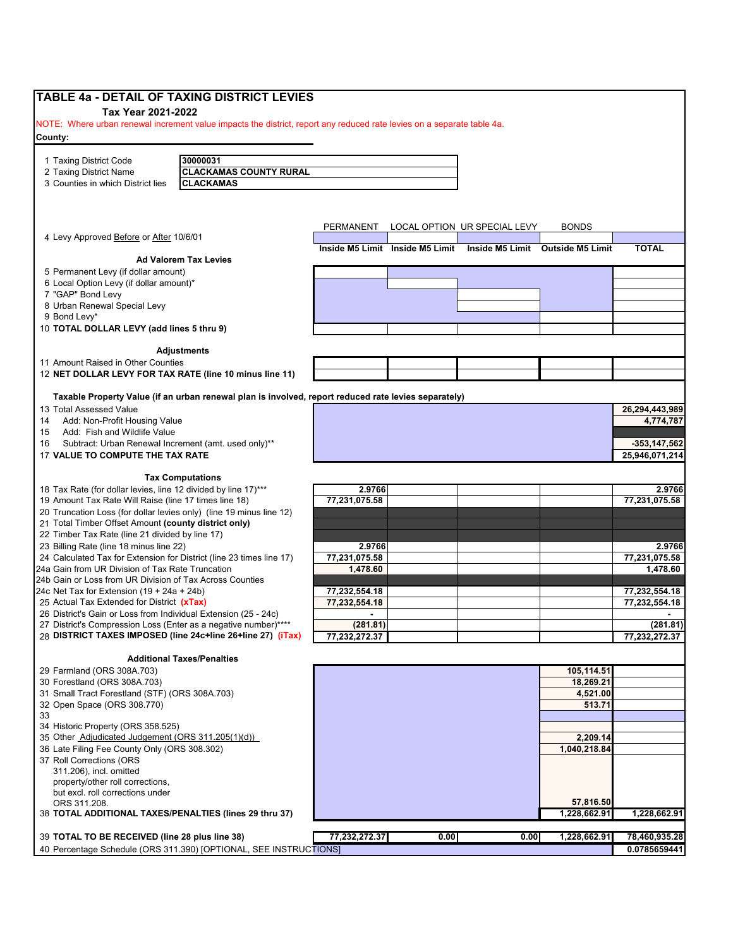| TABLE 4a - DETAIL OF TAXING DISTRICT LEVIES                                                                                                  |                                                                                                      |               |      |                                                                  |                          |                               |
|----------------------------------------------------------------------------------------------------------------------------------------------|------------------------------------------------------------------------------------------------------|---------------|------|------------------------------------------------------------------|--------------------------|-------------------------------|
| Tax Year 2021-2022<br>NOTE: Where urban renewal increment value impacts the district, report any reduced rate levies on a separate table 4a. |                                                                                                      |               |      |                                                                  |                          |                               |
| County:                                                                                                                                      |                                                                                                      |               |      |                                                                  |                          |                               |
|                                                                                                                                              |                                                                                                      |               |      |                                                                  |                          |                               |
| 1 Taxing District Code                                                                                                                       | 30000031                                                                                             |               |      |                                                                  |                          |                               |
| 2 Taxing District Name                                                                                                                       | <b>CLACKAMAS COUNTY RURAL</b>                                                                        |               |      |                                                                  |                          |                               |
| 3 Counties in which District lies                                                                                                            | <b>CLACKAMAS</b>                                                                                     |               |      |                                                                  |                          |                               |
|                                                                                                                                              |                                                                                                      |               |      |                                                                  |                          |                               |
|                                                                                                                                              |                                                                                                      |               |      |                                                                  |                          |                               |
|                                                                                                                                              |                                                                                                      | PERMANENT     |      | LOCAL OPTION UR SPECIAL LEVY                                     | <b>BONDS</b>             |                               |
| 4 Levy Approved Before or After 10/6/01                                                                                                      |                                                                                                      |               |      |                                                                  |                          |                               |
|                                                                                                                                              |                                                                                                      |               |      | Inside M5 Limit Inside M5 Limit Inside M5 Limit Outside M5 Limit |                          | <b>TOTAL</b>                  |
|                                                                                                                                              | <b>Ad Valorem Tax Levies</b>                                                                         |               |      |                                                                  |                          |                               |
| 5 Permanent Levy (if dollar amount)                                                                                                          |                                                                                                      |               |      |                                                                  |                          |                               |
| 6 Local Option Levy (if dollar amount)*                                                                                                      |                                                                                                      |               |      |                                                                  |                          |                               |
| 7 "GAP" Bond Levy<br>8 Urban Renewal Special Levy                                                                                            |                                                                                                      |               |      |                                                                  |                          |                               |
| 9 Bond Levy*                                                                                                                                 |                                                                                                      |               |      |                                                                  |                          |                               |
| 10 TOTAL DOLLAR LEVY (add lines 5 thru 9)                                                                                                    |                                                                                                      |               |      |                                                                  |                          |                               |
|                                                                                                                                              |                                                                                                      |               |      |                                                                  |                          |                               |
|                                                                                                                                              | <b>Adjustments</b>                                                                                   |               |      |                                                                  |                          |                               |
| 11 Amount Raised in Other Counties                                                                                                           |                                                                                                      |               |      |                                                                  |                          |                               |
| 12 NET DOLLAR LEVY FOR TAX RATE (line 10 minus line 11)                                                                                      |                                                                                                      |               |      |                                                                  |                          |                               |
|                                                                                                                                              |                                                                                                      |               |      |                                                                  |                          |                               |
| 13 Total Assessed Value                                                                                                                      | Taxable Property Value (if an urban renewal plan is involved, report reduced rate levies separately) |               |      |                                                                  |                          |                               |
| Add: Non-Profit Housing Value<br>14                                                                                                          |                                                                                                      |               |      |                                                                  |                          | 26,294,443,989<br>4,774,787   |
| Add: Fish and Wildlife Value<br>15                                                                                                           |                                                                                                      |               |      |                                                                  |                          |                               |
| Subtract: Urban Renewal Increment (amt. used only)**<br>16                                                                                   |                                                                                                      |               |      |                                                                  |                          | $-353, 147, 562$              |
| 17 VALUE TO COMPUTE THE TAX RATE                                                                                                             |                                                                                                      |               |      |                                                                  |                          | 25,946,071,214                |
|                                                                                                                                              |                                                                                                      |               |      |                                                                  |                          |                               |
|                                                                                                                                              | <b>Tax Computations</b>                                                                              |               |      |                                                                  |                          |                               |
| 18 Tax Rate (for dollar levies, line 12 divided by line 17)***                                                                               |                                                                                                      | 2.9766        |      |                                                                  |                          | 2.9766                        |
| 19 Amount Tax Rate Will Raise (line 17 times line 18)                                                                                        |                                                                                                      | 77,231,075.58 |      |                                                                  |                          | 77,231,075.58                 |
| 20 Truncation Loss (for dollar levies only) (line 19 minus line 12)                                                                          |                                                                                                      |               |      |                                                                  |                          |                               |
| 21 Total Timber Offset Amount (county district only)                                                                                         |                                                                                                      |               |      |                                                                  |                          |                               |
| 22 Timber Tax Rate (line 21 divided by line 17)<br>23 Billing Rate (line 18 minus line 22)                                                   |                                                                                                      | 2.9766        |      |                                                                  |                          | 2.9766                        |
| 24 Calculated Tax for Extension for District (line 23 times line 17)                                                                         |                                                                                                      | 77,231,075.58 |      |                                                                  |                          | 77,231,075.58                 |
| 24a Gain from UR Division of Tax Rate Truncation                                                                                             |                                                                                                      | 1,478.60      |      |                                                                  |                          | 1,478.60                      |
| 24b Gain or Loss from UR Division of Tax Across Counties                                                                                     |                                                                                                      |               |      |                                                                  |                          |                               |
| 24c Net Tax for Extension (19 + 24a + 24b)                                                                                                   |                                                                                                      | 77,232,554.18 |      |                                                                  |                          | 77,232,554.18                 |
| 25 Actual Tax Extended for District (xTax)                                                                                                   |                                                                                                      | 77,232,554.18 |      |                                                                  |                          | 77,232,554.18                 |
| 26 District's Gain or Loss from Individual Extension (25 - 24c)                                                                              |                                                                                                      |               |      |                                                                  |                          |                               |
| 27 District's Compression Loss (Enter as a negative number)****                                                                              |                                                                                                      | (281.81)      |      |                                                                  |                          | (281.81)                      |
|                                                                                                                                              | 28 DISTRICT TAXES IMPOSED (line 24c+line 26+line 27) (iTax)                                          | 77,232,272.37 |      |                                                                  |                          | 77,232,272.37                 |
|                                                                                                                                              | <b>Additional Taxes/Penalties</b>                                                                    |               |      |                                                                  |                          |                               |
| 29 Farmland (ORS 308A.703)                                                                                                                   |                                                                                                      |               |      |                                                                  | 105,114.51               |                               |
| 30 Forestland (ORS 308A.703)                                                                                                                 |                                                                                                      |               |      |                                                                  | 18,269.21                |                               |
| 31 Small Tract Forestland (STF) (ORS 308A.703)                                                                                               |                                                                                                      |               |      |                                                                  | 4,521.00                 |                               |
| 32 Open Space (ORS 308.770)                                                                                                                  |                                                                                                      |               |      |                                                                  | 513.71                   |                               |
|                                                                                                                                              |                                                                                                      |               |      |                                                                  |                          |                               |
| 34 Historic Property (ORS 358.525)                                                                                                           |                                                                                                      |               |      |                                                                  |                          |                               |
| 35 Other Adjudicated Judgement (ORS 311.205(1)(d))<br>36 Late Filing Fee County Only (ORS 308.302)                                           |                                                                                                      |               |      |                                                                  | 2,209.14<br>1,040,218.84 |                               |
| 37 Roll Corrections (ORS                                                                                                                     |                                                                                                      |               |      |                                                                  |                          |                               |
| 311.206), incl. omitted                                                                                                                      |                                                                                                      |               |      |                                                                  |                          |                               |
| property/other roll corrections,                                                                                                             |                                                                                                      |               |      |                                                                  |                          |                               |
| but excl. roll corrections under                                                                                                             |                                                                                                      |               |      |                                                                  |                          |                               |
| ORS 311.208.                                                                                                                                 |                                                                                                      |               |      |                                                                  | 57,816.50                |                               |
| 38 TOTAL ADDITIONAL TAXES/PENALTIES (lines 29 thru 37)                                                                                       |                                                                                                      |               |      |                                                                  | 1,228,662.91             | 1,228,662.91                  |
|                                                                                                                                              |                                                                                                      |               |      |                                                                  |                          |                               |
| 39 TOTAL TO BE RECEIVED (line 28 plus line 38)                                                                                               |                                                                                                      | 77,232,272.37 | 0.00 | 0.00                                                             | 1,228,662.91             | 78,460,935.28<br>0.0785659441 |
|                                                                                                                                              | 40 Percentage Schedule (ORS 311.390) [OPTIONAL, SEE INSTRUCTIONS]                                    |               |      |                                                                  |                          |                               |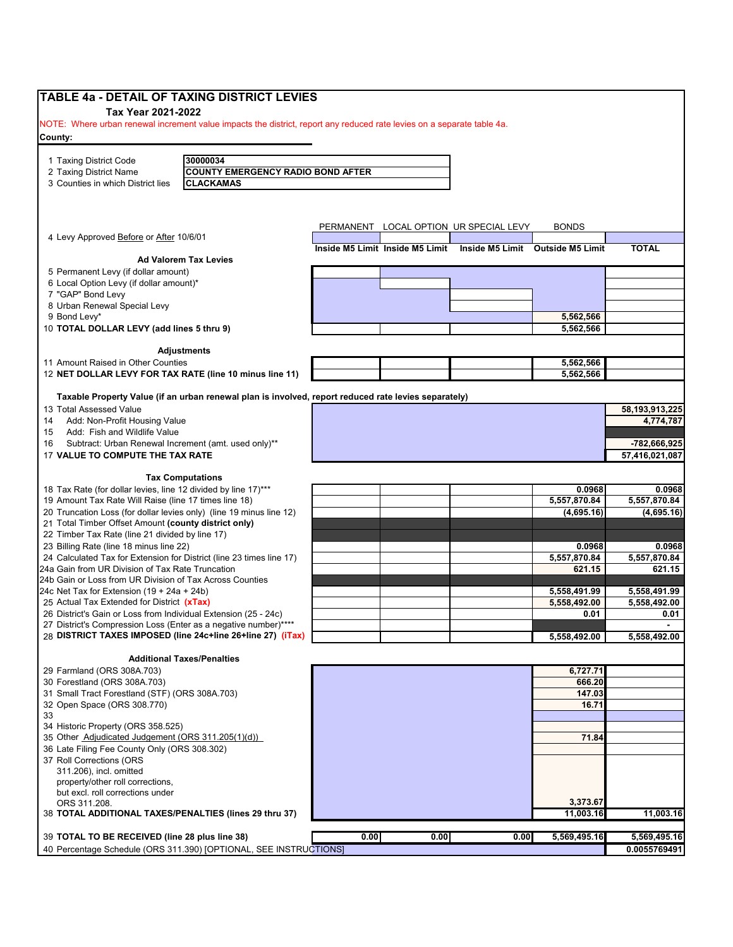| <b>TABLE 4a - DETAIL OF TAXING DISTRICT LEVIES</b><br>Tax Year 2021-2022                                                       |                                                                                                      |           |                                 |                              |                                  |                |
|--------------------------------------------------------------------------------------------------------------------------------|------------------------------------------------------------------------------------------------------|-----------|---------------------------------|------------------------------|----------------------------------|----------------|
| NOTE: Where urban renewal increment value impacts the district, report any reduced rate levies on a separate table 4a.         |                                                                                                      |           |                                 |                              |                                  |                |
| County:                                                                                                                        |                                                                                                      |           |                                 |                              |                                  |                |
| 1 Taxing District Code                                                                                                         | 30000034                                                                                             |           |                                 |                              |                                  |                |
| 2 Taxing District Name                                                                                                         | <b>COUNTY EMERGENCY RADIO BOND AFTER</b>                                                             |           |                                 |                              |                                  |                |
| 3 Counties in which District lies                                                                                              | <b>CLACKAMAS</b>                                                                                     |           |                                 |                              |                                  |                |
|                                                                                                                                |                                                                                                      |           |                                 |                              |                                  |                |
|                                                                                                                                |                                                                                                      | PERMANENT |                                 | LOCAL OPTION UR SPECIAL LEVY | <b>BONDS</b>                     |                |
| 4 Levy Approved Before or After 10/6/01                                                                                        |                                                                                                      |           | Inside M5 Limit Inside M5 Limit |                              | Inside M5 Limit Outside M5 Limit | <b>TOTAL</b>   |
|                                                                                                                                | <b>Ad Valorem Tax Levies</b>                                                                         |           |                                 |                              |                                  |                |
| 5 Permanent Levy (if dollar amount)                                                                                            |                                                                                                      |           |                                 |                              |                                  |                |
| 6 Local Option Levy (if dollar amount)*                                                                                        |                                                                                                      |           |                                 |                              |                                  |                |
| 7 "GAP" Bond Levy                                                                                                              |                                                                                                      |           |                                 |                              |                                  |                |
| 8 Urban Renewal Special Levy                                                                                                   |                                                                                                      |           |                                 |                              |                                  |                |
| 9 Bond Levy*                                                                                                                   |                                                                                                      |           |                                 |                              | 5,562,566                        |                |
| 10 TOTAL DOLLAR LEVY (add lines 5 thru 9)                                                                                      |                                                                                                      |           |                                 |                              | 5,562,566                        |                |
|                                                                                                                                | <b>Adjustments</b>                                                                                   |           |                                 |                              |                                  |                |
| 11 Amount Raised in Other Counties<br>12 NET DOLLAR LEVY FOR TAX RATE (line 10 minus line 11)                                  |                                                                                                      |           |                                 |                              | 5,562,566<br>5,562,566           |                |
|                                                                                                                                | Taxable Property Value (if an urban renewal plan is involved, report reduced rate levies separately) |           |                                 |                              |                                  |                |
| 13 Total Assessed Value                                                                                                        |                                                                                                      |           |                                 |                              |                                  | 58,193,913,225 |
| 14<br>Add: Non-Profit Housing Value                                                                                            |                                                                                                      |           |                                 |                              |                                  | 4,774,787      |
| Add: Fish and Wildlife Value<br>15                                                                                             |                                                                                                      |           |                                 |                              |                                  |                |
| Subtract: Urban Renewal Increment (amt. used only)**<br>16                                                                     |                                                                                                      |           |                                 |                              |                                  | -782,666,925   |
| 17 VALUE TO COMPUTE THE TAX RATE                                                                                               |                                                                                                      |           |                                 |                              |                                  | 57,416,021,087 |
|                                                                                                                                | <b>Tax Computations</b>                                                                              |           |                                 |                              |                                  |                |
| 18 Tax Rate (for dollar levies, line 12 divided by line 17)***                                                                 |                                                                                                      |           |                                 |                              | 0.0968                           | 0.0968         |
| 19 Amount Tax Rate Will Raise (line 17 times line 18)                                                                          |                                                                                                      |           |                                 |                              | 5,557,870.84                     | 5,557,870.84   |
| 20 Truncation Loss (for dollar levies only) (line 19 minus line 12)                                                            |                                                                                                      |           |                                 |                              | (4,695.16)                       | (4,695.16)     |
| 21 Total Timber Offset Amount (county district only)                                                                           |                                                                                                      |           |                                 |                              |                                  |                |
| 22 Timber Tax Rate (line 21 divided by line 17)                                                                                |                                                                                                      |           |                                 |                              |                                  |                |
| 23 Billing Rate (line 18 minus line 22)                                                                                        |                                                                                                      |           |                                 |                              | 0.0968                           | 0.0968         |
| 24 Calculated Tax for Extension for District (line 23 times line 17)                                                           |                                                                                                      |           |                                 |                              | 5,557,870.84                     | 5,557,870.84   |
| 24a Gain from UR Division of Tax Rate Truncation                                                                               |                                                                                                      |           |                                 |                              | 621.15                           | 621.15         |
| 24b Gain or Loss from UR Division of Tax Across Counties                                                                       |                                                                                                      |           |                                 |                              |                                  |                |
| 24c Net Tax for Extension $(19 + 24a + 24b)$                                                                                   |                                                                                                      |           |                                 |                              | 5,558,491.99                     | 5,558,491.99   |
| 25 Actual Tax Extended for District (xTax)                                                                                     |                                                                                                      |           |                                 |                              | 5,558,492.00                     | 5,558,492.00   |
| 26 District's Gain or Loss from Individual Extension (25 - 24c)                                                                |                                                                                                      |           |                                 |                              | 0.01                             | 0.01           |
| 27 District's Compression Loss (Enter as a negative number)****<br>28 DISTRICT TAXES IMPOSED (line 24c+line 26+line 27) (iTax) |                                                                                                      |           |                                 |                              |                                  |                |
|                                                                                                                                |                                                                                                      |           |                                 |                              | 5,558,492.00                     | 5,558,492.00   |
|                                                                                                                                | <b>Additional Taxes/Penalties</b>                                                                    |           |                                 |                              |                                  |                |
| 29 Farmland (ORS 308A.703)                                                                                                     |                                                                                                      |           |                                 |                              | 6,727.71                         |                |
| 30 Forestland (ORS 308A.703)<br>31 Small Tract Forestland (STF) (ORS 308A.703)                                                 |                                                                                                      |           |                                 |                              | 666.20<br>147.03                 |                |
|                                                                                                                                |                                                                                                      |           |                                 |                              | 16.71                            |                |
| 32 Open Space (ORS 308.770)<br>33                                                                                              |                                                                                                      |           |                                 |                              |                                  |                |
| 34 Historic Property (ORS 358.525)                                                                                             |                                                                                                      |           |                                 |                              |                                  |                |
| 35 Other Adjudicated Judgement (ORS 311.205(1)(d))                                                                             |                                                                                                      |           |                                 |                              | 71.84                            |                |
| 36 Late Filing Fee County Only (ORS 308.302)                                                                                   |                                                                                                      |           |                                 |                              |                                  |                |
| 37 Roll Corrections (ORS                                                                                                       |                                                                                                      |           |                                 |                              |                                  |                |
| 311.206), incl. omitted                                                                                                        |                                                                                                      |           |                                 |                              |                                  |                |
| property/other roll corrections,                                                                                               |                                                                                                      |           |                                 |                              |                                  |                |
| but excl. roll corrections under                                                                                               |                                                                                                      |           |                                 |                              |                                  |                |
| ORS 311.208.                                                                                                                   |                                                                                                      |           |                                 |                              | 3,373.67                         |                |
| 38 TOTAL ADDITIONAL TAXES/PENALTIES (lines 29 thru 37)                                                                         |                                                                                                      |           |                                 |                              | 11,003.16                        | 11,003.16      |
| 39 TOTAL TO BE RECEIVED (line 28 plus line 38)                                                                                 |                                                                                                      | 0.00      | 0.00                            | 0.00                         | 5,569,495.16                     | 5,569,495.16   |
| 40 Percentage Schedule (ORS 311.390) [OPTIONAL, SEE INSTRUCTIONS]                                                              |                                                                                                      |           |                                 |                              |                                  | 0.0055769491   |
|                                                                                                                                |                                                                                                      |           |                                 |                              |                                  |                |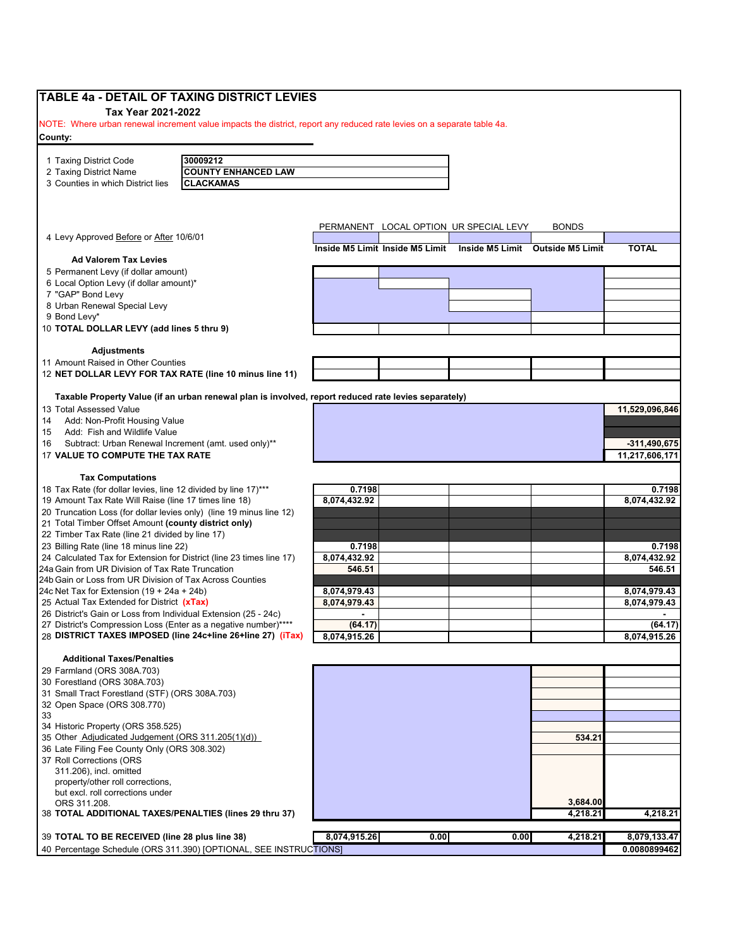| Tax Year 2021-2022<br>NOTE: Where urban renewal increment value impacts the district, report any reduced rate levies on a separate table 4a.<br>30009212<br><b>COUNTY ENHANCED LAW</b><br>2 Taxing District Name<br>3 Counties in which District lies<br><b>CLACKAMAS</b><br>PERMANENT LOCAL OPTION UR SPECIAL LEVY<br><b>BONDS</b><br><b>TOTAL</b><br>Inside M5 Limit Inside M5 Limit<br>Inside M5 Limit Outside M5 Limit<br><b>Ad Valorem Tax Levies</b><br>5 Permanent Levy (if dollar amount)<br>6 Local Option Levy (if dollar amount)*<br>7 "GAP" Bond Levy<br>8 Urban Renewal Special Levy<br><b>Adjustments</b><br>11 Amount Raised in Other Counties<br>12 NET DOLLAR LEVY FOR TAX RATE (line 10 minus line 11)<br>Taxable Property Value (if an urban renewal plan is involved, report reduced rate levies separately)<br>11,529,096,846<br>Add: Fish and Wildlife Value<br>Subtract: Urban Renewal Increment (amt. used only)**<br>$-311,490,675$<br>17 VALUE TO COMPUTE THE TAX RATE<br>11,217,606,171<br><b>Tax Computations</b><br>0.7198<br>0.7198<br>8,074,432.92<br>19 Amount Tax Rate Will Raise (line 17 times line 18)<br>8,074,432.92<br>20 Truncation Loss (for dollar levies only) (line 19 minus line 12)<br>21 Total Timber Offset Amount (county district only)<br>22 Timber Tax Rate (line 21 divided by line 17)<br>23 Billing Rate (line 18 minus line 22)<br>0.7198<br>0.7198<br>24 Calculated Tax for Extension for District (line 23 times line 17)<br>8,074,432.92<br>8,074,432.92<br>546.51<br>546.51<br>8,074,979.43<br>8,074,979.43<br>8,074,979.43<br>8,074,979.43<br>$\overline{a}$<br>$\blacksquare$<br>(64.17)<br>27 District's Compression Loss (Enter as a negative number)****<br>(64.17)<br>28 DISTRICT TAXES IMPOSED (line 24c+line 26+line 27) (iTax)<br>8,074,915.26<br>8,074,915.26<br>34 Historic Property (ORS 358.525)<br>35 Other Adjudicated Judgement (ORS 311.205(1)(d))<br>534.21<br>36 Late Filing Fee County Only (ORS 308.302)<br>3,684.00<br>38 TOTAL ADDITIONAL TAXES/PENALTIES (lines 29 thru 37)<br>4,218.21<br>4,218.21<br>8,074,915.26<br>39 TOTAL TO BE RECEIVED (line 28 plus line 38)<br>0.00<br>0.00<br>4,218.21<br>8,079,133.47<br>40 Percentage Schedule (ORS 311.390) [OPTIONAL, SEE INSTRUCTIONS] | TABLE 4a - DETAIL OF TAXING DISTRICT LEVIES                     |  |  |              |
|----------------------------------------------------------------------------------------------------------------------------------------------------------------------------------------------------------------------------------------------------------------------------------------------------------------------------------------------------------------------------------------------------------------------------------------------------------------------------------------------------------------------------------------------------------------------------------------------------------------------------------------------------------------------------------------------------------------------------------------------------------------------------------------------------------------------------------------------------------------------------------------------------------------------------------------------------------------------------------------------------------------------------------------------------------------------------------------------------------------------------------------------------------------------------------------------------------------------------------------------------------------------------------------------------------------------------------------------------------------------------------------------------------------------------------------------------------------------------------------------------------------------------------------------------------------------------------------------------------------------------------------------------------------------------------------------------------------------------------------------------------------------------------------------------------------------------------------------------------------------------------------------------------------------------------------------------------------------------------------------------------------------------------------------------------------------------------------------------------------------------------------------------------------------------------------------------------------------------------------------------------------------------|-----------------------------------------------------------------|--|--|--------------|
|                                                                                                                                                                                                                                                                                                                                                                                                                                                                                                                                                                                                                                                                                                                                                                                                                                                                                                                                                                                                                                                                                                                                                                                                                                                                                                                                                                                                                                                                                                                                                                                                                                                                                                                                                                                                                                                                                                                                                                                                                                                                                                                                                                                                                                                                            |                                                                 |  |  |              |
|                                                                                                                                                                                                                                                                                                                                                                                                                                                                                                                                                                                                                                                                                                                                                                                                                                                                                                                                                                                                                                                                                                                                                                                                                                                                                                                                                                                                                                                                                                                                                                                                                                                                                                                                                                                                                                                                                                                                                                                                                                                                                                                                                                                                                                                                            |                                                                 |  |  |              |
|                                                                                                                                                                                                                                                                                                                                                                                                                                                                                                                                                                                                                                                                                                                                                                                                                                                                                                                                                                                                                                                                                                                                                                                                                                                                                                                                                                                                                                                                                                                                                                                                                                                                                                                                                                                                                                                                                                                                                                                                                                                                                                                                                                                                                                                                            | County:                                                         |  |  |              |
|                                                                                                                                                                                                                                                                                                                                                                                                                                                                                                                                                                                                                                                                                                                                                                                                                                                                                                                                                                                                                                                                                                                                                                                                                                                                                                                                                                                                                                                                                                                                                                                                                                                                                                                                                                                                                                                                                                                                                                                                                                                                                                                                                                                                                                                                            |                                                                 |  |  |              |
|                                                                                                                                                                                                                                                                                                                                                                                                                                                                                                                                                                                                                                                                                                                                                                                                                                                                                                                                                                                                                                                                                                                                                                                                                                                                                                                                                                                                                                                                                                                                                                                                                                                                                                                                                                                                                                                                                                                                                                                                                                                                                                                                                                                                                                                                            | 1 Taxing District Code                                          |  |  |              |
|                                                                                                                                                                                                                                                                                                                                                                                                                                                                                                                                                                                                                                                                                                                                                                                                                                                                                                                                                                                                                                                                                                                                                                                                                                                                                                                                                                                                                                                                                                                                                                                                                                                                                                                                                                                                                                                                                                                                                                                                                                                                                                                                                                                                                                                                            |                                                                 |  |  |              |
|                                                                                                                                                                                                                                                                                                                                                                                                                                                                                                                                                                                                                                                                                                                                                                                                                                                                                                                                                                                                                                                                                                                                                                                                                                                                                                                                                                                                                                                                                                                                                                                                                                                                                                                                                                                                                                                                                                                                                                                                                                                                                                                                                                                                                                                                            |                                                                 |  |  |              |
|                                                                                                                                                                                                                                                                                                                                                                                                                                                                                                                                                                                                                                                                                                                                                                                                                                                                                                                                                                                                                                                                                                                                                                                                                                                                                                                                                                                                                                                                                                                                                                                                                                                                                                                                                                                                                                                                                                                                                                                                                                                                                                                                                                                                                                                                            |                                                                 |  |  |              |
|                                                                                                                                                                                                                                                                                                                                                                                                                                                                                                                                                                                                                                                                                                                                                                                                                                                                                                                                                                                                                                                                                                                                                                                                                                                                                                                                                                                                                                                                                                                                                                                                                                                                                                                                                                                                                                                                                                                                                                                                                                                                                                                                                                                                                                                                            |                                                                 |  |  |              |
|                                                                                                                                                                                                                                                                                                                                                                                                                                                                                                                                                                                                                                                                                                                                                                                                                                                                                                                                                                                                                                                                                                                                                                                                                                                                                                                                                                                                                                                                                                                                                                                                                                                                                                                                                                                                                                                                                                                                                                                                                                                                                                                                                                                                                                                                            | 4 Levy Approved Before or After 10/6/01                         |  |  |              |
|                                                                                                                                                                                                                                                                                                                                                                                                                                                                                                                                                                                                                                                                                                                                                                                                                                                                                                                                                                                                                                                                                                                                                                                                                                                                                                                                                                                                                                                                                                                                                                                                                                                                                                                                                                                                                                                                                                                                                                                                                                                                                                                                                                                                                                                                            |                                                                 |  |  |              |
|                                                                                                                                                                                                                                                                                                                                                                                                                                                                                                                                                                                                                                                                                                                                                                                                                                                                                                                                                                                                                                                                                                                                                                                                                                                                                                                                                                                                                                                                                                                                                                                                                                                                                                                                                                                                                                                                                                                                                                                                                                                                                                                                                                                                                                                                            |                                                                 |  |  |              |
|                                                                                                                                                                                                                                                                                                                                                                                                                                                                                                                                                                                                                                                                                                                                                                                                                                                                                                                                                                                                                                                                                                                                                                                                                                                                                                                                                                                                                                                                                                                                                                                                                                                                                                                                                                                                                                                                                                                                                                                                                                                                                                                                                                                                                                                                            |                                                                 |  |  |              |
|                                                                                                                                                                                                                                                                                                                                                                                                                                                                                                                                                                                                                                                                                                                                                                                                                                                                                                                                                                                                                                                                                                                                                                                                                                                                                                                                                                                                                                                                                                                                                                                                                                                                                                                                                                                                                                                                                                                                                                                                                                                                                                                                                                                                                                                                            |                                                                 |  |  |              |
|                                                                                                                                                                                                                                                                                                                                                                                                                                                                                                                                                                                                                                                                                                                                                                                                                                                                                                                                                                                                                                                                                                                                                                                                                                                                                                                                                                                                                                                                                                                                                                                                                                                                                                                                                                                                                                                                                                                                                                                                                                                                                                                                                                                                                                                                            |                                                                 |  |  |              |
|                                                                                                                                                                                                                                                                                                                                                                                                                                                                                                                                                                                                                                                                                                                                                                                                                                                                                                                                                                                                                                                                                                                                                                                                                                                                                                                                                                                                                                                                                                                                                                                                                                                                                                                                                                                                                                                                                                                                                                                                                                                                                                                                                                                                                                                                            | 9 Bond Levy*                                                    |  |  |              |
|                                                                                                                                                                                                                                                                                                                                                                                                                                                                                                                                                                                                                                                                                                                                                                                                                                                                                                                                                                                                                                                                                                                                                                                                                                                                                                                                                                                                                                                                                                                                                                                                                                                                                                                                                                                                                                                                                                                                                                                                                                                                                                                                                                                                                                                                            | 10 TOTAL DOLLAR LEVY (add lines 5 thru 9)                       |  |  |              |
|                                                                                                                                                                                                                                                                                                                                                                                                                                                                                                                                                                                                                                                                                                                                                                                                                                                                                                                                                                                                                                                                                                                                                                                                                                                                                                                                                                                                                                                                                                                                                                                                                                                                                                                                                                                                                                                                                                                                                                                                                                                                                                                                                                                                                                                                            |                                                                 |  |  |              |
|                                                                                                                                                                                                                                                                                                                                                                                                                                                                                                                                                                                                                                                                                                                                                                                                                                                                                                                                                                                                                                                                                                                                                                                                                                                                                                                                                                                                                                                                                                                                                                                                                                                                                                                                                                                                                                                                                                                                                                                                                                                                                                                                                                                                                                                                            |                                                                 |  |  |              |
|                                                                                                                                                                                                                                                                                                                                                                                                                                                                                                                                                                                                                                                                                                                                                                                                                                                                                                                                                                                                                                                                                                                                                                                                                                                                                                                                                                                                                                                                                                                                                                                                                                                                                                                                                                                                                                                                                                                                                                                                                                                                                                                                                                                                                                                                            |                                                                 |  |  |              |
|                                                                                                                                                                                                                                                                                                                                                                                                                                                                                                                                                                                                                                                                                                                                                                                                                                                                                                                                                                                                                                                                                                                                                                                                                                                                                                                                                                                                                                                                                                                                                                                                                                                                                                                                                                                                                                                                                                                                                                                                                                                                                                                                                                                                                                                                            |                                                                 |  |  |              |
|                                                                                                                                                                                                                                                                                                                                                                                                                                                                                                                                                                                                                                                                                                                                                                                                                                                                                                                                                                                                                                                                                                                                                                                                                                                                                                                                                                                                                                                                                                                                                                                                                                                                                                                                                                                                                                                                                                                                                                                                                                                                                                                                                                                                                                                                            |                                                                 |  |  |              |
|                                                                                                                                                                                                                                                                                                                                                                                                                                                                                                                                                                                                                                                                                                                                                                                                                                                                                                                                                                                                                                                                                                                                                                                                                                                                                                                                                                                                                                                                                                                                                                                                                                                                                                                                                                                                                                                                                                                                                                                                                                                                                                                                                                                                                                                                            | 13 Total Assessed Value                                         |  |  |              |
|                                                                                                                                                                                                                                                                                                                                                                                                                                                                                                                                                                                                                                                                                                                                                                                                                                                                                                                                                                                                                                                                                                                                                                                                                                                                                                                                                                                                                                                                                                                                                                                                                                                                                                                                                                                                                                                                                                                                                                                                                                                                                                                                                                                                                                                                            | Add: Non-Profit Housing Value                                   |  |  |              |
|                                                                                                                                                                                                                                                                                                                                                                                                                                                                                                                                                                                                                                                                                                                                                                                                                                                                                                                                                                                                                                                                                                                                                                                                                                                                                                                                                                                                                                                                                                                                                                                                                                                                                                                                                                                                                                                                                                                                                                                                                                                                                                                                                                                                                                                                            |                                                                 |  |  |              |
|                                                                                                                                                                                                                                                                                                                                                                                                                                                                                                                                                                                                                                                                                                                                                                                                                                                                                                                                                                                                                                                                                                                                                                                                                                                                                                                                                                                                                                                                                                                                                                                                                                                                                                                                                                                                                                                                                                                                                                                                                                                                                                                                                                                                                                                                            |                                                                 |  |  |              |
|                                                                                                                                                                                                                                                                                                                                                                                                                                                                                                                                                                                                                                                                                                                                                                                                                                                                                                                                                                                                                                                                                                                                                                                                                                                                                                                                                                                                                                                                                                                                                                                                                                                                                                                                                                                                                                                                                                                                                                                                                                                                                                                                                                                                                                                                            |                                                                 |  |  |              |
|                                                                                                                                                                                                                                                                                                                                                                                                                                                                                                                                                                                                                                                                                                                                                                                                                                                                                                                                                                                                                                                                                                                                                                                                                                                                                                                                                                                                                                                                                                                                                                                                                                                                                                                                                                                                                                                                                                                                                                                                                                                                                                                                                                                                                                                                            |                                                                 |  |  |              |
|                                                                                                                                                                                                                                                                                                                                                                                                                                                                                                                                                                                                                                                                                                                                                                                                                                                                                                                                                                                                                                                                                                                                                                                                                                                                                                                                                                                                                                                                                                                                                                                                                                                                                                                                                                                                                                                                                                                                                                                                                                                                                                                                                                                                                                                                            | 18 Tax Rate (for dollar levies, line 12 divided by line 17)***  |  |  |              |
|                                                                                                                                                                                                                                                                                                                                                                                                                                                                                                                                                                                                                                                                                                                                                                                                                                                                                                                                                                                                                                                                                                                                                                                                                                                                                                                                                                                                                                                                                                                                                                                                                                                                                                                                                                                                                                                                                                                                                                                                                                                                                                                                                                                                                                                                            |                                                                 |  |  |              |
|                                                                                                                                                                                                                                                                                                                                                                                                                                                                                                                                                                                                                                                                                                                                                                                                                                                                                                                                                                                                                                                                                                                                                                                                                                                                                                                                                                                                                                                                                                                                                                                                                                                                                                                                                                                                                                                                                                                                                                                                                                                                                                                                                                                                                                                                            |                                                                 |  |  |              |
|                                                                                                                                                                                                                                                                                                                                                                                                                                                                                                                                                                                                                                                                                                                                                                                                                                                                                                                                                                                                                                                                                                                                                                                                                                                                                                                                                                                                                                                                                                                                                                                                                                                                                                                                                                                                                                                                                                                                                                                                                                                                                                                                                                                                                                                                            |                                                                 |  |  |              |
|                                                                                                                                                                                                                                                                                                                                                                                                                                                                                                                                                                                                                                                                                                                                                                                                                                                                                                                                                                                                                                                                                                                                                                                                                                                                                                                                                                                                                                                                                                                                                                                                                                                                                                                                                                                                                                                                                                                                                                                                                                                                                                                                                                                                                                                                            |                                                                 |  |  |              |
|                                                                                                                                                                                                                                                                                                                                                                                                                                                                                                                                                                                                                                                                                                                                                                                                                                                                                                                                                                                                                                                                                                                                                                                                                                                                                                                                                                                                                                                                                                                                                                                                                                                                                                                                                                                                                                                                                                                                                                                                                                                                                                                                                                                                                                                                            |                                                                 |  |  |              |
|                                                                                                                                                                                                                                                                                                                                                                                                                                                                                                                                                                                                                                                                                                                                                                                                                                                                                                                                                                                                                                                                                                                                                                                                                                                                                                                                                                                                                                                                                                                                                                                                                                                                                                                                                                                                                                                                                                                                                                                                                                                                                                                                                                                                                                                                            | 24a Gain from UR Division of Tax Rate Truncation                |  |  |              |
|                                                                                                                                                                                                                                                                                                                                                                                                                                                                                                                                                                                                                                                                                                                                                                                                                                                                                                                                                                                                                                                                                                                                                                                                                                                                                                                                                                                                                                                                                                                                                                                                                                                                                                                                                                                                                                                                                                                                                                                                                                                                                                                                                                                                                                                                            | 24b Gain or Loss from UR Division of Tax Across Counties        |  |  |              |
|                                                                                                                                                                                                                                                                                                                                                                                                                                                                                                                                                                                                                                                                                                                                                                                                                                                                                                                                                                                                                                                                                                                                                                                                                                                                                                                                                                                                                                                                                                                                                                                                                                                                                                                                                                                                                                                                                                                                                                                                                                                                                                                                                                                                                                                                            | 24c Net Tax for Extension $(19 + 24a + 24b)$                    |  |  |              |
|                                                                                                                                                                                                                                                                                                                                                                                                                                                                                                                                                                                                                                                                                                                                                                                                                                                                                                                                                                                                                                                                                                                                                                                                                                                                                                                                                                                                                                                                                                                                                                                                                                                                                                                                                                                                                                                                                                                                                                                                                                                                                                                                                                                                                                                                            | 25 Actual Tax Extended for District (xTax)                      |  |  |              |
|                                                                                                                                                                                                                                                                                                                                                                                                                                                                                                                                                                                                                                                                                                                                                                                                                                                                                                                                                                                                                                                                                                                                                                                                                                                                                                                                                                                                                                                                                                                                                                                                                                                                                                                                                                                                                                                                                                                                                                                                                                                                                                                                                                                                                                                                            | 26 District's Gain or Loss from Individual Extension (25 - 24c) |  |  |              |
|                                                                                                                                                                                                                                                                                                                                                                                                                                                                                                                                                                                                                                                                                                                                                                                                                                                                                                                                                                                                                                                                                                                                                                                                                                                                                                                                                                                                                                                                                                                                                                                                                                                                                                                                                                                                                                                                                                                                                                                                                                                                                                                                                                                                                                                                            |                                                                 |  |  |              |
|                                                                                                                                                                                                                                                                                                                                                                                                                                                                                                                                                                                                                                                                                                                                                                                                                                                                                                                                                                                                                                                                                                                                                                                                                                                                                                                                                                                                                                                                                                                                                                                                                                                                                                                                                                                                                                                                                                                                                                                                                                                                                                                                                                                                                                                                            |                                                                 |  |  |              |
|                                                                                                                                                                                                                                                                                                                                                                                                                                                                                                                                                                                                                                                                                                                                                                                                                                                                                                                                                                                                                                                                                                                                                                                                                                                                                                                                                                                                                                                                                                                                                                                                                                                                                                                                                                                                                                                                                                                                                                                                                                                                                                                                                                                                                                                                            | <b>Additional Taxes/Penalties</b>                               |  |  |              |
|                                                                                                                                                                                                                                                                                                                                                                                                                                                                                                                                                                                                                                                                                                                                                                                                                                                                                                                                                                                                                                                                                                                                                                                                                                                                                                                                                                                                                                                                                                                                                                                                                                                                                                                                                                                                                                                                                                                                                                                                                                                                                                                                                                                                                                                                            | 29 Farmland (ORS 308A.703)                                      |  |  |              |
|                                                                                                                                                                                                                                                                                                                                                                                                                                                                                                                                                                                                                                                                                                                                                                                                                                                                                                                                                                                                                                                                                                                                                                                                                                                                                                                                                                                                                                                                                                                                                                                                                                                                                                                                                                                                                                                                                                                                                                                                                                                                                                                                                                                                                                                                            | 30 Forestland (ORS 308A.703)                                    |  |  |              |
|                                                                                                                                                                                                                                                                                                                                                                                                                                                                                                                                                                                                                                                                                                                                                                                                                                                                                                                                                                                                                                                                                                                                                                                                                                                                                                                                                                                                                                                                                                                                                                                                                                                                                                                                                                                                                                                                                                                                                                                                                                                                                                                                                                                                                                                                            | 31 Small Tract Forestland (STF) (ORS 308A.703)                  |  |  |              |
|                                                                                                                                                                                                                                                                                                                                                                                                                                                                                                                                                                                                                                                                                                                                                                                                                                                                                                                                                                                                                                                                                                                                                                                                                                                                                                                                                                                                                                                                                                                                                                                                                                                                                                                                                                                                                                                                                                                                                                                                                                                                                                                                                                                                                                                                            | 32 Open Space (ORS 308.770)                                     |  |  |              |
|                                                                                                                                                                                                                                                                                                                                                                                                                                                                                                                                                                                                                                                                                                                                                                                                                                                                                                                                                                                                                                                                                                                                                                                                                                                                                                                                                                                                                                                                                                                                                                                                                                                                                                                                                                                                                                                                                                                                                                                                                                                                                                                                                                                                                                                                            |                                                                 |  |  |              |
|                                                                                                                                                                                                                                                                                                                                                                                                                                                                                                                                                                                                                                                                                                                                                                                                                                                                                                                                                                                                                                                                                                                                                                                                                                                                                                                                                                                                                                                                                                                                                                                                                                                                                                                                                                                                                                                                                                                                                                                                                                                                                                                                                                                                                                                                            |                                                                 |  |  |              |
|                                                                                                                                                                                                                                                                                                                                                                                                                                                                                                                                                                                                                                                                                                                                                                                                                                                                                                                                                                                                                                                                                                                                                                                                                                                                                                                                                                                                                                                                                                                                                                                                                                                                                                                                                                                                                                                                                                                                                                                                                                                                                                                                                                                                                                                                            |                                                                 |  |  |              |
|                                                                                                                                                                                                                                                                                                                                                                                                                                                                                                                                                                                                                                                                                                                                                                                                                                                                                                                                                                                                                                                                                                                                                                                                                                                                                                                                                                                                                                                                                                                                                                                                                                                                                                                                                                                                                                                                                                                                                                                                                                                                                                                                                                                                                                                                            | 37 Roll Corrections (ORS                                        |  |  |              |
|                                                                                                                                                                                                                                                                                                                                                                                                                                                                                                                                                                                                                                                                                                                                                                                                                                                                                                                                                                                                                                                                                                                                                                                                                                                                                                                                                                                                                                                                                                                                                                                                                                                                                                                                                                                                                                                                                                                                                                                                                                                                                                                                                                                                                                                                            | 311.206), incl. omitted                                         |  |  |              |
|                                                                                                                                                                                                                                                                                                                                                                                                                                                                                                                                                                                                                                                                                                                                                                                                                                                                                                                                                                                                                                                                                                                                                                                                                                                                                                                                                                                                                                                                                                                                                                                                                                                                                                                                                                                                                                                                                                                                                                                                                                                                                                                                                                                                                                                                            | property/other roll corrections,                                |  |  |              |
|                                                                                                                                                                                                                                                                                                                                                                                                                                                                                                                                                                                                                                                                                                                                                                                                                                                                                                                                                                                                                                                                                                                                                                                                                                                                                                                                                                                                                                                                                                                                                                                                                                                                                                                                                                                                                                                                                                                                                                                                                                                                                                                                                                                                                                                                            | but excl. roll corrections under                                |  |  |              |
|                                                                                                                                                                                                                                                                                                                                                                                                                                                                                                                                                                                                                                                                                                                                                                                                                                                                                                                                                                                                                                                                                                                                                                                                                                                                                                                                                                                                                                                                                                                                                                                                                                                                                                                                                                                                                                                                                                                                                                                                                                                                                                                                                                                                                                                                            | ORS 311.208.                                                    |  |  |              |
|                                                                                                                                                                                                                                                                                                                                                                                                                                                                                                                                                                                                                                                                                                                                                                                                                                                                                                                                                                                                                                                                                                                                                                                                                                                                                                                                                                                                                                                                                                                                                                                                                                                                                                                                                                                                                                                                                                                                                                                                                                                                                                                                                                                                                                                                            |                                                                 |  |  |              |
|                                                                                                                                                                                                                                                                                                                                                                                                                                                                                                                                                                                                                                                                                                                                                                                                                                                                                                                                                                                                                                                                                                                                                                                                                                                                                                                                                                                                                                                                                                                                                                                                                                                                                                                                                                                                                                                                                                                                                                                                                                                                                                                                                                                                                                                                            |                                                                 |  |  |              |
|                                                                                                                                                                                                                                                                                                                                                                                                                                                                                                                                                                                                                                                                                                                                                                                                                                                                                                                                                                                                                                                                                                                                                                                                                                                                                                                                                                                                                                                                                                                                                                                                                                                                                                                                                                                                                                                                                                                                                                                                                                                                                                                                                                                                                                                                            |                                                                 |  |  | 0.0080899462 |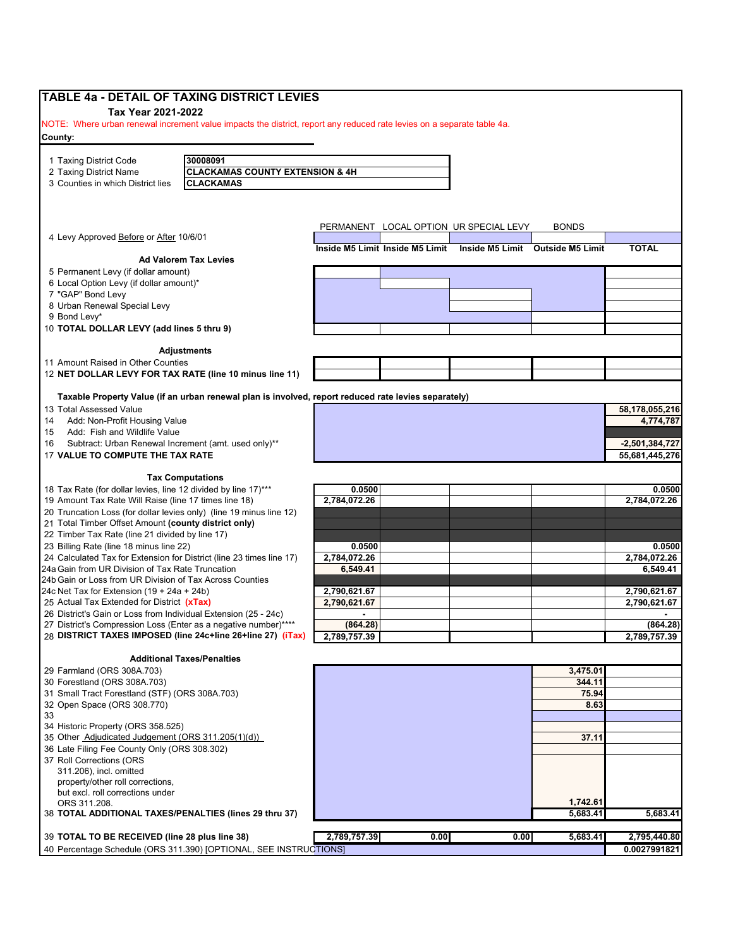| Tax Year 2021-2022                                              | TABLE 4a - DETAIL OF TAXING DISTRICT LEVIES                                                                            |                                                                  |      |      |              |                  |
|-----------------------------------------------------------------|------------------------------------------------------------------------------------------------------------------------|------------------------------------------------------------------|------|------|--------------|------------------|
|                                                                 | NOTE: Where urban renewal increment value impacts the district, report any reduced rate levies on a separate table 4a. |                                                                  |      |      |              |                  |
| County:                                                         |                                                                                                                        |                                                                  |      |      |              |                  |
|                                                                 |                                                                                                                        |                                                                  |      |      |              |                  |
| 1 Taxing District Code                                          | 30008091                                                                                                               |                                                                  |      |      |              |                  |
| 2 Taxing District Name                                          | <b>CLACKAMAS COUNTY EXTENSION &amp; 4H</b>                                                                             |                                                                  |      |      |              |                  |
| 3 Counties in which District lies                               | <b>CLACKAMAS</b>                                                                                                       |                                                                  |      |      |              |                  |
|                                                                 |                                                                                                                        |                                                                  |      |      |              |                  |
|                                                                 |                                                                                                                        | PERMANENT LOCAL OPTION UR SPECIAL LEVY                           |      |      | <b>BONDS</b> |                  |
| 4 Levy Approved Before or After 10/6/01                         |                                                                                                                        |                                                                  |      |      |              |                  |
|                                                                 | <b>Ad Valorem Tax Levies</b>                                                                                           | Inside M5 Limit Inside M5 Limit Inside M5 Limit Outside M5 Limit |      |      |              | <b>TOTAL</b>     |
| 5 Permanent Levy (if dollar amount)                             |                                                                                                                        |                                                                  |      |      |              |                  |
| 6 Local Option Levy (if dollar amount)*                         |                                                                                                                        |                                                                  |      |      |              |                  |
| 7 "GAP" Bond Levy                                               |                                                                                                                        |                                                                  |      |      |              |                  |
| 8 Urban Renewal Special Levy                                    |                                                                                                                        |                                                                  |      |      |              |                  |
| 9 Bond Levy*                                                    |                                                                                                                        |                                                                  |      |      |              |                  |
| 10 TOTAL DOLLAR LEVY (add lines 5 thru 9)                       |                                                                                                                        |                                                                  |      |      |              |                  |
|                                                                 | <b>Adjustments</b>                                                                                                     |                                                                  |      |      |              |                  |
| 11 Amount Raised in Other Counties                              |                                                                                                                        |                                                                  |      |      |              |                  |
|                                                                 | 12 NET DOLLAR LEVY FOR TAX RATE (line 10 minus line 11)                                                                |                                                                  |      |      |              |                  |
|                                                                 | Taxable Property Value (if an urban renewal plan is involved, report reduced rate levies separately)                   |                                                                  |      |      |              |                  |
| 13 Total Assessed Value                                         |                                                                                                                        |                                                                  |      |      |              | 58,178,055,216   |
| Add: Non-Profit Housing Value                                   |                                                                                                                        |                                                                  |      |      |              | 4,774,787        |
| Add: Fish and Wildlife Value                                    |                                                                                                                        |                                                                  |      |      |              |                  |
| Subtract: Urban Renewal Increment (amt. used only)**            |                                                                                                                        |                                                                  |      |      |              | $-2,501,384,727$ |
| 17 VALUE TO COMPUTE THE TAX RATE                                |                                                                                                                        |                                                                  |      |      |              | 55,681,445,276   |
|                                                                 | <b>Tax Computations</b>                                                                                                |                                                                  |      |      |              |                  |
| 18 Tax Rate (for dollar levies, line 12 divided by line 17)***  |                                                                                                                        | 0.0500                                                           |      |      |              | 0.0500           |
| 19 Amount Tax Rate Will Raise (line 17 times line 18)           |                                                                                                                        | 2,784,072.26                                                     |      |      |              | 2,784,072.26     |
|                                                                 | 20 Truncation Loss (for dollar levies only) (line 19 minus line 12)                                                    |                                                                  |      |      |              |                  |
| 21 Total Timber Offset Amount (county district only)            |                                                                                                                        |                                                                  |      |      |              |                  |
| 22 Timber Tax Rate (line 21 divided by line 17)                 |                                                                                                                        |                                                                  |      |      |              |                  |
| 23 Billing Rate (line 18 minus line 22)                         |                                                                                                                        | 0.0500                                                           |      |      |              | 0.0500           |
|                                                                 | 24 Calculated Tax for Extension for District (line 23 times line 17)                                                   | 2,784,072.26                                                     |      |      |              | 2,784,072.26     |
| 24a Gain from UR Division of Tax Rate Truncation                |                                                                                                                        | 6,549.41                                                         |      |      |              | 6,549.41         |
| 24b Gain or Loss from UR Division of Tax Across Counties        |                                                                                                                        |                                                                  |      |      |              |                  |
| 24c Net Tax for Extension $(19 + 24a + 24b)$                    |                                                                                                                        | 2,790,621.67                                                     |      |      |              | 2,790,621.67     |
| 25 Actual Tax Extended for District (xTax)                      |                                                                                                                        | 2,790,621.67                                                     |      |      |              | 2,790,621.67     |
| 26 District's Gain or Loss from Individual Extension (25 - 24c) |                                                                                                                        |                                                                  |      |      |              |                  |
|                                                                 | 27 District's Compression Loss (Enter as a negative number)****                                                        | (864.28)                                                         |      |      |              | (864.28)         |
|                                                                 | 28 DISTRICT TAXES IMPOSED (line 24c+line 26+line 27) (iTax)                                                            | 2,789,757.39                                                     |      |      |              | 2,789,757.39     |
|                                                                 | <b>Additional Taxes/Penalties</b>                                                                                      |                                                                  |      |      |              |                  |
| 29 Farmland (ORS 308A.703)                                      |                                                                                                                        |                                                                  |      |      | 3,475.01     |                  |
| 30 Forestland (ORS 308A.703)                                    |                                                                                                                        |                                                                  |      |      | 344.11       |                  |
| 31 Small Tract Forestland (STF) (ORS 308A.703)                  |                                                                                                                        |                                                                  |      |      | 75.94        |                  |
| 32 Open Space (ORS 308.770)                                     |                                                                                                                        |                                                                  |      |      | 8.63         |                  |
|                                                                 |                                                                                                                        |                                                                  |      |      |              |                  |
| 34 Historic Property (ORS 358.525)                              |                                                                                                                        |                                                                  |      |      |              |                  |
| 35 Other Adjudicated Judgement (ORS 311.205(1)(d))              |                                                                                                                        |                                                                  |      |      | 37.11        |                  |
| 36 Late Filing Fee County Only (ORS 308.302)                    |                                                                                                                        |                                                                  |      |      |              |                  |
| 37 Roll Corrections (ORS                                        |                                                                                                                        |                                                                  |      |      |              |                  |
| 311.206), incl. omitted<br>property/other roll corrections,     |                                                                                                                        |                                                                  |      |      |              |                  |
| but excl. roll corrections under                                |                                                                                                                        |                                                                  |      |      |              |                  |
| ORS 311.208.                                                    |                                                                                                                        |                                                                  |      |      | 1,742.61     |                  |
|                                                                 | 38 TOTAL ADDITIONAL TAXES/PENALTIES (lines 29 thru 37)                                                                 |                                                                  |      |      | 5,683.41     | 5,683.41         |
|                                                                 |                                                                                                                        |                                                                  |      |      |              |                  |
| 39 TOTAL TO BE RECEIVED (line 28 plus line 38)                  |                                                                                                                        | 2,789,757.39                                                     | 0.00 | 0.00 | 5,683.41     | 2,795,440.80     |
|                                                                 | 40 Percentage Schedule (ORS 311.390) [OPTIONAL, SEE INSTRUCTIONS]                                                      |                                                                  |      |      |              | 0.0027991821     |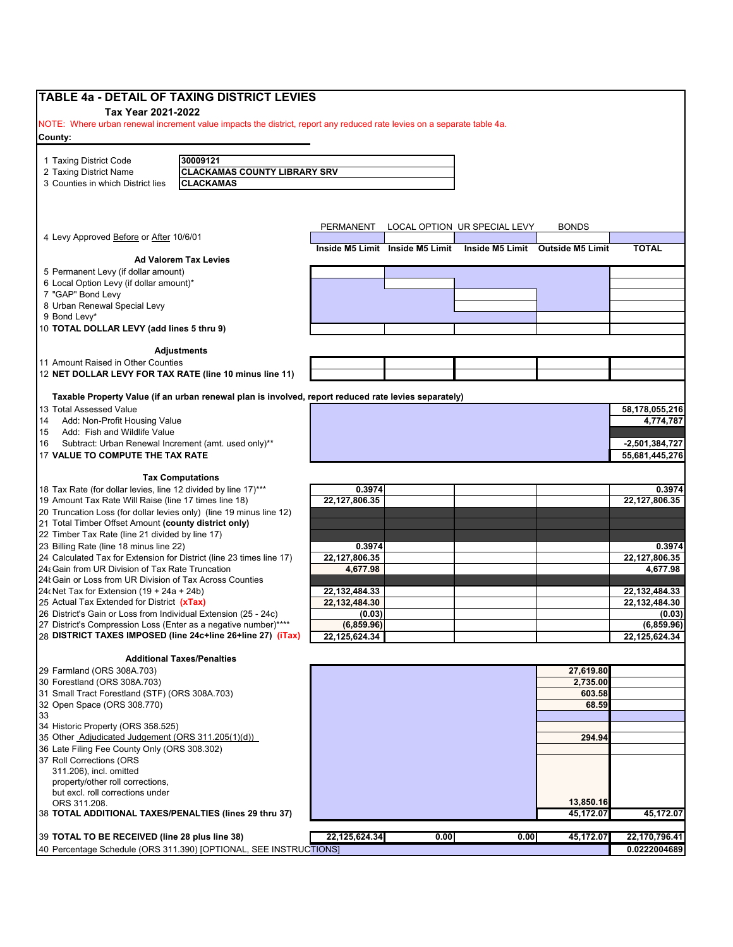| <b>TABLE 4a - DETAIL OF TAXING DISTRICT LEVIES</b><br>Tax Year 2021-2022                                  |                                                                                                                        |                  |      |                                                                  |              |                  |
|-----------------------------------------------------------------------------------------------------------|------------------------------------------------------------------------------------------------------------------------|------------------|------|------------------------------------------------------------------|--------------|------------------|
|                                                                                                           | NOTE: Where urban renewal increment value impacts the district, report any reduced rate levies on a separate table 4a. |                  |      |                                                                  |              |                  |
| County:                                                                                                   |                                                                                                                        |                  |      |                                                                  |              |                  |
| 1 Taxing District Code                                                                                    | 30009121                                                                                                               |                  |      |                                                                  |              |                  |
| 2 Taxing District Name                                                                                    | <b>CLACKAMAS COUNTY LIBRARY SRV</b>                                                                                    |                  |      |                                                                  |              |                  |
| 3 Counties in which District lies                                                                         | <b>CLACKAMAS</b>                                                                                                       |                  |      |                                                                  |              |                  |
|                                                                                                           |                                                                                                                        |                  |      |                                                                  |              |                  |
|                                                                                                           |                                                                                                                        | <b>PERMANENT</b> |      | LOCAL OPTION UR SPECIAL LEVY                                     | <b>BONDS</b> |                  |
| 4 Levy Approved Before or After 10/6/01                                                                   |                                                                                                                        |                  |      | Inside M5 Limit Inside M5 Limit Inside M5 Limit Outside M5 Limit |              | <b>TOTAL</b>     |
|                                                                                                           | <b>Ad Valorem Tax Levies</b>                                                                                           |                  |      |                                                                  |              |                  |
| 5 Permanent Levy (if dollar amount)                                                                       |                                                                                                                        |                  |      |                                                                  |              |                  |
| 6 Local Option Levy (if dollar amount)*                                                                   |                                                                                                                        |                  |      |                                                                  |              |                  |
| 7 "GAP" Bond Levy                                                                                         |                                                                                                                        |                  |      |                                                                  |              |                  |
| 8 Urban Renewal Special Levy<br>9 Bond Levy*                                                              |                                                                                                                        |                  |      |                                                                  |              |                  |
| 10 TOTAL DOLLAR LEVY (add lines 5 thru 9)                                                                 |                                                                                                                        |                  |      |                                                                  |              |                  |
|                                                                                                           |                                                                                                                        |                  |      |                                                                  |              |                  |
| 11 Amount Raised in Other Counties                                                                        | <b>Adjustments</b>                                                                                                     |                  |      |                                                                  |              |                  |
| 12 NET DOLLAR LEVY FOR TAX RATE (line 10 minus line 11)                                                   |                                                                                                                        |                  |      |                                                                  |              |                  |
|                                                                                                           | Taxable Property Value (if an urban renewal plan is involved, report reduced rate levies separately)                   |                  |      |                                                                  |              |                  |
| 13 Total Assessed Value                                                                                   |                                                                                                                        |                  |      |                                                                  |              | 58,178,055,216   |
| Add: Non-Profit Housing Value                                                                             |                                                                                                                        |                  |      |                                                                  |              | 4,774,787        |
| Add: Fish and Wildlife Value                                                                              |                                                                                                                        |                  |      |                                                                  |              |                  |
| Subtract: Urban Renewal Increment (amt. used only)**                                                      |                                                                                                                        |                  |      |                                                                  |              | $-2,501,384,727$ |
| 17 VALUE TO COMPUTE THE TAX RATE                                                                          |                                                                                                                        |                  |      |                                                                  |              | 55,681,445,276   |
|                                                                                                           | <b>Tax Computations</b>                                                                                                |                  |      |                                                                  |              |                  |
| 18 Tax Rate (for dollar levies, line 12 divided by line 17)***                                            |                                                                                                                        | 0.3974           |      |                                                                  |              | 0.3974           |
| 19 Amount Tax Rate Will Raise (line 17 times line 18)                                                     |                                                                                                                        | 22,127,806.35    |      |                                                                  |              | 22,127,806.35    |
| 20 Truncation Loss (for dollar levies only) (line 19 minus line 12)                                       |                                                                                                                        |                  |      |                                                                  |              |                  |
| 21 Total Timber Offset Amount (county district only)                                                      |                                                                                                                        |                  |      |                                                                  |              |                  |
| 22 Timber Tax Rate (line 21 divided by line 17)                                                           |                                                                                                                        |                  |      |                                                                  |              |                  |
| 23 Billing Rate (line 18 minus line 22)                                                                   |                                                                                                                        | 0.3974           |      |                                                                  |              | 0.3974           |
| 24 Calculated Tax for Extension for District (line 23 times line 17)                                      |                                                                                                                        | 22,127,806.35    |      |                                                                  |              | 22,127,806.35    |
| 24: Gain from UR Division of Tax Rate Truncation                                                          |                                                                                                                        | 4,677.98         |      |                                                                  |              | 4,677.98         |
| 24 Gain or Loss from UR Division of Tax Across Counties<br>24 (Net Tax for Extension $(19 + 24a + 24b)$ ) |                                                                                                                        | 22, 132, 484. 33 |      |                                                                  |              | 22, 132, 484. 33 |
| 25 Actual Tax Extended for District (xTax)                                                                |                                                                                                                        | 22,132,484.30    |      |                                                                  |              | 22,132,484.30    |
| 26 District's Gain or Loss from Individual Extension (25 - 24c)                                           |                                                                                                                        | (0.03)           |      |                                                                  |              | (0.03)           |
| 27 District's Compression Loss (Enter as a negative number)****                                           |                                                                                                                        | (6,859.96)       |      |                                                                  |              | (6, 859.96)      |
|                                                                                                           | 28 DISTRICT TAXES IMPOSED (line 24c+line 26+line 27) (iTax)                                                            | 22,125,624.34    |      |                                                                  |              | 22,125,624.34    |
|                                                                                                           | <b>Additional Taxes/Penalties</b>                                                                                      |                  |      |                                                                  |              |                  |
| 29 Farmland (ORS 308A.703)                                                                                |                                                                                                                        |                  |      |                                                                  | 27,619.80    |                  |
| 30 Forestland (ORS 308A.703)                                                                              |                                                                                                                        |                  |      |                                                                  | 2,735.00     |                  |
| 31 Small Tract Forestland (STF) (ORS 308A.703)                                                            |                                                                                                                        |                  |      |                                                                  | 603.58       |                  |
| 32 Open Space (ORS 308.770)                                                                               |                                                                                                                        |                  |      |                                                                  | 68.59        |                  |
|                                                                                                           |                                                                                                                        |                  |      |                                                                  |              |                  |
| 34 Historic Property (ORS 358.525)                                                                        |                                                                                                                        |                  |      |                                                                  |              |                  |
| 35 Other Adjudicated Judgement (ORS 311.205(1)(d))                                                        |                                                                                                                        |                  |      |                                                                  | 294.94       |                  |
| 36 Late Filing Fee County Only (ORS 308.302)<br>37 Roll Corrections (ORS                                  |                                                                                                                        |                  |      |                                                                  |              |                  |
| 311.206), incl. omitted                                                                                   |                                                                                                                        |                  |      |                                                                  |              |                  |
| property/other roll corrections,                                                                          |                                                                                                                        |                  |      |                                                                  |              |                  |
| but excl. roll corrections under                                                                          |                                                                                                                        |                  |      |                                                                  |              |                  |
| ORS 311.208.                                                                                              |                                                                                                                        |                  |      |                                                                  | 13,850.16    |                  |
| 38 TOTAL ADDITIONAL TAXES/PENALTIES (lines 29 thru 37)                                                    |                                                                                                                        |                  |      |                                                                  | 45,172.07    | 45,172.07        |
| 39 TOTAL TO BE RECEIVED (line 28 plus line 38)                                                            |                                                                                                                        | 22,125,624.34    | 0.00 | 0.00                                                             | 45,172.07    | 22,170,796.41    |
|                                                                                                           | 40 Percentage Schedule (ORS 311.390) [OPTIONAL, SEE INSTRUCTIONS]                                                      |                  |      |                                                                  |              | 0.0222004689     |
|                                                                                                           |                                                                                                                        |                  |      |                                                                  |              |                  |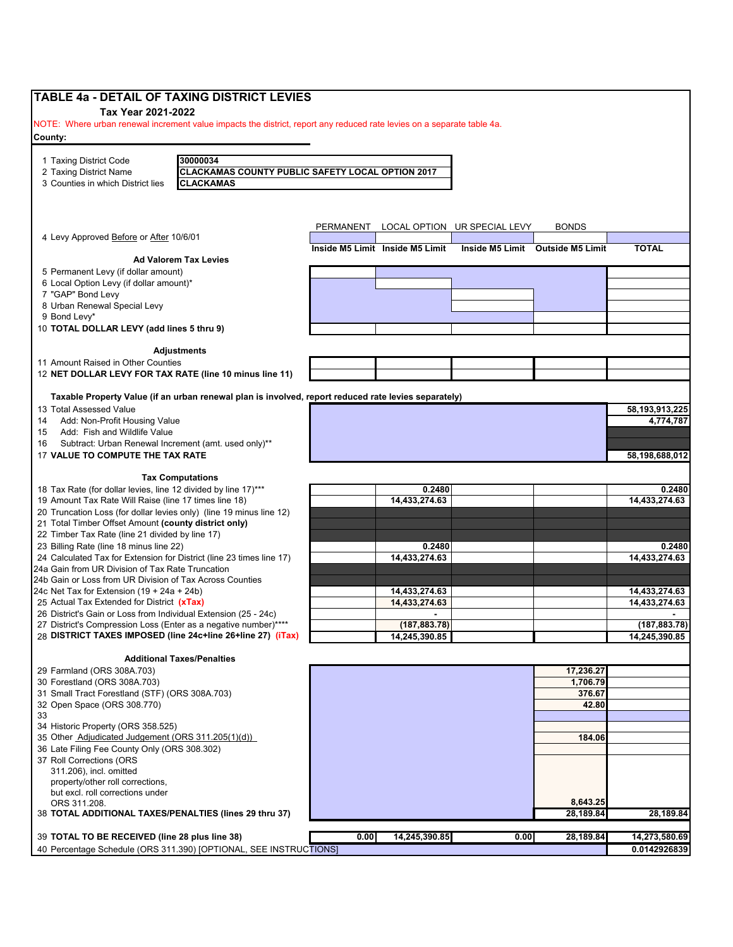| TABLE 4a - DETAIL OF TAXING DISTRICT LEVIES                                                                                                                                   |           |                                 |                              |                                  |                                |
|-------------------------------------------------------------------------------------------------------------------------------------------------------------------------------|-----------|---------------------------------|------------------------------|----------------------------------|--------------------------------|
| Tax Year 2021-2022                                                                                                                                                            |           |                                 |                              |                                  |                                |
| NOTE: Where urban renewal increment value impacts the district, report any reduced rate levies on a separate table 4a.                                                        |           |                                 |                              |                                  |                                |
| County:                                                                                                                                                                       |           |                                 |                              |                                  |                                |
|                                                                                                                                                                               |           |                                 |                              |                                  |                                |
| 30000034<br>1 Taxing District Code<br><b>CLACKAMAS COUNTY PUBLIC SAFETY LOCAL OPTION 2017</b><br>2 Taxing District Name                                                       |           |                                 |                              |                                  |                                |
| 3 Counties in which District lies<br><b>CLACKAMAS</b>                                                                                                                         |           |                                 |                              |                                  |                                |
|                                                                                                                                                                               |           |                                 |                              |                                  |                                |
|                                                                                                                                                                               |           |                                 |                              |                                  |                                |
|                                                                                                                                                                               |           |                                 |                              |                                  |                                |
| 4 Levy Approved Before or After 10/6/01                                                                                                                                       | PERMANENT |                                 | LOCAL OPTION UR SPECIAL LEVY | <b>BONDS</b>                     |                                |
|                                                                                                                                                                               |           | Inside M5 Limit Inside M5 Limit |                              | Inside M5 Limit Outside M5 Limit | <b>TOTAL</b>                   |
| <b>Ad Valorem Tax Levies</b>                                                                                                                                                  |           |                                 |                              |                                  |                                |
| 5 Permanent Levy (if dollar amount)<br>6 Local Option Levy (if dollar amount)*                                                                                                |           |                                 |                              |                                  |                                |
| 7 "GAP" Bond Levy                                                                                                                                                             |           |                                 |                              |                                  |                                |
| 8 Urban Renewal Special Levy                                                                                                                                                  |           |                                 |                              |                                  |                                |
| 9 Bond Levy*                                                                                                                                                                  |           |                                 |                              |                                  |                                |
| 10 TOTAL DOLLAR LEVY (add lines 5 thru 9)                                                                                                                                     |           |                                 |                              |                                  |                                |
| <b>Adjustments</b>                                                                                                                                                            |           |                                 |                              |                                  |                                |
| 11 Amount Raised in Other Counties                                                                                                                                            |           |                                 |                              |                                  |                                |
| 12 NET DOLLAR LEVY FOR TAX RATE (line 10 minus line 11)                                                                                                                       |           |                                 |                              |                                  |                                |
|                                                                                                                                                                               |           |                                 |                              |                                  |                                |
| Taxable Property Value (if an urban renewal plan is involved, report reduced rate levies separately)                                                                          |           |                                 |                              |                                  |                                |
| 13 Total Assessed Value                                                                                                                                                       |           |                                 |                              |                                  | 58,193,913,225                 |
| Add: Non-Profit Housing Value                                                                                                                                                 |           |                                 |                              |                                  | 4,774,787                      |
| Add: Fish and Wildlife Value<br>Subtract: Urban Renewal Increment (amt. used only)**                                                                                          |           |                                 |                              |                                  |                                |
| 17 VALUE TO COMPUTE THE TAX RATE                                                                                                                                              |           |                                 |                              |                                  | 58,198,688,012                 |
|                                                                                                                                                                               |           |                                 |                              |                                  |                                |
| <b>Tax Computations</b>                                                                                                                                                       |           |                                 |                              |                                  |                                |
| 18 Tax Rate (for dollar levies, line 12 divided by line 17)***                                                                                                                |           | 0.2480                          |                              |                                  | 0.2480                         |
| 19 Amount Tax Rate Will Raise (line 17 times line 18)<br>20 Truncation Loss (for dollar levies only) (line 19 minus line 12)                                                  |           | 14,433,274.63                   |                              |                                  | 14,433,274.63                  |
| 21 Total Timber Offset Amount (county district only)                                                                                                                          |           |                                 |                              |                                  |                                |
| 22 Timber Tax Rate (line 21 divided by line 17)                                                                                                                               |           |                                 |                              |                                  |                                |
| 23 Billing Rate (line 18 minus line 22)                                                                                                                                       |           | 0.2480                          |                              |                                  | 0.2480                         |
| 24 Calculated Tax for Extension for District (line 23 times line 17)                                                                                                          |           | 14.433.274.63                   |                              |                                  | 14,433,274.63                  |
| 24a Gain from UR Division of Tax Rate Truncation                                                                                                                              |           |                                 |                              |                                  |                                |
| 24b Gain or Loss from UR Division of Tax Across Counties                                                                                                                      |           |                                 |                              |                                  |                                |
| 24c Net Tax for Extension $(19 + 24a + 24b)$<br>25 Actual Tax Extended for District (xTax)                                                                                    |           | 14,433,274.63<br>14,433,274.63  |                              |                                  | 14,433,274.63<br>14,433,274.63 |
| 26 District's Gain or Loss from Individual Extension (25 - 24c)                                                                                                               |           |                                 |                              |                                  |                                |
| 27 District's Compression Loss (Enter as a negative number)****                                                                                                               |           | (187,883.78)                    |                              |                                  | (187, 883.78)                  |
| 28 DISTRICT TAXES IMPOSED (line 24c+line 26+line 27) (iTax)                                                                                                                   |           | 14,245,390.85                   |                              |                                  | 14,245,390.85                  |
|                                                                                                                                                                               |           |                                 |                              |                                  |                                |
| <b>Additional Taxes/Penalties</b><br>29 Farmland (ORS 308A.703)                                                                                                               |           |                                 |                              | 17,236.27                        |                                |
| 30 Forestland (ORS 308A.703)                                                                                                                                                  |           |                                 |                              | 1,706.79                         |                                |
| 31 Small Tract Forestland (STF) (ORS 308A.703)                                                                                                                                |           |                                 |                              | 376.67                           |                                |
| 32 Open Space (ORS 308.770)                                                                                                                                                   |           |                                 |                              | 42.80                            |                                |
|                                                                                                                                                                               |           |                                 |                              |                                  |                                |
| 34 Historic Property (ORS 358.525)<br>35 Other Adjudicated Judgement (ORS 311.205(1)(d))                                                                                      |           |                                 |                              | 184.06                           |                                |
| 36 Late Filing Fee County Only (ORS 308.302)                                                                                                                                  |           |                                 |                              |                                  |                                |
|                                                                                                                                                                               |           |                                 |                              |                                  |                                |
| 37 Roll Corrections (ORS                                                                                                                                                      |           |                                 |                              |                                  |                                |
|                                                                                                                                                                               |           |                                 |                              |                                  |                                |
|                                                                                                                                                                               |           |                                 |                              |                                  |                                |
|                                                                                                                                                                               |           |                                 |                              |                                  |                                |
| 311.206), incl. omitted<br>property/other roll corrections,<br>but excl. roll corrections under<br>ORS 311.208.                                                               |           |                                 |                              | 8,643.25                         |                                |
|                                                                                                                                                                               |           |                                 |                              | 28,189.84                        | 28,189.84                      |
| 38 TOTAL ADDITIONAL TAXES/PENALTIES (lines 29 thru 37)<br>39 TOTAL TO BE RECEIVED (line 28 plus line 38)<br>40 Percentage Schedule (ORS 311.390) [OPTIONAL, SEE INSTRUCTIONS] | 0.00      | 14,245,390.85                   | 0.00                         | 28,189.84                        | 14,273,580.69                  |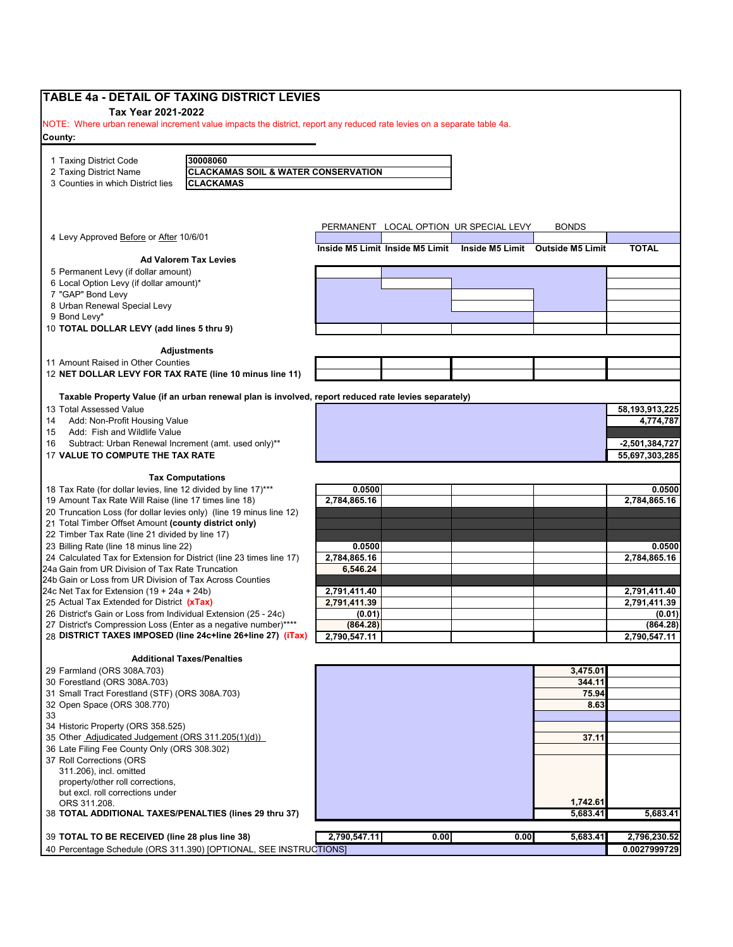| TABLE 4a - DETAIL OF TAXING DISTRICT LEVIES<br>Tax Year 2021-2022                                                      |                                                                                                      |              |      |                                                                  |              |                   |
|------------------------------------------------------------------------------------------------------------------------|------------------------------------------------------------------------------------------------------|--------------|------|------------------------------------------------------------------|--------------|-------------------|
| NOTE: Where urban renewal increment value impacts the district, report any reduced rate levies on a separate table 4a. |                                                                                                      |              |      |                                                                  |              |                   |
| County:                                                                                                                |                                                                                                      |              |      |                                                                  |              |                   |
|                                                                                                                        |                                                                                                      |              |      |                                                                  |              |                   |
| 1 Taxing District Code                                                                                                 | 30008060                                                                                             |              |      |                                                                  |              |                   |
| 2 Taxing District Name                                                                                                 | <b>CLACKAMAS SOIL &amp; WATER CONSERVATION</b>                                                       |              |      |                                                                  |              |                   |
| 3 Counties in which District lies                                                                                      | <b>CLACKAMAS</b>                                                                                     |              |      |                                                                  |              |                   |
|                                                                                                                        |                                                                                                      |              |      |                                                                  |              |                   |
|                                                                                                                        |                                                                                                      |              |      |                                                                  |              |                   |
| 4 Levy Approved Before or After 10/6/01                                                                                |                                                                                                      |              |      | PERMANENT LOCAL OPTION UR SPECIAL LEVY                           | <b>BONDS</b> |                   |
|                                                                                                                        |                                                                                                      |              |      | Inside M5 Limit Inside M5 Limit Inside M5 Limit Outside M5 Limit |              | <b>TOTAL</b>      |
|                                                                                                                        | <b>Ad Valorem Tax Levies</b>                                                                         |              |      |                                                                  |              |                   |
| 5 Permanent Levy (if dollar amount)<br>6 Local Option Levy (if dollar amount)*                                         |                                                                                                      |              |      |                                                                  |              |                   |
| 7 "GAP" Bond Levy                                                                                                      |                                                                                                      |              |      |                                                                  |              |                   |
| 8 Urban Renewal Special Levy                                                                                           |                                                                                                      |              |      |                                                                  |              |                   |
| 9 Bond Levy*                                                                                                           |                                                                                                      |              |      |                                                                  |              |                   |
| 10 TOTAL DOLLAR LEVY (add lines 5 thru 9)                                                                              |                                                                                                      |              |      |                                                                  |              |                   |
|                                                                                                                        |                                                                                                      |              |      |                                                                  |              |                   |
| 11 Amount Raised in Other Counties                                                                                     | Adjustments                                                                                          |              |      |                                                                  |              |                   |
|                                                                                                                        | 12 NET DOLLAR LEVY FOR TAX RATE (line 10 minus line 11)                                              |              |      |                                                                  |              |                   |
|                                                                                                                        |                                                                                                      |              |      |                                                                  |              |                   |
|                                                                                                                        | Taxable Property Value (if an urban renewal plan is involved, report reduced rate levies separately) |              |      |                                                                  |              |                   |
| 13 Total Assessed Value<br>Add: Non-Profit Housing Value                                                               |                                                                                                      |              |      |                                                                  |              | 58, 193, 913, 225 |
| 14<br>Add: Fish and Wildlife Value<br>15                                                                               |                                                                                                      |              |      |                                                                  |              | 4,774,787         |
| Subtract: Urban Renewal Increment (amt. used only)**<br>16                                                             |                                                                                                      |              |      |                                                                  |              | $-2,501,384,727$  |
| 17 VALUE TO COMPUTE THE TAX RATE                                                                                       |                                                                                                      |              |      |                                                                  |              | 55,697,303,285    |
|                                                                                                                        |                                                                                                      |              |      |                                                                  |              |                   |
| 18 Tax Rate (for dollar levies, line 12 divided by line 17)***                                                         | <b>Tax Computations</b>                                                                              | 0.0500       |      |                                                                  |              | 0.0500            |
| 19 Amount Tax Rate Will Raise (line 17 times line 18)                                                                  |                                                                                                      | 2,784,865.16 |      |                                                                  |              | 2,784,865.16      |
| 20 Truncation Loss (for dollar levies only) (line 19 minus line 12)                                                    |                                                                                                      |              |      |                                                                  |              |                   |
| 21 Total Timber Offset Amount (county district only)                                                                   |                                                                                                      |              |      |                                                                  |              |                   |
| 22 Timber Tax Rate (line 21 divided by line 17)                                                                        |                                                                                                      |              |      |                                                                  |              |                   |
| 23 Billing Rate (line 18 minus line 22)                                                                                |                                                                                                      | 0.0500       |      |                                                                  |              | 0.0500            |
| 24 Calculated Tax for Extension for District (line 23 times line 17)                                                   |                                                                                                      | 2,784,865.16 |      |                                                                  |              | 2,784,865.16      |
| 24a Gain from UR Division of Tax Rate Truncation<br>24b Gain or Loss from UR Division of Tax Across Counties           |                                                                                                      | 6,546.24     |      |                                                                  |              |                   |
| 24c Net Tax for Extension $(19 + 24a + 24b)$                                                                           |                                                                                                      | 2,791,411.40 |      |                                                                  |              | 2,791,411.40      |
| 25 Actual Tax Extended for District (xTax)                                                                             |                                                                                                      | 2,791,411.39 |      |                                                                  |              | 2,791,411.39      |
| 26 District's Gain or Loss from Individual Extension (25 - 24c)                                                        |                                                                                                      | (0.01)       |      |                                                                  |              | (0.01)            |
| 27 District's Compression Loss (Enter as a negative number)****                                                        |                                                                                                      | (864.28)     |      |                                                                  |              | (864.28)          |
|                                                                                                                        | 28 DISTRICT TAXES IMPOSED (line 24c+line 26+line 27) (iTax)                                          | 2,790,547.11 |      |                                                                  |              | 2,790,547.11      |
|                                                                                                                        | <b>Additional Taxes/Penalties</b>                                                                    |              |      |                                                                  |              |                   |
| 29 Farmland (ORS 308A.703)                                                                                             |                                                                                                      |              |      |                                                                  | 3,475.01     |                   |
| 30 Forestland (ORS 308A.703)                                                                                           |                                                                                                      |              |      |                                                                  | 344.11       |                   |
| 31 Small Tract Forestland (STF) (ORS 308A.703)                                                                         |                                                                                                      |              |      |                                                                  | 75.94        |                   |
| 32 Open Space (ORS 308.770)                                                                                            |                                                                                                      |              |      |                                                                  | 8.63         |                   |
| 34 Historic Property (ORS 358.525)                                                                                     |                                                                                                      |              |      |                                                                  |              |                   |
| 35 Other Adjudicated Judgement (ORS 311.205(1)(d))                                                                     |                                                                                                      |              |      |                                                                  | 37.11        |                   |
| 36 Late Filing Fee County Only (ORS 308.302)                                                                           |                                                                                                      |              |      |                                                                  |              |                   |
| 37 Roll Corrections (ORS                                                                                               |                                                                                                      |              |      |                                                                  |              |                   |
| 311.206), incl. omitted                                                                                                |                                                                                                      |              |      |                                                                  |              |                   |
| property/other roll corrections,                                                                                       |                                                                                                      |              |      |                                                                  |              |                   |
| but excl. roll corrections under<br>ORS 311.208.                                                                       |                                                                                                      |              |      |                                                                  | 1,742.61     |                   |
| 38 TOTAL ADDITIONAL TAXES/PENALTIES (lines 29 thru 37)                                                                 |                                                                                                      |              |      |                                                                  | 5,683.41     | 5,683.41          |
|                                                                                                                        |                                                                                                      |              |      |                                                                  |              |                   |
| 39 TOTAL TO BE RECEIVED (line 28 plus line 38)                                                                         |                                                                                                      | 2,790,547.11 | 0.00 | 0.00                                                             | 5,683.41     | 2,796,230.52      |
|                                                                                                                        | 40 Percentage Schedule (ORS 311.390) [OPTIONAL, SEE INSTRUCTIONS]                                    |              |      |                                                                  |              | 0.0027999729      |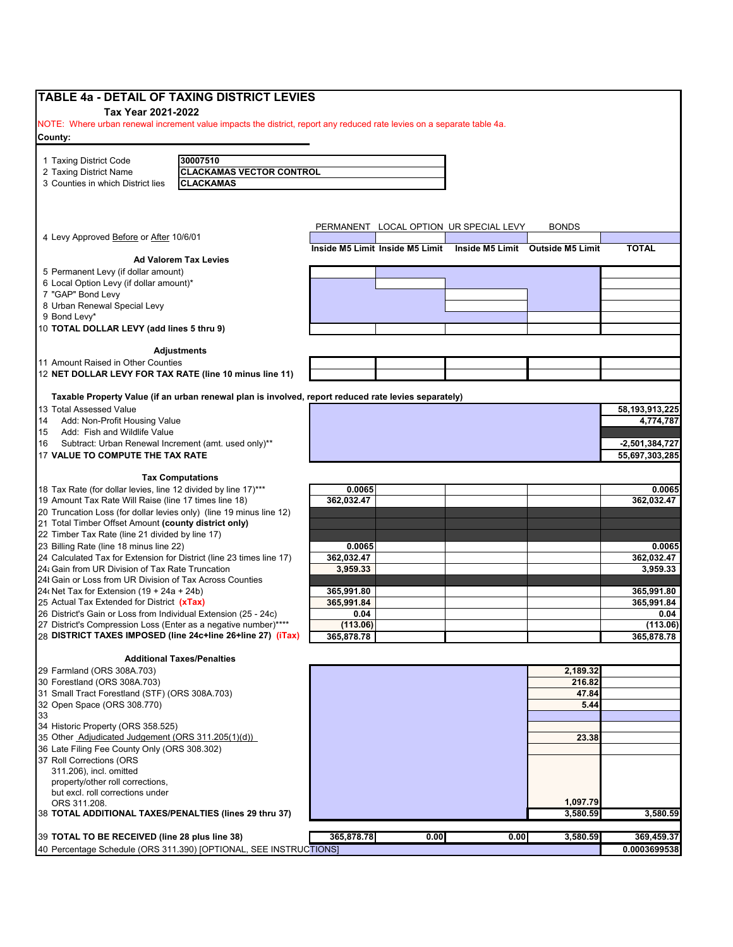|                                                                 | TABLE 4a - DETAIL OF TAXING DISTRICT LEVIES                                                                            |                                                                  |                                        |                  |                   |
|-----------------------------------------------------------------|------------------------------------------------------------------------------------------------------------------------|------------------------------------------------------------------|----------------------------------------|------------------|-------------------|
| Tax Year 2021-2022                                              |                                                                                                                        |                                                                  |                                        |                  |                   |
|                                                                 | NOTE: Where urban renewal increment value impacts the district, report any reduced rate levies on a separate table 4a. |                                                                  |                                        |                  |                   |
| County:                                                         |                                                                                                                        |                                                                  |                                        |                  |                   |
| 1 Taxing District Code                                          | 30007510                                                                                                               |                                                                  |                                        |                  |                   |
|                                                                 | <b>CLACKAMAS VECTOR CONTROL</b>                                                                                        |                                                                  |                                        |                  |                   |
| 2 Taxing District Name<br>3 Counties in which District lies     | <b>CLACKAMAS</b>                                                                                                       |                                                                  |                                        |                  |                   |
|                                                                 |                                                                                                                        |                                                                  |                                        |                  |                   |
|                                                                 |                                                                                                                        |                                                                  | PERMANENT LOCAL OPTION UR SPECIAL LEVY | <b>BONDS</b>     |                   |
| 4 Levy Approved Before or After 10/6/01                         |                                                                                                                        | Inside M5 Limit Inside M5 Limit Inside M5 Limit Outside M5 Limit |                                        |                  | <b>TOTAL</b>      |
|                                                                 | <b>Ad Valorem Tax Levies</b>                                                                                           |                                                                  |                                        |                  |                   |
| 5 Permanent Levy (if dollar amount)                             |                                                                                                                        |                                                                  |                                        |                  |                   |
| 6 Local Option Levy (if dollar amount)*                         |                                                                                                                        |                                                                  |                                        |                  |                   |
| 7 "GAP" Bond Levy                                               |                                                                                                                        |                                                                  |                                        |                  |                   |
| 8 Urban Renewal Special Levy                                    |                                                                                                                        |                                                                  |                                        |                  |                   |
| 9 Bond Levy*                                                    |                                                                                                                        |                                                                  |                                        |                  |                   |
| 10 TOTAL DOLLAR LEVY (add lines 5 thru 9)                       |                                                                                                                        |                                                                  |                                        |                  |                   |
|                                                                 | <b>Adjustments</b>                                                                                                     |                                                                  |                                        |                  |                   |
| 11 Amount Raised in Other Counties                              |                                                                                                                        |                                                                  |                                        |                  |                   |
|                                                                 | 12 NET DOLLAR LEVY FOR TAX RATE (line 10 minus line 11)                                                                |                                                                  |                                        |                  |                   |
|                                                                 | Taxable Property Value (if an urban renewal plan is involved, report reduced rate levies separately)                   |                                                                  |                                        |                  |                   |
| 13 Total Assessed Value                                         |                                                                                                                        |                                                                  |                                        |                  | 58, 193, 913, 225 |
| Add: Non-Profit Housing Value                                   |                                                                                                                        |                                                                  |                                        |                  | 4,774,787         |
| Add: Fish and Wildlife Value                                    |                                                                                                                        |                                                                  |                                        |                  |                   |
| Subtract: Urban Renewal Increment (amt. used only)**            |                                                                                                                        |                                                                  |                                        |                  | $-2,501,384,727$  |
| 17 VALUE TO COMPUTE THE TAX RATE                                |                                                                                                                        |                                                                  |                                        |                  | 55,697,303,285    |
|                                                                 |                                                                                                                        |                                                                  |                                        |                  |                   |
| 18 Tax Rate (for dollar levies, line 12 divided by line 17)***  | <b>Tax Computations</b>                                                                                                | 0.0065                                                           |                                        |                  | 0.0065            |
| 19 Amount Tax Rate Will Raise (line 17 times line 18)           |                                                                                                                        | 362,032.47                                                       |                                        |                  | 362,032.47        |
|                                                                 | 20 Truncation Loss (for dollar levies only) (line 19 minus line 12)                                                    |                                                                  |                                        |                  |                   |
| 21 Total Timber Offset Amount (county district only)            |                                                                                                                        |                                                                  |                                        |                  |                   |
| 22 Timber Tax Rate (line 21 divided by line 17)                 |                                                                                                                        |                                                                  |                                        |                  |                   |
| 23 Billing Rate (line 18 minus line 22)                         |                                                                                                                        | 0.0065                                                           |                                        |                  | 0.0065            |
|                                                                 | 24 Calculated Tax for Extension for District (line 23 times line 17)                                                   | 362,032.47                                                       |                                        |                  | 362,032.47        |
| 24: Gain from UR Division of Tax Rate Truncation                |                                                                                                                        | 3,959.33                                                         |                                        |                  | 3.959.33          |
| 24I Gain or Loss from UR Division of Tax Across Counties        |                                                                                                                        |                                                                  |                                        |                  |                   |
| 24 (Net Tax for Extension $(19 + 24a + 24b)$ )                  |                                                                                                                        | 365,991.80                                                       |                                        |                  | 365,991.80        |
| 25 Actual Tax Extended for District (xTax)                      |                                                                                                                        | 365,991.84                                                       |                                        |                  | 365,991.84        |
| 26 District's Gain or Loss from Individual Extension (25 - 24c) |                                                                                                                        | 0.04                                                             |                                        |                  | 0.04              |
| 27 District's Compression Loss (Enter as a negative number)**** |                                                                                                                        | (113.06)                                                         |                                        |                  | (113.06)          |
|                                                                 | 28 DISTRICT TAXES IMPOSED (line 24c+line 26+line 27) (iTax)                                                            | 365,878.78                                                       |                                        |                  | 365,878.78        |
|                                                                 | <b>Additional Taxes/Penalties</b>                                                                                      |                                                                  |                                        |                  |                   |
| 29 Farmland (ORS 308A.703)                                      |                                                                                                                        |                                                                  |                                        | 2,189.32         |                   |
| 30 Forestland (ORS 308A.703)                                    |                                                                                                                        |                                                                  |                                        | 216.82           |                   |
| 31 Small Tract Forestland (STF) (ORS 308A.703)                  |                                                                                                                        |                                                                  |                                        | 47.84            |                   |
| 32 Open Space (ORS 308.770)                                     |                                                                                                                        |                                                                  |                                        | 5.44             |                   |
|                                                                 |                                                                                                                        |                                                                  |                                        |                  |                   |
| 34 Historic Property (ORS 358.525)                              |                                                                                                                        |                                                                  |                                        |                  |                   |
| 35 Other Adjudicated Judgement (ORS 311.205(1)(d))              |                                                                                                                        |                                                                  |                                        | 23.38            |                   |
| 36 Late Filing Fee County Only (ORS 308.302)                    |                                                                                                                        |                                                                  |                                        |                  |                   |
| 37 Roll Corrections (ORS                                        |                                                                                                                        |                                                                  |                                        |                  |                   |
| 311.206), incl. omitted                                         |                                                                                                                        |                                                                  |                                        |                  |                   |
| property/other roll corrections,                                |                                                                                                                        |                                                                  |                                        |                  |                   |
| but excl. roll corrections under                                |                                                                                                                        |                                                                  |                                        |                  |                   |
| ORS 311.208.                                                    |                                                                                                                        |                                                                  |                                        | 1,097.79         |                   |
|                                                                 | 38 TOTAL ADDITIONAL TAXES/PENALTIES (lines 29 thru 37)                                                                 |                                                                  |                                        | 3,580.59         | 3,580.59          |
| 39 TOTAL TO BE RECEIVED (line 28 plus line 38)                  |                                                                                                                        | 365,878.78                                                       | 0.00                                   | 0.00<br>3,580.59 | 369,459.37        |
|                                                                 | 40 Percentage Schedule (ORS 311.390) [OPTIONAL, SEE INSTRUCTIONS]                                                      |                                                                  |                                        |                  | 0.0003699538      |
|                                                                 |                                                                                                                        |                                                                  |                                        |                  |                   |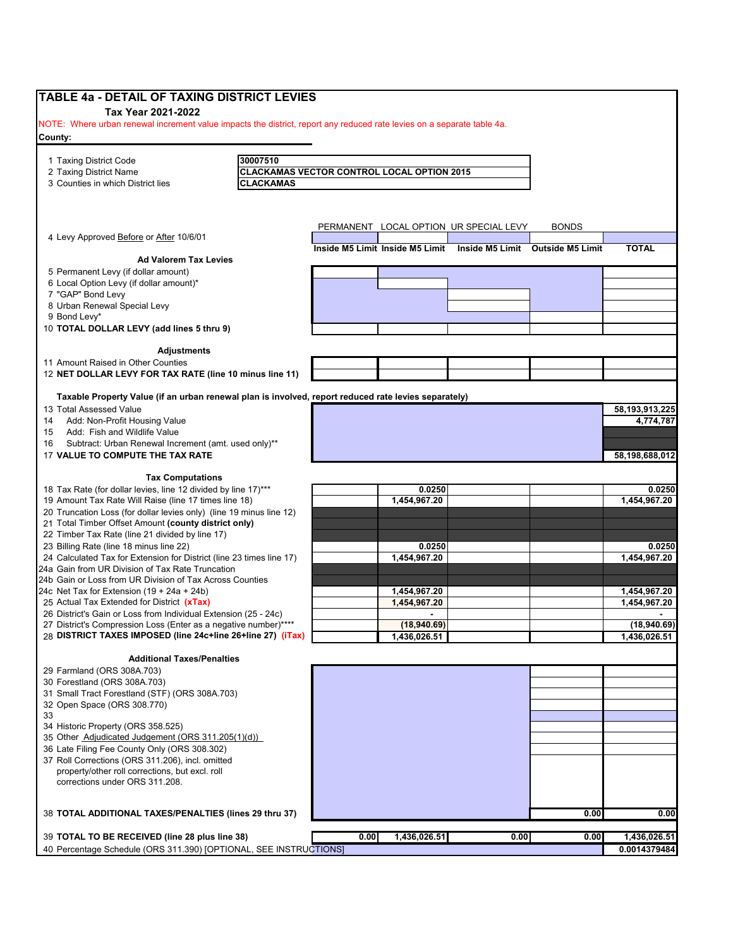| TABLE 4a - DETAIL OF TAXING DISTRICT LEVIES                                                                            |                  |                                            |              |                                                                  |              |                              |
|------------------------------------------------------------------------------------------------------------------------|------------------|--------------------------------------------|--------------|------------------------------------------------------------------|--------------|------------------------------|
| Tax Year 2021-2022                                                                                                     |                  |                                            |              |                                                                  |              |                              |
| NOTE: Where urban renewal increment value impacts the district, report any reduced rate levies on a separate table 4a. |                  |                                            |              |                                                                  |              |                              |
| County:                                                                                                                |                  |                                            |              |                                                                  |              |                              |
|                                                                                                                        |                  |                                            |              |                                                                  |              |                              |
| 1 Taxing District Code                                                                                                 | 30007510         |                                            |              |                                                                  |              |                              |
| 2 Taxing District Name                                                                                                 |                  | CLACKAMAS VECTOR CONTROL LOCAL OPTION 2015 |              |                                                                  |              |                              |
| 3 Counties in which District lies                                                                                      | <b>CLACKAMAS</b> |                                            |              |                                                                  |              |                              |
|                                                                                                                        |                  |                                            |              |                                                                  |              |                              |
|                                                                                                                        |                  |                                            |              |                                                                  |              |                              |
| 4 Levy Approved Before or After 10/6/01                                                                                |                  |                                            |              | PERMANENT LOCAL OPTION UR SPECIAL LEVY                           | <b>BONDS</b> |                              |
|                                                                                                                        |                  |                                            |              | Inside M5 Limit Inside M5 Limit Inside M5 Limit Outside M5 Limit |              | <b>TOTAL</b>                 |
| <b>Ad Valorem Tax Levies</b>                                                                                           |                  |                                            |              |                                                                  |              |                              |
| 5 Permanent Levy (if dollar amount)                                                                                    |                  |                                            |              |                                                                  |              |                              |
| 6 Local Option Levy (if dollar amount)*                                                                                |                  |                                            |              |                                                                  |              |                              |
| 7 "GAP" Bond Levy                                                                                                      |                  |                                            |              |                                                                  |              |                              |
| 8 Urban Renewal Special Levy                                                                                           |                  |                                            |              |                                                                  |              |                              |
| 9 Bond Levy*<br>10 TOTAL DOLLAR LEVY (add lines 5 thru 9)                                                              |                  |                                            |              |                                                                  |              |                              |
|                                                                                                                        |                  |                                            |              |                                                                  |              |                              |
| <b>Adjustments</b>                                                                                                     |                  |                                            |              |                                                                  |              |                              |
| 11 Amount Raised in Other Counties                                                                                     |                  |                                            |              |                                                                  |              |                              |
| 12 NET DOLLAR LEVY FOR TAX RATE (line 10 minus line 11)                                                                |                  |                                            |              |                                                                  |              |                              |
| Taxable Property Value (if an urban renewal plan is involved, report reduced rate levies separately)                   |                  |                                            |              |                                                                  |              |                              |
| 13 Total Assessed Value                                                                                                |                  |                                            |              |                                                                  |              | 58,193,913,225               |
| Add: Non-Profit Housing Value<br>14                                                                                    |                  |                                            |              |                                                                  |              | 4,774,787                    |
| Add: Fish and Wildlife Value<br>15                                                                                     |                  |                                            |              |                                                                  |              |                              |
| Subtract: Urban Renewal Increment (amt. used only)**<br>16                                                             |                  |                                            |              |                                                                  |              |                              |
| 17 VALUE TO COMPUTE THE TAX RATE                                                                                       |                  |                                            |              |                                                                  |              | 58,198,688,012               |
|                                                                                                                        |                  |                                            |              |                                                                  |              |                              |
| <b>Tax Computations</b>                                                                                                |                  |                                            |              |                                                                  |              |                              |
| 18 Tax Rate (for dollar levies, line 12 divided by line 17)***                                                         |                  |                                            | 0.0250       |                                                                  |              | 0.0250                       |
| 19 Amount Tax Rate Will Raise (line 17 times line 18)                                                                  |                  |                                            | 1,454,967.20 |                                                                  |              | 1,454,967.20                 |
| 20 Truncation Loss (for dollar levies only) (line 19 minus line 12)                                                    |                  |                                            |              |                                                                  |              |                              |
| 21 Total Timber Offset Amount (county district only)                                                                   |                  |                                            |              |                                                                  |              |                              |
| 22 Timber Tax Rate (line 21 divided by line 17)<br>23 Billing Rate (line 18 minus line 22)                             |                  |                                            | 0.0250       |                                                                  |              |                              |
| 24 Calculated Tax for Extension for District (line 23 times line 17)                                                   |                  |                                            | 1,454,967.20 |                                                                  |              | 0.0250<br>1,454,967.20       |
| 24a Gain from UR Division of Tax Rate Truncation                                                                       |                  |                                            |              |                                                                  |              |                              |
| 24b Gain or Loss from UR Division of Tax Across Counties                                                               |                  |                                            |              |                                                                  |              |                              |
| 24c Net Tax for Extension $(19 + 24a + 24b)$                                                                           |                  |                                            | 1,454,967.20 |                                                                  |              | 1,454,967.20                 |
| 25 Actual Tax Extended for District (xTax)                                                                             |                  |                                            | 1,454,967.20 |                                                                  |              | 1,454,967.20                 |
| 26 District's Gain or Loss from Individual Extension (25 - 24c)                                                        |                  |                                            |              |                                                                  |              |                              |
| 27 District's Compression Loss (Enter as a negative number)****                                                        |                  |                                            | (18,940.69)  |                                                                  |              | (18,940.69)                  |
| 28 DISTRICT TAXES IMPOSED (line 24c+line 26+line 27) (iTax)                                                            |                  |                                            | 1,436,026.51 |                                                                  |              | 1,436,026.51                 |
|                                                                                                                        |                  |                                            |              |                                                                  |              |                              |
| <b>Additional Taxes/Penalties</b>                                                                                      |                  |                                            |              |                                                                  |              |                              |
| 29 Farmland (ORS 308A.703)                                                                                             |                  |                                            |              |                                                                  |              |                              |
| 30 Forestland (ORS 308A.703)                                                                                           |                  |                                            |              |                                                                  |              |                              |
| 31 Small Tract Forestland (STF) (ORS 308A.703)                                                                         |                  |                                            |              |                                                                  |              |                              |
| 32 Open Space (ORS 308.770)                                                                                            |                  |                                            |              |                                                                  |              |                              |
| 33<br>34 Historic Property (ORS 358.525)                                                                               |                  |                                            |              |                                                                  |              |                              |
| 35 Other Adjudicated Judgement (ORS 311.205(1)(d))                                                                     |                  |                                            |              |                                                                  |              |                              |
| 36 Late Filing Fee County Only (ORS 308.302)                                                                           |                  |                                            |              |                                                                  |              |                              |
| 37 Roll Corrections (ORS 311.206), incl. omitted                                                                       |                  |                                            |              |                                                                  |              |                              |
| property/other roll corrections, but excl. roll                                                                        |                  |                                            |              |                                                                  |              |                              |
| corrections under ORS 311.208.                                                                                         |                  |                                            |              |                                                                  |              |                              |
|                                                                                                                        |                  |                                            |              |                                                                  |              |                              |
|                                                                                                                        |                  |                                            |              |                                                                  |              |                              |
| 38 TOTAL ADDITIONAL TAXES/PENALTIES (lines 29 thru 37)                                                                 |                  |                                            |              |                                                                  | 0.00         | 0.00                         |
|                                                                                                                        |                  |                                            |              |                                                                  |              |                              |
| 39 TOTAL TO BE RECEIVED (line 28 plus line 38)<br>40 Percentage Schedule (ORS 311.390) [OPTIONAL, SEE INSTRUCTIONS]    |                  | 0.00                                       | 1,436,026.51 | 0.00                                                             | 0.00         | 1,436,026.51<br>0.0014379484 |
|                                                                                                                        |                  |                                            |              |                                                                  |              |                              |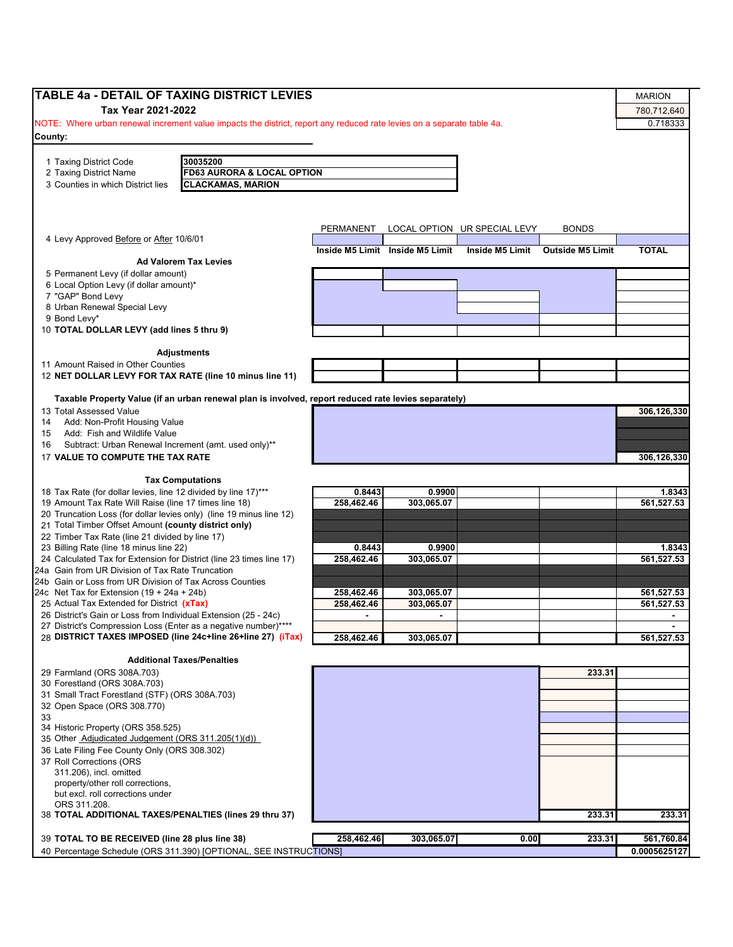| <b>TABLE 4a - DETAIL OF TAXING DISTRICT LEVIES</b>                                                                     |            |                                 |                              |                         | <b>MARION</b> |
|------------------------------------------------------------------------------------------------------------------------|------------|---------------------------------|------------------------------|-------------------------|---------------|
| Tax Year 2021-2022                                                                                                     |            |                                 |                              |                         | 780,712,640   |
| NOTE: Where urban renewal increment value impacts the district, report any reduced rate levies on a separate table 4a. |            |                                 |                              |                         | 0.718333      |
| County:                                                                                                                |            |                                 |                              |                         |               |
|                                                                                                                        |            |                                 |                              |                         |               |
| 30035200<br>1 Taxing District Code                                                                                     |            |                                 |                              |                         |               |
| 2 Taxing District Name<br><b>FD63 AURORA &amp; LOCAL OPTION</b>                                                        |            |                                 |                              |                         |               |
| <b>CLACKAMAS, MARION</b><br>3 Counties in which District lies                                                          |            |                                 |                              |                         |               |
|                                                                                                                        |            |                                 |                              |                         |               |
|                                                                                                                        |            |                                 |                              |                         |               |
|                                                                                                                        |            |                                 |                              | <b>BONDS</b>            |               |
| 4 Levy Approved Before or After 10/6/01                                                                                | PERMANENT  |                                 | LOCAL OPTION UR SPECIAL LEVY |                         |               |
|                                                                                                                        |            | Inside M5 Limit Inside M5 Limit | Inside M5 Limit              | <b>Outside M5 Limit</b> | <b>TOTAL</b>  |
| <b>Ad Valorem Tax Levies</b>                                                                                           |            |                                 |                              |                         |               |
| 5 Permanent Levy (if dollar amount)                                                                                    |            |                                 |                              |                         |               |
| 6 Local Option Levy (if dollar amount)*                                                                                |            |                                 |                              |                         |               |
| 7 "GAP" Bond Levy<br>8 Urban Renewal Special Levy                                                                      |            |                                 |                              |                         |               |
| 9 Bond Levy*                                                                                                           |            |                                 |                              |                         |               |
| 10 TOTAL DOLLAR LEVY (add lines 5 thru 9)                                                                              |            |                                 |                              |                         |               |
|                                                                                                                        |            |                                 |                              |                         |               |
| <b>Adjustments</b>                                                                                                     |            |                                 |                              |                         |               |
| 11 Amount Raised in Other Counties                                                                                     |            |                                 |                              |                         |               |
| 12 NET DOLLAR LEVY FOR TAX RATE (line 10 minus line 11)                                                                |            |                                 |                              |                         |               |
|                                                                                                                        |            |                                 |                              |                         |               |
| Taxable Property Value (if an urban renewal plan is involved, report reduced rate levies separately)                   |            |                                 |                              |                         |               |
| 13 Total Assessed Value                                                                                                |            |                                 |                              |                         | 306,126,330   |
| Add: Non-Profit Housing Value<br>14                                                                                    |            |                                 |                              |                         |               |
| Add: Fish and Wildlife Value<br>15                                                                                     |            |                                 |                              |                         |               |
| Subtract: Urban Renewal Increment (amt. used only)**<br>16                                                             |            |                                 |                              |                         |               |
| 17 VALUE TO COMPUTE THE TAX RATE                                                                                       |            |                                 |                              |                         | 306,126,330   |
| <b>Tax Computations</b>                                                                                                |            |                                 |                              |                         |               |
| 18 Tax Rate (for dollar levies, line 12 divided by line 17)***                                                         | 0.8443     | 0.9900                          |                              |                         | 1.8343        |
| 19 Amount Tax Rate Will Raise (line 17 times line 18)                                                                  | 258,462.46 | 303.065.07                      |                              |                         | 561,527.53    |
| 20 Truncation Loss (for dollar levies only) (line 19 minus line 12)                                                    |            |                                 |                              |                         |               |
| 21 Total Timber Offset Amount (county district only)                                                                   |            |                                 |                              |                         |               |
| 22 Timber Tax Rate (line 21 divided by line 17)                                                                        |            |                                 |                              |                         |               |
| 23 Billing Rate (line 18 minus line 22)                                                                                | 0.8443     | 0.9900                          |                              |                         | 1.8343        |
| 24 Calculated Tax for Extension for District (line 23 times line 17)                                                   | 258,462.46 | 303,065.07                      |                              |                         | 561,527.53    |
| 24a Gain from UR Division of Tax Rate Truncation                                                                       |            |                                 |                              |                         |               |
| 24b Gain or Loss from UR Division of Tax Across Counties<br>24c Net Tax for Extension $(19 + 24a + 24b)$               | 258,462.46 | 303,065.07                      |                              |                         | 561,527.53    |
| 25 Actual Tax Extended for District (xTax)                                                                             | 258,462.46 | 303,065.07                      |                              |                         | 561,527.53    |
| 26 District's Gain or Loss from Individual Extension (25 - 24c)                                                        |            |                                 |                              |                         |               |
| 27 District's Compression Loss (Enter as a negative number)****                                                        |            |                                 |                              |                         |               |
| 28 DISTRICT TAXES IMPOSED (line 24c+line 26+line 27) (iTax)                                                            | 258,462.46 | 303,065.07                      |                              |                         | 561,527.53    |
|                                                                                                                        |            |                                 |                              |                         |               |
| <b>Additional Taxes/Penalties</b>                                                                                      |            |                                 |                              |                         |               |
| 29 Farmland (ORS 308A.703)                                                                                             |            |                                 |                              | 233.31                  |               |
| 30 Forestland (ORS 308A.703)                                                                                           |            |                                 |                              |                         |               |
| 31 Small Tract Forestland (STF) (ORS 308A.703)                                                                         |            |                                 |                              |                         |               |
| 32 Open Space (ORS 308.770)                                                                                            |            |                                 |                              |                         |               |
| 33                                                                                                                     |            |                                 |                              |                         |               |
| 34 Historic Property (ORS 358.525)                                                                                     |            |                                 |                              |                         |               |
| 35 Other Adjudicated Judgement (ORS 311.205(1)(d))<br>36 Late Filing Fee County Only (ORS 308.302)                     |            |                                 |                              |                         |               |
| 37 Roll Corrections (ORS                                                                                               |            |                                 |                              |                         |               |
| 311.206), incl. omitted                                                                                                |            |                                 |                              |                         |               |
| property/other roll corrections,                                                                                       |            |                                 |                              |                         |               |
| but excl. roll corrections under                                                                                       |            |                                 |                              |                         |               |
| ORS 311.208.                                                                                                           |            |                                 |                              |                         |               |
| 38 TOTAL ADDITIONAL TAXES/PENALTIES (lines 29 thru 37)                                                                 |            |                                 |                              | 233.31                  | 233.31        |
|                                                                                                                        |            |                                 |                              |                         |               |
| 39 TOTAL TO BE RECEIVED (line 28 plus line 38)                                                                         | 258,462.46 | 303,065.07                      | 0.00                         | 233.31                  | 561,760.84    |
| 40 Percentage Schedule (ORS 311.390) [OPTIONAL, SEE INSTRUCTIONS]                                                      |            |                                 |                              |                         | 0.0005625127  |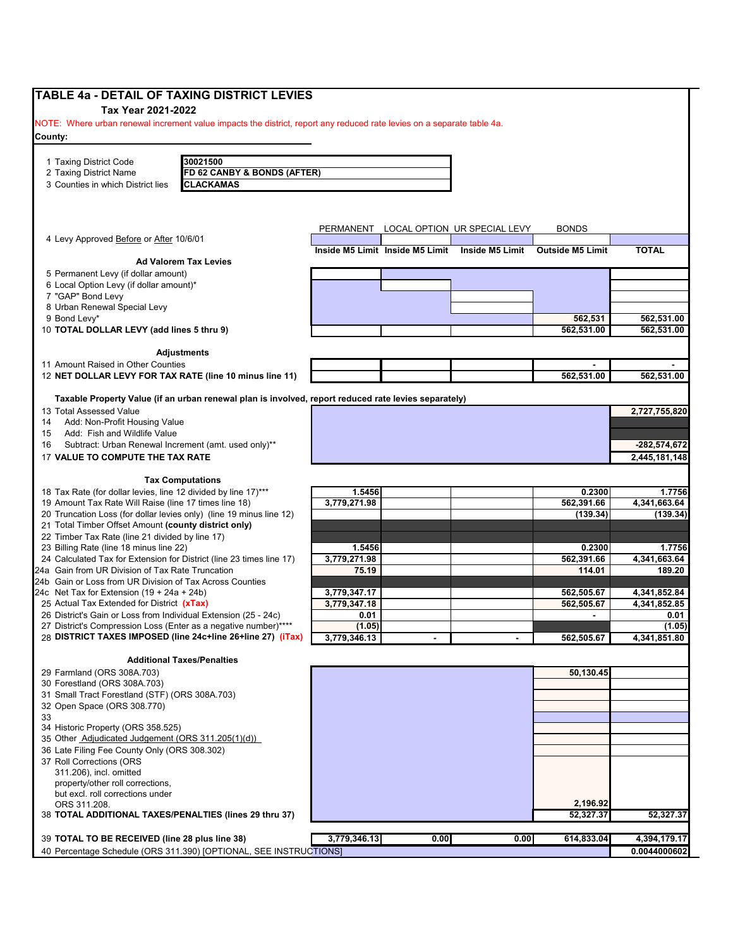| TABLE 4a - DETAIL OF TAXING DISTRICT LEVIES                                                                                        |                      |                                 |                                        |                         |                      |
|------------------------------------------------------------------------------------------------------------------------------------|----------------------|---------------------------------|----------------------------------------|-------------------------|----------------------|
| Tax Year 2021-2022                                                                                                                 |                      |                                 |                                        |                         |                      |
| NOTE: Where urban renewal increment value impacts the district, report any reduced rate levies on a separate table 4a.             |                      |                                 |                                        |                         |                      |
| County:                                                                                                                            |                      |                                 |                                        |                         |                      |
|                                                                                                                                    |                      |                                 |                                        |                         |                      |
| 30021500<br>1 Taxing District Code                                                                                                 |                      |                                 |                                        |                         |                      |
| FD 62 CANBY & BONDS (AFTER)<br>2 Taxing District Name<br>3 Counties in which District lies<br><b>CLACKAMAS</b>                     |                      |                                 |                                        |                         |                      |
|                                                                                                                                    |                      |                                 |                                        |                         |                      |
|                                                                                                                                    |                      |                                 |                                        |                         |                      |
|                                                                                                                                    |                      |                                 |                                        |                         |                      |
|                                                                                                                                    |                      |                                 | PERMANENT LOCAL OPTION UR SPECIAL LEVY | <b>BONDS</b>            |                      |
| 4 Levy Approved Before or After 10/6/01                                                                                            |                      | Inside M5 Limit Inside M5 Limit | Inside M5 Limit                        | <b>Outside M5 Limit</b> | <b>TOTAL</b>         |
| <b>Ad Valorem Tax Levies</b>                                                                                                       |                      |                                 |                                        |                         |                      |
| 5 Permanent Levy (if dollar amount)                                                                                                |                      |                                 |                                        |                         |                      |
| 6 Local Option Levy (if dollar amount)*                                                                                            |                      |                                 |                                        |                         |                      |
| 7 "GAP" Bond Levy                                                                                                                  |                      |                                 |                                        |                         |                      |
| 8 Urban Renewal Special Levy                                                                                                       |                      |                                 |                                        |                         |                      |
| 9 Bond Levy*                                                                                                                       |                      |                                 |                                        | 562,531                 | 562,531.00           |
| 10 TOTAL DOLLAR LEVY (add lines 5 thru 9)                                                                                          |                      |                                 |                                        | 562,531.00              | 562,531.00           |
| <b>Adjustments</b>                                                                                                                 |                      |                                 |                                        |                         |                      |
| 11 Amount Raised in Other Counties                                                                                                 |                      |                                 |                                        |                         |                      |
| 12 NET DOLLAR LEVY FOR TAX RATE (line 10 minus line 11)                                                                            |                      |                                 |                                        | 562,531.00              | 562,531.00           |
|                                                                                                                                    |                      |                                 |                                        |                         |                      |
| Taxable Property Value (if an urban renewal plan is involved, report reduced rate levies separately)                               |                      |                                 |                                        |                         |                      |
| 13 Total Assessed Value                                                                                                            |                      |                                 |                                        |                         | 2,727,755,820        |
| Add: Non-Profit Housing Value<br>14                                                                                                |                      |                                 |                                        |                         |                      |
| Add: Fish and Wildlife Value<br>15                                                                                                 |                      |                                 |                                        |                         |                      |
| Subtract: Urban Renewal Increment (amt. used only)**<br>16                                                                         |                      |                                 |                                        |                         | $-282,574,672$       |
| 17 VALUE TO COMPUTE THE TAX RATE                                                                                                   |                      |                                 |                                        |                         | 2,445,181,148        |
| <b>Tax Computations</b>                                                                                                            |                      |                                 |                                        |                         |                      |
| 18 Tax Rate (for dollar levies, line 12 divided by line 17)***                                                                     | 1.5456               |                                 |                                        | 0.2300                  | 1.7756               |
| 19 Amount Tax Rate Will Raise (line 17 times line 18)                                                                              | 3,779,271.98         |                                 |                                        | 562,391.66              | 4,341,663.64         |
| 20 Truncation Loss (for dollar levies only) (line 19 minus line 12)                                                                |                      |                                 |                                        | (139.34)                | (139.34)             |
| 21 Total Timber Offset Amount (county district only)                                                                               |                      |                                 |                                        |                         |                      |
| 22 Timber Tax Rate (line 21 divided by line 17)                                                                                    |                      |                                 |                                        |                         |                      |
| 23 Billing Rate (line 18 minus line 22)                                                                                            | 1.5456               |                                 |                                        | 0.2300                  | 1.7756               |
| 24 Calculated Tax for Extension for District (line 23 times line 17)                                                               | 3,779,271.98         |                                 |                                        | 562,391.66              | 4,341,663.64         |
| 24a Gain from UR Division of Tax Rate Truncation                                                                                   | 75.19                |                                 |                                        | 114.01                  | 189.20               |
| 24b Gain or Loss from UR Division of Tax Across Counties                                                                           |                      |                                 |                                        |                         |                      |
| 24c Net Tax for Extension $(19 + 24a + 24b)$                                                                                       | 3,779,347.17         |                                 |                                        | 562.505.67              | 4,341,852.84         |
| 25 Actual Tax Extended for District (xTax)                                                                                         | 3,779,347.18<br>0.01 |                                 |                                        | 562,505.67              | 4,341,852.85<br>0.01 |
| 26 District's Gain or Loss from Individual Extension (25 - 24c)<br>27 District's Compression Loss (Enter as a negative number)**** | (1.05)               |                                 |                                        |                         | (1.05)               |
| 28 DISTRICT TAXES IMPOSED (line 24c+line 26+line 27) (iTax)                                                                        | 3,779,346.13         |                                 |                                        | 562,505.67              | 4,341,851.80         |
|                                                                                                                                    |                      |                                 |                                        |                         |                      |
| <b>Additional Taxes/Penalties</b>                                                                                                  |                      |                                 |                                        |                         |                      |
| 29 Farmland (ORS 308A.703)                                                                                                         |                      |                                 |                                        | 50,130.45               |                      |
| 30 Forestland (ORS 308A.703)                                                                                                       |                      |                                 |                                        |                         |                      |
| 31 Small Tract Forestland (STF) (ORS 308A.703)                                                                                     |                      |                                 |                                        |                         |                      |
| 32 Open Space (ORS 308.770)                                                                                                        |                      |                                 |                                        |                         |                      |
| 33                                                                                                                                 |                      |                                 |                                        |                         |                      |
| 34 Historic Property (ORS 358.525)<br>35 Other Adjudicated Judgement (ORS 311.205(1)(d))                                           |                      |                                 |                                        |                         |                      |
| 36 Late Filing Fee County Only (ORS 308.302)                                                                                       |                      |                                 |                                        |                         |                      |
| 37 Roll Corrections (ORS                                                                                                           |                      |                                 |                                        |                         |                      |
| 311.206), incl. omitted                                                                                                            |                      |                                 |                                        |                         |                      |
| property/other roll corrections,                                                                                                   |                      |                                 |                                        |                         |                      |
| but excl. roll corrections under                                                                                                   |                      |                                 |                                        |                         |                      |
| ORS 311.208.                                                                                                                       |                      |                                 |                                        | 2,196.92                |                      |
| 38 TOTAL ADDITIONAL TAXES/PENALTIES (lines 29 thru 37)                                                                             |                      |                                 |                                        | 52,327.37               | 52,327.37            |
|                                                                                                                                    |                      |                                 |                                        |                         |                      |
| 39 TOTAL TO BE RECEIVED (line 28 plus line 38)                                                                                     | 3,779,346.13         | 0.00                            | 0.00                                   | 614,833.04              | 4,394,179.17         |
| 40 Percentage Schedule (ORS 311.390) [OPTIONAL, SEE INSTRUCTIONS]                                                                  |                      |                                 |                                        |                         | 0.0044000602         |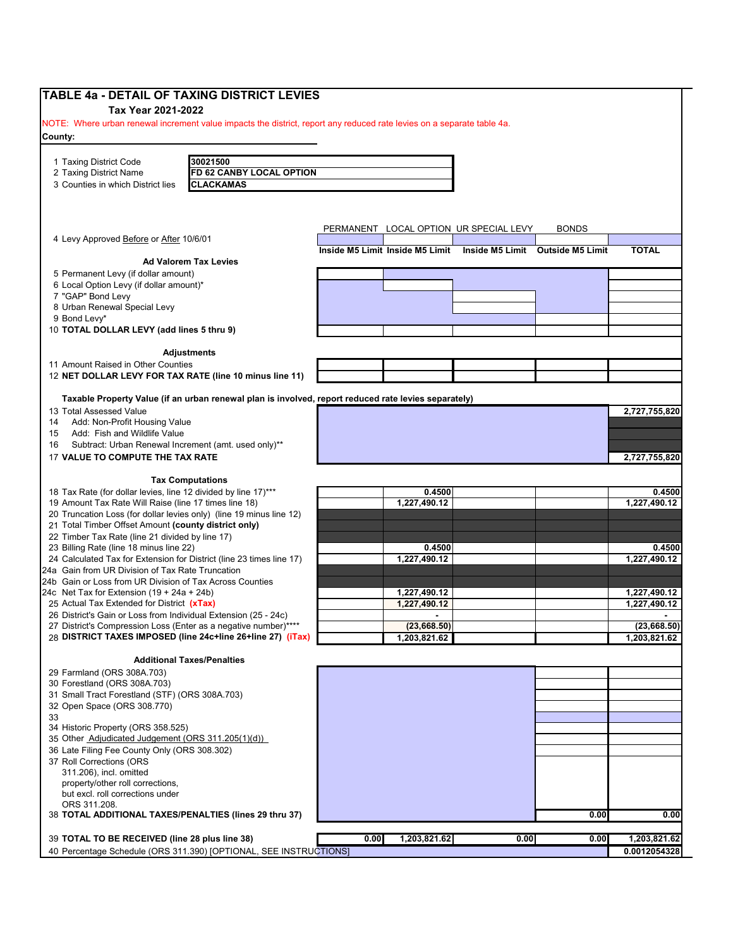| <b>TABLE 4a - DETAIL OF TAXING DISTRICT LEVIES</b>                                                                             |      |                                 |                                        |                                  |                               |
|--------------------------------------------------------------------------------------------------------------------------------|------|---------------------------------|----------------------------------------|----------------------------------|-------------------------------|
| Tax Year 2021-2022                                                                                                             |      |                                 |                                        |                                  |                               |
| NOTE: Where urban renewal increment value impacts the district, report any reduced rate levies on a separate table 4a.         |      |                                 |                                        |                                  |                               |
| County:                                                                                                                        |      |                                 |                                        |                                  |                               |
|                                                                                                                                |      |                                 |                                        |                                  |                               |
| 1 Taxing District Code<br>30021500                                                                                             |      |                                 |                                        |                                  |                               |
| FD 62 CANBY LOCAL OPTION<br>2 Taxing District Name                                                                             |      |                                 |                                        |                                  |                               |
| 3 Counties in which District lies<br><b>CLACKAMAS</b>                                                                          |      |                                 |                                        |                                  |                               |
|                                                                                                                                |      |                                 |                                        |                                  |                               |
|                                                                                                                                |      |                                 |                                        |                                  |                               |
| 4 Levy Approved Before or After 10/6/01                                                                                        |      |                                 | PERMANENT LOCAL OPTION UR SPECIAL LEVY | <b>BONDS</b>                     |                               |
|                                                                                                                                |      | Inside M5 Limit Inside M5 Limit |                                        | Inside M5 Limit Outside M5 Limit | <b>TOTAL</b>                  |
| <b>Ad Valorem Tax Levies</b>                                                                                                   |      |                                 |                                        |                                  |                               |
| 5 Permanent Levy (if dollar amount)                                                                                            |      |                                 |                                        |                                  |                               |
| 6 Local Option Levy (if dollar amount)*                                                                                        |      |                                 |                                        |                                  |                               |
| 7 "GAP" Bond Levy<br>8 Urban Renewal Special Levy                                                                              |      |                                 |                                        |                                  |                               |
| 9 Bond Levy*                                                                                                                   |      |                                 |                                        |                                  |                               |
| 10 TOTAL DOLLAR LEVY (add lines 5 thru 9)                                                                                      |      |                                 |                                        |                                  |                               |
|                                                                                                                                |      |                                 |                                        |                                  |                               |
| <b>Adjustments</b>                                                                                                             |      |                                 |                                        |                                  |                               |
| 11 Amount Raised in Other Counties                                                                                             |      |                                 |                                        |                                  |                               |
| 12 NET DOLLAR LEVY FOR TAX RATE (line 10 minus line 11)                                                                        |      |                                 |                                        |                                  |                               |
| Taxable Property Value (if an urban renewal plan is involved, report reduced rate levies separately)                           |      |                                 |                                        |                                  |                               |
| 13 Total Assessed Value                                                                                                        |      |                                 |                                        |                                  | 2,727,755,820                 |
| Add: Non-Profit Housing Value<br>14                                                                                            |      |                                 |                                        |                                  |                               |
| Add: Fish and Wildlife Value<br>15                                                                                             |      |                                 |                                        |                                  |                               |
| Subtract: Urban Renewal Increment (amt. used only)**<br>16                                                                     |      |                                 |                                        |                                  |                               |
| 17 VALUE TO COMPUTE THE TAX RATE                                                                                               |      |                                 |                                        |                                  | 2,727,755,820                 |
|                                                                                                                                |      |                                 |                                        |                                  |                               |
| <b>Tax Computations</b>                                                                                                        |      |                                 |                                        |                                  |                               |
| 18 Tax Rate (for dollar levies, line 12 divided by line 17)***<br>19 Amount Tax Rate Will Raise (line 17 times line 18)        |      | 0.4500<br>1,227,490.12          |                                        |                                  | 0.4500<br>1,227,490.12        |
| 20 Truncation Loss (for dollar levies only) (line 19 minus line 12)                                                            |      |                                 |                                        |                                  |                               |
| 21 Total Timber Offset Amount (county district only)                                                                           |      |                                 |                                        |                                  |                               |
| 22 Timber Tax Rate (line 21 divided by line 17)                                                                                |      |                                 |                                        |                                  |                               |
| 23 Billing Rate (line 18 minus line 22)                                                                                        |      | 0.4500                          |                                        |                                  | 0.4500                        |
| 24 Calculated Tax for Extension for District (line 23 times line 17)                                                           |      | 1,227,490.12                    |                                        |                                  | 1,227,490.12                  |
| 24a Gain from UR Division of Tax Rate Truncation                                                                               |      |                                 |                                        |                                  |                               |
| 24b Gain or Loss from UR Division of Tax Across Counties                                                                       |      |                                 |                                        |                                  |                               |
| 24c Net Tax for Extension (19 + 24a + 24b)                                                                                     |      | 1,227,490.12                    |                                        |                                  | 1,227,490.12                  |
| 25 Actual Tax Extended for District (xTax)                                                                                     |      | 1,227,490.12                    |                                        |                                  | 1,227,490.12                  |
| 26 District's Gain or Loss from Individual Extension (25 - 24c)<br>27 District's Compression Loss (Enter as a negative number) |      | $\blacksquare$<br>(23, 668.50)  |                                        |                                  | $\blacksquare$<br>(23,668.50) |
| 28 DISTRICT TAXES IMPOSED (line 24c+line 26+line 27) (iTax)                                                                    |      | 1,203,821.62                    |                                        |                                  | 1,203,821.62                  |
|                                                                                                                                |      |                                 |                                        |                                  |                               |
| <b>Additional Taxes/Penalties</b>                                                                                              |      |                                 |                                        |                                  |                               |
| 29 Farmland (ORS 308A.703)                                                                                                     |      |                                 |                                        |                                  |                               |
| 30 Forestland (ORS 308A.703)                                                                                                   |      |                                 |                                        |                                  |                               |
| 31 Small Tract Forestland (STF) (ORS 308A.703)                                                                                 |      |                                 |                                        |                                  |                               |
| 32 Open Space (ORS 308.770)                                                                                                    |      |                                 |                                        |                                  |                               |
| 33                                                                                                                             |      |                                 |                                        |                                  |                               |
| 34 Historic Property (ORS 358.525)<br>35 Other Adjudicated Judgement (ORS 311.205(1)(d))                                       |      |                                 |                                        |                                  |                               |
| 36 Late Filing Fee County Only (ORS 308.302)                                                                                   |      |                                 |                                        |                                  |                               |
| 37 Roll Corrections (ORS                                                                                                       |      |                                 |                                        |                                  |                               |
| 311.206), incl. omitted                                                                                                        |      |                                 |                                        |                                  |                               |
| property/other roll corrections,                                                                                               |      |                                 |                                        |                                  |                               |
| but excl. roll corrections under                                                                                               |      |                                 |                                        |                                  |                               |
| ORS 311.208.                                                                                                                   |      |                                 |                                        |                                  |                               |
| 38 TOTAL ADDITIONAL TAXES/PENALTIES (lines 29 thru 37)                                                                         |      |                                 |                                        | 0.00                             | 0.00                          |
| 39 TOTAL TO BE RECEIVED (line 28 plus line 38)                                                                                 | 0.00 | 1,203,821.62                    | 0.00                                   | 0.00                             | 1,203,821.62                  |
| 40 Percentage Schedule (ORS 311.390) [OPTIONAL, SEE INSTRUCTIONS]                                                              |      |                                 |                                        |                                  | 0.0012054328                  |
|                                                                                                                                |      |                                 |                                        |                                  |                               |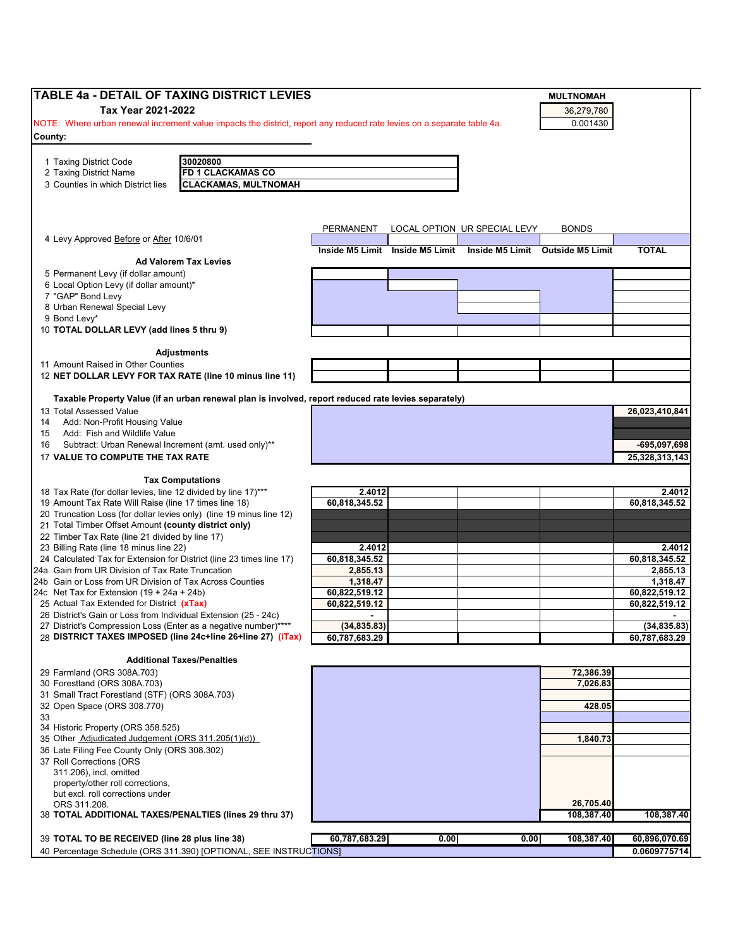| <b>TABLE 4a - DETAIL OF TAXING DISTRICT LEVIES</b>                                                                             |                |                                 |                              | <b>MULTNOMAH</b>                 |                |
|--------------------------------------------------------------------------------------------------------------------------------|----------------|---------------------------------|------------------------------|----------------------------------|----------------|
| Tax Year 2021-2022                                                                                                             |                |                                 |                              | 36,279,780                       |                |
| NOTE: Where urban renewal increment value impacts the district, report any reduced rate levies on a separate table 4a.         |                |                                 |                              | 0.001430                         |                |
| County:                                                                                                                        |                |                                 |                              |                                  |                |
|                                                                                                                                |                |                                 |                              |                                  |                |
| 30020800<br>1 Taxing District Code                                                                                             |                |                                 |                              |                                  |                |
| <b>FD 1 CLACKAMAS CO</b><br>2 Taxing District Name                                                                             |                |                                 |                              |                                  |                |
| <b>CLACKAMAS, MULTNOMAH</b><br>3 Counties in which District lies                                                               |                |                                 |                              |                                  |                |
|                                                                                                                                |                |                                 |                              |                                  |                |
|                                                                                                                                |                |                                 |                              |                                  |                |
|                                                                                                                                |                |                                 |                              |                                  |                |
|                                                                                                                                | PERMANENT      |                                 | LOCAL OPTION UR SPECIAL LEVY | <b>BONDS</b>                     |                |
| 4 Levy Approved Before or After 10/6/01                                                                                        |                | Inside M5 Limit Inside M5 Limit |                              | Inside M5 Limit Outside M5 Limit | <b>TOTAL</b>   |
| <b>Ad Valorem Tax Levies</b>                                                                                                   |                |                                 |                              |                                  |                |
| 5 Permanent Levy (if dollar amount)                                                                                            |                |                                 |                              |                                  |                |
| 6 Local Option Levy (if dollar amount)*                                                                                        |                |                                 |                              |                                  |                |
| 7 "GAP" Bond Levy                                                                                                              |                |                                 |                              |                                  |                |
| 8 Urban Renewal Special Levy                                                                                                   |                |                                 |                              |                                  |                |
| 9 Bond Levy*                                                                                                                   |                |                                 |                              |                                  |                |
| 10 TOTAL DOLLAR LEVY (add lines 5 thru 9)                                                                                      |                |                                 |                              |                                  |                |
|                                                                                                                                |                |                                 |                              |                                  |                |
| <b>Adjustments</b>                                                                                                             |                |                                 |                              |                                  |                |
| 11 Amount Raised in Other Counties                                                                                             |                |                                 |                              |                                  |                |
| 12 NET DOLLAR LEVY FOR TAX RATE (line 10 minus line 11)                                                                        |                |                                 |                              |                                  |                |
|                                                                                                                                |                |                                 |                              |                                  |                |
| Taxable Property Value (if an urban renewal plan is involved, report reduced rate levies separately)                           |                |                                 |                              |                                  |                |
| 13 Total Assessed Value                                                                                                        |                |                                 |                              |                                  | 26,023,410,841 |
| Add: Non-Profit Housing Value<br>14                                                                                            |                |                                 |                              |                                  |                |
| Add: Fish and Wildlife Value<br>15                                                                                             |                |                                 |                              |                                  | -695,097,698   |
| Subtract: Urban Renewal Increment (amt. used only)**<br>16<br>17 VALUE TO COMPUTE THE TAX RATE                                 |                |                                 |                              |                                  |                |
|                                                                                                                                |                |                                 |                              |                                  | 25,328,313,143 |
| <b>Tax Computations</b>                                                                                                        |                |                                 |                              |                                  |                |
| 18 Tax Rate (for dollar levies, line 12 divided by line 17)***                                                                 | 2.4012         |                                 |                              |                                  | 2.4012         |
| 19 Amount Tax Rate Will Raise (line 17 times line 18)                                                                          | 60,818,345.52  |                                 |                              |                                  | 60,818,345.52  |
| 20 Truncation Loss (for dollar levies only) (line 19 minus line 12)                                                            |                |                                 |                              |                                  |                |
| 21 Total Timber Offset Amount (county district only)                                                                           |                |                                 |                              |                                  |                |
| 22 Timber Tax Rate (line 21 divided by line 17)                                                                                |                |                                 |                              |                                  |                |
| 23 Billing Rate (line 18 minus line 22)                                                                                        | 2.4012         |                                 |                              |                                  | 2.4012         |
| 24 Calculated Tax for Extension for District (line 23 times line 17)                                                           | 60,818,345.52  |                                 |                              |                                  | 60,818,345.52  |
| 24a Gain from UR Division of Tax Rate Truncation                                                                               | 2.855.13       |                                 |                              |                                  | 2,855.13       |
| 24b Gain or Loss from UR Division of Tax Across Counties                                                                       | 1,318.47       |                                 |                              |                                  | 1,318.47       |
| 24c Net Tax for Extension $(19 + 24a + 24b)$                                                                                   | 60,822,519.12  |                                 |                              |                                  | 60,822,519.12  |
| 25 Actual Tax Extended for District (xTax)                                                                                     | 60,822,519.12  |                                 |                              |                                  | 60,822,519.12  |
| 26 District's Gain or Loss from Individual Extension (25 - 24c)                                                                | $\blacksquare$ |                                 |                              |                                  | $\blacksquare$ |
| 27 District's Compression Loss (Enter as a negative number)****<br>28 DISTRICT TAXES IMPOSED (line 24c+line 26+line 27) (iTax) | (34, 835.83)   |                                 |                              |                                  | (34, 835.83)   |
|                                                                                                                                | 60,787,683.29  |                                 |                              |                                  | 60,787,683.29  |
| <b>Additional Taxes/Penalties</b>                                                                                              |                |                                 |                              |                                  |                |
| 29 Farmland (ORS 308A.703)                                                                                                     |                |                                 |                              | 72,386.39                        |                |
| 30 Forestland (ORS 308A.703)                                                                                                   |                |                                 |                              | 7,026.83                         |                |
| 31 Small Tract Forestland (STF) (ORS 308A.703)                                                                                 |                |                                 |                              |                                  |                |
| 32 Open Space (ORS 308.770)                                                                                                    |                |                                 |                              | 428.05                           |                |
| 33                                                                                                                             |                |                                 |                              |                                  |                |
| 34 Historic Property (ORS 358.525)                                                                                             |                |                                 |                              |                                  |                |
| 35 Other Adjudicated Judgement (ORS 311.205(1)(d))                                                                             |                |                                 |                              | 1,840.73                         |                |
| 36 Late Filing Fee County Only (ORS 308.302)                                                                                   |                |                                 |                              |                                  |                |
| 37 Roll Corrections (ORS                                                                                                       |                |                                 |                              |                                  |                |
| 311.206), incl. omitted                                                                                                        |                |                                 |                              |                                  |                |
| property/other roll corrections,                                                                                               |                |                                 |                              |                                  |                |
| but excl. roll corrections under                                                                                               |                |                                 |                              |                                  |                |
| ORS 311.208.                                                                                                                   |                |                                 |                              | 26,705.40                        |                |
| 38 TOTAL ADDITIONAL TAXES/PENALTIES (lines 29 thru 37)                                                                         |                |                                 |                              | 108,387.40                       | 108,387.40     |
|                                                                                                                                |                |                                 |                              |                                  |                |
| 39 TOTAL TO BE RECEIVED (line 28 plus line 38)                                                                                 | 60,787,683.29  | 0.00                            | 0.00                         | 108,387.40                       | 60,896,070.69  |
| 40 Percentage Schedule (ORS 311.390) [OPTIONAL, SEE INSTRUCTIONS]                                                              |                |                                 |                              |                                  | 0.0609775714   |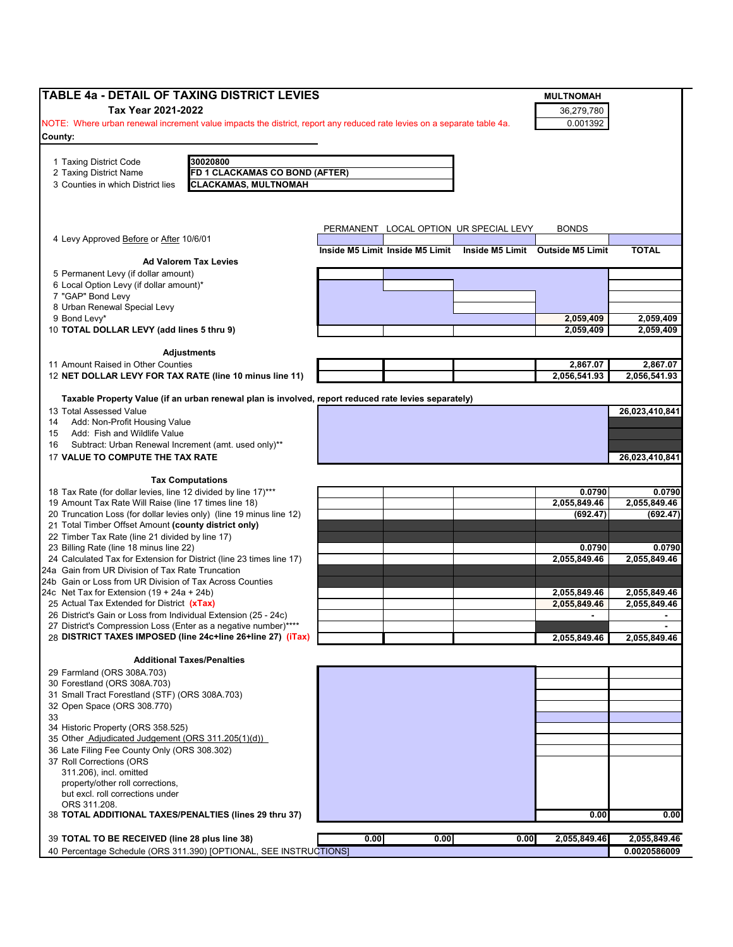| Tax Year 2021-2022<br>36,279,780<br>0.001392<br>NOTE: Where urban renewal increment value impacts the district, report any reduced rate levies on a separate table 4a.<br>30020800<br>2 Taxing District Name<br>FD 1 CLACKAMAS CO BOND (AFTER)<br><b>CLACKAMAS, MULTNOMAH</b><br>3 Counties in which District lies<br>PERMANENT LOCAL OPTION UR SPECIAL LEVY<br><b>BONDS</b><br>4 Levy Approved Before or After 10/6/01<br><b>TOTAL</b><br>Inside M5 Limit Inside M5 Limit<br>Inside M5 Limit Outside M5 Limit<br><b>Ad Valorem Tax Levies</b><br>5 Permanent Levy (if dollar amount)<br>6 Local Option Levy (if dollar amount)*<br>2,059,409<br>2,059,409<br>2,059,409<br>2,059,409<br><b>Adjustments</b><br>11 Amount Raised in Other Counties<br>2,867.07<br>2.867.07<br>12 NET DOLLAR LEVY FOR TAX RATE (line 10 minus line 11)<br>2,056,541.93<br>2,056,541.93<br>Taxable Property Value (if an urban renewal plan is involved, report reduced rate levies separately)<br>26,023,410,841<br>Add: Non-Profit Housing Value<br>Add: Fish and Wildlife Value<br>Subtract: Urban Renewal Increment (amt. used only)**<br>26,023,410,841<br><b>Tax Computations</b><br>18 Tax Rate (for dollar levies, line 12 divided by line 17)***<br>0.0790<br>0.0790<br>19 Amount Tax Rate Will Raise (line 17 times line 18)<br>2,055,849.46<br>2,055,849.46<br>20 Truncation Loss (for dollar levies only) (line 19 minus line 12)<br>(692.47)<br>(692.47)<br>21 Total Timber Offset Amount (county district only)<br>22 Timber Tax Rate (line 21 divided by line 17)<br>0.0790<br>0.0790<br>2,055,849.46<br>2,055,849.46<br>2,055,849.46<br>2,055,849.46<br>25 Actual Tax Extended for District (xTax)<br>2,055,849.46<br>2,055,849.46<br>26 District's Gain or Loss from Individual Extension (25 - 24c)<br>$\blacksquare$<br>$\blacksquare$<br>27 District's Compression Loss (Enter as a negative number)*<br>28 DISTRICT TAXES IMPOSED (line 24c+line 26+line 27) (iTax)<br>2,055,849.46<br>2,055,849.46<br><b>Additional Taxes/Penalties</b><br>31 Small Tract Forestland (STF) (ORS 308A.703)<br>32 Open Space (ORS 308.770)<br>34 Historic Property (ORS 358.525)<br>35 Other Adjudicated Judgement (ORS 311.205(1)(d))<br>36 Late Filing Fee County Only (ORS 308.302)<br>37 Roll Corrections (ORS<br>0.00<br>38 TOTAL ADDITIONAL TAXES/PENALTIES (lines 29 thru 37)<br>0.00<br>39 TOTAL TO BE RECEIVED (line 28 plus line 38)<br>0.00<br>2,055,849.46<br>0.00<br>0.00<br>2,055,849.46<br>40 Percentage Schedule (ORS 311.390) [OPTIONAL, SEE INSTRUCTIONS]<br>0.0020586009 | TABLE 4a - DETAIL OF TAXING DISTRICT LEVIES                          |  | <b>MULTNOMAH</b> |  |
|-----------------------------------------------------------------------------------------------------------------------------------------------------------------------------------------------------------------------------------------------------------------------------------------------------------------------------------------------------------------------------------------------------------------------------------------------------------------------------------------------------------------------------------------------------------------------------------------------------------------------------------------------------------------------------------------------------------------------------------------------------------------------------------------------------------------------------------------------------------------------------------------------------------------------------------------------------------------------------------------------------------------------------------------------------------------------------------------------------------------------------------------------------------------------------------------------------------------------------------------------------------------------------------------------------------------------------------------------------------------------------------------------------------------------------------------------------------------------------------------------------------------------------------------------------------------------------------------------------------------------------------------------------------------------------------------------------------------------------------------------------------------------------------------------------------------------------------------------------------------------------------------------------------------------------------------------------------------------------------------------------------------------------------------------------------------------------------------------------------------------------------------------------------------------------------------------------------------------------------------------------------------------------------------------------------------------------------------------------------------------------------------------------------------------------------------------------------------------------------------------------------------------------------------------------------------------------|----------------------------------------------------------------------|--|------------------|--|
|                                                                                                                                                                                                                                                                                                                                                                                                                                                                                                                                                                                                                                                                                                                                                                                                                                                                                                                                                                                                                                                                                                                                                                                                                                                                                                                                                                                                                                                                                                                                                                                                                                                                                                                                                                                                                                                                                                                                                                                                                                                                                                                                                                                                                                                                                                                                                                                                                                                                                                                                                                             |                                                                      |  |                  |  |
|                                                                                                                                                                                                                                                                                                                                                                                                                                                                                                                                                                                                                                                                                                                                                                                                                                                                                                                                                                                                                                                                                                                                                                                                                                                                                                                                                                                                                                                                                                                                                                                                                                                                                                                                                                                                                                                                                                                                                                                                                                                                                                                                                                                                                                                                                                                                                                                                                                                                                                                                                                             |                                                                      |  |                  |  |
|                                                                                                                                                                                                                                                                                                                                                                                                                                                                                                                                                                                                                                                                                                                                                                                                                                                                                                                                                                                                                                                                                                                                                                                                                                                                                                                                                                                                                                                                                                                                                                                                                                                                                                                                                                                                                                                                                                                                                                                                                                                                                                                                                                                                                                                                                                                                                                                                                                                                                                                                                                             | County:                                                              |  |                  |  |
|                                                                                                                                                                                                                                                                                                                                                                                                                                                                                                                                                                                                                                                                                                                                                                                                                                                                                                                                                                                                                                                                                                                                                                                                                                                                                                                                                                                                                                                                                                                                                                                                                                                                                                                                                                                                                                                                                                                                                                                                                                                                                                                                                                                                                                                                                                                                                                                                                                                                                                                                                                             |                                                                      |  |                  |  |
|                                                                                                                                                                                                                                                                                                                                                                                                                                                                                                                                                                                                                                                                                                                                                                                                                                                                                                                                                                                                                                                                                                                                                                                                                                                                                                                                                                                                                                                                                                                                                                                                                                                                                                                                                                                                                                                                                                                                                                                                                                                                                                                                                                                                                                                                                                                                                                                                                                                                                                                                                                             | 1 Taxing District Code                                               |  |                  |  |
|                                                                                                                                                                                                                                                                                                                                                                                                                                                                                                                                                                                                                                                                                                                                                                                                                                                                                                                                                                                                                                                                                                                                                                                                                                                                                                                                                                                                                                                                                                                                                                                                                                                                                                                                                                                                                                                                                                                                                                                                                                                                                                                                                                                                                                                                                                                                                                                                                                                                                                                                                                             |                                                                      |  |                  |  |
|                                                                                                                                                                                                                                                                                                                                                                                                                                                                                                                                                                                                                                                                                                                                                                                                                                                                                                                                                                                                                                                                                                                                                                                                                                                                                                                                                                                                                                                                                                                                                                                                                                                                                                                                                                                                                                                                                                                                                                                                                                                                                                                                                                                                                                                                                                                                                                                                                                                                                                                                                                             |                                                                      |  |                  |  |
|                                                                                                                                                                                                                                                                                                                                                                                                                                                                                                                                                                                                                                                                                                                                                                                                                                                                                                                                                                                                                                                                                                                                                                                                                                                                                                                                                                                                                                                                                                                                                                                                                                                                                                                                                                                                                                                                                                                                                                                                                                                                                                                                                                                                                                                                                                                                                                                                                                                                                                                                                                             |                                                                      |  |                  |  |
|                                                                                                                                                                                                                                                                                                                                                                                                                                                                                                                                                                                                                                                                                                                                                                                                                                                                                                                                                                                                                                                                                                                                                                                                                                                                                                                                                                                                                                                                                                                                                                                                                                                                                                                                                                                                                                                                                                                                                                                                                                                                                                                                                                                                                                                                                                                                                                                                                                                                                                                                                                             |                                                                      |  |                  |  |
|                                                                                                                                                                                                                                                                                                                                                                                                                                                                                                                                                                                                                                                                                                                                                                                                                                                                                                                                                                                                                                                                                                                                                                                                                                                                                                                                                                                                                                                                                                                                                                                                                                                                                                                                                                                                                                                                                                                                                                                                                                                                                                                                                                                                                                                                                                                                                                                                                                                                                                                                                                             |                                                                      |  |                  |  |
|                                                                                                                                                                                                                                                                                                                                                                                                                                                                                                                                                                                                                                                                                                                                                                                                                                                                                                                                                                                                                                                                                                                                                                                                                                                                                                                                                                                                                                                                                                                                                                                                                                                                                                                                                                                                                                                                                                                                                                                                                                                                                                                                                                                                                                                                                                                                                                                                                                                                                                                                                                             |                                                                      |  |                  |  |
|                                                                                                                                                                                                                                                                                                                                                                                                                                                                                                                                                                                                                                                                                                                                                                                                                                                                                                                                                                                                                                                                                                                                                                                                                                                                                                                                                                                                                                                                                                                                                                                                                                                                                                                                                                                                                                                                                                                                                                                                                                                                                                                                                                                                                                                                                                                                                                                                                                                                                                                                                                             |                                                                      |  |                  |  |
|                                                                                                                                                                                                                                                                                                                                                                                                                                                                                                                                                                                                                                                                                                                                                                                                                                                                                                                                                                                                                                                                                                                                                                                                                                                                                                                                                                                                                                                                                                                                                                                                                                                                                                                                                                                                                                                                                                                                                                                                                                                                                                                                                                                                                                                                                                                                                                                                                                                                                                                                                                             |                                                                      |  |                  |  |
|                                                                                                                                                                                                                                                                                                                                                                                                                                                                                                                                                                                                                                                                                                                                                                                                                                                                                                                                                                                                                                                                                                                                                                                                                                                                                                                                                                                                                                                                                                                                                                                                                                                                                                                                                                                                                                                                                                                                                                                                                                                                                                                                                                                                                                                                                                                                                                                                                                                                                                                                                                             |                                                                      |  |                  |  |
|                                                                                                                                                                                                                                                                                                                                                                                                                                                                                                                                                                                                                                                                                                                                                                                                                                                                                                                                                                                                                                                                                                                                                                                                                                                                                                                                                                                                                                                                                                                                                                                                                                                                                                                                                                                                                                                                                                                                                                                                                                                                                                                                                                                                                                                                                                                                                                                                                                                                                                                                                                             | 7 "GAP" Bond Levy                                                    |  |                  |  |
|                                                                                                                                                                                                                                                                                                                                                                                                                                                                                                                                                                                                                                                                                                                                                                                                                                                                                                                                                                                                                                                                                                                                                                                                                                                                                                                                                                                                                                                                                                                                                                                                                                                                                                                                                                                                                                                                                                                                                                                                                                                                                                                                                                                                                                                                                                                                                                                                                                                                                                                                                                             | 8 Urban Renewal Special Levy                                         |  |                  |  |
|                                                                                                                                                                                                                                                                                                                                                                                                                                                                                                                                                                                                                                                                                                                                                                                                                                                                                                                                                                                                                                                                                                                                                                                                                                                                                                                                                                                                                                                                                                                                                                                                                                                                                                                                                                                                                                                                                                                                                                                                                                                                                                                                                                                                                                                                                                                                                                                                                                                                                                                                                                             | 9 Bond Levy*                                                         |  |                  |  |
|                                                                                                                                                                                                                                                                                                                                                                                                                                                                                                                                                                                                                                                                                                                                                                                                                                                                                                                                                                                                                                                                                                                                                                                                                                                                                                                                                                                                                                                                                                                                                                                                                                                                                                                                                                                                                                                                                                                                                                                                                                                                                                                                                                                                                                                                                                                                                                                                                                                                                                                                                                             | 10 TOTAL DOLLAR LEVY (add lines 5 thru 9)                            |  |                  |  |
|                                                                                                                                                                                                                                                                                                                                                                                                                                                                                                                                                                                                                                                                                                                                                                                                                                                                                                                                                                                                                                                                                                                                                                                                                                                                                                                                                                                                                                                                                                                                                                                                                                                                                                                                                                                                                                                                                                                                                                                                                                                                                                                                                                                                                                                                                                                                                                                                                                                                                                                                                                             |                                                                      |  |                  |  |
|                                                                                                                                                                                                                                                                                                                                                                                                                                                                                                                                                                                                                                                                                                                                                                                                                                                                                                                                                                                                                                                                                                                                                                                                                                                                                                                                                                                                                                                                                                                                                                                                                                                                                                                                                                                                                                                                                                                                                                                                                                                                                                                                                                                                                                                                                                                                                                                                                                                                                                                                                                             |                                                                      |  |                  |  |
|                                                                                                                                                                                                                                                                                                                                                                                                                                                                                                                                                                                                                                                                                                                                                                                                                                                                                                                                                                                                                                                                                                                                                                                                                                                                                                                                                                                                                                                                                                                                                                                                                                                                                                                                                                                                                                                                                                                                                                                                                                                                                                                                                                                                                                                                                                                                                                                                                                                                                                                                                                             |                                                                      |  |                  |  |
|                                                                                                                                                                                                                                                                                                                                                                                                                                                                                                                                                                                                                                                                                                                                                                                                                                                                                                                                                                                                                                                                                                                                                                                                                                                                                                                                                                                                                                                                                                                                                                                                                                                                                                                                                                                                                                                                                                                                                                                                                                                                                                                                                                                                                                                                                                                                                                                                                                                                                                                                                                             |                                                                      |  |                  |  |
|                                                                                                                                                                                                                                                                                                                                                                                                                                                                                                                                                                                                                                                                                                                                                                                                                                                                                                                                                                                                                                                                                                                                                                                                                                                                                                                                                                                                                                                                                                                                                                                                                                                                                                                                                                                                                                                                                                                                                                                                                                                                                                                                                                                                                                                                                                                                                                                                                                                                                                                                                                             |                                                                      |  |                  |  |
|                                                                                                                                                                                                                                                                                                                                                                                                                                                                                                                                                                                                                                                                                                                                                                                                                                                                                                                                                                                                                                                                                                                                                                                                                                                                                                                                                                                                                                                                                                                                                                                                                                                                                                                                                                                                                                                                                                                                                                                                                                                                                                                                                                                                                                                                                                                                                                                                                                                                                                                                                                             | 13 Total Assessed Value                                              |  |                  |  |
|                                                                                                                                                                                                                                                                                                                                                                                                                                                                                                                                                                                                                                                                                                                                                                                                                                                                                                                                                                                                                                                                                                                                                                                                                                                                                                                                                                                                                                                                                                                                                                                                                                                                                                                                                                                                                                                                                                                                                                                                                                                                                                                                                                                                                                                                                                                                                                                                                                                                                                                                                                             | 14                                                                   |  |                  |  |
|                                                                                                                                                                                                                                                                                                                                                                                                                                                                                                                                                                                                                                                                                                                                                                                                                                                                                                                                                                                                                                                                                                                                                                                                                                                                                                                                                                                                                                                                                                                                                                                                                                                                                                                                                                                                                                                                                                                                                                                                                                                                                                                                                                                                                                                                                                                                                                                                                                                                                                                                                                             | 15                                                                   |  |                  |  |
|                                                                                                                                                                                                                                                                                                                                                                                                                                                                                                                                                                                                                                                                                                                                                                                                                                                                                                                                                                                                                                                                                                                                                                                                                                                                                                                                                                                                                                                                                                                                                                                                                                                                                                                                                                                                                                                                                                                                                                                                                                                                                                                                                                                                                                                                                                                                                                                                                                                                                                                                                                             | 16                                                                   |  |                  |  |
|                                                                                                                                                                                                                                                                                                                                                                                                                                                                                                                                                                                                                                                                                                                                                                                                                                                                                                                                                                                                                                                                                                                                                                                                                                                                                                                                                                                                                                                                                                                                                                                                                                                                                                                                                                                                                                                                                                                                                                                                                                                                                                                                                                                                                                                                                                                                                                                                                                                                                                                                                                             | 17 VALUE TO COMPUTE THE TAX RATE                                     |  |                  |  |
|                                                                                                                                                                                                                                                                                                                                                                                                                                                                                                                                                                                                                                                                                                                                                                                                                                                                                                                                                                                                                                                                                                                                                                                                                                                                                                                                                                                                                                                                                                                                                                                                                                                                                                                                                                                                                                                                                                                                                                                                                                                                                                                                                                                                                                                                                                                                                                                                                                                                                                                                                                             |                                                                      |  |                  |  |
|                                                                                                                                                                                                                                                                                                                                                                                                                                                                                                                                                                                                                                                                                                                                                                                                                                                                                                                                                                                                                                                                                                                                                                                                                                                                                                                                                                                                                                                                                                                                                                                                                                                                                                                                                                                                                                                                                                                                                                                                                                                                                                                                                                                                                                                                                                                                                                                                                                                                                                                                                                             |                                                                      |  |                  |  |
|                                                                                                                                                                                                                                                                                                                                                                                                                                                                                                                                                                                                                                                                                                                                                                                                                                                                                                                                                                                                                                                                                                                                                                                                                                                                                                                                                                                                                                                                                                                                                                                                                                                                                                                                                                                                                                                                                                                                                                                                                                                                                                                                                                                                                                                                                                                                                                                                                                                                                                                                                                             |                                                                      |  |                  |  |
|                                                                                                                                                                                                                                                                                                                                                                                                                                                                                                                                                                                                                                                                                                                                                                                                                                                                                                                                                                                                                                                                                                                                                                                                                                                                                                                                                                                                                                                                                                                                                                                                                                                                                                                                                                                                                                                                                                                                                                                                                                                                                                                                                                                                                                                                                                                                                                                                                                                                                                                                                                             |                                                                      |  |                  |  |
|                                                                                                                                                                                                                                                                                                                                                                                                                                                                                                                                                                                                                                                                                                                                                                                                                                                                                                                                                                                                                                                                                                                                                                                                                                                                                                                                                                                                                                                                                                                                                                                                                                                                                                                                                                                                                                                                                                                                                                                                                                                                                                                                                                                                                                                                                                                                                                                                                                                                                                                                                                             |                                                                      |  |                  |  |
|                                                                                                                                                                                                                                                                                                                                                                                                                                                                                                                                                                                                                                                                                                                                                                                                                                                                                                                                                                                                                                                                                                                                                                                                                                                                                                                                                                                                                                                                                                                                                                                                                                                                                                                                                                                                                                                                                                                                                                                                                                                                                                                                                                                                                                                                                                                                                                                                                                                                                                                                                                             |                                                                      |  |                  |  |
|                                                                                                                                                                                                                                                                                                                                                                                                                                                                                                                                                                                                                                                                                                                                                                                                                                                                                                                                                                                                                                                                                                                                                                                                                                                                                                                                                                                                                                                                                                                                                                                                                                                                                                                                                                                                                                                                                                                                                                                                                                                                                                                                                                                                                                                                                                                                                                                                                                                                                                                                                                             | 23 Billing Rate (line 18 minus line 22)                              |  |                  |  |
|                                                                                                                                                                                                                                                                                                                                                                                                                                                                                                                                                                                                                                                                                                                                                                                                                                                                                                                                                                                                                                                                                                                                                                                                                                                                                                                                                                                                                                                                                                                                                                                                                                                                                                                                                                                                                                                                                                                                                                                                                                                                                                                                                                                                                                                                                                                                                                                                                                                                                                                                                                             | 24 Calculated Tax for Extension for District (line 23 times line 17) |  |                  |  |
|                                                                                                                                                                                                                                                                                                                                                                                                                                                                                                                                                                                                                                                                                                                                                                                                                                                                                                                                                                                                                                                                                                                                                                                                                                                                                                                                                                                                                                                                                                                                                                                                                                                                                                                                                                                                                                                                                                                                                                                                                                                                                                                                                                                                                                                                                                                                                                                                                                                                                                                                                                             | 24a Gain from UR Division of Tax Rate Truncation                     |  |                  |  |
|                                                                                                                                                                                                                                                                                                                                                                                                                                                                                                                                                                                                                                                                                                                                                                                                                                                                                                                                                                                                                                                                                                                                                                                                                                                                                                                                                                                                                                                                                                                                                                                                                                                                                                                                                                                                                                                                                                                                                                                                                                                                                                                                                                                                                                                                                                                                                                                                                                                                                                                                                                             | 24b Gain or Loss from UR Division of Tax Across Counties             |  |                  |  |
|                                                                                                                                                                                                                                                                                                                                                                                                                                                                                                                                                                                                                                                                                                                                                                                                                                                                                                                                                                                                                                                                                                                                                                                                                                                                                                                                                                                                                                                                                                                                                                                                                                                                                                                                                                                                                                                                                                                                                                                                                                                                                                                                                                                                                                                                                                                                                                                                                                                                                                                                                                             | 24c Net Tax for Extension $(19 + 24a + 24b)$                         |  |                  |  |
|                                                                                                                                                                                                                                                                                                                                                                                                                                                                                                                                                                                                                                                                                                                                                                                                                                                                                                                                                                                                                                                                                                                                                                                                                                                                                                                                                                                                                                                                                                                                                                                                                                                                                                                                                                                                                                                                                                                                                                                                                                                                                                                                                                                                                                                                                                                                                                                                                                                                                                                                                                             |                                                                      |  |                  |  |
|                                                                                                                                                                                                                                                                                                                                                                                                                                                                                                                                                                                                                                                                                                                                                                                                                                                                                                                                                                                                                                                                                                                                                                                                                                                                                                                                                                                                                                                                                                                                                                                                                                                                                                                                                                                                                                                                                                                                                                                                                                                                                                                                                                                                                                                                                                                                                                                                                                                                                                                                                                             |                                                                      |  |                  |  |
|                                                                                                                                                                                                                                                                                                                                                                                                                                                                                                                                                                                                                                                                                                                                                                                                                                                                                                                                                                                                                                                                                                                                                                                                                                                                                                                                                                                                                                                                                                                                                                                                                                                                                                                                                                                                                                                                                                                                                                                                                                                                                                                                                                                                                                                                                                                                                                                                                                                                                                                                                                             |                                                                      |  |                  |  |
|                                                                                                                                                                                                                                                                                                                                                                                                                                                                                                                                                                                                                                                                                                                                                                                                                                                                                                                                                                                                                                                                                                                                                                                                                                                                                                                                                                                                                                                                                                                                                                                                                                                                                                                                                                                                                                                                                                                                                                                                                                                                                                                                                                                                                                                                                                                                                                                                                                                                                                                                                                             |                                                                      |  |                  |  |
|                                                                                                                                                                                                                                                                                                                                                                                                                                                                                                                                                                                                                                                                                                                                                                                                                                                                                                                                                                                                                                                                                                                                                                                                                                                                                                                                                                                                                                                                                                                                                                                                                                                                                                                                                                                                                                                                                                                                                                                                                                                                                                                                                                                                                                                                                                                                                                                                                                                                                                                                                                             |                                                                      |  |                  |  |
|                                                                                                                                                                                                                                                                                                                                                                                                                                                                                                                                                                                                                                                                                                                                                                                                                                                                                                                                                                                                                                                                                                                                                                                                                                                                                                                                                                                                                                                                                                                                                                                                                                                                                                                                                                                                                                                                                                                                                                                                                                                                                                                                                                                                                                                                                                                                                                                                                                                                                                                                                                             | 29 Farmland (ORS 308A.703)                                           |  |                  |  |
|                                                                                                                                                                                                                                                                                                                                                                                                                                                                                                                                                                                                                                                                                                                                                                                                                                                                                                                                                                                                                                                                                                                                                                                                                                                                                                                                                                                                                                                                                                                                                                                                                                                                                                                                                                                                                                                                                                                                                                                                                                                                                                                                                                                                                                                                                                                                                                                                                                                                                                                                                                             | 30 Forestland (ORS 308A.703)                                         |  |                  |  |
|                                                                                                                                                                                                                                                                                                                                                                                                                                                                                                                                                                                                                                                                                                                                                                                                                                                                                                                                                                                                                                                                                                                                                                                                                                                                                                                                                                                                                                                                                                                                                                                                                                                                                                                                                                                                                                                                                                                                                                                                                                                                                                                                                                                                                                                                                                                                                                                                                                                                                                                                                                             |                                                                      |  |                  |  |
|                                                                                                                                                                                                                                                                                                                                                                                                                                                                                                                                                                                                                                                                                                                                                                                                                                                                                                                                                                                                                                                                                                                                                                                                                                                                                                                                                                                                                                                                                                                                                                                                                                                                                                                                                                                                                                                                                                                                                                                                                                                                                                                                                                                                                                                                                                                                                                                                                                                                                                                                                                             |                                                                      |  |                  |  |
|                                                                                                                                                                                                                                                                                                                                                                                                                                                                                                                                                                                                                                                                                                                                                                                                                                                                                                                                                                                                                                                                                                                                                                                                                                                                                                                                                                                                                                                                                                                                                                                                                                                                                                                                                                                                                                                                                                                                                                                                                                                                                                                                                                                                                                                                                                                                                                                                                                                                                                                                                                             | 33                                                                   |  |                  |  |
|                                                                                                                                                                                                                                                                                                                                                                                                                                                                                                                                                                                                                                                                                                                                                                                                                                                                                                                                                                                                                                                                                                                                                                                                                                                                                                                                                                                                                                                                                                                                                                                                                                                                                                                                                                                                                                                                                                                                                                                                                                                                                                                                                                                                                                                                                                                                                                                                                                                                                                                                                                             |                                                                      |  |                  |  |
|                                                                                                                                                                                                                                                                                                                                                                                                                                                                                                                                                                                                                                                                                                                                                                                                                                                                                                                                                                                                                                                                                                                                                                                                                                                                                                                                                                                                                                                                                                                                                                                                                                                                                                                                                                                                                                                                                                                                                                                                                                                                                                                                                                                                                                                                                                                                                                                                                                                                                                                                                                             |                                                                      |  |                  |  |
|                                                                                                                                                                                                                                                                                                                                                                                                                                                                                                                                                                                                                                                                                                                                                                                                                                                                                                                                                                                                                                                                                                                                                                                                                                                                                                                                                                                                                                                                                                                                                                                                                                                                                                                                                                                                                                                                                                                                                                                                                                                                                                                                                                                                                                                                                                                                                                                                                                                                                                                                                                             |                                                                      |  |                  |  |
|                                                                                                                                                                                                                                                                                                                                                                                                                                                                                                                                                                                                                                                                                                                                                                                                                                                                                                                                                                                                                                                                                                                                                                                                                                                                                                                                                                                                                                                                                                                                                                                                                                                                                                                                                                                                                                                                                                                                                                                                                                                                                                                                                                                                                                                                                                                                                                                                                                                                                                                                                                             | 311.206), incl. omitted                                              |  |                  |  |
|                                                                                                                                                                                                                                                                                                                                                                                                                                                                                                                                                                                                                                                                                                                                                                                                                                                                                                                                                                                                                                                                                                                                                                                                                                                                                                                                                                                                                                                                                                                                                                                                                                                                                                                                                                                                                                                                                                                                                                                                                                                                                                                                                                                                                                                                                                                                                                                                                                                                                                                                                                             | property/other roll corrections,                                     |  |                  |  |
|                                                                                                                                                                                                                                                                                                                                                                                                                                                                                                                                                                                                                                                                                                                                                                                                                                                                                                                                                                                                                                                                                                                                                                                                                                                                                                                                                                                                                                                                                                                                                                                                                                                                                                                                                                                                                                                                                                                                                                                                                                                                                                                                                                                                                                                                                                                                                                                                                                                                                                                                                                             | but excl. roll corrections under                                     |  |                  |  |
|                                                                                                                                                                                                                                                                                                                                                                                                                                                                                                                                                                                                                                                                                                                                                                                                                                                                                                                                                                                                                                                                                                                                                                                                                                                                                                                                                                                                                                                                                                                                                                                                                                                                                                                                                                                                                                                                                                                                                                                                                                                                                                                                                                                                                                                                                                                                                                                                                                                                                                                                                                             | ORS 311.208.                                                         |  |                  |  |
|                                                                                                                                                                                                                                                                                                                                                                                                                                                                                                                                                                                                                                                                                                                                                                                                                                                                                                                                                                                                                                                                                                                                                                                                                                                                                                                                                                                                                                                                                                                                                                                                                                                                                                                                                                                                                                                                                                                                                                                                                                                                                                                                                                                                                                                                                                                                                                                                                                                                                                                                                                             |                                                                      |  |                  |  |
|                                                                                                                                                                                                                                                                                                                                                                                                                                                                                                                                                                                                                                                                                                                                                                                                                                                                                                                                                                                                                                                                                                                                                                                                                                                                                                                                                                                                                                                                                                                                                                                                                                                                                                                                                                                                                                                                                                                                                                                                                                                                                                                                                                                                                                                                                                                                                                                                                                                                                                                                                                             |                                                                      |  |                  |  |
|                                                                                                                                                                                                                                                                                                                                                                                                                                                                                                                                                                                                                                                                                                                                                                                                                                                                                                                                                                                                                                                                                                                                                                                                                                                                                                                                                                                                                                                                                                                                                                                                                                                                                                                                                                                                                                                                                                                                                                                                                                                                                                                                                                                                                                                                                                                                                                                                                                                                                                                                                                             |                                                                      |  |                  |  |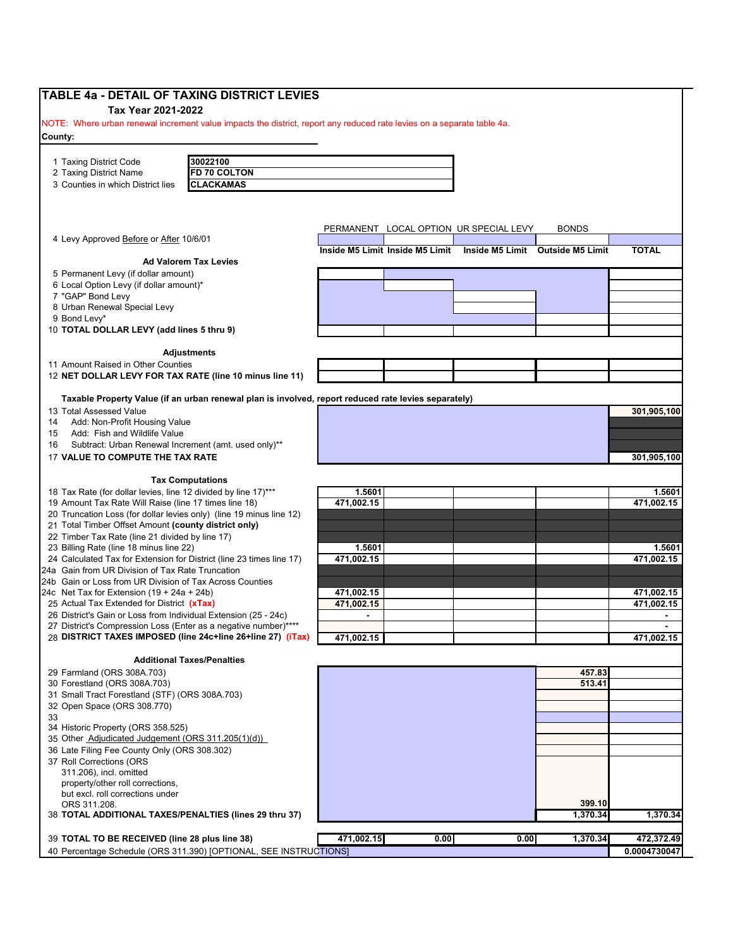| <b>TABLE 4a - DETAIL OF TAXING DISTRICT LEVIES</b>                                                                     |                |                                 |                                        |                                  |                            |
|------------------------------------------------------------------------------------------------------------------------|----------------|---------------------------------|----------------------------------------|----------------------------------|----------------------------|
| Tax Year 2021-2022                                                                                                     |                |                                 |                                        |                                  |                            |
| NOTE: Where urban renewal increment value impacts the district, report any reduced rate levies on a separate table 4a. |                |                                 |                                        |                                  |                            |
| County:                                                                                                                |                |                                 |                                        |                                  |                            |
|                                                                                                                        |                |                                 |                                        |                                  |                            |
| 30022100<br>1 Taxing District Code                                                                                     |                |                                 |                                        |                                  |                            |
| FD 70 COLTON<br>2 Taxing District Name                                                                                 |                |                                 |                                        |                                  |                            |
| 3 Counties in which District lies<br><b>CLACKAMAS</b>                                                                  |                |                                 |                                        |                                  |                            |
|                                                                                                                        |                |                                 |                                        |                                  |                            |
|                                                                                                                        |                |                                 |                                        |                                  |                            |
|                                                                                                                        |                |                                 | PERMANENT LOCAL OPTION UR SPECIAL LEVY | <b>BONDS</b>                     |                            |
| 4 Levy Approved Before or After 10/6/01                                                                                |                | Inside M5 Limit Inside M5 Limit |                                        | Inside M5 Limit Outside M5 Limit | <b>TOTAL</b>               |
| <b>Ad Valorem Tax Levies</b>                                                                                           |                |                                 |                                        |                                  |                            |
| 5 Permanent Levy (if dollar amount)                                                                                    |                |                                 |                                        |                                  |                            |
| 6 Local Option Levy (if dollar amount)*                                                                                |                |                                 |                                        |                                  |                            |
| 7 "GAP" Bond Levy                                                                                                      |                |                                 |                                        |                                  |                            |
| 8 Urban Renewal Special Levy                                                                                           |                |                                 |                                        |                                  |                            |
| 9 Bond Levy*                                                                                                           |                |                                 |                                        |                                  |                            |
| 10 TOTAL DOLLAR LEVY (add lines 5 thru 9)                                                                              |                |                                 |                                        |                                  |                            |
| <b>Adjustments</b>                                                                                                     |                |                                 |                                        |                                  |                            |
| 11 Amount Raised in Other Counties                                                                                     |                |                                 |                                        |                                  |                            |
| 12 NET DOLLAR LEVY FOR TAX RATE (line 10 minus line 11)                                                                |                |                                 |                                        |                                  |                            |
|                                                                                                                        |                |                                 |                                        |                                  |                            |
| Taxable Property Value (if an urban renewal plan is involved, report reduced rate levies separately)                   |                |                                 |                                        |                                  |                            |
| 13 Total Assessed Value                                                                                                |                |                                 |                                        |                                  | 301,905,100                |
| Add: Non-Profit Housing Value<br>14                                                                                    |                |                                 |                                        |                                  |                            |
| Add: Fish and Wildlife Value<br>15                                                                                     |                |                                 |                                        |                                  |                            |
| Subtract: Urban Renewal Increment (amt. used only)**<br>16                                                             |                |                                 |                                        |                                  |                            |
| 17 VALUE TO COMPUTE THE TAX RATE                                                                                       |                |                                 |                                        |                                  | 301,905,100                |
| <b>Tax Computations</b>                                                                                                |                |                                 |                                        |                                  |                            |
| 18 Tax Rate (for dollar levies, line 12 divided by line 17)***                                                         | 1.5601         |                                 |                                        |                                  | 1.5601                     |
| 19 Amount Tax Rate Will Raise (line 17 times line 18)                                                                  | 471,002.15     |                                 |                                        |                                  | 471,002.15                 |
| 20 Truncation Loss (for dollar levies only) (line 19 minus line 12)                                                    |                |                                 |                                        |                                  |                            |
| 21 Total Timber Offset Amount (county district only)                                                                   |                |                                 |                                        |                                  |                            |
| 22 Timber Tax Rate (line 21 divided by line 17)                                                                        |                |                                 |                                        |                                  |                            |
| 23 Billing Rate (line 18 minus line 22)                                                                                | 1.5601         |                                 |                                        |                                  | 1.5601                     |
| 24 Calculated Tax for Extension for District (line 23 times line 17)                                                   | 471,002.15     |                                 |                                        |                                  | 471,002.15                 |
| 24a Gain from UR Division of Tax Rate Truncation<br>24b Gain or Loss from UR Division of Tax Across Counties           |                |                                 |                                        |                                  |                            |
| 24c Net Tax for Extension $(19 + 24a + 24b)$                                                                           | 471,002.15     |                                 |                                        |                                  | 471,002.15                 |
| 25 Actual Tax Extended for District (xTax)                                                                             | 471.002.15     |                                 |                                        |                                  | 471,002.15                 |
| 26 District's Gain or Loss from Individual Extension (25 - 24c)                                                        | $\blacksquare$ |                                 |                                        |                                  | $\blacksquare$             |
| 27 District's Compression Loss (Enter as a negative number)****                                                        |                |                                 |                                        |                                  |                            |
| 28 DISTRICT TAXES IMPOSED (line 24c+line 26+line 27) (iTax)                                                            | 471,002.15     |                                 |                                        |                                  | 471,002.15                 |
|                                                                                                                        |                |                                 |                                        |                                  |                            |
| <b>Additional Taxes/Penalties</b>                                                                                      |                |                                 |                                        |                                  |                            |
| 29 Farmland (ORS 308A.703)<br>30 Forestland (ORS 308A.703)                                                             |                |                                 |                                        | 457.83<br>513.41                 |                            |
| 31 Small Tract Forestland (STF) (ORS 308A.703)                                                                         |                |                                 |                                        |                                  |                            |
| 32 Open Space (ORS 308.770)                                                                                            |                |                                 |                                        |                                  |                            |
| 33                                                                                                                     |                |                                 |                                        |                                  |                            |
| 34 Historic Property (ORS 358.525)                                                                                     |                |                                 |                                        |                                  |                            |
| 35 Other Adjudicated Judgement (ORS 311.205(1)(d))                                                                     |                |                                 |                                        |                                  |                            |
| 36 Late Filing Fee County Only (ORS 308.302)                                                                           |                |                                 |                                        |                                  |                            |
| 37 Roll Corrections (ORS                                                                                               |                |                                 |                                        |                                  |                            |
| 311.206), incl. omitted<br>property/other roll corrections,                                                            |                |                                 |                                        |                                  |                            |
| but excl. roll corrections under                                                                                       |                |                                 |                                        |                                  |                            |
|                                                                                                                        |                |                                 |                                        |                                  |                            |
| ORS 311.208.                                                                                                           |                |                                 |                                        | 399.10                           |                            |
| 38 TOTAL ADDITIONAL TAXES/PENALTIES (lines 29 thru 37)                                                                 |                |                                 |                                        | 1,370.34                         | 1,370.34                   |
|                                                                                                                        |                |                                 |                                        |                                  |                            |
| 39 TOTAL TO BE RECEIVED (line 28 plus line 38)<br>40 Percentage Schedule (ORS 311.390) [OPTIONAL, SEE INSTRUCTIONS]    | 471,002.15     | 0.00                            | 0.00                                   | 1,370.34                         | 472,372.49<br>0.0004730047 |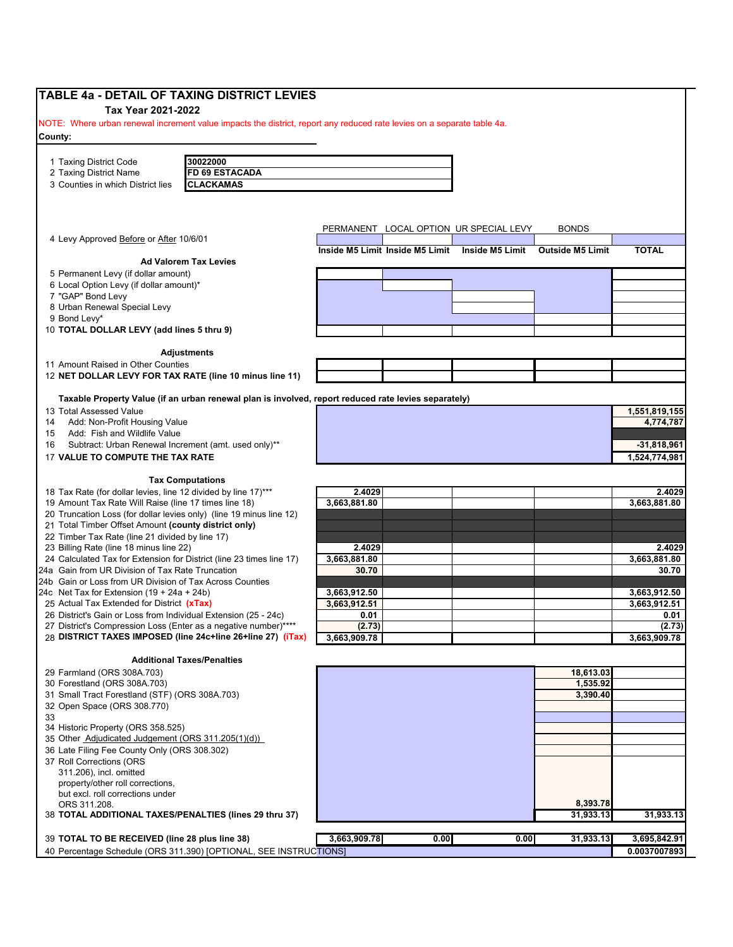| <b>TABLE 4a - DETAIL OF TAXING DISTRICT LEVIES</b>                                                                              |                                 |      |                              |                         |               |
|---------------------------------------------------------------------------------------------------------------------------------|---------------------------------|------|------------------------------|-------------------------|---------------|
| Tax Year 2021-2022                                                                                                              |                                 |      |                              |                         |               |
| NOTE: Where urban renewal increment value impacts the district, report any reduced rate levies on a separate table 4a.          |                                 |      |                              |                         |               |
| County:                                                                                                                         |                                 |      |                              |                         |               |
|                                                                                                                                 |                                 |      |                              |                         |               |
| 30022000<br>1 Taxing District Code                                                                                              |                                 |      |                              |                         |               |
| <b>FD 69 ESTACADA</b><br>2 Taxing District Name                                                                                 |                                 |      |                              |                         |               |
| 3 Counties in which District lies<br><b>CLACKAMAS</b>                                                                           |                                 |      |                              |                         |               |
|                                                                                                                                 |                                 |      |                              |                         |               |
|                                                                                                                                 |                                 |      |                              |                         |               |
| 4 Levy Approved Before or After 10/6/01                                                                                         | PERMANENT                       |      | LOCAL OPTION UR SPECIAL LEVY | <b>BONDS</b>            |               |
|                                                                                                                                 | Inside M5 Limit Inside M5 Limit |      | Inside M5 Limit              | <b>Outside M5 Limit</b> | <b>TOTAL</b>  |
| <b>Ad Valorem Tax Levies</b>                                                                                                    |                                 |      |                              |                         |               |
| 5 Permanent Levy (if dollar amount)                                                                                             |                                 |      |                              |                         |               |
| 6 Local Option Levy (if dollar amount)*                                                                                         |                                 |      |                              |                         |               |
| 7 "GAP" Bond Levy                                                                                                               |                                 |      |                              |                         |               |
| 8 Urban Renewal Special Levy                                                                                                    |                                 |      |                              |                         |               |
| 9 Bond Levy*                                                                                                                    |                                 |      |                              |                         |               |
| 10 TOTAL DOLLAR LEVY (add lines 5 thru 9)                                                                                       |                                 |      |                              |                         |               |
| <b>Adjustments</b>                                                                                                              |                                 |      |                              |                         |               |
| 11 Amount Raised in Other Counties                                                                                              |                                 |      |                              |                         |               |
| 12 NET DOLLAR LEVY FOR TAX RATE (line 10 minus line 11)                                                                         |                                 |      |                              |                         |               |
|                                                                                                                                 |                                 |      |                              |                         |               |
| Taxable Property Value (if an urban renewal plan is involved, report reduced rate levies separately)<br>13 Total Assessed Value |                                 |      |                              |                         | 1,551,819,155 |
| Add: Non-Profit Housing Value<br>14                                                                                             |                                 |      |                              |                         | 4,774,787     |
| Add: Fish and Wildlife Value<br>15                                                                                              |                                 |      |                              |                         |               |
| Subtract: Urban Renewal Increment (amt. used only)**<br>16                                                                      |                                 |      |                              |                         | $-31,818,961$ |
| 17 VALUE TO COMPUTE THE TAX RATE                                                                                                |                                 |      |                              |                         | 1,524,774,981 |
|                                                                                                                                 |                                 |      |                              |                         |               |
| <b>Tax Computations</b>                                                                                                         |                                 |      |                              |                         |               |
| 18 Tax Rate (for dollar levies, line 12 divided by line 17)***                                                                  | 2.4029                          |      |                              |                         | 2.4029        |
| 19 Amount Tax Rate Will Raise (line 17 times line 18)                                                                           | 3,663,881.80                    |      |                              |                         | 3,663,881.80  |
| 20 Truncation Loss (for dollar levies only) (line 19 minus line 12)                                                             |                                 |      |                              |                         |               |
| 21 Total Timber Offset Amount (county district only)                                                                            |                                 |      |                              |                         |               |
| 22 Timber Tax Rate (line 21 divided by line 17)                                                                                 |                                 |      |                              |                         |               |
| 23 Billing Rate (line 18 minus line 22)                                                                                         | 2.4029                          |      |                              |                         | 2.4029        |
| 24 Calculated Tax for Extension for District (line 23 times line 17)                                                            | 3.663.881.80                    |      |                              |                         | 3,663,881.80  |
| 24a Gain from UR Division of Tax Rate Truncation                                                                                | 30.70                           |      |                              |                         | 30.70         |
| 24b Gain or Loss from UR Division of Tax Across Counties<br>24c Net Tax for Extension $(19 + 24a + 24b)$                        | 3,663,912.50                    |      |                              |                         | 3,663,912.50  |
| 25 Actual Tax Extended for District (xTax)                                                                                      | 3,663,912.51                    |      |                              |                         | 3,663,912.51  |
| 26 District's Gain or Loss from Individual Extension (25 - 24c)                                                                 | 0.01                            |      |                              |                         | 0.01          |
| 27 District's Compression Loss (Enter as a negative number)*                                                                    | (2.73)                          |      |                              |                         | (2.73)        |
| 28 DISTRICT TAXES IMPOSED (line 24c+line 26+line 27) (iTax)                                                                     | 3,663,909.78                    |      |                              |                         | 3,663,909.78  |
|                                                                                                                                 |                                 |      |                              |                         |               |
| <b>Additional Taxes/Penalties</b>                                                                                               |                                 |      |                              |                         |               |
| 29 Farmland (ORS 308A.703)                                                                                                      |                                 |      |                              | 18,613.03               |               |
| 30 Forestland (ORS 308A.703)                                                                                                    |                                 |      |                              | 1,535.92                |               |
| 31 Small Tract Forestland (STF) (ORS 308A.703)<br>32 Open Space (ORS 308.770)                                                   |                                 |      |                              | 3,390.40                |               |
| 33                                                                                                                              |                                 |      |                              |                         |               |
| 34 Historic Property (ORS 358.525)                                                                                              |                                 |      |                              |                         |               |
| 35 Other Adjudicated Judgement (ORS 311.205(1)(d))                                                                              |                                 |      |                              |                         |               |
| 36 Late Filing Fee County Only (ORS 308.302)                                                                                    |                                 |      |                              |                         |               |
| 37 Roll Corrections (ORS                                                                                                        |                                 |      |                              |                         |               |
| 311.206), incl. omitted                                                                                                         |                                 |      |                              |                         |               |
| property/other roll corrections,                                                                                                |                                 |      |                              |                         |               |
| but excl. roll corrections under                                                                                                |                                 |      |                              |                         |               |
| ORS 311.208.                                                                                                                    |                                 |      |                              | 8,393.78                |               |
| 38 TOTAL ADDITIONAL TAXES/PENALTIES (lines 29 thru 37)                                                                          |                                 |      |                              | 31,933.13               | 31,933.13     |
|                                                                                                                                 |                                 |      |                              |                         |               |
| 39 TOTAL TO BE RECEIVED (line 28 plus line 38)                                                                                  | 3,663,909.78                    | 0.00 | 0.00                         | 31,933.13               | 3,695,842.91  |
| 40 Percentage Schedule (ORS 311.390) [OPTIONAL, SEE INSTRUCTIONS]                                                               |                                 |      |                              |                         | 0.0037007893  |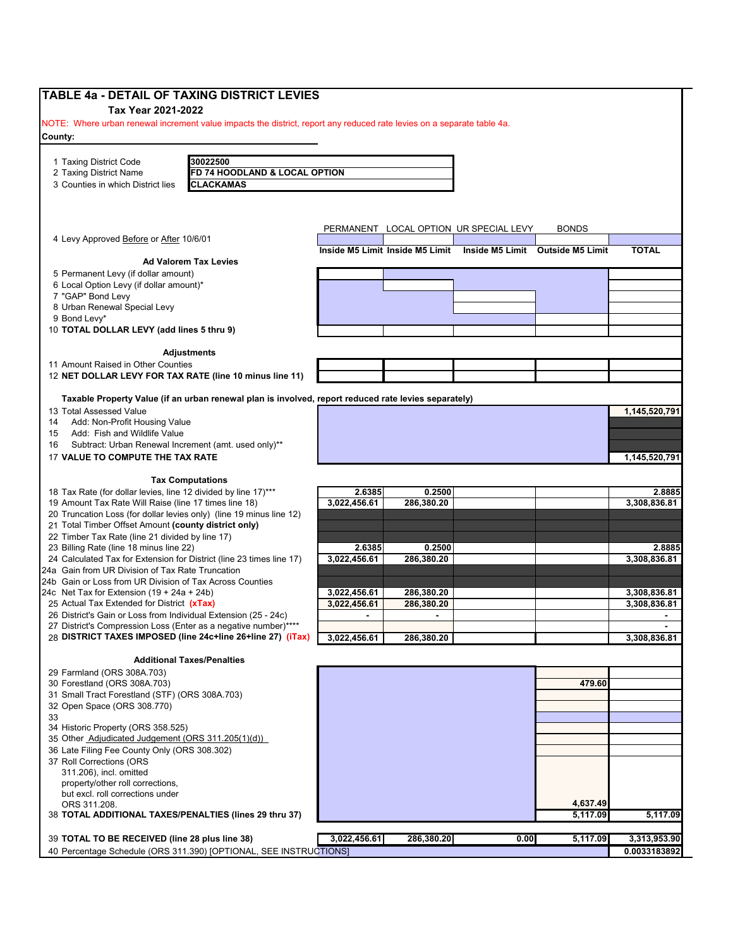| <b>TABLE 4a - DETAIL OF TAXING DISTRICT LEVIES</b>                                                                                 |              |                                 |                                        |                                  |               |
|------------------------------------------------------------------------------------------------------------------------------------|--------------|---------------------------------|----------------------------------------|----------------------------------|---------------|
| Tax Year 2021-2022                                                                                                                 |              |                                 |                                        |                                  |               |
| NOTE: Where urban renewal increment value impacts the district, report any reduced rate levies on a separate table 4a.             |              |                                 |                                        |                                  |               |
| County:                                                                                                                            |              |                                 |                                        |                                  |               |
|                                                                                                                                    |              |                                 |                                        |                                  |               |
| 30022500<br>1 Taxing District Code                                                                                                 |              |                                 |                                        |                                  |               |
| 2 Taxing District Name<br>FD 74 HOODLAND & LOCAL OPTION                                                                            |              |                                 |                                        |                                  |               |
| 3 Counties in which District lies<br><b>CLACKAMAS</b>                                                                              |              |                                 |                                        |                                  |               |
|                                                                                                                                    |              |                                 |                                        |                                  |               |
|                                                                                                                                    |              |                                 |                                        |                                  |               |
|                                                                                                                                    |              |                                 | PERMANENT LOCAL OPTION UR SPECIAL LEVY | <b>BONDS</b>                     |               |
| 4 Levy Approved Before or After 10/6/01                                                                                            |              | Inside M5 Limit Inside M5 Limit |                                        | Inside M5 Limit Outside M5 Limit | <b>TOTAL</b>  |
| <b>Ad Valorem Tax Levies</b>                                                                                                       |              |                                 |                                        |                                  |               |
| 5 Permanent Levy (if dollar amount)                                                                                                |              |                                 |                                        |                                  |               |
| 6 Local Option Levy (if dollar amount)*                                                                                            |              |                                 |                                        |                                  |               |
| 7 "GAP" Bond Levy                                                                                                                  |              |                                 |                                        |                                  |               |
| 8 Urban Renewal Special Levy                                                                                                       |              |                                 |                                        |                                  |               |
| 9 Bond Levy*                                                                                                                       |              |                                 |                                        |                                  |               |
| 10 TOTAL DOLLAR LEVY (add lines 5 thru 9)                                                                                          |              |                                 |                                        |                                  |               |
| <b>Adjustments</b>                                                                                                                 |              |                                 |                                        |                                  |               |
| 11 Amount Raised in Other Counties                                                                                                 |              |                                 |                                        |                                  |               |
| 12 NET DOLLAR LEVY FOR TAX RATE (line 10 minus line 11)                                                                            |              |                                 |                                        |                                  |               |
|                                                                                                                                    |              |                                 |                                        |                                  |               |
| Taxable Property Value (if an urban renewal plan is involved, report reduced rate levies separately)                               |              |                                 |                                        |                                  |               |
| 13 Total Assessed Value                                                                                                            |              |                                 |                                        |                                  | 1,145,520,791 |
| Add: Non-Profit Housing Value<br>14                                                                                                |              |                                 |                                        |                                  |               |
| Add: Fish and Wildlife Value<br>15                                                                                                 |              |                                 |                                        |                                  |               |
| Subtract: Urban Renewal Increment (amt. used only)**<br>16                                                                         |              |                                 |                                        |                                  |               |
| 17 VALUE TO COMPUTE THE TAX RATE                                                                                                   |              |                                 |                                        |                                  | 1,145,520,791 |
| <b>Tax Computations</b>                                                                                                            |              |                                 |                                        |                                  |               |
| 18 Tax Rate (for dollar levies, line 12 divided by line 17)***                                                                     | 2.6385       | 0.2500                          |                                        |                                  | 2.8885        |
| 19 Amount Tax Rate Will Raise (line 17 times line 18)                                                                              | 3,022,456.61 | 286,380.20                      |                                        |                                  | 3,308,836.81  |
| 20 Truncation Loss (for dollar levies only) (line 19 minus line 12)                                                                |              |                                 |                                        |                                  |               |
| 21 Total Timber Offset Amount (county district only)                                                                               |              |                                 |                                        |                                  |               |
| 22 Timber Tax Rate (line 21 divided by line 17)                                                                                    |              |                                 |                                        |                                  |               |
| 23 Billing Rate (line 18 minus line 22)                                                                                            | 2.6385       | 0.2500                          |                                        |                                  | 2.8885        |
| 24 Calculated Tax for Extension for District (line 23 times line 17)                                                               | 3.022.456.61 | 286,380.20                      |                                        |                                  | 3,308,836.81  |
| 24a Gain from UR Division of Tax Rate Truncation                                                                                   |              |                                 |                                        |                                  |               |
| 24b Gain or Loss from UR Division of Tax Across Counties                                                                           |              |                                 |                                        |                                  |               |
| 24c Net Tax for Extension $(19 + 24a + 24b)$                                                                                       | 3,022,456.61 | 286,380.20                      |                                        |                                  | 3,308,836.81  |
| 25 Actual Tax Extended for District (xTax)                                                                                         | 3,022,456.61 | 286,380.20                      |                                        |                                  | 3.308.836.81  |
| 26 District's Gain or Loss from Individual Extension (25 - 24c)<br>27 District's Compression Loss (Enter as a negative number)**** |              |                                 |                                        |                                  |               |
| 28 DISTRICT TAXES IMPOSED (line 24c+line 26+line 27) (iTax)                                                                        | 3,022,456.61 | 286,380.20                      |                                        |                                  | 3,308,836.81  |
|                                                                                                                                    |              |                                 |                                        |                                  |               |
| <b>Additional Taxes/Penalties</b>                                                                                                  |              |                                 |                                        |                                  |               |
| 29 Farmland (ORS 308A.703)                                                                                                         |              |                                 |                                        |                                  |               |
| 30 Forestland (ORS 308A.703)                                                                                                       |              |                                 |                                        | 479.60                           |               |
| 31 Small Tract Forestland (STF) (ORS 308A.703)                                                                                     |              |                                 |                                        |                                  |               |
| 32 Open Space (ORS 308.770)                                                                                                        |              |                                 |                                        |                                  |               |
| 33                                                                                                                                 |              |                                 |                                        |                                  |               |
| 34 Historic Property (ORS 358.525)                                                                                                 |              |                                 |                                        |                                  |               |
| 35 Other Adjudicated Judgement (ORS 311.205(1)(d))<br>36 Late Filing Fee County Only (ORS 308.302)                                 |              |                                 |                                        |                                  |               |
| 37 Roll Corrections (ORS                                                                                                           |              |                                 |                                        |                                  |               |
| 311.206), incl. omitted                                                                                                            |              |                                 |                                        |                                  |               |
| property/other roll corrections,                                                                                                   |              |                                 |                                        |                                  |               |
| but excl. roll corrections under                                                                                                   |              |                                 |                                        |                                  |               |
| ORS 311.208.                                                                                                                       |              |                                 |                                        | 4,637.49                         |               |
| 38 TOTAL ADDITIONAL TAXES/PENALTIES (lines 29 thru 37)                                                                             |              |                                 |                                        | 5,117.09                         | 5,117.09      |
|                                                                                                                                    |              |                                 |                                        |                                  |               |
| 39 TOTAL TO BE RECEIVED (line 28 plus line 38)                                                                                     | 3,022,456.61 | 286,380.20                      | 0.00                                   | 5,117.09                         | 3,313,953.90  |
| 40 Percentage Schedule (ORS 311.390) [OPTIONAL, SEE INSTRUCTIONS]                                                                  |              |                                 |                                        |                                  | 0.0033183892  |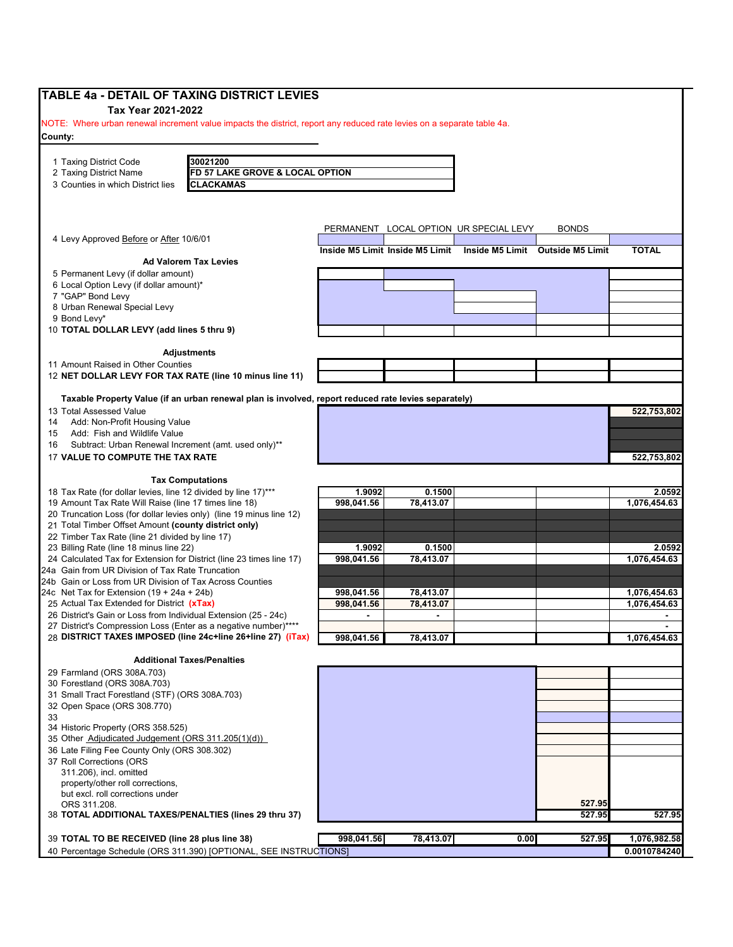| <b>TABLE 4a - DETAIL OF TAXING DISTRICT LEVIES</b>                                                                     |                |                                 |                                        |                                  |                              |
|------------------------------------------------------------------------------------------------------------------------|----------------|---------------------------------|----------------------------------------|----------------------------------|------------------------------|
| Tax Year 2021-2022                                                                                                     |                |                                 |                                        |                                  |                              |
| NOTE: Where urban renewal increment value impacts the district, report any reduced rate levies on a separate table 4a. |                |                                 |                                        |                                  |                              |
| County:                                                                                                                |                |                                 |                                        |                                  |                              |
|                                                                                                                        |                |                                 |                                        |                                  |                              |
| 30021200<br>1 Taxing District Code<br>2 Taxing District Name<br>FD 57 LAKE GROVE & LOCAL OPTION                        |                |                                 |                                        |                                  |                              |
| <b>CLACKAMAS</b><br>3 Counties in which District lies                                                                  |                |                                 |                                        |                                  |                              |
|                                                                                                                        |                |                                 |                                        |                                  |                              |
|                                                                                                                        |                |                                 |                                        |                                  |                              |
|                                                                                                                        |                |                                 | PERMANENT LOCAL OPTION UR SPECIAL LEVY | <b>BONDS</b>                     |                              |
| 4 Levy Approved Before or After 10/6/01                                                                                |                |                                 |                                        |                                  |                              |
|                                                                                                                        |                | Inside M5 Limit Inside M5 Limit |                                        | Inside M5 Limit Outside M5 Limit | <b>TOTAL</b>                 |
| <b>Ad Valorem Tax Levies</b><br>5 Permanent Levy (if dollar amount)                                                    |                |                                 |                                        |                                  |                              |
| 6 Local Option Levy (if dollar amount)*                                                                                |                |                                 |                                        |                                  |                              |
| 7 "GAP" Bond Levy                                                                                                      |                |                                 |                                        |                                  |                              |
| 8 Urban Renewal Special Levy                                                                                           |                |                                 |                                        |                                  |                              |
| 9 Bond Levy*<br>10 TOTAL DOLLAR LEVY (add lines 5 thru 9)                                                              |                |                                 |                                        |                                  |                              |
|                                                                                                                        |                |                                 |                                        |                                  |                              |
| <b>Adjustments</b>                                                                                                     |                |                                 |                                        |                                  |                              |
| 11 Amount Raised in Other Counties                                                                                     |                |                                 |                                        |                                  |                              |
| 12 NET DOLLAR LEVY FOR TAX RATE (line 10 minus line 11)                                                                |                |                                 |                                        |                                  |                              |
| Taxable Property Value (if an urban renewal plan is involved, report reduced rate levies separately)                   |                |                                 |                                        |                                  |                              |
| 13 Total Assessed Value                                                                                                |                |                                 |                                        |                                  | 522,753,802                  |
| Add: Non-Profit Housing Value<br>14                                                                                    |                |                                 |                                        |                                  |                              |
| Add: Fish and Wildlife Value<br>15                                                                                     |                |                                 |                                        |                                  |                              |
| Subtract: Urban Renewal Increment (amt. used only)**<br>16                                                             |                |                                 |                                        |                                  |                              |
| 17 VALUE TO COMPUTE THE TAX RATE                                                                                       |                |                                 |                                        |                                  | 522,753,802                  |
| <b>Tax Computations</b>                                                                                                |                |                                 |                                        |                                  |                              |
| 18 Tax Rate (for dollar levies, line 12 divided by line 17)***                                                         | 1.9092         | 0.1500                          |                                        |                                  | 2.0592                       |
| 19 Amount Tax Rate Will Raise (line 17 times line 18)                                                                  | 998,041.56     | 78,413.07                       |                                        |                                  | 1,076,454.63                 |
| 20 Truncation Loss (for dollar levies only) (line 19 minus line 12)                                                    |                |                                 |                                        |                                  |                              |
| 21 Total Timber Offset Amount (county district only)<br>22 Timber Tax Rate (line 21 divided by line 17)                |                |                                 |                                        |                                  |                              |
| 23 Billing Rate (line 18 minus line 22)                                                                                | 1.9092         | 0.1500                          |                                        |                                  | 2.0592                       |
| 24 Calculated Tax for Extension for District (line 23 times line 17)                                                   | 998,041.56     | 78,413.07                       |                                        |                                  | 1,076,454.63                 |
| 24a Gain from UR Division of Tax Rate Truncation                                                                       |                |                                 |                                        |                                  |                              |
| 24b Gain or Loss from UR Division of Tax Across Counties<br>24c Net Tax for Extension $(19 + 24a + 24b)$               | 998,041.56     | 78,413.07                       |                                        |                                  |                              |
| 25 Actual Tax Extended for District (xTax)                                                                             | 998,041.56     | 78,413.07                       |                                        |                                  | 1,076,454.63<br>1,076,454.63 |
| 26 District's Gain or Loss from Individual Extension (25 - 24c)                                                        | $\blacksquare$ | $\blacksquare$                  |                                        |                                  | $\blacksquare$               |
| 27 District's Compression Loss (Enter as a negative number)**                                                          |                |                                 |                                        |                                  |                              |
| 28 DISTRICT TAXES IMPOSED (line 24c+line 26+line 27) (iTax)                                                            | 998,041.56     | 78,413.07                       |                                        |                                  | 1,076,454.63                 |
| <b>Additional Taxes/Penalties</b>                                                                                      |                |                                 |                                        |                                  |                              |
| 29 Farmland (ORS 308A.703)                                                                                             |                |                                 |                                        |                                  |                              |
| 30 Forestland (ORS 308A.703)                                                                                           |                |                                 |                                        |                                  |                              |
| 31 Small Tract Forestland (STF) (ORS 308A.703)                                                                         |                |                                 |                                        |                                  |                              |
| 32 Open Space (ORS 308.770)<br>33                                                                                      |                |                                 |                                        |                                  |                              |
| 34 Historic Property (ORS 358.525)                                                                                     |                |                                 |                                        |                                  |                              |
| 35 Other Adjudicated Judgement (ORS 311.205(1)(d))                                                                     |                |                                 |                                        |                                  |                              |
| 36 Late Filing Fee County Only (ORS 308.302)                                                                           |                |                                 |                                        |                                  |                              |
| 37 Roll Corrections (ORS<br>311.206), incl. omitted                                                                    |                |                                 |                                        |                                  |                              |
| property/other roll corrections,                                                                                       |                |                                 |                                        |                                  |                              |
| but excl. roll corrections under                                                                                       |                |                                 |                                        |                                  |                              |
| ORS 311.208.                                                                                                           |                |                                 |                                        | 527.95                           |                              |
| 38 TOTAL ADDITIONAL TAXES/PENALTIES (lines 29 thru 37)                                                                 |                |                                 |                                        | 527.95                           | 527.95                       |
| 39 TOTAL TO BE RECEIVED (line 28 plus line 38)                                                                         | 998,041.56     | 78,413.07                       | 0.00                                   | 527.95                           | 1,076,982.58                 |
| 40 Percentage Schedule (ORS 311.390) [OPTIONAL, SEE INSTRUCTIONS]                                                      |                |                                 |                                        |                                  | 0.0010784240                 |
|                                                                                                                        |                |                                 |                                        |                                  |                              |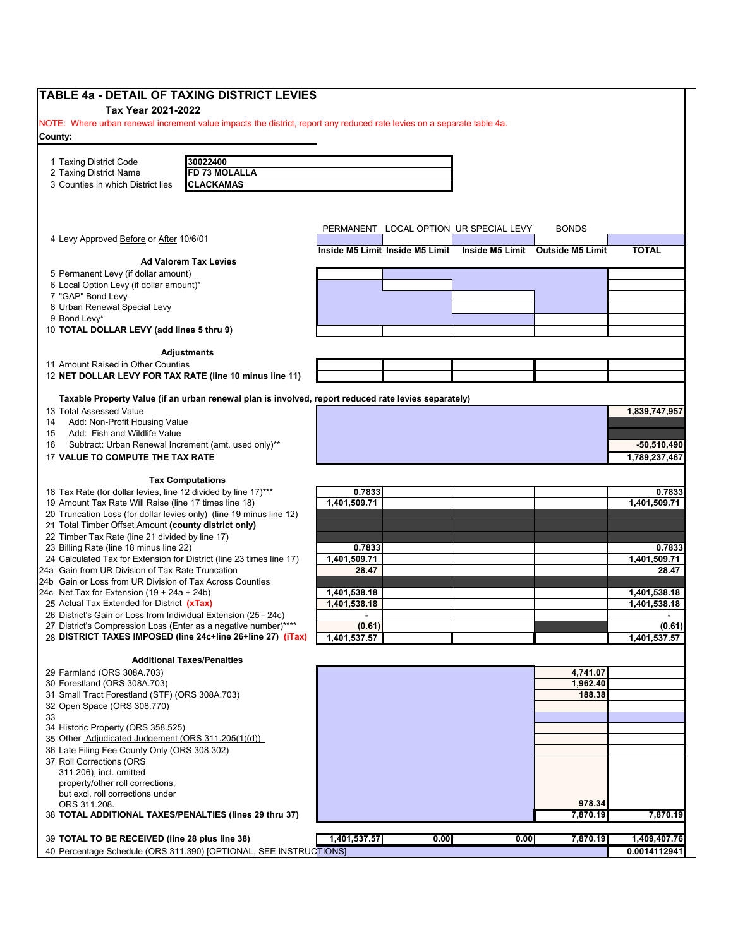| Tax Year 2021-2022<br>NOTE: Where urban renewal increment value impacts the district, report any reduced rate levies on a separate table 4a.<br>30022400<br>FD 73 MOLALLA<br><b>CLACKAMAS</b><br>PERMANENT LOCAL OPTION UR SPECIAL LEVY<br><b>BONDS</b><br><b>TOTAL</b><br>Inside M5 Limit Inside M5 Limit<br>Inside M5 Limit Outside M5 Limit<br><b>Ad Valorem Tax Levies</b><br>5 Permanent Levy (if dollar amount)<br>6 Local Option Levy (if dollar amount)*<br><b>Adjustments</b><br>11 Amount Raised in Other Counties<br>12 NET DOLLAR LEVY FOR TAX RATE (line 10 minus line 11)<br>Taxable Property Value (if an urban renewal plan is involved, report reduced rate levies separately)<br>13 Total Assessed Value<br>1,839,747,957<br>Add: Non-Profit Housing Value<br>Add: Fish and Wildlife Value<br>$-50,510,490$<br>Subtract: Urban Renewal Increment (amt. used only)**<br>17 VALUE TO COMPUTE THE TAX RATE<br>1,789,237,467<br><b>Tax Computations</b><br>0.7833<br>1,401,509.71<br>21 Total Timber Offset Amount (county district only)<br>0.7833<br>24 Calculated Tax for Extension for District (line 23 times line 17)<br>1,401,509.71<br>1,401,509.71<br>24a Gain from UR Division of Tax Rate Truncation<br>28.47<br>28.47<br>24b Gain or Loss from UR Division of Tax Across Counties<br>1,401,538.18<br>1,401,538.18<br>24c Net Tax for Extension $(19 + 24a + 24b)$<br>25 Actual Tax Extended for District (xTax)<br>1,401,538.18<br>1,401,538.18<br>26 District's Gain or Loss from Individual Extension (25 - 24c)<br>$\blacksquare$<br>$\blacksquare$<br>(0.61)<br>(0.61)<br>27 District's Compression Loss (Enter as a negative number) <sup>®</sup><br>28 DISTRICT TAXES IMPOSED (line 24c+line 26+line 27) (iTax)<br>1,401,537.57<br>1,401,537.57<br><b>Additional Taxes/Penalties</b><br>4,741.07<br>1,962.40<br>188.38<br>34 Historic Property (ORS 358.525)<br>35 Other Adjudicated Judgement (ORS 311.205(1)(d))<br>36 Late Filing Fee County Only (ORS 308.302)<br>37 Roll Corrections (ORS<br>311.206), incl. omitted<br>property/other roll corrections,<br>but excl. roll corrections under<br>978.34<br>ORS 311.208.<br>38 TOTAL ADDITIONAL TAXES/PENALTIES (lines 29 thru 37)<br>7,870.19<br>7,870.19<br>1,401,537.57<br>0.00<br>0.00<br>7,870.19<br>39 TOTAL TO BE RECEIVED (line 28 plus line 38) | TABLE 4a - DETAIL OF TAXING DISTRICT LEVIES                         |  |  |              |
|---------------------------------------------------------------------------------------------------------------------------------------------------------------------------------------------------------------------------------------------------------------------------------------------------------------------------------------------------------------------------------------------------------------------------------------------------------------------------------------------------------------------------------------------------------------------------------------------------------------------------------------------------------------------------------------------------------------------------------------------------------------------------------------------------------------------------------------------------------------------------------------------------------------------------------------------------------------------------------------------------------------------------------------------------------------------------------------------------------------------------------------------------------------------------------------------------------------------------------------------------------------------------------------------------------------------------------------------------------------------------------------------------------------------------------------------------------------------------------------------------------------------------------------------------------------------------------------------------------------------------------------------------------------------------------------------------------------------------------------------------------------------------------------------------------------------------------------------------------------------------------------------------------------------------------------------------------------------------------------------------------------------------------------------------------------------------------------------------------------------------------------------------------------------------------------------------------------------------------------------------------------------------------------------------------------------------------------------|---------------------------------------------------------------------|--|--|--------------|
|                                                                                                                                                                                                                                                                                                                                                                                                                                                                                                                                                                                                                                                                                                                                                                                                                                                                                                                                                                                                                                                                                                                                                                                                                                                                                                                                                                                                                                                                                                                                                                                                                                                                                                                                                                                                                                                                                                                                                                                                                                                                                                                                                                                                                                                                                                                                             |                                                                     |  |  |              |
|                                                                                                                                                                                                                                                                                                                                                                                                                                                                                                                                                                                                                                                                                                                                                                                                                                                                                                                                                                                                                                                                                                                                                                                                                                                                                                                                                                                                                                                                                                                                                                                                                                                                                                                                                                                                                                                                                                                                                                                                                                                                                                                                                                                                                                                                                                                                             |                                                                     |  |  |              |
|                                                                                                                                                                                                                                                                                                                                                                                                                                                                                                                                                                                                                                                                                                                                                                                                                                                                                                                                                                                                                                                                                                                                                                                                                                                                                                                                                                                                                                                                                                                                                                                                                                                                                                                                                                                                                                                                                                                                                                                                                                                                                                                                                                                                                                                                                                                                             | County:                                                             |  |  |              |
|                                                                                                                                                                                                                                                                                                                                                                                                                                                                                                                                                                                                                                                                                                                                                                                                                                                                                                                                                                                                                                                                                                                                                                                                                                                                                                                                                                                                                                                                                                                                                                                                                                                                                                                                                                                                                                                                                                                                                                                                                                                                                                                                                                                                                                                                                                                                             |                                                                     |  |  |              |
|                                                                                                                                                                                                                                                                                                                                                                                                                                                                                                                                                                                                                                                                                                                                                                                                                                                                                                                                                                                                                                                                                                                                                                                                                                                                                                                                                                                                                                                                                                                                                                                                                                                                                                                                                                                                                                                                                                                                                                                                                                                                                                                                                                                                                                                                                                                                             | 1 Taxing District Code                                              |  |  |              |
|                                                                                                                                                                                                                                                                                                                                                                                                                                                                                                                                                                                                                                                                                                                                                                                                                                                                                                                                                                                                                                                                                                                                                                                                                                                                                                                                                                                                                                                                                                                                                                                                                                                                                                                                                                                                                                                                                                                                                                                                                                                                                                                                                                                                                                                                                                                                             | 2 Taxing District Name                                              |  |  |              |
|                                                                                                                                                                                                                                                                                                                                                                                                                                                                                                                                                                                                                                                                                                                                                                                                                                                                                                                                                                                                                                                                                                                                                                                                                                                                                                                                                                                                                                                                                                                                                                                                                                                                                                                                                                                                                                                                                                                                                                                                                                                                                                                                                                                                                                                                                                                                             | 3 Counties in which District lies                                   |  |  |              |
|                                                                                                                                                                                                                                                                                                                                                                                                                                                                                                                                                                                                                                                                                                                                                                                                                                                                                                                                                                                                                                                                                                                                                                                                                                                                                                                                                                                                                                                                                                                                                                                                                                                                                                                                                                                                                                                                                                                                                                                                                                                                                                                                                                                                                                                                                                                                             |                                                                     |  |  |              |
|                                                                                                                                                                                                                                                                                                                                                                                                                                                                                                                                                                                                                                                                                                                                                                                                                                                                                                                                                                                                                                                                                                                                                                                                                                                                                                                                                                                                                                                                                                                                                                                                                                                                                                                                                                                                                                                                                                                                                                                                                                                                                                                                                                                                                                                                                                                                             |                                                                     |  |  |              |
|                                                                                                                                                                                                                                                                                                                                                                                                                                                                                                                                                                                                                                                                                                                                                                                                                                                                                                                                                                                                                                                                                                                                                                                                                                                                                                                                                                                                                                                                                                                                                                                                                                                                                                                                                                                                                                                                                                                                                                                                                                                                                                                                                                                                                                                                                                                                             |                                                                     |  |  |              |
|                                                                                                                                                                                                                                                                                                                                                                                                                                                                                                                                                                                                                                                                                                                                                                                                                                                                                                                                                                                                                                                                                                                                                                                                                                                                                                                                                                                                                                                                                                                                                                                                                                                                                                                                                                                                                                                                                                                                                                                                                                                                                                                                                                                                                                                                                                                                             | 4 Levy Approved Before or After 10/6/01                             |  |  |              |
|                                                                                                                                                                                                                                                                                                                                                                                                                                                                                                                                                                                                                                                                                                                                                                                                                                                                                                                                                                                                                                                                                                                                                                                                                                                                                                                                                                                                                                                                                                                                                                                                                                                                                                                                                                                                                                                                                                                                                                                                                                                                                                                                                                                                                                                                                                                                             |                                                                     |  |  |              |
|                                                                                                                                                                                                                                                                                                                                                                                                                                                                                                                                                                                                                                                                                                                                                                                                                                                                                                                                                                                                                                                                                                                                                                                                                                                                                                                                                                                                                                                                                                                                                                                                                                                                                                                                                                                                                                                                                                                                                                                                                                                                                                                                                                                                                                                                                                                                             |                                                                     |  |  |              |
|                                                                                                                                                                                                                                                                                                                                                                                                                                                                                                                                                                                                                                                                                                                                                                                                                                                                                                                                                                                                                                                                                                                                                                                                                                                                                                                                                                                                                                                                                                                                                                                                                                                                                                                                                                                                                                                                                                                                                                                                                                                                                                                                                                                                                                                                                                                                             |                                                                     |  |  |              |
|                                                                                                                                                                                                                                                                                                                                                                                                                                                                                                                                                                                                                                                                                                                                                                                                                                                                                                                                                                                                                                                                                                                                                                                                                                                                                                                                                                                                                                                                                                                                                                                                                                                                                                                                                                                                                                                                                                                                                                                                                                                                                                                                                                                                                                                                                                                                             | 7 "GAP" Bond Levy                                                   |  |  |              |
|                                                                                                                                                                                                                                                                                                                                                                                                                                                                                                                                                                                                                                                                                                                                                                                                                                                                                                                                                                                                                                                                                                                                                                                                                                                                                                                                                                                                                                                                                                                                                                                                                                                                                                                                                                                                                                                                                                                                                                                                                                                                                                                                                                                                                                                                                                                                             | 8 Urban Renewal Special Levy                                        |  |  |              |
|                                                                                                                                                                                                                                                                                                                                                                                                                                                                                                                                                                                                                                                                                                                                                                                                                                                                                                                                                                                                                                                                                                                                                                                                                                                                                                                                                                                                                                                                                                                                                                                                                                                                                                                                                                                                                                                                                                                                                                                                                                                                                                                                                                                                                                                                                                                                             | 9 Bond Levy*                                                        |  |  |              |
|                                                                                                                                                                                                                                                                                                                                                                                                                                                                                                                                                                                                                                                                                                                                                                                                                                                                                                                                                                                                                                                                                                                                                                                                                                                                                                                                                                                                                                                                                                                                                                                                                                                                                                                                                                                                                                                                                                                                                                                                                                                                                                                                                                                                                                                                                                                                             | 10 TOTAL DOLLAR LEVY (add lines 5 thru 9)                           |  |  |              |
|                                                                                                                                                                                                                                                                                                                                                                                                                                                                                                                                                                                                                                                                                                                                                                                                                                                                                                                                                                                                                                                                                                                                                                                                                                                                                                                                                                                                                                                                                                                                                                                                                                                                                                                                                                                                                                                                                                                                                                                                                                                                                                                                                                                                                                                                                                                                             |                                                                     |  |  |              |
|                                                                                                                                                                                                                                                                                                                                                                                                                                                                                                                                                                                                                                                                                                                                                                                                                                                                                                                                                                                                                                                                                                                                                                                                                                                                                                                                                                                                                                                                                                                                                                                                                                                                                                                                                                                                                                                                                                                                                                                                                                                                                                                                                                                                                                                                                                                                             |                                                                     |  |  |              |
|                                                                                                                                                                                                                                                                                                                                                                                                                                                                                                                                                                                                                                                                                                                                                                                                                                                                                                                                                                                                                                                                                                                                                                                                                                                                                                                                                                                                                                                                                                                                                                                                                                                                                                                                                                                                                                                                                                                                                                                                                                                                                                                                                                                                                                                                                                                                             |                                                                     |  |  |              |
|                                                                                                                                                                                                                                                                                                                                                                                                                                                                                                                                                                                                                                                                                                                                                                                                                                                                                                                                                                                                                                                                                                                                                                                                                                                                                                                                                                                                                                                                                                                                                                                                                                                                                                                                                                                                                                                                                                                                                                                                                                                                                                                                                                                                                                                                                                                                             |                                                                     |  |  |              |
|                                                                                                                                                                                                                                                                                                                                                                                                                                                                                                                                                                                                                                                                                                                                                                                                                                                                                                                                                                                                                                                                                                                                                                                                                                                                                                                                                                                                                                                                                                                                                                                                                                                                                                                                                                                                                                                                                                                                                                                                                                                                                                                                                                                                                                                                                                                                             |                                                                     |  |  |              |
|                                                                                                                                                                                                                                                                                                                                                                                                                                                                                                                                                                                                                                                                                                                                                                                                                                                                                                                                                                                                                                                                                                                                                                                                                                                                                                                                                                                                                                                                                                                                                                                                                                                                                                                                                                                                                                                                                                                                                                                                                                                                                                                                                                                                                                                                                                                                             |                                                                     |  |  |              |
|                                                                                                                                                                                                                                                                                                                                                                                                                                                                                                                                                                                                                                                                                                                                                                                                                                                                                                                                                                                                                                                                                                                                                                                                                                                                                                                                                                                                                                                                                                                                                                                                                                                                                                                                                                                                                                                                                                                                                                                                                                                                                                                                                                                                                                                                                                                                             | 14                                                                  |  |  |              |
|                                                                                                                                                                                                                                                                                                                                                                                                                                                                                                                                                                                                                                                                                                                                                                                                                                                                                                                                                                                                                                                                                                                                                                                                                                                                                                                                                                                                                                                                                                                                                                                                                                                                                                                                                                                                                                                                                                                                                                                                                                                                                                                                                                                                                                                                                                                                             | 15                                                                  |  |  |              |
|                                                                                                                                                                                                                                                                                                                                                                                                                                                                                                                                                                                                                                                                                                                                                                                                                                                                                                                                                                                                                                                                                                                                                                                                                                                                                                                                                                                                                                                                                                                                                                                                                                                                                                                                                                                                                                                                                                                                                                                                                                                                                                                                                                                                                                                                                                                                             | 16                                                                  |  |  |              |
|                                                                                                                                                                                                                                                                                                                                                                                                                                                                                                                                                                                                                                                                                                                                                                                                                                                                                                                                                                                                                                                                                                                                                                                                                                                                                                                                                                                                                                                                                                                                                                                                                                                                                                                                                                                                                                                                                                                                                                                                                                                                                                                                                                                                                                                                                                                                             |                                                                     |  |  |              |
|                                                                                                                                                                                                                                                                                                                                                                                                                                                                                                                                                                                                                                                                                                                                                                                                                                                                                                                                                                                                                                                                                                                                                                                                                                                                                                                                                                                                                                                                                                                                                                                                                                                                                                                                                                                                                                                                                                                                                                                                                                                                                                                                                                                                                                                                                                                                             |                                                                     |  |  |              |
|                                                                                                                                                                                                                                                                                                                                                                                                                                                                                                                                                                                                                                                                                                                                                                                                                                                                                                                                                                                                                                                                                                                                                                                                                                                                                                                                                                                                                                                                                                                                                                                                                                                                                                                                                                                                                                                                                                                                                                                                                                                                                                                                                                                                                                                                                                                                             |                                                                     |  |  |              |
|                                                                                                                                                                                                                                                                                                                                                                                                                                                                                                                                                                                                                                                                                                                                                                                                                                                                                                                                                                                                                                                                                                                                                                                                                                                                                                                                                                                                                                                                                                                                                                                                                                                                                                                                                                                                                                                                                                                                                                                                                                                                                                                                                                                                                                                                                                                                             | 18 Tax Rate (for dollar levies, line 12 divided by line 17)***      |  |  | 0.7833       |
|                                                                                                                                                                                                                                                                                                                                                                                                                                                                                                                                                                                                                                                                                                                                                                                                                                                                                                                                                                                                                                                                                                                                                                                                                                                                                                                                                                                                                                                                                                                                                                                                                                                                                                                                                                                                                                                                                                                                                                                                                                                                                                                                                                                                                                                                                                                                             | 19 Amount Tax Rate Will Raise (line 17 times line 18)               |  |  | 1,401,509.71 |
|                                                                                                                                                                                                                                                                                                                                                                                                                                                                                                                                                                                                                                                                                                                                                                                                                                                                                                                                                                                                                                                                                                                                                                                                                                                                                                                                                                                                                                                                                                                                                                                                                                                                                                                                                                                                                                                                                                                                                                                                                                                                                                                                                                                                                                                                                                                                             | 20 Truncation Loss (for dollar levies only) (line 19 minus line 12) |  |  |              |
|                                                                                                                                                                                                                                                                                                                                                                                                                                                                                                                                                                                                                                                                                                                                                                                                                                                                                                                                                                                                                                                                                                                                                                                                                                                                                                                                                                                                                                                                                                                                                                                                                                                                                                                                                                                                                                                                                                                                                                                                                                                                                                                                                                                                                                                                                                                                             |                                                                     |  |  |              |
|                                                                                                                                                                                                                                                                                                                                                                                                                                                                                                                                                                                                                                                                                                                                                                                                                                                                                                                                                                                                                                                                                                                                                                                                                                                                                                                                                                                                                                                                                                                                                                                                                                                                                                                                                                                                                                                                                                                                                                                                                                                                                                                                                                                                                                                                                                                                             | 22 Timber Tax Rate (line 21 divided by line 17)                     |  |  |              |
|                                                                                                                                                                                                                                                                                                                                                                                                                                                                                                                                                                                                                                                                                                                                                                                                                                                                                                                                                                                                                                                                                                                                                                                                                                                                                                                                                                                                                                                                                                                                                                                                                                                                                                                                                                                                                                                                                                                                                                                                                                                                                                                                                                                                                                                                                                                                             | 23 Billing Rate (line 18 minus line 22)                             |  |  | 0.7833       |
|                                                                                                                                                                                                                                                                                                                                                                                                                                                                                                                                                                                                                                                                                                                                                                                                                                                                                                                                                                                                                                                                                                                                                                                                                                                                                                                                                                                                                                                                                                                                                                                                                                                                                                                                                                                                                                                                                                                                                                                                                                                                                                                                                                                                                                                                                                                                             |                                                                     |  |  |              |
|                                                                                                                                                                                                                                                                                                                                                                                                                                                                                                                                                                                                                                                                                                                                                                                                                                                                                                                                                                                                                                                                                                                                                                                                                                                                                                                                                                                                                                                                                                                                                                                                                                                                                                                                                                                                                                                                                                                                                                                                                                                                                                                                                                                                                                                                                                                                             |                                                                     |  |  |              |
|                                                                                                                                                                                                                                                                                                                                                                                                                                                                                                                                                                                                                                                                                                                                                                                                                                                                                                                                                                                                                                                                                                                                                                                                                                                                                                                                                                                                                                                                                                                                                                                                                                                                                                                                                                                                                                                                                                                                                                                                                                                                                                                                                                                                                                                                                                                                             |                                                                     |  |  |              |
|                                                                                                                                                                                                                                                                                                                                                                                                                                                                                                                                                                                                                                                                                                                                                                                                                                                                                                                                                                                                                                                                                                                                                                                                                                                                                                                                                                                                                                                                                                                                                                                                                                                                                                                                                                                                                                                                                                                                                                                                                                                                                                                                                                                                                                                                                                                                             |                                                                     |  |  |              |
|                                                                                                                                                                                                                                                                                                                                                                                                                                                                                                                                                                                                                                                                                                                                                                                                                                                                                                                                                                                                                                                                                                                                                                                                                                                                                                                                                                                                                                                                                                                                                                                                                                                                                                                                                                                                                                                                                                                                                                                                                                                                                                                                                                                                                                                                                                                                             |                                                                     |  |  |              |
|                                                                                                                                                                                                                                                                                                                                                                                                                                                                                                                                                                                                                                                                                                                                                                                                                                                                                                                                                                                                                                                                                                                                                                                                                                                                                                                                                                                                                                                                                                                                                                                                                                                                                                                                                                                                                                                                                                                                                                                                                                                                                                                                                                                                                                                                                                                                             |                                                                     |  |  |              |
|                                                                                                                                                                                                                                                                                                                                                                                                                                                                                                                                                                                                                                                                                                                                                                                                                                                                                                                                                                                                                                                                                                                                                                                                                                                                                                                                                                                                                                                                                                                                                                                                                                                                                                                                                                                                                                                                                                                                                                                                                                                                                                                                                                                                                                                                                                                                             |                                                                     |  |  |              |
|                                                                                                                                                                                                                                                                                                                                                                                                                                                                                                                                                                                                                                                                                                                                                                                                                                                                                                                                                                                                                                                                                                                                                                                                                                                                                                                                                                                                                                                                                                                                                                                                                                                                                                                                                                                                                                                                                                                                                                                                                                                                                                                                                                                                                                                                                                                                             |                                                                     |  |  |              |
|                                                                                                                                                                                                                                                                                                                                                                                                                                                                                                                                                                                                                                                                                                                                                                                                                                                                                                                                                                                                                                                                                                                                                                                                                                                                                                                                                                                                                                                                                                                                                                                                                                                                                                                                                                                                                                                                                                                                                                                                                                                                                                                                                                                                                                                                                                                                             |                                                                     |  |  |              |
|                                                                                                                                                                                                                                                                                                                                                                                                                                                                                                                                                                                                                                                                                                                                                                                                                                                                                                                                                                                                                                                                                                                                                                                                                                                                                                                                                                                                                                                                                                                                                                                                                                                                                                                                                                                                                                                                                                                                                                                                                                                                                                                                                                                                                                                                                                                                             | 29 Farmland (ORS 308A.703)                                          |  |  |              |
|                                                                                                                                                                                                                                                                                                                                                                                                                                                                                                                                                                                                                                                                                                                                                                                                                                                                                                                                                                                                                                                                                                                                                                                                                                                                                                                                                                                                                                                                                                                                                                                                                                                                                                                                                                                                                                                                                                                                                                                                                                                                                                                                                                                                                                                                                                                                             | 30 Forestland (ORS 308A.703)                                        |  |  |              |
|                                                                                                                                                                                                                                                                                                                                                                                                                                                                                                                                                                                                                                                                                                                                                                                                                                                                                                                                                                                                                                                                                                                                                                                                                                                                                                                                                                                                                                                                                                                                                                                                                                                                                                                                                                                                                                                                                                                                                                                                                                                                                                                                                                                                                                                                                                                                             | 31 Small Tract Forestland (STF) (ORS 308A.703)                      |  |  |              |
|                                                                                                                                                                                                                                                                                                                                                                                                                                                                                                                                                                                                                                                                                                                                                                                                                                                                                                                                                                                                                                                                                                                                                                                                                                                                                                                                                                                                                                                                                                                                                                                                                                                                                                                                                                                                                                                                                                                                                                                                                                                                                                                                                                                                                                                                                                                                             | 32 Open Space (ORS 308.770)                                         |  |  |              |
|                                                                                                                                                                                                                                                                                                                                                                                                                                                                                                                                                                                                                                                                                                                                                                                                                                                                                                                                                                                                                                                                                                                                                                                                                                                                                                                                                                                                                                                                                                                                                                                                                                                                                                                                                                                                                                                                                                                                                                                                                                                                                                                                                                                                                                                                                                                                             | 33                                                                  |  |  |              |
|                                                                                                                                                                                                                                                                                                                                                                                                                                                                                                                                                                                                                                                                                                                                                                                                                                                                                                                                                                                                                                                                                                                                                                                                                                                                                                                                                                                                                                                                                                                                                                                                                                                                                                                                                                                                                                                                                                                                                                                                                                                                                                                                                                                                                                                                                                                                             |                                                                     |  |  |              |
|                                                                                                                                                                                                                                                                                                                                                                                                                                                                                                                                                                                                                                                                                                                                                                                                                                                                                                                                                                                                                                                                                                                                                                                                                                                                                                                                                                                                                                                                                                                                                                                                                                                                                                                                                                                                                                                                                                                                                                                                                                                                                                                                                                                                                                                                                                                                             |                                                                     |  |  |              |
|                                                                                                                                                                                                                                                                                                                                                                                                                                                                                                                                                                                                                                                                                                                                                                                                                                                                                                                                                                                                                                                                                                                                                                                                                                                                                                                                                                                                                                                                                                                                                                                                                                                                                                                                                                                                                                                                                                                                                                                                                                                                                                                                                                                                                                                                                                                                             |                                                                     |  |  |              |
|                                                                                                                                                                                                                                                                                                                                                                                                                                                                                                                                                                                                                                                                                                                                                                                                                                                                                                                                                                                                                                                                                                                                                                                                                                                                                                                                                                                                                                                                                                                                                                                                                                                                                                                                                                                                                                                                                                                                                                                                                                                                                                                                                                                                                                                                                                                                             |                                                                     |  |  |              |
|                                                                                                                                                                                                                                                                                                                                                                                                                                                                                                                                                                                                                                                                                                                                                                                                                                                                                                                                                                                                                                                                                                                                                                                                                                                                                                                                                                                                                                                                                                                                                                                                                                                                                                                                                                                                                                                                                                                                                                                                                                                                                                                                                                                                                                                                                                                                             |                                                                     |  |  |              |
|                                                                                                                                                                                                                                                                                                                                                                                                                                                                                                                                                                                                                                                                                                                                                                                                                                                                                                                                                                                                                                                                                                                                                                                                                                                                                                                                                                                                                                                                                                                                                                                                                                                                                                                                                                                                                                                                                                                                                                                                                                                                                                                                                                                                                                                                                                                                             |                                                                     |  |  |              |
|                                                                                                                                                                                                                                                                                                                                                                                                                                                                                                                                                                                                                                                                                                                                                                                                                                                                                                                                                                                                                                                                                                                                                                                                                                                                                                                                                                                                                                                                                                                                                                                                                                                                                                                                                                                                                                                                                                                                                                                                                                                                                                                                                                                                                                                                                                                                             |                                                                     |  |  |              |
|                                                                                                                                                                                                                                                                                                                                                                                                                                                                                                                                                                                                                                                                                                                                                                                                                                                                                                                                                                                                                                                                                                                                                                                                                                                                                                                                                                                                                                                                                                                                                                                                                                                                                                                                                                                                                                                                                                                                                                                                                                                                                                                                                                                                                                                                                                                                             |                                                                     |  |  |              |
|                                                                                                                                                                                                                                                                                                                                                                                                                                                                                                                                                                                                                                                                                                                                                                                                                                                                                                                                                                                                                                                                                                                                                                                                                                                                                                                                                                                                                                                                                                                                                                                                                                                                                                                                                                                                                                                                                                                                                                                                                                                                                                                                                                                                                                                                                                                                             |                                                                     |  |  |              |
|                                                                                                                                                                                                                                                                                                                                                                                                                                                                                                                                                                                                                                                                                                                                                                                                                                                                                                                                                                                                                                                                                                                                                                                                                                                                                                                                                                                                                                                                                                                                                                                                                                                                                                                                                                                                                                                                                                                                                                                                                                                                                                                                                                                                                                                                                                                                             |                                                                     |  |  | 1,409,407.76 |
| 40 Percentage Schedule (ORS 311.390) [OPTIONAL, SEE INSTRUCTIONS]                                                                                                                                                                                                                                                                                                                                                                                                                                                                                                                                                                                                                                                                                                                                                                                                                                                                                                                                                                                                                                                                                                                                                                                                                                                                                                                                                                                                                                                                                                                                                                                                                                                                                                                                                                                                                                                                                                                                                                                                                                                                                                                                                                                                                                                                           |                                                                     |  |  | 0.0014112941 |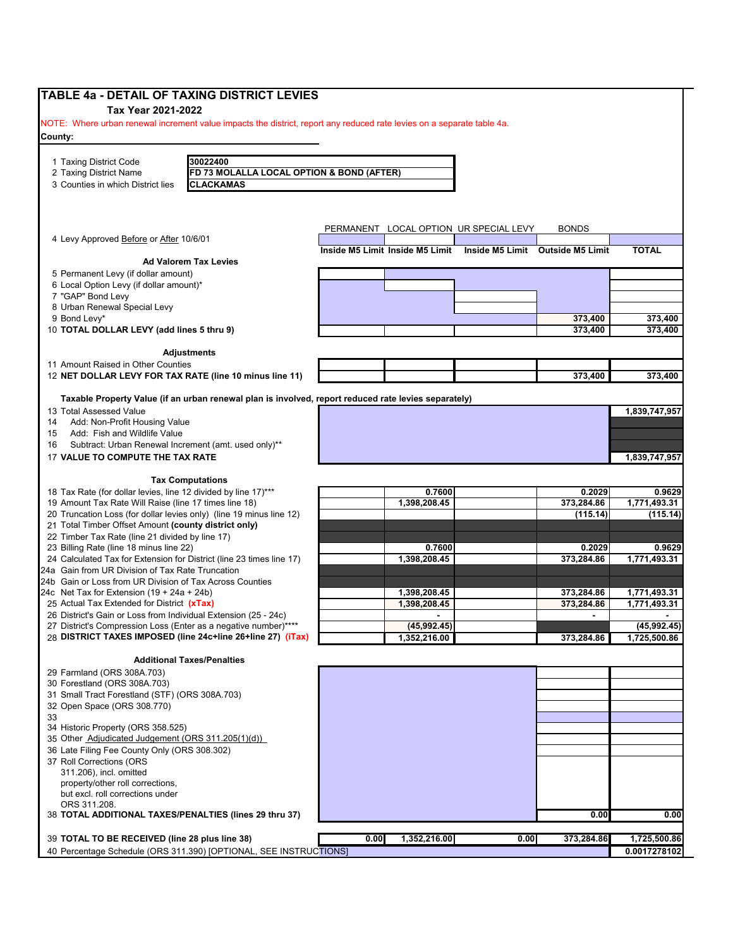| <b>TABLE 4a - DETAIL OF TAXING DISTRICT LEVIES</b>                                                                                           |                                                                                                      |      |                              |                                                                  |                      |                              |
|----------------------------------------------------------------------------------------------------------------------------------------------|------------------------------------------------------------------------------------------------------|------|------------------------------|------------------------------------------------------------------|----------------------|------------------------------|
| Tax Year 2021-2022<br>NOTE: Where urban renewal increment value impacts the district, report any reduced rate levies on a separate table 4a. |                                                                                                      |      |                              |                                                                  |                      |                              |
| County:                                                                                                                                      |                                                                                                      |      |                              |                                                                  |                      |                              |
|                                                                                                                                              |                                                                                                      |      |                              |                                                                  |                      |                              |
| 1 Taxing District Code                                                                                                                       | 30022400                                                                                             |      |                              |                                                                  |                      |                              |
| 2 Taxing District Name                                                                                                                       | FD 73 MOLALLA LOCAL OPTION & BOND (AFTER)                                                            |      |                              |                                                                  |                      |                              |
| 3 Counties in which District lies                                                                                                            | <b>CLACKAMAS</b>                                                                                     |      |                              |                                                                  |                      |                              |
|                                                                                                                                              |                                                                                                      |      |                              |                                                                  |                      |                              |
|                                                                                                                                              |                                                                                                      |      |                              | PERMANENT LOCAL OPTION UR SPECIAL LEVY                           | <b>BONDS</b>         |                              |
| 4 Levy Approved Before or After 10/6/01                                                                                                      |                                                                                                      |      |                              |                                                                  |                      |                              |
|                                                                                                                                              |                                                                                                      |      |                              | Inside M5 Limit Inside M5 Limit Inside M5 Limit Outside M5 Limit |                      | <b>TOTAL</b>                 |
|                                                                                                                                              | <b>Ad Valorem Tax Levies</b>                                                                         |      |                              |                                                                  |                      |                              |
| 5 Permanent Levy (if dollar amount)<br>6 Local Option Levy (if dollar amount)*                                                               |                                                                                                      |      |                              |                                                                  |                      |                              |
| 7 "GAP" Bond Levy                                                                                                                            |                                                                                                      |      |                              |                                                                  |                      |                              |
| 8 Urban Renewal Special Levy                                                                                                                 |                                                                                                      |      |                              |                                                                  |                      |                              |
| 9 Bond Levy*<br>10 TOTAL DOLLAR LEVY (add lines 5 thru 9)                                                                                    |                                                                                                      |      |                              |                                                                  | 373,400<br>373,400   | 373,400<br>373,400           |
|                                                                                                                                              |                                                                                                      |      |                              |                                                                  |                      |                              |
|                                                                                                                                              | Adjustments                                                                                          |      |                              |                                                                  |                      |                              |
| 11 Amount Raised in Other Counties                                                                                                           |                                                                                                      |      |                              |                                                                  |                      |                              |
| 12 NET DOLLAR LEVY FOR TAX RATE (line 10 minus line 11)                                                                                      |                                                                                                      |      |                              |                                                                  | 373,400              | 373,400                      |
|                                                                                                                                              | Taxable Property Value (if an urban renewal plan is involved, report reduced rate levies separately) |      |                              |                                                                  |                      |                              |
| 13 Total Assessed Value                                                                                                                      |                                                                                                      |      |                              |                                                                  |                      | 1,839,747,957                |
| Add: Non-Profit Housing Value<br>14                                                                                                          |                                                                                                      |      |                              |                                                                  |                      |                              |
| Add: Fish and Wildlife Value<br>15<br>Subtract: Urban Renewal Increment (amt. used only)**<br>16                                             |                                                                                                      |      |                              |                                                                  |                      |                              |
| 17 VALUE TO COMPUTE THE TAX RATE                                                                                                             |                                                                                                      |      |                              |                                                                  |                      | 1,839,747,957                |
|                                                                                                                                              |                                                                                                      |      |                              |                                                                  |                      |                              |
|                                                                                                                                              | <b>Tax Computations</b>                                                                              |      |                              |                                                                  |                      |                              |
| 18 Tax Rate (for dollar levies, line 12 divided by line 17)***<br>19 Amount Tax Rate Will Raise (line 17 times line 18)                      |                                                                                                      |      | 0.7600<br>1,398,208.45       |                                                                  | 0.2029<br>373,284.86 | 0.9629<br>1,771,493.31       |
| 20 Truncation Loss (for dollar levies only) (line 19 minus line 12)                                                                          |                                                                                                      |      |                              |                                                                  | (115.14)             | (115.14)                     |
| 21 Total Timber Offset Amount (county district only)                                                                                         |                                                                                                      |      |                              |                                                                  |                      |                              |
| 22 Timber Tax Rate (line 21 divided by line 17)<br>23 Billing Rate (line 18 minus line 22)                                                   |                                                                                                      |      | 0.7600                       |                                                                  | 0.2029               | 0.9629                       |
| 24 Calculated Tax for Extension for District (line 23 times line 17)                                                                         |                                                                                                      |      | 1,398,208.45                 |                                                                  | 373,284.86           | 1,771,493.31                 |
| 24a Gain from UR Division of Tax Rate Truncation                                                                                             |                                                                                                      |      |                              |                                                                  |                      |                              |
| 24b Gain or Loss from UR Division of Tax Across Counties                                                                                     |                                                                                                      |      |                              |                                                                  | 373.284.86           |                              |
| 24c Net Tax for Extension $(19 + 24a + 24b)$<br>25 Actual Tax Extended for District (xTax)                                                   |                                                                                                      |      | 1,398,208.45<br>1,398,208.45 |                                                                  | 373.284.86           | 1,771,493.31<br>1,771,493.31 |
| 26 District's Gain or Loss from Individual Extension (25 - 24c)                                                                              |                                                                                                      |      |                              |                                                                  |                      |                              |
| 27 District's Compression Loss (Enter as a negative number)****<br>28 DISTRICT TAXES IMPOSED (line 24c+line 26+line 27) (iTax)               |                                                                                                      |      | (45,992.45)                  |                                                                  |                      | (45,992.45)                  |
|                                                                                                                                              |                                                                                                      |      | 1,352,216.00                 |                                                                  | 373,284.86           | 1,725,500.86                 |
|                                                                                                                                              | <b>Additional Taxes/Penalties</b>                                                                    |      |                              |                                                                  |                      |                              |
| 29 Farmland (ORS 308A.703)                                                                                                                   |                                                                                                      |      |                              |                                                                  |                      |                              |
| 30 Forestland (ORS 308A.703)<br>31 Small Tract Forestland (STF) (ORS 308A.703)                                                               |                                                                                                      |      |                              |                                                                  |                      |                              |
| 32 Open Space (ORS 308.770)                                                                                                                  |                                                                                                      |      |                              |                                                                  |                      |                              |
| 33                                                                                                                                           |                                                                                                      |      |                              |                                                                  |                      |                              |
| 34 Historic Property (ORS 358.525)<br>35 Other Adjudicated Judgement (ORS 311.205(1)(d))                                                     |                                                                                                      |      |                              |                                                                  |                      |                              |
| 36 Late Filing Fee County Only (ORS 308.302)                                                                                                 |                                                                                                      |      |                              |                                                                  |                      |                              |
| 37 Roll Corrections (ORS                                                                                                                     |                                                                                                      |      |                              |                                                                  |                      |                              |
| 311.206), incl. omitted                                                                                                                      |                                                                                                      |      |                              |                                                                  |                      |                              |
| property/other roll corrections,<br>but excl. roll corrections under                                                                         |                                                                                                      |      |                              |                                                                  |                      |                              |
| ORS 311.208.                                                                                                                                 |                                                                                                      |      |                              |                                                                  |                      |                              |
| 38 TOTAL ADDITIONAL TAXES/PENALTIES (lines 29 thru 37)                                                                                       |                                                                                                      |      |                              |                                                                  | 0.00                 | 0.00                         |
| 39 TOTAL TO BE RECEIVED (line 28 plus line 38)                                                                                               |                                                                                                      | 0.00 | 1,352,216.00                 | 0.00                                                             | 373,284.86           | 1,725,500.86                 |
|                                                                                                                                              | 40 Percentage Schedule (ORS 311.390) [OPTIONAL, SEE INSTRUCTIONS]                                    |      |                              |                                                                  |                      | 0.0017278102                 |
|                                                                                                                                              |                                                                                                      |      |                              |                                                                  |                      |                              |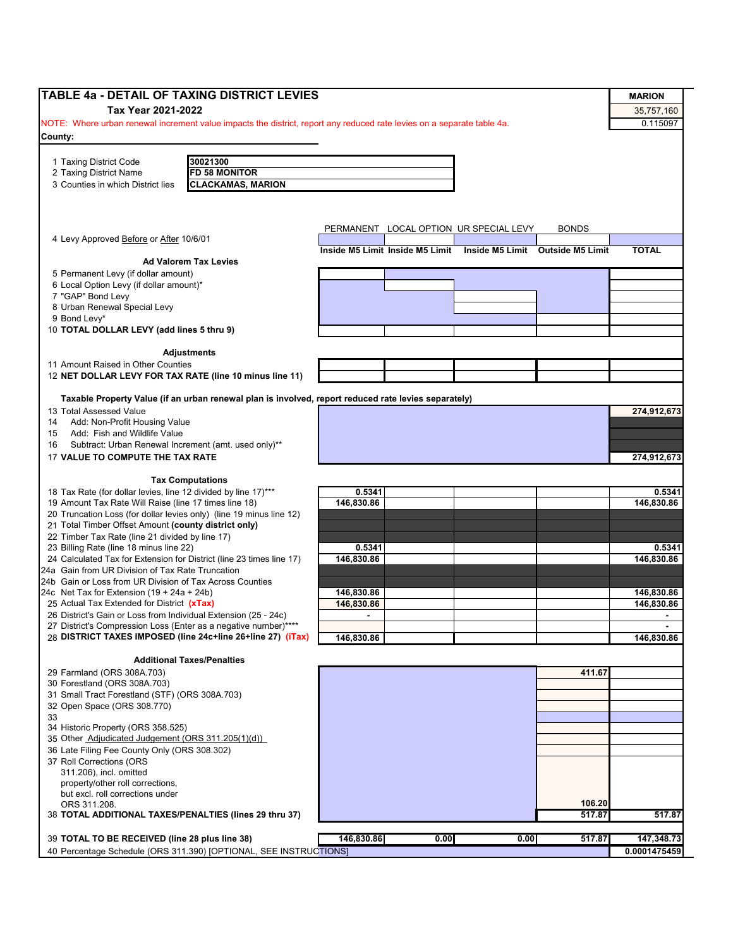| <b>TABLE 4a - DETAIL OF TAXING DISTRICT LEVIES</b>                                                                                 |                |                                 |                                        |                                  | <b>MARION</b>  |
|------------------------------------------------------------------------------------------------------------------------------------|----------------|---------------------------------|----------------------------------------|----------------------------------|----------------|
|                                                                                                                                    |                |                                 |                                        |                                  |                |
| Tax Year 2021-2022                                                                                                                 |                |                                 |                                        |                                  | 35,757,160     |
| NOTE: Where urban renewal increment value impacts the district, report any reduced rate levies on a separate table 4a.             |                |                                 |                                        |                                  | 0.115097       |
| County:                                                                                                                            |                |                                 |                                        |                                  |                |
|                                                                                                                                    |                |                                 |                                        |                                  |                |
| 30021300<br>1 Taxing District Code<br><b>FD 58 MONITOR</b><br>2 Taxing District Name                                               |                |                                 |                                        |                                  |                |
| <b>CLACKAMAS, MARION</b><br>3 Counties in which District lies                                                                      |                |                                 |                                        |                                  |                |
|                                                                                                                                    |                |                                 |                                        |                                  |                |
|                                                                                                                                    |                |                                 |                                        |                                  |                |
|                                                                                                                                    |                |                                 |                                        |                                  |                |
|                                                                                                                                    |                |                                 | PERMANENT LOCAL OPTION UR SPECIAL LEVY | <b>BONDS</b>                     |                |
| 4 Levy Approved Before or After 10/6/01                                                                                            |                |                                 |                                        |                                  |                |
|                                                                                                                                    |                | Inside M5 Limit Inside M5 Limit |                                        | Inside M5 Limit Outside M5 Limit | <b>TOTAL</b>   |
| <b>Ad Valorem Tax Levies</b>                                                                                                       |                |                                 |                                        |                                  |                |
| 5 Permanent Levy (if dollar amount)                                                                                                |                |                                 |                                        |                                  |                |
| 6 Local Option Levy (if dollar amount)*                                                                                            |                |                                 |                                        |                                  |                |
| 7 "GAP" Bond Levy                                                                                                                  |                |                                 |                                        |                                  |                |
| 8 Urban Renewal Special Levy<br>9 Bond Levy*                                                                                       |                |                                 |                                        |                                  |                |
| 10 TOTAL DOLLAR LEVY (add lines 5 thru 9)                                                                                          |                |                                 |                                        |                                  |                |
|                                                                                                                                    |                |                                 |                                        |                                  |                |
| <b>Adjustments</b>                                                                                                                 |                |                                 |                                        |                                  |                |
| 11 Amount Raised in Other Counties                                                                                                 |                |                                 |                                        |                                  |                |
| 12 NET DOLLAR LEVY FOR TAX RATE (line 10 minus line 11)                                                                            |                |                                 |                                        |                                  |                |
|                                                                                                                                    |                |                                 |                                        |                                  |                |
| Taxable Property Value (if an urban renewal plan is involved, report reduced rate levies separately)                               |                |                                 |                                        |                                  |                |
| 13 Total Assessed Value                                                                                                            |                |                                 |                                        |                                  | 274.912.673    |
| Add: Non-Profit Housing Value<br>14                                                                                                |                |                                 |                                        |                                  |                |
| Add: Fish and Wildlife Value<br>15                                                                                                 |                |                                 |                                        |                                  |                |
| Subtract: Urban Renewal Increment (amt. used only)**<br>16                                                                         |                |                                 |                                        |                                  |                |
| 17 VALUE TO COMPUTE THE TAX RATE                                                                                                   |                |                                 |                                        |                                  | 274,912,673    |
|                                                                                                                                    |                |                                 |                                        |                                  |                |
| <b>Tax Computations</b>                                                                                                            |                |                                 |                                        |                                  |                |
| 18 Tax Rate (for dollar levies, line 12 divided by line 17)***                                                                     | 0.5341         |                                 |                                        |                                  | 0.5341         |
| 19 Amount Tax Rate Will Raise (line 17 times line 18)                                                                              | 146,830.86     |                                 |                                        |                                  | 146,830.86     |
| 20 Truncation Loss (for dollar levies only) (line 19 minus line 12)                                                                |                |                                 |                                        |                                  |                |
| 21 Total Timber Offset Amount (county district only)                                                                               |                |                                 |                                        |                                  |                |
| 22 Timber Tax Rate (line 21 divided by line 17)                                                                                    |                |                                 |                                        |                                  |                |
| 23 Billing Rate (line 18 minus line 22)                                                                                            | 0.5341         |                                 |                                        |                                  | 0.5341         |
| 24 Calculated Tax for Extension for District (line 23 times line 17)                                                               | 146,830.86     |                                 |                                        |                                  | 146,830.86     |
| 24a Gain from UR Division of Tax Rate Truncation                                                                                   |                |                                 |                                        |                                  |                |
| 24b Gain or Loss from UR Division of Tax Across Counties                                                                           |                |                                 |                                        |                                  |                |
| 24c Net Tax for Extension $(19 + 24a + 24b)$                                                                                       | 146,830.86     |                                 |                                        |                                  | 146,830.86     |
| 25 Actual Tax Extended for District (xTax)                                                                                         | 146,830.86     |                                 |                                        |                                  | 146,830.86     |
| 26 District's Gain or Loss from Individual Extension (25 - 24c)<br>27 District's Compression Loss (Enter as a negative number)**** | $\blacksquare$ |                                 |                                        |                                  | $\blacksquare$ |
| 28 DISTRICT TAXES IMPOSED (line 24c+line 26+line 27) (iTax)                                                                        | 146,830.86     |                                 |                                        |                                  | 146,830.86     |
|                                                                                                                                    |                |                                 |                                        |                                  |                |
| <b>Additional Taxes/Penalties</b>                                                                                                  |                |                                 |                                        |                                  |                |
| 29 Farmland (ORS 308A.703)                                                                                                         |                |                                 |                                        | 411.67                           |                |
| 30 Forestland (ORS 308A.703)                                                                                                       |                |                                 |                                        |                                  |                |
| 31 Small Tract Forestland (STF) (ORS 308A.703)                                                                                     |                |                                 |                                        |                                  |                |
| 32 Open Space (ORS 308.770)                                                                                                        |                |                                 |                                        |                                  |                |
| 33                                                                                                                                 |                |                                 |                                        |                                  |                |
| 34 Historic Property (ORS 358.525)                                                                                                 |                |                                 |                                        |                                  |                |
| 35 Other Adjudicated Judgement (ORS 311.205(1)(d))                                                                                 |                |                                 |                                        |                                  |                |
| 36 Late Filing Fee County Only (ORS 308.302)                                                                                       |                |                                 |                                        |                                  |                |
| 37 Roll Corrections (ORS                                                                                                           |                |                                 |                                        |                                  |                |
| 311.206), incl. omitted                                                                                                            |                |                                 |                                        |                                  |                |
| property/other roll corrections,                                                                                                   |                |                                 |                                        |                                  |                |
| but excl. roll corrections under                                                                                                   |                |                                 |                                        |                                  |                |
| ORS 311.208.                                                                                                                       |                |                                 |                                        | 106.20                           |                |
| 38 TOTAL ADDITIONAL TAXES/PENALTIES (lines 29 thru 37)                                                                             |                |                                 |                                        | 517.87                           | 517.87         |
|                                                                                                                                    |                |                                 |                                        |                                  |                |
| 39 TOTAL TO BE RECEIVED (line 28 plus line 38)                                                                                     | 146,830.86     | 0.00                            | 0.00                                   | 517.87                           | 147,348.73     |
| 40 Percentage Schedule (ORS 311.390) [OPTIONAL, SEE INSTRUCTIONS]                                                                  |                |                                 |                                        |                                  | 0.0001475459   |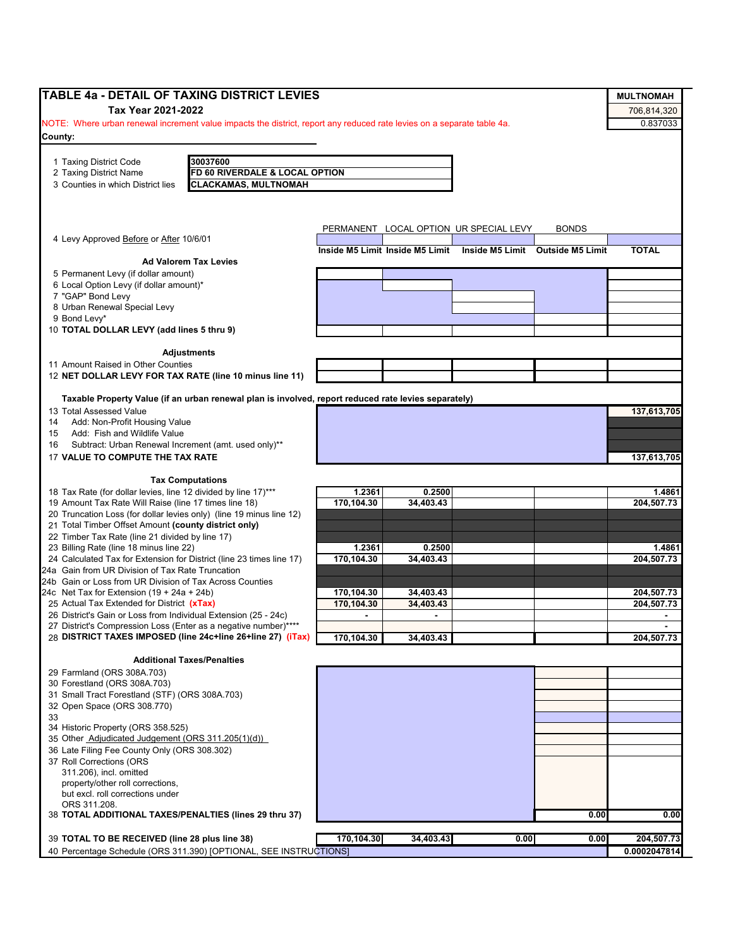| <b>TABLE 4a - DETAIL OF TAXING DISTRICT LEVIES</b>                                                                     |                                 |                     |                                        |                                  | <b>MULTNOMAH</b>         |
|------------------------------------------------------------------------------------------------------------------------|---------------------------------|---------------------|----------------------------------------|----------------------------------|--------------------------|
| Tax Year 2021-2022                                                                                                     |                                 |                     |                                        |                                  | 706,814,320              |
| NOTE: Where urban renewal increment value impacts the district, report any reduced rate levies on a separate table 4a. |                                 |                     |                                        |                                  | 0.837033                 |
| County:                                                                                                                |                                 |                     |                                        |                                  |                          |
|                                                                                                                        |                                 |                     |                                        |                                  |                          |
| 30037600<br>1 Taxing District Code                                                                                     |                                 |                     |                                        |                                  |                          |
| 2 Taxing District Name<br>FD 60 RIVERDALE & LOCAL OPTION                                                               |                                 |                     |                                        |                                  |                          |
| 3 Counties in which District lies<br><b>CLACKAMAS, MULTNOMAH</b>                                                       |                                 |                     |                                        |                                  |                          |
|                                                                                                                        |                                 |                     |                                        |                                  |                          |
|                                                                                                                        |                                 |                     |                                        |                                  |                          |
|                                                                                                                        |                                 |                     | PERMANENT LOCAL OPTION UR SPECIAL LEVY | <b>BONDS</b>                     |                          |
| 4 Levy Approved Before or After 10/6/01                                                                                |                                 |                     |                                        |                                  |                          |
|                                                                                                                        | Inside M5 Limit Inside M5 Limit |                     |                                        | Inside M5 Limit Outside M5 Limit | <b>TOTAL</b>             |
| <b>Ad Valorem Tax Levies</b><br>5 Permanent Levy (if dollar amount)                                                    |                                 |                     |                                        |                                  |                          |
| 6 Local Option Levy (if dollar amount)*                                                                                |                                 |                     |                                        |                                  |                          |
| 7 "GAP" Bond Levy                                                                                                      |                                 |                     |                                        |                                  |                          |
| 8 Urban Renewal Special Levy                                                                                           |                                 |                     |                                        |                                  |                          |
| 9 Bond Levv*                                                                                                           |                                 |                     |                                        |                                  |                          |
| 10 TOTAL DOLLAR LEVY (add lines 5 thru 9)                                                                              |                                 |                     |                                        |                                  |                          |
|                                                                                                                        |                                 |                     |                                        |                                  |                          |
| <b>Adjustments</b>                                                                                                     |                                 |                     |                                        |                                  |                          |
| 11 Amount Raised in Other Counties                                                                                     |                                 |                     |                                        |                                  |                          |
| 12 NET DOLLAR LEVY FOR TAX RATE (line 10 minus line 11)                                                                |                                 |                     |                                        |                                  |                          |
|                                                                                                                        |                                 |                     |                                        |                                  |                          |
| Taxable Property Value (if an urban renewal plan is involved, report reduced rate levies separately)                   |                                 |                     |                                        |                                  |                          |
| 13 Total Assessed Value                                                                                                |                                 |                     |                                        |                                  | 137,613,705              |
| Add: Non-Profit Housing Value<br>14<br>Add: Fish and Wildlife Value<br>15                                              |                                 |                     |                                        |                                  |                          |
| Subtract: Urban Renewal Increment (amt. used only)**<br>16                                                             |                                 |                     |                                        |                                  |                          |
| 17 VALUE TO COMPUTE THE TAX RATE                                                                                       |                                 |                     |                                        |                                  | 137,613,705              |
|                                                                                                                        |                                 |                     |                                        |                                  |                          |
| <b>Tax Computations</b>                                                                                                |                                 |                     |                                        |                                  |                          |
| 18 Tax Rate (for dollar levies, line 12 divided by line 17)***                                                         | 1.2361                          | 0.2500              |                                        |                                  | 1.4861                   |
| 19 Amount Tax Rate Will Raise (line 17 times line 18)                                                                  | 170,104.30                      | 34,403.43           |                                        |                                  | 204,507.73               |
| 20 Truncation Loss (for dollar levies only) (line 19 minus line 12)                                                    |                                 |                     |                                        |                                  |                          |
| 21 Total Timber Offset Amount (county district only)                                                                   |                                 |                     |                                        |                                  |                          |
| 22 Timber Tax Rate (line 21 divided by line 17)                                                                        |                                 |                     |                                        |                                  |                          |
| 23 Billing Rate (line 18 minus line 22)<br>24 Calculated Tax for Extension for District (line 23 times line 17)        | 1.2361                          | 0.2500<br>34.403.43 |                                        |                                  | 1.4861                   |
| 24a Gain from UR Division of Tax Rate Truncation                                                                       | 170,104.30                      |                     |                                        |                                  | 204,507.73               |
| 24b Gain or Loss from UR Division of Tax Across Counties                                                               |                                 |                     |                                        |                                  |                          |
| 24c Net Tax for Extension $(19 + 24a + 24b)$                                                                           | 170,104.30                      | 34,403.43           |                                        |                                  | 204,507.73               |
| 25 Actual Tax Extended for District (xTax)                                                                             | 170,104.30                      | 34.403.43           |                                        |                                  | 204,507.73               |
| 26 District's Gain or Loss from Individual Extension (25 - 24c)                                                        | $\blacksquare$                  | $\blacksquare$      |                                        |                                  | $\overline{\phantom{a}}$ |
| 27 District's Compression Loss (Enter as a negative number)****                                                        |                                 |                     |                                        |                                  |                          |
| 28 DISTRICT TAXES IMPOSED (line 24c+line 26+line 27) (iTax)                                                            | 170,104.30                      | 34,403.43           |                                        |                                  | 204,507.73               |
|                                                                                                                        |                                 |                     |                                        |                                  |                          |
| <b>Additional Taxes/Penalties</b>                                                                                      |                                 |                     |                                        |                                  |                          |
| 29 Farmland (ORS 308A.703)                                                                                             |                                 |                     |                                        |                                  |                          |
| 30 Forestland (ORS 308A.703)                                                                                           |                                 |                     |                                        |                                  |                          |
| 31 Small Tract Forestland (STF) (ORS 308A.703)                                                                         |                                 |                     |                                        |                                  |                          |
| 32 Open Space (ORS 308.770)<br>33                                                                                      |                                 |                     |                                        |                                  |                          |
| 34 Historic Property (ORS 358.525)                                                                                     |                                 |                     |                                        |                                  |                          |
| 35 Other Adjudicated Judgement (ORS 311.205(1)(d))                                                                     |                                 |                     |                                        |                                  |                          |
| 36 Late Filing Fee County Only (ORS 308.302)                                                                           |                                 |                     |                                        |                                  |                          |
| 37 Roll Corrections (ORS                                                                                               |                                 |                     |                                        |                                  |                          |
| 311.206), incl. omitted                                                                                                |                                 |                     |                                        |                                  |                          |
| property/other roll corrections,                                                                                       |                                 |                     |                                        |                                  |                          |
| but excl. roll corrections under                                                                                       |                                 |                     |                                        |                                  |                          |
| ORS 311.208.                                                                                                           |                                 |                     |                                        |                                  |                          |
| 38 TOTAL ADDITIONAL TAXES/PENALTIES (lines 29 thru 37)                                                                 |                                 |                     |                                        | 0.00                             | 0.00                     |
| 39 TOTAL TO BE RECEIVED (line 28 plus line 38)                                                                         | 170,104.30                      | 34,403.43           | 0.00                                   | 0.00                             | 204,507.73               |
| 40 Percentage Schedule (ORS 311.390) [OPTIONAL, SEE INSTRUCTIONS]                                                      |                                 |                     |                                        |                                  | 0.0002047814             |
|                                                                                                                        |                                 |                     |                                        |                                  |                          |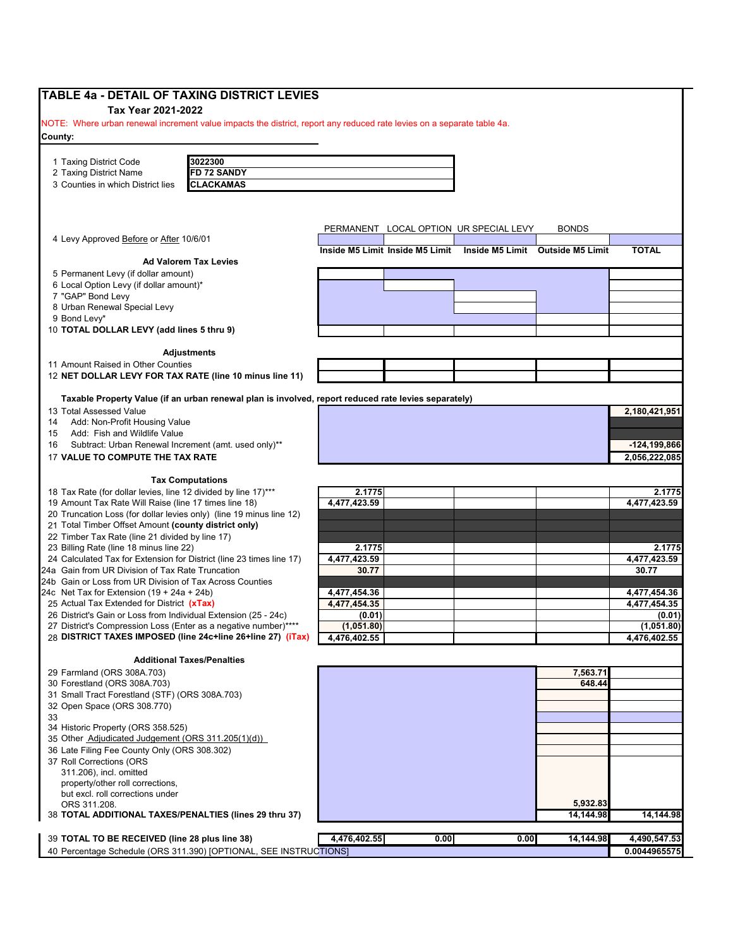| <b>TABLE 4a - DETAIL OF TAXING DISTRICT LEVIES</b>                                                                                                                                                                                                                          |              |                                 |                                        |                                  |                              |
|-----------------------------------------------------------------------------------------------------------------------------------------------------------------------------------------------------------------------------------------------------------------------------|--------------|---------------------------------|----------------------------------------|----------------------------------|------------------------------|
| Tax Year 2021-2022                                                                                                                                                                                                                                                          |              |                                 |                                        |                                  |                              |
| NOTE: Where urban renewal increment value impacts the district, report any reduced rate levies on a separate table 4a.                                                                                                                                                      |              |                                 |                                        |                                  |                              |
| County:                                                                                                                                                                                                                                                                     |              |                                 |                                        |                                  |                              |
|                                                                                                                                                                                                                                                                             |              |                                 |                                        |                                  |                              |
| 1 Taxing District Code<br>3022300                                                                                                                                                                                                                                           |              |                                 |                                        |                                  |                              |
| <b>FD 72 SANDY</b><br>2 Taxing District Name                                                                                                                                                                                                                                |              |                                 |                                        |                                  |                              |
| <b>CLACKAMAS</b><br>3 Counties in which District lies                                                                                                                                                                                                                       |              |                                 |                                        |                                  |                              |
|                                                                                                                                                                                                                                                                             |              |                                 |                                        |                                  |                              |
|                                                                                                                                                                                                                                                                             |              |                                 |                                        |                                  |                              |
|                                                                                                                                                                                                                                                                             |              |                                 |                                        |                                  |                              |
|                                                                                                                                                                                                                                                                             |              |                                 | PERMANENT LOCAL OPTION UR SPECIAL LEVY | <b>BONDS</b>                     |                              |
| 4 Levy Approved Before or After 10/6/01                                                                                                                                                                                                                                     |              |                                 |                                        |                                  |                              |
| <b>Ad Valorem Tax Levies</b>                                                                                                                                                                                                                                                |              | Inside M5 Limit Inside M5 Limit |                                        | Inside M5 Limit Outside M5 Limit | <b>TOTAL</b>                 |
|                                                                                                                                                                                                                                                                             |              |                                 |                                        |                                  |                              |
| 5 Permanent Levy (if dollar amount)<br>6 Local Option Levy (if dollar amount)*                                                                                                                                                                                              |              |                                 |                                        |                                  |                              |
| 7 "GAP" Bond Levy                                                                                                                                                                                                                                                           |              |                                 |                                        |                                  |                              |
| 8 Urban Renewal Special Levy                                                                                                                                                                                                                                                |              |                                 |                                        |                                  |                              |
| 9 Bond Levy*                                                                                                                                                                                                                                                                |              |                                 |                                        |                                  |                              |
| 10 TOTAL DOLLAR LEVY (add lines 5 thru 9)                                                                                                                                                                                                                                   |              |                                 |                                        |                                  |                              |
|                                                                                                                                                                                                                                                                             |              |                                 |                                        |                                  |                              |
| <b>Adjustments</b>                                                                                                                                                                                                                                                          |              |                                 |                                        |                                  |                              |
| 11 Amount Raised in Other Counties                                                                                                                                                                                                                                          |              |                                 |                                        |                                  |                              |
| 12 NET DOLLAR LEVY FOR TAX RATE (line 10 minus line 11)                                                                                                                                                                                                                     |              |                                 |                                        |                                  |                              |
|                                                                                                                                                                                                                                                                             |              |                                 |                                        |                                  |                              |
| Taxable Property Value (if an urban renewal plan is involved, report reduced rate levies separately)                                                                                                                                                                        |              |                                 |                                        |                                  |                              |
| 13 Total Assessed Value                                                                                                                                                                                                                                                     |              |                                 |                                        |                                  | 2,180,421,951                |
| Add: Non-Profit Housing Value<br>14                                                                                                                                                                                                                                         |              |                                 |                                        |                                  |                              |
| Add: Fish and Wildlife Value<br>15                                                                                                                                                                                                                                          |              |                                 |                                        |                                  |                              |
| Subtract: Urban Renewal Increment (amt. used only)**<br>16                                                                                                                                                                                                                  |              |                                 |                                        |                                  | $-124, 199, 866$             |
| 17 VALUE TO COMPUTE THE TAX RATE                                                                                                                                                                                                                                            |              |                                 |                                        |                                  | 2,056,222,085                |
|                                                                                                                                                                                                                                                                             |              |                                 |                                        |                                  |                              |
| <b>Tax Computations</b>                                                                                                                                                                                                                                                     |              |                                 |                                        |                                  |                              |
| 18 Tax Rate (for dollar levies, line 12 divided by line 17)***                                                                                                                                                                                                              | 2.1775       |                                 |                                        |                                  | 2.1775                       |
| 19 Amount Tax Rate Will Raise (line 17 times line 18)                                                                                                                                                                                                                       | 4,477,423.59 |                                 |                                        |                                  | 4,477,423.59                 |
| 20 Truncation Loss (for dollar levies only) (line 19 minus line 12)                                                                                                                                                                                                         |              |                                 |                                        |                                  |                              |
| 21 Total Timber Offset Amount (county district only)                                                                                                                                                                                                                        |              |                                 |                                        |                                  |                              |
| 22 Timber Tax Rate (line 21 divided by line 17)                                                                                                                                                                                                                             |              |                                 |                                        |                                  |                              |
| 23 Billing Rate (line 18 minus line 22)                                                                                                                                                                                                                                     | 2.1775       |                                 |                                        |                                  | 2.1775                       |
| 24 Calculated Tax for Extension for District (line 23 times line 17)                                                                                                                                                                                                        | 4,477,423.59 |                                 |                                        |                                  | 4,477,423.59                 |
| 24a Gain from UR Division of Tax Rate Truncation                                                                                                                                                                                                                            | 30.77        |                                 |                                        |                                  | 30.77                        |
| 24b Gain or Loss from UR Division of Tax Across Counties                                                                                                                                                                                                                    |              |                                 |                                        |                                  |                              |
| 24c Net Tax for Extension $(19 + 24a + 24b)$                                                                                                                                                                                                                                | 4,477,454.36 |                                 |                                        |                                  | 4,477,454.36                 |
| 25 Actual Tax Extended for District (xTax)                                                                                                                                                                                                                                  | 4,477,454.35 |                                 |                                        |                                  | 4,477,454.35                 |
| 26 District's Gain or Loss from Individual Extension (25 - 24c)                                                                                                                                                                                                             | (0.01)       |                                 |                                        |                                  | (0.01)                       |
| 27 District's Compression Loss (Enter as a negative number)<br>28 DISTRICT TAXES IMPOSED (line 24c+line 26+line 27) (iTax)                                                                                                                                                  | (1,051.80)   |                                 |                                        |                                  | (1,051.80)                   |
|                                                                                                                                                                                                                                                                             | 4,476,402.55 |                                 |                                        |                                  | 4,476,402.55                 |
| <b>Additional Taxes/Penalties</b>                                                                                                                                                                                                                                           |              |                                 |                                        |                                  |                              |
| 29 Farmland (ORS 308A.703)                                                                                                                                                                                                                                                  |              |                                 |                                        | 7,563.71                         |                              |
| 30 Forestland (ORS 308A.703)                                                                                                                                                                                                                                                |              |                                 |                                        | 648.44                           |                              |
|                                                                                                                                                                                                                                                                             |              |                                 |                                        |                                  |                              |
|                                                                                                                                                                                                                                                                             |              |                                 |                                        |                                  |                              |
|                                                                                                                                                                                                                                                                             |              |                                 |                                        |                                  |                              |
|                                                                                                                                                                                                                                                                             |              |                                 |                                        |                                  |                              |
|                                                                                                                                                                                                                                                                             |              |                                 |                                        |                                  |                              |
|                                                                                                                                                                                                                                                                             |              |                                 |                                        |                                  |                              |
|                                                                                                                                                                                                                                                                             |              |                                 |                                        |                                  |                              |
|                                                                                                                                                                                                                                                                             |              |                                 |                                        |                                  |                              |
| 311.206), incl. omitted                                                                                                                                                                                                                                                     |              |                                 |                                        |                                  |                              |
| property/other roll corrections,                                                                                                                                                                                                                                            |              |                                 |                                        |                                  |                              |
| but excl. roll corrections under                                                                                                                                                                                                                                            |              |                                 |                                        |                                  |                              |
| 31 Small Tract Forestland (STF) (ORS 308A.703)<br>32 Open Space (ORS 308.770)<br>33<br>34 Historic Property (ORS 358.525)<br>35 Other Adjudicated Judgement (ORS 311.205(1)(d))<br>36 Late Filing Fee County Only (ORS 308.302)<br>37 Roll Corrections (ORS<br>ORS 311.208. |              |                                 |                                        | 5,932.83                         |                              |
| 38 TOTAL ADDITIONAL TAXES/PENALTIES (lines 29 thru 37)                                                                                                                                                                                                                      |              |                                 |                                        | 14,144.98                        | 14,144.98                    |
|                                                                                                                                                                                                                                                                             |              |                                 |                                        |                                  |                              |
| 39 TOTAL TO BE RECEIVED (line 28 plus line 38)<br>40 Percentage Schedule (ORS 311.390) [OPTIONAL, SEE INSTRUCTIONS]                                                                                                                                                         | 4,476,402.55 | 0.00                            | 0.00                                   | 14,144.98                        | 4,490,547.53<br>0.0044965575 |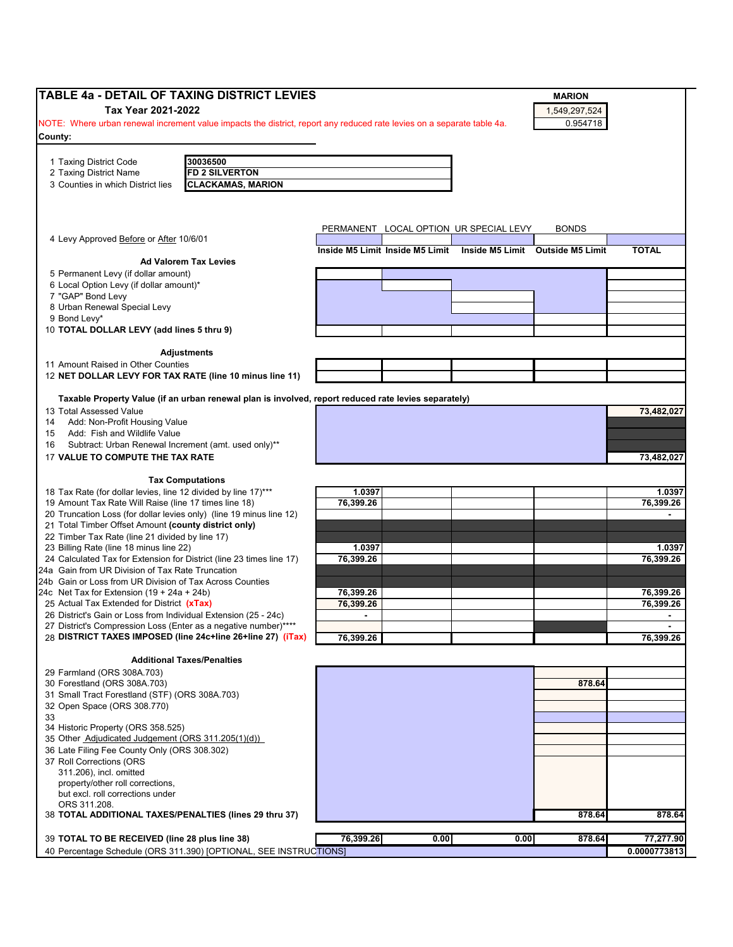| <b>TABLE 4a - DETAIL OF TAXING DISTRICT LEVIES</b>                                                                             |                |                                 |                                        | <b>MARION</b>                    |              |
|--------------------------------------------------------------------------------------------------------------------------------|----------------|---------------------------------|----------------------------------------|----------------------------------|--------------|
| Tax Year 2021-2022                                                                                                             |                |                                 |                                        | 1,549,297,524                    |              |
| NOTE: Where urban renewal increment value impacts the district, report any reduced rate levies on a separate table 4a.         |                |                                 |                                        | 0.954718                         |              |
| County:                                                                                                                        |                |                                 |                                        |                                  |              |
|                                                                                                                                |                |                                 |                                        |                                  |              |
| 30036500<br>1 Taxing District Code<br>2 Taxing District Name<br><b>FD 2 SILVERTON</b>                                          |                |                                 |                                        |                                  |              |
| <b>CLACKAMAS, MARION</b><br>3 Counties in which District lies                                                                  |                |                                 |                                        |                                  |              |
|                                                                                                                                |                |                                 |                                        |                                  |              |
|                                                                                                                                |                |                                 |                                        |                                  |              |
|                                                                                                                                |                |                                 | PERMANENT LOCAL OPTION UR SPECIAL LEVY | <b>BONDS</b>                     |              |
| 4 Levy Approved Before or After 10/6/01                                                                                        |                |                                 |                                        |                                  |              |
| <b>Ad Valorem Tax Levies</b>                                                                                                   |                | Inside M5 Limit Inside M5 Limit |                                        | Inside M5 Limit Outside M5 Limit | <b>TOTAL</b> |
| 5 Permanent Levy (if dollar amount)                                                                                            |                |                                 |                                        |                                  |              |
| 6 Local Option Levy (if dollar amount)*                                                                                        |                |                                 |                                        |                                  |              |
| 7 "GAP" Bond Levy                                                                                                              |                |                                 |                                        |                                  |              |
| 8 Urban Renewal Special Levy<br>9 Bond Levy*                                                                                   |                |                                 |                                        |                                  |              |
| 10 TOTAL DOLLAR LEVY (add lines 5 thru 9)                                                                                      |                |                                 |                                        |                                  |              |
|                                                                                                                                |                |                                 |                                        |                                  |              |
| <b>Adjustments</b>                                                                                                             |                |                                 |                                        |                                  |              |
| 11 Amount Raised in Other Counties<br>12 NET DOLLAR LEVY FOR TAX RATE (line 10 minus line 11)                                  |                |                                 |                                        |                                  |              |
|                                                                                                                                |                |                                 |                                        |                                  |              |
| Taxable Property Value (if an urban renewal plan is involved, report reduced rate levies separately)                           |                |                                 |                                        |                                  |              |
| 13 Total Assessed Value                                                                                                        |                |                                 |                                        |                                  | 73,482,027   |
| Add: Non-Profit Housing Value<br>14                                                                                            |                |                                 |                                        |                                  |              |
| Add: Fish and Wildlife Value<br>15                                                                                             |                |                                 |                                        |                                  |              |
| Subtract: Urban Renewal Increment (amt. used only)**<br>16                                                                     |                |                                 |                                        |                                  |              |
| 17 VALUE TO COMPUTE THE TAX RATE                                                                                               |                |                                 |                                        |                                  | 73,482,027   |
| <b>Tax Computations</b>                                                                                                        |                |                                 |                                        |                                  |              |
| 18 Tax Rate (for dollar levies, line 12 divided by line 17)***                                                                 | 1.0397         |                                 |                                        |                                  | 1.0397       |
| 19 Amount Tax Rate Will Raise (line 17 times line 18)                                                                          | 76,399.26      |                                 |                                        |                                  | 76,399.26    |
| 20 Truncation Loss (for dollar levies only) (line 19 minus line 12)<br>21 Total Timber Offset Amount (county district only)    |                |                                 |                                        |                                  |              |
| 22 Timber Tax Rate (line 21 divided by line 17)                                                                                |                |                                 |                                        |                                  |              |
| 23 Billing Rate (line 18 minus line 22)                                                                                        | 1.0397         |                                 |                                        |                                  | 1.0397       |
| 24 Calculated Tax for Extension for District (line 23 times line 17)                                                           | 76,399.26      |                                 |                                        |                                  | 76,399.26    |
| 24a Gain from UR Division of Tax Rate Truncation                                                                               |                |                                 |                                        |                                  |              |
| 24b Gain or Loss from UR Division of Tax Across Counties                                                                       |                |                                 |                                        |                                  |              |
| 24c Net Tax for Extension $(19 + 24a + 24b)$                                                                                   | 76,399.26      |                                 |                                        |                                  | 76,399.26    |
| 25 Actual Tax Extended for District (xTax)                                                                                     | 76,399.26      |                                 |                                        |                                  | 76,399.26    |
| 26 District's Gain or Loss from Individual Extension (25 - 24c)                                                                | $\blacksquare$ |                                 |                                        |                                  | ٠            |
| 27 District's Compression Loss (Enter as a negative number)****<br>28 DISTRICT TAXES IMPOSED (line 24c+line 26+line 27) (iTax) | 76,399.26      |                                 |                                        |                                  | 76,399.26    |
|                                                                                                                                |                |                                 |                                        |                                  |              |
| <b>Additional Taxes/Penalties</b>                                                                                              |                |                                 |                                        |                                  |              |
| 29 Farmland (ORS 308A.703)<br>30 Forestland (ORS 308A.703)                                                                     |                |                                 |                                        | 878.64                           |              |
| 31 Small Tract Forestland (STF) (ORS 308A.703)                                                                                 |                |                                 |                                        |                                  |              |
| 32 Open Space (ORS 308.770)                                                                                                    |                |                                 |                                        |                                  |              |
| 33                                                                                                                             |                |                                 |                                        |                                  |              |
| 34 Historic Property (ORS 358.525)                                                                                             |                |                                 |                                        |                                  |              |
| 35 Other Adjudicated Judgement (ORS 311.205(1)(d))                                                                             |                |                                 |                                        |                                  |              |
| 36 Late Filing Fee County Only (ORS 308.302)                                                                                   |                |                                 |                                        |                                  |              |
| 37 Roll Corrections (ORS                                                                                                       |                |                                 |                                        |                                  |              |
| 311.206), incl. omitted                                                                                                        |                |                                 |                                        |                                  |              |
| property/other roll corrections,                                                                                               |                |                                 |                                        |                                  |              |
| but excl. roll corrections under<br>ORS 311.208.                                                                               |                |                                 |                                        |                                  |              |
| 38 TOTAL ADDITIONAL TAXES/PENALTIES (lines 29 thru 37)                                                                         |                |                                 |                                        | 878.64                           | 878.64       |
|                                                                                                                                |                |                                 |                                        |                                  |              |
| 39 TOTAL TO BE RECEIVED (line 28 plus line 38)                                                                                 | 76,399.26      | 0.00                            | 0.00                                   | 878.64                           | 77,277.90    |
| 40 Percentage Schedule (ORS 311.390) [OPTIONAL, SEE INSTRUCTIONS]                                                              |                |                                 |                                        |                                  | 0.0000773813 |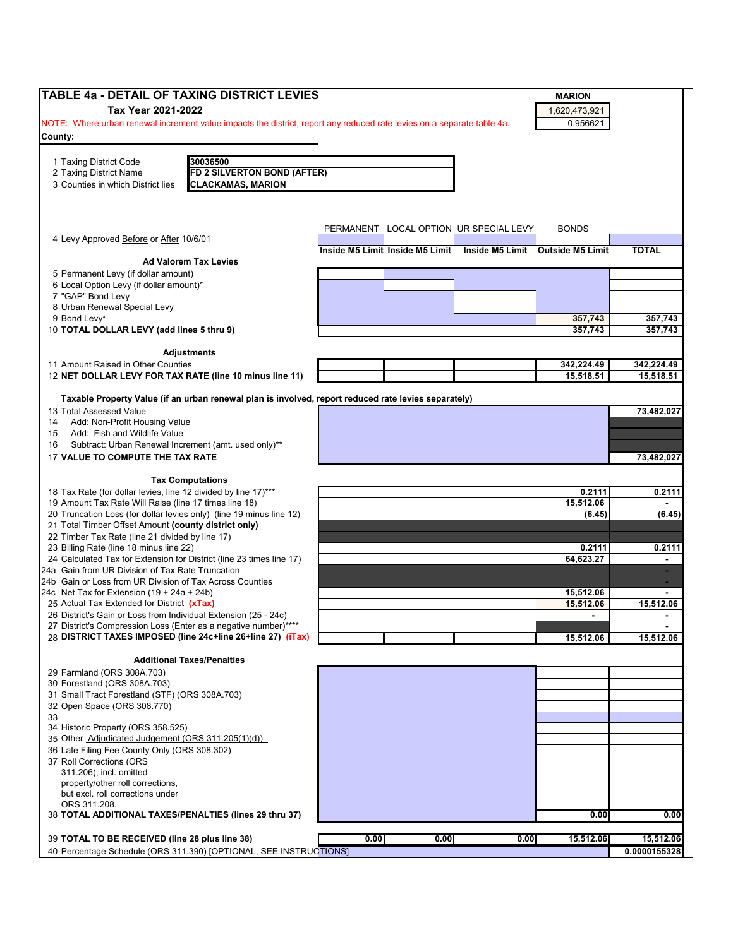| Tax Year 2021-2022<br>1,620,473,921<br>NOTE: Where urban renewal increment value impacts the district, report any reduced rate levies on a separate table 4a.<br>0.956621<br>30036500<br>1 Taxing District Code<br><b>FD 2 SILVERTON BOND (AFTER)</b><br><b>CLACKAMAS, MARION</b><br>PERMANENT LOCAL OPTION UR SPECIAL LEVY<br><b>BONDS</b><br><b>TOTAL</b><br>Inside M5 Limit Inside M5 Limit<br>Inside M5 Limit Outside M5 Limit<br><b>Ad Valorem Tax Levies</b><br>5 Permanent Levy (if dollar amount)<br>6 Local Option Levy (if dollar amount)*<br>7 "GAP" Bond Levy<br>8 Urban Renewal Special Levy<br>357,743<br>10 TOTAL DOLLAR LEVY (add lines 5 thru 9)<br>357,743<br><b>Adjustments</b><br>342,224.49<br>15,518.51<br>Taxable Property Value (if an urban renewal plan is involved, report reduced rate levies separately)<br><b>Tax Computations</b><br>0.2111<br>15,512.06<br>20 Truncation Loss (for dollar levies only) (line 19 minus line 12)<br>(6.45)<br>21 Total Timber Offset Amount (county district only)<br>22 Timber Tax Rate (line 21 divided by line 17)<br>23 Billing Rate (line 18 minus line 22)<br>0.2111<br>24 Calculated Tax for Extension for District (line 23 times line 17)<br>64,623.27<br>$\blacksquare$<br>24a Gain from UR Division of Tax Rate Truncation<br>$\sim$<br>24b Gain or Loss from UR Division of Tax Across Counties<br>÷<br>24c Net Tax for Extension $(19 + 24a + 24b)$<br>15,512.06<br>15,512.06<br>$\blacksquare$<br>$\blacksquare$<br>15,512.06<br><b>Additional Taxes/Penalties</b><br>35 Other Adjudicated Judgement (ORS 311.205(1)(d))<br>36 Late Filing Fee County Only (ORS 308.302)<br>37 Roll Corrections (ORS<br>311.206), incl. omitted<br>property/other roll corrections,<br>but excl. roll corrections under<br>0.00<br>0.00<br>0.00<br>0.00<br>15,512.06 | <b>TABLE 4a - DETAIL OF TAXING DISTRICT LEVIES</b>              |  | <b>MARION</b> |                |
|----------------------------------------------------------------------------------------------------------------------------------------------------------------------------------------------------------------------------------------------------------------------------------------------------------------------------------------------------------------------------------------------------------------------------------------------------------------------------------------------------------------------------------------------------------------------------------------------------------------------------------------------------------------------------------------------------------------------------------------------------------------------------------------------------------------------------------------------------------------------------------------------------------------------------------------------------------------------------------------------------------------------------------------------------------------------------------------------------------------------------------------------------------------------------------------------------------------------------------------------------------------------------------------------------------------------------------------------------------------------------------------------------------------------------------------------------------------------------------------------------------------------------------------------------------------------------------------------------------------------------------------------------------------------------------------------------------------------------------------------------------------------------------------------------------------------------------|-----------------------------------------------------------------|--|---------------|----------------|
|                                                                                                                                                                                                                                                                                                                                                                                                                                                                                                                                                                                                                                                                                                                                                                                                                                                                                                                                                                                                                                                                                                                                                                                                                                                                                                                                                                                                                                                                                                                                                                                                                                                                                                                                                                                                                                  |                                                                 |  |               |                |
|                                                                                                                                                                                                                                                                                                                                                                                                                                                                                                                                                                                                                                                                                                                                                                                                                                                                                                                                                                                                                                                                                                                                                                                                                                                                                                                                                                                                                                                                                                                                                                                                                                                                                                                                                                                                                                  |                                                                 |  |               |                |
|                                                                                                                                                                                                                                                                                                                                                                                                                                                                                                                                                                                                                                                                                                                                                                                                                                                                                                                                                                                                                                                                                                                                                                                                                                                                                                                                                                                                                                                                                                                                                                                                                                                                                                                                                                                                                                  |                                                                 |  |               |                |
|                                                                                                                                                                                                                                                                                                                                                                                                                                                                                                                                                                                                                                                                                                                                                                                                                                                                                                                                                                                                                                                                                                                                                                                                                                                                                                                                                                                                                                                                                                                                                                                                                                                                                                                                                                                                                                  | County:                                                         |  |               |                |
|                                                                                                                                                                                                                                                                                                                                                                                                                                                                                                                                                                                                                                                                                                                                                                                                                                                                                                                                                                                                                                                                                                                                                                                                                                                                                                                                                                                                                                                                                                                                                                                                                                                                                                                                                                                                                                  |                                                                 |  |               |                |
|                                                                                                                                                                                                                                                                                                                                                                                                                                                                                                                                                                                                                                                                                                                                                                                                                                                                                                                                                                                                                                                                                                                                                                                                                                                                                                                                                                                                                                                                                                                                                                                                                                                                                                                                                                                                                                  | 2 Taxing District Name                                          |  |               |                |
|                                                                                                                                                                                                                                                                                                                                                                                                                                                                                                                                                                                                                                                                                                                                                                                                                                                                                                                                                                                                                                                                                                                                                                                                                                                                                                                                                                                                                                                                                                                                                                                                                                                                                                                                                                                                                                  | 3 Counties in which District lies                               |  |               |                |
|                                                                                                                                                                                                                                                                                                                                                                                                                                                                                                                                                                                                                                                                                                                                                                                                                                                                                                                                                                                                                                                                                                                                                                                                                                                                                                                                                                                                                                                                                                                                                                                                                                                                                                                                                                                                                                  |                                                                 |  |               |                |
|                                                                                                                                                                                                                                                                                                                                                                                                                                                                                                                                                                                                                                                                                                                                                                                                                                                                                                                                                                                                                                                                                                                                                                                                                                                                                                                                                                                                                                                                                                                                                                                                                                                                                                                                                                                                                                  |                                                                 |  |               |                |
|                                                                                                                                                                                                                                                                                                                                                                                                                                                                                                                                                                                                                                                                                                                                                                                                                                                                                                                                                                                                                                                                                                                                                                                                                                                                                                                                                                                                                                                                                                                                                                                                                                                                                                                                                                                                                                  |                                                                 |  |               |                |
|                                                                                                                                                                                                                                                                                                                                                                                                                                                                                                                                                                                                                                                                                                                                                                                                                                                                                                                                                                                                                                                                                                                                                                                                                                                                                                                                                                                                                                                                                                                                                                                                                                                                                                                                                                                                                                  |                                                                 |  |               |                |
|                                                                                                                                                                                                                                                                                                                                                                                                                                                                                                                                                                                                                                                                                                                                                                                                                                                                                                                                                                                                                                                                                                                                                                                                                                                                                                                                                                                                                                                                                                                                                                                                                                                                                                                                                                                                                                  | 4 Levy Approved Before or After 10/6/01                         |  |               |                |
|                                                                                                                                                                                                                                                                                                                                                                                                                                                                                                                                                                                                                                                                                                                                                                                                                                                                                                                                                                                                                                                                                                                                                                                                                                                                                                                                                                                                                                                                                                                                                                                                                                                                                                                                                                                                                                  |                                                                 |  |               |                |
|                                                                                                                                                                                                                                                                                                                                                                                                                                                                                                                                                                                                                                                                                                                                                                                                                                                                                                                                                                                                                                                                                                                                                                                                                                                                                                                                                                                                                                                                                                                                                                                                                                                                                                                                                                                                                                  |                                                                 |  |               |                |
|                                                                                                                                                                                                                                                                                                                                                                                                                                                                                                                                                                                                                                                                                                                                                                                                                                                                                                                                                                                                                                                                                                                                                                                                                                                                                                                                                                                                                                                                                                                                                                                                                                                                                                                                                                                                                                  |                                                                 |  |               |                |
|                                                                                                                                                                                                                                                                                                                                                                                                                                                                                                                                                                                                                                                                                                                                                                                                                                                                                                                                                                                                                                                                                                                                                                                                                                                                                                                                                                                                                                                                                                                                                                                                                                                                                                                                                                                                                                  |                                                                 |  |               |                |
|                                                                                                                                                                                                                                                                                                                                                                                                                                                                                                                                                                                                                                                                                                                                                                                                                                                                                                                                                                                                                                                                                                                                                                                                                                                                                                                                                                                                                                                                                                                                                                                                                                                                                                                                                                                                                                  |                                                                 |  |               |                |
|                                                                                                                                                                                                                                                                                                                                                                                                                                                                                                                                                                                                                                                                                                                                                                                                                                                                                                                                                                                                                                                                                                                                                                                                                                                                                                                                                                                                                                                                                                                                                                                                                                                                                                                                                                                                                                  | 9 Bond Levy*                                                    |  |               | 357,743        |
|                                                                                                                                                                                                                                                                                                                                                                                                                                                                                                                                                                                                                                                                                                                                                                                                                                                                                                                                                                                                                                                                                                                                                                                                                                                                                                                                                                                                                                                                                                                                                                                                                                                                                                                                                                                                                                  |                                                                 |  |               | 357,743        |
|                                                                                                                                                                                                                                                                                                                                                                                                                                                                                                                                                                                                                                                                                                                                                                                                                                                                                                                                                                                                                                                                                                                                                                                                                                                                                                                                                                                                                                                                                                                                                                                                                                                                                                                                                                                                                                  |                                                                 |  |               |                |
|                                                                                                                                                                                                                                                                                                                                                                                                                                                                                                                                                                                                                                                                                                                                                                                                                                                                                                                                                                                                                                                                                                                                                                                                                                                                                                                                                                                                                                                                                                                                                                                                                                                                                                                                                                                                                                  |                                                                 |  |               |                |
|                                                                                                                                                                                                                                                                                                                                                                                                                                                                                                                                                                                                                                                                                                                                                                                                                                                                                                                                                                                                                                                                                                                                                                                                                                                                                                                                                                                                                                                                                                                                                                                                                                                                                                                                                                                                                                  | 11 Amount Raised in Other Counties                              |  |               | 342,224.49     |
|                                                                                                                                                                                                                                                                                                                                                                                                                                                                                                                                                                                                                                                                                                                                                                                                                                                                                                                                                                                                                                                                                                                                                                                                                                                                                                                                                                                                                                                                                                                                                                                                                                                                                                                                                                                                                                  | 12 NET DOLLAR LEVY FOR TAX RATE (line 10 minus line 11)         |  |               | 15,518.51      |
|                                                                                                                                                                                                                                                                                                                                                                                                                                                                                                                                                                                                                                                                                                                                                                                                                                                                                                                                                                                                                                                                                                                                                                                                                                                                                                                                                                                                                                                                                                                                                                                                                                                                                                                                                                                                                                  |                                                                 |  |               |                |
|                                                                                                                                                                                                                                                                                                                                                                                                                                                                                                                                                                                                                                                                                                                                                                                                                                                                                                                                                                                                                                                                                                                                                                                                                                                                                                                                                                                                                                                                                                                                                                                                                                                                                                                                                                                                                                  |                                                                 |  |               |                |
|                                                                                                                                                                                                                                                                                                                                                                                                                                                                                                                                                                                                                                                                                                                                                                                                                                                                                                                                                                                                                                                                                                                                                                                                                                                                                                                                                                                                                                                                                                                                                                                                                                                                                                                                                                                                                                  | 13 Total Assessed Value                                         |  |               | 73.482.027     |
|                                                                                                                                                                                                                                                                                                                                                                                                                                                                                                                                                                                                                                                                                                                                                                                                                                                                                                                                                                                                                                                                                                                                                                                                                                                                                                                                                                                                                                                                                                                                                                                                                                                                                                                                                                                                                                  | Add: Non-Profit Housing Value<br>14                             |  |               |                |
|                                                                                                                                                                                                                                                                                                                                                                                                                                                                                                                                                                                                                                                                                                                                                                                                                                                                                                                                                                                                                                                                                                                                                                                                                                                                                                                                                                                                                                                                                                                                                                                                                                                                                                                                                                                                                                  | Add: Fish and Wildlife Value<br>15                              |  |               |                |
|                                                                                                                                                                                                                                                                                                                                                                                                                                                                                                                                                                                                                                                                                                                                                                                                                                                                                                                                                                                                                                                                                                                                                                                                                                                                                                                                                                                                                                                                                                                                                                                                                                                                                                                                                                                                                                  | Subtract: Urban Renewal Increment (amt. used only)**<br>16      |  |               |                |
|                                                                                                                                                                                                                                                                                                                                                                                                                                                                                                                                                                                                                                                                                                                                                                                                                                                                                                                                                                                                                                                                                                                                                                                                                                                                                                                                                                                                                                                                                                                                                                                                                                                                                                                                                                                                                                  | 17 VALUE TO COMPUTE THE TAX RATE                                |  |               | 73,482,027     |
|                                                                                                                                                                                                                                                                                                                                                                                                                                                                                                                                                                                                                                                                                                                                                                                                                                                                                                                                                                                                                                                                                                                                                                                                                                                                                                                                                                                                                                                                                                                                                                                                                                                                                                                                                                                                                                  |                                                                 |  |               |                |
|                                                                                                                                                                                                                                                                                                                                                                                                                                                                                                                                                                                                                                                                                                                                                                                                                                                                                                                                                                                                                                                                                                                                                                                                                                                                                                                                                                                                                                                                                                                                                                                                                                                                                                                                                                                                                                  |                                                                 |  |               |                |
|                                                                                                                                                                                                                                                                                                                                                                                                                                                                                                                                                                                                                                                                                                                                                                                                                                                                                                                                                                                                                                                                                                                                                                                                                                                                                                                                                                                                                                                                                                                                                                                                                                                                                                                                                                                                                                  | 18 Tax Rate (for dollar levies, line 12 divided by line 17)***  |  |               | 0.2111         |
|                                                                                                                                                                                                                                                                                                                                                                                                                                                                                                                                                                                                                                                                                                                                                                                                                                                                                                                                                                                                                                                                                                                                                                                                                                                                                                                                                                                                                                                                                                                                                                                                                                                                                                                                                                                                                                  | 19 Amount Tax Rate Will Raise (line 17 times line 18)           |  |               | $\blacksquare$ |
|                                                                                                                                                                                                                                                                                                                                                                                                                                                                                                                                                                                                                                                                                                                                                                                                                                                                                                                                                                                                                                                                                                                                                                                                                                                                                                                                                                                                                                                                                                                                                                                                                                                                                                                                                                                                                                  |                                                                 |  |               | (6.45)         |
|                                                                                                                                                                                                                                                                                                                                                                                                                                                                                                                                                                                                                                                                                                                                                                                                                                                                                                                                                                                                                                                                                                                                                                                                                                                                                                                                                                                                                                                                                                                                                                                                                                                                                                                                                                                                                                  |                                                                 |  |               |                |
|                                                                                                                                                                                                                                                                                                                                                                                                                                                                                                                                                                                                                                                                                                                                                                                                                                                                                                                                                                                                                                                                                                                                                                                                                                                                                                                                                                                                                                                                                                                                                                                                                                                                                                                                                                                                                                  |                                                                 |  |               |                |
|                                                                                                                                                                                                                                                                                                                                                                                                                                                                                                                                                                                                                                                                                                                                                                                                                                                                                                                                                                                                                                                                                                                                                                                                                                                                                                                                                                                                                                                                                                                                                                                                                                                                                                                                                                                                                                  |                                                                 |  |               | 0.2111         |
|                                                                                                                                                                                                                                                                                                                                                                                                                                                                                                                                                                                                                                                                                                                                                                                                                                                                                                                                                                                                                                                                                                                                                                                                                                                                                                                                                                                                                                                                                                                                                                                                                                                                                                                                                                                                                                  |                                                                 |  |               |                |
|                                                                                                                                                                                                                                                                                                                                                                                                                                                                                                                                                                                                                                                                                                                                                                                                                                                                                                                                                                                                                                                                                                                                                                                                                                                                                                                                                                                                                                                                                                                                                                                                                                                                                                                                                                                                                                  |                                                                 |  |               |                |
|                                                                                                                                                                                                                                                                                                                                                                                                                                                                                                                                                                                                                                                                                                                                                                                                                                                                                                                                                                                                                                                                                                                                                                                                                                                                                                                                                                                                                                                                                                                                                                                                                                                                                                                                                                                                                                  |                                                                 |  |               | $\blacksquare$ |
|                                                                                                                                                                                                                                                                                                                                                                                                                                                                                                                                                                                                                                                                                                                                                                                                                                                                                                                                                                                                                                                                                                                                                                                                                                                                                                                                                                                                                                                                                                                                                                                                                                                                                                                                                                                                                                  | 25 Actual Tax Extended for District (xTax)                      |  |               | 15.512.06      |
|                                                                                                                                                                                                                                                                                                                                                                                                                                                                                                                                                                                                                                                                                                                                                                                                                                                                                                                                                                                                                                                                                                                                                                                                                                                                                                                                                                                                                                                                                                                                                                                                                                                                                                                                                                                                                                  | 26 District's Gain or Loss from Individual Extension (25 - 24c) |  |               | $\blacksquare$ |
|                                                                                                                                                                                                                                                                                                                                                                                                                                                                                                                                                                                                                                                                                                                                                                                                                                                                                                                                                                                                                                                                                                                                                                                                                                                                                                                                                                                                                                                                                                                                                                                                                                                                                                                                                                                                                                  | 27 District's Compression Loss (Enter as a negative number)**** |  |               |                |
|                                                                                                                                                                                                                                                                                                                                                                                                                                                                                                                                                                                                                                                                                                                                                                                                                                                                                                                                                                                                                                                                                                                                                                                                                                                                                                                                                                                                                                                                                                                                                                                                                                                                                                                                                                                                                                  | 28 DISTRICT TAXES IMPOSED (line 24c+line 26+line 27) (iTax)     |  |               | 15,512.06      |
|                                                                                                                                                                                                                                                                                                                                                                                                                                                                                                                                                                                                                                                                                                                                                                                                                                                                                                                                                                                                                                                                                                                                                                                                                                                                                                                                                                                                                                                                                                                                                                                                                                                                                                                                                                                                                                  |                                                                 |  |               |                |
|                                                                                                                                                                                                                                                                                                                                                                                                                                                                                                                                                                                                                                                                                                                                                                                                                                                                                                                                                                                                                                                                                                                                                                                                                                                                                                                                                                                                                                                                                                                                                                                                                                                                                                                                                                                                                                  |                                                                 |  |               |                |
|                                                                                                                                                                                                                                                                                                                                                                                                                                                                                                                                                                                                                                                                                                                                                                                                                                                                                                                                                                                                                                                                                                                                                                                                                                                                                                                                                                                                                                                                                                                                                                                                                                                                                                                                                                                                                                  | 29 Farmland (ORS 308A.703)                                      |  |               |                |
|                                                                                                                                                                                                                                                                                                                                                                                                                                                                                                                                                                                                                                                                                                                                                                                                                                                                                                                                                                                                                                                                                                                                                                                                                                                                                                                                                                                                                                                                                                                                                                                                                                                                                                                                                                                                                                  | 30 Forestland (ORS 308A.703)                                    |  |               |                |
|                                                                                                                                                                                                                                                                                                                                                                                                                                                                                                                                                                                                                                                                                                                                                                                                                                                                                                                                                                                                                                                                                                                                                                                                                                                                                                                                                                                                                                                                                                                                                                                                                                                                                                                                                                                                                                  | 31 Small Tract Forestland (STF) (ORS 308A.703)                  |  |               |                |
|                                                                                                                                                                                                                                                                                                                                                                                                                                                                                                                                                                                                                                                                                                                                                                                                                                                                                                                                                                                                                                                                                                                                                                                                                                                                                                                                                                                                                                                                                                                                                                                                                                                                                                                                                                                                                                  | 32 Open Space (ORS 308.770)                                     |  |               |                |
|                                                                                                                                                                                                                                                                                                                                                                                                                                                                                                                                                                                                                                                                                                                                                                                                                                                                                                                                                                                                                                                                                                                                                                                                                                                                                                                                                                                                                                                                                                                                                                                                                                                                                                                                                                                                                                  | 33                                                              |  |               |                |
|                                                                                                                                                                                                                                                                                                                                                                                                                                                                                                                                                                                                                                                                                                                                                                                                                                                                                                                                                                                                                                                                                                                                                                                                                                                                                                                                                                                                                                                                                                                                                                                                                                                                                                                                                                                                                                  | 34 Historic Property (ORS 358.525)                              |  |               |                |
|                                                                                                                                                                                                                                                                                                                                                                                                                                                                                                                                                                                                                                                                                                                                                                                                                                                                                                                                                                                                                                                                                                                                                                                                                                                                                                                                                                                                                                                                                                                                                                                                                                                                                                                                                                                                                                  |                                                                 |  |               |                |
|                                                                                                                                                                                                                                                                                                                                                                                                                                                                                                                                                                                                                                                                                                                                                                                                                                                                                                                                                                                                                                                                                                                                                                                                                                                                                                                                                                                                                                                                                                                                                                                                                                                                                                                                                                                                                                  |                                                                 |  |               |                |
|                                                                                                                                                                                                                                                                                                                                                                                                                                                                                                                                                                                                                                                                                                                                                                                                                                                                                                                                                                                                                                                                                                                                                                                                                                                                                                                                                                                                                                                                                                                                                                                                                                                                                                                                                                                                                                  |                                                                 |  |               |                |
|                                                                                                                                                                                                                                                                                                                                                                                                                                                                                                                                                                                                                                                                                                                                                                                                                                                                                                                                                                                                                                                                                                                                                                                                                                                                                                                                                                                                                                                                                                                                                                                                                                                                                                                                                                                                                                  |                                                                 |  |               |                |
|                                                                                                                                                                                                                                                                                                                                                                                                                                                                                                                                                                                                                                                                                                                                                                                                                                                                                                                                                                                                                                                                                                                                                                                                                                                                                                                                                                                                                                                                                                                                                                                                                                                                                                                                                                                                                                  |                                                                 |  |               |                |
|                                                                                                                                                                                                                                                                                                                                                                                                                                                                                                                                                                                                                                                                                                                                                                                                                                                                                                                                                                                                                                                                                                                                                                                                                                                                                                                                                                                                                                                                                                                                                                                                                                                                                                                                                                                                                                  | ORS 311.208.                                                    |  |               |                |
|                                                                                                                                                                                                                                                                                                                                                                                                                                                                                                                                                                                                                                                                                                                                                                                                                                                                                                                                                                                                                                                                                                                                                                                                                                                                                                                                                                                                                                                                                                                                                                                                                                                                                                                                                                                                                                  | 38 TOTAL ADDITIONAL TAXES/PENALTIES (lines 29 thru 37)          |  |               | 0.00           |
|                                                                                                                                                                                                                                                                                                                                                                                                                                                                                                                                                                                                                                                                                                                                                                                                                                                                                                                                                                                                                                                                                                                                                                                                                                                                                                                                                                                                                                                                                                                                                                                                                                                                                                                                                                                                                                  |                                                                 |  |               |                |
|                                                                                                                                                                                                                                                                                                                                                                                                                                                                                                                                                                                                                                                                                                                                                                                                                                                                                                                                                                                                                                                                                                                                                                                                                                                                                                                                                                                                                                                                                                                                                                                                                                                                                                                                                                                                                                  | 39 TOTAL TO BE RECEIVED (line 28 plus line 38)                  |  |               | 15,512.06      |
| 40 Percentage Schedule (ORS 311.390) [OPTIONAL, SEE INSTRUCTIONS]                                                                                                                                                                                                                                                                                                                                                                                                                                                                                                                                                                                                                                                                                                                                                                                                                                                                                                                                                                                                                                                                                                                                                                                                                                                                                                                                                                                                                                                                                                                                                                                                                                                                                                                                                                |                                                                 |  |               | 0.0000155328   |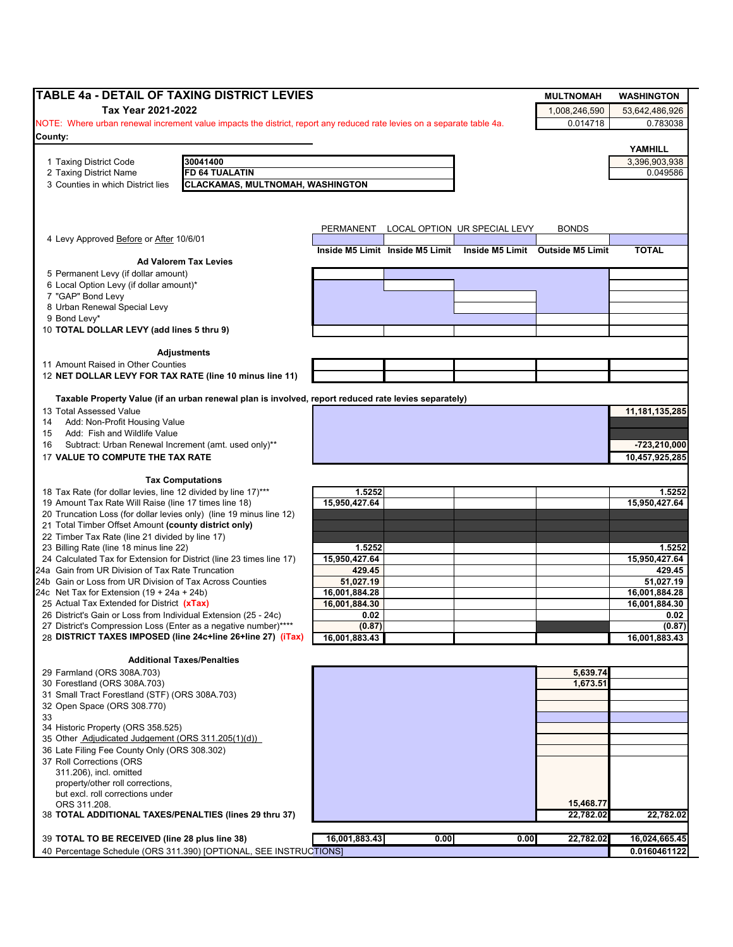| Tax Year 2021-2022<br>1,008,246,590<br>53,642,486,926<br>0.014718<br>0.783038<br>NOTE: Where urban renewal increment value impacts the district, report any reduced rate levies on a separate table 4a.<br>YAMHILL<br>30041400<br>1 Taxing District Code<br>3,396,903,938<br>FD 64 TUALATIN<br>0.049586<br>2 Taxing District Name<br><b>CLACKAMAS, MULTNOMAH, WASHINGTON</b><br>3 Counties in which District lies<br>LOCAL OPTION UR SPECIAL LEVY<br>PERMANENT<br><b>BONDS</b><br>4 Levy Approved Before or After 10/6/01<br><b>TOTAL</b><br>Inside M5 Limit Inside M5 Limit<br>Inside M5 Limit Outside M5 Limit<br><b>Ad Valorem Tax Levies</b><br>5 Permanent Levy (if dollar amount)<br>6 Local Option Levy (if dollar amount)*<br>9 Bond Levy*<br>10 TOTAL DOLLAR LEVY (add lines 5 thru 9)<br><b>Adjustments</b><br>11 Amount Raised in Other Counties<br>12 NET DOLLAR LEVY FOR TAX RATE (line 10 minus line 11)<br>Taxable Property Value (if an urban renewal plan is involved, report reduced rate levies separately)<br>13 Total Assessed Value<br>11, 181, 135, 285<br>Add: Non-Profit Housing Value<br>14<br>Add: Fish and Wildlife Value<br>15<br>Subtract: Urban Renewal Increment (amt. used only)**<br>$-723,210,000$<br>16<br>17 VALUE TO COMPUTE THE TAX RATE<br>10,457,925,285<br><b>Tax Computations</b><br>18 Tax Rate (for dollar levies, line 12 divided by line 17)***<br>1.5252<br>1.5252<br>15,950,427.64<br>19 Amount Tax Rate Will Raise (line 17 times line 18)<br>15,950,427.64<br>20 Truncation Loss (for dollar levies only) (line 19 minus line 12)<br>21 Total Timber Offset Amount (county district only)<br>22 Timber Tax Rate (line 21 divided by line 17)<br>23 Billing Rate (line 18 minus line 22)<br>1.5252<br>1.5252<br>15,950,427.64<br>15,950,427.64<br>24 Calculated Tax for Extension for District (line 23 times line 17)<br>24a Gain from UR Division of Tax Rate Truncation<br>429.45<br>429.45<br>24b Gain or Loss from UR Division of Tax Across Counties<br>51,027.19<br>51,027.19<br>16,001,884.28<br>24c Net Tax for Extension $(19 + 24a + 24b)$<br>16,001,884.28<br>25 Actual Tax Extended for District (xTax)<br>16,001,884.30<br>16,001,884.30<br>26 District's Gain or Loss from Individual Extension (25 - 24c)<br>0.02<br>0.02<br>(0.87)<br>(0.87)<br>27 District's Compression Loss (Enter as a negative number)****<br>28 DISTRICT TAXES IMPOSED (line 24c+line 26+line 27) (iTax)<br>16,001,883.43<br>16,001,883.43<br><b>Additional Taxes/Penalties</b><br>29 Farmland (ORS 308A.703)<br>5,639.74<br>1,673.51<br>30 Forestland (ORS 308A.703)<br>31 Small Tract Forestland (STF) (ORS 308A.703)<br>32 Open Space (ORS 308.770)<br>33<br>34 Historic Property (ORS 358.525)<br>35 Other Adjudicated Judgement (ORS 311.205(1)(d))<br>36 Late Filing Fee County Only (ORS 308.302)<br>37 Roll Corrections (ORS<br>311.206), incl. omitted<br>property/other roll corrections,<br>but excl. roll corrections under<br>15,468.77<br>ORS 311.208.<br>22,782.02<br>38 TOTAL ADDITIONAL TAXES/PENALTIES (lines 29 thru 37)<br>22,782.02<br>16,001,883.43<br>0.00<br>0.00<br>39 TOTAL TO BE RECEIVED (line 28 plus line 38)<br>22,782.02<br>16,024,665.45<br>40 Percentage Schedule (ORS 311.390) [OPTIONAL, SEE INSTRUCTIONS] | TABLE 4a - DETAIL OF TAXING DISTRICT LEVIES |  |  | <b>MULTNOMAH</b> | <b>WASHINGTON</b> |
|-----------------------------------------------------------------------------------------------------------------------------------------------------------------------------------------------------------------------------------------------------------------------------------------------------------------------------------------------------------------------------------------------------------------------------------------------------------------------------------------------------------------------------------------------------------------------------------------------------------------------------------------------------------------------------------------------------------------------------------------------------------------------------------------------------------------------------------------------------------------------------------------------------------------------------------------------------------------------------------------------------------------------------------------------------------------------------------------------------------------------------------------------------------------------------------------------------------------------------------------------------------------------------------------------------------------------------------------------------------------------------------------------------------------------------------------------------------------------------------------------------------------------------------------------------------------------------------------------------------------------------------------------------------------------------------------------------------------------------------------------------------------------------------------------------------------------------------------------------------------------------------------------------------------------------------------------------------------------------------------------------------------------------------------------------------------------------------------------------------------------------------------------------------------------------------------------------------------------------------------------------------------------------------------------------------------------------------------------------------------------------------------------------------------------------------------------------------------------------------------------------------------------------------------------------------------------------------------------------------------------------------------------------------------------------------------------------------------------------------------------------------------------------------------------------------------------------------------------------------------------------------------------------------------------------------------------------------------------------------------------------------------------------------------------------------------------------------------------------------------------------------------------------------------------------------------------------------------------------------------------------------------------------------------|---------------------------------------------|--|--|------------------|-------------------|
|                                                                                                                                                                                                                                                                                                                                                                                                                                                                                                                                                                                                                                                                                                                                                                                                                                                                                                                                                                                                                                                                                                                                                                                                                                                                                                                                                                                                                                                                                                                                                                                                                                                                                                                                                                                                                                                                                                                                                                                                                                                                                                                                                                                                                                                                                                                                                                                                                                                                                                                                                                                                                                                                                                                                                                                                                                                                                                                                                                                                                                                                                                                                                                                                                                                                                         |                                             |  |  |                  |                   |
|                                                                                                                                                                                                                                                                                                                                                                                                                                                                                                                                                                                                                                                                                                                                                                                                                                                                                                                                                                                                                                                                                                                                                                                                                                                                                                                                                                                                                                                                                                                                                                                                                                                                                                                                                                                                                                                                                                                                                                                                                                                                                                                                                                                                                                                                                                                                                                                                                                                                                                                                                                                                                                                                                                                                                                                                                                                                                                                                                                                                                                                                                                                                                                                                                                                                                         |                                             |  |  |                  |                   |
|                                                                                                                                                                                                                                                                                                                                                                                                                                                                                                                                                                                                                                                                                                                                                                                                                                                                                                                                                                                                                                                                                                                                                                                                                                                                                                                                                                                                                                                                                                                                                                                                                                                                                                                                                                                                                                                                                                                                                                                                                                                                                                                                                                                                                                                                                                                                                                                                                                                                                                                                                                                                                                                                                                                                                                                                                                                                                                                                                                                                                                                                                                                                                                                                                                                                                         | County:                                     |  |  |                  |                   |
|                                                                                                                                                                                                                                                                                                                                                                                                                                                                                                                                                                                                                                                                                                                                                                                                                                                                                                                                                                                                                                                                                                                                                                                                                                                                                                                                                                                                                                                                                                                                                                                                                                                                                                                                                                                                                                                                                                                                                                                                                                                                                                                                                                                                                                                                                                                                                                                                                                                                                                                                                                                                                                                                                                                                                                                                                                                                                                                                                                                                                                                                                                                                                                                                                                                                                         |                                             |  |  |                  |                   |
|                                                                                                                                                                                                                                                                                                                                                                                                                                                                                                                                                                                                                                                                                                                                                                                                                                                                                                                                                                                                                                                                                                                                                                                                                                                                                                                                                                                                                                                                                                                                                                                                                                                                                                                                                                                                                                                                                                                                                                                                                                                                                                                                                                                                                                                                                                                                                                                                                                                                                                                                                                                                                                                                                                                                                                                                                                                                                                                                                                                                                                                                                                                                                                                                                                                                                         |                                             |  |  |                  |                   |
|                                                                                                                                                                                                                                                                                                                                                                                                                                                                                                                                                                                                                                                                                                                                                                                                                                                                                                                                                                                                                                                                                                                                                                                                                                                                                                                                                                                                                                                                                                                                                                                                                                                                                                                                                                                                                                                                                                                                                                                                                                                                                                                                                                                                                                                                                                                                                                                                                                                                                                                                                                                                                                                                                                                                                                                                                                                                                                                                                                                                                                                                                                                                                                                                                                                                                         |                                             |  |  |                  |                   |
|                                                                                                                                                                                                                                                                                                                                                                                                                                                                                                                                                                                                                                                                                                                                                                                                                                                                                                                                                                                                                                                                                                                                                                                                                                                                                                                                                                                                                                                                                                                                                                                                                                                                                                                                                                                                                                                                                                                                                                                                                                                                                                                                                                                                                                                                                                                                                                                                                                                                                                                                                                                                                                                                                                                                                                                                                                                                                                                                                                                                                                                                                                                                                                                                                                                                                         |                                             |  |  |                  |                   |
|                                                                                                                                                                                                                                                                                                                                                                                                                                                                                                                                                                                                                                                                                                                                                                                                                                                                                                                                                                                                                                                                                                                                                                                                                                                                                                                                                                                                                                                                                                                                                                                                                                                                                                                                                                                                                                                                                                                                                                                                                                                                                                                                                                                                                                                                                                                                                                                                                                                                                                                                                                                                                                                                                                                                                                                                                                                                                                                                                                                                                                                                                                                                                                                                                                                                                         |                                             |  |  |                  |                   |
|                                                                                                                                                                                                                                                                                                                                                                                                                                                                                                                                                                                                                                                                                                                                                                                                                                                                                                                                                                                                                                                                                                                                                                                                                                                                                                                                                                                                                                                                                                                                                                                                                                                                                                                                                                                                                                                                                                                                                                                                                                                                                                                                                                                                                                                                                                                                                                                                                                                                                                                                                                                                                                                                                                                                                                                                                                                                                                                                                                                                                                                                                                                                                                                                                                                                                         |                                             |  |  |                  |                   |
|                                                                                                                                                                                                                                                                                                                                                                                                                                                                                                                                                                                                                                                                                                                                                                                                                                                                                                                                                                                                                                                                                                                                                                                                                                                                                                                                                                                                                                                                                                                                                                                                                                                                                                                                                                                                                                                                                                                                                                                                                                                                                                                                                                                                                                                                                                                                                                                                                                                                                                                                                                                                                                                                                                                                                                                                                                                                                                                                                                                                                                                                                                                                                                                                                                                                                         |                                             |  |  |                  |                   |
|                                                                                                                                                                                                                                                                                                                                                                                                                                                                                                                                                                                                                                                                                                                                                                                                                                                                                                                                                                                                                                                                                                                                                                                                                                                                                                                                                                                                                                                                                                                                                                                                                                                                                                                                                                                                                                                                                                                                                                                                                                                                                                                                                                                                                                                                                                                                                                                                                                                                                                                                                                                                                                                                                                                                                                                                                                                                                                                                                                                                                                                                                                                                                                                                                                                                                         |                                             |  |  |                  |                   |
|                                                                                                                                                                                                                                                                                                                                                                                                                                                                                                                                                                                                                                                                                                                                                                                                                                                                                                                                                                                                                                                                                                                                                                                                                                                                                                                                                                                                                                                                                                                                                                                                                                                                                                                                                                                                                                                                                                                                                                                                                                                                                                                                                                                                                                                                                                                                                                                                                                                                                                                                                                                                                                                                                                                                                                                                                                                                                                                                                                                                                                                                                                                                                                                                                                                                                         |                                             |  |  |                  |                   |
|                                                                                                                                                                                                                                                                                                                                                                                                                                                                                                                                                                                                                                                                                                                                                                                                                                                                                                                                                                                                                                                                                                                                                                                                                                                                                                                                                                                                                                                                                                                                                                                                                                                                                                                                                                                                                                                                                                                                                                                                                                                                                                                                                                                                                                                                                                                                                                                                                                                                                                                                                                                                                                                                                                                                                                                                                                                                                                                                                                                                                                                                                                                                                                                                                                                                                         | 7 "GAP" Bond Levy                           |  |  |                  |                   |
|                                                                                                                                                                                                                                                                                                                                                                                                                                                                                                                                                                                                                                                                                                                                                                                                                                                                                                                                                                                                                                                                                                                                                                                                                                                                                                                                                                                                                                                                                                                                                                                                                                                                                                                                                                                                                                                                                                                                                                                                                                                                                                                                                                                                                                                                                                                                                                                                                                                                                                                                                                                                                                                                                                                                                                                                                                                                                                                                                                                                                                                                                                                                                                                                                                                                                         | 8 Urban Renewal Special Levy                |  |  |                  |                   |
|                                                                                                                                                                                                                                                                                                                                                                                                                                                                                                                                                                                                                                                                                                                                                                                                                                                                                                                                                                                                                                                                                                                                                                                                                                                                                                                                                                                                                                                                                                                                                                                                                                                                                                                                                                                                                                                                                                                                                                                                                                                                                                                                                                                                                                                                                                                                                                                                                                                                                                                                                                                                                                                                                                                                                                                                                                                                                                                                                                                                                                                                                                                                                                                                                                                                                         |                                             |  |  |                  |                   |
|                                                                                                                                                                                                                                                                                                                                                                                                                                                                                                                                                                                                                                                                                                                                                                                                                                                                                                                                                                                                                                                                                                                                                                                                                                                                                                                                                                                                                                                                                                                                                                                                                                                                                                                                                                                                                                                                                                                                                                                                                                                                                                                                                                                                                                                                                                                                                                                                                                                                                                                                                                                                                                                                                                                                                                                                                                                                                                                                                                                                                                                                                                                                                                                                                                                                                         |                                             |  |  |                  |                   |
|                                                                                                                                                                                                                                                                                                                                                                                                                                                                                                                                                                                                                                                                                                                                                                                                                                                                                                                                                                                                                                                                                                                                                                                                                                                                                                                                                                                                                                                                                                                                                                                                                                                                                                                                                                                                                                                                                                                                                                                                                                                                                                                                                                                                                                                                                                                                                                                                                                                                                                                                                                                                                                                                                                                                                                                                                                                                                                                                                                                                                                                                                                                                                                                                                                                                                         |                                             |  |  |                  |                   |
|                                                                                                                                                                                                                                                                                                                                                                                                                                                                                                                                                                                                                                                                                                                                                                                                                                                                                                                                                                                                                                                                                                                                                                                                                                                                                                                                                                                                                                                                                                                                                                                                                                                                                                                                                                                                                                                                                                                                                                                                                                                                                                                                                                                                                                                                                                                                                                                                                                                                                                                                                                                                                                                                                                                                                                                                                                                                                                                                                                                                                                                                                                                                                                                                                                                                                         |                                             |  |  |                  |                   |
|                                                                                                                                                                                                                                                                                                                                                                                                                                                                                                                                                                                                                                                                                                                                                                                                                                                                                                                                                                                                                                                                                                                                                                                                                                                                                                                                                                                                                                                                                                                                                                                                                                                                                                                                                                                                                                                                                                                                                                                                                                                                                                                                                                                                                                                                                                                                                                                                                                                                                                                                                                                                                                                                                                                                                                                                                                                                                                                                                                                                                                                                                                                                                                                                                                                                                         |                                             |  |  |                  |                   |
|                                                                                                                                                                                                                                                                                                                                                                                                                                                                                                                                                                                                                                                                                                                                                                                                                                                                                                                                                                                                                                                                                                                                                                                                                                                                                                                                                                                                                                                                                                                                                                                                                                                                                                                                                                                                                                                                                                                                                                                                                                                                                                                                                                                                                                                                                                                                                                                                                                                                                                                                                                                                                                                                                                                                                                                                                                                                                                                                                                                                                                                                                                                                                                                                                                                                                         |                                             |  |  |                  |                   |
|                                                                                                                                                                                                                                                                                                                                                                                                                                                                                                                                                                                                                                                                                                                                                                                                                                                                                                                                                                                                                                                                                                                                                                                                                                                                                                                                                                                                                                                                                                                                                                                                                                                                                                                                                                                                                                                                                                                                                                                                                                                                                                                                                                                                                                                                                                                                                                                                                                                                                                                                                                                                                                                                                                                                                                                                                                                                                                                                                                                                                                                                                                                                                                                                                                                                                         |                                             |  |  |                  |                   |
|                                                                                                                                                                                                                                                                                                                                                                                                                                                                                                                                                                                                                                                                                                                                                                                                                                                                                                                                                                                                                                                                                                                                                                                                                                                                                                                                                                                                                                                                                                                                                                                                                                                                                                                                                                                                                                                                                                                                                                                                                                                                                                                                                                                                                                                                                                                                                                                                                                                                                                                                                                                                                                                                                                                                                                                                                                                                                                                                                                                                                                                                                                                                                                                                                                                                                         |                                             |  |  |                  |                   |
|                                                                                                                                                                                                                                                                                                                                                                                                                                                                                                                                                                                                                                                                                                                                                                                                                                                                                                                                                                                                                                                                                                                                                                                                                                                                                                                                                                                                                                                                                                                                                                                                                                                                                                                                                                                                                                                                                                                                                                                                                                                                                                                                                                                                                                                                                                                                                                                                                                                                                                                                                                                                                                                                                                                                                                                                                                                                                                                                                                                                                                                                                                                                                                                                                                                                                         |                                             |  |  |                  |                   |
|                                                                                                                                                                                                                                                                                                                                                                                                                                                                                                                                                                                                                                                                                                                                                                                                                                                                                                                                                                                                                                                                                                                                                                                                                                                                                                                                                                                                                                                                                                                                                                                                                                                                                                                                                                                                                                                                                                                                                                                                                                                                                                                                                                                                                                                                                                                                                                                                                                                                                                                                                                                                                                                                                                                                                                                                                                                                                                                                                                                                                                                                                                                                                                                                                                                                                         |                                             |  |  |                  |                   |
|                                                                                                                                                                                                                                                                                                                                                                                                                                                                                                                                                                                                                                                                                                                                                                                                                                                                                                                                                                                                                                                                                                                                                                                                                                                                                                                                                                                                                                                                                                                                                                                                                                                                                                                                                                                                                                                                                                                                                                                                                                                                                                                                                                                                                                                                                                                                                                                                                                                                                                                                                                                                                                                                                                                                                                                                                                                                                                                                                                                                                                                                                                                                                                                                                                                                                         |                                             |  |  |                  |                   |
|                                                                                                                                                                                                                                                                                                                                                                                                                                                                                                                                                                                                                                                                                                                                                                                                                                                                                                                                                                                                                                                                                                                                                                                                                                                                                                                                                                                                                                                                                                                                                                                                                                                                                                                                                                                                                                                                                                                                                                                                                                                                                                                                                                                                                                                                                                                                                                                                                                                                                                                                                                                                                                                                                                                                                                                                                                                                                                                                                                                                                                                                                                                                                                                                                                                                                         |                                             |  |  |                  |                   |
|                                                                                                                                                                                                                                                                                                                                                                                                                                                                                                                                                                                                                                                                                                                                                                                                                                                                                                                                                                                                                                                                                                                                                                                                                                                                                                                                                                                                                                                                                                                                                                                                                                                                                                                                                                                                                                                                                                                                                                                                                                                                                                                                                                                                                                                                                                                                                                                                                                                                                                                                                                                                                                                                                                                                                                                                                                                                                                                                                                                                                                                                                                                                                                                                                                                                                         |                                             |  |  |                  |                   |
|                                                                                                                                                                                                                                                                                                                                                                                                                                                                                                                                                                                                                                                                                                                                                                                                                                                                                                                                                                                                                                                                                                                                                                                                                                                                                                                                                                                                                                                                                                                                                                                                                                                                                                                                                                                                                                                                                                                                                                                                                                                                                                                                                                                                                                                                                                                                                                                                                                                                                                                                                                                                                                                                                                                                                                                                                                                                                                                                                                                                                                                                                                                                                                                                                                                                                         |                                             |  |  |                  |                   |
|                                                                                                                                                                                                                                                                                                                                                                                                                                                                                                                                                                                                                                                                                                                                                                                                                                                                                                                                                                                                                                                                                                                                                                                                                                                                                                                                                                                                                                                                                                                                                                                                                                                                                                                                                                                                                                                                                                                                                                                                                                                                                                                                                                                                                                                                                                                                                                                                                                                                                                                                                                                                                                                                                                                                                                                                                                                                                                                                                                                                                                                                                                                                                                                                                                                                                         |                                             |  |  |                  |                   |
|                                                                                                                                                                                                                                                                                                                                                                                                                                                                                                                                                                                                                                                                                                                                                                                                                                                                                                                                                                                                                                                                                                                                                                                                                                                                                                                                                                                                                                                                                                                                                                                                                                                                                                                                                                                                                                                                                                                                                                                                                                                                                                                                                                                                                                                                                                                                                                                                                                                                                                                                                                                                                                                                                                                                                                                                                                                                                                                                                                                                                                                                                                                                                                                                                                                                                         |                                             |  |  |                  |                   |
|                                                                                                                                                                                                                                                                                                                                                                                                                                                                                                                                                                                                                                                                                                                                                                                                                                                                                                                                                                                                                                                                                                                                                                                                                                                                                                                                                                                                                                                                                                                                                                                                                                                                                                                                                                                                                                                                                                                                                                                                                                                                                                                                                                                                                                                                                                                                                                                                                                                                                                                                                                                                                                                                                                                                                                                                                                                                                                                                                                                                                                                                                                                                                                                                                                                                                         |                                             |  |  |                  |                   |
|                                                                                                                                                                                                                                                                                                                                                                                                                                                                                                                                                                                                                                                                                                                                                                                                                                                                                                                                                                                                                                                                                                                                                                                                                                                                                                                                                                                                                                                                                                                                                                                                                                                                                                                                                                                                                                                                                                                                                                                                                                                                                                                                                                                                                                                                                                                                                                                                                                                                                                                                                                                                                                                                                                                                                                                                                                                                                                                                                                                                                                                                                                                                                                                                                                                                                         |                                             |  |  |                  |                   |
|                                                                                                                                                                                                                                                                                                                                                                                                                                                                                                                                                                                                                                                                                                                                                                                                                                                                                                                                                                                                                                                                                                                                                                                                                                                                                                                                                                                                                                                                                                                                                                                                                                                                                                                                                                                                                                                                                                                                                                                                                                                                                                                                                                                                                                                                                                                                                                                                                                                                                                                                                                                                                                                                                                                                                                                                                                                                                                                                                                                                                                                                                                                                                                                                                                                                                         |                                             |  |  |                  |                   |
|                                                                                                                                                                                                                                                                                                                                                                                                                                                                                                                                                                                                                                                                                                                                                                                                                                                                                                                                                                                                                                                                                                                                                                                                                                                                                                                                                                                                                                                                                                                                                                                                                                                                                                                                                                                                                                                                                                                                                                                                                                                                                                                                                                                                                                                                                                                                                                                                                                                                                                                                                                                                                                                                                                                                                                                                                                                                                                                                                                                                                                                                                                                                                                                                                                                                                         |                                             |  |  |                  |                   |
|                                                                                                                                                                                                                                                                                                                                                                                                                                                                                                                                                                                                                                                                                                                                                                                                                                                                                                                                                                                                                                                                                                                                                                                                                                                                                                                                                                                                                                                                                                                                                                                                                                                                                                                                                                                                                                                                                                                                                                                                                                                                                                                                                                                                                                                                                                                                                                                                                                                                                                                                                                                                                                                                                                                                                                                                                                                                                                                                                                                                                                                                                                                                                                                                                                                                                         |                                             |  |  |                  |                   |
|                                                                                                                                                                                                                                                                                                                                                                                                                                                                                                                                                                                                                                                                                                                                                                                                                                                                                                                                                                                                                                                                                                                                                                                                                                                                                                                                                                                                                                                                                                                                                                                                                                                                                                                                                                                                                                                                                                                                                                                                                                                                                                                                                                                                                                                                                                                                                                                                                                                                                                                                                                                                                                                                                                                                                                                                                                                                                                                                                                                                                                                                                                                                                                                                                                                                                         |                                             |  |  |                  |                   |
|                                                                                                                                                                                                                                                                                                                                                                                                                                                                                                                                                                                                                                                                                                                                                                                                                                                                                                                                                                                                                                                                                                                                                                                                                                                                                                                                                                                                                                                                                                                                                                                                                                                                                                                                                                                                                                                                                                                                                                                                                                                                                                                                                                                                                                                                                                                                                                                                                                                                                                                                                                                                                                                                                                                                                                                                                                                                                                                                                                                                                                                                                                                                                                                                                                                                                         |                                             |  |  |                  |                   |
|                                                                                                                                                                                                                                                                                                                                                                                                                                                                                                                                                                                                                                                                                                                                                                                                                                                                                                                                                                                                                                                                                                                                                                                                                                                                                                                                                                                                                                                                                                                                                                                                                                                                                                                                                                                                                                                                                                                                                                                                                                                                                                                                                                                                                                                                                                                                                                                                                                                                                                                                                                                                                                                                                                                                                                                                                                                                                                                                                                                                                                                                                                                                                                                                                                                                                         |                                             |  |  |                  |                   |
|                                                                                                                                                                                                                                                                                                                                                                                                                                                                                                                                                                                                                                                                                                                                                                                                                                                                                                                                                                                                                                                                                                                                                                                                                                                                                                                                                                                                                                                                                                                                                                                                                                                                                                                                                                                                                                                                                                                                                                                                                                                                                                                                                                                                                                                                                                                                                                                                                                                                                                                                                                                                                                                                                                                                                                                                                                                                                                                                                                                                                                                                                                                                                                                                                                                                                         |                                             |  |  |                  |                   |
|                                                                                                                                                                                                                                                                                                                                                                                                                                                                                                                                                                                                                                                                                                                                                                                                                                                                                                                                                                                                                                                                                                                                                                                                                                                                                                                                                                                                                                                                                                                                                                                                                                                                                                                                                                                                                                                                                                                                                                                                                                                                                                                                                                                                                                                                                                                                                                                                                                                                                                                                                                                                                                                                                                                                                                                                                                                                                                                                                                                                                                                                                                                                                                                                                                                                                         |                                             |  |  |                  |                   |
|                                                                                                                                                                                                                                                                                                                                                                                                                                                                                                                                                                                                                                                                                                                                                                                                                                                                                                                                                                                                                                                                                                                                                                                                                                                                                                                                                                                                                                                                                                                                                                                                                                                                                                                                                                                                                                                                                                                                                                                                                                                                                                                                                                                                                                                                                                                                                                                                                                                                                                                                                                                                                                                                                                                                                                                                                                                                                                                                                                                                                                                                                                                                                                                                                                                                                         |                                             |  |  |                  |                   |
|                                                                                                                                                                                                                                                                                                                                                                                                                                                                                                                                                                                                                                                                                                                                                                                                                                                                                                                                                                                                                                                                                                                                                                                                                                                                                                                                                                                                                                                                                                                                                                                                                                                                                                                                                                                                                                                                                                                                                                                                                                                                                                                                                                                                                                                                                                                                                                                                                                                                                                                                                                                                                                                                                                                                                                                                                                                                                                                                                                                                                                                                                                                                                                                                                                                                                         |                                             |  |  |                  |                   |
|                                                                                                                                                                                                                                                                                                                                                                                                                                                                                                                                                                                                                                                                                                                                                                                                                                                                                                                                                                                                                                                                                                                                                                                                                                                                                                                                                                                                                                                                                                                                                                                                                                                                                                                                                                                                                                                                                                                                                                                                                                                                                                                                                                                                                                                                                                                                                                                                                                                                                                                                                                                                                                                                                                                                                                                                                                                                                                                                                                                                                                                                                                                                                                                                                                                                                         |                                             |  |  |                  |                   |
|                                                                                                                                                                                                                                                                                                                                                                                                                                                                                                                                                                                                                                                                                                                                                                                                                                                                                                                                                                                                                                                                                                                                                                                                                                                                                                                                                                                                                                                                                                                                                                                                                                                                                                                                                                                                                                                                                                                                                                                                                                                                                                                                                                                                                                                                                                                                                                                                                                                                                                                                                                                                                                                                                                                                                                                                                                                                                                                                                                                                                                                                                                                                                                                                                                                                                         |                                             |  |  |                  |                   |
|                                                                                                                                                                                                                                                                                                                                                                                                                                                                                                                                                                                                                                                                                                                                                                                                                                                                                                                                                                                                                                                                                                                                                                                                                                                                                                                                                                                                                                                                                                                                                                                                                                                                                                                                                                                                                                                                                                                                                                                                                                                                                                                                                                                                                                                                                                                                                                                                                                                                                                                                                                                                                                                                                                                                                                                                                                                                                                                                                                                                                                                                                                                                                                                                                                                                                         |                                             |  |  |                  |                   |
|                                                                                                                                                                                                                                                                                                                                                                                                                                                                                                                                                                                                                                                                                                                                                                                                                                                                                                                                                                                                                                                                                                                                                                                                                                                                                                                                                                                                                                                                                                                                                                                                                                                                                                                                                                                                                                                                                                                                                                                                                                                                                                                                                                                                                                                                                                                                                                                                                                                                                                                                                                                                                                                                                                                                                                                                                                                                                                                                                                                                                                                                                                                                                                                                                                                                                         |                                             |  |  |                  |                   |
|                                                                                                                                                                                                                                                                                                                                                                                                                                                                                                                                                                                                                                                                                                                                                                                                                                                                                                                                                                                                                                                                                                                                                                                                                                                                                                                                                                                                                                                                                                                                                                                                                                                                                                                                                                                                                                                                                                                                                                                                                                                                                                                                                                                                                                                                                                                                                                                                                                                                                                                                                                                                                                                                                                                                                                                                                                                                                                                                                                                                                                                                                                                                                                                                                                                                                         |                                             |  |  |                  |                   |
|                                                                                                                                                                                                                                                                                                                                                                                                                                                                                                                                                                                                                                                                                                                                                                                                                                                                                                                                                                                                                                                                                                                                                                                                                                                                                                                                                                                                                                                                                                                                                                                                                                                                                                                                                                                                                                                                                                                                                                                                                                                                                                                                                                                                                                                                                                                                                                                                                                                                                                                                                                                                                                                                                                                                                                                                                                                                                                                                                                                                                                                                                                                                                                                                                                                                                         |                                             |  |  |                  |                   |
|                                                                                                                                                                                                                                                                                                                                                                                                                                                                                                                                                                                                                                                                                                                                                                                                                                                                                                                                                                                                                                                                                                                                                                                                                                                                                                                                                                                                                                                                                                                                                                                                                                                                                                                                                                                                                                                                                                                                                                                                                                                                                                                                                                                                                                                                                                                                                                                                                                                                                                                                                                                                                                                                                                                                                                                                                                                                                                                                                                                                                                                                                                                                                                                                                                                                                         |                                             |  |  |                  |                   |
|                                                                                                                                                                                                                                                                                                                                                                                                                                                                                                                                                                                                                                                                                                                                                                                                                                                                                                                                                                                                                                                                                                                                                                                                                                                                                                                                                                                                                                                                                                                                                                                                                                                                                                                                                                                                                                                                                                                                                                                                                                                                                                                                                                                                                                                                                                                                                                                                                                                                                                                                                                                                                                                                                                                                                                                                                                                                                                                                                                                                                                                                                                                                                                                                                                                                                         |                                             |  |  |                  |                   |
|                                                                                                                                                                                                                                                                                                                                                                                                                                                                                                                                                                                                                                                                                                                                                                                                                                                                                                                                                                                                                                                                                                                                                                                                                                                                                                                                                                                                                                                                                                                                                                                                                                                                                                                                                                                                                                                                                                                                                                                                                                                                                                                                                                                                                                                                                                                                                                                                                                                                                                                                                                                                                                                                                                                                                                                                                                                                                                                                                                                                                                                                                                                                                                                                                                                                                         |                                             |  |  |                  |                   |
|                                                                                                                                                                                                                                                                                                                                                                                                                                                                                                                                                                                                                                                                                                                                                                                                                                                                                                                                                                                                                                                                                                                                                                                                                                                                                                                                                                                                                                                                                                                                                                                                                                                                                                                                                                                                                                                                                                                                                                                                                                                                                                                                                                                                                                                                                                                                                                                                                                                                                                                                                                                                                                                                                                                                                                                                                                                                                                                                                                                                                                                                                                                                                                                                                                                                                         |                                             |  |  |                  |                   |
|                                                                                                                                                                                                                                                                                                                                                                                                                                                                                                                                                                                                                                                                                                                                                                                                                                                                                                                                                                                                                                                                                                                                                                                                                                                                                                                                                                                                                                                                                                                                                                                                                                                                                                                                                                                                                                                                                                                                                                                                                                                                                                                                                                                                                                                                                                                                                                                                                                                                                                                                                                                                                                                                                                                                                                                                                                                                                                                                                                                                                                                                                                                                                                                                                                                                                         |                                             |  |  |                  |                   |
|                                                                                                                                                                                                                                                                                                                                                                                                                                                                                                                                                                                                                                                                                                                                                                                                                                                                                                                                                                                                                                                                                                                                                                                                                                                                                                                                                                                                                                                                                                                                                                                                                                                                                                                                                                                                                                                                                                                                                                                                                                                                                                                                                                                                                                                                                                                                                                                                                                                                                                                                                                                                                                                                                                                                                                                                                                                                                                                                                                                                                                                                                                                                                                                                                                                                                         |                                             |  |  |                  |                   |
|                                                                                                                                                                                                                                                                                                                                                                                                                                                                                                                                                                                                                                                                                                                                                                                                                                                                                                                                                                                                                                                                                                                                                                                                                                                                                                                                                                                                                                                                                                                                                                                                                                                                                                                                                                                                                                                                                                                                                                                                                                                                                                                                                                                                                                                                                                                                                                                                                                                                                                                                                                                                                                                                                                                                                                                                                                                                                                                                                                                                                                                                                                                                                                                                                                                                                         |                                             |  |  |                  |                   |
|                                                                                                                                                                                                                                                                                                                                                                                                                                                                                                                                                                                                                                                                                                                                                                                                                                                                                                                                                                                                                                                                                                                                                                                                                                                                                                                                                                                                                                                                                                                                                                                                                                                                                                                                                                                                                                                                                                                                                                                                                                                                                                                                                                                                                                                                                                                                                                                                                                                                                                                                                                                                                                                                                                                                                                                                                                                                                                                                                                                                                                                                                                                                                                                                                                                                                         |                                             |  |  |                  |                   |
|                                                                                                                                                                                                                                                                                                                                                                                                                                                                                                                                                                                                                                                                                                                                                                                                                                                                                                                                                                                                                                                                                                                                                                                                                                                                                                                                                                                                                                                                                                                                                                                                                                                                                                                                                                                                                                                                                                                                                                                                                                                                                                                                                                                                                                                                                                                                                                                                                                                                                                                                                                                                                                                                                                                                                                                                                                                                                                                                                                                                                                                                                                                                                                                                                                                                                         |                                             |  |  |                  | 0.0160461122      |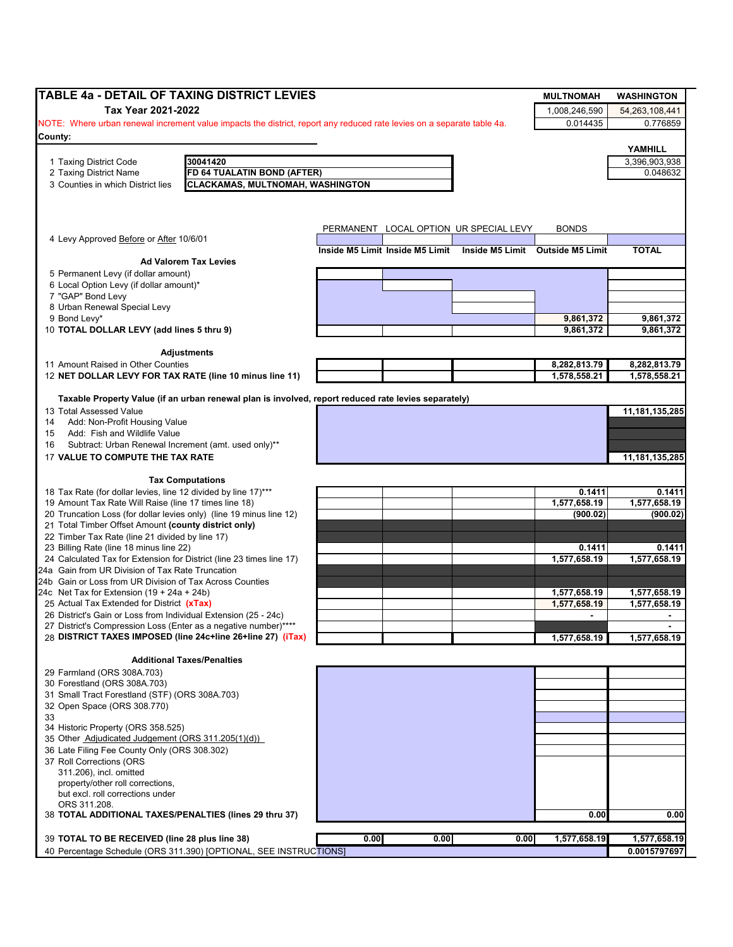|                                                                                                                                | TABLE 4a - DETAIL OF TAXING DISTRICT LEVIES                                                          |      |                                 |                                        | <b>MULTNOMAH</b>                 | <b>WASHINGTON</b> |
|--------------------------------------------------------------------------------------------------------------------------------|------------------------------------------------------------------------------------------------------|------|---------------------------------|----------------------------------------|----------------------------------|-------------------|
| Tax Year 2021-2022                                                                                                             |                                                                                                      |      |                                 |                                        | 1,008,246,590                    | 54,263,108,441    |
| NOTE: Where urban renewal increment value impacts the district, report any reduced rate levies on a separate table 4a.         |                                                                                                      |      |                                 |                                        | 0.014435                         | 0.776859          |
| County:                                                                                                                        |                                                                                                      |      |                                 |                                        |                                  |                   |
|                                                                                                                                |                                                                                                      |      |                                 |                                        |                                  | YAMHILL           |
| 1 Taxing District Code                                                                                                         | 30041420                                                                                             |      |                                 |                                        |                                  | 3,396,903,938     |
| 2 Taxing District Name                                                                                                         | FD 64 TUALATIN BOND (AFTER)                                                                          |      |                                 |                                        |                                  | 0.048632          |
| 3 Counties in which District lies                                                                                              | <b>CLACKAMAS, MULTNOMAH, WASHINGTON</b>                                                              |      |                                 |                                        |                                  |                   |
|                                                                                                                                |                                                                                                      |      |                                 |                                        |                                  |                   |
|                                                                                                                                |                                                                                                      |      |                                 |                                        |                                  |                   |
| 4 Levy Approved Before or After 10/6/01                                                                                        |                                                                                                      |      |                                 | PERMANENT LOCAL OPTION UR SPECIAL LEVY | <b>BONDS</b>                     |                   |
|                                                                                                                                |                                                                                                      |      | Inside M5 Limit Inside M5 Limit |                                        | Inside M5 Limit Outside M5 Limit | <b>TOTAL</b>      |
| 5 Permanent Levy (if dollar amount)                                                                                            | <b>Ad Valorem Tax Levies</b>                                                                         |      |                                 |                                        |                                  |                   |
| 6 Local Option Levy (if dollar amount)*                                                                                        |                                                                                                      |      |                                 |                                        |                                  |                   |
| 7 "GAP" Bond Levy                                                                                                              |                                                                                                      |      |                                 |                                        |                                  |                   |
| 8 Urban Renewal Special Levy                                                                                                   |                                                                                                      |      |                                 |                                        |                                  |                   |
| 9 Bond Levy*                                                                                                                   |                                                                                                      |      |                                 |                                        | 9,861,372                        | 9,861,372         |
| 10 TOTAL DOLLAR LEVY (add lines 5 thru 9)                                                                                      |                                                                                                      |      |                                 |                                        | 9,861,372                        | 9,861,372         |
|                                                                                                                                | <b>Adjustments</b>                                                                                   |      |                                 |                                        |                                  |                   |
| 11 Amount Raised in Other Counties                                                                                             |                                                                                                      |      |                                 |                                        | 8,282,813.79                     | 8,282,813.79      |
| 12 NET DOLLAR LEVY FOR TAX RATE (line 10 minus line 11)                                                                        |                                                                                                      |      |                                 |                                        | 1,578,558.21                     | 1,578,558.21      |
|                                                                                                                                |                                                                                                      |      |                                 |                                        |                                  |                   |
|                                                                                                                                | Taxable Property Value (if an urban renewal plan is involved, report reduced rate levies separately) |      |                                 |                                        |                                  |                   |
| 13 Total Assessed Value<br>Add: Non-Profit Housing Value                                                                       |                                                                                                      |      |                                 |                                        |                                  | 11,181,135,285    |
| 14<br>Add: Fish and Wildlife Value<br>15                                                                                       |                                                                                                      |      |                                 |                                        |                                  |                   |
| Subtract: Urban Renewal Increment (amt. used only)**                                                                           |                                                                                                      |      |                                 |                                        |                                  |                   |
| 16<br>17 VALUE TO COMPUTE THE TAX RATE                                                                                         |                                                                                                      |      |                                 |                                        |                                  | 11, 181, 135, 285 |
|                                                                                                                                |                                                                                                      |      |                                 |                                        |                                  |                   |
|                                                                                                                                | <b>Tax Computations</b>                                                                              |      |                                 |                                        |                                  |                   |
| 18 Tax Rate (for dollar levies, line 12 divided by line 17)***                                                                 |                                                                                                      |      |                                 |                                        | 0.1411                           | 0.1411            |
| 19 Amount Tax Rate Will Raise (line 17 times line 18)                                                                          |                                                                                                      |      |                                 |                                        | 1,577,658.19                     | 1,577,658.19      |
| 20 Truncation Loss (for dollar levies only) (line 19 minus line 12)<br>21 Total Timber Offset Amount (county district only)    |                                                                                                      |      |                                 |                                        | (900.02)                         | (900.02)          |
| 22 Timber Tax Rate (line 21 divided by line 17)                                                                                |                                                                                                      |      |                                 |                                        |                                  |                   |
| 23 Billing Rate (line 18 minus line 22)                                                                                        |                                                                                                      |      |                                 |                                        | 0.1411                           | 0.1411            |
| 24 Calculated Tax for Extension for District (line 23 times line 17)                                                           |                                                                                                      |      |                                 |                                        | 1,577,658.19                     | 1,577,658.19      |
| 24a Gain from UR Division of Tax Rate Truncation                                                                               |                                                                                                      |      |                                 |                                        |                                  |                   |
| 24b Gain or Loss from UR Division of Tax Across Counties                                                                       |                                                                                                      |      |                                 |                                        |                                  |                   |
| 24c Net Tax for Extension $(19 + 24a + 24b)$                                                                                   |                                                                                                      |      |                                 |                                        | 1.577.658.19                     | 1,577,658.19      |
| 25 Actual Tax Extended for District (xTax)                                                                                     |                                                                                                      |      |                                 |                                        | 1,577,658.19                     | 1,577,658.19      |
| 26 District's Gain or Loss from Individual Extension (25 - 24c)                                                                |                                                                                                      |      |                                 |                                        |                                  |                   |
| 27 District's Compression Loss (Enter as a negative number)****<br>28 DISTRICT TAXES IMPOSED (line 24c+line 26+line 27) (iTax) |                                                                                                      |      |                                 |                                        | 1,577,658.19                     | 1,577,658.19      |
|                                                                                                                                |                                                                                                      |      |                                 |                                        |                                  |                   |
|                                                                                                                                | <b>Additional Taxes/Penalties</b>                                                                    |      |                                 |                                        |                                  |                   |
| 29 Farmland (ORS 308A.703)                                                                                                     |                                                                                                      |      |                                 |                                        |                                  |                   |
| 30 Forestland (ORS 308A.703)                                                                                                   |                                                                                                      |      |                                 |                                        |                                  |                   |
| 31 Small Tract Forestland (STF) (ORS 308A.703)<br>32 Open Space (ORS 308.770)                                                  |                                                                                                      |      |                                 |                                        |                                  |                   |
|                                                                                                                                |                                                                                                      |      |                                 |                                        |                                  |                   |
| 34 Historic Property (ORS 358.525)                                                                                             |                                                                                                      |      |                                 |                                        |                                  |                   |
| 35 Other Adjudicated Judgement (ORS 311.205(1)(d))                                                                             |                                                                                                      |      |                                 |                                        |                                  |                   |
| 36 Late Filing Fee County Only (ORS 308.302)                                                                                   |                                                                                                      |      |                                 |                                        |                                  |                   |
| 37 Roll Corrections (ORS                                                                                                       |                                                                                                      |      |                                 |                                        |                                  |                   |
| 311.206), incl. omitted                                                                                                        |                                                                                                      |      |                                 |                                        |                                  |                   |
| property/other roll corrections,                                                                                               |                                                                                                      |      |                                 |                                        |                                  |                   |
| but excl. roll corrections under                                                                                               |                                                                                                      |      |                                 |                                        |                                  |                   |
| ORS 311.208.                                                                                                                   |                                                                                                      |      |                                 |                                        |                                  |                   |
| 38 TOTAL ADDITIONAL TAXES/PENALTIES (lines 29 thru 37)                                                                         |                                                                                                      |      |                                 |                                        | 0.00                             | 0.00              |
|                                                                                                                                |                                                                                                      |      |                                 |                                        |                                  |                   |
| 39 TOTAL TO BE RECEIVED (line 28 plus line 38)                                                                                 |                                                                                                      | 0.00 | 0.00                            | 0.00                                   | 1,577,658.19                     | 1,577,658.19      |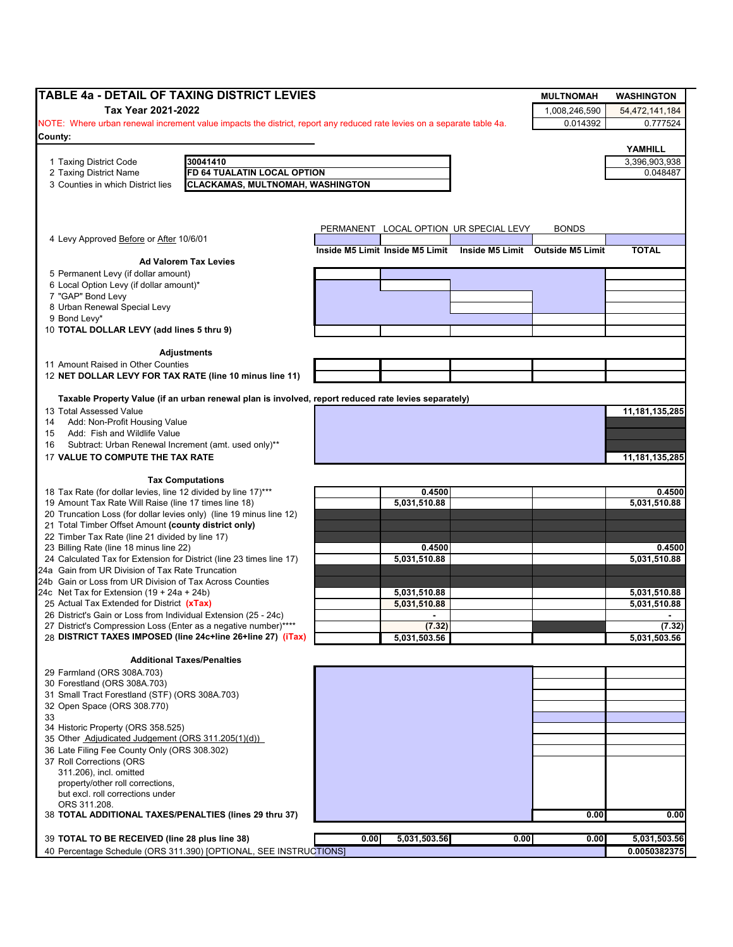| <b>TABLE 4a - DETAIL OF TAXING DISTRICT LEVIES</b>                                                                             |                                                                                                      |      |              |                                                                  | <b>MULTNOMAH</b> | <b>WASHINGTON</b> |
|--------------------------------------------------------------------------------------------------------------------------------|------------------------------------------------------------------------------------------------------|------|--------------|------------------------------------------------------------------|------------------|-------------------|
| Tax Year 2021-2022                                                                                                             |                                                                                                      |      |              |                                                                  | 1,008,246,590    | 54,472,141,184    |
| NOTE: Where urban renewal increment value impacts the district, report any reduced rate levies on a separate table 4a.         |                                                                                                      |      |              |                                                                  | 0.014392         | 0.777524          |
| County:                                                                                                                        |                                                                                                      |      |              |                                                                  |                  |                   |
|                                                                                                                                |                                                                                                      |      |              |                                                                  |                  | YAMHILL           |
| 1 Taxing District Code                                                                                                         | 30041410                                                                                             |      |              |                                                                  |                  | 3,396,903,938     |
| 2 Taxing District Name                                                                                                         | FD 64 TUALATIN LOCAL OPTION                                                                          |      |              |                                                                  |                  | 0.048487          |
| 3 Counties in which District lies                                                                                              | <b>CLACKAMAS, MULTNOMAH, WASHINGTON</b>                                                              |      |              |                                                                  |                  |                   |
|                                                                                                                                |                                                                                                      |      |              |                                                                  |                  |                   |
|                                                                                                                                |                                                                                                      |      |              |                                                                  |                  |                   |
|                                                                                                                                |                                                                                                      |      |              | PERMANENT LOCAL OPTION UR SPECIAL LEVY                           | <b>BONDS</b>     |                   |
| 4 Levy Approved Before or After 10/6/01                                                                                        |                                                                                                      |      |              |                                                                  |                  |                   |
|                                                                                                                                |                                                                                                      |      |              | Inside M5 Limit Inside M5 Limit Inside M5 Limit Outside M5 Limit |                  | <b>TOTAL</b>      |
|                                                                                                                                | <b>Ad Valorem Tax Levies</b>                                                                         |      |              |                                                                  |                  |                   |
| 5 Permanent Levy (if dollar amount)<br>6 Local Option Levy (if dollar amount)*                                                 |                                                                                                      |      |              |                                                                  |                  |                   |
| 7 "GAP" Bond Levy                                                                                                              |                                                                                                      |      |              |                                                                  |                  |                   |
| 8 Urban Renewal Special Levy                                                                                                   |                                                                                                      |      |              |                                                                  |                  |                   |
| 9 Bond Levy*                                                                                                                   |                                                                                                      |      |              |                                                                  |                  |                   |
| 10 TOTAL DOLLAR LEVY (add lines 5 thru 9)                                                                                      |                                                                                                      |      |              |                                                                  |                  |                   |
|                                                                                                                                |                                                                                                      |      |              |                                                                  |                  |                   |
|                                                                                                                                | Adjustments                                                                                          |      |              |                                                                  |                  |                   |
| 11 Amount Raised in Other Counties                                                                                             |                                                                                                      |      |              |                                                                  |                  |                   |
| 12 NET DOLLAR LEVY FOR TAX RATE (line 10 minus line 11)                                                                        |                                                                                                      |      |              |                                                                  |                  |                   |
|                                                                                                                                | Taxable Property Value (if an urban renewal plan is involved, report reduced rate levies separately) |      |              |                                                                  |                  |                   |
| 13 Total Assessed Value                                                                                                        |                                                                                                      |      |              |                                                                  |                  | 11, 181, 135, 285 |
| Add: Non-Profit Housing Value<br>14                                                                                            |                                                                                                      |      |              |                                                                  |                  |                   |
| Add: Fish and Wildlife Value<br>15                                                                                             |                                                                                                      |      |              |                                                                  |                  |                   |
| Subtract: Urban Renewal Increment (amt. used only)**<br>16                                                                     |                                                                                                      |      |              |                                                                  |                  |                   |
| 17 VALUE TO COMPUTE THE TAX RATE                                                                                               |                                                                                                      |      |              |                                                                  |                  | 11, 181, 135, 285 |
|                                                                                                                                |                                                                                                      |      |              |                                                                  |                  |                   |
|                                                                                                                                | <b>Tax Computations</b>                                                                              |      |              |                                                                  |                  |                   |
| 18 Tax Rate (for dollar levies, line 12 divided by line 17)***                                                                 |                                                                                                      |      | 0.4500       |                                                                  |                  | 0.4500            |
| 19 Amount Tax Rate Will Raise (line 17 times line 18)                                                                          |                                                                                                      |      | 5,031,510.88 |                                                                  |                  | 5,031,510.88      |
| 20 Truncation Loss (for dollar levies only) (line 19 minus line 12)<br>21 Total Timber Offset Amount (county district only)    |                                                                                                      |      |              |                                                                  |                  |                   |
| 22 Timber Tax Rate (line 21 divided by line 17)                                                                                |                                                                                                      |      |              |                                                                  |                  |                   |
| 23 Billing Rate (line 18 minus line 22)                                                                                        |                                                                                                      |      | 0.4500       |                                                                  |                  | 0.4500            |
| 24 Calculated Tax for Extension for District (line 23 times line 17)                                                           |                                                                                                      |      | 5,031,510.88 |                                                                  |                  | 5,031,510.88      |
| 24a Gain from UR Division of Tax Rate Truncation                                                                               |                                                                                                      |      |              |                                                                  |                  |                   |
| 24b Gain or Loss from UR Division of Tax Across Counties                                                                       |                                                                                                      |      |              |                                                                  |                  |                   |
| 24c Net Tax for Extension $(19 + 24a + 24b)$                                                                                   |                                                                                                      |      | 5,031,510.88 |                                                                  |                  | 5,031,510.88      |
| 25 Actual Tax Extended for District (xTax)                                                                                     |                                                                                                      |      | 5,031,510.88 |                                                                  |                  | 5,031,510.88      |
| 26 District's Gain or Loss from Individual Extension (25 - 24c)                                                                |                                                                                                      |      |              |                                                                  |                  |                   |
| 27 District's Compression Loss (Enter as a negative number)****<br>28 DISTRICT TAXES IMPOSED (line 24c+line 26+line 27) (iTax) |                                                                                                      |      | (7.32)       |                                                                  |                  | (7.32)            |
|                                                                                                                                |                                                                                                      |      | 5,031,503.56 |                                                                  |                  | 5,031,503.56      |
|                                                                                                                                | <b>Additional Taxes/Penalties</b>                                                                    |      |              |                                                                  |                  |                   |
| 29 Farmland (ORS 308A.703)                                                                                                     |                                                                                                      |      |              |                                                                  |                  |                   |
| 30 Forestland (ORS 308A.703)                                                                                                   |                                                                                                      |      |              |                                                                  |                  |                   |
| 31 Small Tract Forestland (STF) (ORS 308A.703)                                                                                 |                                                                                                      |      |              |                                                                  |                  |                   |
| 32 Open Space (ORS 308.770)                                                                                                    |                                                                                                      |      |              |                                                                  |                  |                   |
| 33                                                                                                                             |                                                                                                      |      |              |                                                                  |                  |                   |
| 34 Historic Property (ORS 358.525)<br>35 Other Adjudicated Judgement (ORS 311.205(1)(d))                                       |                                                                                                      |      |              |                                                                  |                  |                   |
| 36 Late Filing Fee County Only (ORS 308.302)                                                                                   |                                                                                                      |      |              |                                                                  |                  |                   |
| 37 Roll Corrections (ORS                                                                                                       |                                                                                                      |      |              |                                                                  |                  |                   |
| 311.206), incl. omitted                                                                                                        |                                                                                                      |      |              |                                                                  |                  |                   |
| property/other roll corrections,                                                                                               |                                                                                                      |      |              |                                                                  |                  |                   |
| but excl. roll corrections under                                                                                               |                                                                                                      |      |              |                                                                  |                  |                   |
| ORS 311.208.                                                                                                                   |                                                                                                      |      |              |                                                                  |                  |                   |
| 38 TOTAL ADDITIONAL TAXES/PENALTIES (lines 29 thru 37)                                                                         |                                                                                                      |      |              |                                                                  | 0.00             | 0.00              |
|                                                                                                                                |                                                                                                      |      |              |                                                                  |                  |                   |
| 39 TOTAL TO BE RECEIVED (line 28 plus line 38)                                                                                 |                                                                                                      | 0.00 | 5,031,503.56 | 0.00                                                             | 0.00             | 5,031,503.56      |
| 40 Percentage Schedule (ORS 311.390) [OPTIONAL, SEE INSTRUCTIONS]                                                              |                                                                                                      |      |              |                                                                  |                  | 0.0050382375      |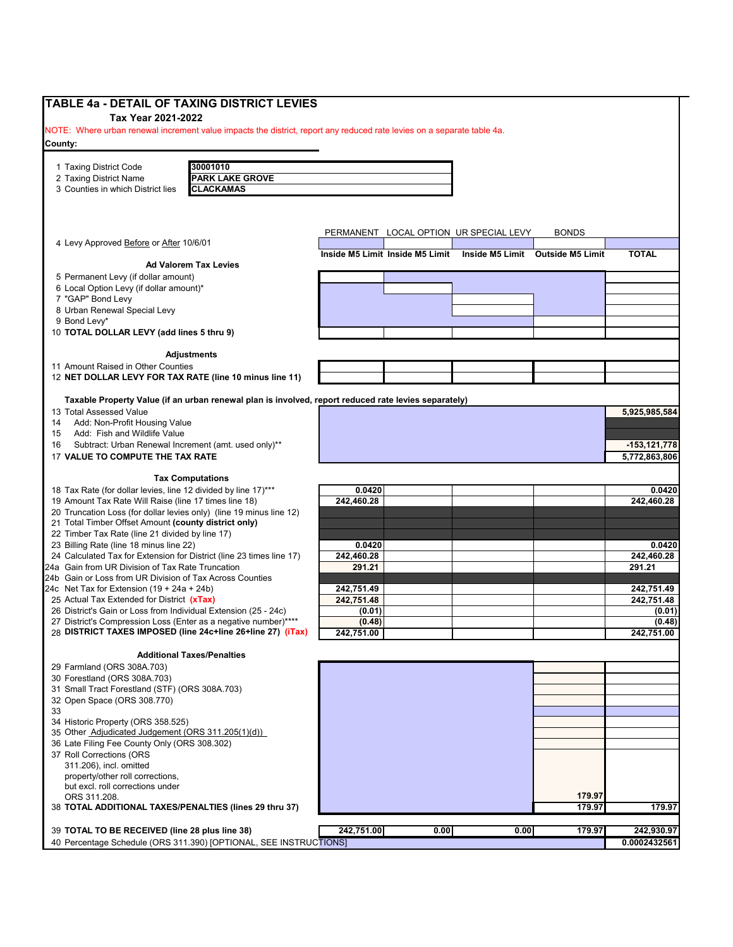| TABLE 4a - DETAIL OF TAXING DISTRICT LEVIES                                                                                        |                      |                                 |                                        |                                  |                      |
|------------------------------------------------------------------------------------------------------------------------------------|----------------------|---------------------------------|----------------------------------------|----------------------------------|----------------------|
| Tax Year 2021-2022                                                                                                                 |                      |                                 |                                        |                                  |                      |
| NOTE: Where urban renewal increment value impacts the district, report any reduced rate levies on a separate table 4a.             |                      |                                 |                                        |                                  |                      |
| County:                                                                                                                            |                      |                                 |                                        |                                  |                      |
| 30001010<br>1 Taxing District Code                                                                                                 |                      |                                 |                                        |                                  |                      |
| <b>PARK LAKE GROVE</b><br>2 Taxing District Name                                                                                   |                      |                                 |                                        |                                  |                      |
| 3 Counties in which District lies<br><b>CLACKAMAS</b>                                                                              |                      |                                 |                                        |                                  |                      |
|                                                                                                                                    |                      |                                 |                                        |                                  |                      |
|                                                                                                                                    |                      |                                 |                                        |                                  |                      |
|                                                                                                                                    |                      |                                 | PERMANENT LOCAL OPTION UR SPECIAL LEVY | <b>BONDS</b>                     |                      |
| 4 Levy Approved Before or After 10/6/01                                                                                            |                      |                                 |                                        |                                  |                      |
| <b>Ad Valorem Tax Levies</b>                                                                                                       |                      | Inside M5 Limit Inside M5 Limit |                                        | Inside M5 Limit Outside M5 Limit | <b>TOTAL</b>         |
| 5 Permanent Levy (if dollar amount)                                                                                                |                      |                                 |                                        |                                  |                      |
| 6 Local Option Levy (if dollar amount)*                                                                                            |                      |                                 |                                        |                                  |                      |
| 7 "GAP" Bond Levy                                                                                                                  |                      |                                 |                                        |                                  |                      |
| 8 Urban Renewal Special Levy                                                                                                       |                      |                                 |                                        |                                  |                      |
| 9 Bond Levy*                                                                                                                       |                      |                                 |                                        |                                  |                      |
| 10 TOTAL DOLLAR LEVY (add lines 5 thru 9)                                                                                          |                      |                                 |                                        |                                  |                      |
| <b>Adjustments</b>                                                                                                                 |                      |                                 |                                        |                                  |                      |
| 11 Amount Raised in Other Counties                                                                                                 |                      |                                 |                                        |                                  |                      |
| 12 NET DOLLAR LEVY FOR TAX RATE (line 10 minus line 11)                                                                            |                      |                                 |                                        |                                  |                      |
|                                                                                                                                    |                      |                                 |                                        |                                  |                      |
| Taxable Property Value (if an urban renewal plan is involved, report reduced rate levies separately)                               |                      |                                 |                                        |                                  |                      |
| 13 Total Assessed Value                                                                                                            |                      |                                 |                                        |                                  | 5,925,985,584        |
| Add: Non-Profit Housing Value<br>14                                                                                                |                      |                                 |                                        |                                  |                      |
| Add: Fish and Wildlife Value<br>15<br>Subtract: Urban Renewal Increment (amt. used only)**<br>16                                   |                      |                                 |                                        |                                  | $-153, 121, 778$     |
| 17 VALUE TO COMPUTE THE TAX RATE                                                                                                   |                      |                                 |                                        |                                  | 5,772,863,806        |
|                                                                                                                                    |                      |                                 |                                        |                                  |                      |
| <b>Tax Computations</b>                                                                                                            |                      |                                 |                                        |                                  |                      |
| 18 Tax Rate (for dollar levies, line 12 divided by line 17)***                                                                     | 0.0420               |                                 |                                        |                                  | 0.0420               |
| 19 Amount Tax Rate Will Raise (line 17 times line 18)                                                                              | 242,460.28           |                                 |                                        |                                  | 242,460.28           |
| 20 Truncation Loss (for dollar levies only) (line 19 minus line 12)<br>21 Total Timber Offset Amount (county district only)        |                      |                                 |                                        |                                  |                      |
| 22 Timber Tax Rate (line 21 divided by line 17)                                                                                    |                      |                                 |                                        |                                  |                      |
| 23 Billing Rate (line 18 minus line 22)                                                                                            | 0.0420               |                                 |                                        |                                  | 0.0420               |
| 24 Calculated Tax for Extension for District (line 23 times line 17)                                                               | 242,460.28           |                                 |                                        |                                  | 242,460.28           |
| 24a Gain from UR Division of Tax Rate Truncation                                                                                   | 291.21               |                                 |                                        |                                  | 291.21               |
| 24b Gain or Loss from UR Division of Tax Across Counties                                                                           |                      |                                 |                                        |                                  |                      |
| 24c Net Tax for Extension $(19 + 24a + 24b)$                                                                                       | 242,751.49           |                                 |                                        |                                  | 242,751.49           |
| 25 Actual Tax Extended for District (xTax)                                                                                         | 242,751.48           |                                 |                                        |                                  | 242,751.48           |
| 26 District's Gain or Loss from Individual Extension (25 - 24c)<br>27 District's Compression Loss (Enter as a negative number)**** | (0.01)               |                                 |                                        |                                  | (0.01)               |
| 28 DISTRICT TAXES IMPOSED (line 24c+line 26+line 27) (iTax)                                                                        | (0.48)<br>242,751.00 |                                 |                                        |                                  | (0.48)<br>242,751.00 |
|                                                                                                                                    |                      |                                 |                                        |                                  |                      |
| <b>Additional Taxes/Penalties</b>                                                                                                  |                      |                                 |                                        |                                  |                      |
| 29 Farmland (ORS 308A.703)                                                                                                         |                      |                                 |                                        |                                  |                      |
| 30 Forestland (ORS 308A.703)                                                                                                       |                      |                                 |                                        |                                  |                      |
| 31 Small Tract Forestland (STF) (ORS 308A.703)                                                                                     |                      |                                 |                                        |                                  |                      |
| 32 Open Space (ORS 308.770)<br>33                                                                                                  |                      |                                 |                                        |                                  |                      |
| 34 Historic Property (ORS 358.525)                                                                                                 |                      |                                 |                                        |                                  |                      |
| 35 Other Adjudicated Judgement (ORS 311.205(1)(d))                                                                                 |                      |                                 |                                        |                                  |                      |
| 36 Late Filing Fee County Only (ORS 308.302)                                                                                       |                      |                                 |                                        |                                  |                      |
| 37 Roll Corrections (ORS                                                                                                           |                      |                                 |                                        |                                  |                      |
| 311.206), incl. omitted                                                                                                            |                      |                                 |                                        |                                  |                      |
| property/other roll corrections,                                                                                                   |                      |                                 |                                        |                                  |                      |
| but excl. roll corrections under                                                                                                   |                      |                                 |                                        |                                  |                      |
| ORS 311.208.<br>38 TOTAL ADDITIONAL TAXES/PENALTIES (lines 29 thru 37)                                                             |                      |                                 |                                        | 179.97<br>179.97                 | 179.97               |
|                                                                                                                                    |                      |                                 |                                        |                                  |                      |
|                                                                                                                                    |                      |                                 |                                        |                                  |                      |
| 39 TOTAL TO BE RECEIVED (line 28 plus line 38)                                                                                     | 242,751.00           | 0.00                            | 0.00                                   | 179.97                           | 242,930.97           |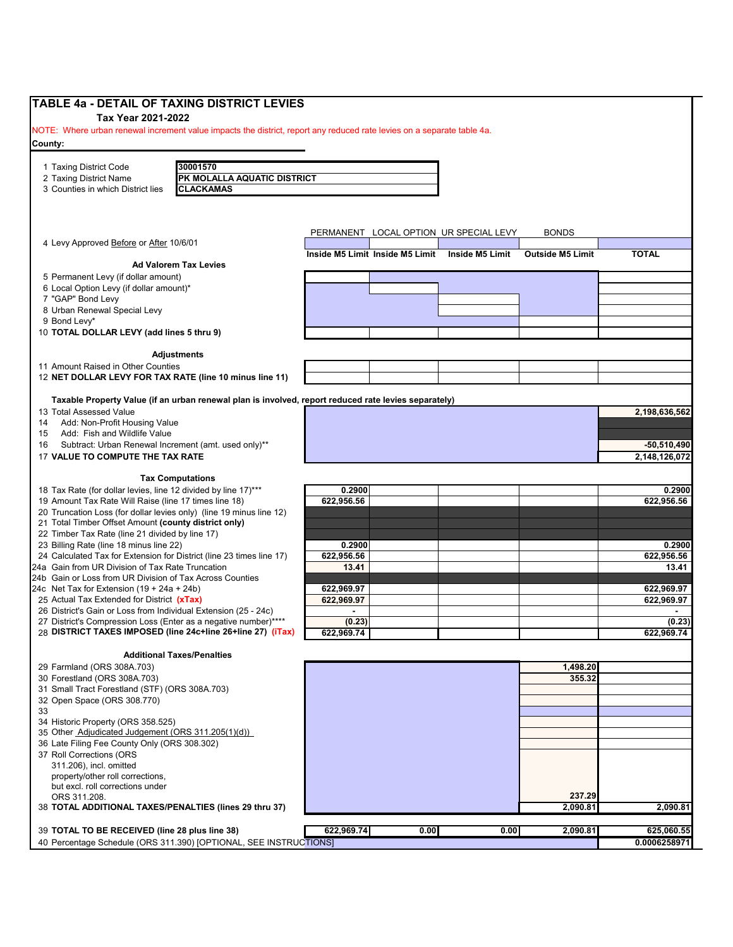| TABLE 4a - DETAIL OF TAXING DISTRICT LEVIES                                                                                                  |                                                                                                      |                                 |      |                                        |                         |                            |
|----------------------------------------------------------------------------------------------------------------------------------------------|------------------------------------------------------------------------------------------------------|---------------------------------|------|----------------------------------------|-------------------------|----------------------------|
| Tax Year 2021-2022<br>NOTE: Where urban renewal increment value impacts the district, report any reduced rate levies on a separate table 4a. |                                                                                                      |                                 |      |                                        |                         |                            |
| County:                                                                                                                                      |                                                                                                      |                                 |      |                                        |                         |                            |
|                                                                                                                                              | 30001570                                                                                             |                                 |      |                                        |                         |                            |
| 1 Taxing District Code<br>2 Taxing District Name                                                                                             | PK MOLALLA AQUATIC DISTRICT                                                                          |                                 |      |                                        |                         |                            |
| 3 Counties in which District lies                                                                                                            | <b>CLACKAMAS</b>                                                                                     |                                 |      |                                        |                         |                            |
|                                                                                                                                              |                                                                                                      |                                 |      |                                        |                         |                            |
|                                                                                                                                              |                                                                                                      |                                 |      |                                        |                         |                            |
|                                                                                                                                              |                                                                                                      |                                 |      | PERMANENT LOCAL OPTION UR SPECIAL LEVY | <b>BONDS</b>            |                            |
| 4 Levy Approved Before or After 10/6/01                                                                                                      |                                                                                                      |                                 |      |                                        |                         |                            |
|                                                                                                                                              | <b>Ad Valorem Tax Levies</b>                                                                         | Inside M5 Limit Inside M5 Limit |      | Inside M5 Limit                        | <b>Outside M5 Limit</b> | <b>TOTAL</b>               |
| 5 Permanent Levy (if dollar amount)                                                                                                          |                                                                                                      |                                 |      |                                        |                         |                            |
| 6 Local Option Levy (if dollar amount)*                                                                                                      |                                                                                                      |                                 |      |                                        |                         |                            |
| 7 "GAP" Bond Levy                                                                                                                            |                                                                                                      |                                 |      |                                        |                         |                            |
| 8 Urban Renewal Special Levy<br>9 Bond Levy*                                                                                                 |                                                                                                      |                                 |      |                                        |                         |                            |
| 10 TOTAL DOLLAR LEVY (add lines 5 thru 9)                                                                                                    |                                                                                                      |                                 |      |                                        |                         |                            |
|                                                                                                                                              |                                                                                                      |                                 |      |                                        |                         |                            |
|                                                                                                                                              | <b>Adjustments</b>                                                                                   |                                 |      |                                        |                         |                            |
| 11 Amount Raised in Other Counties<br>12 NET DOLLAR LEVY FOR TAX RATE (line 10 minus line 11)                                                |                                                                                                      |                                 |      |                                        |                         |                            |
|                                                                                                                                              |                                                                                                      |                                 |      |                                        |                         |                            |
|                                                                                                                                              | Taxable Property Value (if an urban renewal plan is involved, report reduced rate levies separately) |                                 |      |                                        |                         |                            |
| 13 Total Assessed Value                                                                                                                      |                                                                                                      |                                 |      |                                        |                         | 2.198.636.562              |
| Add: Non-Profit Housing Value<br>14                                                                                                          |                                                                                                      |                                 |      |                                        |                         |                            |
| Add: Fish and Wildlife Value<br>15<br>Subtract: Urban Renewal Increment (amt. used only)**<br>16                                             |                                                                                                      |                                 |      |                                        |                         | $-50,510,490$              |
| 17 VALUE TO COMPUTE THE TAX RATE                                                                                                             |                                                                                                      |                                 |      |                                        |                         | 2,148,126,072              |
|                                                                                                                                              |                                                                                                      |                                 |      |                                        |                         |                            |
|                                                                                                                                              | <b>Tax Computations</b>                                                                              |                                 |      |                                        |                         |                            |
| 18 Tax Rate (for dollar levies, line 12 divided by line 17)***                                                                               |                                                                                                      | 0.2900                          |      |                                        |                         | 0.2900                     |
| 19 Amount Tax Rate Will Raise (line 17 times line 18)<br>20 Truncation Loss (for dollar levies only) (line 19 minus line 12)                 |                                                                                                      | 622,956.56                      |      |                                        |                         | 622,956.56                 |
| 21 Total Timber Offset Amount (county district only)                                                                                         |                                                                                                      |                                 |      |                                        |                         |                            |
| 22 Timber Tax Rate (line 21 divided by line 17)                                                                                              |                                                                                                      |                                 |      |                                        |                         |                            |
| 23 Billing Rate (line 18 minus line 22)                                                                                                      |                                                                                                      | 0.2900                          |      |                                        |                         | 0.2900                     |
| 24 Calculated Tax for Extension for District (line 23 times line 17)                                                                         |                                                                                                      | 622,956.56                      |      |                                        |                         | 622,956.56                 |
| 24a Gain from UR Division of Tax Rate Truncation                                                                                             |                                                                                                      | 13.41                           |      |                                        |                         | 13.41                      |
| 24b Gain or Loss from UR Division of Tax Across Counties<br>24c Net Tax for Extension $(19 + 24a + 24b)$                                     |                                                                                                      | 622,969.97                      |      |                                        |                         | 622,969.97                 |
| 25 Actual Tax Extended for District (xTax)                                                                                                   |                                                                                                      | 622,969.97                      |      |                                        |                         | 622,969.97                 |
| 26 District's Gain or Loss from Individual Extension (25 - 24c)                                                                              |                                                                                                      |                                 |      |                                        |                         |                            |
| 27 District's Compression Loss (Enter as a negative number)****                                                                              |                                                                                                      | (0.23)                          |      |                                        |                         | (0.23)                     |
| 28 DISTRICT TAXES IMPOSED (line 24c+line 26+line 27) (iTax)                                                                                  |                                                                                                      | 622.969.74                      |      |                                        |                         | 622.969.74                 |
|                                                                                                                                              | <b>Additional Taxes/Penalties</b>                                                                    |                                 |      |                                        |                         |                            |
| 29 Farmland (ORS 308A.703)                                                                                                                   |                                                                                                      |                                 |      |                                        | 1,498.20                |                            |
| 30 Forestland (ORS 308A.703)                                                                                                                 |                                                                                                      |                                 |      |                                        | 355.32                  |                            |
| 31 Small Tract Forestland (STF) (ORS 308A.703)                                                                                               |                                                                                                      |                                 |      |                                        |                         |                            |
| 32 Open Space (ORS 308.770)<br>33                                                                                                            |                                                                                                      |                                 |      |                                        |                         |                            |
| 34 Historic Property (ORS 358.525)                                                                                                           |                                                                                                      |                                 |      |                                        |                         |                            |
| 35 Other Adjudicated Judgement (ORS 311.205(1)(d))                                                                                           |                                                                                                      |                                 |      |                                        |                         |                            |
| 36 Late Filing Fee County Only (ORS 308.302)                                                                                                 |                                                                                                      |                                 |      |                                        |                         |                            |
| 37 Roll Corrections (ORS                                                                                                                     |                                                                                                      |                                 |      |                                        |                         |                            |
| 311.206), incl. omitted                                                                                                                      |                                                                                                      |                                 |      |                                        |                         |                            |
| property/other roll corrections,<br>but excl. roll corrections under                                                                         |                                                                                                      |                                 |      |                                        |                         |                            |
| ORS 311.208.                                                                                                                                 |                                                                                                      |                                 |      |                                        | 237.29                  |                            |
| 38 TOTAL ADDITIONAL TAXES/PENALTIES (lines 29 thru 37)                                                                                       |                                                                                                      |                                 |      |                                        | 2,090.81                | 2,090.81                   |
|                                                                                                                                              |                                                                                                      |                                 |      |                                        |                         |                            |
| 39 TOTAL TO BE RECEIVED (line 28 plus line 38)<br>40 Percentage Schedule (ORS 311.390) [OPTIONAL, SEE INSTRUCTIONS]                          |                                                                                                      | 622,969.74                      | 0.00 | 0.00                                   | 2,090.81                | 625,060.55<br>0.0006258971 |
|                                                                                                                                              |                                                                                                      |                                 |      |                                        |                         |                            |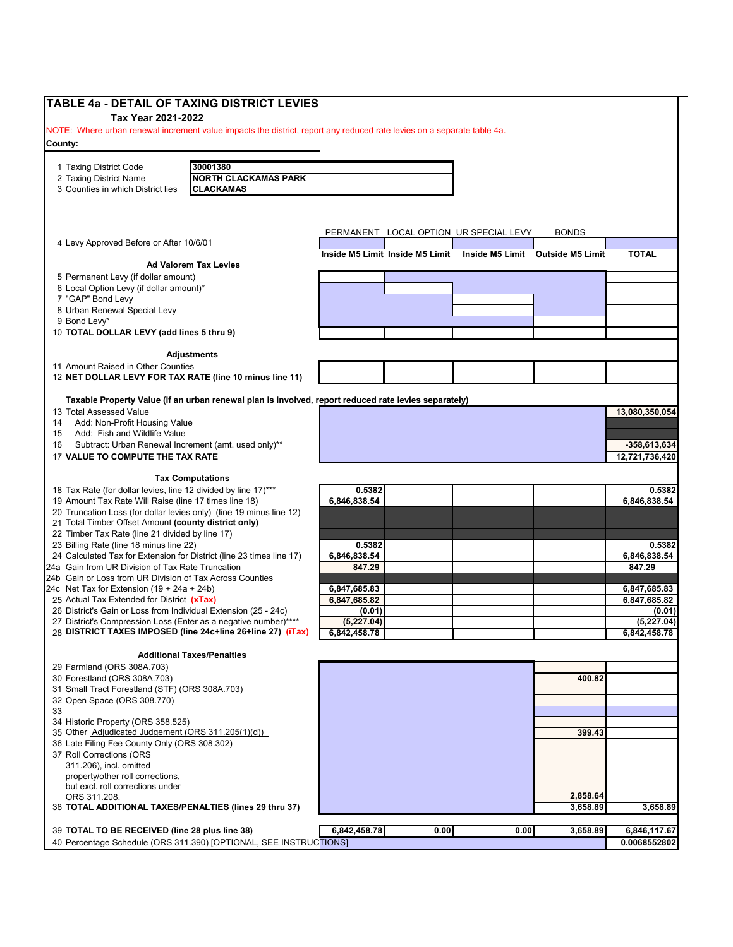| NOTE: Where urban renewal increment value impacts the district, report any reduced rate levies on a separate table 4a.<br>30001380<br><b>NORTH CLACKAMAS PARK</b><br>2 Taxing District Name<br>3 Counties in which District lies<br><b>CLACKAMAS</b><br>PERMANENT LOCAL OPTION UR SPECIAL LEVY<br><b>BONDS</b><br>4 Levy Approved Before or After 10/6/01<br><b>TOTAL</b><br>Inside M5 Limit Inside M5 Limit<br>Inside M5 Limit Outside M5 Limit<br><b>Ad Valorem Tax Levies</b><br>8 Urban Renewal Special Levy<br>9 Bond Levy*<br>10 TOTAL DOLLAR LEVY (add lines 5 thru 9)<br><b>Adjustments</b><br>12 NET DOLLAR LEVY FOR TAX RATE (line 10 minus line 11)<br>Taxable Property Value (if an urban renewal plan is involved, report reduced rate levies separately)<br>Add: Non-Profit Housing Value<br>Add: Fish and Wildlife Value<br>Subtract: Urban Renewal Increment (amt. used only)**<br>$-358,613,634$<br>17 VALUE TO COMPUTE THE TAX RATE<br>12,721,736,420<br><b>Tax Computations</b><br>18 Tax Rate (for dollar levies, line 12 divided by line 17)***<br>0.5382<br>0.5382<br>6,846,838.54<br>6,846,838.54<br>19 Amount Tax Rate Will Raise (line 17 times line 18)<br>20 Truncation Loss (for dollar levies only) (line 19 minus line 12)<br>21 Total Timber Offset Amount (county district only)<br>22 Timber Tax Rate (line 21 divided by line 17)<br>0.5382<br>6,846,838.54<br>24 Calculated Tax for Extension for District (line 23 times line 17)<br>24a Gain from UR Division of Tax Rate Truncation<br>847.29<br>847.29<br>24b Gain or Loss from UR Division of Tax Across Counties<br>24c Net Tax for Extension $(19 + 24a + 24b)$<br>6,847,685.83<br>6,847,685.83<br>25 Actual Tax Extended for District (xTax)<br>6,847,685.82<br>26 District's Gain or Loss from Individual Extension (25 - 24c)<br>(0.01)<br>27 District's Compression Loss (Enter as a negative number)****<br>(5,227.04)<br>28 DISTRICT TAXES IMPOSED (line 24c+line 26+line 27) (iTax)<br>6,842,458.78<br><b>Additional Taxes/Penalties</b><br>400.82<br>31 Small Tract Forestland (STF) (ORS 308A.703)<br>32 Open Space (ORS 308.770)<br>34 Historic Property (ORS 358.525)<br>35 Other Adjudicated Judgement (ORS 311.205(1)(d))<br>399.43<br>36 Late Filing Fee County Only (ORS 308.302)<br>but excl. roll corrections under<br>2,858.64<br>ORS 311.208.<br>38 TOTAL ADDITIONAL TAXES/PENALTIES (lines 29 thru 37)<br>3,658.89<br>3,658.89<br>6,842,458.78<br>0.00<br>0.00<br>39 TOTAL TO BE RECEIVED (line 28 plus line 38)<br>3,658.89<br>40 Percentage Schedule (ORS 311.390) [OPTIONAL, SEE INSTRUCTIONS] | TABLE 4a - DETAIL OF TAXING DISTRICT LEVIES |  |  |                |
|-----------------------------------------------------------------------------------------------------------------------------------------------------------------------------------------------------------------------------------------------------------------------------------------------------------------------------------------------------------------------------------------------------------------------------------------------------------------------------------------------------------------------------------------------------------------------------------------------------------------------------------------------------------------------------------------------------------------------------------------------------------------------------------------------------------------------------------------------------------------------------------------------------------------------------------------------------------------------------------------------------------------------------------------------------------------------------------------------------------------------------------------------------------------------------------------------------------------------------------------------------------------------------------------------------------------------------------------------------------------------------------------------------------------------------------------------------------------------------------------------------------------------------------------------------------------------------------------------------------------------------------------------------------------------------------------------------------------------------------------------------------------------------------------------------------------------------------------------------------------------------------------------------------------------------------------------------------------------------------------------------------------------------------------------------------------------------------------------------------------------------------------------------------------------------------------------------------------------------------------------------------------------------------------------------------------------------------------------------------------------------------------------------------------------------------------------------------------------------------------------------------------------------------------------------------------------------------------------------------------|---------------------------------------------|--|--|----------------|
|                                                                                                                                                                                                                                                                                                                                                                                                                                                                                                                                                                                                                                                                                                                                                                                                                                                                                                                                                                                                                                                                                                                                                                                                                                                                                                                                                                                                                                                                                                                                                                                                                                                                                                                                                                                                                                                                                                                                                                                                                                                                                                                                                                                                                                                                                                                                                                                                                                                                                                                                                                                                                 | Tax Year 2021-2022                          |  |  |                |
|                                                                                                                                                                                                                                                                                                                                                                                                                                                                                                                                                                                                                                                                                                                                                                                                                                                                                                                                                                                                                                                                                                                                                                                                                                                                                                                                                                                                                                                                                                                                                                                                                                                                                                                                                                                                                                                                                                                                                                                                                                                                                                                                                                                                                                                                                                                                                                                                                                                                                                                                                                                                                 | County:                                     |  |  |                |
|                                                                                                                                                                                                                                                                                                                                                                                                                                                                                                                                                                                                                                                                                                                                                                                                                                                                                                                                                                                                                                                                                                                                                                                                                                                                                                                                                                                                                                                                                                                                                                                                                                                                                                                                                                                                                                                                                                                                                                                                                                                                                                                                                                                                                                                                                                                                                                                                                                                                                                                                                                                                                 |                                             |  |  |                |
|                                                                                                                                                                                                                                                                                                                                                                                                                                                                                                                                                                                                                                                                                                                                                                                                                                                                                                                                                                                                                                                                                                                                                                                                                                                                                                                                                                                                                                                                                                                                                                                                                                                                                                                                                                                                                                                                                                                                                                                                                                                                                                                                                                                                                                                                                                                                                                                                                                                                                                                                                                                                                 | 1 Taxing District Code                      |  |  |                |
|                                                                                                                                                                                                                                                                                                                                                                                                                                                                                                                                                                                                                                                                                                                                                                                                                                                                                                                                                                                                                                                                                                                                                                                                                                                                                                                                                                                                                                                                                                                                                                                                                                                                                                                                                                                                                                                                                                                                                                                                                                                                                                                                                                                                                                                                                                                                                                                                                                                                                                                                                                                                                 |                                             |  |  |                |
|                                                                                                                                                                                                                                                                                                                                                                                                                                                                                                                                                                                                                                                                                                                                                                                                                                                                                                                                                                                                                                                                                                                                                                                                                                                                                                                                                                                                                                                                                                                                                                                                                                                                                                                                                                                                                                                                                                                                                                                                                                                                                                                                                                                                                                                                                                                                                                                                                                                                                                                                                                                                                 |                                             |  |  |                |
|                                                                                                                                                                                                                                                                                                                                                                                                                                                                                                                                                                                                                                                                                                                                                                                                                                                                                                                                                                                                                                                                                                                                                                                                                                                                                                                                                                                                                                                                                                                                                                                                                                                                                                                                                                                                                                                                                                                                                                                                                                                                                                                                                                                                                                                                                                                                                                                                                                                                                                                                                                                                                 |                                             |  |  |                |
|                                                                                                                                                                                                                                                                                                                                                                                                                                                                                                                                                                                                                                                                                                                                                                                                                                                                                                                                                                                                                                                                                                                                                                                                                                                                                                                                                                                                                                                                                                                                                                                                                                                                                                                                                                                                                                                                                                                                                                                                                                                                                                                                                                                                                                                                                                                                                                                                                                                                                                                                                                                                                 |                                             |  |  |                |
|                                                                                                                                                                                                                                                                                                                                                                                                                                                                                                                                                                                                                                                                                                                                                                                                                                                                                                                                                                                                                                                                                                                                                                                                                                                                                                                                                                                                                                                                                                                                                                                                                                                                                                                                                                                                                                                                                                                                                                                                                                                                                                                                                                                                                                                                                                                                                                                                                                                                                                                                                                                                                 |                                             |  |  |                |
|                                                                                                                                                                                                                                                                                                                                                                                                                                                                                                                                                                                                                                                                                                                                                                                                                                                                                                                                                                                                                                                                                                                                                                                                                                                                                                                                                                                                                                                                                                                                                                                                                                                                                                                                                                                                                                                                                                                                                                                                                                                                                                                                                                                                                                                                                                                                                                                                                                                                                                                                                                                                                 |                                             |  |  |                |
|                                                                                                                                                                                                                                                                                                                                                                                                                                                                                                                                                                                                                                                                                                                                                                                                                                                                                                                                                                                                                                                                                                                                                                                                                                                                                                                                                                                                                                                                                                                                                                                                                                                                                                                                                                                                                                                                                                                                                                                                                                                                                                                                                                                                                                                                                                                                                                                                                                                                                                                                                                                                                 | 5 Permanent Levy (if dollar amount)         |  |  |                |
|                                                                                                                                                                                                                                                                                                                                                                                                                                                                                                                                                                                                                                                                                                                                                                                                                                                                                                                                                                                                                                                                                                                                                                                                                                                                                                                                                                                                                                                                                                                                                                                                                                                                                                                                                                                                                                                                                                                                                                                                                                                                                                                                                                                                                                                                                                                                                                                                                                                                                                                                                                                                                 | 6 Local Option Levy (if dollar amount)*     |  |  |                |
|                                                                                                                                                                                                                                                                                                                                                                                                                                                                                                                                                                                                                                                                                                                                                                                                                                                                                                                                                                                                                                                                                                                                                                                                                                                                                                                                                                                                                                                                                                                                                                                                                                                                                                                                                                                                                                                                                                                                                                                                                                                                                                                                                                                                                                                                                                                                                                                                                                                                                                                                                                                                                 | 7 "GAP" Bond Levy                           |  |  |                |
|                                                                                                                                                                                                                                                                                                                                                                                                                                                                                                                                                                                                                                                                                                                                                                                                                                                                                                                                                                                                                                                                                                                                                                                                                                                                                                                                                                                                                                                                                                                                                                                                                                                                                                                                                                                                                                                                                                                                                                                                                                                                                                                                                                                                                                                                                                                                                                                                                                                                                                                                                                                                                 |                                             |  |  |                |
|                                                                                                                                                                                                                                                                                                                                                                                                                                                                                                                                                                                                                                                                                                                                                                                                                                                                                                                                                                                                                                                                                                                                                                                                                                                                                                                                                                                                                                                                                                                                                                                                                                                                                                                                                                                                                                                                                                                                                                                                                                                                                                                                                                                                                                                                                                                                                                                                                                                                                                                                                                                                                 |                                             |  |  |                |
|                                                                                                                                                                                                                                                                                                                                                                                                                                                                                                                                                                                                                                                                                                                                                                                                                                                                                                                                                                                                                                                                                                                                                                                                                                                                                                                                                                                                                                                                                                                                                                                                                                                                                                                                                                                                                                                                                                                                                                                                                                                                                                                                                                                                                                                                                                                                                                                                                                                                                                                                                                                                                 |                                             |  |  |                |
|                                                                                                                                                                                                                                                                                                                                                                                                                                                                                                                                                                                                                                                                                                                                                                                                                                                                                                                                                                                                                                                                                                                                                                                                                                                                                                                                                                                                                                                                                                                                                                                                                                                                                                                                                                                                                                                                                                                                                                                                                                                                                                                                                                                                                                                                                                                                                                                                                                                                                                                                                                                                                 |                                             |  |  |                |
|                                                                                                                                                                                                                                                                                                                                                                                                                                                                                                                                                                                                                                                                                                                                                                                                                                                                                                                                                                                                                                                                                                                                                                                                                                                                                                                                                                                                                                                                                                                                                                                                                                                                                                                                                                                                                                                                                                                                                                                                                                                                                                                                                                                                                                                                                                                                                                                                                                                                                                                                                                                                                 | 11 Amount Raised in Other Counties          |  |  |                |
|                                                                                                                                                                                                                                                                                                                                                                                                                                                                                                                                                                                                                                                                                                                                                                                                                                                                                                                                                                                                                                                                                                                                                                                                                                                                                                                                                                                                                                                                                                                                                                                                                                                                                                                                                                                                                                                                                                                                                                                                                                                                                                                                                                                                                                                                                                                                                                                                                                                                                                                                                                                                                 |                                             |  |  |                |
|                                                                                                                                                                                                                                                                                                                                                                                                                                                                                                                                                                                                                                                                                                                                                                                                                                                                                                                                                                                                                                                                                                                                                                                                                                                                                                                                                                                                                                                                                                                                                                                                                                                                                                                                                                                                                                                                                                                                                                                                                                                                                                                                                                                                                                                                                                                                                                                                                                                                                                                                                                                                                 |                                             |  |  |                |
|                                                                                                                                                                                                                                                                                                                                                                                                                                                                                                                                                                                                                                                                                                                                                                                                                                                                                                                                                                                                                                                                                                                                                                                                                                                                                                                                                                                                                                                                                                                                                                                                                                                                                                                                                                                                                                                                                                                                                                                                                                                                                                                                                                                                                                                                                                                                                                                                                                                                                                                                                                                                                 | 13 Total Assessed Value                     |  |  | 13,080,350,054 |
|                                                                                                                                                                                                                                                                                                                                                                                                                                                                                                                                                                                                                                                                                                                                                                                                                                                                                                                                                                                                                                                                                                                                                                                                                                                                                                                                                                                                                                                                                                                                                                                                                                                                                                                                                                                                                                                                                                                                                                                                                                                                                                                                                                                                                                                                                                                                                                                                                                                                                                                                                                                                                 | 14                                          |  |  |                |
|                                                                                                                                                                                                                                                                                                                                                                                                                                                                                                                                                                                                                                                                                                                                                                                                                                                                                                                                                                                                                                                                                                                                                                                                                                                                                                                                                                                                                                                                                                                                                                                                                                                                                                                                                                                                                                                                                                                                                                                                                                                                                                                                                                                                                                                                                                                                                                                                                                                                                                                                                                                                                 | 15<br>16                                    |  |  |                |
|                                                                                                                                                                                                                                                                                                                                                                                                                                                                                                                                                                                                                                                                                                                                                                                                                                                                                                                                                                                                                                                                                                                                                                                                                                                                                                                                                                                                                                                                                                                                                                                                                                                                                                                                                                                                                                                                                                                                                                                                                                                                                                                                                                                                                                                                                                                                                                                                                                                                                                                                                                                                                 |                                             |  |  |                |
|                                                                                                                                                                                                                                                                                                                                                                                                                                                                                                                                                                                                                                                                                                                                                                                                                                                                                                                                                                                                                                                                                                                                                                                                                                                                                                                                                                                                                                                                                                                                                                                                                                                                                                                                                                                                                                                                                                                                                                                                                                                                                                                                                                                                                                                                                                                                                                                                                                                                                                                                                                                                                 |                                             |  |  |                |
|                                                                                                                                                                                                                                                                                                                                                                                                                                                                                                                                                                                                                                                                                                                                                                                                                                                                                                                                                                                                                                                                                                                                                                                                                                                                                                                                                                                                                                                                                                                                                                                                                                                                                                                                                                                                                                                                                                                                                                                                                                                                                                                                                                                                                                                                                                                                                                                                                                                                                                                                                                                                                 |                                             |  |  |                |
|                                                                                                                                                                                                                                                                                                                                                                                                                                                                                                                                                                                                                                                                                                                                                                                                                                                                                                                                                                                                                                                                                                                                                                                                                                                                                                                                                                                                                                                                                                                                                                                                                                                                                                                                                                                                                                                                                                                                                                                                                                                                                                                                                                                                                                                                                                                                                                                                                                                                                                                                                                                                                 |                                             |  |  |                |
|                                                                                                                                                                                                                                                                                                                                                                                                                                                                                                                                                                                                                                                                                                                                                                                                                                                                                                                                                                                                                                                                                                                                                                                                                                                                                                                                                                                                                                                                                                                                                                                                                                                                                                                                                                                                                                                                                                                                                                                                                                                                                                                                                                                                                                                                                                                                                                                                                                                                                                                                                                                                                 |                                             |  |  |                |
|                                                                                                                                                                                                                                                                                                                                                                                                                                                                                                                                                                                                                                                                                                                                                                                                                                                                                                                                                                                                                                                                                                                                                                                                                                                                                                                                                                                                                                                                                                                                                                                                                                                                                                                                                                                                                                                                                                                                                                                                                                                                                                                                                                                                                                                                                                                                                                                                                                                                                                                                                                                                                 |                                             |  |  |                |
|                                                                                                                                                                                                                                                                                                                                                                                                                                                                                                                                                                                                                                                                                                                                                                                                                                                                                                                                                                                                                                                                                                                                                                                                                                                                                                                                                                                                                                                                                                                                                                                                                                                                                                                                                                                                                                                                                                                                                                                                                                                                                                                                                                                                                                                                                                                                                                                                                                                                                                                                                                                                                 |                                             |  |  |                |
|                                                                                                                                                                                                                                                                                                                                                                                                                                                                                                                                                                                                                                                                                                                                                                                                                                                                                                                                                                                                                                                                                                                                                                                                                                                                                                                                                                                                                                                                                                                                                                                                                                                                                                                                                                                                                                                                                                                                                                                                                                                                                                                                                                                                                                                                                                                                                                                                                                                                                                                                                                                                                 | 23 Billing Rate (line 18 minus line 22)     |  |  | 0.5382         |
|                                                                                                                                                                                                                                                                                                                                                                                                                                                                                                                                                                                                                                                                                                                                                                                                                                                                                                                                                                                                                                                                                                                                                                                                                                                                                                                                                                                                                                                                                                                                                                                                                                                                                                                                                                                                                                                                                                                                                                                                                                                                                                                                                                                                                                                                                                                                                                                                                                                                                                                                                                                                                 |                                             |  |  | 6,846,838.54   |
|                                                                                                                                                                                                                                                                                                                                                                                                                                                                                                                                                                                                                                                                                                                                                                                                                                                                                                                                                                                                                                                                                                                                                                                                                                                                                                                                                                                                                                                                                                                                                                                                                                                                                                                                                                                                                                                                                                                                                                                                                                                                                                                                                                                                                                                                                                                                                                                                                                                                                                                                                                                                                 |                                             |  |  |                |
|                                                                                                                                                                                                                                                                                                                                                                                                                                                                                                                                                                                                                                                                                                                                                                                                                                                                                                                                                                                                                                                                                                                                                                                                                                                                                                                                                                                                                                                                                                                                                                                                                                                                                                                                                                                                                                                                                                                                                                                                                                                                                                                                                                                                                                                                                                                                                                                                                                                                                                                                                                                                                 |                                             |  |  |                |
|                                                                                                                                                                                                                                                                                                                                                                                                                                                                                                                                                                                                                                                                                                                                                                                                                                                                                                                                                                                                                                                                                                                                                                                                                                                                                                                                                                                                                                                                                                                                                                                                                                                                                                                                                                                                                                                                                                                                                                                                                                                                                                                                                                                                                                                                                                                                                                                                                                                                                                                                                                                                                 |                                             |  |  | 6,847,685.82   |
|                                                                                                                                                                                                                                                                                                                                                                                                                                                                                                                                                                                                                                                                                                                                                                                                                                                                                                                                                                                                                                                                                                                                                                                                                                                                                                                                                                                                                                                                                                                                                                                                                                                                                                                                                                                                                                                                                                                                                                                                                                                                                                                                                                                                                                                                                                                                                                                                                                                                                                                                                                                                                 |                                             |  |  | (0.01)         |
|                                                                                                                                                                                                                                                                                                                                                                                                                                                                                                                                                                                                                                                                                                                                                                                                                                                                                                                                                                                                                                                                                                                                                                                                                                                                                                                                                                                                                                                                                                                                                                                                                                                                                                                                                                                                                                                                                                                                                                                                                                                                                                                                                                                                                                                                                                                                                                                                                                                                                                                                                                                                                 |                                             |  |  | (5,227.04)     |
|                                                                                                                                                                                                                                                                                                                                                                                                                                                                                                                                                                                                                                                                                                                                                                                                                                                                                                                                                                                                                                                                                                                                                                                                                                                                                                                                                                                                                                                                                                                                                                                                                                                                                                                                                                                                                                                                                                                                                                                                                                                                                                                                                                                                                                                                                                                                                                                                                                                                                                                                                                                                                 |                                             |  |  | 6,842,458.78   |
|                                                                                                                                                                                                                                                                                                                                                                                                                                                                                                                                                                                                                                                                                                                                                                                                                                                                                                                                                                                                                                                                                                                                                                                                                                                                                                                                                                                                                                                                                                                                                                                                                                                                                                                                                                                                                                                                                                                                                                                                                                                                                                                                                                                                                                                                                                                                                                                                                                                                                                                                                                                                                 |                                             |  |  |                |
|                                                                                                                                                                                                                                                                                                                                                                                                                                                                                                                                                                                                                                                                                                                                                                                                                                                                                                                                                                                                                                                                                                                                                                                                                                                                                                                                                                                                                                                                                                                                                                                                                                                                                                                                                                                                                                                                                                                                                                                                                                                                                                                                                                                                                                                                                                                                                                                                                                                                                                                                                                                                                 | 29 Farmland (ORS 308A.703)                  |  |  |                |
|                                                                                                                                                                                                                                                                                                                                                                                                                                                                                                                                                                                                                                                                                                                                                                                                                                                                                                                                                                                                                                                                                                                                                                                                                                                                                                                                                                                                                                                                                                                                                                                                                                                                                                                                                                                                                                                                                                                                                                                                                                                                                                                                                                                                                                                                                                                                                                                                                                                                                                                                                                                                                 | 30 Forestland (ORS 308A.703)                |  |  |                |
|                                                                                                                                                                                                                                                                                                                                                                                                                                                                                                                                                                                                                                                                                                                                                                                                                                                                                                                                                                                                                                                                                                                                                                                                                                                                                                                                                                                                                                                                                                                                                                                                                                                                                                                                                                                                                                                                                                                                                                                                                                                                                                                                                                                                                                                                                                                                                                                                                                                                                                                                                                                                                 |                                             |  |  |                |
|                                                                                                                                                                                                                                                                                                                                                                                                                                                                                                                                                                                                                                                                                                                                                                                                                                                                                                                                                                                                                                                                                                                                                                                                                                                                                                                                                                                                                                                                                                                                                                                                                                                                                                                                                                                                                                                                                                                                                                                                                                                                                                                                                                                                                                                                                                                                                                                                                                                                                                                                                                                                                 |                                             |  |  |                |
|                                                                                                                                                                                                                                                                                                                                                                                                                                                                                                                                                                                                                                                                                                                                                                                                                                                                                                                                                                                                                                                                                                                                                                                                                                                                                                                                                                                                                                                                                                                                                                                                                                                                                                                                                                                                                                                                                                                                                                                                                                                                                                                                                                                                                                                                                                                                                                                                                                                                                                                                                                                                                 | 33                                          |  |  |                |
|                                                                                                                                                                                                                                                                                                                                                                                                                                                                                                                                                                                                                                                                                                                                                                                                                                                                                                                                                                                                                                                                                                                                                                                                                                                                                                                                                                                                                                                                                                                                                                                                                                                                                                                                                                                                                                                                                                                                                                                                                                                                                                                                                                                                                                                                                                                                                                                                                                                                                                                                                                                                                 |                                             |  |  |                |
|                                                                                                                                                                                                                                                                                                                                                                                                                                                                                                                                                                                                                                                                                                                                                                                                                                                                                                                                                                                                                                                                                                                                                                                                                                                                                                                                                                                                                                                                                                                                                                                                                                                                                                                                                                                                                                                                                                                                                                                                                                                                                                                                                                                                                                                                                                                                                                                                                                                                                                                                                                                                                 |                                             |  |  |                |
|                                                                                                                                                                                                                                                                                                                                                                                                                                                                                                                                                                                                                                                                                                                                                                                                                                                                                                                                                                                                                                                                                                                                                                                                                                                                                                                                                                                                                                                                                                                                                                                                                                                                                                                                                                                                                                                                                                                                                                                                                                                                                                                                                                                                                                                                                                                                                                                                                                                                                                                                                                                                                 | 37 Roll Corrections (ORS                    |  |  |                |
|                                                                                                                                                                                                                                                                                                                                                                                                                                                                                                                                                                                                                                                                                                                                                                                                                                                                                                                                                                                                                                                                                                                                                                                                                                                                                                                                                                                                                                                                                                                                                                                                                                                                                                                                                                                                                                                                                                                                                                                                                                                                                                                                                                                                                                                                                                                                                                                                                                                                                                                                                                                                                 | 311.206), incl. omitted                     |  |  |                |
|                                                                                                                                                                                                                                                                                                                                                                                                                                                                                                                                                                                                                                                                                                                                                                                                                                                                                                                                                                                                                                                                                                                                                                                                                                                                                                                                                                                                                                                                                                                                                                                                                                                                                                                                                                                                                                                                                                                                                                                                                                                                                                                                                                                                                                                                                                                                                                                                                                                                                                                                                                                                                 | property/other roll corrections,            |  |  |                |
|                                                                                                                                                                                                                                                                                                                                                                                                                                                                                                                                                                                                                                                                                                                                                                                                                                                                                                                                                                                                                                                                                                                                                                                                                                                                                                                                                                                                                                                                                                                                                                                                                                                                                                                                                                                                                                                                                                                                                                                                                                                                                                                                                                                                                                                                                                                                                                                                                                                                                                                                                                                                                 |                                             |  |  |                |
|                                                                                                                                                                                                                                                                                                                                                                                                                                                                                                                                                                                                                                                                                                                                                                                                                                                                                                                                                                                                                                                                                                                                                                                                                                                                                                                                                                                                                                                                                                                                                                                                                                                                                                                                                                                                                                                                                                                                                                                                                                                                                                                                                                                                                                                                                                                                                                                                                                                                                                                                                                                                                 |                                             |  |  |                |
|                                                                                                                                                                                                                                                                                                                                                                                                                                                                                                                                                                                                                                                                                                                                                                                                                                                                                                                                                                                                                                                                                                                                                                                                                                                                                                                                                                                                                                                                                                                                                                                                                                                                                                                                                                                                                                                                                                                                                                                                                                                                                                                                                                                                                                                                                                                                                                                                                                                                                                                                                                                                                 |                                             |  |  |                |
|                                                                                                                                                                                                                                                                                                                                                                                                                                                                                                                                                                                                                                                                                                                                                                                                                                                                                                                                                                                                                                                                                                                                                                                                                                                                                                                                                                                                                                                                                                                                                                                                                                                                                                                                                                                                                                                                                                                                                                                                                                                                                                                                                                                                                                                                                                                                                                                                                                                                                                                                                                                                                 |                                             |  |  | 6,846,117.67   |
|                                                                                                                                                                                                                                                                                                                                                                                                                                                                                                                                                                                                                                                                                                                                                                                                                                                                                                                                                                                                                                                                                                                                                                                                                                                                                                                                                                                                                                                                                                                                                                                                                                                                                                                                                                                                                                                                                                                                                                                                                                                                                                                                                                                                                                                                                                                                                                                                                                                                                                                                                                                                                 |                                             |  |  | 0.0068552802   |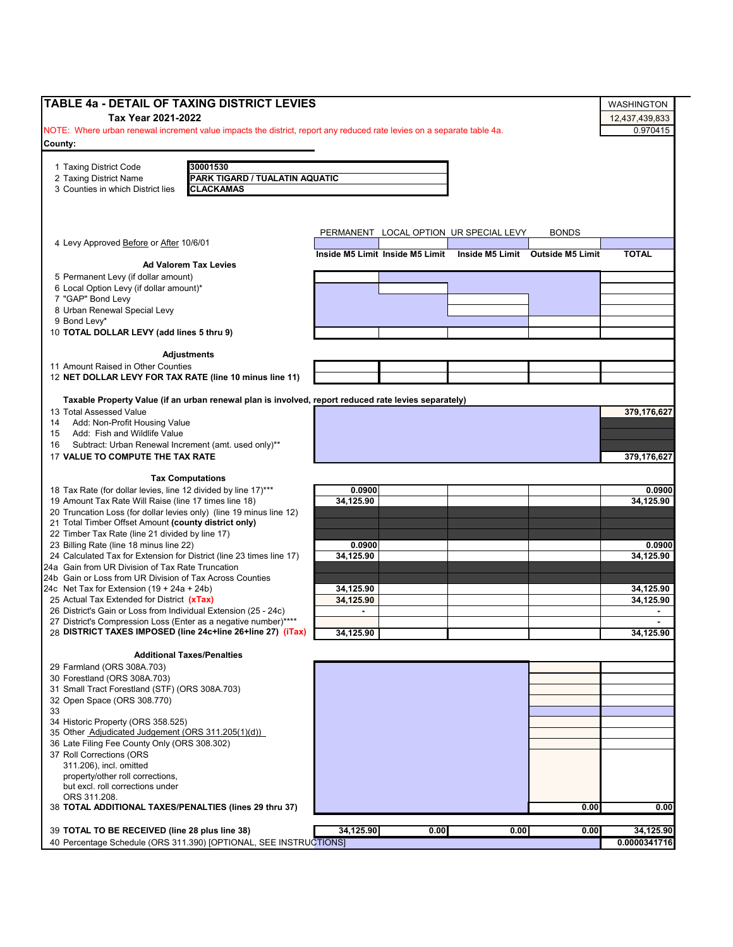| <b>TABLE 4a - DETAIL OF TAXING DISTRICT LEVIES</b>                                                                     |                |                                 |                                        |                                  |                   |
|------------------------------------------------------------------------------------------------------------------------|----------------|---------------------------------|----------------------------------------|----------------------------------|-------------------|
|                                                                                                                        |                |                                 |                                        |                                  | <b>WASHINGTON</b> |
| Tax Year 2021-2022                                                                                                     |                |                                 |                                        |                                  | 12,437,439,833    |
| NOTE: Where urban renewal increment value impacts the district, report any reduced rate levies on a separate table 4a. |                |                                 |                                        |                                  | 0.970415          |
| County:                                                                                                                |                |                                 |                                        |                                  |                   |
|                                                                                                                        |                |                                 |                                        |                                  |                   |
| 30001530<br>1 Taxing District Code                                                                                     |                |                                 |                                        |                                  |                   |
| 2 Taxing District Name<br>PARK TIGARD / TUALATIN AQUATIC                                                               |                |                                 |                                        |                                  |                   |
| 3 Counties in which District lies<br><b>CLACKAMAS</b>                                                                  |                |                                 |                                        |                                  |                   |
|                                                                                                                        |                |                                 |                                        |                                  |                   |
|                                                                                                                        |                |                                 |                                        |                                  |                   |
|                                                                                                                        |                |                                 | PERMANENT LOCAL OPTION UR SPECIAL LEVY | <b>BONDS</b>                     |                   |
| 4 Levy Approved Before or After 10/6/01                                                                                |                |                                 |                                        |                                  |                   |
|                                                                                                                        |                | Inside M5 Limit Inside M5 Limit |                                        | Inside M5 Limit Outside M5 Limit | <b>TOTAL</b>      |
| <b>Ad Valorem Tax Levies</b>                                                                                           |                |                                 |                                        |                                  |                   |
| 5 Permanent Levy (if dollar amount)                                                                                    |                |                                 |                                        |                                  |                   |
| 6 Local Option Levy (if dollar amount)*                                                                                |                |                                 |                                        |                                  |                   |
| 7 "GAP" Bond Levy                                                                                                      |                |                                 |                                        |                                  |                   |
| 8 Urban Renewal Special Levy                                                                                           |                |                                 |                                        |                                  |                   |
| 9 Bond Levy*                                                                                                           |                |                                 |                                        |                                  |                   |
| 10 TOTAL DOLLAR LEVY (add lines 5 thru 9)                                                                              |                |                                 |                                        |                                  |                   |
|                                                                                                                        |                |                                 |                                        |                                  |                   |
| <b>Adjustments</b>                                                                                                     |                |                                 |                                        |                                  |                   |
| 11 Amount Raised in Other Counties                                                                                     |                |                                 |                                        |                                  |                   |
| 12 NET DOLLAR LEVY FOR TAX RATE (line 10 minus line 11)                                                                |                |                                 |                                        |                                  |                   |
|                                                                                                                        |                |                                 |                                        |                                  |                   |
| Taxable Property Value (if an urban renewal plan is involved, report reduced rate levies separately)                   |                |                                 |                                        |                                  |                   |
| 13 Total Assessed Value                                                                                                |                |                                 |                                        |                                  | 379,176,627       |
| Add: Non-Profit Housing Value<br>14                                                                                    |                |                                 |                                        |                                  |                   |
| Add: Fish and Wildlife Value<br>15                                                                                     |                |                                 |                                        |                                  |                   |
| Subtract: Urban Renewal Increment (amt. used only)**<br>16                                                             |                |                                 |                                        |                                  |                   |
| 17 VALUE TO COMPUTE THE TAX RATE                                                                                       |                |                                 |                                        |                                  | 379,176,627       |
|                                                                                                                        |                |                                 |                                        |                                  |                   |
| <b>Tax Computations</b>                                                                                                |                |                                 |                                        |                                  |                   |
| 18 Tax Rate (for dollar levies, line 12 divided by line 17)***                                                         | 0.0900         |                                 |                                        |                                  | 0.0900            |
| 19 Amount Tax Rate Will Raise (line 17 times line 18)                                                                  | 34,125.90      |                                 |                                        |                                  | 34.125.90         |
| 20 Truncation Loss (for dollar levies only) (line 19 minus line 12)                                                    |                |                                 |                                        |                                  |                   |
| 21 Total Timber Offset Amount (county district only)                                                                   |                |                                 |                                        |                                  |                   |
| 22 Timber Tax Rate (line 21 divided by line 17)<br>23 Billing Rate (line 18 minus line 22)                             | 0.0900         |                                 |                                        |                                  | 0.0900            |
| 24 Calculated Tax for Extension for District (line 23 times line 17)                                                   | 34.125.90      |                                 |                                        |                                  | 34.125.90         |
| 24a Gain from UR Division of Tax Rate Truncation                                                                       |                |                                 |                                        |                                  |                   |
| 24b Gain or Loss from UR Division of Tax Across Counties                                                               |                |                                 |                                        |                                  |                   |
| 24c Net Tax for Extension $(19 + 24a + 24b)$                                                                           | 34,125.90      |                                 |                                        |                                  | 34,125.90         |
| 25 Actual Tax Extended for District (xTax)                                                                             | 34,125.90      |                                 |                                        |                                  | 34,125.90         |
| 26 District's Gain or Loss from Individual Extension (25 - 24c)                                                        | $\blacksquare$ |                                 |                                        |                                  |                   |
| 27 District's Compression Loss (Enter as a negative number)****                                                        |                |                                 |                                        |                                  |                   |
| 28 DISTRICT TAXES IMPOSED (line 24c+line 26+line 27) (iTax)                                                            | 34,125.90      |                                 |                                        |                                  | 34,125.90         |
|                                                                                                                        |                |                                 |                                        |                                  |                   |
| <b>Additional Taxes/Penalties</b>                                                                                      |                |                                 |                                        |                                  |                   |
| 29 Farmland (ORS 308A.703)                                                                                             |                |                                 |                                        |                                  |                   |
| 30 Forestland (ORS 308A.703)                                                                                           |                |                                 |                                        |                                  |                   |
| 31 Small Tract Forestland (STF) (ORS 308A.703)                                                                         |                |                                 |                                        |                                  |                   |
| 32 Open Space (ORS 308.770)                                                                                            |                |                                 |                                        |                                  |                   |
| 33                                                                                                                     |                |                                 |                                        |                                  |                   |
| 34 Historic Property (ORS 358.525)                                                                                     |                |                                 |                                        |                                  |                   |
| 35 Other Adjudicated Judgement (ORS 311.205(1)(d))                                                                     |                |                                 |                                        |                                  |                   |
| 36 Late Filing Fee County Only (ORS 308.302)                                                                           |                |                                 |                                        |                                  |                   |
| 37 Roll Corrections (ORS                                                                                               |                |                                 |                                        |                                  |                   |
| 311.206), incl. omitted                                                                                                |                |                                 |                                        |                                  |                   |
| property/other roll corrections,                                                                                       |                |                                 |                                        |                                  |                   |
| but excl. roll corrections under                                                                                       |                |                                 |                                        |                                  |                   |
| ORS 311.208.                                                                                                           |                |                                 |                                        | 0.00                             | 0.00              |
| 38 TOTAL ADDITIONAL TAXES/PENALTIES (lines 29 thru 37)                                                                 |                |                                 |                                        |                                  |                   |
|                                                                                                                        |                |                                 |                                        |                                  |                   |
| 39 TOTAL TO BE RECEIVED (line 28 plus line 38)                                                                         | 34,125.90      | 0.00                            | 0.00                                   | 0.00                             | 34,125.90         |
| 40 Percentage Schedule (ORS 311.390) [OPTIONAL, SEE INSTRUCTIONS]                                                      |                |                                 |                                        |                                  | 0.0000341716      |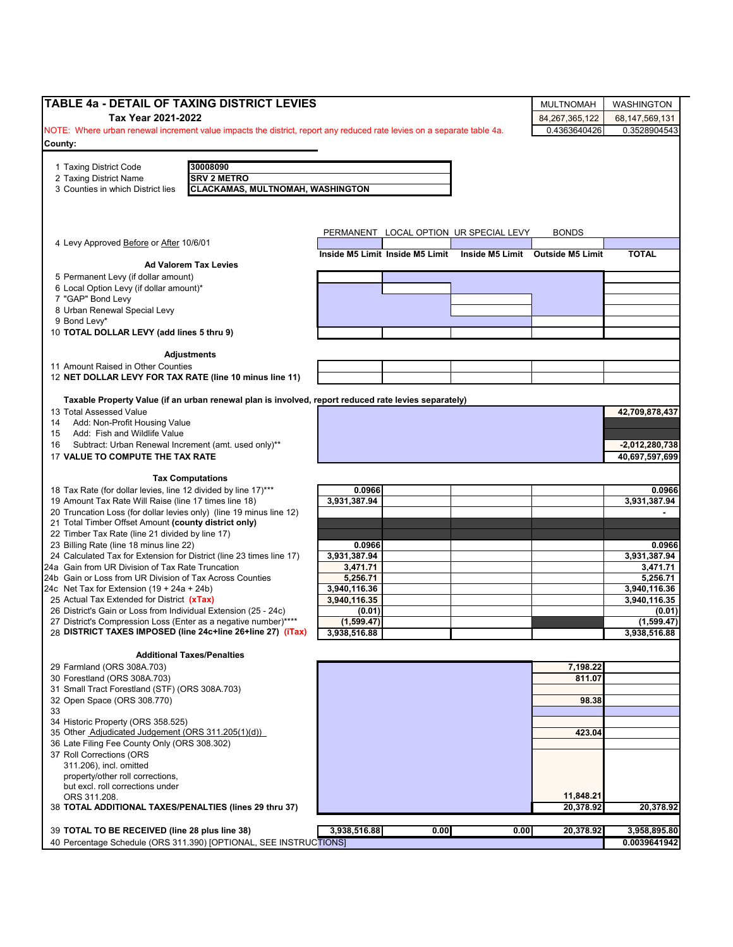| <b>TABLE 4a - DETAIL OF TAXING DISTRICT LEVIES</b>                                                                              |                      |                                 |                                        | <b>MULTNOMAH</b>                 | <b>WASHINGTON</b>      |
|---------------------------------------------------------------------------------------------------------------------------------|----------------------|---------------------------------|----------------------------------------|----------------------------------|------------------------|
| Tax Year 2021-2022                                                                                                              |                      |                                 |                                        | 84, 267, 365, 122                | 68,147,569,131         |
| NOTE: Where urban renewal increment value impacts the district, report any reduced rate levies on a separate table 4a.          |                      |                                 |                                        | 0.4363640426                     | 0.3528904543           |
| County:                                                                                                                         |                      |                                 |                                        |                                  |                        |
|                                                                                                                                 |                      |                                 |                                        |                                  |                        |
| 30008090<br>1 Taxing District Code<br>2 Taxing District Name<br><b>SRV 2 METRO</b>                                              |                      |                                 |                                        |                                  |                        |
| 3 Counties in which District lies<br><b>CLACKAMAS, MULTNOMAH, WASHINGTON</b>                                                    |                      |                                 |                                        |                                  |                        |
|                                                                                                                                 |                      |                                 |                                        |                                  |                        |
|                                                                                                                                 |                      |                                 |                                        |                                  |                        |
|                                                                                                                                 |                      |                                 | PERMANENT LOCAL OPTION UR SPECIAL LEVY | <b>BONDS</b>                     |                        |
| 4 Levy Approved Before or After 10/6/01                                                                                         |                      |                                 |                                        |                                  |                        |
|                                                                                                                                 |                      | Inside M5 Limit Inside M5 Limit |                                        | Inside M5 Limit Outside M5 Limit | <b>TOTAL</b>           |
| <b>Ad Valorem Tax Levies</b>                                                                                                    |                      |                                 |                                        |                                  |                        |
| 5 Permanent Levy (if dollar amount)<br>6 Local Option Levy (if dollar amount)*                                                  |                      |                                 |                                        |                                  |                        |
| 7 "GAP" Bond Levy                                                                                                               |                      |                                 |                                        |                                  |                        |
| 8 Urban Renewal Special Levy                                                                                                    |                      |                                 |                                        |                                  |                        |
| 9 Bond Levy*                                                                                                                    |                      |                                 |                                        |                                  |                        |
| 10 TOTAL DOLLAR LEVY (add lines 5 thru 9)                                                                                       |                      |                                 |                                        |                                  |                        |
| <b>Adjustments</b>                                                                                                              |                      |                                 |                                        |                                  |                        |
| 11 Amount Raised in Other Counties                                                                                              |                      |                                 |                                        |                                  |                        |
| 12 NET DOLLAR LEVY FOR TAX RATE (line 10 minus line 11)                                                                         |                      |                                 |                                        |                                  |                        |
|                                                                                                                                 |                      |                                 |                                        |                                  |                        |
| Taxable Property Value (if an urban renewal plan is involved, report reduced rate levies separately)<br>13 Total Assessed Value |                      |                                 |                                        |                                  | 42,709,878,437         |
| Add: Non-Profit Housing Value<br>14                                                                                             |                      |                                 |                                        |                                  |                        |
| Add: Fish and Wildlife Value<br>15                                                                                              |                      |                                 |                                        |                                  |                        |
| Subtract: Urban Renewal Increment (amt. used only)**<br>16                                                                      |                      |                                 |                                        |                                  | $-2,012,280,738$       |
| 17 VALUE TO COMPUTE THE TAX RATE                                                                                                |                      |                                 |                                        |                                  | 40,697,597,699         |
|                                                                                                                                 |                      |                                 |                                        |                                  |                        |
| <b>Tax Computations</b><br>18 Tax Rate (for dollar levies, line 12 divided by line 17)***                                       | 0.0966               |                                 |                                        |                                  | 0.0966                 |
| 19 Amount Tax Rate Will Raise (line 17 times line 18)                                                                           | 3,931,387.94         |                                 |                                        |                                  | 3,931,387.94           |
| 20 Truncation Loss (for dollar levies only) (line 19 minus line 12)                                                             |                      |                                 |                                        |                                  |                        |
| 21 Total Timber Offset Amount (county district only)                                                                            |                      |                                 |                                        |                                  |                        |
| 22 Timber Tax Rate (line 21 divided by line 17)                                                                                 | 0.0966               |                                 |                                        |                                  |                        |
| 23 Billing Rate (line 18 minus line 22)<br>24 Calculated Tax for Extension for District (line 23 times line 17)                 | 3,931,387.94         |                                 |                                        |                                  | 0.0966<br>3,931,387.94 |
| 24a Gain from UR Division of Tax Rate Truncation                                                                                | 3,471.71             |                                 |                                        |                                  | 3,471.71               |
| 24b Gain or Loss from UR Division of Tax Across Counties                                                                        | 5,256.71             |                                 |                                        |                                  | 5,256.71               |
| 24c Net Tax for Extension $(19 + 24a + 24b)$                                                                                    | 3,940,116.36         |                                 |                                        |                                  | 3,940,116.36           |
| 25 Actual Tax Extended for District (xTax)<br>26 District's Gain or Loss from Individual Extension (25 - 24c)                   | 3,940,116.35         |                                 |                                        |                                  | 3,940,116.35           |
| 27 District's Compression Loss (Enter as a negative number)****                                                                 | (0.01)<br>(1,599.47) |                                 |                                        |                                  | (0.01)<br>(1,599.47)   |
| 28 DISTRICT TAXES IMPOSED (line 24c+line 26+line 27) (iTax)                                                                     | 3,938,516.88         |                                 |                                        |                                  | 3,938,516.88           |
|                                                                                                                                 |                      |                                 |                                        |                                  |                        |
| <b>Additional Taxes/Penalties</b>                                                                                               |                      |                                 |                                        |                                  |                        |
| 29 Farmland (ORS 308A.703)<br>30 Forestland (ORS 308A.703)                                                                      |                      |                                 |                                        | 7,198.22<br>811.07               |                        |
| 31 Small Tract Forestland (STF) (ORS 308A.703)                                                                                  |                      |                                 |                                        |                                  |                        |
| 32 Open Space (ORS 308.770)                                                                                                     |                      |                                 |                                        | 98.38                            |                        |
| 33                                                                                                                              |                      |                                 |                                        |                                  |                        |
| 34 Historic Property (ORS 358.525)<br>35 Other Adjudicated Judgement (ORS 311.205(1)(d))                                        |                      |                                 |                                        |                                  |                        |
| 36 Late Filing Fee County Only (ORS 308.302)                                                                                    |                      |                                 |                                        | 423.04                           |                        |
| 37 Roll Corrections (ORS                                                                                                        |                      |                                 |                                        |                                  |                        |
| 311.206), incl. omitted                                                                                                         |                      |                                 |                                        |                                  |                        |
|                                                                                                                                 |                      |                                 |                                        |                                  |                        |
| property/other roll corrections,                                                                                                |                      |                                 |                                        |                                  |                        |
| but excl. roll corrections under                                                                                                |                      |                                 |                                        |                                  |                        |
| ORS 311.208.                                                                                                                    |                      |                                 |                                        | 11,848.21                        |                        |
|                                                                                                                                 |                      |                                 |                                        | 20,378.92                        | 20,378.92              |
| 38 TOTAL ADDITIONAL TAXES/PENALTIES (lines 29 thru 37)<br>39 TOTAL TO BE RECEIVED (line 28 plus line 38)                        | 3,938,516.88         | 0.00                            | 0.00                                   | 20,378.92                        | 3,958,895.80           |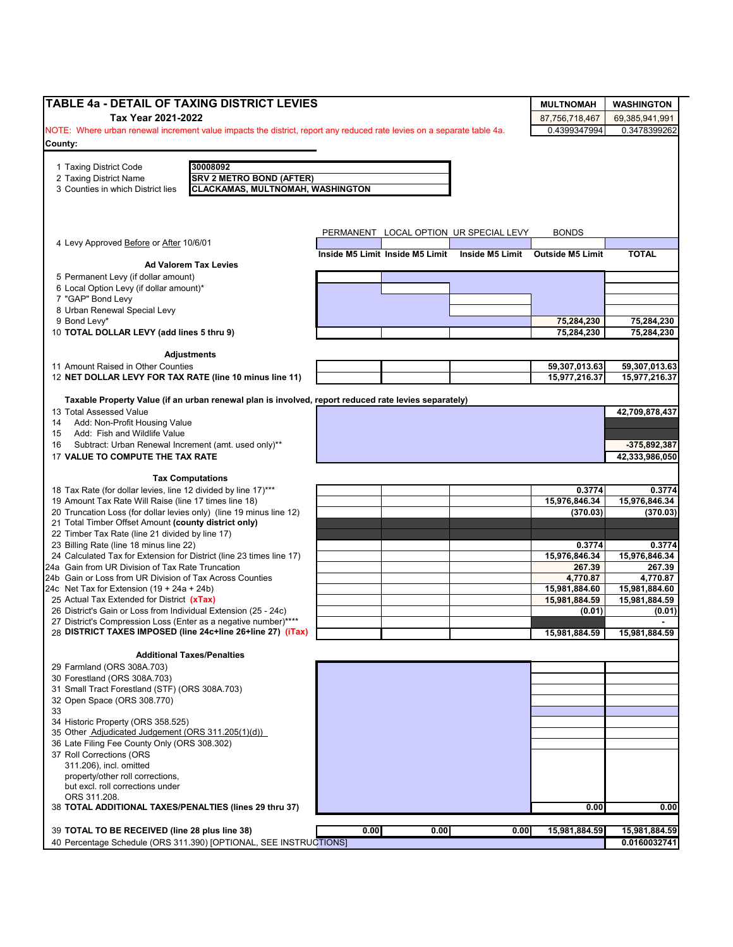| <b>TABLE 4a - DETAIL OF TAXING DISTRICT LEVIES</b>                                                                                 |      |      |                                                                    | <b>MULTNOMAH</b>        | <b>WASHINGTON</b>       |
|------------------------------------------------------------------------------------------------------------------------------------|------|------|--------------------------------------------------------------------|-------------------------|-------------------------|
| Tax Year 2021-2022                                                                                                                 |      |      |                                                                    | 87,756,718,467          | 69,385,941,991          |
| NOTE: Where urban renewal increment value impacts the district, report any reduced rate levies on a separate table 4a.             |      |      |                                                                    | 0.4399347994            | 0.3478399262            |
| County:                                                                                                                            |      |      |                                                                    |                         |                         |
|                                                                                                                                    |      |      |                                                                    |                         |                         |
| 30008092<br>1 Taxing District Code                                                                                                 |      |      |                                                                    |                         |                         |
| <b>SRV 2 METRO BOND (AFTER)</b><br>2 Taxing District Name                                                                          |      |      |                                                                    |                         |                         |
| 3 Counties in which District lies<br><b>CLACKAMAS, MULTNOMAH, WASHINGTON</b>                                                       |      |      |                                                                    |                         |                         |
|                                                                                                                                    |      |      |                                                                    |                         |                         |
|                                                                                                                                    |      |      | PERMANENT LOCAL OPTION UR SPECIAL LEVY                             | <b>BONDS</b>            |                         |
| 4 Levy Approved Before or After 10/6/01                                                                                            |      |      |                                                                    |                         |                         |
| <b>Ad Valorem Tax Levies</b>                                                                                                       |      |      | Inside M5 Limit Inside M5 Limit  Inside M5 Limit  Outside M5 Limit |                         | <b>TOTAL</b>            |
| 5 Permanent Levy (if dollar amount)                                                                                                |      |      |                                                                    |                         |                         |
| 6 Local Option Levy (if dollar amount)*                                                                                            |      |      |                                                                    |                         |                         |
| 7 "GAP" Bond Levy                                                                                                                  |      |      |                                                                    |                         |                         |
| 8 Urban Renewal Special Levy                                                                                                       |      |      |                                                                    |                         |                         |
| 9 Bond Levy*                                                                                                                       |      |      |                                                                    | 75,284,230              | 75,284,230              |
| 10 TOTAL DOLLAR LEVY (add lines 5 thru 9)                                                                                          |      |      |                                                                    | 75,284,230              | 75,284,230              |
| <b>Adjustments</b>                                                                                                                 |      |      |                                                                    |                         |                         |
| 11 Amount Raised in Other Counties                                                                                                 |      |      |                                                                    | 59,307,013.63           | 59,307,013.63           |
| 12 NET DOLLAR LEVY FOR TAX RATE (line 10 minus line 11)                                                                            |      |      |                                                                    | 15,977,216.37           | 15,977,216.37           |
|                                                                                                                                    |      |      |                                                                    |                         |                         |
| Taxable Property Value (if an urban renewal plan is involved, report reduced rate levies separately)<br>13 Total Assessed Value    |      |      |                                                                    |                         | 42,709,878,437          |
| Add: Non-Profit Housing Value<br>14                                                                                                |      |      |                                                                    |                         |                         |
| Add: Fish and Wildlife Value<br>15                                                                                                 |      |      |                                                                    |                         |                         |
| Subtract: Urban Renewal Increment (amt. used only)**<br>16                                                                         |      |      |                                                                    |                         | -375,892,387            |
| 17 VALUE TO COMPUTE THE TAX RATE                                                                                                   |      |      |                                                                    |                         | 42,333,986,050          |
|                                                                                                                                    |      |      |                                                                    |                         |                         |
| <b>Tax Computations</b>                                                                                                            |      |      |                                                                    |                         |                         |
| 18 Tax Rate (for dollar levies, line 12 divided by line 17)***                                                                     |      |      |                                                                    | 0.3774<br>15,976,846.34 | 0.3774<br>15,976,846.34 |
| 19 Amount Tax Rate Will Raise (line 17 times line 18)<br>20 Truncation Loss (for dollar levies only) (line 19 minus line 12)       |      |      |                                                                    | (370.03)                | (370.03)                |
| 21 Total Timber Offset Amount (county district only)                                                                               |      |      |                                                                    |                         |                         |
| 22 Timber Tax Rate (line 21 divided by line 17)                                                                                    |      |      |                                                                    |                         |                         |
| 23 Billing Rate (line 18 minus line 22)                                                                                            |      |      |                                                                    | 0.3774                  | 0.3774                  |
| 24 Calculated Tax for Extension for District (line 23 times line 17)                                                               |      |      |                                                                    | 15,976,846.34           | 15,976,846.34           |
| 24a Gain from UR Division of Tax Rate Truncation                                                                                   |      |      |                                                                    | 267.39                  | 267.39                  |
| 24b Gain or Loss from UR Division of Tax Across Counties                                                                           |      |      |                                                                    | 4,770.87                | 4,770.87                |
| 24c Net Tax for Extension $(19 + 24a + 24b)$                                                                                       |      |      |                                                                    | 15,981,884.60           | 15,981,884.60           |
| 25 Actual Tax Extended for District (xTax)                                                                                         |      |      |                                                                    | 15,981,884.59           | 15,981,884.59           |
| 26 District's Gain or Loss from Individual Extension (25 - 24c)<br>27 District's Compression Loss (Enter as a negative number)**** |      |      |                                                                    | (0.01)                  | (0.01)                  |
| 28 DISTRICT TAXES IMPOSED (line 24c+line 26+line 27) (iTax)                                                                        |      |      |                                                                    | 15,981,884.59           | 15,981,884.59           |
|                                                                                                                                    |      |      |                                                                    |                         |                         |
| <b>Additional Taxes/Penalties</b>                                                                                                  |      |      |                                                                    |                         |                         |
| 29 Farmland (ORS 308A.703)                                                                                                         |      |      |                                                                    |                         |                         |
| 30 Forestland (ORS 308A.703)                                                                                                       |      |      |                                                                    |                         |                         |
| 31 Small Tract Forestland (STF) (ORS 308A.703)                                                                                     |      |      |                                                                    |                         |                         |
| 32 Open Space (ORS 308.770)<br>33                                                                                                  |      |      |                                                                    |                         |                         |
| 34 Historic Property (ORS 358.525)                                                                                                 |      |      |                                                                    |                         |                         |
| 35 Other Adjudicated Judgement (ORS 311.205(1)(d))                                                                                 |      |      |                                                                    |                         |                         |
| 36 Late Filing Fee County Only (ORS 308.302)                                                                                       |      |      |                                                                    |                         |                         |
| 37 Roll Corrections (ORS                                                                                                           |      |      |                                                                    |                         |                         |
| 311.206), incl. omitted                                                                                                            |      |      |                                                                    |                         |                         |
| property/other roll corrections,                                                                                                   |      |      |                                                                    |                         |                         |
| but excl. roll corrections under                                                                                                   |      |      |                                                                    |                         |                         |
| ORS 311.208.                                                                                                                       |      |      |                                                                    |                         |                         |
| 38 TOTAL ADDITIONAL TAXES/PENALTIES (lines 29 thru 37)                                                                             |      |      |                                                                    | 0.00                    | 0.00                    |
| 39 TOTAL TO BE RECEIVED (line 28 plus line 38)                                                                                     | 0.00 | 0.00 | 0.00                                                               | 15,981,884.59           | 15,981,884.59           |
| 40 Percentage Schedule (ORS 311.390) [OPTIONAL, SEE INSTRUCTIONS]                                                                  |      |      |                                                                    |                         | 0.0160032741            |
|                                                                                                                                    |      |      |                                                                    |                         |                         |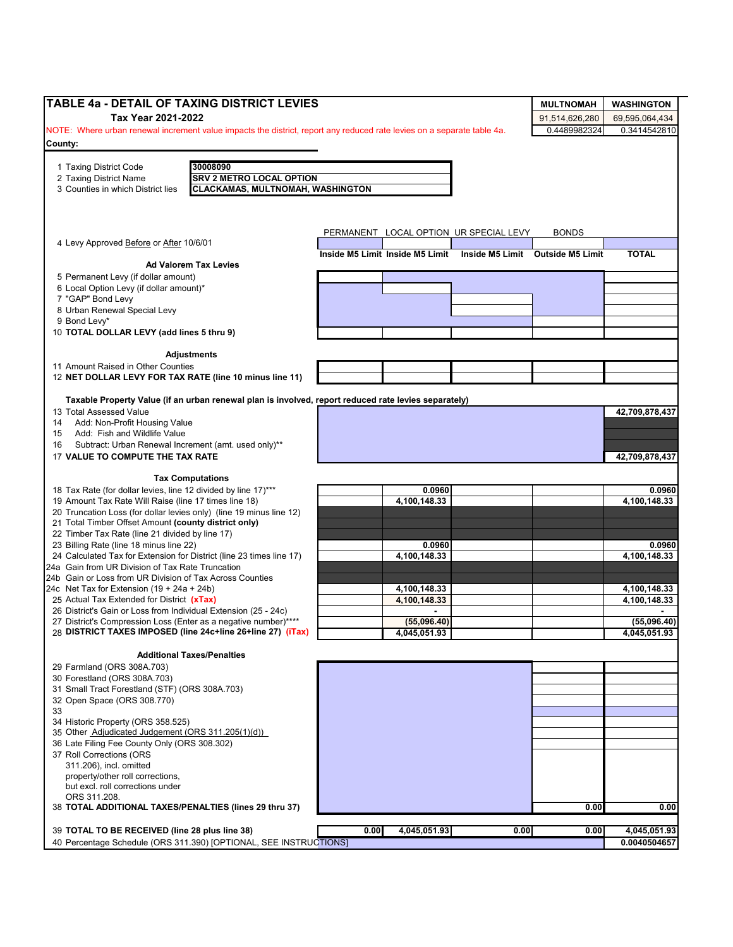| TABLE 4a - DETAIL OF TAXING DISTRICT LEVIES                                                                                               |      |                                 |                                        | <b>MULTNOMAH</b>                 | <b>WASHINGTON</b> |
|-------------------------------------------------------------------------------------------------------------------------------------------|------|---------------------------------|----------------------------------------|----------------------------------|-------------------|
| Tax Year 2021-2022                                                                                                                        |      |                                 |                                        | 91,514,626,280                   | 69,595,064,434    |
| NOTE: Where urban renewal increment value impacts the district, report any reduced rate levies on a separate table 4a.                    |      |                                 |                                        | 0.4489982324                     | 0.3414542810      |
| County:                                                                                                                                   |      |                                 |                                        |                                  |                   |
|                                                                                                                                           |      |                                 |                                        |                                  |                   |
| 30008090<br>1 Taxing District Code                                                                                                        |      |                                 |                                        |                                  |                   |
| <b>SRV 2 METRO LOCAL OPTION</b><br>2 Taxing District Name<br>3 Counties in which District lies<br><b>CLACKAMAS, MULTNOMAH, WASHINGTON</b> |      |                                 |                                        |                                  |                   |
|                                                                                                                                           |      |                                 |                                        |                                  |                   |
|                                                                                                                                           |      |                                 |                                        |                                  |                   |
|                                                                                                                                           |      |                                 |                                        |                                  |                   |
| 4 Levy Approved Before or After 10/6/01                                                                                                   |      |                                 | PERMANENT LOCAL OPTION UR SPECIAL LEVY | <b>BONDS</b>                     |                   |
|                                                                                                                                           |      | Inside M5 Limit Inside M5 Limit |                                        | Inside M5 Limit Outside M5 Limit | <b>TOTAL</b>      |
| <b>Ad Valorem Tax Levies</b>                                                                                                              |      |                                 |                                        |                                  |                   |
| 5 Permanent Levy (if dollar amount)                                                                                                       |      |                                 |                                        |                                  |                   |
| 6 Local Option Levy (if dollar amount)*                                                                                                   |      |                                 |                                        |                                  |                   |
| 7 "GAP" Bond Levy                                                                                                                         |      |                                 |                                        |                                  |                   |
| 8 Urban Renewal Special Levy<br>9 Bond Levy*                                                                                              |      |                                 |                                        |                                  |                   |
| 10 TOTAL DOLLAR LEVY (add lines 5 thru 9)                                                                                                 |      |                                 |                                        |                                  |                   |
|                                                                                                                                           |      |                                 |                                        |                                  |                   |
| <b>Adjustments</b>                                                                                                                        |      |                                 |                                        |                                  |                   |
| 11 Amount Raised in Other Counties                                                                                                        |      |                                 |                                        |                                  |                   |
| 12 NET DOLLAR LEVY FOR TAX RATE (line 10 minus line 11)                                                                                   |      |                                 |                                        |                                  |                   |
|                                                                                                                                           |      |                                 |                                        |                                  |                   |
| Taxable Property Value (if an urban renewal plan is involved, report reduced rate levies separately)                                      |      |                                 |                                        |                                  |                   |
| 13 Total Assessed Value<br>Add: Non-Profit Housing Value<br>14                                                                            |      |                                 |                                        |                                  | 42,709,878,437    |
| Add: Fish and Wildlife Value<br>15                                                                                                        |      |                                 |                                        |                                  |                   |
| Subtract: Urban Renewal Increment (amt. used only)**<br>16                                                                                |      |                                 |                                        |                                  |                   |
| 17 VALUE TO COMPUTE THE TAX RATE                                                                                                          |      |                                 |                                        |                                  | 42,709,878,437    |
|                                                                                                                                           |      |                                 |                                        |                                  |                   |
| <b>Tax Computations</b>                                                                                                                   |      |                                 |                                        |                                  |                   |
| 18 Tax Rate (for dollar levies, line 12 divided by line 17)***                                                                            |      | 0.0960                          |                                        |                                  | 0.0960            |
| 19 Amount Tax Rate Will Raise (line 17 times line 18)                                                                                     |      | 4,100,148.33                    |                                        |                                  | 4,100,148.33      |
| 20 Truncation Loss (for dollar levies only) (line 19 minus line 12)                                                                       |      |                                 |                                        |                                  |                   |
| 21 Total Timber Offset Amount (county district only)                                                                                      |      |                                 |                                        |                                  |                   |
| 22 Timber Tax Rate (line 21 divided by line 17)<br>23 Billing Rate (line 18 minus line 22)                                                |      | 0.0960                          |                                        |                                  | 0.0960            |
| 24 Calculated Tax for Extension for District (line 23 times line 17)                                                                      |      | 4,100,148.33                    |                                        |                                  | 4,100,148.33      |
| 24a Gain from UR Division of Tax Rate Truncation                                                                                          |      |                                 |                                        |                                  |                   |
| 24b Gain or Loss from UR Division of Tax Across Counties                                                                                  |      |                                 |                                        |                                  |                   |
| 24c Net Tax for Extension $(19 + 24a + 24b)$                                                                                              |      | 4,100,148.33                    |                                        |                                  | 4,100,148.33      |
| 25 Actual Tax Extended for District (xTax)                                                                                                |      | 4,100,148.33                    |                                        |                                  | 4,100,148.33      |
| 26 District's Gain or Loss from Individual Extension (25 - 24c)                                                                           |      |                                 |                                        |                                  |                   |
| 27 District's Compression Loss (Enter as a negative number)****                                                                           |      | (55,096.40)                     |                                        |                                  | (55,096.40)       |
| 28 DISTRICT TAXES IMPOSED (line 24c+line 26+line 27) (iTax)                                                                               |      | 4,045,051.93                    |                                        |                                  | 4,045,051.93      |
| <b>Additional Taxes/Penalties</b>                                                                                                         |      |                                 |                                        |                                  |                   |
| 29 Farmland (ORS 308A.703)                                                                                                                |      |                                 |                                        |                                  |                   |
| 30 Forestland (ORS 308A.703)                                                                                                              |      |                                 |                                        |                                  |                   |
| 31 Small Tract Forestland (STF) (ORS 308A.703)                                                                                            |      |                                 |                                        |                                  |                   |
| 32 Open Space (ORS 308.770)                                                                                                               |      |                                 |                                        |                                  |                   |
| 33                                                                                                                                        |      |                                 |                                        |                                  |                   |
| 34 Historic Property (ORS 358.525)                                                                                                        |      |                                 |                                        |                                  |                   |
| 35 Other Adjudicated Judgement (ORS 311.205(1)(d))                                                                                        |      |                                 |                                        |                                  |                   |
| 36 Late Filing Fee County Only (ORS 308.302)                                                                                              |      |                                 |                                        |                                  |                   |
| 37 Roll Corrections (ORS                                                                                                                  |      |                                 |                                        |                                  |                   |
| 311.206), incl. omitted<br>property/other roll corrections,                                                                               |      |                                 |                                        |                                  |                   |
| but excl. roll corrections under                                                                                                          |      |                                 |                                        |                                  |                   |
| ORS 311.208.                                                                                                                              |      |                                 |                                        |                                  |                   |
| 38 TOTAL ADDITIONAL TAXES/PENALTIES (lines 29 thru 37)                                                                                    |      |                                 |                                        | 0.00                             | 0.00              |
|                                                                                                                                           |      |                                 |                                        |                                  |                   |
| 39 TOTAL TO BE RECEIVED (line 28 plus line 38)                                                                                            | 0.00 | 4,045,051.93                    | 0.00                                   | 0.00                             | 4,045,051.93      |
| 40 Percentage Schedule (ORS 311.390) [OPTIONAL, SEE INSTRUCTIONS]                                                                         |      |                                 |                                        |                                  | 0.0040504657      |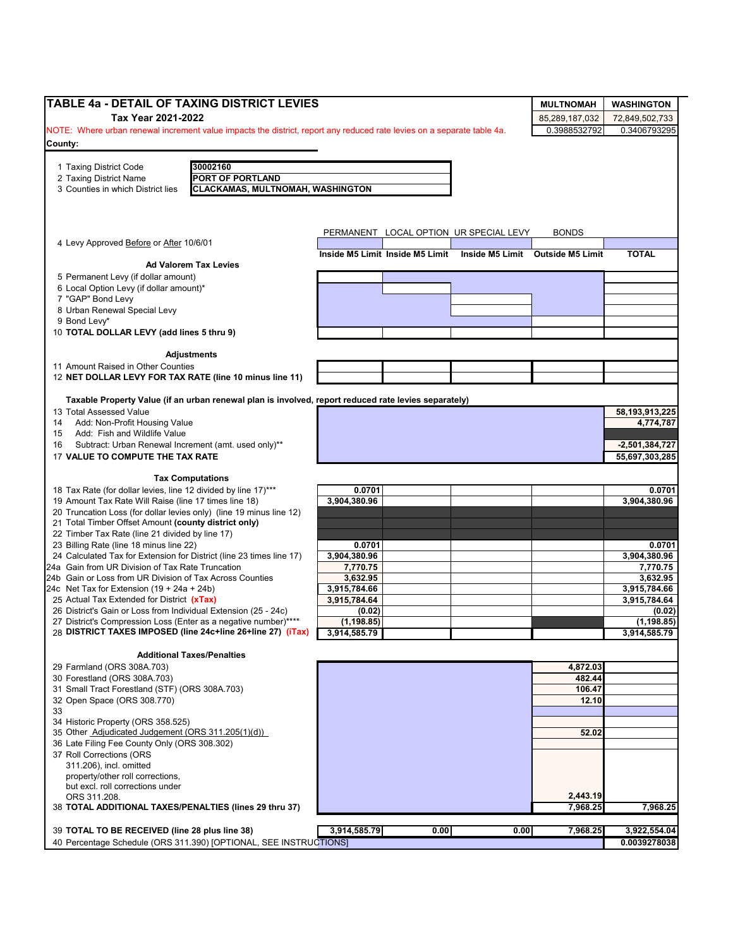| Tax Year 2021-2022<br>85,289,187,032<br>72,849,502,733<br>0.3988532792<br>0.3406793295<br>30002160<br>1 Taxing District Code<br><b>PORT OF PORTLAND</b><br>2 Taxing District Name<br><b>CLACKAMAS, MULTNOMAH, WASHINGTON</b><br>3 Counties in which District lies<br>PERMANENT LOCAL OPTION UR SPECIAL LEVY<br><b>BONDS</b><br>4 Levy Approved Before or After 10/6/01<br>Inside M5 Limit Inside M5 Limit<br>Inside M5 Limit Outside M5 Limit<br><b>TOTAL</b><br><b>Ad Valorem Tax Levies</b><br>6 Local Option Levy (if dollar amount)*<br>7 "GAP" Bond Levy<br>8 Urban Renewal Special Levy<br>9 Bond Levy*<br>10 TOTAL DOLLAR LEVY (add lines 5 thru 9)<br><b>Adjustments</b><br>Taxable Property Value (if an urban renewal plan is involved, report reduced rate levies separately)<br>58,193,913,225<br>Add: Non-Profit Housing Value<br>4,774,787<br>Add: Fish and Wildlife Value<br>Subtract: Urban Renewal Increment (amt. used only)**<br>$-2,501,384,727$<br>17 VALUE TO COMPUTE THE TAX RATE<br>55,697,303,285<br><b>Tax Computations</b><br>0.0701<br>3,904,380.96<br>21 Total Timber Offset Amount (county district only)<br>22 Timber Tax Rate (line 21 divided by line 17)<br>23 Billing Rate (line 18 minus line 22)<br>0.0701<br>0.0701<br>24 Calculated Tax for Extension for District (line 23 times line 17)<br>3,904,380.96<br>3,904,380.96<br>24a Gain from UR Division of Tax Rate Truncation<br>7,770.75<br>7,770.75<br>3,632.95<br>24b Gain or Loss from UR Division of Tax Across Counties<br>3,632.95<br>3,915,784.66<br>3,915,784.66<br>24c Net Tax for Extension (19 + 24a + 24b)<br>3,915,784.64<br>3,915,784.64<br>(0.02)<br>(1, 198.85)<br>3,914,585.79<br>3,914,585.79<br><b>Additional Taxes/Penalties</b><br>29 Farmland (ORS 308A.703)<br>4,872.03<br>30 Forestland (ORS 308A.703)<br>482.44<br>31 Small Tract Forestland (STF) (ORS 308A.703)<br>106.47<br>12.10<br>52.02<br>311.206), incl. omitted<br>property/other roll corrections,<br>but excl. roll corrections under<br>2,443.19<br>ORS 311.208.<br>7,968.25<br>3,914,585.79<br>0.00<br>0.00<br>7,968.25<br>40 Percentage Schedule (ORS 311.390) [OPTIONAL, SEE INSTRUCTIONS] | TABLE 4a - DETAIL OF TAXING DISTRICT LEVIES                         |                                                                                                                        |  |  | <b>MULTNOMAH</b> | <b>WASHINGTON</b> |  |
|-----------------------------------------------------------------------------------------------------------------------------------------------------------------------------------------------------------------------------------------------------------------------------------------------------------------------------------------------------------------------------------------------------------------------------------------------------------------------------------------------------------------------------------------------------------------------------------------------------------------------------------------------------------------------------------------------------------------------------------------------------------------------------------------------------------------------------------------------------------------------------------------------------------------------------------------------------------------------------------------------------------------------------------------------------------------------------------------------------------------------------------------------------------------------------------------------------------------------------------------------------------------------------------------------------------------------------------------------------------------------------------------------------------------------------------------------------------------------------------------------------------------------------------------------------------------------------------------------------------------------------------------------------------------------------------------------------------------------------------------------------------------------------------------------------------------------------------------------------------------------------------------------------------------------------------------------------------------------------------------------------------------------------------------------------------------------------------------------------------------------------------------------------------------------------|---------------------------------------------------------------------|------------------------------------------------------------------------------------------------------------------------|--|--|------------------|-------------------|--|
|                                                                                                                                                                                                                                                                                                                                                                                                                                                                                                                                                                                                                                                                                                                                                                                                                                                                                                                                                                                                                                                                                                                                                                                                                                                                                                                                                                                                                                                                                                                                                                                                                                                                                                                                                                                                                                                                                                                                                                                                                                                                                                                                                                             |                                                                     |                                                                                                                        |  |  |                  |                   |  |
|                                                                                                                                                                                                                                                                                                                                                                                                                                                                                                                                                                                                                                                                                                                                                                                                                                                                                                                                                                                                                                                                                                                                                                                                                                                                                                                                                                                                                                                                                                                                                                                                                                                                                                                                                                                                                                                                                                                                                                                                                                                                                                                                                                             |                                                                     | NOTE: Where urban renewal increment value impacts the district, report any reduced rate levies on a separate table 4a. |  |  |                  |                   |  |
|                                                                                                                                                                                                                                                                                                                                                                                                                                                                                                                                                                                                                                                                                                                                                                                                                                                                                                                                                                                                                                                                                                                                                                                                                                                                                                                                                                                                                                                                                                                                                                                                                                                                                                                                                                                                                                                                                                                                                                                                                                                                                                                                                                             | County:                                                             |                                                                                                                        |  |  |                  |                   |  |
|                                                                                                                                                                                                                                                                                                                                                                                                                                                                                                                                                                                                                                                                                                                                                                                                                                                                                                                                                                                                                                                                                                                                                                                                                                                                                                                                                                                                                                                                                                                                                                                                                                                                                                                                                                                                                                                                                                                                                                                                                                                                                                                                                                             |                                                                     |                                                                                                                        |  |  |                  |                   |  |
|                                                                                                                                                                                                                                                                                                                                                                                                                                                                                                                                                                                                                                                                                                                                                                                                                                                                                                                                                                                                                                                                                                                                                                                                                                                                                                                                                                                                                                                                                                                                                                                                                                                                                                                                                                                                                                                                                                                                                                                                                                                                                                                                                                             |                                                                     |                                                                                                                        |  |  |                  |                   |  |
|                                                                                                                                                                                                                                                                                                                                                                                                                                                                                                                                                                                                                                                                                                                                                                                                                                                                                                                                                                                                                                                                                                                                                                                                                                                                                                                                                                                                                                                                                                                                                                                                                                                                                                                                                                                                                                                                                                                                                                                                                                                                                                                                                                             |                                                                     |                                                                                                                        |  |  |                  |                   |  |
|                                                                                                                                                                                                                                                                                                                                                                                                                                                                                                                                                                                                                                                                                                                                                                                                                                                                                                                                                                                                                                                                                                                                                                                                                                                                                                                                                                                                                                                                                                                                                                                                                                                                                                                                                                                                                                                                                                                                                                                                                                                                                                                                                                             |                                                                     |                                                                                                                        |  |  |                  |                   |  |
|                                                                                                                                                                                                                                                                                                                                                                                                                                                                                                                                                                                                                                                                                                                                                                                                                                                                                                                                                                                                                                                                                                                                                                                                                                                                                                                                                                                                                                                                                                                                                                                                                                                                                                                                                                                                                                                                                                                                                                                                                                                                                                                                                                             |                                                                     |                                                                                                                        |  |  |                  |                   |  |
|                                                                                                                                                                                                                                                                                                                                                                                                                                                                                                                                                                                                                                                                                                                                                                                                                                                                                                                                                                                                                                                                                                                                                                                                                                                                                                                                                                                                                                                                                                                                                                                                                                                                                                                                                                                                                                                                                                                                                                                                                                                                                                                                                                             |                                                                     |                                                                                                                        |  |  |                  |                   |  |
|                                                                                                                                                                                                                                                                                                                                                                                                                                                                                                                                                                                                                                                                                                                                                                                                                                                                                                                                                                                                                                                                                                                                                                                                                                                                                                                                                                                                                                                                                                                                                                                                                                                                                                                                                                                                                                                                                                                                                                                                                                                                                                                                                                             |                                                                     |                                                                                                                        |  |  |                  |                   |  |
|                                                                                                                                                                                                                                                                                                                                                                                                                                                                                                                                                                                                                                                                                                                                                                                                                                                                                                                                                                                                                                                                                                                                                                                                                                                                                                                                                                                                                                                                                                                                                                                                                                                                                                                                                                                                                                                                                                                                                                                                                                                                                                                                                                             |                                                                     |                                                                                                                        |  |  |                  |                   |  |
|                                                                                                                                                                                                                                                                                                                                                                                                                                                                                                                                                                                                                                                                                                                                                                                                                                                                                                                                                                                                                                                                                                                                                                                                                                                                                                                                                                                                                                                                                                                                                                                                                                                                                                                                                                                                                                                                                                                                                                                                                                                                                                                                                                             |                                                                     |                                                                                                                        |  |  |                  |                   |  |
|                                                                                                                                                                                                                                                                                                                                                                                                                                                                                                                                                                                                                                                                                                                                                                                                                                                                                                                                                                                                                                                                                                                                                                                                                                                                                                                                                                                                                                                                                                                                                                                                                                                                                                                                                                                                                                                                                                                                                                                                                                                                                                                                                                             | 5 Permanent Levy (if dollar amount)                                 |                                                                                                                        |  |  |                  |                   |  |
|                                                                                                                                                                                                                                                                                                                                                                                                                                                                                                                                                                                                                                                                                                                                                                                                                                                                                                                                                                                                                                                                                                                                                                                                                                                                                                                                                                                                                                                                                                                                                                                                                                                                                                                                                                                                                                                                                                                                                                                                                                                                                                                                                                             |                                                                     |                                                                                                                        |  |  |                  |                   |  |
|                                                                                                                                                                                                                                                                                                                                                                                                                                                                                                                                                                                                                                                                                                                                                                                                                                                                                                                                                                                                                                                                                                                                                                                                                                                                                                                                                                                                                                                                                                                                                                                                                                                                                                                                                                                                                                                                                                                                                                                                                                                                                                                                                                             |                                                                     |                                                                                                                        |  |  |                  |                   |  |
|                                                                                                                                                                                                                                                                                                                                                                                                                                                                                                                                                                                                                                                                                                                                                                                                                                                                                                                                                                                                                                                                                                                                                                                                                                                                                                                                                                                                                                                                                                                                                                                                                                                                                                                                                                                                                                                                                                                                                                                                                                                                                                                                                                             |                                                                     |                                                                                                                        |  |  |                  |                   |  |
|                                                                                                                                                                                                                                                                                                                                                                                                                                                                                                                                                                                                                                                                                                                                                                                                                                                                                                                                                                                                                                                                                                                                                                                                                                                                                                                                                                                                                                                                                                                                                                                                                                                                                                                                                                                                                                                                                                                                                                                                                                                                                                                                                                             |                                                                     |                                                                                                                        |  |  |                  |                   |  |
|                                                                                                                                                                                                                                                                                                                                                                                                                                                                                                                                                                                                                                                                                                                                                                                                                                                                                                                                                                                                                                                                                                                                                                                                                                                                                                                                                                                                                                                                                                                                                                                                                                                                                                                                                                                                                                                                                                                                                                                                                                                                                                                                                                             |                                                                     |                                                                                                                        |  |  |                  |                   |  |
|                                                                                                                                                                                                                                                                                                                                                                                                                                                                                                                                                                                                                                                                                                                                                                                                                                                                                                                                                                                                                                                                                                                                                                                                                                                                                                                                                                                                                                                                                                                                                                                                                                                                                                                                                                                                                                                                                                                                                                                                                                                                                                                                                                             |                                                                     |                                                                                                                        |  |  |                  |                   |  |
|                                                                                                                                                                                                                                                                                                                                                                                                                                                                                                                                                                                                                                                                                                                                                                                                                                                                                                                                                                                                                                                                                                                                                                                                                                                                                                                                                                                                                                                                                                                                                                                                                                                                                                                                                                                                                                                                                                                                                                                                                                                                                                                                                                             | 11 Amount Raised in Other Counties                                  |                                                                                                                        |  |  |                  |                   |  |
|                                                                                                                                                                                                                                                                                                                                                                                                                                                                                                                                                                                                                                                                                                                                                                                                                                                                                                                                                                                                                                                                                                                                                                                                                                                                                                                                                                                                                                                                                                                                                                                                                                                                                                                                                                                                                                                                                                                                                                                                                                                                                                                                                                             | 12 NET DOLLAR LEVY FOR TAX RATE (line 10 minus line 11)             |                                                                                                                        |  |  |                  |                   |  |
|                                                                                                                                                                                                                                                                                                                                                                                                                                                                                                                                                                                                                                                                                                                                                                                                                                                                                                                                                                                                                                                                                                                                                                                                                                                                                                                                                                                                                                                                                                                                                                                                                                                                                                                                                                                                                                                                                                                                                                                                                                                                                                                                                                             |                                                                     |                                                                                                                        |  |  |                  |                   |  |
|                                                                                                                                                                                                                                                                                                                                                                                                                                                                                                                                                                                                                                                                                                                                                                                                                                                                                                                                                                                                                                                                                                                                                                                                                                                                                                                                                                                                                                                                                                                                                                                                                                                                                                                                                                                                                                                                                                                                                                                                                                                                                                                                                                             |                                                                     |                                                                                                                        |  |  |                  |                   |  |
|                                                                                                                                                                                                                                                                                                                                                                                                                                                                                                                                                                                                                                                                                                                                                                                                                                                                                                                                                                                                                                                                                                                                                                                                                                                                                                                                                                                                                                                                                                                                                                                                                                                                                                                                                                                                                                                                                                                                                                                                                                                                                                                                                                             | 13 Total Assessed Value                                             |                                                                                                                        |  |  |                  |                   |  |
|                                                                                                                                                                                                                                                                                                                                                                                                                                                                                                                                                                                                                                                                                                                                                                                                                                                                                                                                                                                                                                                                                                                                                                                                                                                                                                                                                                                                                                                                                                                                                                                                                                                                                                                                                                                                                                                                                                                                                                                                                                                                                                                                                                             | 14                                                                  |                                                                                                                        |  |  |                  |                   |  |
|                                                                                                                                                                                                                                                                                                                                                                                                                                                                                                                                                                                                                                                                                                                                                                                                                                                                                                                                                                                                                                                                                                                                                                                                                                                                                                                                                                                                                                                                                                                                                                                                                                                                                                                                                                                                                                                                                                                                                                                                                                                                                                                                                                             | 15                                                                  |                                                                                                                        |  |  |                  |                   |  |
|                                                                                                                                                                                                                                                                                                                                                                                                                                                                                                                                                                                                                                                                                                                                                                                                                                                                                                                                                                                                                                                                                                                                                                                                                                                                                                                                                                                                                                                                                                                                                                                                                                                                                                                                                                                                                                                                                                                                                                                                                                                                                                                                                                             | 16                                                                  |                                                                                                                        |  |  |                  |                   |  |
|                                                                                                                                                                                                                                                                                                                                                                                                                                                                                                                                                                                                                                                                                                                                                                                                                                                                                                                                                                                                                                                                                                                                                                                                                                                                                                                                                                                                                                                                                                                                                                                                                                                                                                                                                                                                                                                                                                                                                                                                                                                                                                                                                                             |                                                                     |                                                                                                                        |  |  |                  |                   |  |
|                                                                                                                                                                                                                                                                                                                                                                                                                                                                                                                                                                                                                                                                                                                                                                                                                                                                                                                                                                                                                                                                                                                                                                                                                                                                                                                                                                                                                                                                                                                                                                                                                                                                                                                                                                                                                                                                                                                                                                                                                                                                                                                                                                             |                                                                     |                                                                                                                        |  |  |                  |                   |  |
|                                                                                                                                                                                                                                                                                                                                                                                                                                                                                                                                                                                                                                                                                                                                                                                                                                                                                                                                                                                                                                                                                                                                                                                                                                                                                                                                                                                                                                                                                                                                                                                                                                                                                                                                                                                                                                                                                                                                                                                                                                                                                                                                                                             | 18 Tax Rate (for dollar levies, line 12 divided by line 17)***      |                                                                                                                        |  |  |                  | 0.0701            |  |
|                                                                                                                                                                                                                                                                                                                                                                                                                                                                                                                                                                                                                                                                                                                                                                                                                                                                                                                                                                                                                                                                                                                                                                                                                                                                                                                                                                                                                                                                                                                                                                                                                                                                                                                                                                                                                                                                                                                                                                                                                                                                                                                                                                             | 19 Amount Tax Rate Will Raise (line 17 times line 18)               |                                                                                                                        |  |  |                  | 3,904,380.96      |  |
|                                                                                                                                                                                                                                                                                                                                                                                                                                                                                                                                                                                                                                                                                                                                                                                                                                                                                                                                                                                                                                                                                                                                                                                                                                                                                                                                                                                                                                                                                                                                                                                                                                                                                                                                                                                                                                                                                                                                                                                                                                                                                                                                                                             | 20 Truncation Loss (for dollar levies only) (line 19 minus line 12) |                                                                                                                        |  |  |                  |                   |  |
|                                                                                                                                                                                                                                                                                                                                                                                                                                                                                                                                                                                                                                                                                                                                                                                                                                                                                                                                                                                                                                                                                                                                                                                                                                                                                                                                                                                                                                                                                                                                                                                                                                                                                                                                                                                                                                                                                                                                                                                                                                                                                                                                                                             |                                                                     |                                                                                                                        |  |  |                  |                   |  |
|                                                                                                                                                                                                                                                                                                                                                                                                                                                                                                                                                                                                                                                                                                                                                                                                                                                                                                                                                                                                                                                                                                                                                                                                                                                                                                                                                                                                                                                                                                                                                                                                                                                                                                                                                                                                                                                                                                                                                                                                                                                                                                                                                                             |                                                                     |                                                                                                                        |  |  |                  |                   |  |
|                                                                                                                                                                                                                                                                                                                                                                                                                                                                                                                                                                                                                                                                                                                                                                                                                                                                                                                                                                                                                                                                                                                                                                                                                                                                                                                                                                                                                                                                                                                                                                                                                                                                                                                                                                                                                                                                                                                                                                                                                                                                                                                                                                             |                                                                     |                                                                                                                        |  |  |                  |                   |  |
|                                                                                                                                                                                                                                                                                                                                                                                                                                                                                                                                                                                                                                                                                                                                                                                                                                                                                                                                                                                                                                                                                                                                                                                                                                                                                                                                                                                                                                                                                                                                                                                                                                                                                                                                                                                                                                                                                                                                                                                                                                                                                                                                                                             |                                                                     |                                                                                                                        |  |  |                  |                   |  |
|                                                                                                                                                                                                                                                                                                                                                                                                                                                                                                                                                                                                                                                                                                                                                                                                                                                                                                                                                                                                                                                                                                                                                                                                                                                                                                                                                                                                                                                                                                                                                                                                                                                                                                                                                                                                                                                                                                                                                                                                                                                                                                                                                                             |                                                                     |                                                                                                                        |  |  |                  |                   |  |
|                                                                                                                                                                                                                                                                                                                                                                                                                                                                                                                                                                                                                                                                                                                                                                                                                                                                                                                                                                                                                                                                                                                                                                                                                                                                                                                                                                                                                                                                                                                                                                                                                                                                                                                                                                                                                                                                                                                                                                                                                                                                                                                                                                             |                                                                     |                                                                                                                        |  |  |                  |                   |  |
|                                                                                                                                                                                                                                                                                                                                                                                                                                                                                                                                                                                                                                                                                                                                                                                                                                                                                                                                                                                                                                                                                                                                                                                                                                                                                                                                                                                                                                                                                                                                                                                                                                                                                                                                                                                                                                                                                                                                                                                                                                                                                                                                                                             | 25 Actual Tax Extended for District (xTax)                          |                                                                                                                        |  |  |                  |                   |  |
|                                                                                                                                                                                                                                                                                                                                                                                                                                                                                                                                                                                                                                                                                                                                                                                                                                                                                                                                                                                                                                                                                                                                                                                                                                                                                                                                                                                                                                                                                                                                                                                                                                                                                                                                                                                                                                                                                                                                                                                                                                                                                                                                                                             | 26 District's Gain or Loss from Individual Extension (25 - 24c)     |                                                                                                                        |  |  |                  | (0.02)            |  |
|                                                                                                                                                                                                                                                                                                                                                                                                                                                                                                                                                                                                                                                                                                                                                                                                                                                                                                                                                                                                                                                                                                                                                                                                                                                                                                                                                                                                                                                                                                                                                                                                                                                                                                                                                                                                                                                                                                                                                                                                                                                                                                                                                                             | 27 District's Compression Loss (Enter as a negative number)****     |                                                                                                                        |  |  |                  | (1, 198.85)       |  |
|                                                                                                                                                                                                                                                                                                                                                                                                                                                                                                                                                                                                                                                                                                                                                                                                                                                                                                                                                                                                                                                                                                                                                                                                                                                                                                                                                                                                                                                                                                                                                                                                                                                                                                                                                                                                                                                                                                                                                                                                                                                                                                                                                                             | 28 DISTRICT TAXES IMPOSED (line 24c+line 26+line 27) (iTax)         |                                                                                                                        |  |  |                  |                   |  |
|                                                                                                                                                                                                                                                                                                                                                                                                                                                                                                                                                                                                                                                                                                                                                                                                                                                                                                                                                                                                                                                                                                                                                                                                                                                                                                                                                                                                                                                                                                                                                                                                                                                                                                                                                                                                                                                                                                                                                                                                                                                                                                                                                                             |                                                                     |                                                                                                                        |  |  |                  |                   |  |
|                                                                                                                                                                                                                                                                                                                                                                                                                                                                                                                                                                                                                                                                                                                                                                                                                                                                                                                                                                                                                                                                                                                                                                                                                                                                                                                                                                                                                                                                                                                                                                                                                                                                                                                                                                                                                                                                                                                                                                                                                                                                                                                                                                             |                                                                     |                                                                                                                        |  |  |                  |                   |  |
|                                                                                                                                                                                                                                                                                                                                                                                                                                                                                                                                                                                                                                                                                                                                                                                                                                                                                                                                                                                                                                                                                                                                                                                                                                                                                                                                                                                                                                                                                                                                                                                                                                                                                                                                                                                                                                                                                                                                                                                                                                                                                                                                                                             |                                                                     |                                                                                                                        |  |  |                  |                   |  |
|                                                                                                                                                                                                                                                                                                                                                                                                                                                                                                                                                                                                                                                                                                                                                                                                                                                                                                                                                                                                                                                                                                                                                                                                                                                                                                                                                                                                                                                                                                                                                                                                                                                                                                                                                                                                                                                                                                                                                                                                                                                                                                                                                                             |                                                                     |                                                                                                                        |  |  |                  |                   |  |
|                                                                                                                                                                                                                                                                                                                                                                                                                                                                                                                                                                                                                                                                                                                                                                                                                                                                                                                                                                                                                                                                                                                                                                                                                                                                                                                                                                                                                                                                                                                                                                                                                                                                                                                                                                                                                                                                                                                                                                                                                                                                                                                                                                             | 32 Open Space (ORS 308.770)                                         |                                                                                                                        |  |  |                  |                   |  |
|                                                                                                                                                                                                                                                                                                                                                                                                                                                                                                                                                                                                                                                                                                                                                                                                                                                                                                                                                                                                                                                                                                                                                                                                                                                                                                                                                                                                                                                                                                                                                                                                                                                                                                                                                                                                                                                                                                                                                                                                                                                                                                                                                                             | 33                                                                  |                                                                                                                        |  |  |                  |                   |  |
|                                                                                                                                                                                                                                                                                                                                                                                                                                                                                                                                                                                                                                                                                                                                                                                                                                                                                                                                                                                                                                                                                                                                                                                                                                                                                                                                                                                                                                                                                                                                                                                                                                                                                                                                                                                                                                                                                                                                                                                                                                                                                                                                                                             | 34 Historic Property (ORS 358.525)                                  |                                                                                                                        |  |  |                  |                   |  |
|                                                                                                                                                                                                                                                                                                                                                                                                                                                                                                                                                                                                                                                                                                                                                                                                                                                                                                                                                                                                                                                                                                                                                                                                                                                                                                                                                                                                                                                                                                                                                                                                                                                                                                                                                                                                                                                                                                                                                                                                                                                                                                                                                                             | 35 Other Adjudicated Judgement (ORS 311.205(1)(d))                  |                                                                                                                        |  |  |                  |                   |  |
|                                                                                                                                                                                                                                                                                                                                                                                                                                                                                                                                                                                                                                                                                                                                                                                                                                                                                                                                                                                                                                                                                                                                                                                                                                                                                                                                                                                                                                                                                                                                                                                                                                                                                                                                                                                                                                                                                                                                                                                                                                                                                                                                                                             | 36 Late Filing Fee County Only (ORS 308.302)                        |                                                                                                                        |  |  |                  |                   |  |
|                                                                                                                                                                                                                                                                                                                                                                                                                                                                                                                                                                                                                                                                                                                                                                                                                                                                                                                                                                                                                                                                                                                                                                                                                                                                                                                                                                                                                                                                                                                                                                                                                                                                                                                                                                                                                                                                                                                                                                                                                                                                                                                                                                             | 37 Roll Corrections (ORS                                            |                                                                                                                        |  |  |                  |                   |  |
|                                                                                                                                                                                                                                                                                                                                                                                                                                                                                                                                                                                                                                                                                                                                                                                                                                                                                                                                                                                                                                                                                                                                                                                                                                                                                                                                                                                                                                                                                                                                                                                                                                                                                                                                                                                                                                                                                                                                                                                                                                                                                                                                                                             |                                                                     |                                                                                                                        |  |  |                  |                   |  |
|                                                                                                                                                                                                                                                                                                                                                                                                                                                                                                                                                                                                                                                                                                                                                                                                                                                                                                                                                                                                                                                                                                                                                                                                                                                                                                                                                                                                                                                                                                                                                                                                                                                                                                                                                                                                                                                                                                                                                                                                                                                                                                                                                                             |                                                                     |                                                                                                                        |  |  |                  |                   |  |
|                                                                                                                                                                                                                                                                                                                                                                                                                                                                                                                                                                                                                                                                                                                                                                                                                                                                                                                                                                                                                                                                                                                                                                                                                                                                                                                                                                                                                                                                                                                                                                                                                                                                                                                                                                                                                                                                                                                                                                                                                                                                                                                                                                             |                                                                     |                                                                                                                        |  |  |                  |                   |  |
|                                                                                                                                                                                                                                                                                                                                                                                                                                                                                                                                                                                                                                                                                                                                                                                                                                                                                                                                                                                                                                                                                                                                                                                                                                                                                                                                                                                                                                                                                                                                                                                                                                                                                                                                                                                                                                                                                                                                                                                                                                                                                                                                                                             | 38 TOTAL ADDITIONAL TAXES/PENALTIES (lines 29 thru 37)              |                                                                                                                        |  |  |                  | 7,968.25          |  |
|                                                                                                                                                                                                                                                                                                                                                                                                                                                                                                                                                                                                                                                                                                                                                                                                                                                                                                                                                                                                                                                                                                                                                                                                                                                                                                                                                                                                                                                                                                                                                                                                                                                                                                                                                                                                                                                                                                                                                                                                                                                                                                                                                                             |                                                                     |                                                                                                                        |  |  |                  |                   |  |
|                                                                                                                                                                                                                                                                                                                                                                                                                                                                                                                                                                                                                                                                                                                                                                                                                                                                                                                                                                                                                                                                                                                                                                                                                                                                                                                                                                                                                                                                                                                                                                                                                                                                                                                                                                                                                                                                                                                                                                                                                                                                                                                                                                             | 39 TOTAL TO BE RECEIVED (line 28 plus line 38)                      |                                                                                                                        |  |  |                  | 3,922,554.04      |  |
|                                                                                                                                                                                                                                                                                                                                                                                                                                                                                                                                                                                                                                                                                                                                                                                                                                                                                                                                                                                                                                                                                                                                                                                                                                                                                                                                                                                                                                                                                                                                                                                                                                                                                                                                                                                                                                                                                                                                                                                                                                                                                                                                                                             |                                                                     |                                                                                                                        |  |  |                  | 0.0039278038      |  |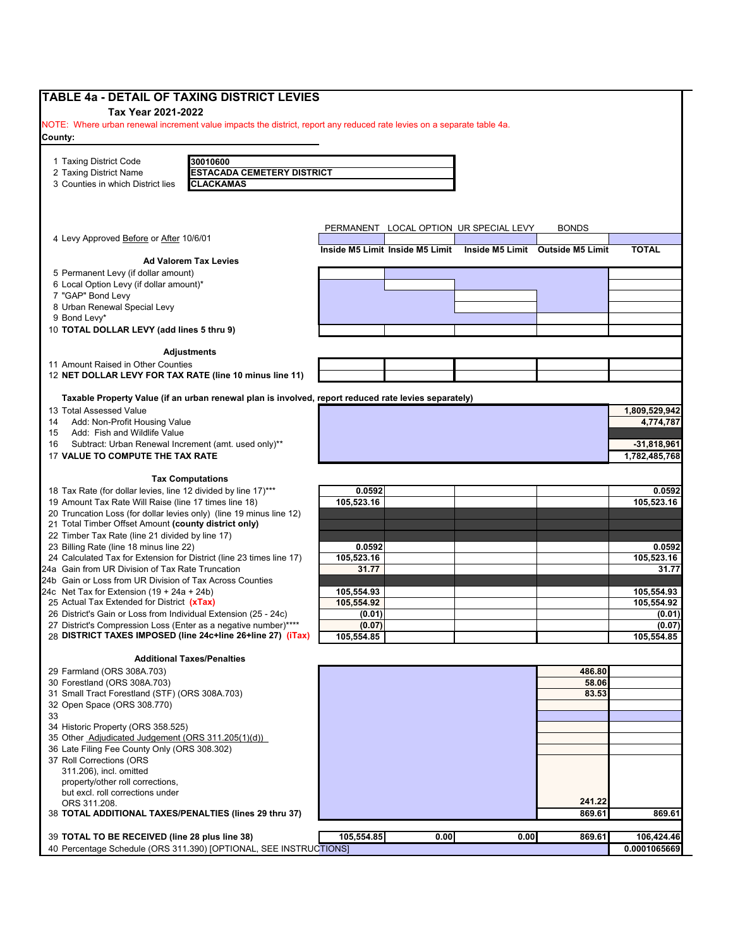| <b>TABLE 4a - DETAIL OF TAXING DISTRICT LEVIES</b>                                                                     |                          |                                 |                                        |                                  |                                |
|------------------------------------------------------------------------------------------------------------------------|--------------------------|---------------------------------|----------------------------------------|----------------------------------|--------------------------------|
| Tax Year 2021-2022                                                                                                     |                          |                                 |                                        |                                  |                                |
| NOTE: Where urban renewal increment value impacts the district, report any reduced rate levies on a separate table 4a. |                          |                                 |                                        |                                  |                                |
| County:                                                                                                                |                          |                                 |                                        |                                  |                                |
|                                                                                                                        |                          |                                 |                                        |                                  |                                |
| 1 Taxing District Code<br>30010600                                                                                     |                          |                                 |                                        |                                  |                                |
| <b>ESTACADA CEMETERY DISTRICT</b><br>2 Taxing District Name                                                            |                          |                                 |                                        |                                  |                                |
| 3 Counties in which District lies<br>CLACKAMAS                                                                         |                          |                                 |                                        |                                  |                                |
|                                                                                                                        |                          |                                 |                                        |                                  |                                |
|                                                                                                                        |                          |                                 |                                        |                                  |                                |
| 4 Levy Approved Before or After 10/6/01                                                                                |                          |                                 | PERMANENT LOCAL OPTION UR SPECIAL LEVY | <b>BONDS</b>                     |                                |
|                                                                                                                        |                          | Inside M5 Limit Inside M5 Limit |                                        | Inside M5 Limit Outside M5 Limit | <b>TOTAL</b>                   |
| <b>Ad Valorem Tax Levies</b>                                                                                           |                          |                                 |                                        |                                  |                                |
| 5 Permanent Levy (if dollar amount)                                                                                    |                          |                                 |                                        |                                  |                                |
| 6 Local Option Levy (if dollar amount)*                                                                                |                          |                                 |                                        |                                  |                                |
| 7 "GAP" Bond Levy                                                                                                      |                          |                                 |                                        |                                  |                                |
| 8 Urban Renewal Special Levy                                                                                           |                          |                                 |                                        |                                  |                                |
| 9 Bond Levy*                                                                                                           |                          |                                 |                                        |                                  |                                |
| 10 TOTAL DOLLAR LEVY (add lines 5 thru 9)                                                                              |                          |                                 |                                        |                                  |                                |
| <b>Adjustments</b>                                                                                                     |                          |                                 |                                        |                                  |                                |
| 11 Amount Raised in Other Counties                                                                                     |                          |                                 |                                        |                                  |                                |
| 12 NET DOLLAR LEVY FOR TAX RATE (line 10 minus line 11)                                                                |                          |                                 |                                        |                                  |                                |
|                                                                                                                        |                          |                                 |                                        |                                  |                                |
| Taxable Property Value (if an urban renewal plan is involved, report reduced rate levies separately)                   |                          |                                 |                                        |                                  |                                |
| 13 Total Assessed Value                                                                                                |                          |                                 |                                        |                                  | 1,809,529,942                  |
| Add: Non-Profit Housing Value<br>14                                                                                    |                          |                                 |                                        |                                  | 4,774,787                      |
| Add: Fish and Wildlife Value<br>15                                                                                     |                          |                                 |                                        |                                  |                                |
| Subtract: Urban Renewal Increment (amt. used only)**<br>16<br>17 VALUE TO COMPUTE THE TAX RATE                         |                          |                                 |                                        |                                  | $-31,818,961$<br>1,782,485,768 |
|                                                                                                                        |                          |                                 |                                        |                                  |                                |
| <b>Tax Computations</b>                                                                                                |                          |                                 |                                        |                                  |                                |
| 18 Tax Rate (for dollar levies, line 12 divided by line 17)***                                                         | 0.0592                   |                                 |                                        |                                  | 0.0592                         |
| 19 Amount Tax Rate Will Raise (line 17 times line 18)                                                                  | 105,523.16               |                                 |                                        |                                  | 105,523.16                     |
| 20 Truncation Loss (for dollar levies only) (line 19 minus line 12)                                                    |                          |                                 |                                        |                                  |                                |
| 21 Total Timber Offset Amount (county district only)                                                                   |                          |                                 |                                        |                                  |                                |
| 22 Timber Tax Rate (line 21 divided by line 17)                                                                        |                          |                                 |                                        |                                  |                                |
| 23 Billing Rate (line 18 minus line 22)                                                                                | 0.0592                   |                                 |                                        |                                  | 0.0592                         |
| 24 Calculated Tax for Extension for District (line 23 times line 17)                                                   | 105,523.16               |                                 |                                        |                                  | 105,523.16                     |
| 24a Gain from UR Division of Tax Rate Truncation                                                                       | 31.77                    |                                 |                                        |                                  | 31.77                          |
| 24b Gain or Loss from UR Division of Tax Across Counties                                                               |                          |                                 |                                        |                                  |                                |
| 24c Net Tax for Extension $(19 + 24a + 24b)$<br>25 Actual Tax Extended for District (xTax)                             | 105,554.93<br>105,554.92 |                                 |                                        |                                  | 105,554.93<br>105,554.92       |
| 26 District's Gain or Loss from Individual Extension (25 - 24c)                                                        | (0.01)                   |                                 |                                        |                                  | (0.01)                         |
| 27 District's Compression Loss (Enter as a negative number)****                                                        | (0.07)                   |                                 |                                        |                                  | (0.07)                         |
| 28 DISTRICT TAXES IMPOSED (line 24c+line 26+line 27) (iTax)                                                            | 105,554.85               |                                 |                                        |                                  | 105,554.85                     |
|                                                                                                                        |                          |                                 |                                        |                                  |                                |
| <b>Additional Taxes/Penalties</b>                                                                                      |                          |                                 |                                        |                                  |                                |
| 29 Farmland (ORS 308A.703)                                                                                             |                          |                                 |                                        | 486.80                           |                                |
| 30 Forestland (ORS 308A.703)                                                                                           |                          |                                 |                                        | 58.06                            |                                |
| 31 Small Tract Forestland (STF) (ORS 308A.703)                                                                         |                          |                                 |                                        | 83.53                            |                                |
| 32 Open Space (ORS 308.770)                                                                                            |                          |                                 |                                        |                                  |                                |
| 33<br>34 Historic Property (ORS 358.525)                                                                               |                          |                                 |                                        |                                  |                                |
| 35 Other Adjudicated Judgement (ORS 311.205(1)(d))                                                                     |                          |                                 |                                        |                                  |                                |
| 36 Late Filing Fee County Only (ORS 308.302)                                                                           |                          |                                 |                                        |                                  |                                |
| 37 Roll Corrections (ORS                                                                                               |                          |                                 |                                        |                                  |                                |
| 311.206), incl. omitted                                                                                                |                          |                                 |                                        |                                  |                                |
| property/other roll corrections,                                                                                       |                          |                                 |                                        |                                  |                                |
| but excl. roll corrections under                                                                                       |                          |                                 |                                        |                                  |                                |
| ORS 311.208.                                                                                                           |                          |                                 |                                        | 241.22                           |                                |
| 38 TOTAL ADDITIONAL TAXES/PENALTIES (lines 29 thru 37)                                                                 |                          |                                 |                                        | 869.61                           | 869.61                         |
|                                                                                                                        |                          |                                 |                                        |                                  |                                |
| 39 TOTAL TO BE RECEIVED (line 28 plus line 38)                                                                         | 105,554.85               | 0.00                            | 0.00                                   | 869.61                           | 106,424.46                     |
| 40 Percentage Schedule (ORS 311.390) [OPTIONAL, SEE INSTRUCTIONS]                                                      |                          |                                 |                                        |                                  | 0.0001065669                   |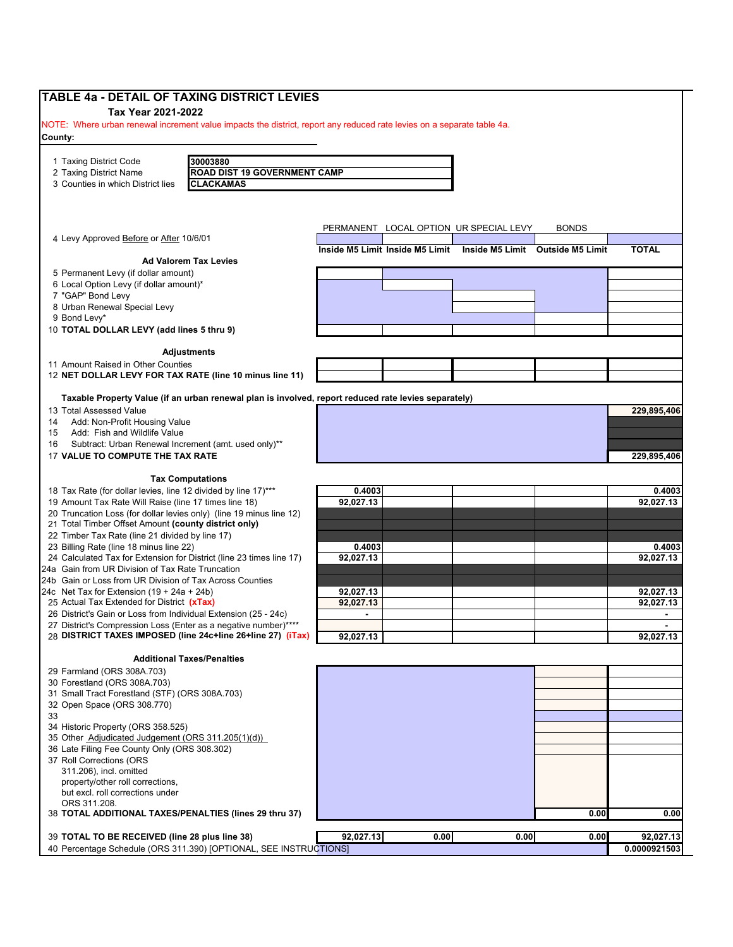| <b>TABLE 4a - DETAIL OF TAXING DISTRICT LEVIES</b>                                                                                |                                                                                                      |           |                                 |                                        |                                  |              |
|-----------------------------------------------------------------------------------------------------------------------------------|------------------------------------------------------------------------------------------------------|-----------|---------------------------------|----------------------------------------|----------------------------------|--------------|
| Tax Year 2021-2022                                                                                                                |                                                                                                      |           |                                 |                                        |                                  |              |
| NOTE: Where urban renewal increment value impacts the district, report any reduced rate levies on a separate table 4a.<br>County: |                                                                                                      |           |                                 |                                        |                                  |              |
|                                                                                                                                   |                                                                                                      |           |                                 |                                        |                                  |              |
| 1 Taxing District Code                                                                                                            | 30003880                                                                                             |           |                                 |                                        |                                  |              |
| 2 Taxing District Name                                                                                                            | <b>ROAD DIST 19 GOVERNMENT CAMP</b>                                                                  |           |                                 |                                        |                                  |              |
| 3 Counties in which District lies                                                                                                 | <b>CLACKAMAS</b>                                                                                     |           |                                 |                                        |                                  |              |
|                                                                                                                                   |                                                                                                      |           |                                 |                                        |                                  |              |
|                                                                                                                                   |                                                                                                      |           |                                 |                                        |                                  |              |
| 4 Levy Approved Before or After 10/6/01                                                                                           |                                                                                                      |           |                                 | PERMANENT LOCAL OPTION UR SPECIAL LEVY | BONDS                            |              |
|                                                                                                                                   |                                                                                                      |           | Inside M5 Limit Inside M5 Limit |                                        | Inside M5 Limit Outside M5 Limit | <b>TOTAL</b> |
|                                                                                                                                   | <b>Ad Valorem Tax Levies</b>                                                                         |           |                                 |                                        |                                  |              |
| 5 Permanent Levy (if dollar amount)                                                                                               |                                                                                                      |           |                                 |                                        |                                  |              |
| 6 Local Option Levy (if dollar amount)*<br>7 "GAP" Bond Levy                                                                      |                                                                                                      |           |                                 |                                        |                                  |              |
| 8 Urban Renewal Special Levy                                                                                                      |                                                                                                      |           |                                 |                                        |                                  |              |
| 9 Bond Levy*                                                                                                                      |                                                                                                      |           |                                 |                                        |                                  |              |
| 10 TOTAL DOLLAR LEVY (add lines 5 thru 9)                                                                                         |                                                                                                      |           |                                 |                                        |                                  |              |
|                                                                                                                                   |                                                                                                      |           |                                 |                                        |                                  |              |
|                                                                                                                                   | Adjustments                                                                                          |           |                                 |                                        |                                  |              |
| 11 Amount Raised in Other Counties<br>12 NET DOLLAR LEVY FOR TAX RATE (line 10 minus line 11)                                     |                                                                                                      |           |                                 |                                        |                                  |              |
|                                                                                                                                   |                                                                                                      |           |                                 |                                        |                                  |              |
|                                                                                                                                   | Taxable Property Value (if an urban renewal plan is involved, report reduced rate levies separately) |           |                                 |                                        |                                  |              |
| 13 Total Assessed Value                                                                                                           |                                                                                                      |           |                                 |                                        |                                  | 229.895.406  |
| Add: Non-Profit Housing Value<br>14<br>Add: Fish and Wildlife Value<br>15                                                         |                                                                                                      |           |                                 |                                        |                                  |              |
| Subtract: Urban Renewal Increment (amt. used only)**<br>16                                                                        |                                                                                                      |           |                                 |                                        |                                  |              |
| 17 VALUE TO COMPUTE THE TAX RATE                                                                                                  |                                                                                                      |           |                                 |                                        |                                  | 229,895,406  |
|                                                                                                                                   |                                                                                                      |           |                                 |                                        |                                  |              |
|                                                                                                                                   | <b>Tax Computations</b>                                                                              |           |                                 |                                        |                                  |              |
| 18 Tax Rate (for dollar levies, line 12 divided by line 17)***                                                                    |                                                                                                      | 0.4003    |                                 |                                        |                                  | 0.4003       |
| 19 Amount Tax Rate Will Raise (line 17 times line 18)<br>20 Truncation Loss (for dollar levies only) (line 19 minus line 12)      |                                                                                                      | 92,027.13 |                                 |                                        |                                  | 92,027.13    |
| 21 Total Timber Offset Amount (county district only)                                                                              |                                                                                                      |           |                                 |                                        |                                  |              |
| 22 Timber Tax Rate (line 21 divided by line 17)                                                                                   |                                                                                                      |           |                                 |                                        |                                  |              |
| 23 Billing Rate (line 18 minus line 22)                                                                                           |                                                                                                      | 0.4003    |                                 |                                        |                                  | 0.4003       |
| 24 Calculated Tax for Extension for District (line 23 times line 17)                                                              |                                                                                                      | 92,027.13 |                                 |                                        |                                  | 92.027.13    |
| 24a Gain from UR Division of Tax Rate Truncation<br>24b Gain or Loss from UR Division of Tax Across Counties                      |                                                                                                      |           |                                 |                                        |                                  |              |
| 24c Net Tax for Extension $(19 + 24a + 24b)$                                                                                      |                                                                                                      | 92,027.13 |                                 |                                        |                                  | 92,027.13    |
| 25 Actual Tax Extended for District (xTax)                                                                                        |                                                                                                      | 92,027.13 |                                 |                                        |                                  | 92,027.13    |
| 26 District's Gain or Loss from Individual Extension (25 - 24c)                                                                   |                                                                                                      |           |                                 |                                        |                                  |              |
| 27 District's Compression Loss (Enter as a negative number)****                                                                   |                                                                                                      |           |                                 |                                        |                                  |              |
| 28 DISTRICT TAXES IMPOSED (line 24c+line 26+line 27) (iTax)                                                                       |                                                                                                      | 92,027.13 |                                 |                                        |                                  | 92,027.13    |
|                                                                                                                                   | <b>Additional Taxes/Penalties</b>                                                                    |           |                                 |                                        |                                  |              |
| 29 Farmland (ORS 308A.703)                                                                                                        |                                                                                                      |           |                                 |                                        |                                  |              |
| 30 Forestland (ORS 308A.703)                                                                                                      |                                                                                                      |           |                                 |                                        |                                  |              |
| 31 Small Tract Forestland (STF) (ORS 308A.703)                                                                                    |                                                                                                      |           |                                 |                                        |                                  |              |
| 32 Open Space (ORS 308.770)                                                                                                       |                                                                                                      |           |                                 |                                        |                                  |              |
| 33<br>34 Historic Property (ORS 358.525)                                                                                          |                                                                                                      |           |                                 |                                        |                                  |              |
| 35 Other Adjudicated Judgement (ORS 311.205(1)(d))                                                                                |                                                                                                      |           |                                 |                                        |                                  |              |
| 36 Late Filing Fee County Only (ORS 308.302)                                                                                      |                                                                                                      |           |                                 |                                        |                                  |              |
| 37 Roll Corrections (ORS                                                                                                          |                                                                                                      |           |                                 |                                        |                                  |              |
| 311.206), incl. omitted                                                                                                           |                                                                                                      |           |                                 |                                        |                                  |              |
| property/other roll corrections,<br>but excl. roll corrections under                                                              |                                                                                                      |           |                                 |                                        |                                  |              |
| ORS 311.208.                                                                                                                      |                                                                                                      |           |                                 |                                        |                                  |              |
| 38 TOTAL ADDITIONAL TAXES/PENALTIES (lines 29 thru 37)                                                                            |                                                                                                      |           |                                 |                                        | 0.00                             | 0.00         |
|                                                                                                                                   |                                                                                                      |           |                                 |                                        |                                  |              |
| 39 TOTAL TO BE RECEIVED (line 28 plus line 38)                                                                                    |                                                                                                      | 92,027.13 | 0.00                            | 0.00                                   | 0.00                             | 92,027.13    |
|                                                                                                                                   | 40 Percentage Schedule (ORS 311.390) [OPTIONAL, SEE INSTRUCTIONS]                                    |           |                                 |                                        |                                  | 0.0000921503 |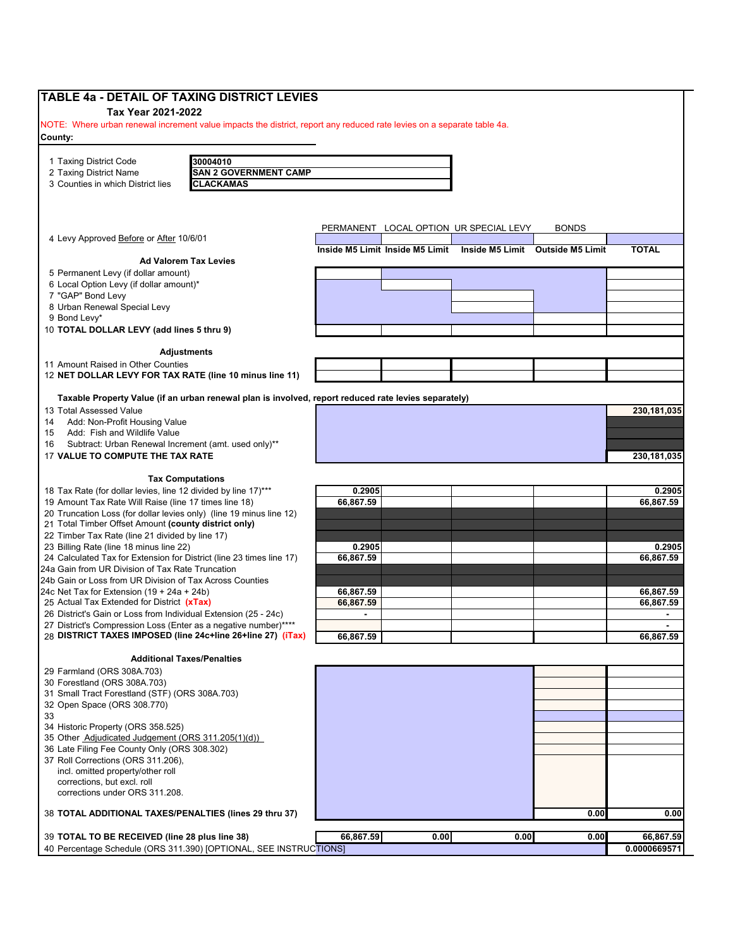| TABLE 4a - DETAIL OF TAXING DISTRICT LEVIES<br>Tax Year 2021-2022                                                      |                                                                                                      |                                                                  |      |      |              |                        |
|------------------------------------------------------------------------------------------------------------------------|------------------------------------------------------------------------------------------------------|------------------------------------------------------------------|------|------|--------------|------------------------|
| NOTE: Where urban renewal increment value impacts the district, report any reduced rate levies on a separate table 4a. |                                                                                                      |                                                                  |      |      |              |                        |
| County:                                                                                                                |                                                                                                      |                                                                  |      |      |              |                        |
| 1 Taxing District Code                                                                                                 | 30004010                                                                                             |                                                                  |      |      |              |                        |
| 2 Taxing District Name                                                                                                 | <b>SAN 2 GOVERNMENT CAMP</b>                                                                         |                                                                  |      |      |              |                        |
| 3 Counties in which District lies                                                                                      | <b>CLACKAMAS</b>                                                                                     |                                                                  |      |      |              |                        |
|                                                                                                                        |                                                                                                      |                                                                  |      |      |              |                        |
|                                                                                                                        |                                                                                                      | PERMANENT LOCAL OPTION UR SPECIAL LEVY                           |      |      | <b>BONDS</b> |                        |
| 4 Levy Approved Before or After 10/6/01                                                                                |                                                                                                      | Inside M5 Limit Inside M5 Limit Inside M5 Limit Outside M5 Limit |      |      |              | <b>TOTAL</b>           |
|                                                                                                                        | <b>Ad Valorem Tax Levies</b>                                                                         |                                                                  |      |      |              |                        |
| 5 Permanent Levy (if dollar amount)                                                                                    |                                                                                                      |                                                                  |      |      |              |                        |
| 6 Local Option Levy (if dollar amount)*                                                                                |                                                                                                      |                                                                  |      |      |              |                        |
| 7 "GAP" Bond Levy<br>8 Urban Renewal Special Levy                                                                      |                                                                                                      |                                                                  |      |      |              |                        |
| 9 Bond Levy*                                                                                                           |                                                                                                      |                                                                  |      |      |              |                        |
| 10 TOTAL DOLLAR LEVY (add lines 5 thru 9)                                                                              |                                                                                                      |                                                                  |      |      |              |                        |
|                                                                                                                        |                                                                                                      |                                                                  |      |      |              |                        |
| 11 Amount Raised in Other Counties                                                                                     | <b>Adjustments</b>                                                                                   |                                                                  |      |      |              |                        |
| 12 NET DOLLAR LEVY FOR TAX RATE (line 10 minus line 11)                                                                |                                                                                                      |                                                                  |      |      |              |                        |
|                                                                                                                        |                                                                                                      |                                                                  |      |      |              |                        |
|                                                                                                                        | Taxable Property Value (if an urban renewal plan is involved, report reduced rate levies separately) |                                                                  |      |      |              |                        |
| 13 Total Assessed Value<br>Add: Non-Profit Housing Value<br>14                                                         |                                                                                                      |                                                                  |      |      |              | 230,181,035            |
| Add: Fish and Wildlife Value<br>15                                                                                     |                                                                                                      |                                                                  |      |      |              |                        |
| Subtract: Urban Renewal Increment (amt. used only)**<br>16                                                             |                                                                                                      |                                                                  |      |      |              |                        |
| 17 VALUE TO COMPUTE THE TAX RATE                                                                                       |                                                                                                      |                                                                  |      |      |              | 230,181,035            |
|                                                                                                                        | <b>Tax Computations</b>                                                                              |                                                                  |      |      |              |                        |
| 18 Tax Rate (for dollar levies, line 12 divided by line 17)***                                                         |                                                                                                      | 0.2905                                                           |      |      |              | 0.2905                 |
| 19 Amount Tax Rate Will Raise (line 17 times line 18)                                                                  |                                                                                                      | 66,867.59                                                        |      |      |              | 66,867.59              |
| 20 Truncation Loss (for dollar levies only) (line 19 minus line 12)                                                    |                                                                                                      |                                                                  |      |      |              |                        |
| 21 Total Timber Offset Amount (county district only)<br>22 Timber Tax Rate (line 21 divided by line 17)                |                                                                                                      |                                                                  |      |      |              |                        |
| 23 Billing Rate (line 18 minus line 22)                                                                                |                                                                                                      | 0.2905                                                           |      |      |              | 0.2905                 |
| 24 Calculated Tax for Extension for District (line 23 times line 17)                                                   |                                                                                                      | 66,867.59                                                        |      |      |              | 66,867.59              |
| 24a Gain from UR Division of Tax Rate Truncation                                                                       |                                                                                                      |                                                                  |      |      |              |                        |
| 24b Gain or Loss from UR Division of Tax Across Counties                                                               |                                                                                                      |                                                                  |      |      |              |                        |
| 24c Net Tax for Extension $(19 + 24a + 24b)$<br>25 Actual Tax Extended for District (xTax)                             |                                                                                                      | 66,867.59<br>66,867.59                                           |      |      |              | 66,867.59<br>66,867.59 |
| 26 District's Gain or Loss from Individual Extension (25 - 24c)                                                        |                                                                                                      |                                                                  |      |      |              |                        |
| 27 District's Compression Loss (Enter as a negative number)****                                                        |                                                                                                      |                                                                  |      |      |              |                        |
| 28 DISTRICT TAXES IMPOSED (line 24c+line 26+line 27) (iTax)                                                            |                                                                                                      | 66,867.59                                                        |      |      |              | 66,867.59              |
|                                                                                                                        | <b>Additional Taxes/Penalties</b>                                                                    |                                                                  |      |      |              |                        |
| 29 Farmland (ORS 308A.703)                                                                                             |                                                                                                      |                                                                  |      |      |              |                        |
| 30 Forestland (ORS 308A.703)                                                                                           |                                                                                                      |                                                                  |      |      |              |                        |
| 31 Small Tract Forestland (STF) (ORS 308A.703)<br>32 Open Space (ORS 308.770)                                          |                                                                                                      |                                                                  |      |      |              |                        |
| 33                                                                                                                     |                                                                                                      |                                                                  |      |      |              |                        |
| 34 Historic Property (ORS 358.525)                                                                                     |                                                                                                      |                                                                  |      |      |              |                        |
| 35 Other Adjudicated Judgement (ORS 311.205(1)(d))                                                                     |                                                                                                      |                                                                  |      |      |              |                        |
| 36 Late Filing Fee County Only (ORS 308.302)                                                                           |                                                                                                      |                                                                  |      |      |              |                        |
| 37 Roll Corrections (ORS 311.206),<br>incl. omitted property/other roll                                                |                                                                                                      |                                                                  |      |      |              |                        |
| corrections, but excl. roll                                                                                            |                                                                                                      |                                                                  |      |      |              |                        |
| corrections under ORS 311.208.                                                                                         |                                                                                                      |                                                                  |      |      |              |                        |
| 38 TOTAL ADDITIONAL TAXES/PENALTIES (lines 29 thru 37)                                                                 |                                                                                                      |                                                                  |      |      | 0.00         | 0.00                   |
|                                                                                                                        |                                                                                                      |                                                                  |      |      |              |                        |
| 39 TOTAL TO BE RECEIVED (line 28 plus line 38)                                                                         |                                                                                                      | 66,867.59                                                        | 0.00 | 0.00 | 0.00         | 66,867.59              |
| 40 Percentage Schedule (ORS 311.390) [OPTIONAL, SEE INSTRUCTIONS]                                                      |                                                                                                      |                                                                  |      |      |              | 0.0000669571           |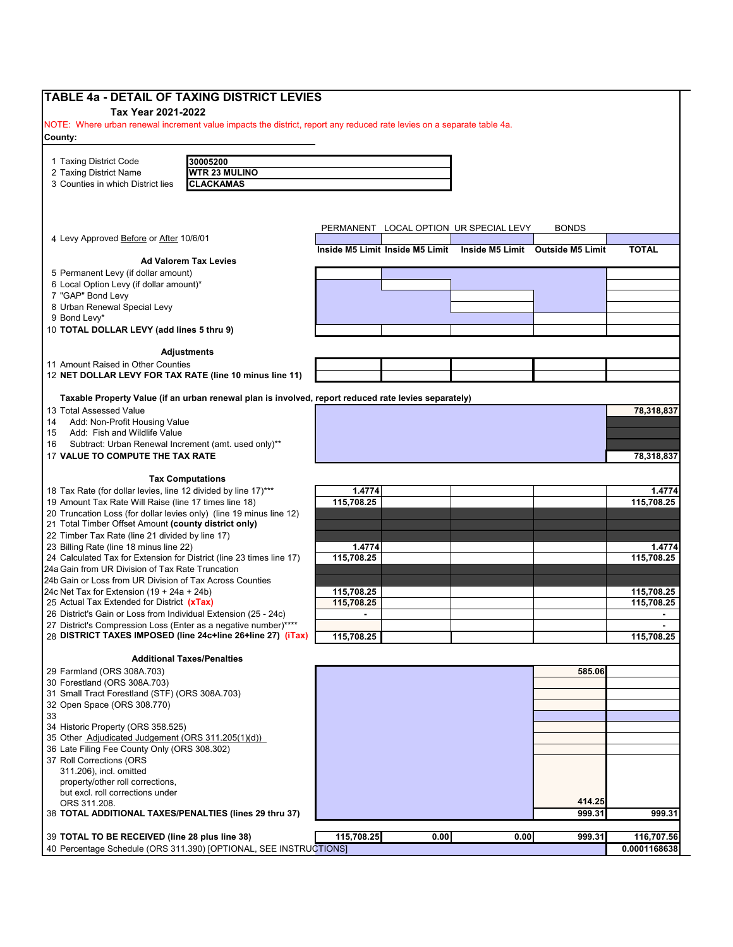| <b>TABLE 4a - DETAIL OF TAXING DISTRICT LEVIES</b>                                                                                 |                |                                 |                                        |                                  |                |
|------------------------------------------------------------------------------------------------------------------------------------|----------------|---------------------------------|----------------------------------------|----------------------------------|----------------|
| Tax Year 2021-2022                                                                                                                 |                |                                 |                                        |                                  |                |
| NOTE: Where urban renewal increment value impacts the district, report any reduced rate levies on a separate table 4a.             |                |                                 |                                        |                                  |                |
| County:                                                                                                                            |                |                                 |                                        |                                  |                |
|                                                                                                                                    |                |                                 |                                        |                                  |                |
| 30005200<br>1 Taxing District Code                                                                                                 |                |                                 |                                        |                                  |                |
| <b>WTR 23 MULINO</b><br>2 Taxing District Name                                                                                     |                |                                 |                                        |                                  |                |
| 3 Counties in which District lies<br><b>CLACKAMAS</b>                                                                              |                |                                 |                                        |                                  |                |
|                                                                                                                                    |                |                                 |                                        |                                  |                |
|                                                                                                                                    |                |                                 |                                        |                                  |                |
| 4 Levy Approved Before or After 10/6/01                                                                                            |                |                                 | PERMANENT LOCAL OPTION UR SPECIAL LEVY | <b>BONDS</b>                     |                |
|                                                                                                                                    |                | Inside M5 Limit Inside M5 Limit |                                        | Inside M5 Limit Outside M5 Limit | <b>TOTAL</b>   |
| <b>Ad Valorem Tax Levies</b>                                                                                                       |                |                                 |                                        |                                  |                |
| 5 Permanent Levy (if dollar amount)                                                                                                |                |                                 |                                        |                                  |                |
| 6 Local Option Levy (if dollar amount)*                                                                                            |                |                                 |                                        |                                  |                |
| 7 "GAP" Bond Levy                                                                                                                  |                |                                 |                                        |                                  |                |
| 8 Urban Renewal Special Levy                                                                                                       |                |                                 |                                        |                                  |                |
| 9 Bond Levy*                                                                                                                       |                |                                 |                                        |                                  |                |
| 10 TOTAL DOLLAR LEVY (add lines 5 thru 9)                                                                                          |                |                                 |                                        |                                  |                |
| <b>Adjustments</b>                                                                                                                 |                |                                 |                                        |                                  |                |
| 11 Amount Raised in Other Counties                                                                                                 |                |                                 |                                        |                                  |                |
| 12 NET DOLLAR LEVY FOR TAX RATE (line 10 minus line 11)                                                                            |                |                                 |                                        |                                  |                |
|                                                                                                                                    |                |                                 |                                        |                                  |                |
| Taxable Property Value (if an urban renewal plan is involved, report reduced rate levies separately)                               |                |                                 |                                        |                                  |                |
| 13 Total Assessed Value                                                                                                            |                |                                 |                                        |                                  | 78,318,837     |
| Add: Non-Profit Housing Value<br>14<br>15                                                                                          |                |                                 |                                        |                                  |                |
| Add: Fish and Wildlife Value<br>16                                                                                                 |                |                                 |                                        |                                  |                |
| Subtract: Urban Renewal Increment (amt. used only)**                                                                               |                |                                 |                                        |                                  |                |
| 17 VALUE TO COMPUTE THE TAX RATE                                                                                                   |                |                                 |                                        |                                  | 78,318,837     |
| <b>Tax Computations</b>                                                                                                            |                |                                 |                                        |                                  |                |
| 18 Tax Rate (for dollar levies, line 12 divided by line 17)***                                                                     | 1.4774         |                                 |                                        |                                  | 1.4774         |
| 19 Amount Tax Rate Will Raise (line 17 times line 18)                                                                              | 115,708.25     |                                 |                                        |                                  | 115,708.25     |
| 20 Truncation Loss (for dollar levies only) (line 19 minus line 12)                                                                |                |                                 |                                        |                                  |                |
| 21 Total Timber Offset Amount (county district only)                                                                               |                |                                 |                                        |                                  |                |
| 22 Timber Tax Rate (line 21 divided by line 17)                                                                                    |                |                                 |                                        |                                  |                |
| 23 Billing Rate (line 18 minus line 22)                                                                                            | 1.4774         |                                 |                                        |                                  | 1.4774         |
| 24 Calculated Tax for Extension for District (line 23 times line 17)                                                               | 115.708.25     |                                 |                                        |                                  | 115,708.25     |
| 24a Gain from UR Division of Tax Rate Truncation                                                                                   |                |                                 |                                        |                                  |                |
| 24b Gain or Loss from UR Division of Tax Across Counties                                                                           |                |                                 |                                        |                                  |                |
| 24c Net Tax for Extension $(19 + 24a + 24b)$                                                                                       | 115,708.25     |                                 |                                        |                                  | 115,708.25     |
| 25 Actual Tax Extended for District (xTax)                                                                                         | 115,708.25     |                                 |                                        |                                  | 115,708.25     |
| 26 District's Gain or Loss from Individual Extension (25 - 24c)<br>27 District's Compression Loss (Enter as a negative number)**** | $\blacksquare$ |                                 |                                        |                                  | $\blacksquare$ |
| 28 DISTRICT TAXES IMPOSED (line 24c+line 26+line 27) (iTax)                                                                        | 115,708.25     |                                 |                                        |                                  | 115,708.25     |
|                                                                                                                                    |                |                                 |                                        |                                  |                |
| <b>Additional Taxes/Penalties</b>                                                                                                  |                |                                 |                                        |                                  |                |
| 29 Farmland (ORS 308A.703)                                                                                                         |                |                                 |                                        | 585.06                           |                |
| 30 Forestland (ORS 308A.703)                                                                                                       |                |                                 |                                        |                                  |                |
| 31 Small Tract Forestland (STF) (ORS 308A.703)                                                                                     |                |                                 |                                        |                                  |                |
| 32 Open Space (ORS 308.770)                                                                                                        |                |                                 |                                        |                                  |                |
|                                                                                                                                    |                |                                 |                                        |                                  |                |
| 34 Historic Property (ORS 358.525)<br>35 Other Adjudicated Judgement (ORS 311.205(1)(d))                                           |                |                                 |                                        |                                  |                |
| 36 Late Filing Fee County Only (ORS 308.302)                                                                                       |                |                                 |                                        |                                  |                |
| 37 Roll Corrections (ORS                                                                                                           |                |                                 |                                        |                                  |                |
| 311.206), incl. omitted                                                                                                            |                |                                 |                                        |                                  |                |
| property/other roll corrections,                                                                                                   |                |                                 |                                        |                                  |                |
| but excl. roll corrections under                                                                                                   |                |                                 |                                        |                                  |                |
| ORS 311.208.                                                                                                                       |                |                                 |                                        | 414.25                           |                |
| 38 TOTAL ADDITIONAL TAXES/PENALTIES (lines 29 thru 37)                                                                             |                |                                 |                                        | 999.31                           | 999.31         |
|                                                                                                                                    |                |                                 |                                        |                                  |                |
| 39 TOTAL TO BE RECEIVED (line 28 plus line 38)                                                                                     | 115,708.25     | 0.00                            | 0.00                                   | 999.31                           | 116,707.56     |
| 40 Percentage Schedule (ORS 311.390) [OPTIONAL, SEE INSTRUCTIONS]                                                                  |                |                                 |                                        |                                  | 0.0001168638   |